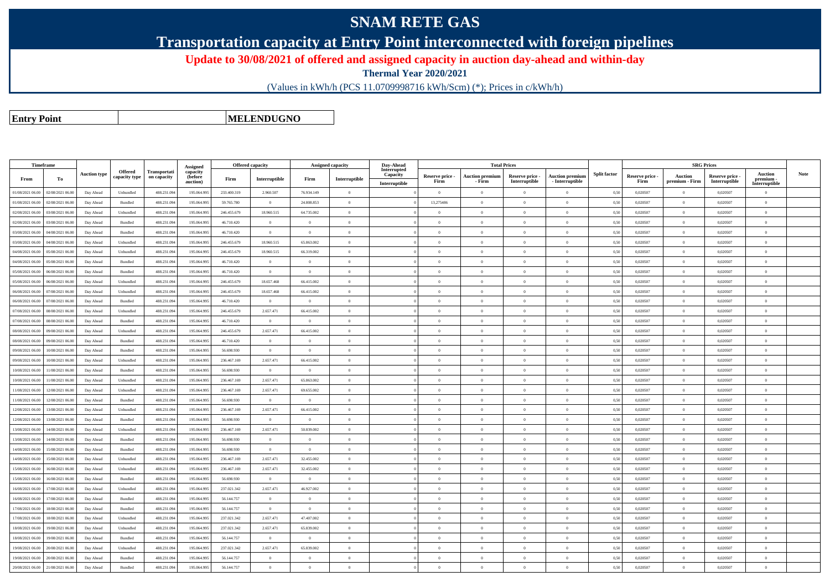## **SNAM RETE GAS**

**Transportation capacity at Entry Point interconnected with foreign pipelines**

**Update to 30/08/2021 of offered and assigned capacity in auction day-ahead and within-day**

**Thermal Year 2020/2021**

(Values in kWh/h (PCS 11.0709998716 kWh/Scm) (\*); Prices in c/kWh/h)

**Entry Point**

**MELENDUGNO**

|                  | Timeframe        |                     |                                 |                                    | Assigned                   | <b>Offered capacity</b> |                | <b>Assigned capacity</b> |                                             | Day-Ahead               |                 | <b>Total Prices</b>    |                 |                        |                     |                 | <b>SRG Prices</b> |               |                            |      |
|------------------|------------------|---------------------|---------------------------------|------------------------------------|----------------------------|-------------------------|----------------|--------------------------|---------------------------------------------|-------------------------|-----------------|------------------------|-----------------|------------------------|---------------------|-----------------|-------------------|---------------|----------------------------|------|
|                  |                  | <b>Auction type</b> | <b>Offered</b><br>capacity type | <b>Transportati</b><br>on capacity | capacity<br><b>(before</b> |                         |                |                          |                                             | Interrupted<br>Capacity | Reserve price - | <b>Auction premium</b> | Reserve price - | <b>Auction premium</b> | <b>Split factor</b> | Reserve price - | <b>Auction</b>    | Reserve price | <b>Auction</b>             | Note |
| From             | To               |                     |                                 |                                    | auction)                   | Firm                    | Interruptible  | Firm                     | $\label{prop:inter} \textbf{Interruptible}$ | Interruptible           | Firm            | - Firm                 | Interruptible   | - Interruptible        |                     | Firm            | premium - Firm    | Interruptible | premium -<br>Interruptible |      |
| 01/08/2021 06:00 | 02/08/2021 06:00 | Day Ahead           | Unbundled                       | 488.231.09                         | 195.064.99                 | 233,400.319             | 2.960.507      | 76.934.149               | $\overline{0}$                              |                         | $\theta$        | $\theta$               | $\Omega$        | $\theta$               | 0.50                | 0.020507        | $^{\circ}$        | 0,020507      | $\overline{0}$             |      |
| 01/08/2021 06:00 | 02/08/2021 06:00 | Day Ahead           | Bundled                         | 488.231.094                        | 195.064.995                | 59,765,780              | $\overline{0}$ | 24.808.853               | $\overline{0}$                              |                         | 13,275486       | $\Omega$               | $\overline{0}$  | $\bf{0}$               | 0.50                | 0,020507        | $\overline{0}$    | 0,020507      | $\overline{0}$             |      |
| 02/08/2021 06:00 | 03/08/2021 06.0  | Day Ahead           | Unbundled                       | 488.231.09                         | 195.064.99                 | 246.455.679             | 18.960.515     | 64.735.002               | $\overline{0}$                              |                         | $\Omega$        | $\Omega$               | $\overline{0}$  | $\overline{0}$         | 0,50                | 0,020507        | $\Omega$          | 0,020507      | $\theta$                   |      |
| 02/08/2021 06:00 | 03/08/2021 06.00 | Day Ahead           | Bundled                         | 488.231.094                        | 195.064.995                | 46.710.420              | $\overline{0}$ | $\theta$                 | $\overline{0}$                              |                         | $\overline{0}$  | $\Omega$               | $\overline{0}$  | $\overline{0}$         | 0.50                | 0,020507        | $\overline{0}$    | 0.020507      | $\overline{0}$             |      |
| 03/08/2021 06:00 | 04/08/2021 06.0  | Day Ahead           | Bundled                         | 488.231.09                         | 195.064.99                 | 46.710.420              | $\overline{0}$ | $\overline{0}$           | $\overline{0}$                              |                         | $\Omega$        | $\Omega$               | $\overline{0}$  | $\overline{0}$         | 0,50                | 0,020507        | $\Omega$          | 0,020507      | $\theta$                   |      |
| 03/08/2021 06:00 | 04/08/2021 06.0  | Day Ahead           | Unbundled                       | 488.231.09                         | 195.064.995                | 246.455.679             | 18.960.515     | 65.863.002               | $\overline{0}$                              |                         | $\overline{0}$  | $\theta$               | $\overline{0}$  | $\bf{0}$               | 0,50                | 0,020507        | $\overline{0}$    | 0,020507      | $\bf{0}$                   |      |
| 04/08/2021 06.0  | 05/08/2021 06:0  | Day Ahead           | Unbundled                       | 488.231.09                         | 195.064.99                 | 246.455.679             | 18.960.515     | 66.319.002               | $\overline{0}$                              |                         | $\overline{0}$  | $\Omega$               | $\overline{0}$  | $\overline{0}$         | 0,50                | 0,020507        | $\Omega$          | 0,020507      | $\theta$                   |      |
| 04/08/2021 06:00 | 05/08/2021 06:00 | Day Ahead           | Bundled                         | 488.231.09                         | 195.064.995                | 46.710.420              | $\overline{0}$ | $\overline{0}$           | $\overline{0}$                              |                         | $\overline{0}$  | $\theta$               | $\overline{0}$  | $\bf{0}$               | 0,50                | 0,020507        | $\overline{0}$    | 0,020507      | $\bf{0}$                   |      |
| 05/08/2021 06:00 | 06/08/2021 06:00 | Day Ahead           | Bundled                         | 488.231.09                         | 195.064.995                | 46.710.420              | $\overline{0}$ | $\Omega$                 | $\theta$                                    |                         | $\Omega$        |                        | $\Omega$        | $\theta$               | 0,50                | 0,020507        | $\Omega$          | 0,020507      | $\theta$                   |      |
| 05/08/2021 06:00 | 06/08/2021 06.0  | Day Ahead           | Unbundled                       | 488.231.09                         | 195.064.995                | 246.455.679             | 18.657.468     | 66.415.002               | $\overline{0}$                              |                         | $\overline{0}$  | $\theta$               | $\overline{0}$  | $\overline{0}$         | 0,50                | 0,020507        | $\overline{0}$    | 0,020507      | $\overline{0}$             |      |
| 06/08/2021 06:00 | 07/08/2021 06.0  | Day Ahead           | Unbundled                       | 488.231.09                         | 195.064.99                 | 246.455.679             | 18.657.468     | 66.415.002               | $\theta$                                    |                         | $\Omega$        | $\theta$               | $\overline{0}$  | $\overline{0}$         | 0,50                | 0,020507        | $\Omega$          | 0,020507      | $\Omega$                   |      |
| 06/08/2021 06:00 | 07/08/2021 06:00 | Day Ahead           | Bundled                         | 488.231.094                        | 195.064.995                | 46.710.420              | $\overline{0}$ | $\Omega$                 | $\overline{0}$                              |                         | $\Omega$        | $\theta$               | $\overline{0}$  | $\overline{0}$         | 0,50                | 0,020507        | $\theta$          | 0,020507      | $\theta$                   |      |
| 07/08/2021 06:00 | 08/08/2021 06:00 | Day Ahead           | Unbundled                       | 488.231.09                         | 195,064,995                | 246,455.679             | 2.657.471      | 66.415.002               | $\theta$                                    |                         | $\theta$        | $\Omega$               | $\Omega$        | $\theta$               | 0.50                | 0.020507        | $\Omega$          | 0.020507      | $\theta$                   |      |
| 07/08/2021 06:00 | 08/08/2021 06:00 | Day Ahead           | Bundled                         | 488.231.094                        | 195.064.995                | 46.710.420              | $\overline{0}$ | $\overline{0}$           | $\overline{0}$                              |                         | $\overline{0}$  | $\theta$               | $\overline{0}$  | $\overline{0}$         | 0,50                | 0,020507        | $\overline{0}$    | 0,020507      | $\overline{0}$             |      |
| 08/08/2021 06:00 | 09/08/2021 06:00 | Day Ahead           | Unbundled                       | 488.231.09                         | 195,064,995                | 246,455.679             | 2.657.471      | 66.415.002               | $\Omega$                                    |                         | $\theta$        | $\theta$               | $\theta$        | $\overline{0}$         | 0.50                | 0.020507        | $\overline{0}$    | 0.020507      | $\theta$                   |      |
| 08/08/2021 06:00 | 09/08/2021 06:00 | Day Ahead           | $\mathbf B$ undled              | 488.231.094                        | 195.064.995                | 46.710.420              | $\overline{0}$ | $\Omega$                 | $\overline{0}$                              |                         | $\Omega$        | $\theta$               | $\Omega$        | $\overline{0}$         | 0.50                | 0,020507        | $\overline{0}$    | 0,020507      | $\overline{0}$             |      |
| 09/08/2021 06:00 | 10/08/2021 06:00 | Day Ahead           | Bundled                         | 488.231.09                         | 195,064,995                | 56,698.930              | $\overline{0}$ | $\Omega$                 | $\Omega$                                    |                         | $\Omega$        | $\Omega$               | $\Omega$        | $\theta$               | 0.50                | 0.020507        | $\Omega$          | 0.020507      | $\theta$                   |      |
| 09/08/2021 06:00 | 10/08/2021 06:00 | Day Ahead           | Unbundled                       | 488.231.094                        | 195.064.995                | 236.467.169             | 2.657.471      | 66.415.002               | $\overline{0}$                              |                         | $\overline{0}$  | $\theta$               | $\overline{0}$  | $\overline{0}$         | 0.50                | 0,020507        | $\overline{0}$    | 0,020507      | $\overline{0}$             |      |
| 10/08/2021 06:00 | 11/08/2021 06:00 | Day Ahead           | <b>Bundled</b>                  | 488 231 094                        | 195 064 99                 | 56 698 930              | $\overline{0}$ | $\theta$                 | $\overline{0}$                              |                         | $\overline{0}$  | $\theta$               | $\overline{0}$  | $\overline{0}$         | 0.50                | 0.020507        | $\overline{0}$    | 0.020507      | $\theta$                   |      |
| 10/08/2021 06:00 | 11/08/2021 06:00 | Day Ahead           | Unbundled                       | 488.231.094                        | 195.064.995                | 236.467.169             | 2.657.471      | 65.863.002               | $\overline{0}$                              |                         | $\theta$        | $\Omega$               | $\theta$        | $\overline{0}$         | 0.50                | 0,020507        | $\overline{0}$    | 0,020507      | $\theta$                   |      |
| 11/08/2021 06:00 | 12/08/2021 06:00 | Day Ahead           | Unbundled                       | 488.231.094                        | 195.064.995                | 236 467 169             | 2.657.471      | 69.655.002               | $\Omega$                                    |                         | $\Omega$        | $\Omega$               | $\Omega$        | $\overline{0}$         | 0.50                | 0.020507        | $\Omega$          | 0.020507      | $\theta$                   |      |
| 11/08/2021 06.00 | 12/08/2021 06.0  | Day Ahead           | Bundled                         | 488.231.09                         | 195.064.99                 | 56.698.930              | $\overline{0}$ | $\overline{0}$           | $\overline{0}$                              |                         | $\Omega$        | $\Omega$               | $\overline{0}$  | $\overline{0}$         | 0.50                | 0,020507        | $\Omega$          | 0,020507      | $\overline{0}$             |      |
| 12/08/2021 06.00 | 13/08/2021 06:00 | Day Ahead           | Unbundled                       | 488.231.094                        | 195.064.995                | 236,467.169             | 2.657.471      | 66.415.002               | $\overline{0}$                              |                         | $\overline{0}$  | $\theta$               | $\overline{0}$  | $\bf{0}$               | 0.50                | 0.020507        | $\overline{0}$    | 0.020507      | $\overline{0}$             |      |
| 12/08/2021 06:00 | 13/08/2021 06.0  | Day Ahead           | Bundled                         | 488.231.09                         | 195,064.99                 | 56,698,930              | $\overline{0}$ | $\overline{0}$           | $\overline{0}$                              |                         | $\overline{0}$  | $\theta$               | $\overline{0}$  | $\overline{0}$         | 0.50                | 0.020507        | $\overline{0}$    | 0.020507      | $\theta$                   |      |
| 13/08/2021 06:00 | 14/08/2021 06:00 | Day Ahead           | Unbundled                       | 488.231.09                         | 195.064.99                 | 236.467.169             | 2.657.471      | 50.839.002               | $\theta$                                    |                         | $\overline{0}$  | $\theta$               | $\overline{0}$  | $\overline{0}$         | 0,50                | 0,020507        | $\overline{0}$    | 0,020507      | $\overline{0}$             |      |
| 13/08/2021 06:00 | 14/08/2021 06.0  | Day Ahead           | Bundled                         | 488.231.09                         | 195,064.99                 | 56,698,930              | $\overline{0}$ | $\overline{0}$           | $\overline{0}$                              |                         | $\overline{0}$  | $\theta$               | $\overline{0}$  | $\overline{0}$         | 0.50                | 0,020507        | $\Omega$          | 0.020507      | $\overline{0}$             |      |
| 14/08/2021 06:00 | 15/08/2021 06.00 | Day Ahead           | Bundled                         | 488.231.09                         | 195.064.995                | 56.698.930              | $\overline{0}$ | $\overline{0}$           | $\overline{0}$                              |                         | $\overline{0}$  | $\theta$               | $\overline{0}$  | $\overline{0}$         | 0,50                | 0,020507        | $\overline{0}$    | 0,020507      | $\overline{0}$             |      |
| 14/08/2021 06:00 | 5/08/2021 06.0   | Day Ahead           | Unbundled                       | 488.231.09                         | 195.064.99                 | 236.467.169             | 2.657.471      | 32.455.002               | $\overline{0}$                              |                         | $\overline{0}$  |                        | $\overline{0}$  | $\overline{0}$         | 0.5(                | 0,020507        | $\overline{0}$    | 0,020507      | $\overline{0}$             |      |
| 15/08/2021 06:00 | 16/08/2021 06:00 | Day Ahead           | Unbundled                       | 488.231.094                        | 195.064.995                | 236.467.169             | 2.657.471      | 32.455.002               | $\overline{0}$                              |                         | $\overline{0}$  | $\theta$               | $\overline{0}$  | $\overline{0}$         | 0,50                | 0,020507        | $\Omega$          | 0,020507      | $\overline{0}$             |      |
| 15/08/2021 06:00 | 16/08/2021 06.0  | Day Ahead           | Bundled                         | 488.231.09                         | 195.064.995                | 56.698.930              | $\overline{0}$ | $\overline{0}$           | $\overline{0}$                              |                         | $\overline{0}$  | $\theta$               | $\overline{0}$  | $\bf{0}$               | 0.50                | 0,020507        | $\overline{0}$    | 0,020507      | $\overline{0}$             |      |
| 16/08/2021 06:00 | 17/08/2021 06.00 | Day Ahead           | Unbundled                       | 488.231.094                        | 195.064.995                | 237.021.342             | 2.657.471      | 46.927.002               | $\Omega$                                    |                         | $\theta$        | $\Omega$               | $\overline{0}$  | $\bf{0}$               | 0,50                | 0,020507        | $\overline{0}$    | 0,020507      | $\theta$                   |      |
| 16/08/2021 06:00 | 7/08/2021 06.0   | Day Ahead           | Bundled                         | 488.231.09                         | 195.064.99                 | 56.144.757              | $\overline{0}$ | $\overline{0}$           | $\overline{0}$                              |                         | $\overline{0}$  | $\overline{0}$         | $\overline{0}$  | $\bf{0}$               | 0.5(                | 0,020507        | $\overline{0}$    | 0,020507      | $\bf{0}$                   |      |
| 17/08/2021 06:00 | 18/08/2021 06:00 | Day Ahead           | Bundled                         | 488.231.09                         | 195.064.995                | 56.144.757              | $\overline{0}$ | $\Omega$                 | $\theta$                                    |                         | $\Omega$        | $\Omega$               | $\Omega$        | $\theta$               | 0,50                | 0,020507        | $\overline{0}$    | 0,020507      | $\theta$                   |      |
| 17/08/2021 06:00 | 18/08/2021 06:00 | Day Ahead           | Unbundled                       | 488.231.09                         | 195.064.995                | 237.021.342             | 2.657.471      | 47.407.002               | $\Omega$                                    |                         | $\theta$        | $\Omega$               | $\theta$        | $\theta$               | 0.50                | 0,020507        | $\theta$          | 0,020507      | $\theta$                   |      |
| 18/08/2021 06:00 | 19/08/2021 06:00 | Day Ahead           | Unbundled                       | 488.231.094                        | 195.064.995                | 237.021.342             | 2.657.471      | 65.839.002               | $\Omega$                                    |                         | $\theta$        | $\Omega$               | $\overline{0}$  | $\bf{0}$               | 0,50                | 0,020507        | $\overline{0}$    | 0,020507      | $\theta$                   |      |
| 18/08/2021 06:00 | 19/08/2021 06:00 | Day Ahead           | Bundled                         | 488.231.09                         | 195.064.995                | 56.144.757              | $\overline{0}$ | $\overline{0}$           | $\overline{0}$                              |                         | $\overline{0}$  | $\theta$               | $\overline{0}$  | $\bf{0}$               | 0.50                | 0,020507        | $\overline{0}$    | 0,020507      | $\bf{0}$                   |      |
| 19/08/2021 06:00 | 20/08/2021 06:0  | Day Ahead           | Unbundled                       | 488.231.094                        | 195,064,995                | 237.021.342             | 2.657.471      | 65.839.002               | $\Omega$                                    |                         | $\theta$        | $\Omega$               | $\theta$        | $\theta$               | 0.50                | 0.020507        | $\overline{0}$    | 0.020507      | $\theta$                   |      |
| 19/08/2021 06:00 | 20/08/2021 06:00 | Day Ahead           | Bundled                         | 488.231.09                         | 195.064.995                | 56.144.757              | $\overline{0}$ | $\Omega$                 | $\overline{0}$                              |                         | $\theta$        | $\Omega$               | $\theta$        | $\overline{0}$         | 0,50                | 0,020507        | $\theta$          | 0,020507      | $\theta$                   |      |
| 20/08/2021 06:00 | 21/08/2021 06:00 | Day Ahead           | Bundled                         | 488.231.094                        | 195,064,995                | 56.144.757              | $\overline{0}$ | $\theta$                 | $\Omega$                                    |                         | $\theta$        | $\Omega$               | $\theta$        | $\theta$               | 0,50                | 0.020507        | $\overline{0}$    | 0.020507      | $\theta$                   |      |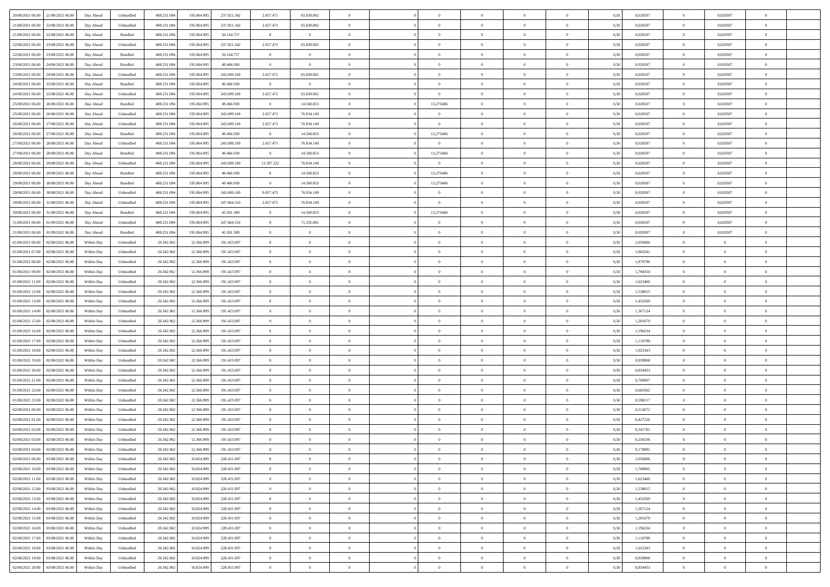| 20/08/2021 06:00 21/08/2021 06:00            | Day Ahead  | Unbundled                   | 488.231.094 | 195.064.995 | 237.021.342 | 2.657.471      | 65.839.002     |                | $\overline{0}$ | $\bf{0}$       | $\overline{0}$ | $\theta$       | 0,50 | 0,020507 | $\overline{0}$ | 0,020507       | $\bf{0}$       |  |
|----------------------------------------------|------------|-----------------------------|-------------|-------------|-------------|----------------|----------------|----------------|----------------|----------------|----------------|----------------|------|----------|----------------|----------------|----------------|--|
|                                              |            |                             |             |             |             |                |                |                |                |                |                |                |      |          |                |                |                |  |
| 21/08/2021 06:00<br>22/08/2021 06:00         | Day Ahead  | Unbundled                   | 488.231.09  | 195.064.99  | 237.021.342 | 2.657.471      | 65.839.002     | $\overline{0}$ | $\overline{0}$ | $\,$ 0         | $\overline{0}$ | $\bf{0}$       | 0,50 | 0,020507 | $\bf{0}$       | 0,020507       | $\,$ 0         |  |
| 21/08/2021 06:00<br>22/08/2021 06:00         | Day Ahead  | Bundled                     | 488.231.094 | 195,064.99  | 56.144.757  | $\overline{0}$ | $\overline{0}$ | $\overline{0}$ | $\overline{0}$ | $\bf{0}$       | $\overline{0}$ | $\overline{0}$ | 0.50 | 0.020507 | $\overline{0}$ | 0.020507       | $\bf{0}$       |  |
| 22/08/2021 06:00<br>23/08/2021 06:00         | Day Ahead  | Unbundled                   | 488.231.09  | 195.064.995 | 237.021.342 | 2.657.471      | 65.839.002     | $\overline{0}$ | $\overline{0}$ | $\bf{0}$       | $\overline{0}$ | $\theta$       | 0,50 | 0,020507 | $\,$ 0 $\,$    | 0,020507       | $\overline{0}$ |  |
| 22/08/2021 06:00<br>23/08/2021 06:00         | Day Ahead  | Bundled                     | 488.231.09  | 195.064.99  | 56.144.757  | $\overline{0}$ | $\theta$       | $\overline{0}$ |                | $\bf{0}$       | $\overline{0}$ | $\bf{0}$       | 0,50 | 0,020507 | $\bf{0}$       | 0,020507       | $\bf{0}$       |  |
| 23/08/2021 06:00<br>24/08/2021 06:00         | Day Ahead  | Bundled                     | 488.231.09  | 195,064.99  | 49 466 930  | $\overline{0}$ | $\overline{0}$ | $\overline{0}$ | $\overline{0}$ | $\bf{0}$       | $\overline{0}$ | $\overline{0}$ | 0.50 | 0.020507 | $\bf{0}$       | 0.020507       | $\bf{0}$       |  |
|                                              |            |                             |             |             |             |                |                |                |                |                |                |                |      |          |                |                |                |  |
| 23/08/2021 06:00<br>24/08/2021 06:00         | Day Ahead  | Unbundled                   | 488.231.09  | 195.064.995 | 243.699.169 | 2.657.471      | 65.839.002     | $\overline{0}$ | $\overline{0}$ | $\bf{0}$       | $\overline{0}$ | $\overline{0}$ | 0,50 | 0,020507 | $\,$ 0 $\,$    | 0,020507       | $\overline{0}$ |  |
| 24/08/2021 06:00<br>25/08/2021 06.00         | Day Ahead  | Bundled                     | 488.231.09  | 195.064.99  | 49.466.930  | $\bf{0}$       | $\bf{0}$       | $\overline{0}$ | $\overline{0}$ | $\,$ 0         | $\overline{0}$ | $\bf{0}$       | 0,50 | 0,020507 | $\bf{0}$       | 0,020507       | $\bf{0}$       |  |
| 24/08/2021 06:00<br>25/08/2021 06:00         | Day Ahead  | Unbundled                   | 488.231.09  | 195,064.99  | 243 699 169 | 2.657.471      | 65.839.002     | $\overline{0}$ | $\overline{0}$ | $\bf{0}$       | $\overline{0}$ | $\overline{0}$ | 0.50 | 0.020507 | $\overline{0}$ | 0.020507       | $\bf{0}$       |  |
| 25/08/2021 06:00<br>26/08/2021 06:00         | Day Ahead  | Bundled                     | 488.231.094 | 195.064.995 | 49.466.930  | $\overline{0}$ | 14.560.853     | $\overline{0}$ | 13,275486      | $\bf{0}$       | $\overline{0}$ | $\overline{0}$ | 0,50 | 0,020507 | $\overline{0}$ | 0,020507       | $\overline{0}$ |  |
| 25/08/2021 06:00<br>26/08/2021 06:00         | Day Ahead  | Unbundled                   | 488.231.09  | 195.064.99  | 243.699.169 | 2.657.471      | 76.934.149     | $\overline{0}$ |                | $\,$ 0         | $\overline{0}$ | $\bf{0}$       | 0,50 | 0,020507 | $\bf{0}$       | 0,020507       | $\,$ 0         |  |
| 26/08/2021 06:00<br>27/08/2021 06:00         | Day Ahead  | Unbundled                   | 488.231.094 | 195,064,995 | 243.699.169 | 2.657.471      | 76.934.149     | $\overline{0}$ | $\overline{0}$ | $\bf{0}$       | $\overline{0}$ | $\overline{0}$ | 0.50 | 0.020507 | $\,$ 0 $\,$    | 0.020507       | $\bf{0}$       |  |
| 26/08/2021 06:00<br>27/08/2021 06:00         | Day Ahead  | Bundled                     | 488.231.09  | 195.064.995 | 49.466.930  | $\overline{0}$ | 14.560.853     | $\overline{0}$ | 13,275486      | $\bf{0}$       | $\overline{0}$ | $\theta$       | 0,50 | 0,020507 | $\,$ 0 $\,$    | 0,020507       | $\overline{0}$ |  |
|                                              |            |                             |             |             |             |                |                |                |                |                |                |                |      |          |                |                |                |  |
| 27/08/2021 06:00<br>28/08/2021 06:00         | Day Ahead  | Unbundled                   | 488.231.09  | 195.064.99  | 243.699.169 | 2.657.471      | 76.934.149     | $\overline{0}$ | $\overline{0}$ | $\,$ 0         | $\overline{0}$ | $\bf{0}$       | 0,50 | 0,020507 | $\bf{0}$       | 0,020507       | $\bf{0}$       |  |
| 27/08/2021 06:00<br>28/08/2021 06:00         | Day Ahead  | Bundled                     | 488.231.09  | 195,064.99  | 49 466 930  | $\overline{0}$ | 14.560.853     | $\overline{0}$ | 13,275486      | $\,$ 0         | $\overline{0}$ | $\overline{0}$ | 0.50 | 0.020507 | $\bf{0}$       | 0.020507       | $\bf{0}$       |  |
| 28/08/2021 06:00<br>29/08/2021 06:00         | Day Ahead  | Unbundled                   | 488.231.094 | 195.064.995 | 243.699.169 | 12.187.222     | 76.934.149     | $\overline{0}$ | $\overline{0}$ | $\overline{0}$ | $\overline{0}$ | $\overline{0}$ | 0,50 | 0,020507 | $\,$ 0 $\,$    | 0,020507       | $\overline{0}$ |  |
| 28/08/2021 06:00<br>29/08/2021 06.00         | Day Ahead  | Bundled                     | 488.231.09  | 195.064.99  | 49.466.930  | $\overline{0}$ | 14.560.853     | $\overline{0}$ | 13,275486      | $\bf{0}$       | $\overline{0}$ | $\bf{0}$       | 0,50 | 0,020507 | $\bf{0}$       | 0,020507       | $\overline{0}$ |  |
| 29/08/2021 06:00<br>30/08/2021 06:00         | Day Ahead  | Bundled                     | 488.231.09  | 195,064.99  | 49 466 930  | $\overline{0}$ | 14.560.853     | $\overline{0}$ | 13,275486      | $\bf{0}$       | $\overline{0}$ | $\overline{0}$ | 0.50 | 0.020507 | $\overline{0}$ | 0.020507       | $\bf{0}$       |  |
| 29/08/2021 06:00<br>30/08/2021 06:00         | Day Ahead  | Unbundled                   | 488.231.094 | 195.064.995 | 243.699.169 | 9.057.472      | 76.934.149     | $\overline{0}$ | $\overline{0}$ | $\bf{0}$       | $\overline{0}$ | $\overline{0}$ | 0,50 | 0,020507 | $\,$ 0 $\,$    | 0,020507       | $\overline{0}$ |  |
|                                              |            |                             |             |             |             |                |                |                |                |                |                |                |      |          |                |                |                |  |
| 30/08/2021 06:00<br>31/08/2021 06:00         | Day Ahead  | Unbundled                   | 488.231.09  | 195.064.99  | 247.664.510 | 2.657.471      | 76.934.149     | $\overline{0}$ | $\overline{0}$ | $\bf{0}$       | $\overline{0}$ | $\bf{0}$       | 0,50 | 0,020507 | $\bf{0}$       | 0,020507       | $\bf{0}$       |  |
| 30/08/2021 06:00<br>31/08/2021 06:00         | Day Ahead  | Bundled                     | 488.231.094 | 195,064.99  | 45.501.589  | $\overline{0}$ | 14.560.853     | $\overline{0}$ | 13,275486      | $\bf{0}$       | $\overline{0}$ | $\overline{0}$ | 0.50 | 0.020507 | $\overline{0}$ | 0.020507       | $\bf{0}$       |  |
| 31/08/2021 06:00<br>01/09/2021 06:00         | Day Ahead  | Unbundled                   | 488.231.09  | 195.064.995 | 247.664.510 | $\overline{0}$ | 71.335.002     | $\overline{0}$ | $\overline{0}$ | $\bf{0}$       | $\overline{0}$ | $\overline{0}$ | 0,50 | 0,020507 | $\,$ 0 $\,$    | 0,020507       | $\overline{0}$ |  |
| 31/08/2021 06:00<br>01/09/2021 06.00         | Day Ahead  | Bundled                     | 488.231.09  | 195.064.99  | 45.501.589  | $\bf{0}$       | $\theta$       | $\overline{0}$ |                | $\,$ 0         | $\overline{0}$ | $\bf{0}$       | 0,50 | 0,020507 | $\bf{0}$       | 0,020507       | $\bf{0}$       |  |
| 01/08/2021 06:00<br>02/08/2021 06:00         | Within Day | Unbundled                   | 20.342.96   | 12.366.999  | 191.423.097 | $\overline{0}$ | $\overline{0}$ | $\overline{0}$ | $\overline{0}$ | $\bf{0}$       | $\overline{0}$ | $\overline{0}$ | 0.50 | 2.050686 | $\bf{0}$       | $\overline{0}$ | $\bf{0}$       |  |
| 01/08/2021 07:00<br>02/08/2021 06:00         | Within Day | Unbundled                   | 20.342.962  | 12.366.999  | 191.423.097 | $\overline{0}$ | $\overline{0}$ | $\overline{0}$ | $\overline{0}$ | $\bf{0}$       | $\overline{0}$ | $\overline{0}$ | 0,50 | 1,965241 | $\,$ 0 $\,$    | $\overline{0}$ | $\overline{0}$ |  |
| 01/08/2021 08:00<br>02/08/2021 06.00         | Within Day | Unbundled                   | 20.342.96   | 12.366.999  | 191.423.097 | $\overline{0}$ | $\theta$       | $\overline{0}$ |                | $\,$ 0         | $\overline{0}$ | $\bf{0}$       | 0,50 | 1,879796 | $\bf{0}$       | $\overline{0}$ | $\,$ 0         |  |
| 01/08/2021 09:00<br>02/08/2021 06:00         | Within Day | Unbundled                   | 20.342.96   | 12.366.999  | 191.423.097 | $\overline{0}$ | $\overline{0}$ | $\overline{0}$ | $\overline{0}$ | $\bf{0}$       | $\overline{0}$ | $\overline{0}$ | 0.50 | 1.794350 | $\bf{0}$       | $\overline{0}$ | $\bf{0}$       |  |
|                                              |            |                             |             |             |             |                |                |                |                |                |                |                |      |          |                |                |                |  |
| 02/08/2021 06:00<br>01/08/2021 11:00         | Within Day | Unbundled                   | 20.342.962  | 12.366.999  | 191.423.097 | $\overline{0}$ | $\overline{0}$ | $\overline{0}$ | $\overline{0}$ | $\bf{0}$       | $\overline{0}$ | $\overline{0}$ | 0,50 | 1,623460 | $\,$ 0 $\,$    | $\overline{0}$ | $\overline{0}$ |  |
| 01/08/2021 12:00<br>02/08/2021 06.00         | Within Day | Unbundled                   | 20.342.96   | 12.366.999  | 191.423.097 | $\bf{0}$       | $\overline{0}$ | $\overline{0}$ | $\overline{0}$ | $\bf{0}$       | $\overline{0}$ | $\bf{0}$       | 0,50 | 1,538015 | $\bf{0}$       | $\overline{0}$ | $\bf{0}$       |  |
| 01/08/2021 13:00<br>02/08/2021 06:00         | Within Day | Unbundled                   | 20.342.962  | 12.366.999  | 191.423.097 | $\overline{0}$ | $\overline{0}$ | $\overline{0}$ | $\overline{0}$ | $\,$ 0 $\,$    | $\overline{0}$ | $\overline{0}$ | 0.50 | 1,452569 | $\,$ 0 $\,$    | $\overline{0}$ | $\bf{0}$       |  |
| 01/08/2021 14:00<br>02/08/2021 06:00         | Within Day | Unbundled                   | 20.342.96   | 12.366.999  | 191.423.097 | $\overline{0}$ | $\overline{0}$ | $\Omega$       | $\Omega$       | $\overline{0}$ | $\overline{0}$ | $\overline{0}$ | 0.50 | 1,367124 | $\mathbf{0}$   | $\overline{0}$ | $\overline{0}$ |  |
| 01/08/2021 15:00<br>02/08/2021 06.00         | Within Day | Unbundled                   | 20.342.96   | 12.366.999  | 191.423.097 | $\overline{0}$ | $\theta$       | $\overline{0}$ |                | $\,$ 0         | $\overline{0}$ | $\bf{0}$       | 0,50 | 1,281679 | $\bf{0}$       | $\overline{0}$ | $\bf{0}$       |  |
| 01/08/2021 16:00<br>02/08/2021 06:00         | Within Day | Unbundled                   | 20.342.96   | 12.366.999  | 191.423.097 | $\overline{0}$ | $\overline{0}$ | $\overline{0}$ | $\overline{0}$ | $\bf{0}$       | $\overline{0}$ | $\overline{0}$ | 0.50 | 1.196234 | $\bf{0}$       | $\overline{0}$ | $\bf{0}$       |  |
| 01/08/2021 17:00<br>02/08/2021 06:00         | Within Day | Unbundled                   | 20.342.962  | 12.366.999  | 191.423.097 | $\overline{0}$ | $\overline{0}$ | $\Omega$       | $\Omega$       | $\mathbf{0}$   | $\overline{0}$ | $\overline{0}$ | 0.50 | 1,110788 | $\mathbf{0}$   | $\overline{0}$ | $\overline{0}$ |  |
|                                              |            |                             |             |             |             |                |                |                |                |                |                |                |      |          |                |                |                |  |
| 01/08/2021 18:00<br>02/08/2021 06:00         | Within Day | Unbundled                   | 20.342.96   | 12.366.999  | 191.423.097 | $\overline{0}$ | $\theta$       | $\overline{0}$ |                | $\,$ 0         | $\overline{0}$ | $\bf{0}$       | 0,50 | 1,025343 | $\bf{0}$       | $\overline{0}$ | $\bf{0}$       |  |
| 01/08/2021 19:00<br>02/08/2021 06:00         | Within Day | Unbundled                   | 20.342.96   | 12.366.999  | 191.423.097 | $\overline{0}$ | $\overline{0}$ | $\overline{0}$ | $\overline{0}$ | $\bf{0}$       | $\overline{0}$ | $\overline{0}$ | 0.50 | 0.939898 | $\bf{0}$       | $\overline{0}$ | $\bf{0}$       |  |
| 01/08/2021 20:00<br>02/08/2021 06:00         | Within Day | Unbundled                   | 20.342.96   | 12.366.999  | 191.423.097 | $\overline{0}$ | $\overline{0}$ | $\overline{0}$ | $\Omega$       | $\overline{0}$ | $\overline{0}$ | $\overline{0}$ | 0.50 | 0,854453 | $\mathbf{0}$   | $\overline{0}$ | $\overline{0}$ |  |
| 01/08/2021 21:00<br>02/08/2021 06.00         | Within Day | Unbundled                   | 20.342.96   | 12.366.999  | 191.423.097 | $\bf{0}$       | $\overline{0}$ | $\overline{0}$ | $\overline{0}$ | $\bf{0}$       | $\overline{0}$ | $\bf{0}$       | 0,50 | 0,769007 | $\bf{0}$       | $\overline{0}$ | $\bf{0}$       |  |
| 01/08/2021 22:00<br>02/08/2021 06:00         | Within Day | Unbundled                   | 20.342.962  | 12.366.999  | 191.423.097 | $\overline{0}$ | $\overline{0}$ | $\overline{0}$ | $\overline{0}$ | $\bf{0}$       | $\overline{0}$ | $\overline{0}$ | 0.50 | 0.683562 | $\overline{0}$ | $\bf{0}$       | $\bf{0}$       |  |
| 01/08/2021 23:00<br>02/08/2021 06:00         | Within Day | Unbundled                   | 20.342.962  | 12.366.999  | 191.423.097 | $\overline{0}$ | $\overline{0}$ | $\Omega$       | $\Omega$       | $\mathbf{0}$   | $\overline{0}$ | $\overline{0}$ | 0.50 | 0,598117 | $\mathbf{0}$   | $\overline{0}$ | $\overline{0}$ |  |
| 02/08/2021 00:00<br>02/08/2021 06.00         | Within Day | Unbundled                   | 20.342.96   | 12.366.999  | 191.423.097 | $\overline{0}$ | $\overline{0}$ | $\overline{0}$ | $\overline{0}$ | $\,$ 0         | $\overline{0}$ | $\bf{0}$       | 0,50 | 0,512672 | $\bf{0}$       | $\overline{0}$ | $\bf{0}$       |  |
| 02/08/2021 01:00<br>02/08/2021 06:00         |            | Unbundled                   | 20.342.96   | 12.366.999  | 191.423.097 | $\overline{0}$ | $\theta$       | $\overline{0}$ | $\overline{0}$ | $\bf{0}$       | $\overline{0}$ | $\overline{0}$ | 0.50 | 0,427226 | $\bf{0}$       | $\overline{0}$ | $\bf{0}$       |  |
|                                              | Within Day |                             |             |             |             |                |                |                |                |                |                |                |      |          |                |                |                |  |
| 02/08/2021 02:00<br>02/08/2021 06:00         | Within Day | Unbundled                   | 20.342.96   | 12.366.999  | 191.423.097 | $\overline{0}$ | $\Omega$       | $\Omega$       | $\Omega$       | $\bf{0}$       | $\overline{0}$ | $\Omega$       | 0.50 | 0,341781 | $\mathbf{0}$   | $\overline{0}$ | $\overline{0}$ |  |
| 02/08/2021 03:00<br>02/08/2021 06:00         | Within Day | Unbundled                   | 20.342.96   | 12.366.999  | 191.423.097 | $\bf{0}$       | $\overline{0}$ | $\overline{0}$ | $\overline{0}$ | $\,$ 0         | $\overline{0}$ | $\bf{0}$       | 0,50 | 0,256336 | $\bf{0}$       | $\overline{0}$ | $\,$ 0         |  |
| $02/08/2021\ 04.00 \qquad 02/08/2021\ 06.00$ | Within Day | $\ensuremath{\mathsf{Unb}}$ | 20.342.962  | 12.366.999  | 191.423.097 | $\bf{0}$       | $\theta$       |                |                |                |                |                | 0,50 | 0.170891 | $\theta$       | $\Omega$       |                |  |
| 02/08/2021 06:00 03/08/2021 06:00            | Within Day | Unbundled                   | 20.342.962  | 10.824.999  | 228.431.097 | $\theta$       | $\overline{0}$ | $\theta$       | $\Omega$       | $\mathbf{0}$   | $\overline{0}$ | $\overline{0}$ | 0,50 | 2,050686 | $\mathbf{0}$   | $\overline{0}$ | $\bf{0}$       |  |
| 02/08/2021 10:00<br>03/08/2021 06:00         | Within Day | Unbundled                   | 20.342.96   | 10.824.999  | 228.431.097 | $\bf{0}$       | $\overline{0}$ | $\overline{0}$ | $\bf{0}$       | $\overline{0}$ | $\overline{0}$ | $\mathbf{0}$   | 0,50 | 1,708905 | $\overline{0}$ | $\bf{0}$       | $\bf{0}$       |  |
| 02/08/2021 11:00 03/08/2021 06:00            | Within Day | Unbundled                   | 20.342.962  | 10.824.999  | 228.431.097 | $\overline{0}$ | $\overline{0}$ | $\overline{0}$ | $\overline{0}$ | $\,$ 0 $\,$    | $\overline{0}$ | $\mathbf{0}$   | 0.50 | 1,623460 | $\overline{0}$ | $\,$ 0 $\,$    | $\bf{0}$       |  |
| 02/08/2021 12:00 03/08/2021 06:00            | Within Day | Unbundled                   | 20.342.962  | 10.824.999  | 228.431.097 | $\overline{0}$ | $\overline{0}$ | $\overline{0}$ | $\overline{0}$ | $\mathbf{0}$   | $\overline{0}$ | $\overline{0}$ | 0,50 | 1,538015 | $\theta$       | $\overline{0}$ | $\bf{0}$       |  |
|                                              |            |                             |             |             |             |                |                |                |                |                |                |                |      |          |                |                |                |  |
| 02/08/2021 13:00<br>03/08/2021 06:00         | Within Day | Unbundled                   | 20.342.962  | 10.824.999  | 228.431.097 | $\bf{0}$       | $\overline{0}$ | $\overline{0}$ | $\overline{0}$ | $\bf{0}$       | $\overline{0}$ | $\bf{0}$       | 0,50 | 1,452569 | $\,0\,$        | $\bf{0}$       | $\bf{0}$       |  |
| 02/08/2021 14:00 03/08/2021 06:00            | Within Day | Unbundled                   | 20.342.962  | 10.824.999  | 228.431.097 | $\overline{0}$ | $\overline{0}$ | $\overline{0}$ | $\overline{0}$ | $\bf{0}$       | $\overline{0}$ | $\overline{0}$ | 0.50 | 1,367124 | $\overline{0}$ | $\overline{0}$ | $\bf{0}$       |  |
| 02/08/2021 15:00<br>03/08/2021 06:00         | Within Dav | Unbundled                   | 20.342.962  | 10.824.999  | 228.431.097 | $\overline{0}$ | $\overline{0}$ | $\overline{0}$ | $\overline{0}$ | $\overline{0}$ | $\overline{0}$ | $\overline{0}$ | 0,50 | 1,281679 | $\theta$       | $\overline{0}$ | $\bf{0}$       |  |
| 02/08/2021 16:00<br>03/08/2021 06:00         | Within Day | Unbundled                   | 20.342.96   | 10.824.999  | 228.431.097 | $\bf{0}$       | $\,$ 0         | $\overline{0}$ | $\overline{0}$ | $\,$ 0 $\,$    | $\overline{0}$ | $\bf{0}$       | 0,50 | 1,196234 | $\overline{0}$ | $\,$ 0 $\,$    | $\bf{0}$       |  |
| 02/08/2021 17:00 03/08/2021 06:00            | Within Day | Unbundled                   | 20.342.96   | 10.824.999  | 228.431.097 | $\overline{0}$ | $\bf{0}$       | $\overline{0}$ | $\overline{0}$ | $\,$ 0 $\,$    | $\overline{0}$ | $\overline{0}$ | 0.50 | 1.110788 | $\overline{0}$ | $\bf{0}$       | $\bf{0}$       |  |
| 02/08/2021 18:00 03/08/2021 06:00            | Within Dav | Unbundled                   | 20.342.962  | 10.824.999  | 228.431.097 | $\overline{0}$ | $\overline{0}$ | $\overline{0}$ | $\overline{0}$ | $\overline{0}$ | $\overline{0}$ | $\overline{0}$ | 0,50 | 1,025343 | $\overline{0}$ | $\overline{0}$ | $\bf{0}$       |  |
| 02/08/2021 19:00<br>03/08/2021 06:00         | Within Day | Unbundled                   | 20.342.96   | 10.824.999  | 228.431.097 | $\bf{0}$       | $\overline{0}$ | $\overline{0}$ | $\overline{0}$ | $\bf{0}$       | $\overline{0}$ | $\bf{0}$       | 0,50 | 0,939898 | $\overline{0}$ | $\bf{0}$       | $\bf{0}$       |  |
|                                              |            |                             |             |             |             |                |                |                |                |                |                |                |      |          |                |                |                |  |
| 02/08/2021 20:00 03/08/2021 06:00            | Within Day | Unbundled                   | 20.342.962  | 10.824.999  | 228.431.097 | $\overline{0}$ | $\bf{0}$       | $\overline{0}$ | $\overline{0}$ | $\,$ 0 $\,$    | $\overline{0}$ | $\overline{0}$ | 0,50 | 0,854453 | $\,$ 0 $\,$    | $\,$ 0 $\,$    | $\bf{0}$       |  |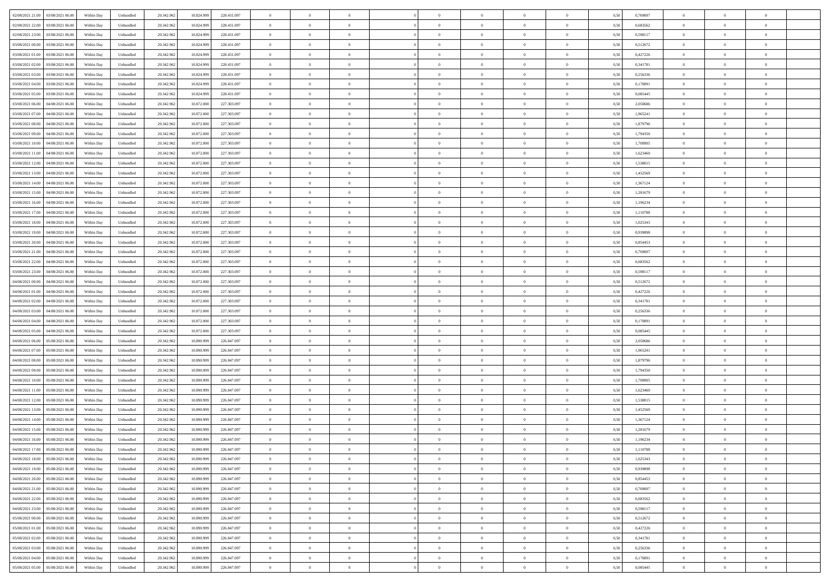| 02/08/2021 21:00<br>03/08/2021 06:00 | Within Day | Unbundled | 20.342.962 | 10.824.999 | 228.431.097 | $\overline{0}$ | $\overline{0}$ | $\overline{0}$ | $\theta$       | $\theta$       |                | $\overline{0}$ | 0,50 | 0,769007 | $\theta$       | $\theta$       | $\overline{0}$ |  |
|--------------------------------------|------------|-----------|------------|------------|-------------|----------------|----------------|----------------|----------------|----------------|----------------|----------------|------|----------|----------------|----------------|----------------|--|
|                                      |            |           |            |            |             |                |                |                |                |                |                |                |      |          |                |                |                |  |
| 02/08/2021 22:00<br>03/08/2021 06.0  | Within Day | Unbundled | 20.342.96  | 10.824.999 | 228.431.097 | $\overline{0}$ | $\overline{0}$ | $\overline{0}$ | $\,$ 0 $\,$    | $\bf{0}$       | $\overline{0}$ | $\bf{0}$       | 0,50 | 0,683562 | $\,$ 0 $\,$    | $\theta$       | $\overline{0}$ |  |
| 02/08/2021 23.00<br>03/08/2021 06:00 | Within Day | Unbundled | 20.342.962 | 10.824.999 | 228.431.097 | $\overline{0}$ | $\overline{0}$ | $\overline{0}$ | $\bf{0}$       | $\bf{0}$       | $\overline{0}$ | $\mathbf{0}$   | 0.50 | 0.598117 | $\bf{0}$       | $\overline{0}$ | $\overline{0}$ |  |
| 03/08/2021 00:00<br>03/08/2021 06:00 | Within Day | Unbundled | 20.342.962 | 10.824.999 | 228.431.097 | $\overline{0}$ | $\overline{0}$ | $\overline{0}$ | $\overline{0}$ | $\overline{0}$ | $\overline{0}$ | $\bf{0}$       | 0,50 | 0,512672 | $\theta$       | $\theta$       | $\overline{0}$ |  |
| 03/08/2021 01:00<br>03/08/2021 06.0  | Within Day | Unbundled | 20.342.96  | 10.824.999 | 228.431.097 | $\overline{0}$ | $\overline{0}$ | $\bf{0}$       | $\bf{0}$       | $\overline{0}$ | $\overline{0}$ | $\bf{0}$       | 0,50 | 0,427226 | $\,$ 0 $\,$    | $\theta$       | $\overline{0}$ |  |
|                                      |            |           |            |            |             |                |                |                |                |                |                |                |      |          |                |                |                |  |
| 03/08/2021 02.00<br>03/08/2021 06:00 | Within Day | Unbundled | 20.342.962 | 10.824.999 | 228.431.097 | $\overline{0}$ | $\overline{0}$ | $\overline{0}$ | $\bf{0}$       | $\overline{0}$ | $\overline{0}$ | $\mathbf{0}$   | 0.50 | 0.341781 | $\bf{0}$       | $\theta$       | $\overline{0}$ |  |
| 03/08/2021 03:00<br>03/08/2021 06.00 | Within Day | Unbundled | 20.342.962 | 10.824.999 | 228.431.097 | $\overline{0}$ | $\overline{0}$ | $\overline{0}$ | $\overline{0}$ | $\overline{0}$ | $\overline{0}$ | $\bf{0}$       | 0,50 | 0,256336 | $\theta$       | $\theta$       | $\overline{0}$ |  |
| 03/08/2021 04:00<br>03/08/2021 06.0  | Within Day | Unbundled | 20.342.96  | 10.824.999 | 228.431.097 | $\overline{0}$ | $\overline{0}$ | $\overline{0}$ | $\bf{0}$       | $\bf{0}$       | $\overline{0}$ | $\bf{0}$       | 0,50 | 0,170891 | $\,$ 0 $\,$    | $\bf{0}$       | $\overline{0}$ |  |
| 03/08/2021 05:00<br>03/08/2021 06:00 | Within Day | Unbundled | 20.342.962 | 10.824.999 | 228.431.097 | $\overline{0}$ | $\overline{0}$ | $\overline{0}$ | $\bf{0}$       | $\overline{0}$ | $\overline{0}$ | $\mathbf{0}$   | 0.50 | 0.085445 | $\,$ 0 $\,$    | $\theta$       | $\overline{0}$ |  |
| 03/08/2021 06:00<br>04/08/2021 06:00 | Within Day | Unbundled | 20.342.962 | 10.872.000 | 227.303.097 | $\overline{0}$ | $\overline{0}$ | $\overline{0}$ | $\bf{0}$       | $\overline{0}$ | $\overline{0}$ | $\bf{0}$       | 0,50 | 2,050686 | $\,$ 0 $\,$    | $\theta$       | $\overline{0}$ |  |
|                                      |            |           |            |            |             |                | $\overline{0}$ |                |                | $\overline{0}$ | $\overline{0}$ | $\bf{0}$       |      |          | $\,$ 0 $\,$    | $\bf{0}$       | $\overline{0}$ |  |
| 03/08/2021 07:00<br>04/08/2021 06.0  | Within Day | Unbundled | 20.342.96  | 10.872.000 | 227.303.097 | $\overline{0}$ |                | $\overline{0}$ | $\bf{0}$       |                |                |                | 0,50 | 1,965241 |                |                |                |  |
| 03/08/2021 08:00<br>04/08/2021 06:00 | Within Day | Unbundled | 20.342.962 | 10.872.000 | 227.303.097 | $\overline{0}$ | $\overline{0}$ | $\overline{0}$ | $\bf{0}$       | $\bf{0}$       | $\overline{0}$ | $\,$ 0 $\,$    | 0.50 | 1.879796 | $\bf{0}$       | $\overline{0}$ | $\bf{0}$       |  |
| 03/08/2021 09:00<br>04/08/2021 06:00 | Within Day | Unbundled | 20.342.962 | 10.872.000 | 227.303.097 | $\overline{0}$ | $\overline{0}$ | $\overline{0}$ | $\overline{0}$ | $\overline{0}$ | $\overline{0}$ | $\bf{0}$       | 0,50 | 1,794350 | $\theta$       | $\theta$       | $\overline{0}$ |  |
| 03/08/2021 10.00<br>04/08/2021 06.0  | Within Day | Unbundled | 20.342.96  | 10.872.000 | 227.303.097 | $\overline{0}$ | $\overline{0}$ | $\overline{0}$ | $\bf{0}$       | $\bf{0}$       | $\overline{0}$ | $\bf{0}$       | 0,50 | 1,708905 | $\,$ 0 $\,$    | $\bf{0}$       | $\overline{0}$ |  |
| 03/08/2021 11:00<br>04/08/2021 06:00 | Within Day | Unbundled | 20.342.962 | 10.872.000 | 227.303.097 | $\overline{0}$ | $\overline{0}$ | $\overline{0}$ | $\overline{0}$ | $\overline{0}$ | $\overline{0}$ | $\mathbf{0}$   | 0.50 | 1.623460 | $\theta$       | $\theta$       | $\overline{0}$ |  |
| 03/08/2021 12:00<br>04/08/2021 06.00 | Within Day | Unbundled | 20.342.962 | 10.872.000 | 227.303.097 | $\overline{0}$ | $\overline{0}$ | $\overline{0}$ | $\overline{0}$ | $\overline{0}$ | $\overline{0}$ | $\bf{0}$       | 0,50 | 1,538015 | $\theta$       | $\theta$       | $\overline{0}$ |  |
|                                      |            |           |            |            |             |                |                |                |                |                |                |                |      |          |                |                |                |  |
| 03/08/2021 13.00<br>04/08/2021 06.0  | Within Day | Unbundled | 20.342.96  | 10.872.000 | 227.303.097 | $\overline{0}$ | $\overline{0}$ | $\overline{0}$ | $\bf{0}$       | $\overline{0}$ | $\overline{0}$ | $\bf{0}$       | 0,50 | 1,452569 | $\,$ 0 $\,$    | $\theta$       | $\overline{0}$ |  |
| 03/08/2021 14:00<br>04/08/2021 06:00 | Within Day | Unbundled | 20.342.962 | 10.872.000 | 227.303.097 | $\overline{0}$ | $\overline{0}$ | $\overline{0}$ | $\overline{0}$ | $\bf{0}$       | $\overline{0}$ | $\mathbf{0}$   | 0.50 | 1.367124 | $\,$ 0 $\,$    | $\overline{0}$ | $\overline{0}$ |  |
| 03/08/2021 15:00<br>04/08/2021 06:00 | Within Day | Unbundled | 20.342.962 | 10.872.000 | 227.303.097 | $\overline{0}$ | $\overline{0}$ | $\overline{0}$ | $\overline{0}$ | $\overline{0}$ | $\overline{0}$ | $\bf{0}$       | 0,50 | 1,281679 | $\,$ 0 $\,$    | $\theta$       | $\overline{0}$ |  |
| 03/08/2021 16.00<br>04/08/2021 06.0  | Within Day | Unbundled | 20.342.96  | 10.872.000 | 227.303.097 | $\overline{0}$ | $\overline{0}$ | $\overline{0}$ | $\bf{0}$       | $\bf{0}$       | $\overline{0}$ | $\bf{0}$       | 0,50 | 1,196234 | $\,$ 0 $\,$    | $\bf{0}$       | $\overline{0}$ |  |
| 03/08/2021 17:00<br>04/08/2021 06:00 | Within Day | Unbundled | 20.342.962 | 10.872.000 | 227.303.097 | $\overline{0}$ | $\overline{0}$ | $\overline{0}$ | $\bf{0}$       | $\bf{0}$       | $\overline{0}$ | $\mathbf{0}$   | 0.50 | 1.110788 | $\bf{0}$       | $\overline{0}$ | $\,$ 0         |  |
| 03/08/2021 18:00<br>04/08/2021 06:00 | Within Day | Unbundled | 20.342.962 | 10.872.000 | 227.303.097 | $\overline{0}$ | $\overline{0}$ | $\overline{0}$ | $\overline{0}$ | $\overline{0}$ | $\overline{0}$ | $\,$ 0 $\,$    | 0,50 | 1,025343 | $\theta$       | $\theta$       | $\overline{0}$ |  |
|                                      |            |           |            |            |             |                |                |                |                |                |                |                |      |          |                |                |                |  |
| 03/08/2021 19.00<br>04/08/2021 06.0  | Within Day | Unbundled | 20.342.96  | 10.872.000 | 227.303.097 | $\overline{0}$ | $\overline{0}$ | $\overline{0}$ | $\bf{0}$       | $\overline{0}$ | $\overline{0}$ | $\bf{0}$       | 0,50 | 0,939898 | $\,$ 0 $\,$    | $\bf{0}$       | $\overline{0}$ |  |
| 03/08/2021 20.00<br>04/08/2021 06:00 | Within Day | Unbundled | 20.342.962 | 10.872.000 | 227.303.097 | $\overline{0}$ | $\overline{0}$ | $\overline{0}$ | $\overline{0}$ | $\overline{0}$ | $\overline{0}$ | $\mathbf{0}$   | 0.50 | 0.854453 | $\,$ 0 $\,$    | $\theta$       | $\overline{0}$ |  |
| 03/08/2021 21:00<br>04/08/2021 06.00 | Within Day | Unbundled | 20.342.962 | 10.872.000 | 227.303.097 | $\overline{0}$ | $\overline{0}$ | $\overline{0}$ | $\overline{0}$ | $\overline{0}$ | $\overline{0}$ | $\bf{0}$       | 0,50 | 0,769007 | $\theta$       | $\theta$       | $\overline{0}$ |  |
| 03/08/2021 22.00<br>04/08/2021 06.0  | Within Day | Unbundled | 20.342.96  | 10.872.000 | 227.303.097 | $\overline{0}$ | $\overline{0}$ | $\overline{0}$ | $\bf{0}$       | $\overline{0}$ | $\overline{0}$ | $\bf{0}$       | 0,50 | 0,683562 | $\,$ 0 $\,$    | $\bf{0}$       | $\overline{0}$ |  |
| 03/08/2021 23.00<br>04/08/2021 06:00 | Within Day | Unbundled | 20.342.962 | 10.872.000 | 227.303.097 | $\overline{0}$ | $\overline{0}$ | $\overline{0}$ | $\bf{0}$       | $\overline{0}$ | $\overline{0}$ | $\mathbf{0}$   | 0.50 | 0.598117 | $\,$ 0 $\,$    | $\theta$       | $\overline{0}$ |  |
| 04/08/2021 00:00<br>04/08/2021 06:00 | Within Day | Unbundled | 20.342.962 | 10.872.000 | 227.303.097 | $\overline{0}$ | $\overline{0}$ | $\overline{0}$ | $\overline{0}$ | $\overline{0}$ | $\overline{0}$ | $\bf{0}$       | 0,50 | 0,512672 | $\theta$       | $\theta$       | $\overline{0}$ |  |
|                                      |            |           |            |            |             |                |                |                |                |                |                |                |      |          |                |                |                |  |
| 04/08/2021 01:00<br>04/08/2021 06.0  | Within Day | Unbundled | 20.342.96  | 10.872.000 | 227.303.097 | $\overline{0}$ | $\overline{0}$ | $\overline{0}$ | $\overline{0}$ | $\bf{0}$       | $\overline{0}$ | $\bf{0}$       | 0,50 | 0,427226 | $\,$ 0 $\,$    | $\bf{0}$       | $\overline{0}$ |  |
| 04/08/2021 02.00<br>04/08/2021 06:00 | Within Day | Unbundled | 20.342.962 | 10.872.000 | 227.303.097 | $\overline{0}$ | $\overline{0}$ | $\overline{0}$ | $\bf{0}$       | $\bf{0}$       | $\overline{0}$ | $\,$ 0 $\,$    | 0.50 | 0.341781 | $\bf{0}$       | $\overline{0}$ | $\bf{0}$       |  |
| 04/08/2021 03:00<br>04/08/2021 06:00 | Within Day | Unbundled | 20.342.962 | 10.872.000 | 227.303.097 | $\overline{0}$ | $\overline{0}$ | $\overline{0}$ | $\overline{0}$ | $\overline{0}$ | $\overline{0}$ | $\overline{0}$ | 0.50 | 0,256336 | $\theta$       | $\theta$       | $\overline{0}$ |  |
| 04/08/2021 04.00<br>04/08/2021 06.0  | Within Day | Unbundled | 20.342.962 | 10.872.000 | 227.303.097 | $\overline{0}$ | $\overline{0}$ | $\overline{0}$ | $\bf{0}$       | $\overline{0}$ | $\overline{0}$ | $\bf{0}$       | 0,50 | 0,170891 | $\,$ 0 $\,$    | $\bf{0}$       | $\overline{0}$ |  |
| 04/08/2021 05:00<br>04/08/2021 06:00 | Within Day | Unbundled | 20.342.962 | 10.872.000 | 227.303.097 | $\overline{0}$ | $\overline{0}$ | $\overline{0}$ | $\overline{0}$ | $\overline{0}$ | $\overline{0}$ | $\mathbf{0}$   | 0.50 | 0.085445 | $\,$ 0 $\,$    | $\theta$       | $\overline{0}$ |  |
| 04/08/2021 06:00<br>05/08/2021 06:00 | Within Day | Unbundled | 20.342.962 | 10.890.999 | 226.847.097 | $\overline{0}$ | $\overline{0}$ | $\overline{0}$ | $\overline{0}$ | $\overline{0}$ | $\overline{0}$ | $\overline{0}$ | 0.50 | 2,050686 | $\theta$       | $\theta$       | $\overline{0}$ |  |
|                                      |            |           |            |            |             |                |                |                |                |                |                |                |      |          |                |                |                |  |
| 04/08/2021 07:00<br>05/08/2021 06.00 | Within Day | Unbundled | 20.342.96  | 10.890.999 | 226.847.097 | $\overline{0}$ | $\overline{0}$ | $\overline{0}$ | $\bf{0}$       | $\overline{0}$ | $\overline{0}$ | $\bf{0}$       | 0,50 | 1,965241 | $\,$ 0 $\,$    | $\bf{0}$       | $\overline{0}$ |  |
| 04/08/2021 08:00<br>05/08/2021 06:00 | Within Day | Unbundled | 20.342.962 | 10,890,999 | 226.847.097 | $\overline{0}$ | $\overline{0}$ | $\overline{0}$ | $\overline{0}$ | $\bf{0}$       | $\overline{0}$ | $\mathbf{0}$   | 0.50 | 1.879796 | $\,$ 0 $\,$    | $\theta$       | $\overline{0}$ |  |
| 04/08/2021 09:00<br>05/08/2021 06:00 | Within Day | Unbundled | 20.342.962 | 10.890.999 | 226.847.097 | $\overline{0}$ | $\overline{0}$ | $\overline{0}$ | $\overline{0}$ | $\overline{0}$ | $\overline{0}$ | $\overline{0}$ | 0.50 | 1,794350 | $\theta$       | $\theta$       | $\overline{0}$ |  |
| 04/08/2021 10.00<br>05/08/2021 06.0  | Within Day | Unbundled | 20.342.96  | 10.890.999 | 226.847.097 | $\overline{0}$ | $\overline{0}$ | $\overline{0}$ | $\,$ 0 $\,$    | $\bf{0}$       | $\overline{0}$ | $\bf{0}$       | 0,50 | 1,708905 | $\,$ 0 $\,$    | $\bf{0}$       | $\overline{0}$ |  |
| 04/08/2021 11:00<br>05/08/2021 06:00 | Within Day | Unbundled | 20.342.962 | 10,890,999 | 226.847.097 | $\overline{0}$ | $\overline{0}$ | $\overline{0}$ | $\bf{0}$       | $\bf{0}$       | $\overline{0}$ | $\mathbf{0}$   | 0.50 | 1.623460 | $\bf{0}$       | $\overline{0}$ | $\,$ 0         |  |
| 04/08/2021 12:00<br>05/08/2021 06:00 | Within Day | Unbundled | 20.342.962 | 10.890.999 | 226.847.097 | $\overline{0}$ | $\overline{0}$ | $\overline{0}$ | $\overline{0}$ | $\overline{0}$ | $\overline{0}$ | $\overline{0}$ | 0.50 | 1,538015 | $\theta$       | $\theta$       | $\overline{0}$ |  |
|                                      |            |           |            |            |             |                |                |                |                |                |                |                |      |          |                |                |                |  |
| 04/08/2021 13:00<br>05/08/2021 06.00 | Within Day | Unbundled | 20.342.962 | 10.890.999 | 226.847.097 | $\overline{0}$ | $\overline{0}$ | $\overline{0}$ | $\bf{0}$       | $\bf{0}$       | $\overline{0}$ | $\bf{0}$       | 0,50 | 1,452569 | $\,$ 0 $\,$    | $\bf{0}$       | $\overline{0}$ |  |
| 04/08/2021 14:00<br>05/08/2021 06:00 | Within Day | Unbundled | 20.342.962 | 10.890.999 | 226.847.097 | $\overline{0}$ | $\overline{0}$ | $\overline{0}$ | $\overline{0}$ | $\overline{0}$ | $\overline{0}$ | $\mathbf{0}$   | 0.50 | 1.367124 | $\,$ 0 $\,$    | $\theta$       | $\overline{0}$ |  |
| 04/08/2021 15:00<br>05/08/2021 06:00 | Within Day | Unbundled | 20.342.962 | 10,890,999 | 226.847.097 | $\overline{0}$ | $\overline{0}$ | $\overline{0}$ | $\overline{0}$ | $\overline{0}$ | $\Omega$       | $\overline{0}$ | 0.50 | 1,281679 | $\theta$       | $\theta$       | $\overline{0}$ |  |
| 04/08/2021 16:00<br>05/08/2021 06.00 | Within Day | Unbundled | 20.342.962 | 10.890.999 | 226.847.097 | $\overline{0}$ | $\overline{0}$ | $\bf{0}$       | $\overline{0}$ | $\bf{0}$       | $\overline{0}$ | $\bf{0}$       | 0,50 | 1,196234 | $\,$ 0 $\,$    | $\bf{0}$       | $\overline{0}$ |  |
| 04/08/2021 17:00  05/08/2021 06:00   | Within Day | Unbundled | 20.342.962 | 10.890.999 | 226 847 097 | $\bf{0}$       | $\,$ 0 $\,$    |                | $\bf{0}$       |                |                |                | 0,50 | 1.110788 | $\theta$       | $\overline{0}$ |                |  |
| 04/08/2021 18:00  05/08/2021 06:00   | Within Dav | Unbundled | 20.342.962 | 10.890.999 | 226.847.097 | $\overline{0}$ | $\overline{0}$ | $\overline{0}$ | $\overline{0}$ | $\overline{0}$ | $\overline{0}$ | $\overline{0}$ | 0,50 | 1,025343 | $\theta$       | $\theta$       | $\overline{0}$ |  |
|                                      |            |           |            |            |             |                |                |                |                |                |                |                |      |          |                |                |                |  |
| 04/08/2021 19:00<br>05/08/2021 06.00 | Within Day | Unbundled | 20.342.962 | 10.890.999 | 226.847.097 | $\overline{0}$ | $\overline{0}$ | $\overline{0}$ | $\bf{0}$       | $\overline{0}$ | $\overline{0}$ | $\mathbf{0}$   | 0,50 | 0,939898 | $\overline{0}$ | $\overline{0}$ | $\bf{0}$       |  |
| 04/08/2021 20:00<br>05/08/2021 06:00 | Within Day | Unbundled | 20.342.962 | 10.890.999 | 226.847.097 | $\overline{0}$ | $\overline{0}$ | $\overline{0}$ | $\,$ 0 $\,$    | $\bf{0}$       | $\overline{0}$ | $\mathbf{0}$   | 0.50 | 0.854453 | $\,$ 0 $\,$    | $\bf{0}$       | $\,$ 0 $\,$    |  |
| 04/08/2021 21:00<br>05/08/2021 06:00 | Within Dav | Unbundled | 20.342.962 | 10.890.999 | 226.847.097 | $\overline{0}$ | $\overline{0}$ | $\overline{0}$ | $\overline{0}$ | $\overline{0}$ | $\overline{0}$ | $\mathbf{0}$   | 0,50 | 0,769007 | $\overline{0}$ | $\theta$       | $\overline{0}$ |  |
| 04/08/2021 22.00<br>05/08/2021 06:00 | Within Day | Unbundled | 20.342.962 | 10.890.999 | 226.847.097 | $\overline{0}$ | $\overline{0}$ | $\overline{0}$ | $\bf{0}$       | $\bf{0}$       | $\overline{0}$ | $\mathbf{0}$   | 0,50 | 0,683562 | $\overline{0}$ | $\bf{0}$       | $\overline{0}$ |  |
| 04/08/2021 23:00<br>05/08/2021 06:00 | Within Day | Unbundled | 20.342.962 | 10.890.999 | 226.847.097 | $\overline{0}$ | $\overline{0}$ | $\overline{0}$ | $\bf{0}$       | $\overline{0}$ | $\overline{0}$ | $\mathbf{0}$   | 0.50 | 0.598117 | $\,$ 0 $\,$    | $\theta$       | $\,$ 0         |  |
| 05/08/2021 00:00<br>05/08/2021 06:00 | Within Day | Unbundled | 20.342.962 | 10.890.999 | 226.847.097 | $\overline{0}$ | $\overline{0}$ | $\overline{0}$ | $\overline{0}$ | $\overline{0}$ | $\overline{0}$ | $\mathbf{0}$   | 0,50 | 0,512672 | $\overline{0}$ | $\theta$       | $\overline{0}$ |  |
| 05/08/2021 01:00<br>05/08/2021 06:00 | Within Day | Unbundled | 20.342.962 | 10.890.999 | 226.847.097 | $\overline{0}$ | $\overline{0}$ | $\overline{0}$ | $\bf{0}$       | $\bf{0}$       | $\overline{0}$ | $\,$ 0 $\,$    | 0,50 | 0,427226 | $\bf{0}$       | $\bf{0}$       | $\overline{0}$ |  |
|                                      |            |           |            |            |             |                |                |                |                |                |                |                |      |          |                |                |                |  |
| 05/08/2021 02:00<br>05/08/2021 06:00 | Within Day | Unbundled | 20.342.962 | 10.890.999 | 226.847.097 | $\overline{0}$ | $\overline{0}$ | $\overline{0}$ | $\bf{0}$       | $\bf{0}$       | $\overline{0}$ | $\,$ 0 $\,$    | 0.50 | 0.341781 | $\overline{0}$ | $\bf{0}$       | $\,$ 0         |  |
| 05/08/2021 03:00<br>05/08/2021 06:00 | Within Dav | Unbundled | 20.342.962 | 10.890.999 | 226.847.097 | $\overline{0}$ | $\overline{0}$ | $\overline{0}$ | $\overline{0}$ | $\overline{0}$ | $\overline{0}$ | $\mathbf{0}$   | 0,50 | 0,256336 | $\overline{0}$ | $\theta$       | $\overline{0}$ |  |
| 05/08/2021 04:00<br>05/08/2021 06.00 | Within Day | Unbundled | 20.342.962 | 10.890.999 | 226.847.097 | $\overline{0}$ | $\overline{0}$ | $\overline{0}$ | $\overline{0}$ | $\bf{0}$       | $\overline{0}$ | $\mathbf{0}$   | 0,50 | 0,170891 | $\bf{0}$       | $\bf{0}$       | $\overline{0}$ |  |
| 05/08/2021 05:00 05/08/2021 06:00    | Within Day | Unbundled | 20.342.962 | 10.890.999 | 226.847.097 | $\overline{0}$ | $\overline{0}$ | $\overline{0}$ | $\bf{0}$       | $\,$ 0         | $\overline{0}$ | $\,0\,$        | 0,50 | 0,085445 | $\overline{0}$ | $\,$ 0 $\,$    | $\,$ 0 $\,$    |  |
|                                      |            |           |            |            |             |                |                |                |                |                |                |                |      |          |                |                |                |  |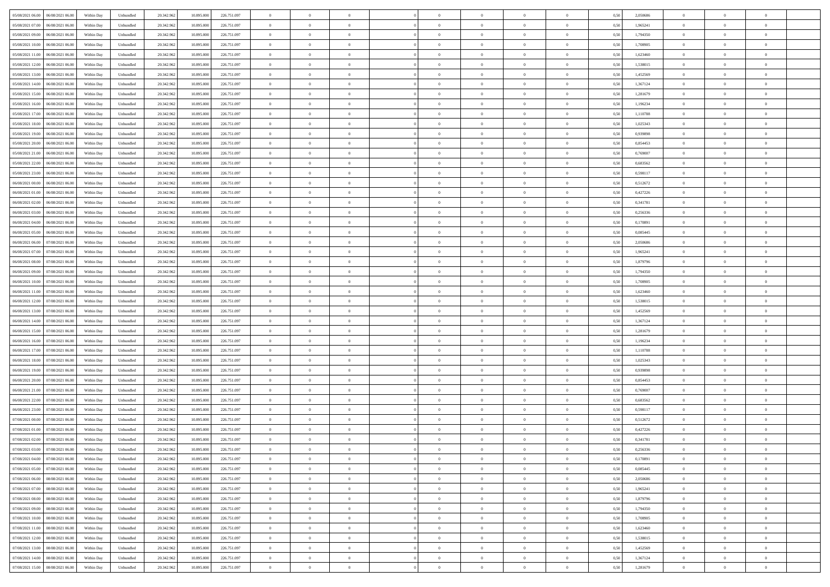| 05/08/2021 06:00<br>06/08/2021 06:00 | Within Day | Unbundled | 20.342.962 | 10.895.000 | 226.751.097 | $\overline{0}$ | $\overline{0}$ | $\overline{0}$ | $\theta$       | $\theta$       |                | $\overline{0}$ | 0,50 | 2,050686 | $\theta$       | $\theta$       | $\theta$       |  |
|--------------------------------------|------------|-----------|------------|------------|-------------|----------------|----------------|----------------|----------------|----------------|----------------|----------------|------|----------|----------------|----------------|----------------|--|
|                                      |            |           |            |            |             |                |                |                |                |                |                |                |      |          |                |                |                |  |
| 05/08/2021 07:00<br>06/08/2021 06.00 | Within Day | Unbundled | 20.342.96  | 10.895.000 | 226.751.097 | $\overline{0}$ | $\overline{0}$ | $\overline{0}$ | $\,$ 0 $\,$    | $\bf{0}$       | $\overline{0}$ | $\bf{0}$       | 0,50 | 1,965241 | $\,$ 0 $\,$    | $\theta$       | $\overline{0}$ |  |
| 05/08/2021 09:00<br>06/08/2021 06:00 | Within Day | Unbundled | 20.342.962 | 10,895,000 | 226.751.097 | $\overline{0}$ | $\overline{0}$ | $\overline{0}$ | $\bf{0}$       | $\bf{0}$       | $\overline{0}$ | $\mathbf{0}$   | 0.50 | 1,794350 | $\bf{0}$       | $\overline{0}$ | $\overline{0}$ |  |
| 05/08/2021 10:00<br>06/08/2021 06:00 | Within Day | Unbundled | 20.342.962 | 10.895.000 | 226.751.097 | $\overline{0}$ | $\overline{0}$ | $\overline{0}$ | $\overline{0}$ | $\overline{0}$ | $\overline{0}$ | $\bf{0}$       | 0,50 | 1,708905 | $\theta$       | $\theta$       | $\overline{0}$ |  |
| 05/08/2021 11:00<br>06/08/2021 06.00 | Within Day | Unbundled | 20.342.96  | 10.895.000 | 226.751.097 | $\overline{0}$ | $\overline{0}$ | $\bf{0}$       | $\overline{0}$ | $\overline{0}$ | $\overline{0}$ | $\bf{0}$       | 0,50 | 1,623460 | $\,$ 0 $\,$    | $\theta$       | $\overline{0}$ |  |
| 05/08/2021 12:00<br>06/08/2021 06:00 |            | Unbundled |            | 10.895,000 | 226.751.097 |                | $\overline{0}$ | $\overline{0}$ |                | $\overline{0}$ | $\overline{0}$ | $\overline{0}$ | 0.50 | 1.538015 | $\theta$       | $\theta$       | $\overline{0}$ |  |
|                                      | Within Day |           | 20.342.962 |            |             | $\overline{0}$ |                |                | $\overline{0}$ |                |                |                |      |          |                |                |                |  |
| 05/08/2021 13:00<br>06/08/2021 06:00 | Within Day | Unbundled | 20.342.962 | 10.895.000 | 226.751.097 | $\overline{0}$ | $\overline{0}$ | $\overline{0}$ | $\overline{0}$ | $\overline{0}$ | $\overline{0}$ | $\bf{0}$       | 0,50 | 1,452569 | $\theta$       | $\theta$       | $\overline{0}$ |  |
| 05/08/2021 14:00<br>06/08/2021 06.00 | Within Day | Unbundled | 20.342.96  | 10.895.000 | 226.751.097 | $\overline{0}$ | $\overline{0}$ | $\overline{0}$ | $\overline{0}$ | $\overline{0}$ | $\overline{0}$ | $\bf{0}$       | 0,50 | 1,367124 | $\,$ 0 $\,$    | $\bf{0}$       | $\overline{0}$ |  |
| 05/08/2021 15:00<br>06/08/2021 06:00 | Within Day | Unbundled | 20.342.962 | 10,895,000 | 226.751.097 | $\overline{0}$ | $\overline{0}$ | $\overline{0}$ | $\overline{0}$ | $\overline{0}$ | $\overline{0}$ | $\mathbf{0}$   | 0.50 | 1.281679 | $\,$ 0 $\,$    | $\theta$       | $\overline{0}$ |  |
| 05/08/2021 16:00<br>06/08/2021 06:00 | Within Day | Unbundled | 20.342.962 | 10.895.000 | 226.751.097 | $\overline{0}$ | $\overline{0}$ | $\overline{0}$ | $\bf{0}$       | $\overline{0}$ | $\overline{0}$ | $\bf{0}$       | 0,50 | 1,196234 | $\theta$       | $\theta$       | $\overline{0}$ |  |
| 05/08/2021 17:00<br>06/08/2021 06.00 | Within Day | Unbundled | 20.342.96  | 10.895.000 | 226.751.097 | $\overline{0}$ | $\overline{0}$ | $\overline{0}$ | $\bf{0}$       | $\overline{0}$ | $\overline{0}$ | $\bf{0}$       | 0,50 | 1,110788 | $\,$ 0 $\,$    | $\theta$       | $\overline{0}$ |  |
|                                      |            |           |            |            |             |                |                |                |                |                |                |                |      |          |                |                |                |  |
| 05/08/2021 18:00<br>06/08/2021 06:00 | Within Day | Unbundled | 20.342.962 | 10,895,000 | 226.751.097 | $\overline{0}$ | $\overline{0}$ | $\overline{0}$ | $\bf{0}$       | $\bf{0}$       | $\overline{0}$ | $\mathbf{0}$   | 0.50 | 1.025343 | $\bf{0}$       | $\overline{0}$ | $\bf{0}$       |  |
| 05/08/2021 19:00<br>06/08/2021 06:00 | Within Day | Unbundled | 20.342.962 | 10.895.000 | 226.751.097 | $\overline{0}$ | $\overline{0}$ | $\overline{0}$ | $\overline{0}$ | $\overline{0}$ | $\overline{0}$ | $\bf{0}$       | 0,50 | 0,939898 | $\theta$       | $\theta$       | $\overline{0}$ |  |
| 05/08/2021 20:00<br>06/08/2021 06.00 | Within Day | Unbundled | 20.342.96  | 10.895.000 | 226.751.097 | $\overline{0}$ | $\overline{0}$ | $\overline{0}$ | $\bf{0}$       | $\overline{0}$ | $\overline{0}$ | $\bf{0}$       | 0,50 | 0,854453 | $\,$ 0 $\,$    | $\bf{0}$       | $\overline{0}$ |  |
| 05/08/2021 21:00<br>06/08/2021 06:00 | Within Day | Unbundled | 20.342.962 | 10,895,000 | 226.751.097 | $\overline{0}$ | $\overline{0}$ | $\overline{0}$ | $\overline{0}$ | $\overline{0}$ | $\Omega$       | $\overline{0}$ | 0.50 | 0.769007 | $\theta$       | $\theta$       | $\overline{0}$ |  |
| 05/08/2021 22.00<br>06/08/2021 06:00 | Within Day | Unbundled | 20.342.962 | 10.895.000 | 226.751.097 | $\overline{0}$ | $\overline{0}$ | $\overline{0}$ | $\overline{0}$ | $\overline{0}$ | $\overline{0}$ | $\bf{0}$       | 0,50 | 0,683562 | $\theta$       | $\theta$       | $\overline{0}$ |  |
|                                      |            |           |            |            |             |                | $\overline{0}$ |                |                | $\overline{0}$ |                |                |      |          |                | $\theta$       | $\overline{0}$ |  |
| 05/08/2021 23.00<br>06/08/2021 06.00 | Within Day | Unbundled | 20.342.96  | 10.895.000 | 226.751.097 | $\overline{0}$ |                | $\overline{0}$ | $\overline{0}$ |                | $\overline{0}$ | $\bf{0}$       | 0,50 | 0,598117 | $\,$ 0 $\,$    |                |                |  |
| 06/08/2021 00:00<br>06/08/2021 06:00 | Within Day | Unbundled | 20.342.962 | 10,895,000 | 226.751.097 | $\overline{0}$ | $\overline{0}$ | $\overline{0}$ | $\overline{0}$ | $\overline{0}$ | $\overline{0}$ | $\mathbf{0}$   | 0.50 | 0.512672 | $\,$ 0 $\,$    | $\overline{0}$ | $\bf{0}$       |  |
| 06/08/2021 01:00<br>06/08/2021 06:00 | Within Day | Unbundled | 20.342.962 | 10.895.000 | 226.751.097 | $\overline{0}$ | $\overline{0}$ | $\overline{0}$ | $\overline{0}$ | $\overline{0}$ | $\overline{0}$ | $\bf{0}$       | 0,50 | 0,427226 | $\theta$       | $\theta$       | $\overline{0}$ |  |
| 06/08/2021 02:00<br>06/08/2021 06.00 | Within Day | Unbundled | 20.342.96  | 10.895.000 | 226.751.097 | $\overline{0}$ | $\overline{0}$ | $\overline{0}$ | $\bf{0}$       | $\bf{0}$       | $\overline{0}$ | $\bf{0}$       | 0,50 | 0,341781 | $\,$ 0 $\,$    | $\bf{0}$       | $\overline{0}$ |  |
| 06/08/2021 03:00<br>06/08/2021 06:00 | Within Day | Unbundled | 20.342.962 | 10.895.000 | 226.751.097 | $\overline{0}$ | $\overline{0}$ | $\overline{0}$ | $\bf{0}$       | $\bf{0}$       | $\overline{0}$ | $\mathbf{0}$   | 0.50 | 0.256336 | $\bf{0}$       | $\overline{0}$ | $\,$ 0         |  |
| 06/08/2021 04:00<br>06/08/2021 06:00 | Within Day | Unbundled | 20.342.962 | 10.895.000 | 226.751.097 | $\overline{0}$ | $\overline{0}$ | $\overline{0}$ | $\overline{0}$ | $\overline{0}$ | $\overline{0}$ | $\,$ 0 $\,$    | 0,50 | 0,170891 | $\theta$       | $\theta$       | $\overline{0}$ |  |
| 06/08/2021 05:00<br>06/08/2021 06.00 | Within Day | Unbundled | 20.342.96  | 10.895.000 | 226.751.097 | $\overline{0}$ | $\overline{0}$ | $\overline{0}$ | $\bf{0}$       | $\overline{0}$ | $\overline{0}$ | $\bf{0}$       | 0,50 | 0,085445 | $\,$ 0 $\,$    | $\theta$       | $\overline{0}$ |  |
|                                      |            |           |            |            |             |                |                |                |                |                |                |                |      |          |                |                |                |  |
| 06/08/2021 06:00<br>07/08/2021 06:00 | Within Day | Unbundled | 20.342.962 | 10.895,000 | 226.751.097 | $\overline{0}$ | $\overline{0}$ | $\overline{0}$ | $\overline{0}$ | $\overline{0}$ | $\Omega$       | $\mathbf{0}$   | 0.50 | 2.050686 | $\theta$       | $\theta$       | $\overline{0}$ |  |
| 06/08/2021 07:00<br>07/08/2021 06:00 | Within Day | Unbundled | 20.342.962 | 10.895.000 | 226.751.097 | $\overline{0}$ | $\overline{0}$ | $\overline{0}$ | $\overline{0}$ | $\overline{0}$ | $\overline{0}$ | $\bf{0}$       | 0,50 | 1,965241 | $\theta$       | $\theta$       | $\overline{0}$ |  |
| 06/08/2021 08:00<br>07/08/2021 06.00 | Within Day | Unbundled | 20.342.96  | 10.895.000 | 226.751.097 | $\overline{0}$ | $\overline{0}$ | $\overline{0}$ | $\overline{0}$ | $\overline{0}$ | $\overline{0}$ | $\bf{0}$       | 0,50 | 1,879796 | $\,$ 0 $\,$    | $\theta$       | $\overline{0}$ |  |
| 06/08/2021 09:00<br>07/08/2021 06:00 | Within Day | Unbundled | 20.342.962 | 10,895,000 | 226.751.097 | $\overline{0}$ | $\overline{0}$ | $\overline{0}$ | $\overline{0}$ | $\overline{0}$ | $\overline{0}$ | $\mathbf{0}$   | 0.50 | 1,794350 | $\,$ 0 $\,$    | $\theta$       | $\overline{0}$ |  |
| 06/08/2021 10:00<br>07/08/2021 06:00 | Within Day | Unbundled | 20.342.962 | 10.895.000 | 226.751.097 | $\overline{0}$ | $\overline{0}$ | $\overline{0}$ | $\overline{0}$ | $\overline{0}$ | $\overline{0}$ | $\bf{0}$       | 0,50 | 1,708905 | $\theta$       | $\theta$       | $\overline{0}$ |  |
| 06/08/2021 11:00<br>07/08/2021 06.00 | Within Day | Unbundled | 20.342.96  | 10.895.000 | 226.751.097 | $\overline{0}$ | $\overline{0}$ | $\overline{0}$ | $\overline{0}$ | $\bf{0}$       | $\overline{0}$ | $\bf{0}$       | 0,50 | 1,623460 | $\,$ 0 $\,$    | $\bf{0}$       | $\overline{0}$ |  |
|                                      |            |           |            |            |             |                |                |                |                |                |                |                |      |          |                |                |                |  |
| 06/08/2021 12:00<br>07/08/2021 06:00 | Within Day | Unbundled | 20.342.962 | 10,895,000 | 226.751.097 | $\overline{0}$ | $\overline{0}$ | $\overline{0}$ | $\bf{0}$       | $\bf{0}$       | $\overline{0}$ | $\mathbf{0}$   | 0.50 | 1.538015 | $\bf{0}$       | $\overline{0}$ | $\bf{0}$       |  |
| 06/08/2021 13:00<br>07/08/2021 06:00 | Within Day | Unbundled | 20.342.962 | 10,895,000 | 226.751.097 | $\overline{0}$ | $\overline{0}$ | $\overline{0}$ | $\overline{0}$ | $\overline{0}$ | $\overline{0}$ | $\overline{0}$ | 0.50 | 1,452569 | $\theta$       | $\theta$       | $\overline{0}$ |  |
| 06/08/2021 14:00<br>07/08/2021 06.00 | Within Day | Unbundled | 20.342.962 | 10.895.000 | 226.751.097 | $\overline{0}$ | $\overline{0}$ | $\overline{0}$ | $\bf{0}$       | $\overline{0}$ | $\overline{0}$ | $\bf{0}$       | 0,50 | 1,367124 | $\,$ 0 $\,$    | $\bf{0}$       | $\overline{0}$ |  |
| 06/08/2021 15:00<br>07/08/2021 06:00 | Within Day | Unbundled | 20.342.962 | 10,895,000 | 226.751.097 | $\overline{0}$ | $\overline{0}$ | $\overline{0}$ | $\overline{0}$ | $\overline{0}$ | $\overline{0}$ | $\mathbf{0}$   | 0.50 | 1.281679 | $\,$ 0 $\,$    | $\theta$       | $\overline{0}$ |  |
| 06/08/2021 16:00<br>07/08/2021 06:00 | Within Day | Unbundled | 20.342.962 | 10.895.000 | 226.751.097 | $\overline{0}$ | $\overline{0}$ | $\overline{0}$ | $\overline{0}$ | $\overline{0}$ | $\Omega$       | $\overline{0}$ | 0.50 | 1,196234 | $\theta$       | $\theta$       | $\overline{0}$ |  |
| 06/08/2021 17:00<br>07/08/2021 06.00 | Within Day | Unbundled | 20.342.96  | 10.895.000 | 226.751.097 | $\overline{0}$ | $\overline{0}$ | $\overline{0}$ | $\bf{0}$       | $\overline{0}$ | $\overline{0}$ | $\bf{0}$       | 0,50 | 1,110788 | $\,$ 0 $\,$    | $\theta$       | $\overline{0}$ |  |
| 06/08/2021 18:00<br>07/08/2021 06:00 |            | Unbundled | 20.342.962 | 10,895,000 | 226.751.097 |                |                | $\overline{0}$ |                | $\bf{0}$       | $\overline{0}$ |                | 0.50 | 1.025343 | $\,$ 0 $\,$    | $\theta$       | $\overline{0}$ |  |
|                                      | Within Day |           |            |            |             | $\overline{0}$ | $\overline{0}$ |                | $\overline{0}$ |                |                | $\mathbf{0}$   |      |          |                |                |                |  |
| 06/08/2021 19:00<br>07/08/2021 06:00 | Within Day | Unbundled | 20.342.962 | 10.895.000 | 226.751.097 | $\overline{0}$ | $\overline{0}$ | $\overline{0}$ | $\overline{0}$ | $\overline{0}$ | $\overline{0}$ | $\overline{0}$ | 0.50 | 0,939898 | $\theta$       | $\theta$       | $\overline{0}$ |  |
| 06/08/2021 20:00<br>07/08/2021 06.0  | Within Day | Unbundled | 20.342.96  | 10.895.000 | 226.751.097 | $\overline{0}$ | $\overline{0}$ | $\overline{0}$ | $\,$ 0 $\,$    | $\bf{0}$       | $\overline{0}$ | $\bf{0}$       | 0,50 | 0,854453 | $\,$ 0 $\,$    | $\bf{0}$       | $\overline{0}$ |  |
| 06/08/2021 21:00<br>07/08/2021 06:00 | Within Day | Unbundled | 20.342.962 | 10.895.000 | 226.751.097 | $\overline{0}$ | $\overline{0}$ | $\overline{0}$ | $\bf{0}$       | $\bf{0}$       | $\overline{0}$ | $\mathbf{0}$   | 0.50 | 0.769007 | $\bf{0}$       | $\overline{0}$ | $\,$ 0         |  |
| 06/08/2021 22:00<br>07/08/2021 06:00 | Within Day | Unbundled | 20.342.962 | 10.895.000 | 226.751.097 | $\overline{0}$ | $\overline{0}$ | $\overline{0}$ | $\overline{0}$ | $\overline{0}$ | $\overline{0}$ | $\overline{0}$ | 0.50 | 0,683562 | $\theta$       | $\theta$       | $\overline{0}$ |  |
| 06/08/2021 23:00<br>07/08/2021 06.00 | Within Day | Unbundled | 20.342.962 | 10.895.000 | 226.751.097 | $\overline{0}$ | $\overline{0}$ | $\overline{0}$ | $\bf{0}$       | $\overline{0}$ | $\overline{0}$ | $\bf{0}$       | 0,50 | 0,598117 | $\,$ 0 $\,$    | $\bf{0}$       | $\overline{0}$ |  |
| 07/08/2021 00:00<br>07/08/2021 06:00 | Within Day | Unbundled | 20.342.962 | 10.895,000 | 226.751.097 | $\overline{0}$ | $\overline{0}$ | $\overline{0}$ | $\overline{0}$ | $\overline{0}$ | $\Omega$       | $\overline{0}$ | 0.50 | 0,512672 | $\,$ 0 $\,$    | $\theta$       | $\overline{0}$ |  |
|                                      |            |           |            |            |             |                |                |                |                |                |                |                |      |          |                |                |                |  |
| 07/08/2021 01:00<br>07/08/2021 06:00 | Within Day | Unbundled | 20.342.962 | 10,895,000 | 226.751.097 | $\overline{0}$ | $\Omega$       | $\overline{0}$ | $\overline{0}$ | $\overline{0}$ | $\theta$       | $\overline{0}$ | 0.5( | 0,427226 | $\theta$       | $\theta$       | $\overline{0}$ |  |
| 07/08/2021 02:00<br>07/08/2021 06:00 | Within Day | Unbundled | 20.342.962 | 10.895.000 | 226.751.097 | $\overline{0}$ | $\overline{0}$ | $\bf{0}$       | $\overline{0}$ | $\bf{0}$       | $\overline{0}$ | $\bf{0}$       | 0,50 | 0,341781 | $\overline{0}$ | $\bf{0}$       | $\overline{0}$ |  |
| 07/08/2021 03:00 07/08/2021 06:00    | Within Day | Unbundled | 20.342.962 | 10.895.000 | 226 751 097 | $\bf{0}$       | $\,$ 0 $\,$    |                | $\bf{0}$       |                |                |                | 0,50 | 0,256336 | $\theta$       | $\overline{0}$ |                |  |
| 07/08/2021 04:00 07/08/2021 06:00    | Within Dav | Unbundled | 20.342.962 | 10.895.000 | 226.751.097 | $\overline{0}$ | $\overline{0}$ | $\overline{0}$ | $\overline{0}$ | $\overline{0}$ | $\overline{0}$ | $\overline{0}$ | 0,50 | 0,170891 | $\theta$       | $\theta$       | $\overline{0}$ |  |
| 07/08/2021 05:00<br>07/08/2021 06.00 | Within Day | Unbundled | 20.342.962 | 10.895.000 | 226.751.097 | $\overline{0}$ | $\overline{0}$ | $\overline{0}$ | $\bf{0}$       | $\overline{0}$ | $\overline{0}$ | $\mathbf{0}$   | 0,50 | 0,085445 | $\overline{0}$ | $\overline{0}$ | $\bf{0}$       |  |
| 07/08/2021 06:00<br>08/08/2021 06:00 | Within Day | Unbundled | 20.342.962 | 10.895.000 | 226.751.097 | $\overline{0}$ | $\overline{0}$ | $\overline{0}$ | $\,$ 0 $\,$    | $\bf{0}$       | $\overline{0}$ | $\mathbf{0}$   | 0.50 | 2.050686 | $\overline{0}$ | $\bf{0}$       | $\bf{0}$       |  |
|                                      |            |           |            |            |             |                |                |                |                |                |                |                |      |          |                |                |                |  |
| 07/08/2021 07:00<br>08/08/2021 06:00 | Within Dav | Unbundled | 20.342.962 | 10.895.000 | 226.751.097 | $\overline{0}$ | $\overline{0}$ | $\overline{0}$ | $\overline{0}$ | $\overline{0}$ | $\overline{0}$ | $\mathbf{0}$   | 0,50 | 1,965241 | $\overline{0}$ | $\theta$       | $\overline{0}$ |  |
| 07/08/2021 08:00<br>08/08/2021 06:00 | Within Day | Unbundled | 20.342.962 | 10.895.000 | 226.751.097 | $\overline{0}$ | $\overline{0}$ | $\overline{0}$ | $\bf{0}$       | $\bf{0}$       | $\overline{0}$ | $\mathbf{0}$   | 0,50 | 1,879796 | $\overline{0}$ | $\bf{0}$       | $\overline{0}$ |  |
| 07/08/2021 09:00<br>08/08/2021 06:00 | Within Day | Unbundled | 20.342.962 | 10.895,000 | 226.751.097 | $\overline{0}$ | $\overline{0}$ | $\overline{0}$ | $\bf{0}$       | $\overline{0}$ | $\overline{0}$ | $\mathbf{0}$   | 0.50 | 1,794350 | $\,$ 0 $\,$    | $\theta$       | $\,$ 0         |  |
| 07/08/2021 10:00<br>08/08/2021 06:00 | Within Day | Unbundled | 20.342.962 | 10.895.000 | 226.751.097 | $\overline{0}$ | $\overline{0}$ | $\overline{0}$ | $\overline{0}$ | $\overline{0}$ | $\overline{0}$ | $\mathbf{0}$   | 0,50 | 1,708905 | $\overline{0}$ | $\theta$       | $\overline{0}$ |  |
| 07/08/2021 11:00<br>08/08/2021 06:00 | Within Day | Unbundled | 20.342.962 | 10.895.000 | 226.751.097 | $\overline{0}$ | $\overline{0}$ | $\overline{0}$ | $\bf{0}$       | $\bf{0}$       | $\overline{0}$ | $\,$ 0 $\,$    | 0,50 | 1,623460 | $\bf{0}$       | $\bf{0}$       | $\,$ 0         |  |
| 07/08/2021 12:00<br>08/08/2021 06:00 | Within Day | Unbundled | 20.342.962 | 10.895,000 | 226.751.097 | $\overline{0}$ | $\overline{0}$ | $\overline{0}$ | $\bf{0}$       | $\overline{0}$ | $\overline{0}$ | $\,$ 0 $\,$    | 0.50 | 1.538015 | $\overline{0}$ | $\bf{0}$       | $\,$ 0         |  |
| 07/08/2021 13:00<br>08/08/2021 06:00 | Within Dav | Unbundled | 20.342.962 | 10.895.000 | 226.751.097 | $\overline{0}$ | $\overline{0}$ | $\overline{0}$ | $\overline{0}$ | $\overline{0}$ | $\overline{0}$ | $\mathbf{0}$   | 0,50 | 1,452569 | $\overline{0}$ | $\theta$       | $\overline{0}$ |  |
|                                      |            |           |            |            |             |                |                |                |                |                |                |                |      |          |                |                |                |  |
| 07/08/2021 14:00<br>08/08/2021 06.00 | Within Day | Unbundled | 20.342.962 | 10.895.000 | 226.751.097 | $\overline{0}$ | $\overline{0}$ | $\overline{0}$ | $\bf{0}$       | $\bf{0}$       | $\overline{0}$ | $\mathbf{0}$   | 0,50 | 1,367124 | $\bf{0}$       | $\bf{0}$       | $\bf{0}$       |  |
| 07/08/2021 15:00 08/08/2021 06:00    | Within Day | Unbundled | 20.342.962 | 10.895.000 | 226.751.097 | $\overline{0}$ | $\overline{0}$ | $\overline{0}$ | $\bf{0}$       | $\,$ 0         | $\overline{0}$ | $\,0\,$        | 0,50 | 1,281679 | $\overline{0}$ | $\,$ 0 $\,$    | $\,$ 0 $\,$    |  |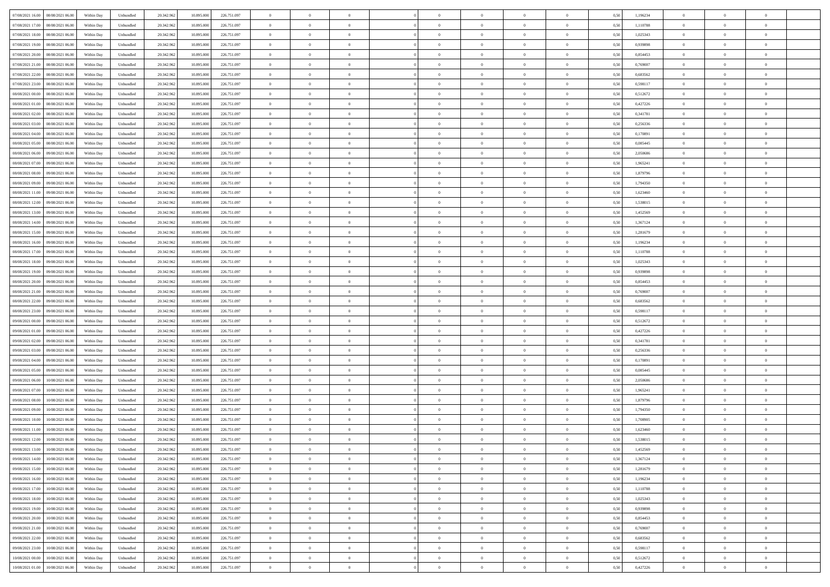| 07/08/2021 16:00<br>08/08/2021 06:00 | Within Day | Unbundled | 20.342.962 | 10.895.000 | 226.751.097 | $\overline{0}$ | $\overline{0}$ | $\overline{0}$ | $\theta$       | $\theta$       |                | $\overline{0}$ | 0,50 | 1,196234 | $\theta$       | $\theta$       | $\theta$       |  |
|--------------------------------------|------------|-----------|------------|------------|-------------|----------------|----------------|----------------|----------------|----------------|----------------|----------------|------|----------|----------------|----------------|----------------|--|
|                                      |            |           |            |            |             |                |                |                |                |                |                |                |      |          |                |                |                |  |
| 07/08/2021 17:00<br>08/08/2021 06.00 | Within Day | Unbundled | 20.342.96  | 10.895.000 | 226.751.097 | $\overline{0}$ | $\overline{0}$ | $\overline{0}$ | $\,$ 0 $\,$    | $\bf{0}$       | $\overline{0}$ | $\bf{0}$       | 0,50 | 1,110788 | $\,$ 0 $\,$    | $\theta$       | $\overline{0}$ |  |
| 07/08/2021 18:00<br>08/08/2021 06:00 | Within Day | Unbundled | 20.342.962 | 10,895,000 | 226.751.097 | $\overline{0}$ | $\overline{0}$ | $\overline{0}$ | $\bf{0}$       | $\bf{0}$       | $\overline{0}$ | $\mathbf{0}$   | 0.50 | 1.025343 | $\bf{0}$       | $\overline{0}$ | $\overline{0}$ |  |
| 07/08/2021 19:00<br>08/08/2021 06:00 | Within Day | Unbundled | 20.342.962 | 10.895.000 | 226.751.097 | $\overline{0}$ | $\overline{0}$ | $\overline{0}$ | $\overline{0}$ | $\overline{0}$ | $\overline{0}$ | $\bf{0}$       | 0,50 | 0,939898 | $\theta$       | $\theta$       | $\overline{0}$ |  |
| 07/08/2021 20.00<br>08/08/2021 06.00 | Within Day | Unbundled | 20.342.96  | 10.895.000 | 226.751.097 | $\overline{0}$ | $\overline{0}$ | $\bf{0}$       | $\overline{0}$ | $\overline{0}$ | $\overline{0}$ | $\bf{0}$       | 0,50 | 0,854453 | $\,$ 0 $\,$    | $\theta$       | $\overline{0}$ |  |
| 07/08/2021 21:00<br>08/08/2021 06:00 | Within Day | Unbundled | 20.342.962 | 10.895,000 | 226.751.097 | $\overline{0}$ | $\overline{0}$ | $\overline{0}$ | $\overline{0}$ | $\overline{0}$ | $\overline{0}$ | $\overline{0}$ | 0.50 | 0.769007 | $\theta$       | $\theta$       | $\overline{0}$ |  |
| 07/08/2021 22.00<br>08/08/2021 06:00 | Within Day | Unbundled | 20.342.962 | 10.895.000 | 226.751.097 | $\overline{0}$ | $\overline{0}$ | $\overline{0}$ | $\overline{0}$ | $\overline{0}$ | $\overline{0}$ | $\bf{0}$       | 0,50 | 0,683562 | $\theta$       | $\theta$       | $\overline{0}$ |  |
| 07/08/2021 23.00<br>08/08/2021 06.00 | Within Day | Unbundled | 20.342.96  | 10.895.000 | 226.751.097 | $\overline{0}$ | $\overline{0}$ | $\overline{0}$ | $\overline{0}$ | $\bf{0}$       | $\overline{0}$ | $\bf{0}$       | 0,50 | 0,598117 | $\,$ 0 $\,$    | $\bf{0}$       | $\overline{0}$ |  |
|                                      |            |           |            |            |             |                |                |                |                |                |                |                |      |          |                |                |                |  |
| 08/08/2021 00:00<br>08/08/2021 06:00 | Within Day | Unbundled | 20.342.962 | 10,895,000 | 226.751.097 | $\overline{0}$ | $\overline{0}$ | $\overline{0}$ | $\overline{0}$ | $\overline{0}$ | $\overline{0}$ | $\mathbf{0}$   | 0.50 | 0.512672 | $\,$ 0 $\,$    | $\theta$       | $\overline{0}$ |  |
| 08/08/2021 01:00<br>08/08/2021 06:00 | Within Day | Unbundled | 20.342.962 | 10.895.000 | 226.751.097 | $\overline{0}$ | $\overline{0}$ | $\overline{0}$ | $\bf{0}$       | $\overline{0}$ | $\overline{0}$ | $\bf{0}$       | 0,50 | 0,427226 | $\theta$       | $\theta$       | $\overline{0}$ |  |
| 08/08/2021 02:00<br>08/08/2021 06.00 | Within Day | Unbundled | 20.342.96  | 10.895.000 | 226.751.097 | $\overline{0}$ | $\overline{0}$ | $\overline{0}$ | $\bf{0}$       | $\overline{0}$ | $\overline{0}$ | $\bf{0}$       | 0,50 | 0,341781 | $\,$ 0 $\,$    | $\theta$       | $\overline{0}$ |  |
| 08/08/2021 03:00<br>08/08/2021 06:00 | Within Day | Unbundled | 20.342.962 | 10,895,000 | 226.751.097 | $\overline{0}$ | $\overline{0}$ | $\overline{0}$ | $\bf{0}$       | $\bf{0}$       | $\overline{0}$ | $\mathbf{0}$   | 0.50 | 0.256336 | $\bf{0}$       | $\overline{0}$ | $\bf{0}$       |  |
| 08/08/2021 04:00<br>08/08/2021 06:00 | Within Day | Unbundled | 20.342.962 | 10.895.000 | 226.751.097 | $\overline{0}$ | $\overline{0}$ | $\overline{0}$ | $\overline{0}$ | $\overline{0}$ | $\overline{0}$ | $\bf{0}$       | 0,50 | 0,170891 | $\theta$       | $\theta$       | $\overline{0}$ |  |
| 08/08/2021 05:00<br>08/08/2021 06.00 | Within Day | Unbundled | 20.342.962 | 10.895.000 | 226.751.097 | $\overline{0}$ | $\overline{0}$ | $\overline{0}$ | $\bf{0}$       | $\overline{0}$ | $\overline{0}$ | $\bf{0}$       | 0,50 | 0,085445 | $\,$ 0 $\,$    | $\bf{0}$       | $\overline{0}$ |  |
| 08/08/2021 06:00<br>09/08/2021 06:00 | Within Day | Unbundled | 20.342.962 | 10,895,000 | 226.751.097 | $\overline{0}$ | $\overline{0}$ | $\overline{0}$ | $\overline{0}$ | $\overline{0}$ | $\overline{0}$ | $\mathbf{0}$   | 0.50 | 2.050686 | $\theta$       | $\theta$       | $\overline{0}$ |  |
|                                      |            |           |            |            |             |                |                |                |                |                |                |                |      |          |                |                |                |  |
| 08/08/2021 07:00<br>09/08/2021 06:00 | Within Day | Unbundled | 20.342.962 | 10.895.000 | 226.751.097 | $\overline{0}$ | $\overline{0}$ | $\overline{0}$ | $\overline{0}$ | $\overline{0}$ | $\overline{0}$ | $\bf{0}$       | 0,50 | 1,965241 | $\theta$       | $\theta$       | $\overline{0}$ |  |
| 08/08/2021 08:00<br>09/08/2021 06.0  | Within Day | Unbundled | 20.342.96  | 10.895.000 | 226.751.097 | $\overline{0}$ | $\overline{0}$ | $\overline{0}$ | $\overline{0}$ | $\overline{0}$ | $\overline{0}$ | $\bf{0}$       | 0,50 | 1,879796 | $\,$ 0 $\,$    | $\theta$       | $\overline{0}$ |  |
| 08/08/2021 09:00<br>09/08/2021 06:00 | Within Day | Unbundled | 20.342.962 | 10,895,000 | 226.751.097 | $\overline{0}$ | $\overline{0}$ | $\overline{0}$ | $\overline{0}$ | $\overline{0}$ | $\overline{0}$ | $\mathbf{0}$   | 0.50 | 1,794350 | $\,$ 0 $\,$    | $\overline{0}$ | $\bf{0}$       |  |
| 08/08/2021 11:00<br>09/08/2021 06:00 | Within Day | Unbundled | 20.342.962 | 10.895.000 | 226.751.097 | $\overline{0}$ | $\overline{0}$ | $\overline{0}$ | $\overline{0}$ | $\overline{0}$ | $\overline{0}$ | $\bf{0}$       | 0,50 | 1,623460 | $\theta$       | $\theta$       | $\overline{0}$ |  |
| 08/08/2021 12:00<br>09/08/2021 06.0  | Within Day | Unbundled | 20.342.96  | 10.895.000 | 226.751.097 | $\overline{0}$ | $\overline{0}$ | $\overline{0}$ | $\bf{0}$       | $\bf{0}$       | $\overline{0}$ | $\bf{0}$       | 0,50 | 1,538015 | $\,$ 0 $\,$    | $\bf{0}$       | $\overline{0}$ |  |
| 08/08/2021 13:00<br>09/08/2021 06:00 | Within Day | Unbundled | 20.342.962 | 10.895.000 | 226.751.097 | $\overline{0}$ | $\overline{0}$ | $\overline{0}$ | $\bf{0}$       | $\bf{0}$       | $\overline{0}$ | $\mathbf{0}$   | 0.50 | 1.452569 | $\bf{0}$       | $\overline{0}$ | $\,$ 0         |  |
| 08/08/2021 14:00<br>09/08/2021 06:00 | Within Day | Unbundled | 20.342.962 | 10.895.000 | 226.751.097 | $\overline{0}$ | $\overline{0}$ | $\overline{0}$ | $\overline{0}$ | $\overline{0}$ | $\overline{0}$ | $\,$ 0 $\,$    | 0,50 | 1,367124 | $\theta$       | $\theta$       | $\overline{0}$ |  |
|                                      |            |           |            |            |             |                |                |                |                |                |                |                |      |          |                |                |                |  |
| 08/08/2021 15:00<br>09/08/2021 06.0  | Within Day | Unbundled | 20.342.96  | 10.895.000 | 226.751.097 | $\overline{0}$ | $\overline{0}$ | $\overline{0}$ | $\bf{0}$       | $\overline{0}$ | $\overline{0}$ | $\bf{0}$       | 0,50 | 1,281679 | $\,$ 0 $\,$    | $\bf{0}$       | $\overline{0}$ |  |
| 08/08/2021 16:00<br>09/08/2021 06:00 | Within Day | Unbundled | 20.342.962 | 10.895,000 | 226.751.097 | $\overline{0}$ | $\overline{0}$ | $\overline{0}$ | $\overline{0}$ | $\overline{0}$ | $\overline{0}$ | $\mathbf{0}$   | 0.50 | 1.196234 | $\theta$       | $\theta$       | $\overline{0}$ |  |
| 08/08/2021 17:00<br>09/08/2021 06.00 | Within Day | Unbundled | 20.342.962 | 10.895.000 | 226.751.097 | $\overline{0}$ | $\overline{0}$ | $\overline{0}$ | $\overline{0}$ | $\overline{0}$ | $\overline{0}$ | $\bf{0}$       | 0,50 | 1,110788 | $\theta$       | $\theta$       | $\overline{0}$ |  |
| 08/08/2021 18:00<br>09/08/2021 06.0  | Within Day | Unbundled | 20.342.96  | 10.895.000 | 226.751.097 | $\overline{0}$ | $\overline{0}$ | $\overline{0}$ | $\overline{0}$ | $\overline{0}$ | $\overline{0}$ | $\bf{0}$       | 0,50 | 1,025343 | $\,$ 0 $\,$    | $\theta$       | $\overline{0}$ |  |
| 08/08/2021 19:00<br>09/08/2021 06:00 | Within Day | Unbundled | 20.342.962 | 10,895,000 | 226.751.097 | $\overline{0}$ | $\overline{0}$ | $\overline{0}$ | $\overline{0}$ | $\overline{0}$ | $\overline{0}$ | $\mathbf{0}$   | 0.50 | 0.939898 | $\,$ 0 $\,$    | $\overline{0}$ | $\overline{0}$ |  |
| 08/08/2021 20:00<br>09/08/2021 06:00 | Within Day | Unbundled | 20.342.962 | 10.895.000 | 226.751.097 | $\overline{0}$ | $\overline{0}$ | $\overline{0}$ | $\overline{0}$ | $\overline{0}$ | $\overline{0}$ | $\bf{0}$       | 0,50 | 0,854453 | $\theta$       | $\theta$       | $\overline{0}$ |  |
|                                      |            |           |            |            |             |                | $\overline{0}$ |                | $\overline{0}$ | $\bf{0}$       |                | $\bf{0}$       |      |          | $\,$ 0 $\,$    | $\bf{0}$       | $\overline{0}$ |  |
| 08/08/2021 21:00<br>09/08/2021 06.0  | Within Day | Unbundled | 20.342.96  | 10.895.000 | 226.751.097 | $\overline{0}$ |                | $\overline{0}$ |                |                | $\overline{0}$ |                | 0,50 | 0,769007 |                |                |                |  |
| 08/08/2021 22:00<br>09/08/2021 06:00 | Within Day | Unbundled | 20.342.962 | 10,895,000 | 226.751.097 | $\overline{0}$ | $\overline{0}$ | $\overline{0}$ | $\bf{0}$       | $\bf{0}$       | $\overline{0}$ | $\mathbf{0}$   | 0.50 | 0.683562 | $\bf{0}$       | $\overline{0}$ | $\bf{0}$       |  |
| 08/08/2021 23:00<br>09/08/2021 06:00 | Within Day | Unbundled | 20.342.962 | 10,895,000 | 226.751.097 | $\overline{0}$ | $\overline{0}$ | $\overline{0}$ | $\overline{0}$ | $\overline{0}$ | $\overline{0}$ | $\overline{0}$ | 0.50 | 0,598117 | $\theta$       | $\theta$       | $\overline{0}$ |  |
| 09/08/2021 00:00<br>09/08/2021 06.0  | Within Day | Unbundled | 20.342.962 | 10.895.000 | 226.751.097 | $\overline{0}$ | $\overline{0}$ | $\overline{0}$ | $\bf{0}$       | $\overline{0}$ | $\overline{0}$ | $\bf{0}$       | 0,50 | 0,512672 | $\,$ 0 $\,$    | $\bf{0}$       | $\overline{0}$ |  |
| 09/08/2021 01:00<br>09/08/2021 06:00 | Within Day | Unbundled | 20.342.962 | 10,895,000 | 226.751.097 | $\overline{0}$ | $\overline{0}$ | $\overline{0}$ | $\overline{0}$ | $\overline{0}$ | $\overline{0}$ | $\mathbf{0}$   | 0.50 | 0.427226 | $\,$ 0 $\,$    | $\theta$       | $\overline{0}$ |  |
| 09/08/2021 02:00<br>09/08/2021 06:00 | Within Day | Unbundled | 20.342.962 | 10.895.000 | 226.751.097 | $\overline{0}$ | $\overline{0}$ | $\overline{0}$ | $\overline{0}$ | $\overline{0}$ | $\overline{0}$ | $\overline{0}$ | 0.50 | 0,341781 | $\theta$       | $\theta$       | $\overline{0}$ |  |
| 09/08/2021 03:00<br>09/08/2021 06.0  | Within Day | Unbundled | 20.342.96  | 10.895.000 | 226.751.097 | $\overline{0}$ | $\overline{0}$ | $\overline{0}$ | $\bf{0}$       | $\overline{0}$ | $\overline{0}$ | $\bf{0}$       | 0,50 | 0,256336 | $\,$ 0 $\,$    | $\theta$       | $\overline{0}$ |  |
| 09/08/2021 04:00<br>09/08/2021 06:00 | Within Day | Unbundled | 20.342.962 | 10,895,000 | 226.751.097 | $\overline{0}$ | $\overline{0}$ | $\overline{0}$ | $\overline{0}$ | $\bf{0}$       | $\overline{0}$ | $\mathbf{0}$   | 0.50 | 0.170891 | $\,$ 0 $\,$    | $\theta$       | $\overline{0}$ |  |
| 09/08/2021 05:00<br>09/08/2021 06:00 | Within Day | Unbundled | 20.342.962 | 10.895.000 | 226.751.097 | $\overline{0}$ | $\overline{0}$ | $\overline{0}$ | $\overline{0}$ | $\overline{0}$ | $\overline{0}$ | $\overline{0}$ | 0.50 | 0,085445 | $\theta$       | $\theta$       | $\overline{0}$ |  |
|                                      |            |           |            |            |             |                |                |                |                |                |                |                |      |          |                |                |                |  |
| 09/08/2021 06:00<br>10/08/2021 06.0  | Within Day | Unbundled | 20.342.96  | 10.895.000 | 226.751.097 | $\overline{0}$ | $\overline{0}$ | $\overline{0}$ | $\,$ 0 $\,$    | $\bf{0}$       | $\overline{0}$ | $\bf{0}$       | 0,50 | 2,050686 | $\,$ 0 $\,$    | $\bf{0}$       | $\overline{0}$ |  |
| 09/08/2021 07:00<br>10/08/2021 06:00 | Within Day | Unbundled | 20.342.962 | 10.895.000 | 226.751.097 | $\overline{0}$ | $\overline{0}$ | $\overline{0}$ | $\bf{0}$       | $\bf{0}$       | $\overline{0}$ | $\mathbf{0}$   | 0.50 | 1.965241 | $\bf{0}$       | $\overline{0}$ | $\,$ 0         |  |
| 09/08/2021 08:00<br>10/08/2021 06:00 | Within Day | Unbundled | 20.342.962 | 10.895.000 | 226.751.097 | $\overline{0}$ | $\overline{0}$ | $\overline{0}$ | $\overline{0}$ | $\overline{0}$ | $\overline{0}$ | $\overline{0}$ | 0.50 | 1,879796 | $\theta$       | $\theta$       | $\overline{0}$ |  |
| 09/08/2021 09:00<br>10/08/2021 06:00 | Within Day | Unbundled | 20.342.962 | 10.895.000 | 226.751.097 | $\overline{0}$ | $\overline{0}$ | $\overline{0}$ | $\bf{0}$       | $\overline{0}$ | $\overline{0}$ | $\bf{0}$       | 0,50 | 1,794350 | $\,$ 0 $\,$    | $\bf{0}$       | $\overline{0}$ |  |
| 09/08/2021 10:00<br>10/08/2021 06:00 | Within Day | Unbundled | 20.342.962 | 10.895,000 | 226.751.097 | $\overline{0}$ | $\overline{0}$ | $\overline{0}$ | $\overline{0}$ | $\overline{0}$ | $\Omega$       | $\overline{0}$ | 0.50 | 1,708905 | $\,$ 0 $\,$    | $\theta$       | $\overline{0}$ |  |
| 09/08/2021 11:00<br>10/08/2021 06:00 | Within Day | Unbundled | 20.342.962 | 10,895,000 | 226.751.097 | $\overline{0}$ | $\Omega$       | $\overline{0}$ | $\overline{0}$ | $\overline{0}$ | $\theta$       | $\overline{0}$ | 0.50 | 1,623460 | $\theta$       | $\theta$       | $\overline{0}$ |  |
| 09/08/2021 12:00<br>10/08/2021 06:00 | Within Day | Unbundled | 20.342.962 | 10.895.000 | 226.751.097 | $\overline{0}$ | $\overline{0}$ | $\bf{0}$       | $\overline{0}$ | $\bf{0}$       | $\overline{0}$ | $\bf{0}$       | 0,50 | 1,538015 | $\overline{0}$ | $\bf{0}$       | $\overline{0}$ |  |
|                                      |            |           |            | 10.895.000 | 226 751 097 |                |                |                |                |                |                |                |      |          |                |                |                |  |
| 09/08/2021 13:00 10/08/2021 06:00    | Within Day | Unbundled | 20.342.962 |            |             | $\bf{0}$       | $\,$ 0 $\,$    |                | $\bf{0}$       |                |                |                | 0,50 | 1,452569 | $\theta$       | $\overline{0}$ |                |  |
| 09/08/2021 14:00<br>10/08/2021 06:00 | Within Dav | Unbundled | 20.342.962 | 10.895.000 | 226.751.097 | $\overline{0}$ | $\overline{0}$ | $\overline{0}$ | $\overline{0}$ | $\overline{0}$ | $\overline{0}$ | $\overline{0}$ | 0,50 | 1,367124 | $\theta$       | $\theta$       | $\overline{0}$ |  |
| 09/08/2021 15:00<br>10/08/2021 06:00 | Within Day | Unbundled | 20.342.962 | 10.895.000 | 226.751.097 | $\overline{0}$ | $\overline{0}$ | $\overline{0}$ | $\bf{0}$       | $\overline{0}$ | $\overline{0}$ | $\mathbf{0}$   | 0,50 | 1,281679 | $\overline{0}$ | $\overline{0}$ | $\bf{0}$       |  |
| 09/08/2021 16:00<br>10/08/2021 06:00 | Within Day | Unbundled | 20.342.962 | 10.895.000 | 226.751.097 | $\overline{0}$ | $\overline{0}$ | $\overline{0}$ | $\,$ 0 $\,$    | $\bf{0}$       | $\overline{0}$ | $\mathbf{0}$   | 0.50 | 1.196234 | $\overline{0}$ | $\bf{0}$       | $\bf{0}$       |  |
| 09/08/2021 17:00<br>10/08/2021 06:00 | Within Dav | Unbundled | 20.342.962 | 10.895.000 | 226.751.097 | $\overline{0}$ | $\overline{0}$ | $\overline{0}$ | $\overline{0}$ | $\overline{0}$ | $\overline{0}$ | $\mathbf{0}$   | 0,50 | 1,110788 | $\overline{0}$ | $\theta$       | $\overline{0}$ |  |
| 09/08/2021 18:00<br>10/08/2021 06:00 | Within Day | Unbundled | 20.342.962 | 10.895.000 | 226.751.097 | $\overline{0}$ | $\overline{0}$ | $\overline{0}$ | $\bf{0}$       | $\bf{0}$       | $\overline{0}$ | $\mathbf{0}$   | 0,50 | 1,025343 | $\overline{0}$ | $\bf{0}$       | $\overline{0}$ |  |
| 09/08/2021 19:00<br>10/08/2021 06:00 | Within Day | Unbundled | 20.342.962 | 10.895,000 | 226.751.097 | $\overline{0}$ | $\overline{0}$ | $\overline{0}$ | $\bf{0}$       | $\overline{0}$ | $\overline{0}$ | $\mathbf{0}$   | 0.50 | 0.939898 | $\,$ 0 $\,$    | $\theta$       | $\,$ 0         |  |
|                                      |            |           |            |            |             |                |                |                |                |                |                |                |      |          |                |                |                |  |
| 09/08/2021 20:00<br>10/08/2021 06:00 | Within Day | Unbundled | 20.342.962 | 10.895.000 | 226.751.097 | $\overline{0}$ | $\overline{0}$ | $\overline{0}$ | $\overline{0}$ | $\overline{0}$ | $\overline{0}$ | $\mathbf{0}$   | 0,50 | 0,854453 | $\overline{0}$ | $\theta$       | $\overline{0}$ |  |
| 09/08/2021 21.00<br>10/08/2021 06:00 | Within Day | Unbundled | 20.342.962 | 10.895.000 | 226.751.097 | $\overline{0}$ | $\overline{0}$ | $\overline{0}$ | $\bf{0}$       | $\overline{0}$ | $\overline{0}$ | $\,$ 0 $\,$    | 0,50 | 0,769007 | $\bf{0}$       | $\bf{0}$       | $\overline{0}$ |  |
| 09/08/2021 22:00<br>10/08/2021 06:00 | Within Day | Unbundled | 20.342.962 | 10.895,000 | 226.751.097 | $\overline{0}$ | $\overline{0}$ | $\overline{0}$ | $\bf{0}$       | $\overline{0}$ | $\overline{0}$ | $\,$ 0 $\,$    | 0.50 | 0.683562 | $\overline{0}$ | $\bf{0}$       | $\,$ 0         |  |
| 09/08/2021 23:00<br>10/08/2021 06:00 | Within Dav | Unbundled | 20.342.962 | 10.895.000 | 226.751.097 | $\overline{0}$ | $\overline{0}$ | $\overline{0}$ | $\overline{0}$ | $\overline{0}$ | $\overline{0}$ | $\mathbf{0}$   | 0,50 | 0,598117 | $\overline{0}$ | $\theta$       | $\overline{0}$ |  |
| 10/08/2021 00:00<br>10/08/2021 06:00 | Within Day | Unbundled | 20.342.962 | 10.895.000 | 226.751.097 | $\overline{0}$ | $\overline{0}$ | $\overline{0}$ | $\overline{0}$ | $\bf{0}$       | $\overline{0}$ | $\mathbf{0}$   | 0,50 | 0,512672 | $\bf{0}$       | $\bf{0}$       | $\overline{0}$ |  |
| 10/08/2021 01:00 10/08/2021 06:00    | Within Day | Unbundled | 20.342.962 | 10.895.000 | 226.751.097 | $\overline{0}$ | $\overline{0}$ | $\overline{0}$ | $\bf{0}$       | $\,$ 0         | $\overline{0}$ | $\,0\,$        | 0,50 | 0,427226 | $\overline{0}$ | $\,$ 0 $\,$    | $\,$ 0 $\,$    |  |
|                                      |            |           |            |            |             |                |                |                |                |                |                |                |      |          |                |                |                |  |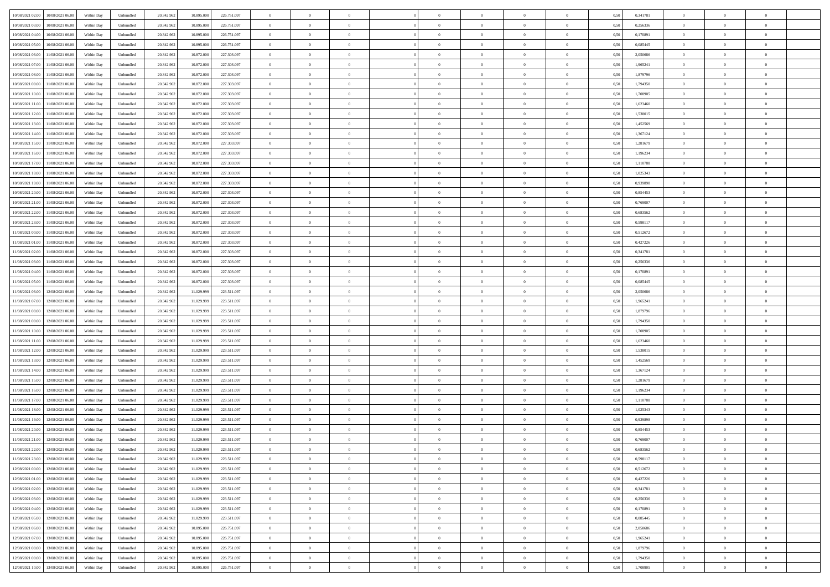| 10/08/2021 02:00<br>10/08/2021 06:00 | Within Day | Unbundled | 20.342.962 | 10.895.000 | 226.751.097 | $\overline{0}$ | $\overline{0}$ | $\overline{0}$ | $\theta$       | $\theta$       |                | $\overline{0}$ | 0,50 | 0,341781 | $\theta$       | $\theta$       | $\overline{0}$ |  |
|--------------------------------------|------------|-----------|------------|------------|-------------|----------------|----------------|----------------|----------------|----------------|----------------|----------------|------|----------|----------------|----------------|----------------|--|
|                                      |            |           |            |            |             |                | $\overline{0}$ |                |                |                |                |                |      |          |                | $\theta$       | $\overline{0}$ |  |
| 10/08/2021 03:00<br>10/08/2021 06:00 | Within Day | Unbundled | 20.342.96  | 10.895.000 | 226.751.097 | $\overline{0}$ |                | $\overline{0}$ | $\,$ 0 $\,$    | $\bf{0}$       | $\overline{0}$ | $\bf{0}$       | 0,50 | 0,256336 | $\,$ 0 $\,$    |                |                |  |
| 10/08/2021 04:00<br>10/08/2021 06:00 | Within Day | Unbundled | 20.342.962 | 10,895,000 | 226.751.097 | $\overline{0}$ | $\overline{0}$ | $\overline{0}$ | $\bf{0}$       | $\bf{0}$       | $\overline{0}$ | $\mathbf{0}$   | 0.50 | 0.170891 | $\bf{0}$       | $\overline{0}$ | $\overline{0}$ |  |
| 10/08/2021 05:00<br>10/08/2021 06:00 | Within Day | Unbundled | 20.342.962 | 10.895.000 | 226.751.097 | $\overline{0}$ | $\overline{0}$ | $\overline{0}$ | $\overline{0}$ | $\overline{0}$ | $\overline{0}$ | $\bf{0}$       | 0,50 | 0,085445 | $\theta$       | $\theta$       | $\overline{0}$ |  |
| 10/08/2021 06:00<br>11/08/2021 06.00 | Within Day | Unbundled | 20.342.96  | 10.872.000 | 227.303.097 | $\overline{0}$ | $\overline{0}$ | $\bf{0}$       | $\overline{0}$ | $\overline{0}$ | $\overline{0}$ | $\bf{0}$       | 0,50 | 2,050686 | $\,$ 0 $\,$    | $\theta$       | $\overline{0}$ |  |
| 10/08/2021 07:00<br>11/08/2021 06:00 | Within Day | Unbundled | 20.342.962 | 10.872.000 | 227.303.097 | $\overline{0}$ | $\overline{0}$ | $\overline{0}$ | $\overline{0}$ | $\overline{0}$ | $\overline{0}$ | $\mathbf{0}$   | 0.50 | 1.965241 | $\,$ 0 $\,$    | $\theta$       | $\overline{0}$ |  |
| 10/08/2021 08:00<br>11/08/2021 06:00 | Within Day | Unbundled | 20.342.962 | 10.872.000 | 227.303.097 | $\overline{0}$ | $\overline{0}$ | $\overline{0}$ | $\overline{0}$ | $\overline{0}$ | $\overline{0}$ | $\bf{0}$       | 0,50 | 1,879796 | $\theta$       | $\theta$       | $\overline{0}$ |  |
| 10/08/2021 09:00<br>11/08/2021 06.00 | Within Day | Unbundled | 20.342.96  | 10.872.000 | 227.303.097 | $\overline{0}$ | $\overline{0}$ | $\overline{0}$ | $\bf{0}$       | $\bf{0}$       | $\overline{0}$ | $\bf{0}$       | 0,50 | 1,794350 | $\,$ 0 $\,$    | $\bf{0}$       | $\overline{0}$ |  |
|                                      |            |           |            |            |             |                |                |                |                |                |                |                |      |          |                |                |                |  |
| 10/08/2021 10:00<br>11/08/2021 06:00 | Within Day | Unbundled | 20.342.962 | 10.872.000 | 227.303.097 | $\overline{0}$ | $\overline{0}$ | $\overline{0}$ | $\bf{0}$       | $\overline{0}$ | $\overline{0}$ | $\mathbf{0}$   | 0.50 | 1,708905 | $\,$ 0 $\,$    | $\theta$       | $\overline{0}$ |  |
| 10/08/2021 11:00<br>11/08/2021 06:00 | Within Day | Unbundled | 20.342.962 | 10.872.000 | 227.303.097 | $\overline{0}$ | $\overline{0}$ | $\overline{0}$ | $\bf{0}$       | $\overline{0}$ | $\overline{0}$ | $\bf{0}$       | 0,50 | 1,623460 | $\,$ 0 $\,$    | $\theta$       | $\overline{0}$ |  |
| 10/08/2021 12:00<br>11/08/2021 06.00 | Within Day | Unbundled | 20.342.96  | 10.872.000 | 227.303.097 | $\overline{0}$ | $\overline{0}$ | $\overline{0}$ | $\bf{0}$       | $\overline{0}$ | $\overline{0}$ | $\bf{0}$       | 0,50 | 1,538015 | $\,$ 0 $\,$    | $\bf{0}$       | $\overline{0}$ |  |
| 10/08/2021 13:00<br>11/08/2021 06:00 | Within Day | Unbundled | 20.342.962 | 10.872.000 | 227.303.097 | $\overline{0}$ | $\overline{0}$ | $\overline{0}$ | $\bf{0}$       | $\bf{0}$       | $\overline{0}$ | $\mathbf{0}$   | 0.50 | 1.452569 | $\bf{0}$       | $\overline{0}$ | $\bf{0}$       |  |
| 10/08/2021 14:00<br>11/08/2021 06:00 | Within Day | Unbundled | 20.342.962 | 10.872.000 | 227.303.097 | $\overline{0}$ | $\overline{0}$ | $\overline{0}$ | $\overline{0}$ | $\overline{0}$ | $\overline{0}$ | $\bf{0}$       | 0,50 | 1,367124 | $\theta$       | $\theta$       | $\overline{0}$ |  |
| 10/08/2021 15:00<br>11/08/2021 06.00 | Within Day | Unbundled | 20.342.96  | 10.872.000 | 227.303.097 | $\overline{0}$ | $\overline{0}$ | $\overline{0}$ | $\bf{0}$       | $\overline{0}$ | $\overline{0}$ | $\bf{0}$       | 0,50 | 1,281679 | $\,$ 0 $\,$    | $\bf{0}$       | $\overline{0}$ |  |
| 10/08/2021 16:00<br>11/08/2021 06:00 | Within Day | Unbundled | 20.342.962 | 10.872.000 | 227.303.097 | $\overline{0}$ | $\overline{0}$ | $\overline{0}$ | $\overline{0}$ | $\overline{0}$ | $\overline{0}$ | $\mathbf{0}$   | 0.50 | 1.196234 | $\,$ 0 $\,$    | $\theta$       | $\overline{0}$ |  |
|                                      |            |           |            |            |             |                |                |                |                |                |                |                |      |          |                |                |                |  |
| 10/08/2021 17:00<br>11/08/2021 06:00 | Within Day | Unbundled | 20.342.962 | 10.872.000 | 227.303.097 | $\overline{0}$ | $\overline{0}$ | $\overline{0}$ | $\overline{0}$ | $\overline{0}$ | $\overline{0}$ | $\bf{0}$       | 0,50 | 1,110788 | $\theta$       | $\theta$       | $\overline{0}$ |  |
| 10/08/2021 18:00<br>11/08/2021 06.00 | Within Day | Unbundled | 20.342.96  | 10.872.000 | 227.303.097 | $\overline{0}$ | $\overline{0}$ | $\overline{0}$ | $\bf{0}$       | $\overline{0}$ | $\overline{0}$ | $\bf{0}$       | 0,50 | 1,025343 | $\,$ 0 $\,$    | $\theta$       | $\overline{0}$ |  |
| 10/08/2021 19:00<br>11/08/2021 06:00 | Within Day | Unbundled | 20.342.962 | 10.872.000 | 227.303.097 | $\overline{0}$ | $\overline{0}$ | $\overline{0}$ | $\overline{0}$ | $\bf{0}$       | $\overline{0}$ | $\mathbf{0}$   | 0.50 | 0.939898 | $\,$ 0 $\,$    | $\overline{0}$ | $\overline{0}$ |  |
| 10/08/2021 20:00<br>11/08/2021 06:00 | Within Day | Unbundled | 20.342.962 | 10.872.000 | 227.303.097 | $\overline{0}$ | $\overline{0}$ | $\overline{0}$ | $\overline{0}$ | $\overline{0}$ | $\overline{0}$ | $\bf{0}$       | 0,50 | 0,854453 | $\theta$       | $\theta$       | $\overline{0}$ |  |
| 10/08/2021 21:00<br>11/08/2021 06.00 | Within Day | Unbundled | 20.342.96  | 10.872.000 | 227.303.097 | $\overline{0}$ | $\overline{0}$ | $\overline{0}$ | $\bf{0}$       | $\bf{0}$       | $\overline{0}$ | $\bf{0}$       | 0,50 | 0,769007 | $\,$ 0 $\,$    | $\bf{0}$       | $\overline{0}$ |  |
| 10/08/2021 22.00<br>11/08/2021 06:00 | Within Day | Unbundled | 20.342.962 | 10.872.000 | 227.303.097 | $\overline{0}$ | $\overline{0}$ | $\overline{0}$ | $\bf{0}$       | $\bf{0}$       | $\overline{0}$ | $\mathbf{0}$   | 0.50 | 0.683562 | $\bf{0}$       | $\overline{0}$ | $\bf{0}$       |  |
| 10/08/2021 23:00<br>11/08/2021 06:00 | Within Day | Unbundled | 20.342.962 | 10.872.000 | 227.303.097 | $\overline{0}$ | $\overline{0}$ | $\overline{0}$ | $\overline{0}$ | $\overline{0}$ | $\overline{0}$ | $\,$ 0 $\,$    | 0,50 | 0,598117 | $\theta$       | $\theta$       | $\overline{0}$ |  |
|                                      |            |           |            |            |             |                |                |                |                |                |                |                |      |          |                |                |                |  |
| 11/08/2021 00:00<br>11/08/2021 06.00 | Within Day | Unbundled | 20.342.96  | 10.872.000 | 227.303.097 | $\overline{0}$ | $\overline{0}$ | $\overline{0}$ | $\bf{0}$       | $\overline{0}$ | $\overline{0}$ | $\bf{0}$       | 0,50 | 0,512672 | $\,$ 0 $\,$    | $\bf{0}$       | $\overline{0}$ |  |
| 11/08/2021 01:00<br>11/08/2021 06:00 | Within Day | Unbundled | 20.342.962 | 10.872.000 | 227.303.097 | $\overline{0}$ | $\overline{0}$ | $\overline{0}$ | $\overline{0}$ | $\overline{0}$ | $\overline{0}$ | $\mathbf{0}$   | 0.50 | 0.427226 | $\bf{0}$       | $\theta$       | $\overline{0}$ |  |
| 11/08/2021 02.00<br>11/08/2021 06:00 | Within Day | Unbundled | 20.342.962 | 10.872.000 | 227.303.097 | $\overline{0}$ | $\overline{0}$ | $\overline{0}$ | $\overline{0}$ | $\overline{0}$ | $\overline{0}$ | $\bf{0}$       | 0,50 | 0,341781 | $\theta$       | $\theta$       | $\overline{0}$ |  |
| 11/08/2021 03.00<br>11/08/2021 06.00 | Within Day | Unbundled | 20.342.96  | 10.872.000 | 227.303.097 | $\overline{0}$ | $\overline{0}$ | $\overline{0}$ | $\overline{0}$ | $\overline{0}$ | $\overline{0}$ | $\bf{0}$       | 0,50 | 0,256336 | $\,$ 0 $\,$    | $\bf{0}$       | $\overline{0}$ |  |
| 11/08/2021 04:00<br>11/08/2021 06:00 | Within Day | Unbundled | 20.342.962 | 10.872.000 | 227.303.097 | $\overline{0}$ | $\overline{0}$ | $\overline{0}$ | $\bf{0}$       | $\overline{0}$ | $\overline{0}$ | $\mathbf{0}$   | 0.50 | 0.170891 | $\,$ 0 $\,$    | $\theta$       | $\overline{0}$ |  |
| 11/08/2021 05:00<br>11/08/2021 06:00 | Within Day | Unbundled | 20.342.962 | 10.872.000 | 227.303.097 | $\overline{0}$ | $\overline{0}$ | $\overline{0}$ | $\overline{0}$ | $\overline{0}$ | $\overline{0}$ | $\bf{0}$       | 0,50 | 0,085445 | $\theta$       | $\theta$       | $\overline{0}$ |  |
| 11/08/2021 06:00<br>12/08/2021 06:00 | Within Day | Unbundled | 20.342.96  | 11.029.999 | 223.511.097 | $\overline{0}$ | $\overline{0}$ | $\overline{0}$ | $\overline{0}$ | $\bf{0}$       | $\overline{0}$ | $\bf{0}$       | 0,50 | 2,050686 | $\,$ 0 $\,$    | $\bf{0}$       | $\overline{0}$ |  |
|                                      |            |           |            |            |             |                |                |                |                |                |                |                |      |          |                |                |                |  |
| 11/08/2021 07:00<br>12/08/2021 06:00 | Within Day | Unbundled | 20.342.962 | 11.029.999 | 223.511.097 | $\overline{0}$ | $\overline{0}$ | $\overline{0}$ | $\bf{0}$       | $\bf{0}$       | $\overline{0}$ | $\mathbf{0}$   | 0.50 | 1.965241 | $\bf{0}$       | $\overline{0}$ | $\bf{0}$       |  |
| 11/08/2021 08:00<br>12/08/2021 06:00 | Within Day | Unbundled | 20.342.962 | 11.029.999 | 223.511.097 | $\overline{0}$ | $\overline{0}$ | $\overline{0}$ | $\overline{0}$ | $\overline{0}$ | $\overline{0}$ | $\overline{0}$ | 0.50 | 1,879796 | $\theta$       | $\theta$       | $\overline{0}$ |  |
| 11/08/2021 09:00<br>12/08/2021 06:00 | Within Day | Unbundled | 20.342.962 | 11.029.999 | 223.511.097 | $\overline{0}$ | $\overline{0}$ | $\overline{0}$ | $\bf{0}$       | $\overline{0}$ | $\overline{0}$ | $\bf{0}$       | 0,50 | 1,794350 | $\,$ 0 $\,$    | $\bf{0}$       | $\overline{0}$ |  |
| 11/08/2021 10:00<br>12/08/2021 06:00 | Within Day | Unbundled | 20.342.962 | 11.029.999 | 223.511.097 | $\overline{0}$ | $\overline{0}$ | $\overline{0}$ | $\overline{0}$ | $\overline{0}$ | $\overline{0}$ | $\mathbf{0}$   | 0.50 | 1,708905 | $\,$ 0 $\,$    | $\theta$       | $\overline{0}$ |  |
| 11/08/2021 11:00<br>12/08/2021 06:00 | Within Day | Unbundled | 20.342.962 | 11.029.999 | 223.511.097 | $\overline{0}$ | $\overline{0}$ | $\overline{0}$ | $\overline{0}$ | $\overline{0}$ | $\overline{0}$ | $\overline{0}$ | 0.50 | 1,623460 | $\theta$       | $\theta$       | $\overline{0}$ |  |
| 11/08/2021 12:00<br>12/08/2021 06:00 | Within Day | Unbundled | 20.342.96  | 11.029.999 | 223.511.097 | $\overline{0}$ | $\overline{0}$ | $\overline{0}$ | $\bf{0}$       | $\overline{0}$ | $\overline{0}$ | $\bf{0}$       | 0,50 | 1,538015 | $\,$ 0 $\,$    | $\bf{0}$       | $\overline{0}$ |  |
| 11/08/2021 13:00<br>12/08/2021 06:00 | Within Day | Unbundled | 20.342.962 | 11.029.999 | 223.511.097 | $\overline{0}$ | $\overline{0}$ | $\overline{0}$ | $\overline{0}$ | $\bf{0}$       | $\overline{0}$ | $\mathbf{0}$   | 0.50 | 1.452569 | $\,$ 0 $\,$    | $\theta$       | $\overline{0}$ |  |
| 11/08/2021 14:00<br>12/08/2021 06:00 | Within Day | Unbundled | 20.342.962 | 11.029.999 | 223.511.097 | $\overline{0}$ | $\overline{0}$ | $\overline{0}$ | $\overline{0}$ | $\overline{0}$ | $\overline{0}$ | $\overline{0}$ | 0.50 | 1,367124 | $\theta$       | $\theta$       | $\overline{0}$ |  |
|                                      |            |           |            |            |             |                |                |                |                |                |                |                |      |          |                |                |                |  |
| 11/08/2021 15:00<br>12/08/2021 06.0  | Within Day | Unbundled | 20.342.96  | 11.029.999 | 223.511.097 | $\overline{0}$ | $\overline{0}$ | $\overline{0}$ | $\,$ 0 $\,$    | $\bf{0}$       | $\overline{0}$ | $\bf{0}$       | 0,50 | 1,281679 | $\,$ 0 $\,$    | $\bf{0}$       | $\overline{0}$ |  |
| 11/08/2021 16:00<br>12/08/2021 06:00 | Within Day | Unbundled | 20.342.962 | 11.029.999 | 223.511.097 | $\overline{0}$ | $\overline{0}$ | $\overline{0}$ | $\bf{0}$       | $\bf{0}$       | $\overline{0}$ | $\mathbf{0}$   | 0.50 | 1.196234 | $\bf{0}$       | $\overline{0}$ | $\,$ 0         |  |
| 11/08/2021 17:00<br>12/08/2021 06:00 | Within Day | Unbundled | 20.342.962 | 11.029.999 | 223.511.097 | $\overline{0}$ | $\overline{0}$ | $\overline{0}$ | $\overline{0}$ | $\overline{0}$ | $\overline{0}$ | $\overline{0}$ | 0.50 | 1,110788 | $\theta$       | $\theta$       | $\overline{0}$ |  |
| 11/08/2021 18:00<br>12/08/2021 06:00 | Within Day | Unbundled | 20.342.962 | 11.029.999 | 223.511.097 | $\overline{0}$ | $\overline{0}$ | $\overline{0}$ | $\bf{0}$       | $\bf{0}$       | $\overline{0}$ | $\bf{0}$       | 0,50 | 1,025343 | $\,$ 0 $\,$    | $\bf{0}$       | $\overline{0}$ |  |
| 11/08/2021 19:00<br>12/08/2021 06:00 | Within Day | Unbundled | 20.342.962 | 11.029.999 | 223.511.097 | $\overline{0}$ | $\overline{0}$ | $\overline{0}$ | $\overline{0}$ | $\overline{0}$ | $\overline{0}$ | $\mathbf{0}$   | 0.50 | 0.939898 | $\,$ 0 $\,$    | $\theta$       | $\overline{0}$ |  |
| 11/08/2021 20:00<br>12/08/2021 06:00 | Within Day | Unbundled | 20.342.962 | 11.029.999 | 223.511.097 | $\overline{0}$ | $\overline{0}$ | $\overline{0}$ | $\overline{0}$ | $\overline{0}$ | $\Omega$       | $\overline{0}$ | 0.5( | 0,854453 | $\theta$       | $\theta$       | $\overline{0}$ |  |
| 11/08/2021 21:00<br>12/08/2021 06:00 | Within Day | Unbundled | 20.342.962 | 11.029.999 | 223.511.097 | $\overline{0}$ | $\overline{0}$ | $\bf{0}$       | $\overline{0}$ | $\bf{0}$       | $\overline{0}$ | $\bf{0}$       | 0,50 | 0,769007 | $\,$ 0 $\,$    | $\bf{0}$       | $\overline{0}$ |  |
| 11/08/2021 22:00<br>12/08/2021 06:00 | Within Day | Unbundled | 20.342.962 | 11.029.999 | 223.511.097 |                |                |                |                |                |                |                | 0,50 | 0,683562 | $\theta$       | $\overline{0}$ |                |  |
|                                      |            |           |            |            |             | $\bf{0}$       | $\,$ 0 $\,$    |                | $\bf{0}$       |                |                |                |      |          |                |                |                |  |
| 11/08/2021 23:00 12/08/2021 06:00    | Within Dav | Unbundled | 20.342.962 | 11.029.999 | 223.511.097 | $\overline{0}$ | $\overline{0}$ | $\overline{0}$ | $\overline{0}$ | $\overline{0}$ | $\overline{0}$ | $\overline{0}$ | 0,50 | 0,598117 | $\theta$       | $\theta$       | $\overline{0}$ |  |
| 12/08/2021 00:00<br>12/08/2021 06:00 | Within Day | Unbundled | 20.342.962 | 11.029.999 | 223.511.097 | $\overline{0}$ | $\overline{0}$ | $\overline{0}$ | $\bf{0}$       | $\overline{0}$ | $\overline{0}$ | $\mathbf{0}$   | 0,50 | 0,512672 | $\overline{0}$ | $\overline{0}$ | $\bf{0}$       |  |
| 12/08/2021 01:00<br>12/08/2021 06:00 | Within Day | Unbundled | 20.342.962 | 11.029.999 | 223.511.097 | $\overline{0}$ | $\overline{0}$ | $\overline{0}$ | $\bf{0}$       | $\bf{0}$       | $\overline{0}$ | $\mathbf{0}$   | 0.50 | 0,427226 | $\overline{0}$ | $\bf{0}$       | $\,$ 0 $\,$    |  |
| 12/08/2021 02:00<br>12/08/2021 06:00 | Within Dav | Unbundled | 20.342.962 | 11.029.999 | 223.511.097 | $\overline{0}$ | $\overline{0}$ | $\overline{0}$ | $\overline{0}$ | $\overline{0}$ | $\overline{0}$ | $\mathbf{0}$   | 0,50 | 0,341781 | $\overline{0}$ | $\theta$       | $\overline{0}$ |  |
| 12/08/2021 03:00<br>12/08/2021 06:00 | Within Day | Unbundled | 20.342.962 | 11.029.999 | 223.511.097 | $\overline{0}$ | $\overline{0}$ | $\overline{0}$ | $\bf{0}$       | $\bf{0}$       | $\overline{0}$ | $\mathbf{0}$   | 0,50 | 0,256336 | $\overline{0}$ | $\bf{0}$       | $\overline{0}$ |  |
| 12/08/2021 06:00<br>12/08/2021 04:00 | Within Day | Unbundled | 20.342.962 | 11.029.999 | 223.511.097 | $\overline{0}$ | $\overline{0}$ | $\overline{0}$ | $\bf{0}$       | $\overline{0}$ | $\overline{0}$ | $\mathbf{0}$   | 0.50 | 0.170891 | $\,$ 0 $\,$    | $\theta$       | $\overline{0}$ |  |
| 12/08/2021 05:00<br>12/08/2021 06:00 | Within Day | Unbundled | 20.342.962 | 11.029.999 | 223.511.097 | $\overline{0}$ | $\overline{0}$ | $\overline{0}$ | $\overline{0}$ | $\overline{0}$ | $\overline{0}$ | $\mathbf{0}$   | 0,50 | 0,085445 | $\overline{0}$ | $\theta$       | $\overline{0}$ |  |
|                                      |            |           |            |            |             |                |                |                |                |                |                |                |      |          |                |                |                |  |
| 12/08/2021 06:00<br>13/08/2021 06:00 | Within Day | Unbundled | 20.342.962 | 10.895.000 | 226.751.097 | $\overline{0}$ | $\overline{0}$ | $\overline{0}$ | $\bf{0}$       | $\bf{0}$       | $\overline{0}$ | $\,$ 0 $\,$    | 0,50 | 2,050686 | $\bf{0}$       | $\bf{0}$       | $\overline{0}$ |  |
| 12/08/2021 07:00<br>13/08/2021 06:00 | Within Day | Unbundled | 20.342.962 | 10.895,000 | 226.751.097 | $\overline{0}$ | $\overline{0}$ | $\overline{0}$ | $\bf{0}$       | $\bf{0}$       | $\overline{0}$ | $\,$ 0 $\,$    | 0.50 | 1.965241 | $\overline{0}$ | $\bf{0}$       | $\,$ 0         |  |
| 12/08/2021 08:00<br>13/08/2021 06:00 | Within Dav | Unbundled | 20.342.962 | 10.895.000 | 226.751.097 | $\overline{0}$ | $\overline{0}$ | $\overline{0}$ | $\overline{0}$ | $\overline{0}$ | $\overline{0}$ | $\mathbf{0}$   | 0,50 | 1,879796 | $\overline{0}$ | $\theta$       | $\overline{0}$ |  |
| 12/08/2021 09:00<br>13/08/2021 06:00 | Within Day | Unbundled | 20.342.962 | 10.895.000 | 226.751.097 | $\overline{0}$ | $\overline{0}$ | $\overline{0}$ | $\overline{0}$ | $\bf{0}$       | $\overline{0}$ | $\mathbf{0}$   | 0,50 | 1,794350 | $\bf{0}$       | $\bf{0}$       | $\overline{0}$ |  |
| 12/08/2021 10:00 13/08/2021 06:00    | Within Day | Unbundled | 20.342.962 | 10.895.000 | 226.751.097 | $\overline{0}$ | $\overline{0}$ | $\overline{0}$ | $\bf{0}$       | $\,$ 0         | $\overline{0}$ | $\,0\,$        | 0,50 | 1,708905 | $\overline{0}$ | $\,$ 0 $\,$    | $\,$ 0 $\,$    |  |
|                                      |            |           |            |            |             |                |                |                |                |                |                |                |      |          |                |                |                |  |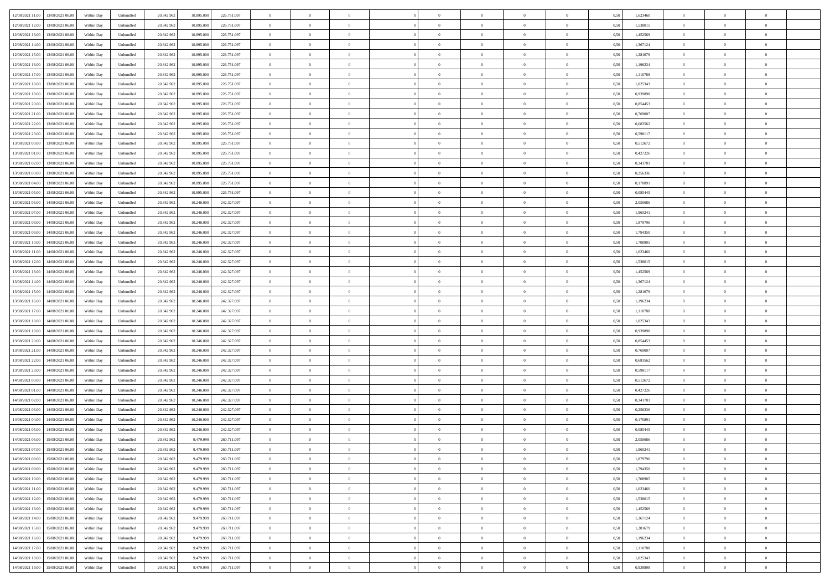|                                                                                                   |            |           |            |            |             | $\overline{0}$ | $\overline{0}$ |                | $\overline{0}$ | $\theta$       |                | $\theta$       |      |          | $\theta$       | $\theta$       | $\overline{0}$ |  |
|---------------------------------------------------------------------------------------------------|------------|-----------|------------|------------|-------------|----------------|----------------|----------------|----------------|----------------|----------------|----------------|------|----------|----------------|----------------|----------------|--|
| 12/08/2021 11:00 13/08/2021 06:00                                                                 | Within Day | Unbundled | 20.342.962 | 10.895.000 | 226.751.097 |                |                |                |                |                |                |                | 0,50 | 1,623460 |                |                |                |  |
| 12/08/2021 12:00<br>13/08/2021 06:00                                                              | Within Day | Unbundled | 20.342.96  | 10.895.00  | 226.751.097 | $\bf{0}$       | $\overline{0}$ | $\bf{0}$       | $\overline{0}$ | $\overline{0}$ | $\overline{0}$ | $\bf{0}$       | 0,50 | 1,538015 | $\,$ 0 $\,$    | $\bf{0}$       | $\overline{0}$ |  |
| $12/08/2021\ 13.00$<br>13/08/2021 06:00                                                           | Within Day | Unbundled | 20.342.962 | 10,895,000 | 226.751.097 | $\overline{0}$ | $\bf{0}$       | $\overline{0}$ | $\bf{0}$       | $\bf{0}$       | $\overline{0}$ | $\bf{0}$       | 0.50 | 1,452569 | $\bf{0}$       | $\overline{0}$ | $\overline{0}$ |  |
| 12/08/2021 14:00<br>13/08/2021 06:00                                                              | Within Day | Unbundled | 20.342.96  | 10.895.000 | 226.751.097 | $\overline{0}$ | $\overline{0}$ | $\overline{0}$ | $\theta$       | $\theta$       | $\overline{0}$ | $\bf{0}$       | 0,50 | 1,367124 | $\theta$       | $\theta$       | $\overline{0}$ |  |
| 12/08/2021 15:00<br>13/08/2021 06:00                                                              | Within Day | Unbundled | 20.342.96  | 10.895.00  | 226.751.097 | $\bf{0}$       | $\overline{0}$ | $\bf{0}$       | $\overline{0}$ | $\theta$       | $\overline{0}$ | $\bf{0}$       | 0,50 | 1,281679 | $\,$ 0 $\,$    | $\bf{0}$       | $\overline{0}$ |  |
|                                                                                                   |            |           |            |            |             |                |                |                |                |                |                |                |      |          |                |                |                |  |
| 12/08/2021 16:00<br>13/08/2021 06:00                                                              | Within Day | Unbundled | 20.342.962 | 10.895.00  | 226.751.097 | $\overline{0}$ | $\overline{0}$ | $\overline{0}$ | $\bf{0}$       | $\overline{0}$ | $\theta$       | $\bf{0}$       | 0.50 | 1.196234 | $\,$ 0 $\,$    | $\theta$       | $\overline{0}$ |  |
| 12/08/2021 17:00<br>13/08/2021 06:00                                                              | Within Day | Unbundled | 20.342.96  | 10.895.000 | 226.751.097 | $\overline{0}$ | $\overline{0}$ | $\overline{0}$ | $\overline{0}$ | $\overline{0}$ | $\overline{0}$ | $\bf{0}$       | 0,50 | 1,110788 | $\theta$       | $\theta$       | $\overline{0}$ |  |
| 12/08/2021 18:00<br>13/08/2021 06:00                                                              | Within Day | Unbundled | 20.342.96  | 10.895.00  | 226.751.097 | $\bf{0}$       | $\overline{0}$ | $\overline{0}$ | $\overline{0}$ | $\overline{0}$ | $\overline{0}$ | $\bf{0}$       | 0,50 | 1,025343 | $\,$ 0 $\,$    | $\bf{0}$       | $\overline{0}$ |  |
| 12/08/2021 19:00<br>13/08/2021 06:00                                                              | Within Day | Unbundled | 20.342.96  | 10.895.00  | 226.751.097 | $\overline{0}$ | $\bf{0}$       | $\overline{0}$ | $\bf{0}$       | $\overline{0}$ | $\overline{0}$ | $\bf{0}$       | 0.50 | 0.939898 | $\bf{0}$       | $\theta$       | $\overline{0}$ |  |
| 12/08/2021 20:00<br>13/08/2021 06:00                                                              | Within Day | Unbundled | 20.342.962 | 10.895.000 | 226.751.097 | $\bf{0}$       | $\bf{0}$       | $\overline{0}$ | $\overline{0}$ | $\overline{0}$ | $\overline{0}$ | $\bf{0}$       | 0,50 | 0,854453 | $\,$ 0 $\,$    | $\theta$       | $\overline{0}$ |  |
| 12/08/2021 21:00<br>13/08/2021 06:00                                                              | Within Day | Unbundled | 20.342.96  | 10.895.000 | 226.751.097 | $\bf{0}$       | $\overline{0}$ | $\bf{0}$       | $\bf{0}$       | $\bf{0}$       | $\overline{0}$ | $\bf{0}$       | 0,50 | 0,769007 | $\,$ 0 $\,$    | $\bf{0}$       | $\overline{0}$ |  |
| 12/08/2021 22:00<br>13/08/2021 06:00                                                              | Within Day | Unbundled | 20.342.962 | 10,895,000 | 226.751.097 | $\overline{0}$ | $\bf{0}$       | $\overline{0}$ | $\bf{0}$       | $\bf{0}$       | $\overline{0}$ | $\bf{0}$       | 0.50 | 0.683562 | $\bf{0}$       | $\overline{0}$ | $\bf{0}$       |  |
|                                                                                                   |            |           |            |            |             | $\overline{0}$ | $\overline{0}$ | $\overline{0}$ | $\overline{0}$ | $\theta$       | $\overline{0}$ | $\overline{0}$ |      |          | $\,$ 0 $\,$    | $\theta$       | $\overline{0}$ |  |
| 12/08/2021 23:00<br>13/08/2021 06:00                                                              | Within Day | Unbundled | 20.342.96  | 10.895.000 | 226.751.097 |                |                |                |                |                |                |                | 0,50 | 0,598117 |                |                |                |  |
| 13/08/2021 00:00<br>13/08/2021 06:00                                                              | Within Day | Unbundled | 20.342.96  | 10.895.00  | 226.751.097 | $\bf{0}$       | $\overline{0}$ | $\bf{0}$       | $\overline{0}$ | $\theta$       | $\overline{0}$ | $\bf{0}$       | 0,50 | 0,512672 | $\,$ 0 $\,$    | $\bf{0}$       | $\overline{0}$ |  |
| 13/08/2021 01:00<br>13/08/2021 06:00                                                              | Within Day | Unbundled | 20.342.962 | 10.895.00  | 226.751.097 | $\overline{0}$ | $\overline{0}$ | $\overline{0}$ | $\bf{0}$       | $\theta$       | $\Omega$       | $\bf{0}$       | 0.50 | 0,427226 | $\,$ 0 $\,$    | $\theta$       | $\overline{0}$ |  |
| 13/08/2021 02:00<br>13/08/2021 06:00                                                              | Within Day | Unbundled | 20.342.962 | 10.895.000 | 226.751.097 | $\overline{0}$ | $\overline{0}$ | $\overline{0}$ | $\overline{0}$ | $\overline{0}$ | $\overline{0}$ | $\bf{0}$       | 0,50 | 0,341781 | $\theta$       | $\theta$       | $\overline{0}$ |  |
| 13/08/2021 03:00<br>13/08/2021 06:00                                                              | Within Day | Unbundled | 20.342.96  | 10.895.00  | 226.751.097 | $\bf{0}$       | $\overline{0}$ | $\overline{0}$ | $\overline{0}$ | $\theta$       | $\overline{0}$ | $\bf{0}$       | 0,50 | 0,256336 | $\,$ 0 $\,$    | $\bf{0}$       | $\overline{0}$ |  |
| 13/08/2021 04:00<br>13/08/2021 06:00                                                              | Within Day | Unbundled | 20,342.96  | 10.895.00  | 226.751.097 | $\overline{0}$ | $\bf{0}$       | $\overline{0}$ | $\bf{0}$       | $\overline{0}$ | $\overline{0}$ | $\bf{0}$       | 0.50 | 0.170891 | $\bf{0}$       | $\overline{0}$ | $\overline{0}$ |  |
| 13/08/2021 05:00<br>13/08/2021 06:00                                                              | Within Day | Unbundled | 20.342.962 | 10.895.000 | 226.751.097 | $\overline{0}$ | $\overline{0}$ | $\overline{0}$ | $\overline{0}$ | $\overline{0}$ | $\overline{0}$ | $\bf{0}$       | 0,50 | 0,085445 | $\,$ 0 $\,$    | $\theta$       | $\overline{0}$ |  |
| 13/08/2021 06:00<br>14/08/2021 06:00                                                              | Within Day | Unbundled | 20.342.96  | 10.246.00  | 242.327.097 | $\bf{0}$       | $\bf{0}$       | $\bf{0}$       | $\bf{0}$       | $\overline{0}$ | $\overline{0}$ | $\bf{0}$       | 0,50 | 2,050686 | $\,$ 0 $\,$    | $\bf{0}$       | $\overline{0}$ |  |
|                                                                                                   |            |           |            |            |             |                |                |                |                |                |                |                |      |          |                |                |                |  |
| 13/08/2021 07:00<br>14/08/2021 06:00                                                              | Within Day | Unbundled | 20.342.962 | 10.246,000 | 242.327.097 | $\overline{0}$ | $\bf{0}$       | $\overline{0}$ | $\bf{0}$       | $\bf{0}$       | $\overline{0}$ | $\bf{0}$       | 0.50 | 1,965241 | $\bf{0}$       | $\overline{0}$ | $\overline{0}$ |  |
| 13/08/2021 08:00<br>14/08/2021 06:00                                                              | Within Day | Unbundled | 20.342.96  | 10.246.000 | 242.327.097 | $\overline{0}$ | $\overline{0}$ | $\overline{0}$ | $\theta$       | $\theta$       | $\overline{0}$ | $\bf{0}$       | 0,50 | 1,879796 | $\theta$       | $\theta$       | $\overline{0}$ |  |
| 13/08/2021 09:00<br>14/08/2021 06:00                                                              | Within Day | Unbundled | 20.342.96  | 10.246.00  | 242.327.097 | $\bf{0}$       | $\overline{0}$ | $\bf{0}$       | $\bf{0}$       | $\bf{0}$       | $\overline{0}$ | $\bf{0}$       | 0,50 | 1,794350 | $\,$ 0 $\,$    | $\bf{0}$       | $\overline{0}$ |  |
| 13/08/2021 10:00<br>14/08/2021 06:00                                                              | Within Day | Unbundled | 20.342.962 | 10.246.00  | 242.327.097 | $\overline{0}$ | $\overline{0}$ | $\overline{0}$ | $\overline{0}$ | $\overline{0}$ | $\Omega$       | $\bf{0}$       | 0.50 | 1,708905 | $\,$ 0 $\,$    | $\theta$       | $\overline{0}$ |  |
| 13/08/2021 11:00<br>14/08/2021 06:00                                                              | Within Day | Unbundled | 20.342.962 | 10.246.000 | 242.327.097 | $\overline{0}$ | $\overline{0}$ | $\overline{0}$ | $\overline{0}$ | $\theta$       | $\overline{0}$ | $\bf{0}$       | 0,50 | 1,623460 | $\theta$       | $\theta$       | $\overline{0}$ |  |
| 13/08/2021 12:00<br>14/08/2021 06:00                                                              | Within Day | Unbundled | 20.342.96  | 10.246.00  | 242.327.097 | $\bf{0}$       | $\theta$       | $\bf{0}$       | $\overline{0}$ | $\theta$       | $\overline{0}$ | $\bf{0}$       | 0,50 | 1,538015 | $\,$ 0 $\,$    | $\bf{0}$       | $\overline{0}$ |  |
| 13/08/2021 13:00<br>14/08/2021 06:00                                                              | Within Day | Unbundled | 20.342.96  | 10.246.00  | 242.327.097 | $\overline{0}$ | $\bf{0}$       | $\overline{0}$ | $\bf{0}$       | $\overline{0}$ | $\overline{0}$ | $\bf{0}$       | 0.50 | 1.452569 | $\bf{0}$       | $\overline{0}$ | $\overline{0}$ |  |
| 13/08/2021 14:00<br>14/08/2021 06:00                                                              | Within Day | Unbundled | 20.342.962 | 10.246.000 | 242.327.097 | $\overline{0}$ | $\overline{0}$ | $\overline{0}$ | $\overline{0}$ | $\overline{0}$ | $\overline{0}$ | $\bf{0}$       | 0,50 | 1,367124 | $\theta$       | $\theta$       | $\overline{0}$ |  |
| 14/08/2021 06:00                                                                                  | Within Day | Unbundled | 20.342.96  | 10.246.00  | 242.327.097 | $\bf{0}$       | $\bf{0}$       | $\bf{0}$       | $\bf{0}$       | $\overline{0}$ | $\overline{0}$ | $\bf{0}$       | 0,50 | 1,281679 | $\,$ 0 $\,$    | $\bf{0}$       | $\overline{0}$ |  |
| 13/08/2021 15:00                                                                                  |            |           |            |            |             |                |                |                |                |                |                |                |      |          |                |                |                |  |
| 13/08/2021 16:00<br>14/08/2021 06:00                                                              | Within Day | Unbundled | 20.342.962 | 10.246,000 | 242.327.097 | $\overline{0}$ | $\bf{0}$       | $\overline{0}$ | $\bf{0}$       | $\bf{0}$       | $\overline{0}$ | $\bf{0}$       | 0.50 | 1,196234 | $\bf{0}$       | $\overline{0}$ | $\overline{0}$ |  |
| 13/08/2021 17:00<br>14/08/2021 06:00                                                              | Within Day | Unbundled | 20.342.96  | 10.246,000 | 242.327.097 | $\overline{0}$ | $\overline{0}$ | $\overline{0}$ | $\overline{0}$ | $\overline{0}$ | $\overline{0}$ | $\bf{0}$       | 0.5( | 1,110788 | $\theta$       | $\theta$       | $\overline{0}$ |  |
| 13/08/2021 18:00<br>14/08/2021 06:00                                                              | Within Day | Unbundled | 20.342.96  | 10.246.00  | 242.327.097 | $\bf{0}$       | $\overline{0}$ | $\bf{0}$       | $\bf{0}$       | $\overline{0}$ | $\overline{0}$ | $\bf{0}$       | 0,50 | 1,025343 | $\,$ 0 $\,$    | $\bf{0}$       | $\overline{0}$ |  |
| 13/08/2021 19:00<br>14/08/2021 06:00                                                              | Within Day | Unbundled | 20.342.962 | 10.246.00  | 242.327.097 | $\overline{0}$ | $\overline{0}$ | $\overline{0}$ | $\bf{0}$       | $\bf{0}$       | $\Omega$       | $\bf{0}$       | 0.50 | 0.939898 | $\,$ 0 $\,$    | $\theta$       | $\overline{0}$ |  |
| 13/08/2021 20:00<br>14/08/2021 06:00                                                              | Within Dav | Unbundled | 20.342.96  | 10.246.000 | 242.327.097 | $\overline{0}$ | $\overline{0}$ | $\overline{0}$ | $\overline{0}$ | $\theta$       | $\overline{0}$ | $\overline{0}$ | 0.50 | 0,854453 | $\theta$       | $\theta$       | $\overline{0}$ |  |
| 13/08/2021 21:00<br>14/08/2021 06:00                                                              | Within Day | Unbundled | 20.342.96  | 10.246.00  | 242.327.097 | $\bf{0}$       | $\overline{0}$ | $\bf{0}$       | $\overline{0}$ | $\bf{0}$       | $\overline{0}$ | $\bf{0}$       | 0,50 | 0,769007 | $\,$ 0 $\,$    | $\bf{0}$       | $\overline{0}$ |  |
| 13/08/2021 22:00<br>14/08/2021 06:00                                                              | Within Day | Unbundled | 20,342.96  | 10.246.00  | 242.327.097 | $\overline{0}$ | $\bf{0}$       | $\overline{0}$ | $\bf{0}$       | $\overline{0}$ | $\overline{0}$ | $\bf{0}$       | 0.50 | 0.683562 | $\bf{0}$       | $\overline{0}$ | $\overline{0}$ |  |
| 13/08/2021 23:00<br>14/08/2021 06:00                                                              | Within Dav | Unbundled | 20.342.96  | 10.246,000 | 242.327.097 | $\overline{0}$ | $\overline{0}$ | $\overline{0}$ | $\overline{0}$ | $\overline{0}$ | $\overline{0}$ | $\overline{0}$ | 0.50 | 0,598117 | $\theta$       | $\theta$       | $\overline{0}$ |  |
|                                                                                                   |            |           |            |            |             |                |                |                |                |                |                |                |      |          |                |                |                |  |
| 14/08/2021 00:00<br>14/08/2021 06:00                                                              | Within Day | Unbundled | 20.342.96  | 10.246.00  | 242.327.097 | $\bf{0}$       | $\bf{0}$       | $\bf{0}$       | $\bf{0}$       | $\overline{0}$ | $\overline{0}$ | $\bf{0}$       | 0,50 | 0,512672 | $\,$ 0 $\,$    | $\bf{0}$       | $\overline{0}$ |  |
| 14/08/2021 01:00<br>14/08/2021 06:00                                                              | Within Day | Unbundled | 20.342.962 | 10.246,000 | 242.327.097 | $\overline{0}$ | $\bf{0}$       | $\overline{0}$ | $\bf{0}$       | $\bf{0}$       | $\overline{0}$ | $\bf{0}$       | 0.50 | 0,427226 | $\bf{0}$       | $\overline{0}$ | $\overline{0}$ |  |
| 14/08/2021 02:00<br>14/08/2021 06:00                                                              | Within Dav | Unbundled | 20.342.96  | 10.246,000 | 242.327.097 | $\overline{0}$ | $\overline{0}$ | $\overline{0}$ | $\overline{0}$ | $\theta$       | $\overline{0}$ | $\bf{0}$       | 0.5( | 0,341781 | $\theta$       | $\theta$       | $\overline{0}$ |  |
| 14/08/2021 03:00<br>14/08/2021 06:00                                                              | Within Day | Unbundled | 20.342.96  | 10.246.00  | 242.327.097 | $\bf{0}$       | $\overline{0}$ | $\bf{0}$       | $\bf{0}$       | $\overline{0}$ | $\overline{0}$ | $\bf{0}$       | 0,50 | 0,256336 | $\,$ 0 $\,$    | $\bf{0}$       | $\overline{0}$ |  |
| 14/08/2021 04:00<br>14/08/2021 06:00                                                              | Within Day | Unbundled | 20.342.96  | 10.246.00  | 242.327.097 | $\overline{0}$ | $\overline{0}$ | $\Omega$       | $\overline{0}$ | $\bf{0}$       | $\Omega$       | $\bf{0}$       | 0.50 | 0,170891 | $\bf{0}$       | $\theta$       | $\overline{0}$ |  |
| 14/08/2021 05:00<br>14/08/2021 06:00                                                              | Within Dav | Unbundled | 20.342.96  | 10.246.000 | 242.327.097 | $\overline{0}$ | $\overline{0}$ | $\Omega$       | $\overline{0}$ | $\theta$       | $\Omega$       | $\overline{0}$ | 0.5( | 0.085445 | $\theta$       | $\theta$       | $\overline{0}$ |  |
| 14/08/2021 06:00<br>15/08/2021 06:00                                                              | Within Day | Unbundled | 20.342.96  | 9.479.999  | 260.711.097 | $\bf{0}$       | $\bf{0}$       | $\bf{0}$       | $\bf{0}$       | $\bf{0}$       | $\overline{0}$ | $\bf{0}$       | 0,50 | 2,050686 | $\,$ 0 $\,$    | $\bf{0}$       | $\overline{0}$ |  |
| $\begin{array}{ c c c c c } \hline 14/08/2021 & 07.00 & 15/08/2021 & 06.00 \\ \hline \end{array}$ | Within Day | Unbundled | 20.342.962 | 9.479.999  | 260.711.097 | $\overline{0}$ | $\Omega$       |                | $\Omega$       |                |                |                | 0,50 | 1,965241 | $\theta$       | $\overline{0}$ |                |  |
| 14/08/2021 08:00 15/08/2021 06:00                                                                 | Within Day | Unbundled | 20.342.962 | 9.479.999  | 260.711.097 | $\overline{0}$ | $\theta$       | $\Omega$       | $\theta$       | $\overline{0}$ | $\overline{0}$ | $\bf{0}$       | 0,50 | 1,879796 | $\theta$       | $\theta$       | $\overline{0}$ |  |
|                                                                                                   |            |           |            |            |             |                |                |                |                |                |                |                |      |          |                |                |                |  |
| 14/08/2021 09:00<br>15/08/2021 06:00                                                              | Within Day | Unbundled | 20.342.96  | 9.479.999  | 260.711.097 | $\overline{0}$ | $\bf{0}$       | $\overline{0}$ | $\overline{0}$ | $\bf{0}$       | $\overline{0}$ | $\bf{0}$       | 0,50 | 1,794350 | $\bf{0}$       | $\overline{0}$ | $\bf{0}$       |  |
| 14/08/2021 10:00 15/08/2021 06:00                                                                 | Within Day | Unbundled | 20.342.962 | 9.479.999  | 260.711.097 | $\overline{0}$ | $\bf{0}$       | $\overline{0}$ | $\overline{0}$ | $\mathbf{0}$   | $\overline{0}$ | $\,$ 0 $\,$    | 0.50 | 1,708905 | $\overline{0}$ | $\bf{0}$       | $\,$ 0 $\,$    |  |
| 14/08/2021 11:00 15/08/2021 06:00                                                                 | Within Day | Unbundled | 20.342.962 | 9.479.999  | 260.711.097 | $\overline{0}$ | $\overline{0}$ | $\overline{0}$ | $\overline{0}$ | $\overline{0}$ | $\overline{0}$ | $\bf{0}$       | 0,50 | 1,623460 | $\theta$       | $\theta$       | $\overline{0}$ |  |
| 14/08/2021 12:00<br>15/08/2021 06:00                                                              | Within Day | Unbundled | 20.342.962 | 9.479.999  | 260.711.097 | $\overline{0}$ | $\bf{0}$       | $\overline{0}$ | $\bf{0}$       | $\overline{0}$ | $\bf{0}$       | $\bf{0}$       | 0,50 | 1,538015 | $\bf{0}$       | $\bf{0}$       | $\overline{0}$ |  |
| 14/08/2021 13:00<br>15/08/2021 06:00                                                              | Within Day | Unbundled | 20.342.962 | 9.479.999  | 260.711.097 | $\overline{0}$ | $\bf{0}$       | $\overline{0}$ | $\overline{0}$ | $\overline{0}$ | $\overline{0}$ | $\bf{0}$       | 0.50 | 1.452569 | $\,$ 0 $\,$    | $\theta$       | $\,$ 0         |  |
| 14/08/2021 14:00<br>15/08/2021 06:00                                                              | Within Day | Unbundled | 20.342.962 | 9.479.999  | 260.711.097 | $\overline{0}$ | $\overline{0}$ | $\overline{0}$ | $\overline{0}$ | $\overline{0}$ | $\overline{0}$ | $\bf{0}$       | 0,50 | 1,367124 | $\overline{0}$ | $\theta$       | $\overline{0}$ |  |
| 14/08/2021 15:00<br>15/08/2021 06:00                                                              | Within Day | Unbundled | 20.342.96  | 9.479.999  | 260.711.097 | $\overline{0}$ | $\overline{0}$ | $\overline{0}$ | $\overline{0}$ | $\overline{0}$ | $\overline{0}$ | $\bf{0}$       | 0,50 | 1,281679 | $\bf{0}$       | $\overline{0}$ | $\overline{0}$ |  |
|                                                                                                   |            |           |            |            |             |                |                |                |                |                |                |                |      |          |                |                |                |  |
| 14/08/2021 16:00<br>15/08/2021 06:00                                                              | Within Day | Unbundled | 20.342.962 | 9.479.999  | 260.711.097 | $\overline{0}$ | $\overline{0}$ | $\overline{0}$ | $\overline{0}$ | $\bf{0}$       | $\overline{0}$ | $\bf{0}$       | 0.50 | 1.196234 | $\mathbf{0}$   | $\bf{0}$       | $\,$ 0         |  |
| 14/08/2021 17:00 15/08/2021 06:00                                                                 | Within Dav | Unbundled | 20.342.962 | 9.479.999  | 260.711.097 | $\overline{0}$ | $\overline{0}$ | $\overline{0}$ | $\overline{0}$ | $\overline{0}$ | $\overline{0}$ | $\bf{0}$       | 0,50 | 1,110788 | $\overline{0}$ | $\theta$       | $\overline{0}$ |  |
| 14/08/2021 18:00<br>15/08/2021 06:00                                                              | Within Day | Unbundled | 20.342.96  | 9.479.999  | 260.711.097 | $\overline{0}$ | $\bf{0}$       | $\overline{0}$ | $\bf{0}$       | $\overline{0}$ | $\bf{0}$       | $\bf{0}$       | 0,50 | 1,025343 | $\bf{0}$       | $\bf{0}$       | $\overline{0}$ |  |
| 14/08/2021 19:00 15/08/2021 06:00                                                                 | Within Day | Unbundled | 20.342.962 | 9.479.999  | 260.711.097 | $\overline{0}$ | $\bf{0}$       | $\overline{0}$ | $\overline{0}$ | $\,$ 0 $\,$    | $\overline{0}$ | $\bf{0}$       | 0,50 | 0,939898 | $\overline{0}$ | $\,$ 0 $\,$    | $\,$ 0 $\,$    |  |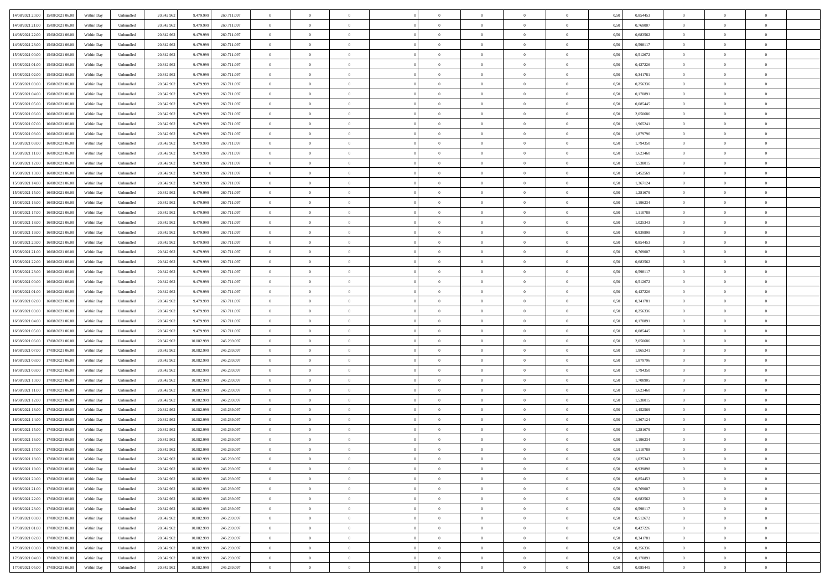| 14/08/2021 20:00                  | 15/08/2021 06:00 | Within Day | Unbundled                   | 20.342.962 | 9.479.999  | 260.711.097 | $\overline{0}$ | $\theta$       |                | $\overline{0}$ | $\bf{0}$       | $\overline{0}$ | $\theta$       | 0,50 | 0,854453 | $\theta$       | $\theta$       | $\overline{0}$           |  |
|-----------------------------------|------------------|------------|-----------------------------|------------|------------|-------------|----------------|----------------|----------------|----------------|----------------|----------------|----------------|------|----------|----------------|----------------|--------------------------|--|
|                                   |                  |            |                             |            |            |             | $\overline{0}$ | $\theta$       | $\overline{0}$ | $\overline{0}$ | $\,$ 0         |                |                |      |          | $\,$ 0 $\,$    | $\overline{0}$ | $\overline{0}$           |  |
| 14/08/2021 21:00                  | 15/08/2021 06.00 | Within Day | Unbundled                   | 20.342.962 | 9.479.999  | 260.711.097 |                |                |                |                |                | $\bf{0}$       | $\bf{0}$       | 0,50 | 0,769007 |                |                |                          |  |
| 14/08/2021 22:00                  | 15/08/2021 06:00 | Within Day | Unbundled                   | 20.342.962 | 9.479.999  | 260.711.097 | $\overline{0}$ | $\overline{0}$ | $\overline{0}$ | $\overline{0}$ | $\bf{0}$       | $\overline{0}$ | $\mathbf{0}$   | 0.50 | 0.683562 | $\bf{0}$       | $\overline{0}$ | $\overline{0}$           |  |
| 14/08/2021 23:00                  | 15/08/2021 06:00 | Within Day | Unbundled                   | 20.342.962 | 9.479.999  | 260.711.097 | $\overline{0}$ | $\overline{0}$ | $\overline{0}$ | $\overline{0}$ | $\bf{0}$       | $\overline{0}$ | $\overline{0}$ | 0,50 | 0,598117 | $\theta$       | $\overline{0}$ | $\overline{0}$           |  |
| 15/08/2021 00:00                  | 15/08/2021 06.00 | Within Day | Unbundled                   | 20.342.962 | 9.479.999  | 260.711.097 | $\overline{0}$ | $\theta$       | $\overline{0}$ |                | $\overline{0}$ | $\overline{0}$ | $\bf{0}$       | 0,50 | 0,512672 | $\,$ 0 $\,$    | $\overline{0}$ | $\overline{0}$           |  |
| 15/08/2021 01:00                  | 15/08/2021 06:00 | Within Day | Unbundled                   | 20.342.962 | 9.479.999  | 260.711.097 | $\overline{0}$ | $\overline{0}$ | $\overline{0}$ | $\overline{0}$ | $\bf{0}$       | $\overline{0}$ | $\overline{0}$ | 0.50 | 0,427226 | $\,0\,$        | $\theta$       | $\overline{0}$           |  |
| 15/08/2021 02:00                  | 15/08/2021 06:00 | Within Day | Unbundled                   | 20.342.962 | 9.479.999  | 260.711.097 | $\overline{0}$ | $\theta$       | $\overline{0}$ | $\overline{0}$ | $\bf{0}$       | $\overline{0}$ | $\overline{0}$ | 0,50 | 0,341781 | $\theta$       | $\theta$       | $\overline{0}$           |  |
| 15/08/2021 03:00                  | 15/08/2021 06.00 | Within Day | Unbundled                   | 20.342.962 | 9.479.999  | 260.711.097 | $\overline{0}$ | $\theta$       | $\overline{0}$ |                | $\,$ 0         | $\overline{0}$ | $\bf{0}$       | 0,50 | 0,256336 | $\,$ 0 $\,$    | $\overline{0}$ | $\overline{0}$           |  |
| 15/08/2021 04:00                  | 15/08/2021 06:00 | Within Day | Unbundled                   | 20.342.962 | 9.479.999  | 260.711.097 | $\overline{0}$ | $\overline{0}$ | $\overline{0}$ | $\overline{0}$ | $\bf{0}$       | $\overline{0}$ | $\bf{0}$       | 0.50 | 0.170891 | $\,0\,$        | $\theta$       | $\overline{0}$           |  |
|                                   |                  |            |                             |            |            |             |                |                |                |                |                |                |                |      |          |                |                |                          |  |
| 15/08/2021 05:00                  | 15/08/2021 06:00 | Within Day | Unbundled                   | 20.342.962 | 9.479.999  | 260.711.097 | $\overline{0}$ | $\overline{0}$ | $\overline{0}$ | $\overline{0}$ | $\,$ 0         | $\overline{0}$ | $\bf{0}$       | 0,50 | 0,085445 | $\,$ 0 $\,$    | $\theta$       | $\overline{0}$           |  |
| 15/08/2021 06:00                  | 16/08/2021 06.00 | Within Day | Unbundled                   | 20.342.962 | 9.479.999  | 260.711.097 | $\overline{0}$ | $\theta$       | $\overline{0}$ | $\overline{0}$ | $\,$ 0         | $\overline{0}$ | $\bf{0}$       | 0,50 | 2,050686 | $\,$ 0 $\,$    | $\overline{0}$ | $\overline{0}$           |  |
| 15/08/2021 07:00                  | 16/08/2021 06:00 | Within Day | Unbundled                   | 20.342.962 | 9.479.999  | 260.711.097 | $\overline{0}$ | $\overline{0}$ | $\overline{0}$ | $\overline{0}$ | $\bf{0}$       | $\overline{0}$ | $\mathbf{0}$   | 0.50 | 1.965241 | $\bf{0}$       | $\overline{0}$ | $\bf{0}$                 |  |
| 15/08/2021 08:00                  | 16/08/2021 06:00 | Within Day | Unbundled                   | 20.342.962 | 9.479.999  | 260.711.097 | $\overline{0}$ | $\theta$       | $\overline{0}$ | $\overline{0}$ | $\bf{0}$       | $\overline{0}$ | $\overline{0}$ | 0,50 | 1,879796 | $\,$ 0 $\,$    | $\theta$       | $\overline{0}$           |  |
| 15/08/2021 09:00                  | 16/08/2021 06.00 | Within Day | Unbundled                   | 20.342.962 | 9.479.999  | 260.711.097 | $\overline{0}$ | $\theta$       | $\overline{0}$ |                | $\overline{0}$ | $\overline{0}$ | $\bf{0}$       | 0,50 | 1,794350 | $\,$ 0 $\,$    | $\overline{0}$ | $\overline{0}$           |  |
| 15/08/2021 11:00                  | 16/08/2021 06:00 | Within Day | Unbundled                   | 20.342.962 | 9.479.999  | 260.711.097 | $\overline{0}$ | $\overline{0}$ | $\overline{0}$ | $\overline{0}$ | $\,$ 0         | $\overline{0}$ | $\bf{0}$       | 0.50 | 1.623460 | $\theta$       | $\theta$       | $\overline{0}$           |  |
| 15/08/2021 12:00                  | 16/08/2021 06:00 | Within Day | Unbundled                   | 20.342.962 | 9.479.999  | 260.711.097 | $\overline{0}$ | $\overline{0}$ | $\overline{0}$ | $\overline{0}$ | $\bf{0}$       | $\overline{0}$ | $\overline{0}$ | 0,50 | 1,538015 | $\theta$       | $\theta$       | $\overline{0}$           |  |
|                                   |                  |            |                             |            |            |             |                |                |                |                |                |                |                |      |          |                |                |                          |  |
| 15/08/2021 13:00                  | 16/08/2021 06.00 | Within Day | Unbundled                   | 20.342.962 | 9.479.999  | 260.711.097 | $\overline{0}$ | $\theta$       | $\overline{0}$ |                | $\bf{0}$       | $\overline{0}$ | $\bf{0}$       | 0,50 | 1,452569 | $\,$ 0 $\,$    | $\overline{0}$ | $\overline{0}$           |  |
| 15/08/2021 14:00                  | 16/08/2021 06:00 | Within Day | Unbundled                   | 20.342.962 | 9.479.999  | 260.711.097 | $\overline{0}$ | $\overline{0}$ | $\overline{0}$ | $\overline{0}$ | $\bf{0}$       | $\overline{0}$ | $\bf{0}$       | 0.50 | 1.367124 | $\,0\,$        | $\overline{0}$ | $\overline{0}$           |  |
| 15/08/2021 15:00                  | 16/08/2021 06:00 | Within Day | Unbundled                   | 20.342.962 | 9.479.999  | 260.711.097 | $\overline{0}$ | $\overline{0}$ | $\overline{0}$ | $\overline{0}$ | $\,$ 0         | $\overline{0}$ | $\overline{0}$ | 0,50 | 1,281679 | $\,$ 0 $\,$    | $\theta$       | $\overline{0}$           |  |
| 15/08/2021 16:00                  | 16/08/2021 06.00 | Within Day | Unbundled                   | 20.342.962 | 9.479.999  | 260.711.097 | $\bf{0}$       | $\theta$       | $\overline{0}$ | $\overline{0}$ | $\,$ 0         | $\bf{0}$       | $\bf{0}$       | 0,50 | 1,196234 | $\,$ 0 $\,$    | $\overline{0}$ | $\overline{0}$           |  |
| 15/08/2021 17:00                  | 16/08/2021 06:00 | Within Day | Unbundled                   | 20.342.962 | 9.479.999  | 260.711.097 | $\overline{0}$ | $\overline{0}$ | $\overline{0}$ | $\overline{0}$ | $\bf{0}$       | $\overline{0}$ | $\mathbf{0}$   | 0.50 | 1.110788 | $\bf{0}$       | $\overline{0}$ | $\overline{0}$           |  |
| 15/08/2021 18:00                  | 16/08/2021 06:00 | Within Day | Unbundled                   | 20.342.962 | 9.479.999  | 260.711.097 | $\overline{0}$ | $\overline{0}$ | $\overline{0}$ | $\overline{0}$ | $\bf{0}$       | $\overline{0}$ | $\overline{0}$ | 0,50 | 1,025343 | $\theta$       | $\overline{0}$ | $\overline{0}$           |  |
| 15/08/2021 19:00                  | 16/08/2021 06.00 | Within Day | Unbundled                   | 20.342.962 | 9.479.999  | 260.711.097 | $\overline{0}$ | $\theta$       | $\overline{0}$ | $\overline{0}$ | $\bf{0}$       | $\overline{0}$ | $\bf{0}$       | 0,50 | 0,939898 | $\,$ 0 $\,$    | $\overline{0}$ | $\overline{0}$           |  |
| 15/08/2021 20:00                  | 16/08/2021 06:00 | Within Day | Unbundled                   | 20.342.962 | 9.479.999  | 260.711.097 | $\overline{0}$ | $\overline{0}$ | $\overline{0}$ | $\overline{0}$ | $\bf{0}$       | $\theta$       | $\bf{0}$       | 0.50 | 0.854453 | $\,0\,$        | $\theta$       | $\overline{0}$           |  |
|                                   |                  |            |                             |            |            |             |                |                |                |                |                |                |                |      |          |                |                |                          |  |
| 15/08/2021 21:00                  | 16/08/2021 06:00 | Within Day | Unbundled                   | 20.342.962 | 9.479.999  | 260.711.097 | $\overline{0}$ | $\theta$       | $\overline{0}$ | $\overline{0}$ | $\bf{0}$       | $\overline{0}$ | $\overline{0}$ | 0,50 | 0,769007 | $\theta$       | $\theta$       | $\overline{0}$           |  |
| 15/08/2021 22:00                  | 16/08/2021 06.00 | Within Day | Unbundled                   | 20.342.962 | 9.479.999  | 260.711.097 | $\overline{0}$ | $\theta$       | $\overline{0}$ |                | $\bf{0}$       | $\overline{0}$ | $\bf{0}$       | 0,50 | 0,683562 | $\,$ 0 $\,$    | $\overline{0}$ | $\overline{0}$           |  |
| 15/08/2021 23:00                  | 16/08/2021 06:00 | Within Day | Unbundled                   | 20.342.962 | 9.479.999  | 260.711.097 | $\overline{0}$ | $\overline{0}$ | $\overline{0}$ | $\overline{0}$ | $\bf{0}$       | $\overline{0}$ | $\bf{0}$       | 0.50 | 0.598117 | $\,0\,$        | $\overline{0}$ | $\overline{0}$           |  |
| 16/08/2021 00:00                  | 16/08/2021 06:00 | Within Day | Unbundled                   | 20.342.962 | 9.479.999  | 260.711.097 | $\overline{0}$ | $\overline{0}$ | $\overline{0}$ | $\overline{0}$ | $\bf{0}$       | $\overline{0}$ | $\bf{0}$       | 0,50 | 0,512672 | $\theta$       | $\theta$       | $\overline{0}$           |  |
| 16/08/2021 01:00                  | 16/08/2021 06.00 | Within Day | Unbundled                   | 20.342.962 | 9.479.999  | 260.711.097 | $\bf{0}$       | $\theta$       | $\overline{0}$ | $\overline{0}$ | $\,$ 0         | $\bf{0}$       | $\bf{0}$       | 0,50 | 0,427226 | $\,$ 0 $\,$    | $\overline{0}$ | $\overline{0}$           |  |
| 16/08/2021 02:00                  | 16/08/2021 06:00 | Within Day | Unbundled                   | 20.342.962 | 9.479.999  | 260.711.097 | $\overline{0}$ | $\overline{0}$ | $\overline{0}$ | $\overline{0}$ | $\bf{0}$       | $\overline{0}$ | $\mathbf{0}$   | 0.50 | 0.341781 | $\bf{0}$       | $\overline{0}$ | $\overline{\phantom{a}}$ |  |
| 16/08/2021 03:00                  | 16/08/2021 06:00 | Within Dav | Unbundled                   | 20.342.962 | 9.479.999  | 260.711.097 | $\overline{0}$ | $\overline{0}$ | $\theta$       | $\overline{0}$ | $\mathbf{0}$   | $\overline{0}$ | $\overline{0}$ | 0.50 | 0,256336 | $\theta$       | $\overline{0}$ | $\overline{0}$           |  |
| 16/08/2021 04:00                  | 16/08/2021 06.00 | Within Day | Unbundled                   | 20.342.962 | 9.479.999  | 260.711.097 | $\overline{0}$ | $\theta$       | $\overline{0}$ | $\overline{0}$ | $\bf{0}$       | $\overline{0}$ | $\bf{0}$       | 0,50 | 0,170891 | $\,$ 0 $\,$    | $\overline{0}$ | $\overline{0}$           |  |
| 16/08/2021 05:00                  | 16/08/2021 06:00 | Within Day | Unbundled                   | 20.342.962 | 9.479.999  | 260.711.097 | $\overline{0}$ | $\overline{0}$ | $\overline{0}$ | $\overline{0}$ | $\bf{0}$       | $\overline{0}$ | $\bf{0}$       | 0.50 | 0.085445 | $\,0\,$        | $\theta$       | $\overline{0}$           |  |
|                                   |                  |            |                             |            |            |             |                |                |                |                |                |                |                |      |          |                |                |                          |  |
| 16/08/2021 06:00                  | 17/08/2021 06:00 | Within Dav | Unbundled                   | 20.342.962 | 10.082.999 | 246.239.097 | $\overline{0}$ | $\theta$       | $\Omega$       | $\Omega$       | $\mathbf{0}$   | $\overline{0}$ | $\overline{0}$ | 0.50 | 2.050686 | $\theta$       | $\overline{0}$ | $\overline{0}$           |  |
| 16/08/2021 07:00                  | 17/08/2021 06.00 | Within Day | Unbundled                   | 20.342.962 | 10.082.999 | 246.239.097 | $\overline{0}$ | $\theta$       | $\overline{0}$ |                | $\,$ 0         | $\overline{0}$ | $\bf{0}$       | 0,50 | 1,965241 | $\,$ 0 $\,$    | $\overline{0}$ | $\overline{0}$           |  |
| 16/08/2021 08:00                  | 17/08/2021 06:00 | Within Day | Unbundled                   | 20.342.962 | 10.082.999 | 246.239.097 | $\overline{0}$ | $\overline{0}$ | $\overline{0}$ | $\overline{0}$ | $\bf{0}$       | $\overline{0}$ | $\bf{0}$       | 0.50 | 1.879796 | $\,0\,$        | $\overline{0}$ | $\overline{0}$           |  |
| 16/08/2021 09:00                  | 17/08/2021 06:00 | Within Dav | Unbundled                   | 20.342.962 | 10.082.999 | 246.239.097 | $\overline{0}$ | $\overline{0}$ | $\overline{0}$ | $\Omega$       | $\overline{0}$ | $\overline{0}$ | $\overline{0}$ | 0.50 | 1,794350 | $\theta$       | $\overline{0}$ | $\overline{0}$           |  |
| 16/08/2021 10:00                  | 17/08/2021 06.00 | Within Day | Unbundled                   | 20.342.962 | 10.082.999 | 246.239.097 | $\overline{0}$ | $\overline{0}$ | $\overline{0}$ | $\overline{0}$ | $\bf{0}$       | $\overline{0}$ | $\bf{0}$       | 0,50 | 1,708905 | $\,$ 0 $\,$    | $\overline{0}$ | $\overline{0}$           |  |
| 16/08/2021 11:00                  | 17/08/2021 06:00 | Within Day | Unbundled                   | 20.342.962 | 10.082.999 | 246.239.097 | $\overline{0}$ | $\overline{0}$ | $\overline{0}$ | $\overline{0}$ | $\bf{0}$       | $\overline{0}$ | $\mathbf{0}$   | 0.50 | 1.623460 | $\,$ 0 $\,$    | $\overline{0}$ | $\overline{0}$           |  |
| 16/08/2021 12:00                  | 17/08/2021 06:00 | Within Dav | Unbundled                   | 20.342.962 | 10.082.999 | 246.239.097 | $\overline{0}$ | $\overline{0}$ | $\Omega$       | $\Omega$       | $\mathbf{0}$   | $\overline{0}$ | $\overline{0}$ | 0.50 | 1,538015 | $\theta$       | $\overline{0}$ | $\overline{0}$           |  |
| 16/08/2021 13:00                  | 17/08/2021 06.00 | Within Day | Unbundled                   | 20.342.962 | 10.082.999 | 246.239.097 | $\overline{0}$ | $\theta$       | $\overline{0}$ | $\overline{0}$ | $\,$ 0         | $\overline{0}$ | $\bf{0}$       | 0,50 | 1,452569 | $\,$ 0 $\,$    | $\overline{0}$ | $\overline{0}$           |  |
|                                   | 17/08/2021 06:00 |            |                             |            |            | 246.239.097 |                | $\theta$       | $\overline{0}$ | $\overline{0}$ | $\bf{0}$       | $\Omega$       | $\overline{0}$ | 0.50 | 1.367124 | $\,0\,$        | $\theta$       | $\overline{0}$           |  |
| 16/08/2021 14:00                  |                  | Within Day | Unbundled                   | 20.342.962 | 10.082.999 |             | $\overline{0}$ |                |                |                |                |                |                |      |          |                |                |                          |  |
| 16/08/2021 15:00                  | 17/08/2021 06:00 | Within Dav | Unbundled                   | 20.342.962 | 10.082.99  | 246.239.097 | $\overline{0}$ | $\Omega$       | $\Omega$       | $\Omega$       | $\bf{0}$       | $\overline{0}$ | $\bf{0}$       | 0.50 | 1,281679 | $\theta$       | $\theta$       | $\overline{0}$           |  |
| 16/08/2021 16:00                  | 17/08/2021 06:00 | Within Day | Unbundled                   | 20.342.962 | 10.082.999 | 246.239.097 | $\overline{0}$ | $\,$ 0 $\,$    | $\overline{0}$ | $\overline{0}$ | $\,$ 0         | $\overline{0}$ | $\bf{0}$       | 0,50 | 1,196234 | $\,$ 0 $\,$    | $\overline{0}$ | $\overline{0}$           |  |
| 16/08/2021 17:00                  | 17/08/2021 06:00 | Within Day | $\ensuremath{\mathsf{Unb}}$ | 20.342.962 | 10.082.999 | 246 239 097 | $\bf{0}$       | $\theta$       |                |                |                |                |                | 0,50 | 1,110788 | $\bf{0}$       | $\theta$       |                          |  |
| 16/08/2021 18:00 17/08/2021 06:00 |                  | Within Day | Unbundled                   | 20.342.962 | 10.082.999 | 246.239.097 | $\Omega$       | $\overline{0}$ | $\overline{0}$ | $\Omega$       | $\mathbf{0}$   | $\overline{0}$ | $\overline{0}$ | 0.50 | 1,025343 | $\theta$       | $\theta$       | $\overline{0}$           |  |
| 16/08/2021 19:00                  | 17/08/2021 06:00 | Within Day | Unbundled                   | 20.342.962 | 10.082.999 | 246.239.097 | $\overline{0}$ | $\overline{0}$ | $\overline{0}$ | $\bf{0}$       | $\overline{0}$ | $\overline{0}$ | $\mathbf{0}$   | 0,50 | 0,939898 | $\bf{0}$       | $\overline{0}$ | $\bf{0}$                 |  |
| 16/08/2021 20:00                  | 17/08/2021 06:00 | Within Day | Unbundled                   | 20.342.962 | 10.082.999 | 246.239.097 | $\overline{0}$ | $\overline{0}$ | $\overline{0}$ | $\overline{0}$ | $\bf{0}$       | $\overline{0}$ | $\mathbf{0}$   | 0.50 | 0.854453 | $\overline{0}$ | $\bf{0}$       | $\bf{0}$                 |  |
| 16/08/2021 21:00                  | 17/08/2021 06:00 | Within Day | Unbundled                   | 20.342.962 | 10.082.999 | 246.239.097 | $\overline{0}$ | $\overline{0}$ | $\overline{0}$ | $\overline{0}$ | $\mathbf{0}$   | $\overline{0}$ | $\mathbf{0}$   | 0.50 | 0,769007 | $\overline{0}$ | $\theta$       | $\overline{0}$           |  |
| 16/08/2021 22:00                  | 17/08/2021 06:00 | Within Day | Unbundled                   | 20.342.962 | 10.082.999 | 246.239.097 | $\overline{0}$ | $\overline{0}$ | $\overline{0}$ | $\overline{0}$ | $\bf{0}$       | $\bf{0}$       | $\bf{0}$       | 0,50 | 0,683562 | $\,0\,$        | $\overline{0}$ | $\overline{0}$           |  |
|                                   |                  |            |                             |            |            |             |                |                |                |                |                |                |                |      |          |                |                |                          |  |
| 16/08/2021 23:00                  | 17/08/2021 06:00 | Within Day | Unbundled                   | 20.342.962 | 10.082.999 | 246.239.097 | $\overline{0}$ | $\overline{0}$ | $\overline{0}$ | $\overline{0}$ | $\overline{0}$ | $\overline{0}$ | $\overline{0}$ | 0.50 | 0.598117 | $\,$ 0 $\,$    | $\theta$       | $\overline{0}$           |  |
| 17/08/2021 00:00                  | 17/08/2021 06:00 | Within Day | Unbundled                   | 20.342.962 | 10.082.999 | 246.239.097 | $\overline{0}$ | $\overline{0}$ | $\overline{0}$ | $\overline{0}$ | $\overline{0}$ | $\overline{0}$ | $\overline{0}$ | 0,50 | 0,512672 | $\overline{0}$ | $\theta$       | $\overline{0}$           |  |
| 17/08/2021 01:00                  | 17/08/2021 06:00 | Within Day | Unbundled                   | 20.342.962 | 10.082.999 | 246.239.097 | $\overline{0}$ | $\,$ 0         | $\overline{0}$ | $\bf{0}$       | $\bf{0}$       | $\bf{0}$       | $\bf{0}$       | 0,50 | 0,427226 | $\,$ 0 $\,$    | $\overline{0}$ | $\,$ 0                   |  |
| 17/08/2021 02:00                  | 17/08/2021 06:00 | Within Day | Unbundled                   | 20.342.962 | 10.082.999 | 246.239.097 | $\overline{0}$ | $\bf{0}$       | $\overline{0}$ | $\overline{0}$ | $\bf{0}$       | $\overline{0}$ | $\mathbf{0}$   | 0.50 | 0.341781 | $\mathbf{0}$   | $\,$ 0 $\,$    | $\overline{0}$           |  |
| 17/08/2021 03:00                  | 17/08/2021 06:00 | Within Day | Unbundled                   | 20.342.962 | 10.082.999 | 246.239.097 | $\overline{0}$ | $\overline{0}$ | $\overline{0}$ | $\overline{0}$ | $\overline{0}$ | $\overline{0}$ | $\overline{0}$ | 0,50 | 0,256336 | $\overline{0}$ | $\theta$       | $\overline{0}$           |  |
| 17/08/2021 04:00                  | 17/08/2021 06:00 | Within Day | Unbundled                   | 20.342.962 | 10.082.999 | 246.239.097 | $\overline{0}$ | $\overline{0}$ | $\overline{0}$ | $\overline{0}$ | $\bf{0}$       | $\bf{0}$       | $\bf{0}$       | 0,50 | 0,170891 | $\bf{0}$       | $\overline{0}$ | $\bf{0}$                 |  |
| 17/08/2021 05:00 17/08/2021 06:00 |                  | Within Day | Unbundled                   | 20.342.962 | 10.082.999 | 246.239.097 | $\overline{0}$ | $\overline{0}$ | $\overline{0}$ | $\overline{0}$ | $\bf{0}$       | $\overline{0}$ | $\,$ 0 $\,$    | 0,50 | 0,085445 | $\overline{0}$ | $\,$ 0 $\,$    | $\,$ 0 $\,$              |  |
|                                   |                  |            |                             |            |            |             |                |                |                |                |                |                |                |      |          |                |                |                          |  |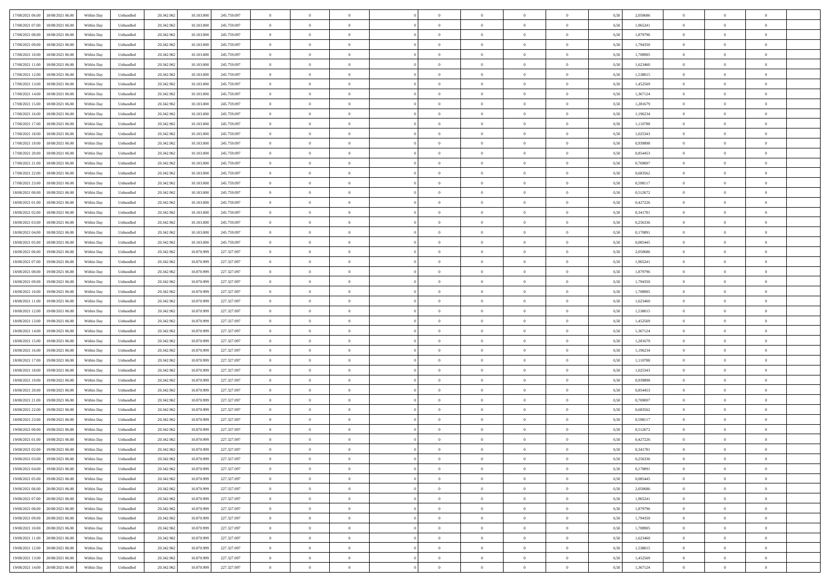| 17/08/2021 06:00 18/08/2021 06:00              | Within Day | Unbundled | 20.342.962 | 10.103.000 | 245.759.097 | $\overline{0}$ | $\overline{0}$ |                | $\overline{0}$ | $\theta$       |                | $\theta$       | 0,50 | 2,050686 | $\theta$       | $\theta$       | $\overline{0}$ |  |
|------------------------------------------------|------------|-----------|------------|------------|-------------|----------------|----------------|----------------|----------------|----------------|----------------|----------------|------|----------|----------------|----------------|----------------|--|
| 17/08/2021 07:00<br>18/08/2021 06:00           | Within Day | Unbundled | 20.342.96  | 10.103.00  | 245.759.097 | $\bf{0}$       | $\overline{0}$ | $\bf{0}$       | $\overline{0}$ | $\theta$       | $\overline{0}$ | $\bf{0}$       | 0,50 | 1,965241 | $\,$ 0 $\,$    | $\bf{0}$       | $\overline{0}$ |  |
| 17/08/2021 08:00<br>18/08/2021 06:00           | Within Day | Unbundled | 20.342.962 | 10,103,000 | 245.759.097 | $\overline{0}$ | $\overline{0}$ | $\overline{0}$ | $\bf{0}$       | $\bf{0}$       | $\overline{0}$ | $\bf{0}$       | 0.50 | 1.879796 | $\bf{0}$       | $\overline{0}$ | $\overline{0}$ |  |
| 17/08/2021 09:00<br>18/08/2021 06:00           | Within Day | Unbundled | 20.342.96  | 10.103.000 | 245.759.097 | $\overline{0}$ | $\overline{0}$ | $\overline{0}$ | $\theta$       | $\theta$       | $\overline{0}$ | $\overline{0}$ | 0,50 | 1,794350 | $\theta$       | $\theta$       | $\overline{0}$ |  |
| 17/08/2021 10:00<br>18/08/2021 06:00           | Within Day | Unbundled | 20.342.96  | 10.103.00  | 245.759.097 | $\overline{0}$ | $\theta$       | $\overline{0}$ | $\overline{0}$ | $\theta$       | $\overline{0}$ | $\bf{0}$       | 0,50 | 1,708905 | $\,$ 0 $\,$    | $\theta$       | $\overline{0}$ |  |
|                                                |            |           |            |            |             |                |                |                |                |                |                |                |      |          |                |                |                |  |
| 17/08/2021 11:00<br>18/08/2021 06:00           | Within Day | Unbundled | 20.342.962 | 10.103.00  | 245.759.097 | $\overline{0}$ | $\overline{0}$ | $\overline{0}$ | $\overline{0}$ | $\overline{0}$ | $\Omega$       | $\bf{0}$       | 0.50 | 1.623460 | $\bf{0}$       | $\theta$       | $\overline{0}$ |  |
| 17/08/2021 12:00<br>18/08/2021 06:00           | Within Day | Unbundled | 20.342.96  | 10.103.000 | 245.759.097 | $\overline{0}$ | $\overline{0}$ | $\overline{0}$ | $\overline{0}$ | $\theta$       | $\overline{0}$ | $\bf{0}$       | 0,50 | 1,538015 | $\theta$       | $\theta$       | $\overline{0}$ |  |
| 17/08/2021 13:00<br>18/08/2021 06:00           | Within Day | Unbundled | 20.342.96  | 10.103.00  | 245.759.097 | $\bf{0}$       | $\overline{0}$ | $\bf{0}$       | $\overline{0}$ | $\overline{0}$ | $\overline{0}$ | $\bf{0}$       | 0,50 | 1,452569 | $\,$ 0 $\,$    | $\bf{0}$       | $\overline{0}$ |  |
| 17/08/2021 14:00<br>18/08/2021 06:00           | Within Day | Unbundled | 20.342.96  | 10.103.00  | 245.759.097 | $\overline{0}$ | $\overline{0}$ | $\overline{0}$ | $\bf{0}$       | $\overline{0}$ | $\overline{0}$ | $\bf{0}$       | 0.50 | 1.367124 | $\bf{0}$       | $\theta$       | $\overline{0}$ |  |
| 17/08/2021 15:00<br>18/08/2021 06:00           | Within Day | Unbundled | 20.342.962 | 10.103.000 | 245.759.097 | $\overline{0}$ | $\bf{0}$       | $\overline{0}$ | $\overline{0}$ | $\theta$       | $\overline{0}$ | $\bf{0}$       | 0,50 | 1,281679 | $\theta$       | $\theta$       | $\overline{0}$ |  |
| 17/08/2021 16:00<br>18/08/2021 06:00           | Within Day | Unbundled | 20.342.96  | 10.103.00  | 245.759.097 | $\bf{0}$       | $\overline{0}$ | $\bf{0}$       | $\overline{0}$ | $\bf{0}$       | $\overline{0}$ | $\bf{0}$       | 0,50 | 1,196234 | $\,$ 0 $\,$    | $\bf{0}$       | $\overline{0}$ |  |
| 17/08/2021 17:00<br>18/08/2021 06:00           | Within Day | Unbundled | 20.342.962 | 10,103,000 | 245.759.097 | $\overline{0}$ | $\overline{0}$ | $\overline{0}$ | $\bf{0}$       | $\bf{0}$       | $\overline{0}$ | $\bf{0}$       | 0.50 | 1.110788 | $\bf{0}$       | $\overline{0}$ | $\bf{0}$       |  |
| 17/08/2021 18:00<br>18/08/2021 06:00           | Within Day | Unbundled | 20.342.96  | 10.103.000 | 245.759.097 | $\overline{0}$ | $\overline{0}$ | $\overline{0}$ | $\overline{0}$ | $\theta$       | $\overline{0}$ | $\overline{0}$ | 0,50 | 1,025343 | $\theta$       | $\theta$       | $\overline{0}$ |  |
|                                                |            |           |            |            |             |                |                |                |                |                |                |                |      |          |                |                |                |  |
| 17/08/2021 19:00<br>18/08/2021 06:00           | Within Day | Unbundled | 20.342.96  | 10.103.00  | 245.759.097 | $\overline{0}$ | $\theta$       | $\bf{0}$       | $\overline{0}$ | $\theta$       | $\overline{0}$ | $\bf{0}$       | 0,50 | 0,939898 | $\bf{0}$       | $\bf{0}$       | $\overline{0}$ |  |
| 17/08/2021 20:00<br>18/08/2021 06:00           | Within Day | Unbundled | 20.342.962 | 10.103,000 | 245.759.097 | $\overline{0}$ | $\overline{0}$ | $\overline{0}$ | $\bf{0}$       | $\theta$       | $\theta$       | $\bf{0}$       | 0.50 | 0.854453 | $\theta$       | $\overline{0}$ | $\overline{0}$ |  |
| 17/08/2021 21:00<br>18/08/2021 06:00           | Within Day | Unbundled | 20.342.962 | 10.103.000 | 245.759.097 | $\overline{0}$ | $\overline{0}$ | $\overline{0}$ | $\overline{0}$ | $\theta$       | $\overline{0}$ | $\bf{0}$       | 0,50 | 0,769007 | $\theta$       | $\theta$       | $\overline{0}$ |  |
| 17/08/2021 22:00<br>18/08/2021 06:00           | Within Day | Unbundled | 20.342.96  | 10.103.00  | 245.759.097 | $\bf{0}$       | $\overline{0}$ | $\overline{0}$ | $\overline{0}$ | $\theta$       | $\overline{0}$ | $\bf{0}$       | 0,50 | 0,683562 | $\,$ 0 $\,$    | $\theta$       | $\overline{0}$ |  |
| 17/08/2021 23:00<br>18/08/2021 06:00           | Within Day | Unbundled | 20,342.96  | 10.103.00  | 245.759.097 | $\overline{0}$ | $\overline{0}$ | $\overline{0}$ | $\bf{0}$       | $\overline{0}$ | $\overline{0}$ | $\bf{0}$       | 0.50 | 0.598117 | $\bf{0}$       | $\overline{0}$ | $\overline{0}$ |  |
| 18/08/2021 00:00<br>18/08/2021 06:00           | Within Day | Unbundled | 20.342.962 | 10.103.000 | 245.759.097 | $\overline{0}$ | $\overline{0}$ | $\overline{0}$ | $\overline{0}$ | $\overline{0}$ | $\overline{0}$ | $\bf{0}$       | 0,50 | 0,512672 | $\,$ 0 $\,$    | $\theta$       | $\overline{0}$ |  |
| 18/08/2021 01:00<br>18/08/2021 06:00           | Within Day | Unbundled | 20.342.96  | 10.103.00  | 245.759.097 | $\bf{0}$       | $\overline{0}$ | $\bf{0}$       | $\bf{0}$       | $\overline{0}$ | $\overline{0}$ | $\bf{0}$       | 0,50 | 0,427226 | $\,$ 0 $\,$    | $\bf{0}$       | $\overline{0}$ |  |
|                                                |            |           |            |            |             |                |                |                |                |                |                |                |      |          |                |                |                |  |
| 18/08/2021 02:00<br>18/08/2021 06:00           | Within Day | Unbundled | 20.342.962 | 10,103,000 | 245.759.097 | $\overline{0}$ | $\overline{0}$ | $\overline{0}$ | $\bf{0}$       | $\bf{0}$       | $\overline{0}$ | $\bf{0}$       | 0.50 | 0.341781 | $\bf{0}$       | $\overline{0}$ | $\overline{0}$ |  |
| 18/08/2021 03:00<br>18/08/2021 06:00           | Within Day | Unbundled | 20.342.96  | 10.103.000 | 245.759.097 | $\overline{0}$ | $\overline{0}$ | $\overline{0}$ | $\theta$       | $\theta$       | $\overline{0}$ | $\overline{0}$ | 0,50 | 0,256336 | $\theta$       | $\theta$       | $\overline{0}$ |  |
| 18/08/2021 04:00<br>18/08/2021 06:00           | Within Day | Unbundled | 20.342.96  | 10.103.00  | 245.759.097 | $\bf{0}$       | $\overline{0}$ | $\bf{0}$       | $\overline{0}$ | $\theta$       | $\overline{0}$ | $\bf{0}$       | 0,50 | 0,170891 | $\,$ 0 $\,$    | $\bf{0}$       | $\overline{0}$ |  |
| 18/08/2021 05:00<br>18/08/2021 06:00           | Within Day | Unbundled | 20.342.962 | 10.103.00  | 245.759.097 | $\overline{0}$ | $\overline{0}$ | $\overline{0}$ | $\overline{0}$ | $\overline{0}$ | $\Omega$       | $\bf{0}$       | 0.50 | 0.085445 | $\bf{0}$       | $\theta$       | $\overline{0}$ |  |
| 18/08/2021 06:00<br>19/08/2021 06:00           | Within Day | Unbundled | 20.342.962 | 10.870.999 | 227.327.097 | $\overline{0}$ | $\overline{0}$ | $\overline{0}$ | $\overline{0}$ | $\theta$       | $\overline{0}$ | $\bf{0}$       | 0,50 | 2,050686 | $\theta$       | $\theta$       | $\overline{0}$ |  |
| 18/08/2021 07:00<br>19/08/2021 06:00           | Within Day | Unbundled | 20.342.96  | 10.870.999 | 227.327.097 | $\bf{0}$       | $\theta$       | $\overline{0}$ | $\overline{0}$ | $\theta$       | $\overline{0}$ | $\bf{0}$       | 0,50 | 1,965241 | $\,$ 0 $\,$    | $\bf{0}$       | $\overline{0}$ |  |
| 18/08/2021 08:00<br>19/08/2021 06:00           | Within Day | Unbundled | 20.342.96  | 10.870.999 | 227.327.097 | $\overline{0}$ | $\overline{0}$ | $\overline{0}$ | $\bf{0}$       | $\overline{0}$ | $\overline{0}$ | $\bf{0}$       | 0.50 | 1.879796 | $\bf{0}$       | $\theta$       | $\overline{0}$ |  |
| 18/08/2021 09:00<br>19/08/2021 06:00           | Within Day | Unbundled | 20.342.962 | 10.870.999 | 227.327.097 | $\overline{0}$ | $\overline{0}$ | $\overline{0}$ | $\overline{0}$ | $\theta$       | $\overline{0}$ | $\bf{0}$       | 0,50 | 1,794350 | $\theta$       | $\theta$       | $\overline{0}$ |  |
|                                                |            |           |            |            |             |                |                |                |                |                |                |                |      |          |                |                |                |  |
| 18/08/2021 10:00<br>19/08/2021 06:00           | Within Day | Unbundled | 20.342.96  | 10.870.999 | 227.327.097 | $\bf{0}$       | $\bf{0}$       | $\bf{0}$       | $\bf{0}$       | $\overline{0}$ | $\overline{0}$ | $\bf{0}$       | 0,50 | 1,708905 | $\,$ 0 $\,$    | $\bf{0}$       | $\overline{0}$ |  |
| 18/08/2021 11:00<br>19/08/2021 06:00           | Within Day | Unbundled | 20.342.962 | 10.870.999 | 227.327.097 | $\overline{0}$ | $\overline{0}$ | $\overline{0}$ | $\bf{0}$       | $\bf{0}$       | $\overline{0}$ | $\bf{0}$       | 0.50 | 1.623460 | $\bf{0}$       | $\overline{0}$ | $\overline{0}$ |  |
| 18/08/2021 12:00<br>19/08/2021 06:00           | Within Day | Unbundled | 20.342.96  | 10.870.999 | 227.327.097 | $\overline{0}$ | $\overline{0}$ | $\overline{0}$ | $\overline{0}$ | $\theta$       | $\overline{0}$ | $\bf{0}$       | 0.50 | 1,538015 | $\theta$       | $\theta$       | $\overline{0}$ |  |
| 18/08/2021 13:00<br>19/08/2021 06:00           | Within Day | Unbundled | 20.342.96  | 10.870.99  | 227.327.097 | $\bf{0}$       | $\overline{0}$ | $\bf{0}$       | $\overline{0}$ | $\overline{0}$ | $\overline{0}$ | $\bf{0}$       | 0,50 | 1,452569 | $\,$ 0 $\,$    | $\bf{0}$       | $\overline{0}$ |  |
| 18/08/2021 14:00<br>19/08/2021 06:00           | Within Day | Unbundled | 20.342.962 | 10.870.999 | 227.327.097 | $\overline{0}$ | $\overline{0}$ | $\overline{0}$ | $\bf{0}$       | $\theta$       | $\Omega$       | $\bf{0}$       | 0.50 | 1.367124 | $\,$ 0 $\,$    | $\overline{0}$ | $\overline{0}$ |  |
| 18/08/2021 15:00<br>19/08/2021 06:00           | Within Dav | Unbundled | 20.342.96  | 10.870.999 | 227.327.097 | $\overline{0}$ | $\overline{0}$ | $\Omega$       | $\overline{0}$ | $\theta$       | $\overline{0}$ | $\overline{0}$ | 0.50 | 1,281679 | $\theta$       | $\theta$       | $\overline{0}$ |  |
| 18/08/2021 16:00<br>19/08/2021 06:00           | Within Day | Unbundled | 20.342.96  | 10.870.999 | 227.327.097 | $\bf{0}$       | $\overline{0}$ | $\bf{0}$       | $\overline{0}$ | $\theta$       | $\overline{0}$ | $\bf{0}$       | 0,50 | 1,196234 | $\,$ 0 $\,$    | $\bf{0}$       | $\overline{0}$ |  |
| 18/08/2021 17:00<br>19/08/2021 06:00           | Within Day | Unbundled | 20.342.96  | 10.870.999 | 227.327.097 | $\overline{0}$ | $\overline{0}$ | $\overline{0}$ | $\bf{0}$       | $\overline{0}$ | $\overline{0}$ | $\bf{0}$       | 0.50 | 1.110788 | $\bf{0}$       | $\theta$       | $\overline{0}$ |  |
| 18/08/2021 18:00<br>19/08/2021 06:00           | Within Dav | Unbundled | 20.342.96  | 10.870.999 | 227.327.097 | $\overline{0}$ | $\overline{0}$ | $\overline{0}$ | $\overline{0}$ | $\overline{0}$ | $\overline{0}$ | $\overline{0}$ | 0.50 | 1,025343 | $\theta$       | $\theta$       | $\overline{0}$ |  |
|                                                |            |           |            |            |             |                |                |                |                |                |                |                |      |          |                |                |                |  |
| 18/08/2021 19:00<br>19/08/2021 06:00           | Within Day | Unbundled | 20.342.96  | 10.870.999 | 227.327.097 | $\bf{0}$       | $\bf{0}$       | $\bf{0}$       | $\bf{0}$       | $\overline{0}$ | $\overline{0}$ | $\bf{0}$       | 0,50 | 0,939898 | $\,$ 0 $\,$    | $\bf{0}$       | $\overline{0}$ |  |
| 18/08/2021 20:00<br>19/08/2021 06:00           | Within Day | Unbundled | 20.342.962 | 10.870.999 | 227.327.097 | $\overline{0}$ | $\bf{0}$       | $\overline{0}$ | $\bf{0}$       | $\bf{0}$       | $\overline{0}$ | $\bf{0}$       | 0.50 | 0.854453 | $\bf{0}$       | $\overline{0}$ | $\overline{0}$ |  |
| 18/08/2021 21:00<br>19/08/2021 06:00           | Within Dav | Unbundled | 20.342.96  | 10.870.999 | 227.327.097 | $\overline{0}$ | $\overline{0}$ | $\Omega$       | $\overline{0}$ | $\theta$       | $\overline{0}$ | $\bf{0}$       | 0.50 | 0.769007 | $\theta$       | $\theta$       | $\overline{0}$ |  |
| 18/08/2021 22:00<br>19/08/2021 06:00           | Within Day | Unbundled | 20.342.96  | 10.870.999 | 227.327.097 | $\bf{0}$       | $\overline{0}$ | $\bf{0}$       | $\overline{0}$ | $\overline{0}$ | $\overline{0}$ | $\bf{0}$       | 0,50 | 0,683562 | $\,$ 0 $\,$    | $\bf{0}$       | $\overline{0}$ |  |
| 18/08/2021 23:00<br>19/08/2021 06:00           | Within Day | Unbundled | 20.342.962 | 10.870.999 | 227.327.097 | $\overline{0}$ | $\overline{0}$ | $\Omega$       | $\overline{0}$ | $\theta$       | $\theta$       | $\overline{0}$ | 0.50 | 0.598117 | $\,$ 0 $\,$    | $\overline{0}$ | $\overline{0}$ |  |
| 19/08/2021 00:00<br>19/08/2021 06:00           | Within Dav | Unbundled | 20.342.96  | 10.870.999 | 227.327.097 | $\overline{0}$ | $\overline{0}$ | $\Omega$       | $\overline{0}$ | $\theta$       | $\Omega$       | $\overline{0}$ | 0.5( | 0,512672 | $\theta$       | $\theta$       | $\overline{0}$ |  |
| 19/08/2021 01:00<br>19/08/2021 06:00           | Within Day | Unbundled | 20.342.96  | 10.870.999 | 227.327.097 | $\bf{0}$       | $\bf{0}$       | $\overline{0}$ | $\bf{0}$       | $\bf{0}$       | $\overline{0}$ | $\bf{0}$       | 0,50 | 0,427226 | $\,$ 0 $\,$    | $\bf{0}$       | $\overline{0}$ |  |
| $19/08/2021\; 02.00 \qquad 19/08/2021\; 06.00$ | Within Day | Unbundled | 20.342.962 | 10.870.999 | 227.327.097 | $\overline{0}$ | $\Omega$       |                | $\Omega$       |                |                |                | 0,50 | 0,341781 | $\theta$       | $\overline{0}$ |                |  |
| 19/08/2021 03:00 19/08/2021 06:00              | Within Day | Unbundled | 20.342.962 | 10.870.999 | 227.327.097 | $\overline{0}$ | $\overline{0}$ | $\Omega$       | $\theta$       | $\overline{0}$ | $\overline{0}$ | $\bf{0}$       | 0,50 | 0,256336 | $\theta$       | $\theta$       | $\overline{0}$ |  |
|                                                |            |           |            |            |             |                |                |                |                |                |                |                |      |          |                |                |                |  |
| 19/08/2021 04:00<br>19/08/2021 06:00           | Within Day | Unbundled | 20.342.96  | 10.870.999 | 227.327.097 | $\overline{0}$ | $\bf{0}$       | $\overline{0}$ | $\overline{0}$ | $\bf{0}$       | $\overline{0}$ | $\bf{0}$       | 0,50 | 0,170891 | $\bf{0}$       | $\overline{0}$ | $\bf{0}$       |  |
| 19/08/2021 05:00 19/08/2021 06:00              | Within Day | Unbundled | 20.342.962 | 10.870.999 | 227.327.097 | $\overline{0}$ | $\bf{0}$       | $\overline{0}$ | $\overline{0}$ | $\mathbf{0}$   | $\overline{0}$ | $\,$ 0 $\,$    | 0.50 | 0.085445 | $\overline{0}$ | $\bf{0}$       | $\,$ 0 $\,$    |  |
| 19/08/2021 06:00 20/08/2021 06:00              | Within Day | Unbundled | 20.342.962 | 10.870.999 | 227.327.097 | $\overline{0}$ | $\overline{0}$ | $\overline{0}$ | $\overline{0}$ | $\overline{0}$ | $\overline{0}$ | $\bf{0}$       | 0,50 | 2,050686 | $\theta$       | $\theta$       | $\overline{0}$ |  |
| 19/08/2021 07:00<br>20/08/2021 06:00           | Within Day | Unbundled | 20.342.962 | 10.870.999 | 227.327.097 | $\overline{0}$ | $\bf{0}$       | $\overline{0}$ | $\overline{0}$ | $\overline{0}$ | $\overline{0}$ | $\bf{0}$       | 0,50 | 1,965241 | $\bf{0}$       | $\overline{0}$ | $\overline{0}$ |  |
| 19/08/2021 08:00<br>20/08/2021 06:00           | Within Day | Unbundled | 20.342.962 | 10.870.999 | 227.327.097 | $\overline{0}$ | $\bf{0}$       | $\overline{0}$ | $\overline{0}$ | $\overline{0}$ | $\overline{0}$ | $\bf{0}$       | 0.50 | 1.879796 | $\,$ 0 $\,$    | $\theta$       | $\overline{0}$ |  |
| 19/08/2021 09:00 20/08/2021 06:00              | Within Dav | Unbundled | 20.342.962 | 10.870.999 | 227.327.097 | $\overline{0}$ | $\overline{0}$ | $\overline{0}$ | $\overline{0}$ | $\overline{0}$ | $\overline{0}$ | $\bf{0}$       | 0.50 | 1,794350 | $\overline{0}$ | $\theta$       | $\overline{0}$ |  |
| 19/08/2021 10:00<br>20/08/2021 06:00           | Within Day | Unbundled | 20.342.96  | 10.870.999 | 227.327.097 | $\overline{0}$ | $\overline{0}$ | $\overline{0}$ | $\overline{0}$ | $\overline{0}$ | $\overline{0}$ | $\bf{0}$       | 0,50 | 1,708905 | $\bf{0}$       | $\overline{0}$ | $\overline{0}$ |  |
|                                                |            |           |            |            |             |                |                |                |                |                |                |                |      |          |                |                |                |  |
| 19/08/2021 11:00 20/08/2021 06:00              | Within Day | Unbundled | 20.342.962 | 10.870.999 | 227.327.097 | $\overline{0}$ | $\overline{0}$ | $\overline{0}$ | $\overline{0}$ | $\bf{0}$       | $\overline{0}$ | $\bf{0}$       | 0.50 | 1.623460 | $\overline{0}$ | $\bf{0}$       | $\,$ 0         |  |
| 19/08/2021 12:00 20/08/2021 06:00              | Within Dav | Unbundled | 20.342.962 | 10.870.999 | 227.327.097 | $\overline{0}$ | $\overline{0}$ | $\overline{0}$ | $\overline{0}$ | $\overline{0}$ | $\overline{0}$ | $\bf{0}$       | 0,50 | 1,538015 | $\overline{0}$ | $\theta$       | $\overline{0}$ |  |
| 19/08/2021 13:00<br>20/08/2021 06:00           | Within Day | Unbundled | 20.342.96  | 10.870.999 | 227.327.097 | $\overline{0}$ | $\bf{0}$       | $\overline{0}$ | $\bf{0}$       | $\overline{0}$ | $\overline{0}$ | $\bf{0}$       | 0,50 | 1,452569 | $\bf{0}$       | $\bf{0}$       | $\overline{0}$ |  |
| 19/08/2021 14:00 20/08/2021 06:00              | Within Day | Unbundled | 20.342.962 | 10.870.999 | 227.327.097 | $\overline{0}$ | $\bf{0}$       | $\overline{0}$ | $\overline{0}$ | $\,$ 0 $\,$    | $\overline{0}$ | $\bf{0}$       | 0,50 | 1,367124 | $\overline{0}$ | $\,$ 0 $\,$    | $\,$ 0 $\,$    |  |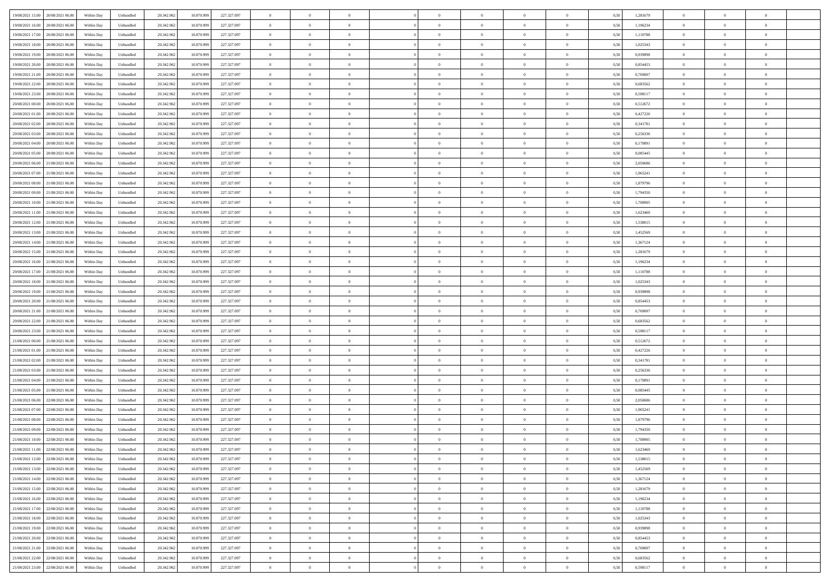|                                         |            |           |            |            |             | $\overline{0}$ | $\theta$       |                | $\overline{0}$ | $\theta$       |                | $\theta$       |      |          | $\theta$       | $\theta$       | $\overline{0}$ |  |
|-----------------------------------------|------------|-----------|------------|------------|-------------|----------------|----------------|----------------|----------------|----------------|----------------|----------------|------|----------|----------------|----------------|----------------|--|
| 19/08/2021 15:00 20/08/2021 06:00       | Within Day | Unbundled | 20.342.962 | 10.870.999 | 227.327.097 |                |                |                |                |                |                |                | 0,50 | 1,281679 |                |                |                |  |
| 19/08/2021 16:00<br>20/08/2021 06:00    | Within Day | Unbundled | 20.342.96  | 10.870.99  | 227.327.097 | $\bf{0}$       | $\overline{0}$ | $\bf{0}$       | $\overline{0}$ | $\overline{0}$ | $\overline{0}$ | $\bf{0}$       | 0,50 | 1,196234 | $\,$ 0 $\,$    | $\bf{0}$       | $\overline{0}$ |  |
| 19/08/2021 17:00<br>20/08/2021 06:00    | Within Day | Unbundled | 20.342.962 | 10.870.999 | 227.327.097 | $\overline{0}$ | $\bf{0}$       | $\overline{0}$ | $\bf{0}$       | $\bf{0}$       | $\overline{0}$ | $\bf{0}$       | 0.50 | 1.110788 | $\bf{0}$       | $\overline{0}$ | $\overline{0}$ |  |
| 19/08/2021 18:00<br>20/08/2021 06:00    | Within Day | Unbundled | 20.342.96  | 10.870.999 | 227.327.097 | $\overline{0}$ | $\overline{0}$ | $\overline{0}$ | $\theta$       | $\theta$       | $\overline{0}$ | $\overline{0}$ | 0,50 | 1,025343 | $\theta$       | $\theta$       | $\overline{0}$ |  |
| 19/08/2021 19:00<br>20/08/2021 06:00    | Within Day | Unbundled | 20.342.96  | 10.870.999 | 227.327.097 | $\overline{0}$ | $\overline{0}$ | $\bf{0}$       | $\overline{0}$ | $\theta$       | $\overline{0}$ | $\bf{0}$       | 0,50 | 0,939898 | $\,$ 0 $\,$    | $\bf{0}$       | $\overline{0}$ |  |
|                                         |            |           |            |            |             |                |                |                |                |                |                |                |      |          |                |                |                |  |
| 19/08/2021 20:00<br>20/08/2021 06:00    | Within Day | Unbundled | 20.342.962 | 10.870.999 | 227.327.097 | $\overline{0}$ | $\overline{0}$ | $\overline{0}$ | $\overline{0}$ | $\overline{0}$ | $\theta$       | $\bf{0}$       | 0.50 | 0.854453 | $\,$ 0 $\,$    | $\theta$       | $\overline{0}$ |  |
| 19/08/2021 21:00<br>20/08/2021 06:00    | Within Day | Unbundled | 20.342.962 | 10.870.999 | 227.327.097 | $\overline{0}$ | $\overline{0}$ | $\overline{0}$ | $\overline{0}$ | $\overline{0}$ | $\overline{0}$ | $\bf{0}$       | 0,50 | 0,769007 | $\theta$       | $\theta$       | $\overline{0}$ |  |
| 19/08/2021 22:00<br>20/08/2021 06:00    | Within Day | Unbundled | 20.342.96  | 10.870.99  | 227.327.097 | $\bf{0}$       | $\overline{0}$ | $\overline{0}$ | $\overline{0}$ | $\overline{0}$ | $\overline{0}$ | $\bf{0}$       | 0,50 | 0,683562 | $\,$ 0 $\,$    | $\bf{0}$       | $\overline{0}$ |  |
| 19/08/2021 23:00<br>20/08/2021 06:00    | Within Day | Unbundled | 20.342.96  | 10.870.999 | 227.327.097 | $\overline{0}$ | $\bf{0}$       | $\overline{0}$ | $\bf{0}$       | $\overline{0}$ | $\overline{0}$ | $\bf{0}$       | 0.50 | 0.598117 | $\bf{0}$       | $\overline{0}$ | $\overline{0}$ |  |
| 20/08/2021 00:00<br>20/08/2021 06:00    | Within Day | Unbundled | 20.342.962 | 10.870.999 | 227.327.097 | $\overline{0}$ | $\bf{0}$       | $\overline{0}$ | $\overline{0}$ | $\overline{0}$ | $\overline{0}$ | $\bf{0}$       | 0,50 | 0,512672 | $\theta$       | $\theta$       | $\overline{0}$ |  |
| 20/08/2021 01:00<br>20/08/2021 06:00    | Within Day | Unbundled | 20.342.96  | 10.870.999 | 227.327.097 | $\bf{0}$       | $\overline{0}$ | $\bf{0}$       | $\overline{0}$ | $\bf{0}$       | $\overline{0}$ | $\bf{0}$       | 0,50 | 0,427226 | $\,$ 0 $\,$    | $\bf{0}$       | $\overline{0}$ |  |
| 20/08/2021 02:00<br>20/08/2021 06:00    | Within Day | Unbundled | 20.342.962 | 10.870.999 | 227.327.097 | $\overline{0}$ | $\bf{0}$       | $\overline{0}$ | $\bf{0}$       | $\bf{0}$       | $\overline{0}$ | $\bf{0}$       | 0.50 | 0.341781 | $\bf{0}$       | $\overline{0}$ | $\bf{0}$       |  |
|                                         |            |           |            |            |             |                |                |                |                |                |                |                |      |          |                |                |                |  |
| 20/08/2021 03:00<br>20/08/2021 06:00    | Within Day | Unbundled | 20.342.96  | 10.870.999 | 227.327.097 | $\overline{0}$ | $\overline{0}$ | $\overline{0}$ | $\overline{0}$ | $\theta$       | $\overline{0}$ | $\overline{0}$ | 0,50 | 0,256336 | $\theta$       | $\theta$       | $\overline{0}$ |  |
| 20/08/2021 04:00<br>20/08/2021 06:00    | Within Day | Unbundled | 20.342.96  | 10.870.99  | 227.327.097 | $\bf{0}$       | $\theta$       | $\bf{0}$       | $\overline{0}$ | $\theta$       | $\overline{0}$ | $\bf{0}$       | 0,50 | 0,170891 | $\,$ 0 $\,$    | $\bf{0}$       | $\overline{0}$ |  |
| 20/08/2021 05:00<br>20/08/2021 06:00    | Within Day | Unbundled | 20.342.962 | 10.870.999 | 227.327.097 | $\overline{0}$ | $\overline{0}$ | $\overline{0}$ | $\bf{0}$       | $\overline{0}$ | $\Omega$       | $\bf{0}$       | 0.50 | 0.085445 | $\theta$       | $\theta$       | $\overline{0}$ |  |
| 20/08/2021 06:00<br>21/08/2021 06:00    | Within Day | Unbundled | 20.342.962 | 10.870.999 | 227.327.097 | $\overline{0}$ | $\overline{0}$ | $\overline{0}$ | $\overline{0}$ | $\overline{0}$ | $\overline{0}$ | $\bf{0}$       | 0,50 | 2,050686 | $\theta$       | $\theta$       | $\overline{0}$ |  |
| 20/08/2021 07:00<br>21/08/2021 06:00    | Within Day | Unbundled | 20.342.96  | 10.870.999 | 227.327.097 | $\bf{0}$       | $\overline{0}$ | $\overline{0}$ | $\overline{0}$ | $\theta$       | $\overline{0}$ | $\bf{0}$       | 0,50 | 1,965241 | $\,$ 0 $\,$    | $\bf{0}$       | $\overline{0}$ |  |
| 20/08/2021 08:00<br>21/08/2021 06:00    | Within Day | Unbundled | 20.342.96  | 10.870.999 | 227.327.097 | $\overline{0}$ | $\bf{0}$       | $\overline{0}$ | $\bf{0}$       | $\overline{0}$ | $\overline{0}$ | $\bf{0}$       | 0.50 | 1.879796 | $\bf{0}$       | $\overline{0}$ | $\overline{0}$ |  |
| 20/08/2021 09:00<br>21/08/2021 06:00    | Within Day | Unbundled | 20.342.962 | 10.870.999 | 227.327.097 | $\overline{0}$ | $\overline{0}$ | $\overline{0}$ | $\overline{0}$ | $\overline{0}$ | $\overline{0}$ | $\bf{0}$       | 0,50 | 1,794350 | $\,$ 0 $\,$    | $\theta$       | $\overline{0}$ |  |
|                                         |            |           |            |            |             |                |                |                |                |                |                |                |      |          |                |                |                |  |
| 20/08/2021 10:00<br>21/08/2021 06:00    | Within Day | Unbundled | 20.342.96  | 10.870.999 | 227.327.097 | $\bf{0}$       | $\bf{0}$       | $\bf{0}$       | $\bf{0}$       | $\overline{0}$ | $\overline{0}$ | $\bf{0}$       | 0,50 | 1,708905 | $\,$ 0 $\,$    | $\bf{0}$       | $\overline{0}$ |  |
| 20/08/2021 11:00<br>21/08/2021 06:00    | Within Day | Unbundled | 20.342.962 | 10.870.999 | 227.327.097 | $\overline{0}$ | $\bf{0}$       | $\overline{0}$ | $\bf{0}$       | $\bf{0}$       | $\overline{0}$ | $\bf{0}$       | 0.50 | 1.623460 | $\bf{0}$       | $\overline{0}$ | $\bf{0}$       |  |
| 20/08/2021 12:00<br>21/08/2021 06:00    | Within Day | Unbundled | 20.342.96  | 10.870.999 | 227.327.097 | $\overline{0}$ | $\overline{0}$ | $\overline{0}$ | $\theta$       | $\theta$       | $\overline{0}$ | $\overline{0}$ | 0,50 | 1,538015 | $\theta$       | $\theta$       | $\overline{0}$ |  |
| 20/08/2021 13:00<br>21/08/2021 06:00    | Within Day | Unbundled | 20.342.96  | 10.870.999 | 227.327.097 | $\bf{0}$       | $\overline{0}$ | $\bf{0}$       | $\overline{0}$ | $\theta$       | $\overline{0}$ | $\bf{0}$       | 0,50 | 1,452569 | $\,$ 0 $\,$    | $\bf{0}$       | $\overline{0}$ |  |
| 20/08/2021 14:00<br>21/08/2021 06:00    | Within Day | Unbundled | 20.342.962 | 10.870.999 | 227.327.097 | $\overline{0}$ | $\overline{0}$ | $\overline{0}$ | $\overline{0}$ | $\overline{0}$ | $\Omega$       | $\bf{0}$       | 0.50 | 1.367124 | $\,$ 0 $\,$    | $\theta$       | $\overline{0}$ |  |
| 20/08/2021 15:00<br>21/08/2021 06:00    | Within Day | Unbundled | 20.342.962 | 10.870.999 | 227.327.097 | $\overline{0}$ | $\overline{0}$ | $\overline{0}$ | $\overline{0}$ | $\theta$       | $\overline{0}$ | $\bf{0}$       | 0,50 | 1,281679 | $\theta$       | $\theta$       | $\overline{0}$ |  |
| 20/08/2021 16:00<br>21/08/2021 06:00    | Within Day | Unbundled | 20.342.96  | 10.870.999 | 227.327.097 | $\bf{0}$       | $\overline{0}$ | $\bf{0}$       | $\overline{0}$ | $\theta$       | $\overline{0}$ | $\bf{0}$       | 0,50 | 1,196234 | $\,$ 0 $\,$    | $\bf{0}$       | $\overline{0}$ |  |
|                                         |            |           |            |            |             |                |                |                |                |                |                |                |      |          |                |                |                |  |
| 20/08/2021 17:00<br>21/08/2021 06:00    | Within Day | Unbundled | 20.342.96  | 10.870.999 | 227.327.097 | $\overline{0}$ | $\bf{0}$       | $\overline{0}$ | $\bf{0}$       | $\overline{0}$ | $\overline{0}$ | $\bf{0}$       | 0.50 | 1.110788 | $\bf{0}$       | $\overline{0}$ | $\overline{0}$ |  |
| 20/08/2021 18:00<br>21/08/2021 06:00    | Within Day | Unbundled | 20.342.962 | 10.870.999 | 227.327.097 | $\overline{0}$ | $\overline{0}$ | $\overline{0}$ | $\overline{0}$ | $\overline{0}$ | $\overline{0}$ | $\bf{0}$       | 0,50 | 1,025343 | $\theta$       | $\theta$       | $\overline{0}$ |  |
| 20/08/2021 19:00<br>21/08/2021 06:00    | Within Day | Unbundled | 20.342.96  | 10.870.999 | 227.327.097 | $\bf{0}$       | $\bf{0}$       | $\bf{0}$       | $\bf{0}$       | $\overline{0}$ | $\overline{0}$ | $\bf{0}$       | 0,50 | 0,939898 | $\,$ 0 $\,$    | $\bf{0}$       | $\overline{0}$ |  |
| 20/08/2021 20:00<br>21/08/2021 06:00    | Within Day | Unbundled | 20.342.962 | 10.870.999 | 227.327.097 | $\overline{0}$ | $\bf{0}$       | $\overline{0}$ | $\bf{0}$       | $\bf{0}$       | $\overline{0}$ | $\bf{0}$       | 0.50 | 0.854453 | $\bf{0}$       | $\overline{0}$ | $\bf{0}$       |  |
| 20/08/2021 21:00<br>21/08/2021 06:00    | Within Day | Unbundled | 20.342.96  | 10.870.999 | 227.327.097 | $\overline{0}$ | $\overline{0}$ | $\overline{0}$ | $\overline{0}$ | $\overline{0}$ | $\overline{0}$ | $\bf{0}$       | 0.5( | 0.769007 | $\theta$       | $\theta$       | $\overline{0}$ |  |
| 20/08/2021 22:00<br>21/08/2021 06:00    | Within Day | Unbundled | 20.342.96  | 10.870.99  | 227.327.097 | $\bf{0}$       | $\overline{0}$ | $\bf{0}$       | $\overline{0}$ | $\overline{0}$ | $\overline{0}$ | $\bf{0}$       | 0,50 | 0,683562 | $\,$ 0 $\,$    | $\bf{0}$       | $\overline{0}$ |  |
| 20/08/2021 23:00<br>21/08/2021 06:00    | Within Day | Unbundled | 20.342.962 | 10.870.999 | 227.327.097 | $\overline{0}$ | $\overline{0}$ | $\overline{0}$ | $\bf{0}$       | $\overline{0}$ | $\Omega$       | $\bf{0}$       | 0.50 | 0.598117 | $\,$ 0 $\,$    | $\theta$       | $\overline{0}$ |  |
| 21/08/2021 00:00<br>21/08/2021 06:00    | Within Dav | Unbundled | 20.342.96  | 10.870.999 | 227.327.097 | $\overline{0}$ | $\overline{0}$ | $\overline{0}$ | $\overline{0}$ | $\overline{0}$ | $\overline{0}$ | $\overline{0}$ | 0.5( | 0,512672 | $\theta$       | $\theta$       | $\overline{0}$ |  |
|                                         |            |           |            |            |             |                | $\overline{0}$ |                |                |                | $\overline{0}$ |                |      |          |                |                |                |  |
| 21/08/2021 01:00<br>21/08/2021 06:00    | Within Day | Unbundled | 20.342.96  | 10.870.999 | 227.327.097 | $\bf{0}$       |                | $\bf{0}$       | $\overline{0}$ | $\bf{0}$       |                | $\bf{0}$       | 0,50 | 0,427226 | $\,$ 0 $\,$    | $\bf{0}$       | $\overline{0}$ |  |
| 21/08/2021 02:00<br>21/08/2021 06:00    | Within Day | Unbundled | 20.342.96  | 10.870.999 | 227.327.097 | $\overline{0}$ | $\bf{0}$       | $\overline{0}$ | $\bf{0}$       | $\overline{0}$ | $\overline{0}$ | $\bf{0}$       | 0.50 | 0.341781 | $\bf{0}$       | $\overline{0}$ | $\overline{0}$ |  |
| 21/08/2021 03:00<br>21/08/2021 06:00    | Within Dav | Unbundled | 20.342.96  | 10.870.999 | 227.327.097 | $\overline{0}$ | $\overline{0}$ | $\overline{0}$ | $\overline{0}$ | $\overline{0}$ | $\overline{0}$ | $\overline{0}$ | 0.50 | 0,256336 | $\theta$       | $\theta$       | $\overline{0}$ |  |
| 21/08/2021 04:00<br>21/08/2021 06:00    | Within Day | Unbundled | 20.342.96  | 10.870.999 | 227.327.097 | $\bf{0}$       | $\bf{0}$       | $\bf{0}$       | $\bf{0}$       | $\overline{0}$ | $\overline{0}$ | $\bf{0}$       | 0,50 | 0,170891 | $\,$ 0 $\,$    | $\bf{0}$       | $\overline{0}$ |  |
| 21/08/2021 05:00<br>21/08/2021 06:00    | Within Day | Unbundled | 20.342.962 | 10.870.999 | 227.327.097 | $\overline{0}$ | $\bf{0}$       | $\overline{0}$ | $\bf{0}$       | $\bf{0}$       | $\overline{0}$ | $\bf{0}$       | 0.50 | 0.085445 | $\bf{0}$       | $\overline{0}$ | $\overline{0}$ |  |
| 21/08/2021 06:00<br>22/08/2021 06:00    | Within Dav | Unbundled | 20.342.96  | 10.870.999 | 227.327.097 | $\overline{0}$ | $\overline{0}$ | $\overline{0}$ | $\overline{0}$ | $\theta$       | $\overline{0}$ | $\bf{0}$       | 0.50 | 2.050686 | $\theta$       | $\theta$       | $\overline{0}$ |  |
| 21/08/2021 07:00<br>22/08/2021 06:00    | Within Day | Unbundled | 20.342.96  | 10.870.999 | 227.327.097 | $\bf{0}$       | $\overline{0}$ | $\bf{0}$       | $\bf{0}$       | $\overline{0}$ | $\overline{0}$ | $\bf{0}$       | 0,50 | 1,965241 | $\,$ 0 $\,$    | $\bf{0}$       | $\overline{0}$ |  |
| 21/08/2021 08:00<br>22/08/2021 06:00    | Within Day | Unbundled | 20.342.962 | 10.870.999 | 227.327.097 | $\overline{0}$ | $\overline{0}$ | $\Omega$       | $\overline{0}$ | $\overline{0}$ | $\Omega$       | $\bf{0}$       | 0.50 | 1.879796 | $\bf{0}$       | $\theta$       | $\overline{0}$ |  |
| 21/08/2021 09:00<br>22/08/2021 06:00    | Within Dav | Unbundled | 20.342.96  | 10.870.999 | 227.327.097 | $\overline{0}$ | $\overline{0}$ | $\Omega$       | $\overline{0}$ | $\theta$       | $\Omega$       | $\overline{0}$ | 0.5( | 1,794350 | $\theta$       | $\theta$       | $\overline{0}$ |  |
|                                         |            |           |            |            |             |                |                |                |                |                |                |                |      |          |                |                |                |  |
| $21/08/2021\ 10.00$<br>22/08/2021 06:00 | Within Day | Unbundled | 20.342.96  | 10.870.999 | 227.327.097 | $\bf{0}$       | $\bf{0}$       | $\overline{0}$ | $\bf{0}$       | $\bf{0}$       | $\overline{0}$ | $\bf{0}$       | 0,50 | 1,708905 | $\,$ 0 $\,$    | $\bf{0}$       | $\overline{0}$ |  |
| 21/08/2021 11:00 22/08/2021 06:00       | Within Day | Unbundled | 20.342.962 | 10.870.999 | 227.327.097 | $\overline{0}$ | $\Omega$       |                | $\Omega$       |                |                |                | 0,50 | 1,623460 | $\bf{0}$       | $\overline{0}$ |                |  |
| 21/08/2021 12:00 22/08/2021 06:00       | Within Day | Unbundled | 20.342.962 | 10.870.999 | 227.327.097 | $\overline{0}$ | $\theta$       | $\Omega$       | $\theta$       | $\overline{0}$ | $\overline{0}$ | $\bf{0}$       | 0,50 | 1,538015 | $\theta$       | $\theta$       | $\overline{0}$ |  |
| 21/08/2021 13:00<br>22/08/2021 06:00    | Within Day | Unbundled | 20.342.96  | 10.870.999 | 227.327.097 | $\overline{0}$ | $\bf{0}$       | $\overline{0}$ | $\overline{0}$ | $\bf{0}$       | $\overline{0}$ | $\bf{0}$       | 0,50 | 1,452569 | $\bf{0}$       | $\overline{0}$ | $\bf{0}$       |  |
| 21/08/2021 14:00 22/08/2021 06:00       | Within Day | Unbundled | 20.342.962 | 10.870.999 | 227.327.097 | $\overline{0}$ | $\bf{0}$       | $\overline{0}$ | $\overline{0}$ | $\mathbf{0}$   | $\overline{0}$ | $\,$ 0 $\,$    | 0.50 | 1,367124 | $\overline{0}$ | $\bf{0}$       | $\,$ 0 $\,$    |  |
| 21/08/2021 15:00 22/08/2021 06:00       | Within Day | Unbundled | 20.342.962 | 10.870.999 | 227.327.097 | $\overline{0}$ | $\overline{0}$ | $\overline{0}$ | $\overline{0}$ | $\overline{0}$ | $\overline{0}$ | $\bf{0}$       | 0,50 | 1,281679 | $\overline{0}$ | $\theta$       | $\overline{0}$ |  |
| 21/08/2021 16:00<br>22/08/2021 06:00    | Within Day | Unbundled | 20.342.962 | 10.870.999 | 227.327.097 | $\overline{0}$ | $\bf{0}$       | $\overline{0}$ | $\bf{0}$       | $\overline{0}$ | $\bf{0}$       | $\bf{0}$       | 0,50 | 1,196234 | $\bf{0}$       | $\overline{0}$ | $\overline{0}$ |  |
|                                         |            |           |            |            |             |                |                |                |                |                |                |                |      |          |                |                |                |  |
| 21/08/2021 17:00 22/08/2021 06:00       | Within Day | Unbundled | 20.342.962 | 10.870.999 | 227.327.097 | $\overline{0}$ | $\bf{0}$       | $\overline{0}$ | $\overline{0}$ | $\overline{0}$ | $\overline{0}$ | $\bf{0}$       | 0.50 | 1.110788 | $\,$ 0 $\,$    | $\theta$       | $\,$ 0         |  |
| 21/08/2021 18:00 22/08/2021 06:00       | Within Day | Unbundled | 20.342.962 | 10.870.999 | 227.327.097 | $\overline{0}$ | $\overline{0}$ | $\overline{0}$ | $\overline{0}$ | $\overline{0}$ | $\overline{0}$ | $\bf{0}$       | 0,50 | 1,025343 | $\overline{0}$ | $\theta$       | $\overline{0}$ |  |
| 21/08/2021 19:00<br>22/08/2021 06:00    | Within Day | Unbundled | 20.342.96  | 10.870.999 | 227.327.097 | $\overline{0}$ | $\overline{0}$ | $\overline{0}$ | $\overline{0}$ | $\overline{0}$ | $\overline{0}$ | $\bf{0}$       | 0,50 | 0,939898 | $\bf{0}$       | $\overline{0}$ | $\overline{0}$ |  |
| 21/08/2021 20:00 22/08/2021 06:00       | Within Day | Unbundled | 20.342.962 | 10.870.999 | 227.327.097 | $\overline{0}$ | $\overline{0}$ | $\overline{0}$ | $\overline{0}$ | $\bf{0}$       | $\overline{0}$ | $\bf{0}$       | 0.50 | 0.854453 | $\overline{0}$ | $\bf{0}$       | $\,$ 0         |  |
| 21/08/2021 21:00 22/08/2021 06:00       | Within Dav | Unbundled | 20.342.962 | 10.870.999 | 227.327.097 | $\overline{0}$ | $\overline{0}$ | $\overline{0}$ | $\overline{0}$ | $\overline{0}$ | $\overline{0}$ | $\bf{0}$       | 0,50 | 0,769007 | $\overline{0}$ | $\theta$       | $\overline{0}$ |  |
| 21/08/2021 22:00<br>22/08/2021 06:00    | Within Day | Unbundled | 20.342.96  | 10.870.999 | 227.327.097 | $\overline{0}$ | $\bf{0}$       | $\overline{0}$ | $\bf{0}$       | $\overline{0}$ | $\bf{0}$       | $\bf{0}$       | 0,50 | 0,683562 | $\bf{0}$       | $\bf{0}$       | $\overline{0}$ |  |
| 21/08/2021 23:00 22/08/2021 06:00       | Within Day | Unbundled | 20.342.962 | 10.870.999 | 227.327.097 | $\overline{0}$ | $\bf{0}$       | $\overline{0}$ | $\overline{0}$ | $\,$ 0 $\,$    | $\overline{0}$ | $\bf{0}$       | 0,50 | 0,598117 | $\overline{0}$ | $\,$ 0 $\,$    | $\,$ 0 $\,$    |  |
|                                         |            |           |            |            |             |                |                |                |                |                |                |                |      |          |                |                |                |  |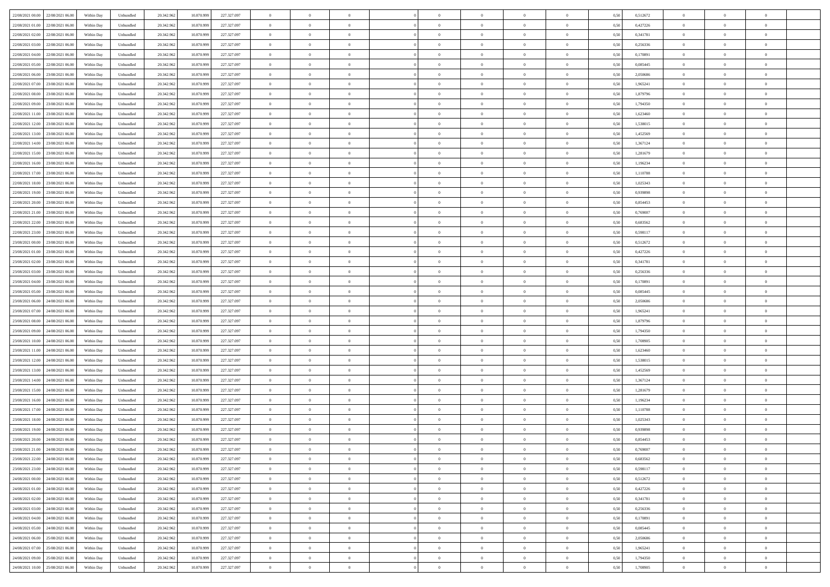| 22/08/2021 00:00 22/08/2021 06:00              | Within Day | Unbundled | 20.342.962 | 10.870.999 | 227.327.097 | $\overline{0}$ | $\theta$       |                | $\overline{0}$ | $\theta$       |                | $\theta$       | 0,50 | 0,512672 | $\theta$       | $\theta$       | $\overline{0}$ |  |
|------------------------------------------------|------------|-----------|------------|------------|-------------|----------------|----------------|----------------|----------------|----------------|----------------|----------------|------|----------|----------------|----------------|----------------|--|
| 22/08/2021 01:00<br>22/08/2021 06:00           | Within Day | Unbundled | 20.342.96  | 10.870.99  | 227.327.097 | $\bf{0}$       | $\overline{0}$ | $\bf{0}$       | $\overline{0}$ | $\overline{0}$ | $\overline{0}$ | $\bf{0}$       | 0,50 | 0,427226 | $\,$ 0 $\,$    | $\bf{0}$       | $\overline{0}$ |  |
| 22/08/2021 02:00<br>22/08/2021 06:00           | Within Day | Unbundled | 20.342.962 | 10.870.999 | 227.327.097 | $\overline{0}$ | $\bf{0}$       | $\overline{0}$ | $\bf{0}$       | $\bf{0}$       | $\overline{0}$ | $\bf{0}$       | 0.50 | 0.341781 | $\bf{0}$       | $\overline{0}$ | $\overline{0}$ |  |
| 22/08/2021 03:00<br>22/08/2021 06:00           | Within Day | Unbundled | 20.342.96  | 10.870.999 | 227.327.097 | $\overline{0}$ | $\overline{0}$ | $\overline{0}$ | $\theta$       | $\theta$       | $\overline{0}$ | $\overline{0}$ | 0,50 | 0,256336 | $\theta$       | $\theta$       | $\overline{0}$ |  |
| 22/08/2021 04:00<br>22/08/2021 06:00           | Within Day | Unbundled | 20.342.96  | 10.870.999 | 227.327.097 | $\bf{0}$       | $\overline{0}$ | $\bf{0}$       | $\overline{0}$ | $\theta$       | $\overline{0}$ | $\bf{0}$       | 0,50 | 0,170891 | $\,$ 0 $\,$    | $\bf{0}$       | $\overline{0}$ |  |
| 22/08/2021 05:00<br>22/08/2021 06:00           | Within Day | Unbundled | 20.342.962 | 10.870.999 | 227.327.097 | $\overline{0}$ | $\overline{0}$ | $\overline{0}$ | $\bf{0}$       | $\overline{0}$ | $\theta$       | $\bf{0}$       | 0.50 | 0.085445 | $\,$ 0 $\,$    | $\theta$       | $\overline{0}$ |  |
| 22/08/2021 06:00<br>23/08/2021 06:00           | Within Day | Unbundled | 20.342.962 | 10.870.999 | 227.327.097 | $\overline{0}$ | $\overline{0}$ | $\overline{0}$ | $\overline{0}$ | $\overline{0}$ | $\overline{0}$ | $\bf{0}$       | 0,50 | 2,050686 | $\theta$       | $\theta$       | $\overline{0}$ |  |
|                                                |            |           |            |            |             |                | $\overline{0}$ | $\overline{0}$ | $\overline{0}$ | $\overline{0}$ | $\overline{0}$ |                |      |          | $\,$ 0 $\,$    | $\bf{0}$       | $\overline{0}$ |  |
| 22/08/2021 07:00<br>23/08/2021 06:00           | Within Day | Unbundled | 20.342.96  | 10.870.99  | 227.327.097 | $\bf{0}$       |                |                |                |                |                | $\bf{0}$       | 0,50 | 1,965241 |                |                |                |  |
| 22/08/2021 08:00<br>23/08/2021 06:00           | Within Day | Unbundled | 20.342.96  | 10.870.999 | 227.327.097 | $\overline{0}$ | $\bf{0}$       | $\overline{0}$ | $\bf{0}$       | $\overline{0}$ | $\overline{0}$ | $\bf{0}$       | 0.50 | 1.879796 | $\bf{0}$       | $\overline{0}$ | $\overline{0}$ |  |
| 22/08/2021 09:00<br>23/08/2021 06:00           | Within Day | Unbundled | 20.342.962 | 10.870.999 | 227.327.097 | $\overline{0}$ | $\bf{0}$       | $\overline{0}$ | $\overline{0}$ | $\overline{0}$ | $\overline{0}$ | $\bf{0}$       | 0,50 | 1,794350 | $\,$ 0 $\,$    | $\theta$       | $\overline{0}$ |  |
| 22/08/2021 11:00<br>23/08/2021 06:00           | Within Day | Unbundled | 20.342.96  | 10.870.999 | 227.327.097 | $\bf{0}$       | $\overline{0}$ | $\bf{0}$       | $\overline{0}$ | $\bf{0}$       | $\overline{0}$ | $\bf{0}$       | 0,50 | 1,623460 | $\,$ 0 $\,$    | $\bf{0}$       | $\overline{0}$ |  |
| 22/08/2021 12:00<br>23/08/2021 06:00           | Within Day | Unbundled | 20.342.962 | 10.870.999 | 227.327.097 | $\overline{0}$ | $\bf{0}$       | $\overline{0}$ | $\bf{0}$       | $\bf{0}$       | $\overline{0}$ | $\bf{0}$       | 0.50 | 1.538015 | $\bf{0}$       | $\overline{0}$ | $\bf{0}$       |  |
| 22/08/2021 13:00<br>23/08/2021 06:00           | Within Day | Unbundled | 20.342.96  | 10.870.999 | 227.327.097 | $\overline{0}$ | $\overline{0}$ | $\overline{0}$ | $\overline{0}$ | $\theta$       | $\overline{0}$ | $\overline{0}$ | 0,50 | 1,452569 | $\theta$       | $\theta$       | $\overline{0}$ |  |
| 22/08/2021 14:00<br>23/08/2021 06:00           | Within Day | Unbundled | 20.342.96  | 10.870.99  | 227.327.097 | $\bf{0}$       | $\theta$       | $\bf{0}$       | $\overline{0}$ | $\theta$       | $\overline{0}$ | $\bf{0}$       | 0,50 | 1,367124 | $\,$ 0 $\,$    | $\bf{0}$       | $\overline{0}$ |  |
| 22/08/2021 15:00<br>23/08/2021 06:00           | Within Day | Unbundled | 20.342.962 | 10.870.999 | 227.327.097 | $\overline{0}$ | $\overline{0}$ | $\overline{0}$ | $\bf{0}$       | $\overline{0}$ | $\Omega$       | $\bf{0}$       | 0.50 | 1.281679 | $\,$ 0 $\,$    | $\theta$       | $\overline{0}$ |  |
| 22/08/2021 16:00<br>23/08/2021 06:00           | Within Day | Unbundled | 20.342.962 | 10.870.999 | 227.327.097 | $\overline{0}$ | $\overline{0}$ | $\overline{0}$ | $\overline{0}$ | $\overline{0}$ | $\overline{0}$ | $\bf{0}$       | 0,50 | 1,196234 | $\theta$       | $\theta$       | $\overline{0}$ |  |
| 22/08/2021 17:00<br>23/08/2021 06:00           | Within Day | Unbundled | 20.342.96  | 10.870.999 | 227.327.097 | $\bf{0}$       | $\overline{0}$ | $\bf{0}$       | $\overline{0}$ | $\theta$       | $\overline{0}$ | $\bf{0}$       | 0,50 | 1,110788 | $\,$ 0 $\,$    | $\bf{0}$       | $\overline{0}$ |  |
| 22/08/2021 18:00<br>23/08/2021 06:00           | Within Day | Unbundled | 20.342.96  | 10.870.999 | 227.327.097 | $\overline{0}$ | $\bf{0}$       | $\overline{0}$ | $\bf{0}$       | $\overline{0}$ | $\overline{0}$ | $\bf{0}$       | 0.50 | 1.025343 | $\bf{0}$       | $\overline{0}$ | $\overline{0}$ |  |
| 22/08/2021 19:00<br>23/08/2021 06:00           | Within Day | Unbundled | 20.342.962 | 10.870.999 | 227.327.097 | $\overline{0}$ | $\overline{0}$ | $\overline{0}$ | $\overline{0}$ | $\overline{0}$ | $\overline{0}$ | $\bf{0}$       | 0,50 | 0,939898 | $\,$ 0 $\,$    | $\theta$       | $\overline{0}$ |  |
|                                                |            |           |            |            |             |                |                |                |                |                |                |                |      |          |                |                |                |  |
| 22/08/2021 20:00<br>23/08/2021 06:00           | Within Day | Unbundled | 20.342.96  | 10.870.999 | 227.327.097 | $\bf{0}$       | $\bf{0}$       | $\bf{0}$       | $\bf{0}$       | $\overline{0}$ | $\overline{0}$ | $\bf{0}$       | 0,50 | 0,854453 | $\,$ 0 $\,$    | $\bf{0}$       | $\overline{0}$ |  |
| 22/08/2021 21:00<br>23/08/2021 06:00           | Within Day | Unbundled | 20.342.962 | 10.870.999 | 227.327.097 | $\overline{0}$ | $\bf{0}$       | $\overline{0}$ | $\bf{0}$       | $\bf{0}$       | $\overline{0}$ | $\bf{0}$       | 0.50 | 0.769007 | $\bf{0}$       | $\overline{0}$ | $\bf{0}$       |  |
| 22/08/2021 22:00<br>23/08/2021 06:00           | Within Day | Unbundled | 20.342.96  | 10.870.999 | 227.327.097 | $\overline{0}$ | $\overline{0}$ | $\overline{0}$ | $\theta$       | $\theta$       | $\overline{0}$ | $\bf{0}$       | 0,50 | 0,683562 | $\theta$       | $\theta$       | $\overline{0}$ |  |
| 22/08/2021 23:00<br>23/08/2021 06:00           | Within Day | Unbundled | 20.342.96  | 10.870.999 | 227.327.097 | $\bf{0}$       | $\overline{0}$ | $\bf{0}$       | $\overline{0}$ | $\bf{0}$       | $\overline{0}$ | $\bf{0}$       | 0,50 | 0,598117 | $\,$ 0 $\,$    | $\bf{0}$       | $\overline{0}$ |  |
| 23/08/2021 00:00<br>23/08/2021 06:00           | Within Day | Unbundled | 20.342.962 | 10.870.999 | 227.327.097 | $\overline{0}$ | $\overline{0}$ | $\overline{0}$ | $\overline{0}$ | $\overline{0}$ | $\theta$       | $\bf{0}$       | 0.50 | 0,512672 | $\,$ 0 $\,$    | $\theta$       | $\overline{0}$ |  |
| 23/08/2021 01:00<br>23/08/2021 06:00           | Within Day | Unbundled | 20.342.962 | 10.870.999 | 227.327.097 | $\overline{0}$ | $\overline{0}$ | $\overline{0}$ | $\overline{0}$ | $\theta$       | $\overline{0}$ | $\bf{0}$       | 0,50 | 0,427226 | $\theta$       | $\theta$       | $\overline{0}$ |  |
| 23/08/2021 02:00<br>23/08/2021 06:00           | Within Day | Unbundled | 20.342.96  | 10.870.999 | 227.327.097 | $\bf{0}$       | $\theta$       | $\bf{0}$       | $\overline{0}$ | $\theta$       | $\overline{0}$ | $\bf{0}$       | 0,50 | 0,341781 | $\,$ 0 $\,$    | $\bf{0}$       | $\overline{0}$ |  |
| 23/08/2021 03:00<br>23/08/2021 06:00           | Within Day | Unbundled | 20.342.96  | 10.870.999 | 227.327.097 | $\overline{0}$ | $\bf{0}$       | $\overline{0}$ | $\bf{0}$       | $\overline{0}$ | $\overline{0}$ | $\bf{0}$       | 0.50 | 0.256336 | $\bf{0}$       | $\overline{0}$ | $\overline{0}$ |  |
| 23/08/2021 04:00<br>23/08/2021 06:00           | Within Day | Unbundled | 20.342.962 | 10.870.999 | 227.327.097 | $\overline{0}$ | $\overline{0}$ | $\overline{0}$ | $\overline{0}$ | $\overline{0}$ | $\overline{0}$ | $\bf{0}$       | 0,50 | 0,170891 | $\theta$       | $\theta$       | $\overline{0}$ |  |
| 23/08/2021 05:00<br>23/08/2021 06:00           | Within Day | Unbundled | 20.342.96  | 10.870.999 | 227.327.097 | $\bf{0}$       | $\bf{0}$       | $\bf{0}$       | $\bf{0}$       | $\overline{0}$ | $\overline{0}$ | $\bf{0}$       | 0,50 | 0,085445 | $\,$ 0 $\,$    | $\bf{0}$       | $\overline{0}$ |  |
| 23/08/2021 06:00<br>24/08/2021 06:00           | Within Day | Unbundled | 20.342.962 | 10.870.999 | 227.327.097 | $\overline{0}$ | $\bf{0}$       | $\overline{0}$ | $\bf{0}$       | $\bf{0}$       | $\overline{0}$ | $\bf{0}$       | 0.50 | 2.050686 | $\bf{0}$       | $\overline{0}$ | $\bf{0}$       |  |
| 23/08/2021 07:00<br>24/08/2021 06:00           | Within Day | Unbundled | 20.342.96  | 10.870.999 | 227.327.097 | $\overline{0}$ | $\overline{0}$ | $\overline{0}$ | $\overline{0}$ | $\overline{0}$ | $\overline{0}$ | $\bf{0}$       | 0.50 | 1.965241 | $\theta$       | $\theta$       | $\overline{0}$ |  |
|                                                |            |           |            |            |             | $\bf{0}$       | $\overline{0}$ |                | $\overline{0}$ | $\overline{0}$ | $\overline{0}$ |                |      |          | $\,$ 0 $\,$    | $\bf{0}$       | $\overline{0}$ |  |
| 23/08/2021 08:00<br>24/08/2021 06.00           | Within Day | Unbundled | 20.342.96  | 10.870.99  | 227.327.097 |                |                | $\bf{0}$       |                |                |                | $\bf{0}$       | 0,50 | 1,879796 |                |                |                |  |
| 23/08/2021 09:00<br>24/08/2021 06:00           | Within Day | Unbundled | 20.342.962 | 10.870.999 | 227.327.097 | $\overline{0}$ | $\overline{0}$ | $\overline{0}$ | $\bf{0}$       | $\overline{0}$ | $\Omega$       | $\bf{0}$       | 0.50 | 1,794350 | $\,$ 0 $\,$    | $\theta$       | $\overline{0}$ |  |
| 23/08/2021 10:00<br>24/08/2021 06:00           | Within Dav | Unbundled | 20.342.96  | 10.870.999 | 227.327.097 | $\overline{0}$ | $\overline{0}$ | $\overline{0}$ | $\overline{0}$ | $\overline{0}$ | $\overline{0}$ | $\overline{0}$ | 0.5( | 1,708905 | $\theta$       | $\theta$       | $\overline{0}$ |  |
| 23/08/2021 11:00<br>24/08/2021 06.00           | Within Day | Unbundled | 20.342.96  | 10.870.999 | 227.327.097 | $\bf{0}$       | $\overline{0}$ | $\bf{0}$       | $\overline{0}$ | $\bf{0}$       | $\overline{0}$ | $\bf{0}$       | 0,50 | 1,623460 | $\,$ 0 $\,$    | $\bf{0}$       | $\overline{0}$ |  |
| 23/08/2021 12:00<br>24/08/2021 06:00           | Within Day | Unbundled | 20.342.96  | 10.870.999 | 227.327.097 | $\overline{0}$ | $\bf{0}$       | $\overline{0}$ | $\bf{0}$       | $\overline{0}$ | $\overline{0}$ | $\bf{0}$       | 0.50 | 1.538015 | $\bf{0}$       | $\overline{0}$ | $\overline{0}$ |  |
| 23/08/2021 13:00<br>24/08/2021 06:00           | Within Dav | Unbundled | 20.342.96  | 10.870.999 | 227.327.097 | $\overline{0}$ | $\overline{0}$ | $\overline{0}$ | $\overline{0}$ | $\overline{0}$ | $\overline{0}$ | $\overline{0}$ | 0.50 | 1,452569 | $\theta$       | $\theta$       | $\overline{0}$ |  |
| 23/08/2021 14:00<br>24/08/2021 06.00           | Within Day | Unbundled | 20.342.96  | 10.870.999 | 227.327.097 | $\bf{0}$       | $\bf{0}$       | $\bf{0}$       | $\bf{0}$       | $\overline{0}$ | $\overline{0}$ | $\bf{0}$       | 0,50 | 1,367124 | $\,$ 0 $\,$    | $\bf{0}$       | $\overline{0}$ |  |
| 23/08/2021 15:00<br>24/08/2021 06:00           | Within Day | Unbundled | 20.342.962 | 10.870.999 | 227.327.097 | $\overline{0}$ | $\bf{0}$       | $\overline{0}$ | $\bf{0}$       | $\bf{0}$       | $\overline{0}$ | $\bf{0}$       | 0.50 | 1.281679 | $\bf{0}$       | $\overline{0}$ | $\overline{0}$ |  |
| 23/08/2021 16:00<br>24/08/2021 06:00           | Within Day | Unbundled | 20.342.96  | 10.870.999 | 227.327.097 | $\overline{0}$ | $\overline{0}$ | $\overline{0}$ | $\overline{0}$ | $\theta$       | $\overline{0}$ | $\bf{0}$       | 0.5( | 1,196234 | $\theta$       | $\theta$       | $\overline{0}$ |  |
| 23/08/2021 17:00<br>24/08/2021 06.00           | Within Day | Unbundled | 20.342.96  | 10.870.999 | 227.327.097 | $\bf{0}$       | $\overline{0}$ | $\bf{0}$       | $\bf{0}$       | $\overline{0}$ | $\overline{0}$ | $\bf{0}$       | 0,50 | 1,110788 | $\,$ 0 $\,$    | $\bf{0}$       | $\overline{0}$ |  |
| 23/08/2021 18:00<br>24/08/2021 06:00           | Within Day | Unbundled | 20.342.962 | 10.870.999 | 227.327.097 | $\overline{0}$ | $\overline{0}$ | $\overline{0}$ | $\overline{0}$ | $\overline{0}$ | $\Omega$       | $\bf{0}$       | 0.50 | 1.025343 | $\bf{0}$       | $\theta$       | $\overline{0}$ |  |
| 23/08/2021 19:00<br>24/08/2021 06:00           | Within Dav | Unbundled | 20.342.96  | 10.870.999 | 227.327.097 | $\overline{0}$ | $\overline{0}$ | $\Omega$       | $\overline{0}$ | $\theta$       | $\Omega$       | $\overline{0}$ | 0.5( | 0.939898 | $\theta$       | $\theta$       | $\overline{0}$ |  |
| 23/08/2021 20:00<br>24/08/2021 06:00           | Within Day | Unbundled | 20.342.96  | 10.870.999 | 227.327.097 | $\bf{0}$       | $\bf{0}$       | $\overline{0}$ | $\bf{0}$       | $\bf{0}$       | $\overline{0}$ | $\bf{0}$       | 0,50 | 0,854453 | $\,$ 0 $\,$    | $\bf{0}$       | $\overline{0}$ |  |
| $23/08/2021\; 21.00 \qquad 24/08/2021\; 06.00$ | Within Day | Unbundled | 20.342.962 | 10.870.999 | 227.327.097 | $\overline{0}$ | $\Omega$       |                | $\Omega$       |                |                |                | 0,50 | 0.769007 | $\theta$       | $\overline{0}$ |                |  |
|                                                |            |           |            |            |             | $\overline{0}$ | $\theta$       | $\Omega$       |                | $\overline{0}$ |                |                |      |          | $\theta$       | $\theta$       | $\overline{0}$ |  |
| 23/08/2021 22:00 24/08/2021 06:00              | Within Day | Unbundled | 20.342.962 | 10.870.999 | 227.327.097 |                |                |                | $\theta$       |                | $\overline{0}$ | $\bf{0}$       | 0,50 | 0,683562 |                |                |                |  |
| 23/08/2021 23:00<br>24/08/2021 06:00           | Within Day | Unbundled | 20.342.96  | 10.870.999 | 227.327.097 | $\overline{0}$ | $\bf{0}$       | $\overline{0}$ | $\overline{0}$ | $\bf{0}$       | $\overline{0}$ | $\bf{0}$       | 0,50 | 0,598117 | $\bf{0}$       | $\overline{0}$ | $\bf{0}$       |  |
| 24/08/2021 00:00 24/08/2021 06:00              | Within Day | Unbundled | 20.342.962 | 10.870.999 | 227.327.097 | $\overline{0}$ | $\bf{0}$       | $\overline{0}$ | $\overline{0}$ | $\mathbf{0}$   | $\overline{0}$ | $\,$ 0 $\,$    | 0.50 | 0,512672 | $\overline{0}$ | $\bf{0}$       | $\,$ 0 $\,$    |  |
| 24/08/2021 01:00 24/08/2021 06:00              | Within Day | Unbundled | 20.342.962 | 10.870.999 | 227.327.097 | $\overline{0}$ | $\overline{0}$ | $\overline{0}$ | $\overline{0}$ | $\overline{0}$ | $\overline{0}$ | $\bf{0}$       | 0.50 | 0,427226 | $\overline{0}$ | $\theta$       | $\overline{0}$ |  |
| 24/08/2021 02:00<br>24/08/2021 06:00           | Within Day | Unbundled | 20.342.962 | 10.870.999 | 227.327.097 | $\overline{0}$ | $\bf{0}$       | $\overline{0}$ | $\bf{0}$       | $\overline{0}$ | $\bf{0}$       | $\bf{0}$       | 0,50 | 0,341781 | $\bf{0}$       | $\overline{0}$ | $\overline{0}$ |  |
| 24/08/2021 03:00<br>24/08/2021 06:00           | Within Day | Unbundled | 20.342.962 | 10.870.999 | 227.327.097 | $\overline{0}$ | $\bf{0}$       | $\overline{0}$ | $\overline{0}$ | $\overline{0}$ | $\overline{0}$ | $\bf{0}$       | 0.50 | 0.256336 | $\,$ 0 $\,$    | $\theta$       | $\overline{0}$ |  |
| 24/08/2021 04:00<br>24/08/2021 06:00           | Within Dav | Unbundled | 20.342.962 | 10.870.999 | 227.327.097 | $\overline{0}$ | $\overline{0}$ | $\overline{0}$ | $\overline{0}$ | $\overline{0}$ | $\overline{0}$ | $\bf{0}$       | 0.50 | 0,170891 | $\overline{0}$ | $\theta$       | $\overline{0}$ |  |
| 24/08/2021 05:00<br>24/08/2021 06:00           | Within Day | Unbundled | 20.342.96  | 10.870.999 | 227.327.097 | $\overline{0}$ | $\overline{0}$ | $\overline{0}$ | $\overline{0}$ | $\overline{0}$ | $\overline{0}$ | $\bf{0}$       | 0,50 | 0,085445 | $\bf{0}$       | $\overline{0}$ | $\overline{0}$ |  |
| 24/08/2021 06:00 25/08/2021 06:00              | Within Day | Unbundled | 20.342.962 | 10.870.999 | 227.327.097 | $\overline{0}$ | $\overline{0}$ | $\overline{0}$ | $\overline{0}$ | $\bf{0}$       | $\overline{0}$ | $\bf{0}$       | 0.50 | 2.050686 | $\mathbf{0}$   | $\bf{0}$       | $\,$ 0         |  |
| 24/08/2021 07:00 25/08/2021 06:00              | Within Dav | Unbundled | 20.342.962 | 10.870.999 | 227.327.097 | $\overline{0}$ | $\overline{0}$ | $\overline{0}$ | $\overline{0}$ | $\overline{0}$ | $\overline{0}$ | $\bf{0}$       | 0,50 | 1,965241 | $\overline{0}$ | $\theta$       | $\overline{0}$ |  |
| 24/08/2021 09:00<br>25/08/2021 06:00           | Within Day | Unbundled | 20.342.96  | 10.870.999 | 227.327.097 | $\overline{0}$ | $\bf{0}$       | $\overline{0}$ | $\bf{0}$       | $\overline{0}$ | $\bf{0}$       | $\bf{0}$       | 0,50 | 1,794350 | $\bf{0}$       | $\bf{0}$       | $\overline{0}$ |  |
|                                                |            |           |            |            |             |                |                |                |                |                |                |                |      |          |                |                |                |  |
| 24/08/2021 10:00 25/08/2021 06:00              | Within Day | Unbundled | 20.342.962 | 10.870.999 | 227.327.097 | $\overline{0}$ | $\bf{0}$       | $\overline{0}$ | $\overline{0}$ | $\,$ 0 $\,$    | $\overline{0}$ | $\bf{0}$       | 0,50 | 1,708905 | $\overline{0}$ | $\,$ 0 $\,$    | $\,$ 0 $\,$    |  |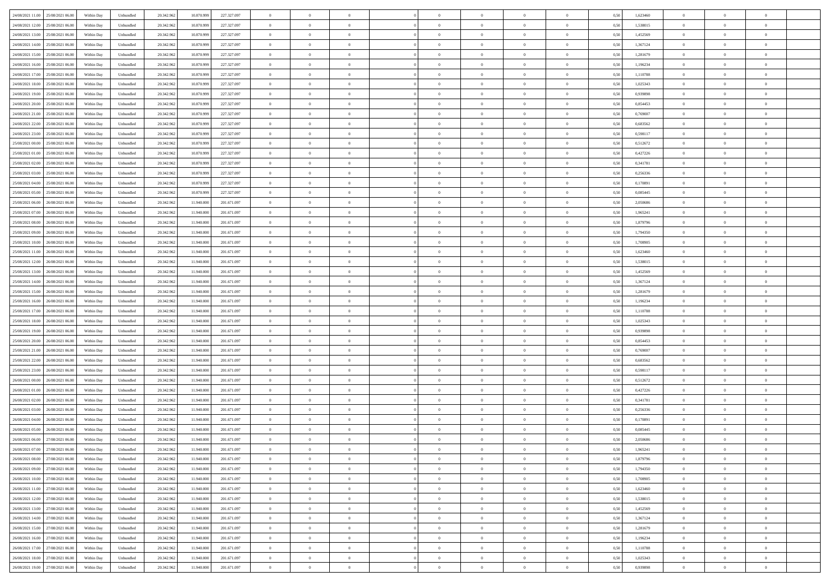| 24/08/2021 11:00 25/08/2021 06:00    | Within Day | Unbundled | 20.342.962 | 10.870.999 | 227.327.097 | $\overline{0}$ | $\theta$       |                | $\overline{0}$ | $\theta$       |                | $\theta$       | 0,50 | 1,623460 | $\theta$       | $\theta$       | $\overline{0}$ |  |
|--------------------------------------|------------|-----------|------------|------------|-------------|----------------|----------------|----------------|----------------|----------------|----------------|----------------|------|----------|----------------|----------------|----------------|--|
| 24/08/2021 12:00<br>25/08/2021 06.00 | Within Day | Unbundled | 20.342.96  | 10.870.99  | 227.327.097 | $\bf{0}$       | $\overline{0}$ | $\bf{0}$       | $\overline{0}$ | $\overline{0}$ | $\overline{0}$ | $\bf{0}$       | 0,50 | 1,538015 | $\,$ 0 $\,$    | $\bf{0}$       | $\overline{0}$ |  |
| 24/08/2021 13:00<br>25/08/2021 06:00 | Within Day | Unbundled | 20.342.962 | 10.870.999 | 227.327.097 | $\overline{0}$ | $\bf{0}$       | $\overline{0}$ | $\bf{0}$       | $\bf{0}$       | $\overline{0}$ | $\bf{0}$       | 0.50 | 1.452569 | $\bf{0}$       | $\overline{0}$ | $\overline{0}$ |  |
| 24/08/2021 14:00<br>25/08/2021 06:00 |            |           |            |            |             | $\overline{0}$ | $\overline{0}$ | $\overline{0}$ | $\theta$       | $\theta$       | $\overline{0}$ | $\overline{0}$ |      | 1,367124 | $\theta$       | $\theta$       | $\overline{0}$ |  |
|                                      | Within Day | Unbundled | 20.342.96  | 10.870.999 | 227.327.097 |                |                |                |                |                |                |                | 0,50 |          |                |                |                |  |
| 24/08/2021 15:00<br>25/08/2021 06.00 | Within Day | Unbundled | 20.342.96  | 10.870.999 | 227.327.097 | $\bf{0}$       | $\theta$       | $\bf{0}$       | $\overline{0}$ | $\theta$       | $\overline{0}$ | $\bf{0}$       | 0,50 | 1,281679 | $\,$ 0 $\,$    | $\bf{0}$       | $\overline{0}$ |  |
| 24/08/2021 16:00<br>25/08/2021 06:00 | Within Day | Unbundled | 20.342.962 | 10.870.999 | 227.327.097 | $\overline{0}$ | $\overline{0}$ | $\overline{0}$ | $\overline{0}$ | $\overline{0}$ | $\Omega$       | $\bf{0}$       | 0.50 | 1.196234 | $\,$ 0 $\,$    | $\theta$       | $\overline{0}$ |  |
| 24/08/2021 17:00<br>25/08/2021 06:00 | Within Day | Unbundled | 20.342.96  | 10.870.999 | 227.327.097 | $\overline{0}$ | $\overline{0}$ | $\overline{0}$ | $\overline{0}$ | $\theta$       | $\overline{0}$ | $\bf{0}$       | 0,50 | 1,110788 | $\theta$       | $\theta$       | $\overline{0}$ |  |
|                                      |            |           |            |            |             |                |                |                |                |                |                |                |      |          |                |                |                |  |
| 24/08/2021 18:00<br>25/08/2021 06.00 | Within Day | Unbundled | 20.342.96  | 10.870.99  | 227.327.097 | $\bf{0}$       | $\overline{0}$ | $\overline{0}$ | $\overline{0}$ | $\theta$       | $\overline{0}$ | $\bf{0}$       | 0,50 | 1,025343 | $\,$ 0 $\,$    | $\bf{0}$       | $\overline{0}$ |  |
| 24/08/2021 19:00<br>25/08/2021 06:00 | Within Day | Unbundled | 20.342.96  | 10.870.999 | 227.327.097 | $\overline{0}$ | $\bf{0}$       | $\overline{0}$ | $\bf{0}$       | $\overline{0}$ | $\overline{0}$ | $\bf{0}$       | 0.50 | 0.939898 | $\bf{0}$       | $\theta$       | $\overline{0}$ |  |
| 24/08/2021 20:00<br>25/08/2021 06:00 | Within Day | Unbundled | 20.342.962 | 10.870.999 | 227.327.097 | $\overline{0}$ | $\bf{0}$       | $\overline{0}$ | $\overline{0}$ | $\theta$       | $\overline{0}$ | $\bf{0}$       | 0,50 | 0,854453 | $\,$ 0 $\,$    | $\theta$       | $\overline{0}$ |  |
| 24/08/2021 21:00<br>25/08/2021 06.00 | Within Day | Unbundled | 20.342.96  | 10.870.999 | 227.327.097 | $\bf{0}$       | $\overline{0}$ | $\bf{0}$       | $\overline{0}$ | $\bf{0}$       | $\overline{0}$ | $\bf{0}$       | 0,50 | 0,769007 | $\,$ 0 $\,$    | $\bf{0}$       | $\overline{0}$ |  |
|                                      |            |           |            |            |             |                |                |                |                |                |                |                |      |          |                |                |                |  |
| 24/08/2021 22:00<br>25/08/2021 06:00 | Within Day | Unbundled | 20.342.962 | 10.870.999 | 227.327.097 | $\overline{0}$ | $\bf{0}$       | $\overline{0}$ | $\bf{0}$       | $\bf{0}$       | $\overline{0}$ | $\bf{0}$       | 0.50 | 0.683562 | $\bf{0}$       | $\overline{0}$ | $\overline{0}$ |  |
| 24/08/2021 23:00<br>25/08/2021 06:00 | Within Day | Unbundled | 20.342.96  | 10.870.999 | 227.327.097 | $\overline{0}$ | $\overline{0}$ | $\overline{0}$ | $\overline{0}$ | $\theta$       | $\overline{0}$ | $\overline{0}$ | 0,50 | 0,598117 | $\theta$       | $\theta$       | $\overline{0}$ |  |
| 25/08/2021 00:00<br>25/08/2021 06.00 | Within Day | Unbundled | 20.342.96  | 10.870.99  | 227.327.097 | $\bf{0}$       | $\theta$       | $\bf{0}$       | $\overline{0}$ | $\theta$       | $\overline{0}$ | $\bf{0}$       | 0,50 | 0,512672 | $\bf{0}$       | $\bf{0}$       | $\overline{0}$ |  |
|                                      |            |           |            |            |             |                |                |                |                |                |                |                |      |          |                |                |                |  |
| 25/08/2021 01:00<br>25/08/2021 06:00 | Within Day | Unbundled | 20.342.962 | 10.870.999 | 227.327.097 | $\overline{0}$ | $\overline{0}$ | $\overline{0}$ | $\bf{0}$       | $\theta$       | $\Omega$       | $\bf{0}$       | 0.50 | 0,427226 | $\,$ 0 $\,$    | $\theta$       | $\overline{0}$ |  |
| 25/08/2021 02:00<br>25/08/2021 06:00 | Within Day | Unbundled | 20.342.962 | 10.870.999 | 227.327.097 | $\overline{0}$ | $\overline{0}$ | $\overline{0}$ | $\overline{0}$ | $\overline{0}$ | $\overline{0}$ | $\bf{0}$       | 0,50 | 0,341781 | $\theta$       | $\theta$       | $\overline{0}$ |  |
| 25/08/2021 03:00<br>25/08/2021 06.00 | Within Day | Unbundled | 20.342.96  | 10.870.999 | 227.327.097 | $\bf{0}$       | $\overline{0}$ | $\overline{0}$ | $\overline{0}$ | $\theta$       | $\overline{0}$ | $\bf{0}$       | 0,50 | 0,256336 | $\,$ 0 $\,$    | $\bf{0}$       | $\overline{0}$ |  |
| 25/08/2021 04:00<br>25/08/2021 06:00 | Within Day | Unbundled | 20.342.96  | 10.870.999 | 227.327.097 | $\overline{0}$ | $\bf{0}$       | $\overline{0}$ | $\bf{0}$       | $\overline{0}$ | $\overline{0}$ | $\bf{0}$       | 0.50 | 0.170891 | $\bf{0}$       | $\overline{0}$ | $\overline{0}$ |  |
| 25/08/2021 05:00<br>25/08/2021 06:00 |            |           |            |            |             | $\overline{0}$ | $\overline{0}$ | $\overline{0}$ | $\overline{0}$ | $\overline{0}$ | $\overline{0}$ |                |      |          | $\,$ 0 $\,$    | $\theta$       | $\overline{0}$ |  |
|                                      | Within Day | Unbundled | 20.342.962 | 10.870.999 | 227.327.097 |                |                |                |                |                |                | $\bf{0}$       | 0,50 | 0,085445 |                |                |                |  |
| 25/08/2021 06:00<br>26/08/2021 06:00 | Within Day | Unbundled | 20.342.96  | 11.940.00  | 201.671.097 | $\bf{0}$       | $\overline{0}$ | $\bf{0}$       | $\bf{0}$       | $\overline{0}$ | $\overline{0}$ | $\bf{0}$       | 0,50 | 2,050686 | $\,$ 0 $\,$    | $\bf{0}$       | $\overline{0}$ |  |
| 25/08/2021 07:00<br>26/08/2021 06:00 | Within Day | Unbundled | 20.342.962 | 11,940,000 | 201.671.097 | $\overline{0}$ | $\bf{0}$       | $\overline{0}$ | $\bf{0}$       | $\bf{0}$       | $\overline{0}$ | $\bf{0}$       | 0.50 | 1,965241 | $\bf{0}$       | $\overline{0}$ | $\overline{0}$ |  |
| 25/08/2021 08:00<br>26/08/2021 06:00 | Within Day | Unbundled | 20.342.96  | 11.940.000 | 201.671.097 | $\overline{0}$ | $\overline{0}$ | $\overline{0}$ | $\theta$       | $\theta$       | $\overline{0}$ | $\bf{0}$       | 0,50 | 1,879796 | $\theta$       | $\theta$       | $\overline{0}$ |  |
|                                      |            |           |            |            |             |                | $\overline{0}$ |                | $\overline{0}$ | $\theta$       | $\overline{0}$ |                |      |          | $\,$ 0 $\,$    | $\bf{0}$       | $\overline{0}$ |  |
| 25/08/2021 09:00<br>26/08/2021 06:00 | Within Day | Unbundled | 20.342.96  | 11.940.00  | 201.671.097 | $\bf{0}$       |                | $\bf{0}$       |                |                |                | $\bf{0}$       | 0,50 | 1,794350 |                |                |                |  |
| 25/08/2021 10:00<br>26/08/2021 06:00 | Within Day | Unbundled | 20.342.962 | 11.940.000 | 201.671.097 | $\overline{0}$ | $\overline{0}$ | $\overline{0}$ | $\overline{0}$ | $\overline{0}$ | $\Omega$       | $\bf{0}$       | 0.50 | 1,708905 | $\bf{0}$       | $\theta$       | $\overline{0}$ |  |
| 25/08/2021 11:00<br>26/08/2021 06:00 | Within Day | Unbundled | 20.342.96  | 11.940.000 | 201.671.097 | $\overline{0}$ | $\overline{0}$ | $\overline{0}$ | $\overline{0}$ | $\theta$       | $\overline{0}$ | $\bf{0}$       | 0,50 | 1,623460 | $\theta$       | $\theta$       | $\overline{0}$ |  |
| 25/08/2021 12:00<br>26/08/2021 06:00 | Within Day | Unbundled | 20.342.96  | 11.940.00  | 201.671.097 | $\bf{0}$       | $\theta$       | $\bf{0}$       | $\overline{0}$ | $\theta$       | $\overline{0}$ | $\bf{0}$       | 0,50 | 1,538015 | $\,$ 0 $\,$    | $\bf{0}$       | $\overline{0}$ |  |
| 25/08/2021 13:00<br>26/08/2021 06:00 | Within Day | Unbundled | 20.342.96  | 11.940.000 | 201.671.097 | $\overline{0}$ | $\bf{0}$       | $\overline{0}$ | $\bf{0}$       | $\overline{0}$ | $\overline{0}$ | $\bf{0}$       | 0.50 | 1.452569 | $\bf{0}$       | $\theta$       | $\overline{0}$ |  |
|                                      |            |           |            |            |             |                |                |                |                |                |                |                |      |          |                |                |                |  |
| 25/08/2021 14:00<br>26/08/2021 06:00 | Within Day | Unbundled | 20.342.962 | 11.940.000 | 201.671.097 | $\overline{0}$ | $\overline{0}$ | $\overline{0}$ | $\overline{0}$ | $\overline{0}$ | $\overline{0}$ | $\bf{0}$       | 0,50 | 1,367124 | $\theta$       | $\theta$       | $\overline{0}$ |  |
| 25/08/2021 15:00<br>26/08/2021 06:00 | Within Day | Unbundled | 20.342.96  | 11.940.000 | 201.671.097 | $\bf{0}$       | $\bf{0}$       | $\bf{0}$       | $\bf{0}$       | $\overline{0}$ | $\overline{0}$ | $\bf{0}$       | 0,50 | 1,281679 | $\,$ 0 $\,$    | $\bf{0}$       | $\overline{0}$ |  |
| 25/08/2021 16:00<br>26/08/2021 06:00 | Within Day | Unbundled | 20.342.962 | 11,940,000 | 201.671.097 | $\overline{0}$ | $\bf{0}$       | $\overline{0}$ | $\bf{0}$       | $\bf{0}$       | $\overline{0}$ | $\bf{0}$       | 0.50 | 1,196234 | $\bf{0}$       | $\overline{0}$ | $\overline{0}$ |  |
| 25/08/2021 17:00<br>26/08/2021 06:00 | Within Day | Unbundled | 20.342.96  | 11,940,000 | 201.671.097 | $\overline{0}$ | $\overline{0}$ | $\overline{0}$ | $\overline{0}$ | $\overline{0}$ | $\overline{0}$ | $\bf{0}$       | 0.5( | 1,110788 | $\theta$       | $\theta$       | $\overline{0}$ |  |
|                                      |            |           |            |            |             |                |                |                |                |                |                |                |      |          |                |                |                |  |
| 25/08/2021 18:00<br>26/08/2021 06:00 | Within Day | Unbundled | 20.342.96  | 11.940.00  | 201.671.097 | $\bf{0}$       | $\overline{0}$ | $\bf{0}$       | $\overline{0}$ | $\overline{0}$ | $\overline{0}$ | $\bf{0}$       | 0,50 | 1,025343 | $\,$ 0 $\,$    | $\bf{0}$       | $\overline{0}$ |  |
| 25/08/2021 19:00<br>26/08/2021 06:00 | Within Day | Unbundled | 20.342.962 | 11,940,000 | 201.671.097 | $\overline{0}$ | $\overline{0}$ | $\overline{0}$ | $\bf{0}$       | $\bf{0}$       | $\Omega$       | $\bf{0}$       | 0.50 | 0.939898 | $\,$ 0 $\,$    | $\theta$       | $\overline{0}$ |  |
| 25/08/2021 20:00<br>26/08/2021 06:00 | Within Dav | Unbundled | 20.342.96  | 11.940.000 | 201.671.097 | $\overline{0}$ | $\overline{0}$ | $\overline{0}$ | $\overline{0}$ | $\theta$       | $\overline{0}$ | $\overline{0}$ | 0.50 | 0,854453 | $\theta$       | $\theta$       | $\overline{0}$ |  |
| 25/08/2021 21:00<br>26/08/2021 06:00 | Within Day | Unbundled | 20.342.96  | 11.940.000 | 201.671.097 | $\bf{0}$       | $\overline{0}$ | $\bf{0}$       | $\overline{0}$ | $\bf{0}$       | $\overline{0}$ | $\bf{0}$       | 0,50 | 0,769007 | $\,$ 0 $\,$    | $\bf{0}$       | $\overline{0}$ |  |
| 25/08/2021 22.00<br>26/08/2021 06:00 | Within Day | Unbundled | 20,342.96  | 11.940.000 | 201.671.097 | $\overline{0}$ | $\bf{0}$       | $\overline{0}$ | $\bf{0}$       | $\overline{0}$ | $\overline{0}$ | $\bf{0}$       | 0.50 | 0.683562 | $\bf{0}$       | $\overline{0}$ | $\overline{0}$ |  |
|                                      |            |           |            |            |             |                |                |                |                |                |                |                |      |          |                |                |                |  |
| 25/08/2021 23:00<br>26/08/2021 06:00 | Within Dav | Unbundled | 20.342.96  | 11,940,000 | 201.671.097 | $\overline{0}$ | $\overline{0}$ | $\overline{0}$ | $\overline{0}$ | $\overline{0}$ | $\overline{0}$ | $\overline{0}$ | 0.50 | 0,598117 | $\theta$       | $\theta$       | $\overline{0}$ |  |
| 26/08/2021 00:00<br>26/08/2021 06:00 | Within Day | Unbundled | 20.342.96  | 11.940.00  | 201.671.097 | $\bf{0}$       | $\bf{0}$       | $\bf{0}$       | $\bf{0}$       | $\overline{0}$ | $\overline{0}$ | $\bf{0}$       | 0,50 | 0,512672 | $\,$ 0 $\,$    | $\bf{0}$       | $\overline{0}$ |  |
| 26/08/2021 01:00<br>26/08/2021 06:00 | Within Day | Unbundled | 20.342.962 | 11,940,000 | 201.671.097 | $\overline{0}$ | $\bf{0}$       | $\overline{0}$ | $\bf{0}$       | $\bf{0}$       | $\overline{0}$ | $\bf{0}$       | 0.50 | 0,427226 | $\bf{0}$       | $\overline{0}$ | $\overline{0}$ |  |
| 26/08/2021 02:00<br>26/08/2021 06:00 | Within Dav | Unbundled | 20.342.96  | 11.940.000 | 201.671.097 | $\overline{0}$ | $\overline{0}$ | $\overline{0}$ | $\overline{0}$ | $\theta$       | $\overline{0}$ | $\bf{0}$       | 0.5( | 0,341781 | $\theta$       | $\theta$       | $\overline{0}$ |  |
|                                      |            |           |            |            |             |                |                |                |                |                |                |                |      |          |                |                |                |  |
| 26/08/2021 03:00<br>26/08/2021 06:00 | Within Day | Unbundled | 20.342.96  | 11.940.00  | 201.671.097 | $\bf{0}$       | $\overline{0}$ | $\bf{0}$       | $\bf{0}$       | $\overline{0}$ | $\overline{0}$ | $\bf{0}$       | 0,50 | 0,256336 | $\,$ 0 $\,$    | $\bf{0}$       | $\overline{0}$ |  |
| 26/08/2021 04:00<br>26/08/2021 06:00 | Within Day | Unbundled | 20.342.962 | 11.940.00  | 201.671.097 | $\overline{0}$ | $\overline{0}$ | $\Omega$       | $\overline{0}$ | $\overline{0}$ | $\theta$       | $\bf{0}$       | 0.50 | 0,170891 | $\,$ 0 $\,$    | $\overline{0}$ | $\overline{0}$ |  |
| 26/08/2021 05:00<br>26/08/2021 06:00 | Within Dav | Unbundled | 20.342.96  | 11.940.00  | 201.671.097 | $\overline{0}$ | $\overline{0}$ | $\Omega$       | $\overline{0}$ | $\theta$       | $\Omega$       | $\overline{0}$ | 0.5( | 0.085445 | $\theta$       | $\theta$       | $\overline{0}$ |  |
| 26/08/2021 06:00<br>27/08/2021 06:00 | Within Day | Unbundled | 20.342.96  | 11.940.000 | 201.671.097 | $\bf{0}$       | $\bf{0}$       | $\overline{0}$ | $\bf{0}$       | $\bf{0}$       | $\overline{0}$ | $\bf{0}$       | 0,50 | 2,050686 | $\,$ 0 $\,$    | $\bf{0}$       | $\overline{0}$ |  |
| 26/08/2021 07:00 27/08/2021 06:00    | Within Day | Unbundled | 20.342.962 | 11.940.000 | 201 671 097 | $\overline{0}$ | $\Omega$       |                | $\Omega$       |                |                |                | 0,50 | 1,965241 | $\theta$       | $\overline{0}$ |                |  |
|                                      |            |           |            |            |             |                |                |                |                |                |                |                |      |          |                |                |                |  |
| 26/08/2021 08:00 27/08/2021 06:00    | Within Day | Unbundled | 20.342.962 | 11.940.000 | 201.671.097 | $\overline{0}$ | $\overline{0}$ | $\Omega$       | $\theta$       | $\overline{0}$ | $\overline{0}$ | $\bf{0}$       | 0,50 | 1,879796 | $\theta$       | $\theta$       | $\overline{0}$ |  |
| 26/08/2021 09:00<br>27/08/2021 06:00 | Within Day | Unbundled | 20.342.96  | 11.940.000 | 201.671.097 | $\overline{0}$ | $\bf{0}$       | $\overline{0}$ | $\overline{0}$ | $\bf{0}$       | $\overline{0}$ | $\bf{0}$       | 0,50 | 1,794350 | $\bf{0}$       | $\overline{0}$ | $\bf{0}$       |  |
| 26/08/2021 10:00 27/08/2021 06:00    | Within Day | Unbundled | 20.342.962 | 11.940.000 | 201.671.097 | $\overline{0}$ | $\bf{0}$       | $\overline{0}$ | $\overline{0}$ | $\mathbf{0}$   | $\overline{0}$ | $\,$ 0 $\,$    | 0.50 | 1,708905 | $\overline{0}$ | $\bf{0}$       | $\,$ 0 $\,$    |  |
| 26/08/2021 11:00 27/08/2021 06:00    | Within Day | Unbundled | 20.342.962 | 11.940.000 | 201.671.097 | $\overline{0}$ | $\overline{0}$ | $\overline{0}$ | $\overline{0}$ | $\overline{0}$ | $\overline{0}$ | $\bf{0}$       | 0,50 | 1,623460 | $\theta$       | $\theta$       | $\overline{0}$ |  |
|                                      |            |           |            |            |             |                |                |                |                |                |                |                |      |          |                |                |                |  |
| 26/08/2021 12:00<br>27/08/2021 06:00 | Within Day | Unbundled | 20.342.962 | 11.940.000 | 201.671.097 | $\overline{0}$ | $\bf{0}$       | $\overline{0}$ | $\overline{0}$ | $\overline{0}$ | $\bf{0}$       | $\bf{0}$       | 0,50 | 1,538015 | $\bf{0}$       | $\overline{0}$ | $\overline{0}$ |  |
| 26/08/2021 13:00<br>27/08/2021 06:00 | Within Day | Unbundled | 20.342.962 | 11.940.000 | 201.671.097 | $\overline{0}$ | $\bf{0}$       | $\overline{0}$ | $\overline{0}$ | $\overline{0}$ | $\overline{0}$ | $\bf{0}$       | 0.50 | 1.452569 | $\,$ 0 $\,$    | $\theta$       | $\,$ 0         |  |
| 26/08/2021 14:00<br>27/08/2021 06:00 | Within Day | Unbundled | 20.342.962 | 11.940.000 | 201.671.097 | $\overline{0}$ | $\overline{0}$ | $\overline{0}$ | $\overline{0}$ | $\overline{0}$ | $\overline{0}$ | $\bf{0}$       | 0.50 | 1,367124 | $\overline{0}$ | $\theta$       | $\overline{0}$ |  |
| 26/08/2021 15:00<br>27/08/2021 06:00 | Within Day | Unbundled | 20.342.96  | 11.940.000 | 201.671.097 | $\overline{0}$ | $\overline{0}$ | $\overline{0}$ | $\overline{0}$ | $\overline{0}$ | $\overline{0}$ | $\bf{0}$       | 0,50 | 1,281679 | $\bf{0}$       | $\overline{0}$ | $\overline{0}$ |  |
|                                      |            |           |            |            |             |                |                |                |                |                |                |                |      |          |                |                |                |  |
| 26/08/2021 16:00 27/08/2021 06:00    | Within Day | Unbundled | 20.342.96  | 11.940.000 | 201.671.097 | $\overline{0}$ | $\overline{0}$ | $\overline{0}$ | $\overline{0}$ | $\overline{0}$ | $\overline{0}$ | $\bf{0}$       | 0.50 | 1.196234 | $\mathbf{0}$   | $\bf{0}$       | $\,$ 0         |  |
| 26/08/2021 17:00 27/08/2021 06:00    | Within Dav | Unbundled | 20.342.962 | 11.940.000 | 201.671.097 | $\overline{0}$ | $\overline{0}$ | $\overline{0}$ | $\overline{0}$ | $\overline{0}$ | $\overline{0}$ | $\bf{0}$       | 0,50 | 1,110788 | $\overline{0}$ | $\theta$       | $\overline{0}$ |  |
| 26/08/2021 18:00<br>27/08/2021 06:00 | Within Day | Unbundled | 20.342.96  | 11.940.000 | 201.671.097 | $\overline{0}$ | $\bf{0}$       | $\overline{0}$ | $\bf{0}$       | $\overline{0}$ | $\bf{0}$       | $\bf{0}$       | 0,50 | 1,025343 | $\bf{0}$       | $\bf{0}$       | $\overline{0}$ |  |
| 26/08/2021 19:00 27/08/2021 06:00    |            | Unbundled | 20.342.962 |            | 201.671.097 | $\overline{0}$ | $\bf{0}$       | $\overline{0}$ |                | $\,$ 0 $\,$    | $\overline{0}$ | $\bf{0}$       | 0,50 | 0,939898 | $\overline{0}$ | $\,$ 0 $\,$    | $\,$ 0 $\,$    |  |
|                                      | Within Day |           |            | 11.940.000 |             |                |                |                | $\overline{0}$ |                |                |                |      |          |                |                |                |  |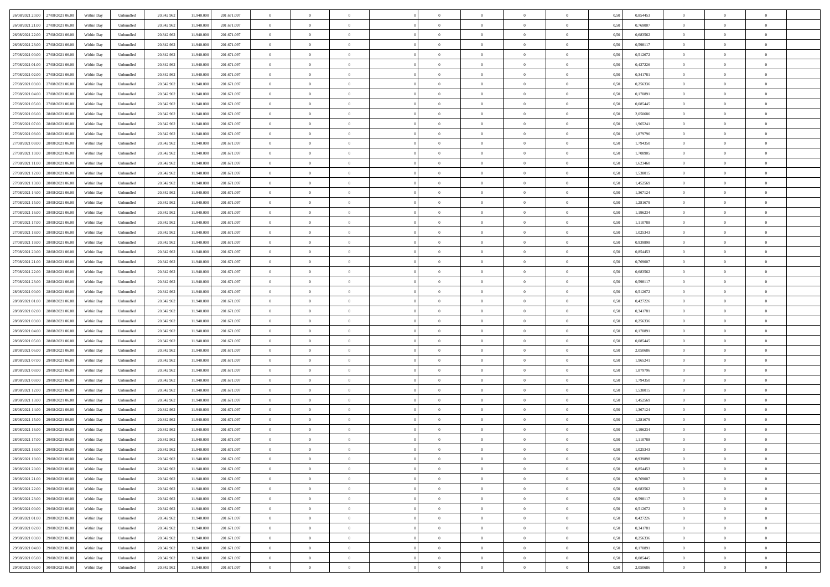| 26/08/2021 20:00 27/08/2021 06:00    | Within Day | Unbundled                   | 20.342.962 | 11.940.000 | 201.671.097 | $\overline{0}$ | $\theta$       |                | $\overline{0}$ | $\theta$       |                | $\theta$       | 0,50 | 0,854453 | $\theta$       | $\theta$       | $\overline{0}$ |  |
|--------------------------------------|------------|-----------------------------|------------|------------|-------------|----------------|----------------|----------------|----------------|----------------|----------------|----------------|------|----------|----------------|----------------|----------------|--|
| 26/08/2021 21:00<br>27/08/2021 06.00 | Within Day | Unbundled                   | 20.342.96  | 11.940.00  | 201.671.097 | $\bf{0}$       | $\overline{0}$ | $\bf{0}$       | $\overline{0}$ | $\overline{0}$ | $\overline{0}$ | $\bf{0}$       | 0,50 | 0,769007 | $\,$ 0 $\,$    | $\bf{0}$       | $\overline{0}$ |  |
| 26/08/2021 22:00<br>27/08/2021 06:00 | Within Day | Unbundled                   | 20.342.962 | 11.940.000 | 201.671.097 | $\overline{0}$ | $\bf{0}$       | $\overline{0}$ | $\bf{0}$       | $\bf{0}$       | $\overline{0}$ | $\bf{0}$       | 0.50 | 0.683562 | $\bf{0}$       | $\overline{0}$ | $\overline{0}$ |  |
| 26/08/2021 23:00<br>27/08/2021 06:00 | Within Day | Unbundled                   | 20.342.96  | 11.940.000 | 201.671.097 | $\overline{0}$ | $\overline{0}$ | $\overline{0}$ | $\theta$       | $\theta$       | $\overline{0}$ | $\overline{0}$ | 0,50 | 0,598117 | $\theta$       | $\theta$       | $\overline{0}$ |  |
|                                      |            |                             |            |            |             | $\overline{0}$ | $\theta$       |                | $\overline{0}$ | $\theta$       | $\overline{0}$ | $\bf{0}$       |      |          | $\,$ 0 $\,$    | $\bf{0}$       | $\overline{0}$ |  |
| 27/08/2021 00:00<br>27/08/2021 06.00 | Within Day | Unbundled                   | 20.342.96  | 11.940.00  | 201.671.097 |                |                | $\bf{0}$       |                |                |                |                | 0,50 | 0,512672 |                |                |                |  |
| 27/08/2021 01:00<br>27/08/2021 06:00 | Within Day | Unbundled                   | 20.342.962 | 11.940.000 | 201.671.097 | $\overline{0}$ | $\overline{0}$ | $\overline{0}$ | $\bf{0}$       | $\overline{0}$ | $\theta$       | $\bf{0}$       | 0.50 | 0,427226 | $\,$ 0 $\,$    | $\theta$       | $\overline{0}$ |  |
| 27/08/2021 02:00<br>27/08/2021 06:00 | Within Day | Unbundled                   | 20.342.96  | 11.940.000 | 201.671.097 | $\overline{0}$ | $\overline{0}$ | $\overline{0}$ | $\overline{0}$ | $\overline{0}$ | $\overline{0}$ | $\bf{0}$       | 0,50 | 0,341781 | $\theta$       | $\theta$       | $\overline{0}$ |  |
| 27/08/2021 03:00<br>27/08/2021 06:00 | Within Day | Unbundled                   | 20.342.96  | 11.940.00  | 201.671.097 | $\bf{0}$       | $\overline{0}$ | $\bf{0}$       | $\overline{0}$ | $\theta$       | $\overline{0}$ | $\bf{0}$       | 0,50 | 0,256336 | $\,$ 0 $\,$    | $\bf{0}$       | $\overline{0}$ |  |
| 27/08/2021 04:00<br>27/08/2021 06:00 | Within Day | Unbundled                   | 20.342.96  | 11.940.000 | 201.671.097 | $\overline{0}$ | $\bf{0}$       | $\overline{0}$ | $\bf{0}$       | $\overline{0}$ | $\overline{0}$ | $\bf{0}$       | 0.50 | 0.170891 | $\bf{0}$       | $\overline{0}$ | $\overline{0}$ |  |
| 27/08/2021 05:00<br>27/08/2021 06:00 | Within Day | Unbundled                   | 20.342.962 | 11.940.000 | 201.671.097 | $\overline{0}$ | $\bf{0}$       | $\overline{0}$ | $\overline{0}$ | $\overline{0}$ | $\overline{0}$ | $\bf{0}$       | 0,50 | 0,085445 | $\,$ 0 $\,$    | $\theta$       | $\overline{0}$ |  |
| 27/08/2021 06:00<br>28/08/2021 06:00 | Within Day | Unbundled                   | 20.342.96  | 11.940.000 | 201.671.097 | $\bf{0}$       | $\overline{0}$ | $\bf{0}$       | $\overline{0}$ | $\bf{0}$       | $\overline{0}$ | $\bf{0}$       | 0,50 | 2,050686 | $\,$ 0 $\,$    | $\bf{0}$       | $\overline{0}$ |  |
|                                      |            |                             |            |            |             |                |                |                |                |                |                |                |      |          |                |                |                |  |
| 27/08/2021 07:00<br>28/08/2021 06:00 | Within Day | Unbundled                   | 20.342.962 | 11,940,000 | 201.671.097 | $\overline{0}$ | $\bf{0}$       | $\overline{0}$ | $\bf{0}$       | $\bf{0}$       | $\overline{0}$ | $\bf{0}$       | 0.50 | 1,965241 | $\bf{0}$       | $\overline{0}$ | $\bf{0}$       |  |
| 27/08/2021 08:00<br>28/08/2021 06:00 | Within Day | Unbundled                   | 20.342.96  | 11.940.000 | 201.671.097 | $\overline{0}$ | $\overline{0}$ | $\overline{0}$ | $\overline{0}$ | $\theta$       | $\overline{0}$ | $\overline{0}$ | 0,50 | 1,879796 | $\theta$       | $\theta$       | $\overline{0}$ |  |
| 27/08/2021 09:00<br>28/08/2021 06:00 | Within Day | Unbundled                   | 20.342.96  | 11.940.00  | 201.671.097 | $\bf{0}$       | $\theta$       | $\bf{0}$       | $\overline{0}$ | $\theta$       | $\overline{0}$ | $\bf{0}$       | 0,50 | 1,794350 | $\,$ 0 $\,$    | $\bf{0}$       | $\overline{0}$ |  |
| 27/08/2021 10:00<br>28/08/2021 06:00 | Within Day | Unbundled                   | 20.342.962 | 11.940.000 | 201.671.097 | $\overline{0}$ | $\overline{0}$ | $\overline{0}$ | $\bf{0}$       | $\overline{0}$ | $\Omega$       | $\bf{0}$       | 0.50 | 1.708905 | $\theta$       | $\theta$       | $\overline{0}$ |  |
| 27/08/2021 11:00<br>28/08/2021 06:00 | Within Day | Unbundled                   | 20.342.96  | 11.940.000 | 201.671.097 | $\overline{0}$ | $\overline{0}$ | $\overline{0}$ | $\overline{0}$ | $\overline{0}$ | $\overline{0}$ | $\bf{0}$       | 0,50 | 1,623460 | $\theta$       | $\theta$       | $\overline{0}$ |  |
| 27/08/2021 12:00<br>28/08/2021 06:00 | Within Day | Unbundled                   | 20.342.96  | 11.940.00  | 201.671.097 | $\bf{0}$       | $\overline{0}$ | $\bf{0}$       | $\overline{0}$ | $\theta$       | $\overline{0}$ | $\bf{0}$       | 0,50 | 1,538015 | $\,$ 0 $\,$    | $\bf{0}$       | $\overline{0}$ |  |
| 27/08/2021 13:00<br>28/08/2021 06:00 | Within Day | Unbundled                   | 20.342.96  | 11.940.000 | 201.671.097 | $\overline{0}$ | $\bf{0}$       | $\overline{0}$ | $\bf{0}$       | $\overline{0}$ | $\overline{0}$ | $\bf{0}$       | 0.50 | 1.452569 | $\bf{0}$       | $\overline{0}$ | $\overline{0}$ |  |
| 27/08/2021 14:00<br>28/08/2021 06:00 | Within Day | Unbundled                   | 20.342.962 | 11.940.000 | 201.671.097 | $\overline{0}$ | $\overline{0}$ | $\overline{0}$ | $\overline{0}$ | $\overline{0}$ | $\overline{0}$ | $\bf{0}$       | 0,50 | 1,367124 | $\,$ 0 $\,$    | $\theta$       | $\overline{0}$ |  |
|                                      |            |                             |            |            |             |                |                |                |                |                |                |                |      |          |                |                |                |  |
| 27/08/2021 15:00<br>28/08/2021 06:00 | Within Day | Unbundled                   | 20.342.96  | 11.940.00  | 201.671.097 | $\bf{0}$       | $\overline{0}$ | $\bf{0}$       | $\bf{0}$       | $\overline{0}$ | $\overline{0}$ | $\bf{0}$       | 0,50 | 1,281679 | $\,$ 0 $\,$    | $\bf{0}$       | $\overline{0}$ |  |
| 27/08/2021 16:00<br>28/08/2021 06:00 | Within Day | Unbundled                   | 20.342.962 | 11,940,000 | 201.671.097 | $\overline{0}$ | $\bf{0}$       | $\overline{0}$ | $\bf{0}$       | $\bf{0}$       | $\overline{0}$ | $\bf{0}$       | 0.50 | 1,196234 | $\bf{0}$       | $\overline{0}$ | $\bf{0}$       |  |
| 27/08/2021 17:00<br>28/08/2021 06:00 | Within Day | Unbundled                   | 20.342.96  | 11.940.000 | 201.671.097 | $\overline{0}$ | $\overline{0}$ | $\overline{0}$ | $\theta$       | $\theta$       | $\overline{0}$ | $\bf{0}$       | 0,50 | 1,110788 | $\theta$       | $\theta$       | $\overline{0}$ |  |
| 27/08/2021 18:00<br>28/08/2021 06:00 | Within Day | Unbundled                   | 20.342.96  | 11.940.00  | 201.671.097 | $\bf{0}$       | $\overline{0}$ | $\bf{0}$       | $\overline{0}$ | $\bf{0}$       | $\overline{0}$ | $\bf{0}$       | 0,50 | 1,025343 | $\,$ 0 $\,$    | $\bf{0}$       | $\overline{0}$ |  |
| 27/08/2021 19:00<br>28/08/2021 06:00 | Within Day | Unbundled                   | 20.342.962 | 11.940.000 | 201.671.097 | $\overline{0}$ | $\overline{0}$ | $\overline{0}$ | $\overline{0}$ | $\overline{0}$ | $\Omega$       | $\bf{0}$       | 0.50 | 0.939898 | $\bf{0}$       | $\theta$       | $\overline{0}$ |  |
| 27/08/2021 20:00<br>28/08/2021 06:00 | Within Day | Unbundled                   | 20.342.96  | 11.940.000 | 201.671.097 | $\overline{0}$ | $\overline{0}$ | $\overline{0}$ | $\overline{0}$ | $\theta$       | $\overline{0}$ | $\bf{0}$       | 0,50 | 0,854453 | $\theta$       | $\theta$       | $\overline{0}$ |  |
| 27/08/2021 21:00<br>28/08/2021 06:00 | Within Day | Unbundled                   | 20.342.96  | 11.940.00  | 201.671.097 | $\bf{0}$       | $\theta$       | $\bf{0}$       | $\overline{0}$ | $\theta$       | $\overline{0}$ | $\bf{0}$       | 0,50 | 0,769007 | $\,$ 0 $\,$    | $\bf{0}$       | $\overline{0}$ |  |
|                                      |            |                             |            |            |             |                |                |                |                |                |                |                |      |          |                |                |                |  |
| 27/08/2021 22.00<br>28/08/2021 06:00 | Within Day | Unbundled                   | 20.342.96  | 11.940.000 | 201.671.097 | $\overline{0}$ | $\bf{0}$       | $\overline{0}$ | $\bf{0}$       | $\overline{0}$ | $\overline{0}$ | $\bf{0}$       | 0.50 | 0.683562 | $\bf{0}$       | $\overline{0}$ | $\overline{0}$ |  |
| 27/08/2021 23:00<br>28/08/2021 06:00 | Within Day | Unbundled                   | 20.342.962 | 11.940.000 | 201.671.097 | $\overline{0}$ | $\overline{0}$ | $\overline{0}$ | $\overline{0}$ | $\overline{0}$ | $\overline{0}$ | $\bf{0}$       | 0,50 | 0,598117 | $\theta$       | $\theta$       | $\overline{0}$ |  |
| 28/08/2021 00:00<br>28/08/2021 06:00 | Within Day | Unbundled                   | 20.342.96  | 11.940.000 | 201.671.097 | $\bf{0}$       | $\bf{0}$       | $\bf{0}$       | $\bf{0}$       | $\overline{0}$ | $\overline{0}$ | $\bf{0}$       | 0,50 | 0,512672 | $\,$ 0 $\,$    | $\bf{0}$       | $\overline{0}$ |  |
| 28/08/2021 01:00<br>28/08/2021 06:00 | Within Day | Unbundled                   | 20.342.962 | 11,940,000 | 201.671.097 | $\overline{0}$ | $\bf{0}$       | $\overline{0}$ | $\bf{0}$       | $\bf{0}$       | $\overline{0}$ | $\bf{0}$       | 0.50 | 0,427226 | $\bf{0}$       | $\overline{0}$ | $\bf{0}$       |  |
| 28/08/2021 02:00<br>28/08/2021 06:00 | Within Day | Unbundled                   | 20.342.96  | 11,940,000 | 201.671.097 | $\overline{0}$ | $\overline{0}$ | $\overline{0}$ | $\overline{0}$ | $\overline{0}$ | $\overline{0}$ | $\bf{0}$       | 0.5( | 0,341781 | $\theta$       | $\theta$       | $\overline{0}$ |  |
| 28/08/2021 03:00<br>28/08/2021 06:00 | Within Day | Unbundled                   | 20.342.96  | 11.940.00  | 201.671.097 | $\bf{0}$       | $\overline{0}$ | $\bf{0}$       | $\overline{0}$ | $\overline{0}$ | $\overline{0}$ | $\bf{0}$       | 0,50 | 0,256336 | $\,$ 0 $\,$    | $\bf{0}$       | $\overline{0}$ |  |
| 28/08/2021 04:00<br>28/08/2021 06:00 | Within Day | Unbundled                   | 20.342.962 | 11,940,000 | 201.671.097 | $\overline{0}$ | $\overline{0}$ | $\overline{0}$ | $\bf{0}$       | $\overline{0}$ | $\Omega$       | $\bf{0}$       | 0.50 | 0,170891 | $\,$ 0 $\,$    | $\theta$       | $\overline{0}$ |  |
| 28/08/2021 05:00<br>28/08/2021 06:00 | Within Dav | Unbundled                   | 20.342.96  | 11.940.000 | 201.671.097 | $\overline{0}$ | $\overline{0}$ | $\overline{0}$ | $\overline{0}$ | $\overline{0}$ | $\overline{0}$ | $\overline{0}$ | 0.50 | 0.085445 | $\theta$       | $\theta$       | $\overline{0}$ |  |
|                                      |            |                             |            |            |             |                | $\overline{0}$ |                |                |                | $\overline{0}$ |                |      |          |                |                |                |  |
| 28/08/2021 06:00<br>29/08/2021 06:00 | Within Day | Unbundled                   | 20.342.96  | 11.940.000 | 201.671.097 | $\bf{0}$       |                | $\bf{0}$       | $\overline{0}$ | $\bf{0}$       |                | $\bf{0}$       | 0,50 | 2,050686 | $\,$ 0 $\,$    | $\bf{0}$       | $\overline{0}$ |  |
| 28/08/2021 07:00<br>29/08/2021 06:00 | Within Day | Unbundled                   | 20,342.96  | 11.940.000 | 201.671.097 | $\overline{0}$ | $\bf{0}$       | $\overline{0}$ | $\bf{0}$       | $\overline{0}$ | $\overline{0}$ | $\bf{0}$       | 0.50 | 1.965241 | $\bf{0}$       | $\overline{0}$ | $\overline{0}$ |  |
| 28/08/2021 08:00<br>29/08/2021 06:00 | Within Dav | Unbundled                   | 20.342.96  | 11,940,000 | 201.671.097 | $\overline{0}$ | $\overline{0}$ | $\overline{0}$ | $\overline{0}$ | $\overline{0}$ | $\overline{0}$ | $\overline{0}$ | 0.50 | 1,879796 | $\theta$       | $\theta$       | $\overline{0}$ |  |
| 28/08/2021 09:00<br>29/08/2021 06.00 | Within Day | Unbundled                   | 20.342.96  | 11.940.00  | 201.671.097 | $\bf{0}$       | $\bf{0}$       | $\bf{0}$       | $\bf{0}$       | $\overline{0}$ | $\overline{0}$ | $\bf{0}$       | 0,50 | 1,794350 | $\,$ 0 $\,$    | $\bf{0}$       | $\overline{0}$ |  |
| 28/08/2021 12:00<br>29/08/2021 06:00 | Within Day | Unbundled                   | 20.342.962 | 11,940,000 | 201.671.097 | $\overline{0}$ | $\bf{0}$       | $\overline{0}$ | $\bf{0}$       | $\bf{0}$       | $\overline{0}$ | $\bf{0}$       | 0.50 | 1.538015 | $\bf{0}$       | $\overline{0}$ | $\overline{0}$ |  |
| 28/08/2021 13:00<br>29/08/2021 06:00 | Within Dav | Unbundled                   | 20.342.96  | 11.940.000 | 201.671.097 | $\overline{0}$ | $\overline{0}$ | $\overline{0}$ | $\overline{0}$ | $\overline{0}$ | $\overline{0}$ | $\bf{0}$       | 0.50 | 1,452569 | $\theta$       | $\theta$       | $\overline{0}$ |  |
| 28/08/2021 14:00<br>29/08/2021 06.00 | Within Day | Unbundled                   | 20.342.96  | 11.940.00  | 201.671.097 | $\bf{0}$       | $\overline{0}$ | $\bf{0}$       | $\bf{0}$       | $\overline{0}$ | $\overline{0}$ | $\bf{0}$       | 0,50 | 1,367124 | $\,$ 0 $\,$    | $\bf{0}$       | $\overline{0}$ |  |
| 28/08/2021 15:00<br>29/08/2021 06:00 | Within Day | Unbundled                   | 20.342.962 | 11.940.00  | 201.671.097 | $\overline{0}$ | $\overline{0}$ | $\overline{0}$ | $\overline{0}$ | $\overline{0}$ | $\theta$       | $\bf{0}$       | 0.50 | 1.281679 | $\bf{0}$       | $\theta$       | $\overline{0}$ |  |
| 28/08/2021 16:00<br>29/08/2021 06:00 | Within Dav | Unbundled                   | 20.342.96  | 11.940.00  | 201.671.097 | $\overline{0}$ | $\overline{0}$ | $\Omega$       | $\overline{0}$ | $\theta$       | $\Omega$       | $\overline{0}$ | 0.5( | 1,196234 | $\theta$       | $\theta$       | $\overline{0}$ |  |
|                                      |            |                             |            |            |             |                |                |                |                |                |                |                |      |          |                |                |                |  |
| 28/08/2021 17:00<br>29/08/2021 06:00 | Within Day | Unbundled                   | 20.342.96  | 11.940.000 | 201.671.097 | $\bf{0}$       | $\bf{0}$       | $\bf{0}$       | $\bf{0}$       | $\bf{0}$       | $\overline{0}$ | $\bf{0}$       | 0,50 | 1,110788 | $\,$ 0 $\,$    | $\bf{0}$       | $\overline{0}$ |  |
| 28/08/2021 18:00 29/08/2021 06:00    | Within Day | $\ensuremath{\mathsf{Unb}}$ | 20.342.962 | 11.940.000 | 201 671 097 | $\overline{0}$ | $\Omega$       |                | $\overline{0}$ |                |                |                | 0,50 | 1,025343 | $\bf{0}$       | $\overline{0}$ |                |  |
| 28/08/2021 19:00 29/08/2021 06:00    | Within Day | Unbundled                   | 20.342.962 | 11.940.000 | 201.671.097 | $\overline{0}$ | $\theta$       | $\Omega$       | $\theta$       | $\overline{0}$ | $\overline{0}$ | $\bf{0}$       | 0,50 | 0,939898 | $\theta$       | $\theta$       | $\overline{0}$ |  |
| 28/08/2021 20:00<br>29/08/2021 06:00 | Within Day | Unbundled                   | 20.342.96  | 11.940.000 | 201.671.097 | $\overline{0}$ | $\bf{0}$       | $\overline{0}$ | $\overline{0}$ | $\bf{0}$       | $\overline{0}$ | $\bf{0}$       | 0,50 | 0,854453 | $\bf{0}$       | $\overline{0}$ | $\bf{0}$       |  |
| 28/08/2021 21:00 29/08/2021 06:00    | Within Day | Unbundled                   | 20.342.962 | 11.940.000 | 201.671.097 | $\overline{0}$ | $\bf{0}$       | $\overline{0}$ | $\overline{0}$ | $\overline{0}$ | $\overline{0}$ | $\,$ 0 $\,$    | 0.50 | 0.769007 | $\overline{0}$ | $\bf{0}$       | $\,$ 0 $\,$    |  |
| 28/08/2021 22:00 29/08/2021 06:00    | Within Day | Unbundled                   | 20.342.962 | 11.940.000 | 201.671.097 | $\overline{0}$ | $\overline{0}$ | $\overline{0}$ | $\overline{0}$ | $\overline{0}$ | $\overline{0}$ | $\bf{0}$       | 0,50 | 0,683562 | $\theta$       | $\theta$       | $\overline{0}$ |  |
| 28/08/2021 23:00<br>29/08/2021 06:00 | Within Day | Unbundled                   | 20.342.962 | 11.940.000 | 201.671.097 | $\overline{0}$ | $\bf{0}$       | $\overline{0}$ | $\bf{0}$       | $\overline{0}$ | $\overline{0}$ | $\bf{0}$       | 0,50 | 0,598117 | $\bf{0}$       | $\bf{0}$       | $\overline{0}$ |  |
|                                      |            |                             |            |            | 201.671.097 |                |                | $\overline{0}$ |                | $\overline{0}$ | $\overline{0}$ |                | 0.50 |          | $\,$ 0 $\,$    | $\theta$       | $\,$ 0         |  |
| 29/08/2021 00:00<br>29/08/2021 06:00 | Within Day | Unbundled                   | 20.342.962 | 11.940.000 |             | $\overline{0}$ | $\bf{0}$       |                | $\overline{0}$ |                |                | $\bf{0}$       |      | 0,512672 |                |                |                |  |
| 29/08/2021 01:00<br>29/08/2021 06:00 | Within Dav | Unbundled                   | 20.342.962 | 11.940.000 | 201.671.097 | $\overline{0}$ | $\overline{0}$ | $\overline{0}$ | $\overline{0}$ | $\overline{0}$ | $\overline{0}$ | $\bf{0}$       | 0.50 | 0,427226 | $\overline{0}$ | $\theta$       | $\overline{0}$ |  |
| 29/08/2021 02:00<br>29/08/2021 06:00 | Within Day | Unbundled                   | 20.342.96  | 11.940.000 | 201.671.097 | $\overline{0}$ | $\overline{0}$ | $\overline{0}$ | $\overline{0}$ | $\overline{0}$ | $\overline{0}$ | $\bf{0}$       | 0,50 | 0,341781 | $\bf{0}$       | $\,$ 0 $\,$    | $\overline{0}$ |  |
| 29/08/2021 03:00<br>29/08/2021 06:00 | Within Day | Unbundled                   | 20.342.96  | 11.940.000 | 201.671.097 | $\overline{0}$ | $\overline{0}$ | $\overline{0}$ | $\overline{0}$ | $\bf{0}$       | $\overline{0}$ | $\bf{0}$       | 0.50 | 0.256336 | $\overline{0}$ | $\,$ 0 $\,$    | $\,$ 0         |  |
| 29/08/2021 04:00<br>29/08/2021 06:00 | Within Dav | Unbundled                   | 20.342.962 | 11.940.000 | 201.671.097 | $\overline{0}$ | $\overline{0}$ | $\overline{0}$ | $\overline{0}$ | $\overline{0}$ | $\overline{0}$ | $\bf{0}$       | 0,50 | 0,170891 | $\overline{0}$ | $\theta$       | $\overline{0}$ |  |
| 29/08/2021 05:00<br>29/08/2021 06:00 | Within Day | Unbundled                   | 20.342.96  | 11.940.000 | 201.671.097 | $\overline{0}$ | $\bf{0}$       | $\overline{0}$ | $\bf{0}$       | $\overline{0}$ | $\overline{0}$ | $\bf{0}$       | 0,50 | 0,085445 | $\bf{0}$       | $\bf{0}$       | $\overline{0}$ |  |
| 29/08/2021 06:00 30/08/2021 06:00    | Within Day | Unbundled                   | 20.342.962 | 11.940.000 | 201.671.097 | $\overline{0}$ | $\bf{0}$       | $\overline{0}$ | $\overline{0}$ | $\,$ 0 $\,$    | $\overline{0}$ | $\bf{0}$       | 0,50 | 2,050686 | $\overline{0}$ | $\,$ 0 $\,$    | $\,$ 0 $\,$    |  |
|                                      |            |                             |            |            |             |                |                |                |                |                |                |                |      |          |                |                |                |  |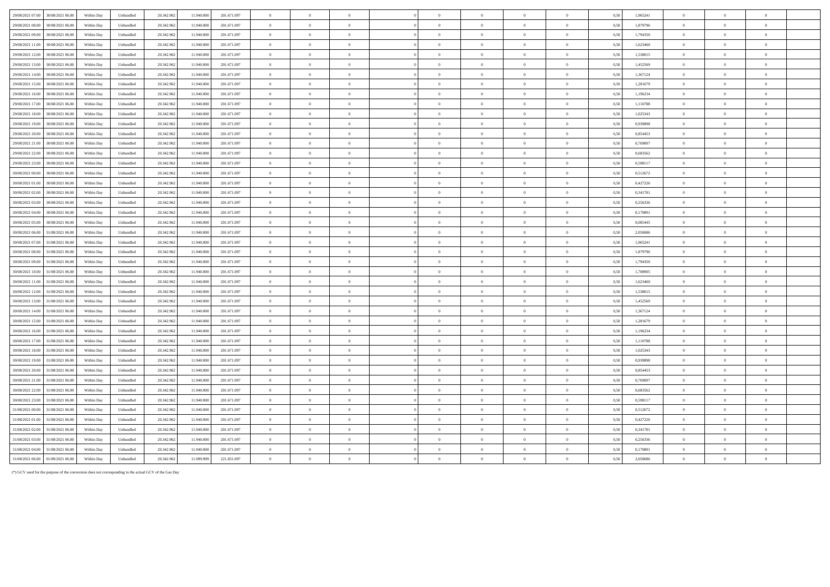| 29/08/2021 07:00 | 30/08/2021 06:00 | Within Day | Unbundled | 20.342.962 | 11.940.000 | 201.671.097 | $\overline{0}$ | $\overline{0}$ |                | $\theta$       |                | $\Omega$       |                | 0,50 | 1,965241 | $\overline{0}$ | $\Omega$       | $\overline{0}$ |  |
|------------------|------------------|------------|-----------|------------|------------|-------------|----------------|----------------|----------------|----------------|----------------|----------------|----------------|------|----------|----------------|----------------|----------------|--|
| 29/08/2021 08:00 | 30/08/2021 06:00 | Within Day | Unbundled | 20.342.963 | 11 940 000 | 201 671 097 | $\overline{0}$ | $\Omega$       | $\overline{0}$ | $\theta$       | $\Omega$       | $\Omega$       | $\theta$       | 0.50 | 1,879796 | $\Omega$       | $\theta$       | $\theta$       |  |
| 29/08/2021 09:00 | 30/08/2021 06.00 | Within Day | Unbundled | 20.342.962 | 11.940.000 | 201.671.097 | $\overline{0}$ | $\overline{0}$ | $\overline{0}$ | $\theta$       | $\overline{0}$ | $\overline{0}$ | $\overline{0}$ | 0,50 | 1,794350 | $\overline{0}$ | $\overline{0}$ | $\bf{0}$       |  |
| 29/08/2021 11:00 | 30/08/2021 06:00 | Within Dav | Unbundled | 20.342.96  | 11.940.000 | 201.671.097 | $\overline{0}$ | $\overline{0}$ | $\overline{0}$ | $\overline{0}$ | $\bf{0}$       | $\overline{0}$ | $\overline{0}$ | 0.50 | 1,623460 | $\overline{0}$ | $\Omega$       | $\theta$       |  |
| 29/08/2021 12:00 | 30/08/2021 06:00 | Within Day | Unbundled | 20.342.962 | 11.940.000 | 201.671.097 | $\overline{0}$ | $\overline{0}$ | $\overline{0}$ | $\overline{0}$ | $\bf{0}$       | $\overline{0}$ | $\bf{0}$       | 0,50 | 1,538015 | $\overline{0}$ | $\overline{0}$ | $\bf{0}$       |  |
| 29/08/2021 13:00 | 30/08/2021 06:00 | Within Day | Unbundled | 20.342.963 | 11 940 00  | 201 671 097 | $\overline{0}$ | $\theta$       | $\Omega$       | $\theta$       | $\Omega$       | $\theta$       | $\theta$       | 0.50 | 1452569  | $\overline{0}$ | $\theta$       | $\theta$       |  |
| 29/08/2021 14:00 | 30/08/2021 06:0  | Within Day | Unbundled | 20.342.962 | 11,940.00  | 201.671.097 | $\overline{0}$ | $\,$ 0 $\,$    | $\overline{0}$ | $\overline{0}$ | $\theta$       | $\overline{0}$ | $\overline{0}$ | 0,50 | 1,367124 | $\overline{0}$ | $\overline{0}$ | $\overline{0}$ |  |
| 29/08/2021 15:00 | 30/08/2021 06:00 | Within Day | Unbundled | 20.342.962 | 11.940.000 | 201.671.097 | $\overline{0}$ | $\overline{0}$ | $\overline{0}$ | $\overline{0}$ | $\bf{0}$       | $\overline{0}$ | $\bf{0}$       | 0.50 | 1,281679 | $\overline{0}$ | $\theta$       | $\overline{0}$ |  |
| 29/08/2021 16:00 | 30/08/2021 06:00 | Within Day | Unbundled | 20.342.962 | 11.940.000 | 201.671.097 | $\overline{0}$ | $\,$ 0 $\,$    | $\overline{0}$ | $\overline{0}$ | $\theta$       | $\overline{0}$ | $\overline{0}$ | 0,50 | 1,196234 | $\overline{0}$ | $\overline{0}$ | $\overline{0}$ |  |
| 29/08/2021 17:00 | 30/08/2021 06:00 | Within Day | Unbundled | 20.342.962 | 11.940.000 | 201.671.097 | $\overline{0}$ | $\theta$       | $\overline{0}$ | $\overline{0}$ | $\theta$       | $\theta$       | $\overline{0}$ | 0,50 | 1,110788 | $\overline{0}$ | $\overline{0}$ | $\overline{0}$ |  |
| 29/08/2021 18:00 | 30/08/2021 06:00 | Within Dav | Unbundled | 20.342.96  | 11.940.00  | 201.671.097 | $\overline{0}$ | $\overline{0}$ | $\overline{0}$ | $\Omega$       | $\Omega$       | $\Omega$       | $\overline{0}$ | 0.50 | 1,025343 | $\overline{0}$ | $\Omega$       | $\theta$       |  |
| 29/08/2021 19:00 | 30/08/2021 06:00 | Within Day | Unbundled | 20.342.962 | 11.940.000 | 201.671.097 | $\overline{0}$ | $\overline{0}$ | $\overline{0}$ | $\Omega$       | $\Omega$       | $\overline{0}$ | $\overline{0}$ | 0.50 | 0,939898 | $\overline{0}$ | $\Omega$       | $\Omega$       |  |
| 29/08/2021 20:00 | 30/08/2021 06:00 | Within Day | Unbundled | 20.342.96  | 11.940.000 | 201.671.097 | $\,$ 0 $\,$    | $\overline{0}$ | $\overline{0}$ | $\overline{0}$ | $\bf{0}$       | $\overline{0}$ | $\overline{0}$ | 0.50 | 0.854453 | $\overline{0}$ | $\Omega$       | $\overline{0}$ |  |
| 29/08/2021 21:00 | 30/08/2021 06:00 | Within Day | Unbundled | 20.342.962 | 11.940.000 | 201.671.097 | $\,$ 0 $\,$    | $\overline{0}$ | $\overline{0}$ | $\overline{0}$ | $\mathbf{0}$   | $\overline{0}$ | $\,$ 0 $\,$    | 0,50 | 0,769007 | $\overline{0}$ | $\overline{0}$ | $\overline{0}$ |  |
| 29/08/2021 22.00 | 30/08/2021 06:00 | Within Dav | Unbundled | 20.342.96  | 11 940 000 | 201.671.097 | $\overline{0}$ | $\theta$       | $\overline{0}$ | $\Omega$       | $\theta$       | $\Omega$       | $\overline{0}$ | 0.50 | 0.683562 | $\Omega$       | $\theta$       | $\overline{0}$ |  |
| 29/08/2021 23:00 | 30/08/2021 06:00 | Within Day | Unbundled | 20.342.962 | 11.940.000 | 201.671.097 | $\overline{0}$ | $\overline{0}$ | $\overline{0}$ | $\overline{0}$ | $\overline{0}$ | $\overline{0}$ | $\overline{0}$ | 0.50 | 0,598117 | $\overline{0}$ | $\overline{0}$ | $\overline{0}$ |  |
| 30/08/2021 00:00 | 30/08/2021 06:00 | Within Day | Unbundled | 20.342.96  | 11 940 000 | 201 671 097 | $\overline{0}$ | $\Omega$       | $\Omega$       | $\Omega$       | $\Omega$       | $\Omega$       | $\Omega$       | 0.50 | 0.512672 | $\Omega$       |                | $\Omega$       |  |
| 30/08/2021 01:00 | 30/08/2021 06:00 | Within Day | Unbundled | 20.342.962 | 11,940,000 | 201.671.097 | $\,$ 0 $\,$    | $\theta$       | $\,$ 0 $\,$    | $\,$ 0 $\,$    | $\bf{0}$       | $\,$ 0 $\,$    | $\,$ 0 $\,$    | 0,50 | 0,427226 | $\overline{0}$ | $\overline{0}$ | $\overline{0}$ |  |
| 30/08/2021 02:00 | 30/08/2021 06:00 | Within Dav | Unbundled | 20.342.96  | 11,940,000 | 201.671.097 | $\overline{0}$ | $\overline{0}$ | $\overline{0}$ | $\overline{0}$ | $\theta$       | $\overline{0}$ | $\overline{0}$ | 0.50 | 0,341781 | $\overline{0}$ | $\Omega$       | $\overline{0}$ |  |
| 30/08/2021 03:00 | 30/08/2021 06:00 | Within Day | Unbundled | 20.342.962 | 11.940.000 | 201.671.097 | $\overline{0}$ | $\overline{0}$ | $\overline{0}$ | $\overline{0}$ | $\Omega$       | $\overline{0}$ | $\bf{0}$       | 0,50 | 0,256336 | $\overline{0}$ | $\overline{0}$ | $\overline{0}$ |  |
| 30/08/2021 04:00 | 30/08/2021 06:00 | Within Dav | Unbundled | 20.342.963 | 11 940 000 | 201 671 097 | $\overline{0}$ | $\theta$       | $\overline{0}$ | $\Omega$       | $\theta$       | $\theta$       | $\theta$       | 0.50 | 0.170891 | $\Omega$       | $\theta$       | $\theta$       |  |
| 30/08/2021 05:00 | 30/08/2021 06:00 | Within Day | Unbundled | 20.342.962 | 11.940.00  | 201.671.097 | $\overline{0}$ | $\overline{0}$ | $\overline{0}$ | $\overline{0}$ | $\bf{0}$       | $\overline{0}$ | $\overline{0}$ | 0.50 | 0.085445 | $\overline{0}$ | $\theta$       | $\overline{0}$ |  |
| 30/08/2021 06:00 | 31/08/2021 06:00 | Within Day | Unbundled | 20.342.962 | 11.940.000 | 201.671.097 | $\overline{0}$ | $\theta$       | $\overline{0}$ | $\overline{0}$ | $\theta$       | $\overline{0}$ | $\overline{0}$ | 0.50 | 2,050686 | $\overline{0}$ | $\overline{0}$ | $\overline{0}$ |  |
| 30/08/2021 07:00 | 31/08/2021 06.00 | Within Day | Unbundled | 20.342.962 | 11.940.00  | 201.671.097 | $\overline{0}$ | $\,$ 0 $\,$    | $\,$ 0 $\,$    | $\overline{0}$ | $\theta$       | $\overline{0}$ | $\overline{0}$ | 0,50 | 1,965241 | $\overline{0}$ | $\overline{0}$ | $\overline{0}$ |  |
| 30/08/2021 08:00 | 31/08/2021 06:00 | Within Day | Unbundled | 20.342.962 | 11.940.000 | 201.671.097 | $\overline{0}$ | $\overline{0}$ | $\overline{0}$ | $\theta$       | $\theta$       | $\theta$       | $\bf{0}$       | 0,50 | 1,879796 | $\Omega$       | $\Omega$       | $\theta$       |  |
| 30/08/2021 09:00 | 31/08/2021 06:00 | Within Day | Unbundled | 20.342.96  | 11.940.00  | 201.671.097 | $\overline{0}$ | $\overline{0}$ | $\overline{0}$ | $\overline{0}$ | $\bf{0}$       | $\overline{0}$ | $\overline{0}$ | 0.50 | 1.794350 | $\overline{0}$ | $\overline{0}$ | $\overline{0}$ |  |
| 30/08/2021 10:00 | 31/08/2021 06:00 | Within Day | Unbundled | 20.342.962 | 11.940.000 | 201.671.097 | $\overline{0}$ | $\overline{0}$ | $\overline{0}$ | $\theta$       | $\Omega$       | $\overline{0}$ | $\bf{0}$       | 0.50 | 1,708905 | $\overline{0}$ | $\Omega$       | $\theta$       |  |
| 30/08/2021 11:00 | 31/08/2021 06:00 | Within Day | Unbundled | 20.342.96  | 11,940,000 | 201.671.097 | $\,$ 0 $\,$    | $\overline{0}$ | $\overline{0}$ | $\overline{0}$ | $\theta$       | $\overline{0}$ | $\overline{0}$ | 0.50 | 1,623460 | $\overline{0}$ | $\Omega$       | $\overline{0}$ |  |
| 30/08/2021 12:00 | 31/08/2021 06.00 | Within Day | Unbundled | 20.342.962 | 11.940.000 | 201.671.097 | $\,$ 0 $\,$    | $\,$ 0 $\,$    | $\,$ 0 $\,$    | $\overline{0}$ | $\overline{0}$ | $\overline{0}$ | $\overline{0}$ | 0,50 | 1,538015 | $\overline{0}$ | $\overline{0}$ | $\bf{0}$       |  |
| 30/08/2021 13:00 | 31/08/2021 06:00 | Within Day | Unbundled | 20.342.96  | 11 940 000 | 201 671 097 | $\overline{0}$ | $\Omega$       | $\Omega$       | $\Omega$       | $\theta$       | $\Omega$       | $\theta$       | 0.50 | 1.452569 | $\overline{0}$ | $\sqrt{2}$     | $\sqrt{2}$     |  |
| 30/08/2021 14:00 | 31/08/2021 06:00 | Within Day | Unbundled | 20.342.962 | 11.940.000 | 201.671.097 | $\overline{0}$ | $\overline{0}$ | $\overline{0}$ | $\overline{0}$ | $\bf{0}$       | $\overline{0}$ | $\overline{0}$ | 0,50 | 1,367124 | $\overline{0}$ | $\overline{0}$ | $\overline{0}$ |  |
| 30/08/2021 15:00 | 31/08/2021 06:00 | Within Day | Unbundled | 20.342.96  | 11 940 000 | 201.671.097 | $\overline{0}$ | $\theta$       | $\overline{0}$ | $\Omega$       | $\theta$       | $\Omega$       | $\overline{0}$ | 0.50 | 1.281679 | $\Omega$       | $\theta$       | $\theta$       |  |
| 30/08/2021 16:00 | 31/08/2021 06:00 | Within Day | Unbundled | 20.342.962 | 11,940,000 | 201.671.097 | $\,$ 0 $\,$    | $\overline{0}$ | $\theta$       | $\theta$       | $\overline{0}$ | $\overline{0}$ | $\mathbf{0}$   | 0,50 | 1,196234 | $\overline{0}$ | $\overline{0}$ | $\bf{0}$       |  |
| 30/08/2021 17:00 | 31/08/2021 06:00 | Within Day | Unbundled | 20.342.96  | 11.940.00  | 201.671.097 | $\overline{0}$ | $\overline{0}$ | $\overline{0}$ | $\overline{0}$ | $\theta$       | $\overline{0}$ | $\overline{0}$ | 0.50 | 1.110788 | $\overline{0}$ | $\theta$       | $\overline{0}$ |  |
| 30/08/2021 18:00 | 31/08/2021 06:00 | Within Day | Unbundled | 20.342.962 | 11.940.000 | 201.671.097 | $\overline{0}$ | $\overline{0}$ | $\overline{0}$ | $\overline{0}$ | $\mathbf{0}$   | $\overline{0}$ | $\bf{0}$       | 0,50 | 1,025343 | $\overline{0}$ | $\Omega$       | $\bf{0}$       |  |
| 30/08/2021 19:00 | 31/08/2021 06:00 | Within Dav | Unbundled | 20.342.963 | 11 940 00  | 201 671 097 | $\overline{0}$ | $\Omega$       | $\overline{0}$ | $\overline{0}$ | $\theta$       | $\Omega$       | $\overline{0}$ | 0.50 | 0.939898 | $\overline{0}$ | $\Omega$       | $\theta$       |  |
| 30/08/2021 20:00 | 31/08/2021 06:00 | Within Day | Unbundled | 20.342.96  | 11.940.000 | 201.671.097 | $\overline{0}$ | $\overline{0}$ | $\overline{0}$ | $\overline{0}$ | $\overline{0}$ | $\overline{0}$ | $\bf{0}$       | 0,50 | 0,854453 | $\overline{0}$ | $\overline{0}$ | $\theta$       |  |
| 30/08/2021 21:00 | 31/08/2021 06:00 | Within Day | Unbundled | 20.342.962 | 11.940.000 | 201.671.097 | $\overline{0}$ | $\overline{0}$ | $\overline{0}$ | $\overline{0}$ | $\Omega$       | $\overline{0}$ | $\overline{0}$ | 0.50 | 0,769007 | $\overline{0}$ | $\Omega$       | $\theta$       |  |
| 30/08/2021 22:00 | 31/08/2021 06:00 | Within Day | Unbundled | 20.342.962 | 11.940.000 | 201.671.097 | $\overline{0}$ | $\overline{0}$ | $\overline{0}$ | $\overline{0}$ | $\overline{0}$ | $\,$ 0 $\,$    | $\overline{0}$ | 0,50 | 0,683562 | $\overline{0}$ | $\overline{0}$ | $\overline{0}$ |  |
| 30/08/2021 23:00 | 31/08/2021 06:00 | Within Day | Unbundled | 20.342.963 | 11 940 000 | 201 671 097 | $\overline{0}$ | $\Omega$       | $\Omega$       | $\Omega$       | $\theta$       | $\theta$       | $\overline{0}$ | 0.50 | 0.598117 | $\overline{0}$ | $\Omega$       | $\theta$       |  |
| 31/08/2021 00:00 | 31/08/2021 06.0  | Within Day | Unbundled | 20.342.962 | 11.940.00  | 201.671.097 | $\overline{0}$ | $\overline{0}$ | $\overline{0}$ | $\overline{0}$ | $\Omega$       | $\overline{0}$ | $\overline{0}$ | 0,50 | 0,512672 | $\overline{0}$ | $\overline{0}$ | $\overline{0}$ |  |
| 31/08/2021 01:00 | 31/08/2021 06.00 | Within Day | Unbundled | 20.342.962 | 11.940.000 | 201.671.097 | $\overline{0}$ | $\overline{0}$ | $\overline{0}$ | $\overline{0}$ | $\bf{0}$       | $\overline{0}$ | $\bf{0}$       | 0.50 | 0,427226 | $\overline{0}$ | $\Omega$       | $\overline{0}$ |  |
| 31/08/2021 02:00 | 31/08/2021 06:00 | Within Day | Unbundled | 20.342.962 | 11.940.000 | 201.671.097 | $\overline{0}$ | $\overline{0}$ | $\overline{0}$ | $\overline{0}$ | $\bf{0}$       | $\overline{0}$ | $\overline{0}$ | 0,50 | 0,341781 | $\overline{0}$ | $\theta$       | $\overline{0}$ |  |
| 31/08/2021 03:00 | 31/08/2021 06.00 | Within Day | Unbundled | 20.342.962 | 11.940.000 | 201.671.097 | $\,$ 0 $\,$    | $\,$ 0 $\,$    | $\,$ 0 $\,$    | $\,$ 0 $\,$    | $\mathbf{0}$   | $\,$ 0 $\,$    | $\,$ 0 $\,$    | 0,50 | 0,256336 | $\overline{0}$ | $\overline{0}$ | $\,$ 0 $\,$    |  |
| 31/08/2021 04:00 | 31/08/2021 06.0  | Within Dav | Unbundled | 20.342.96  | 11.940.00  | 201.671.097 | $\overline{0}$ | $\Omega$       | $\theta$       | $\Omega$       | $\Omega$       | $\Omega$       | $\theta$       | 0.50 | 0.170891 | $\Omega$       | $\theta$       | $\sqrt{2}$     |  |
| 31/08/2021 06:00 | 01/09/2021 06:00 | Within Day | Unbundled | 20.342.962 | 11.099.999 | 221.831.097 | $\theta$       | $\Omega$       | $\Omega$       | $\theta$       |                | $\Omega$       | $\theta$       | 0,50 | 2,050686 | $\overline{0}$ | $\Omega$       | $\mathbf{0}$   |  |

(\*) GCV used for the purpose of the conversion does not corresponding to the actual GCV of the Gas Day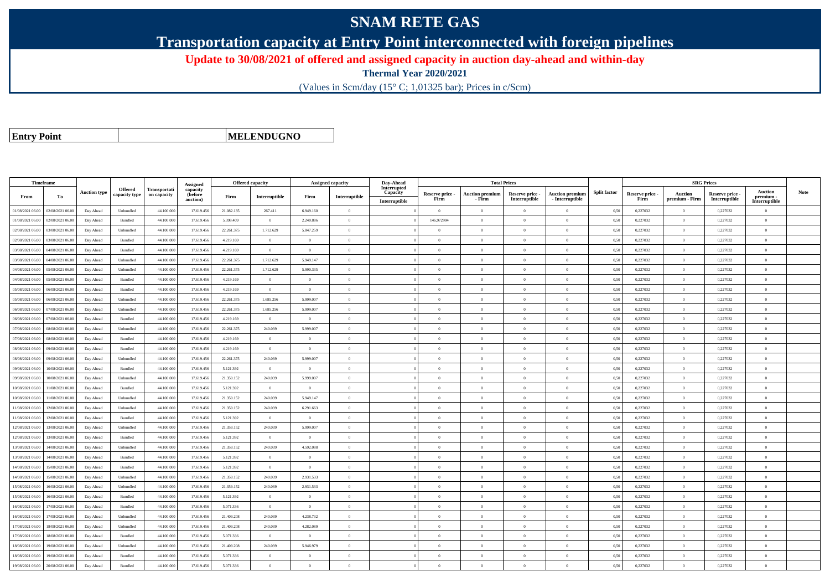## **SNAM RETE GAS**

**Transportation capacity at Entry Point interconnected with foreign pipelines**

**Update to 30/08/2021 of offered and assigned capacity in auction day-ahead and within-day**

**Thermal Year 2020/2021**

(Values in Scm/day (15° C; 1,01325 bar); Prices in c/Scm)

**Entry Point**

**MELENDUGNO**

|                  | Timeframe        |                     |                                 |                                    | Assigned                        | <b>Offered capacity</b> |                |                | Assigned capacity | Day-Ahead                                |                         | <b>Total Prices</b>              |                                  |                                           |                     |                         |                           | <b>SRG Prices</b>                |                                       |             |
|------------------|------------------|---------------------|---------------------------------|------------------------------------|---------------------------------|-------------------------|----------------|----------------|-------------------|------------------------------------------|-------------------------|----------------------------------|----------------------------------|-------------------------------------------|---------------------|-------------------------|---------------------------|----------------------------------|---------------------------------------|-------------|
| From             | To               | <b>Auction type</b> | <b>Offered</b><br>capacity type | <b>Transportati</b><br>on capacity | capacity<br>(before<br>auction) | Firm                    | Interruptible  | Firm           | Interruptible     | Interrupted<br>Capacity<br>Interruptible | Reserve price -<br>Firm | <b>Auction premium</b><br>- Firm | Reserve price -<br>Interruptible | <b>Auction premium</b><br>- Interruptible | <b>Split factor</b> | Reserve price -<br>Firm | Auction<br>premium - Firm | Reserve price -<br>Interruptible | Auction<br>premium -<br>Interruptible | <b>Note</b> |
| 01/08/2021 06:00 | 02/08/2021 06:00 | Day Ahead           | Unbundled                       | 44.100.000                         | 17.619.456                      | 21.082.135              | 267.411        | 6.949.160      | $\Omega$          |                                          | $\theta$                | $\theta$                         | $\Omega$                         | $\Omega$                                  | 0,50                | 0,227032                | $\Omega$                  | 0,227032                         | $\theta$                              |             |
| 01/08/2021 06:00 | 02/08/2021 06:00 | Day Ahead           | Bundled                         | 44.100.000                         | 17.619.456                      | 5.398.409               | $\Omega$       | 2.240.886      | $\Omega$          |                                          | 146,972904              |                                  | $\Omega$                         | $\theta$                                  | 0,50                | 0,227032                | $\theta$                  | 0,227032                         | $\theta$                              |             |
| 02/08/2021 06:00 | 03/08/2021 06:00 | Day Ahead           | Unbundled                       | 44,100,000                         | 17.619.456                      | 22.261.375              | 1.712.629      | 5.847.259      | $\Omega$          |                                          | $\theta$                | $\theta$                         | $\overline{0}$                   | $\overline{0}$                            | 0,50                | 0,227032                | $\overline{0}$            | 0,227032                         | $\overline{0}$                        |             |
| 02/08/2021 06:00 | 03/08/2021 06:00 | Day Ahead           | Bundled                         | 44.100.000                         | 17.619.456                      | 4.219.169               | $\overline{0}$ | $\Omega$       | $\Omega$          |                                          | $\theta$                | $\theta$                         | $\overline{0}$                   | $\overline{0}$                            | 0,50                | 0,227032                | $\mathbf{0}$              | 0,227032                         | $\theta$                              |             |
| 03/08/2021 06:00 | 04/08/2021 06:00 | Day Ahead           | Bundled                         | 44,100,000                         | 17.619.456                      | 4.219.169               | $\overline{0}$ | $\overline{0}$ | $\theta$          |                                          | $\theta$                | $\theta$                         | $\overline{0}$                   | $\bf{0}$                                  | 0.50                | 0.227032                | $\mathbf{0}$              | 0.227032                         | $\overline{0}$                        |             |
| 03/08/2021 06:00 | 04/08/2021 06.00 | Day Ahead           | Unbundled                       | 44.100.000                         | 17.619.45                       | 22.261.375              | 1.712.629      | 5.949.147      | $\Omega$          |                                          | $\theta$                | $\mathbf{a}$                     | $\Omega$                         | $\bf{0}$                                  | 0,50                | 0,227032                | $\,$ 0 $\,$               | 0,227032                         | $\theta$                              |             |
| 04/08/2021 06:00 | 05/08/2021 06:00 | Day Ahead           | Unbundled                       | 44.100.000                         | 17.619.456                      | 22.261.375              | 1.712.629      | 5.990.335      | $\theta$          |                                          | $\theta$                | $\theta$                         | $\theta$                         | $\bf{0}$                                  | 0,50                | 0,227032                | $\overline{0}$            | 0,227032                         | $\overline{0}$                        |             |
| 04/08/2021 06:00 | 05/08/2021 06:00 | Day Ahead           | Bundled                         | 44,100,000                         | 17.619.456                      | 4.219.169               | $\overline{0}$ | $\Omega$       | $\Omega$          |                                          | $\theta$                | $\theta$                         | $\theta$                         | $\theta$                                  | 0,50                | 0,227032                | $\Omega$                  | 0.227032                         | $\theta$                              |             |
| 05/08/2021 06:00 | 06/08/2021 06.0  | Day Ahead           | Bundled                         | 44.100.000                         | 17.619.45                       | 4.219.169               | $\overline{0}$ | $\overline{0}$ | $\Omega$          |                                          | $\Omega$                | $\theta$                         | $\overline{0}$                   | $\bf{0}$                                  | 0,50                | 0,227032                | $\mathbf{0}$              | 0,227032                         | $\overline{0}$                        |             |
| 05/08/2021 06:00 | 06/08/2021 06:00 | Day Ahead           | Unbundled                       | 44.100,000                         | 17.619.456                      | 22.261.375              | 1.685.256      | 5.999.007      | $\Omega$          |                                          | $\theta$                | $\theta$                         | $\overline{0}$                   | $\theta$                                  | 0,50                | 0,227032                | $\Omega$                  | 0.227032                         | $\theta$                              |             |
| 06/08/2021 06:00 | 07/08/2021 06:00 | Day Ahead           | Unbundled                       | 44.100,000                         | 17.619.456                      | 22.261.375              | 1.685.256      | 5.999.007      | $\Omega$          |                                          | $\Omega$                | $\theta$                         | $\Omega$                         | $\theta$                                  | 0.50                | 0,227032                | $\mathbf{0}$              | 0,227032                         | $\theta$                              |             |
| 06/08/2021 06:00 | 07/08/2021 06:00 | Day Ahead           | Bundled                         | 44,100,000                         | 17.619.45                       | 4.219.169               | $\overline{0}$ | $\overline{0}$ | $\theta$          |                                          | $\theta$                | $\theta$                         | $\overline{0}$                   | $\bf{0}$                                  | 0.50                | 0,227032                | $\theta$                  | 0.227032                         | $\overline{0}$                        |             |
| 07/08/2021 06:00 | 08/08/2021 06:00 | Day Ahead           | Unbundled                       | 44.100.000                         | 17.619.456                      | 22.261.375              | 240.039        | 5.999.007      | $\overline{0}$    |                                          | $\theta$                | $\theta$                         | $\overline{0}$                   | $\bf{0}$                                  | 0,50                | 0,227032                | $\,$ 0 $\,$               | 0,227032                         | $\overline{0}$                        |             |
| 07/08/2021 06:00 | 08/08/2021 06:00 | Day Ahead           | Bundled                         | 44.100.000                         | 17.619.456                      | 4.219.169               | $\overline{0}$ | $\theta$       | $\Omega$          |                                          | $\theta$                | $\mathbf{a}$                     | $\overline{0}$                   | $\bf{0}$                                  | 0,50                | 0,227032                | $\,$ 0 $\,$               | 0,227032                         | $\theta$                              |             |
| 08/08/2021 06:00 | 09/08/2021 06:00 | Day Ahead           | Bundled                         | 44.100.000                         | 17.619.456                      | 4.219.169               | $\Omega$       | $\Omega$       | $\Omega$          |                                          | $\Omega$                |                                  | $\Omega$                         | $\Omega$                                  | 0,50                | 0,227032                | $\theta$                  | 0,227032                         | $\theta$                              |             |
| 08/08/2021 06:00 | 09/08/2021 06:00 | Day Ahead           | Unbundled                       | 44.100.000                         | 17.619.456                      | 22.261.375              | 240.039        | 5.999.007      | $\Omega$          |                                          | $\theta$                | $\theta$                         | $\overline{0}$                   | $\overline{0}$                            | 0,50                | 0,227032                | $\,$ 0 $\,$               | 0,227032                         | $\overline{0}$                        |             |
| 09/08/2021 06:00 | 10/08/2021 06:00 | Day Ahead           | Bundled                         | 44.100.000                         | 17.619.456                      | 5.121.392               | $\overline{0}$ | $\overline{0}$ | $\overline{0}$    |                                          | $\theta$                | $\theta$                         | $\overline{0}$                   | $\bf{0}$                                  | 0,50                | 0,227032                | $\mathbf{0}$              | 0,227032                         | $\theta$                              |             |
| 09/08/2021 06:00 | 10/08/2021 06:00 | Day Ahead           | Unbundled                       | 44.100,000                         | 17.619.456                      | 21.359.152              | 240.039        | 5.999.007      | $\theta$          |                                          | $\theta$                | $\theta$                         | $\Omega$                         | $\theta$                                  | 0.50                | 0.227032                | $\Omega$                  | 0.227032                         | $\theta$                              |             |
| 10/08/2021 06:00 | 11/08/2021 06.00 | Day Ahead           | Bundled                         | 44.100.000                         | 17.619.45                       | 5.121.392               | $\overline{0}$ | $\overline{0}$ | $\overline{0}$    |                                          | $\theta$                | $\theta$                         | $\theta$                         | $\bf{0}$                                  | 0,50                | 0,227032                | $\mathbf{0}$              | 0,227032                         | $\overline{0}$                        |             |
| 10/08/2021 06:00 | 11/08/2021 06:00 | Day Ahead           | Unbundled                       | 44.100.000                         | 17.619.456                      | 21.359.152              | 240.039        | 5.949.147      | $\theta$          |                                          | $\theta$                | $\theta$                         | $\theta$                         | $\bf{0}$                                  | 0,50                | 0,227032                | $\overline{0}$            | 0,227032                         | $\overline{0}$                        |             |
| 11/08/2021 06:00 | 12/08/2021 06:00 | Day Ahead           | Unbundled                       | 44,100,000                         | 17.619.456                      | 21.359.152              | 240.039        | 6.291.663      | $\Omega$          |                                          | $\theta$                | $\mathbf{a}$                     | $\Omega$                         | $\theta$                                  | 0,50                | 0,227032                | $\Omega$                  | 0,227032                         | $\theta$                              |             |
| 11/08/2021 06:00 | 12/08/2021 06.0  | Day Ahead           | Bundled                         | 44.100.000                         | 17.619.45                       | 5.121.392               | $\overline{0}$ | $\overline{0}$ | $\overline{0}$    |                                          | $\theta$                | $\theta$                         | $\overline{0}$                   | $\bf{0}$                                  | 0,50                | 0,227032                | $\mathbf{0}$              | 0,227032                         | $\overline{0}$                        |             |
| 12/08/2021 06:00 | 13/08/2021 06:00 | Day Ahead           | Unbundled                       | 44.100.000                         | 17.619.456                      | 21.359.152              | 240.039        | 5.999.007      | $\Omega$          |                                          | $\theta$                | $\theta$                         | $\overline{0}$                   | $\bf{0}$                                  | 0,50                | 0,227032                | $\mathbf{0}$              | 0,227032                         | $\theta$                              |             |
| 12/08/2021 06:00 | 13/08/2021 06:00 | Day Ahead           | Bundled                         | 44.100,000                         | 17.619.456                      | 5.121.392               | $\overline{0}$ | $\Omega$       | $\Omega$          |                                          | $\Omega$                | $\theta$                         | $\Omega$                         | $\overline{0}$                            | 0.50                | 0,227032                | $\mathbf{0}$              | 0,227032                         | $\theta$                              |             |
| 13/08/2021 06:00 | 14/08/2021 06:00 | Day Ahead           | Unbundled                       | 44.100.000                         | 17.619.45                       | 21.359.152              | 240.039        | 4.592.088      | $\Omega$          |                                          | $\theta$                | $\theta$                         | $\Omega$                         | $\theta$                                  | 0.50                | 0,227032                | $\mathbf{0}$              | 0,227032                         | $\theta$                              |             |
| 13/08/2021 06:00 | 14/08/2021 06:00 | Day Ahead           | Bundled                         | 44.100.000                         | 17.619.456                      | 5.121.392               | $\overline{0}$ | $\overline{0}$ | $\overline{0}$    |                                          | $\theta$                | $\theta$                         | $\overline{0}$                   | $\bf{0}$                                  | 0,50                | 0,227032                | $\mathbf{0}$              | 0,227032                         | $\overline{0}$                        |             |
| 14/08/2021 06:00 | 15/08/2021 06:00 | Day Ahead           | Bundled                         | 44.100.000                         | 17.619.456                      | 5.121.392               | $\overline{0}$ | $\overline{0}$ | $\Omega$          |                                          | $\theta$                | $\theta$                         | $\overline{0}$                   | $\bf{0}$                                  | 0,50                | 0,227032                | $\,$ 0 $\,$               | 0,227032                         | $\theta$                              |             |
| 14/08/2021 06:00 | 15/08/2021 06:00 | Day Ahead           | Unbundled                       | 44.100.000                         | 17.619.456                      | 21.359.152              | 240.039        | 2.931.533      | $\Omega$          |                                          | $\Omega$                |                                  | $\Omega$                         | $\Omega$                                  | 0,50                | 0,227032                | $\mathbf{0}$              | 0,227032                         | $\theta$                              |             |
| 15/08/2021 06:00 | 16/08/2021 06:00 | Day Ahead           | Unbundled                       | 44,100,000                         | 17.619.456                      | 21.359.152              | 240.039        | 2.931.533      | $\Omega$          |                                          | $\Omega$                | $\theta$                         | $\overline{0}$                   | $\theta$                                  | 0,50                | 0,227032                | $\overline{0}$            | 0,227032                         | $\theta$                              |             |
| 15/08/2021 06:00 | 16/08/2021 06:00 | Day Ahead           | Bundled                         | 44.100.000                         | 17.619.456                      | 5.121.392               | $\overline{0}$ | $\overline{0}$ | $\theta$          |                                          | $\theta$                | $\theta$                         | $\overline{0}$                   | $\bf{0}$                                  | 0,50                | 0,227032                | $\mathbf{0}$              | 0,227032                         | $\overline{0}$                        |             |
| 16/08/2021 06:00 | 17/08/2021 06:00 | Day Ahead           | Bundled                         | 44.100,000                         | 17.619.456                      | 5.071.336               | $\overline{0}$ | $\Omega$       | $\Omega$          |                                          | $\theta$                | $\theta$                         | $\theta$                         | $\theta$                                  | 0.50                | 0,227032                | $\Omega$                  | 0,227032                         | $\theta$                              |             |
| 16/08/2021 06:00 | 17/08/2021 06:00 | Day Ahead           | Unbundled                       | 44.100,000                         | 17.619.456                      | 21.409.208              | 240.039        | 4.238.732      | $\overline{0}$    |                                          | $\theta$                | $\theta$                         | $\overline{0}$                   | $\overline{0}$                            | 0,50                | 0,227032                | $\overline{0}$            | 0,227032                         | $\theta$                              |             |
| 17/08/2021 06:00 | 18/08/2021 06:00 | Day Ahead           | Unbundled                       | 44.100.000                         | 17.619.456                      | 21.409.208              | 240.039        | 4.282.089      | $\theta$          |                                          | $\theta$                | $\theta$                         | $\theta$                         | $\bf{0}$                                  | 0,50                | 0,227032                | $\overline{0}$            | 0,227032                         | $\overline{0}$                        |             |
| 17/08/2021 06:00 | 18/08/2021 06:00 | Day Ahead           | <b>Bundled</b>                  | 44.100.000                         | 17.619.456                      | 5.071.336               | $\theta$       | $\Omega$       | $\Omega$          |                                          | $\theta$                | $\theta$                         | $\Omega$                         | $\theta$                                  | 0,50                | 0,227032                | $\Omega$                  | 0,227032                         | $\theta$                              |             |
| 18/08/2021 06:00 | 19/08/2021 06:00 | Day Ahead           | Unbundled                       | 44.100.000                         | 17.619.456                      | 21.409.208              | 240.039        | 5.946.979      | $\Omega$          |                                          | $\Omega$                | $\mathbf{a}$                     | $\Omega$                         | $\Omega$                                  | 0,50                | 0,227032                | $\mathbf{0}$              | 0,227032                         | $\theta$                              |             |
| 18/08/2021 06:00 | 19/08/2021 06:00 | Day Ahead           | Bundled                         | 44.100.000                         | 17.619.456                      | 5.071.336               | $\overline{0}$ | $\Omega$       | $\Omega$          |                                          | $\Omega$                | $\Omega$                         | $\Omega$                         | $\bf{0}$                                  | 0,50                | 0,227032                | $\mathbf{0}$              | 0,227032                         | $\theta$                              |             |
| 19/08/2021 06:00 | 20/08/2021 06:00 | Day Ahead           | Bundled                         | 44.100.000                         | 17.619.456                      | 5.071.336               | $\theta$       | $\Omega$       | $\Omega$          |                                          | $\theta$                | $\Omega$                         | $\Omega$                         | $\theta$                                  | 0,50                | 0,227032                | $\theta$                  | 0,227032                         | $\Omega$                              |             |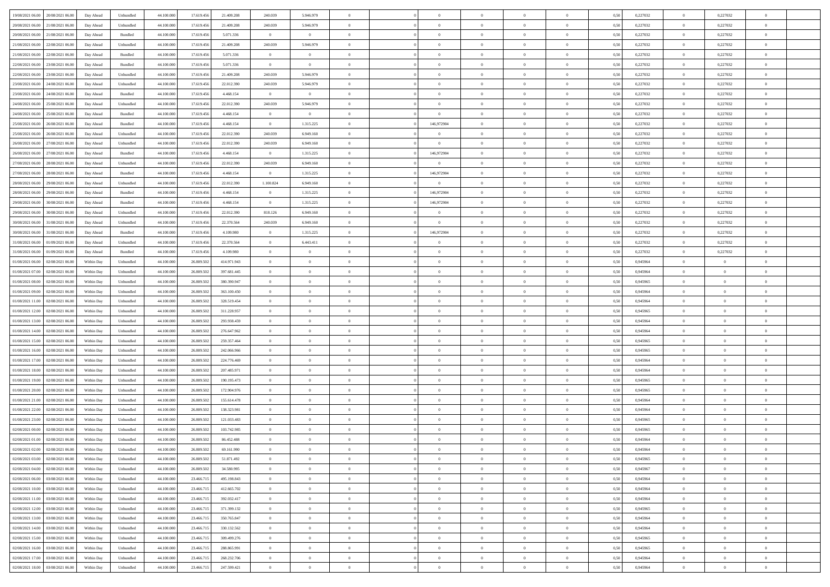| 19/08/2021 06:00 20/08/2021 06:00              | Day Ahead  | Unbundled                   | 44.100.000 | 17.619.456 | 21.409.208  | 240.039        | 5.946.979      |                | $\overline{0}$ | $\theta$       |                | $\theta$       | 0,50 | 0,227032 | $\theta$       | 0,227032       | $\overline{0}$ |  |
|------------------------------------------------|------------|-----------------------------|------------|------------|-------------|----------------|----------------|----------------|----------------|----------------|----------------|----------------|------|----------|----------------|----------------|----------------|--|
| 20/08/2021 06:00<br>21/08/2021 06:00           | Day Ahead  | Unbundled                   | 44.100.00  | 17.619.45  | 21.409.208  | 240.039        | 5.946.979      | $\overline{0}$ | $\overline{0}$ | $\overline{0}$ | $\overline{0}$ | $\bf{0}$       | 0,50 | 0,227032 | $\,$ 0 $\,$    | 0,227032       | $\overline{0}$ |  |
| 20/08/2021 06:00<br>21/08/2021 06:00           | Day Ahead  | Bundled                     | 44,100,000 | 17.619.456 | 5.071.336   | $\overline{0}$ | $\overline{0}$ | $\overline{0}$ | $\bf{0}$       | $\bf{0}$       | $\overline{0}$ | $\bf{0}$       | 0.50 | 0,227032 | $\overline{0}$ | 0,227032       | $\overline{0}$ |  |
| 21/08/2021 06:00<br>22/08/2021 06:00           | Day Ahead  | Unbundled                   | 44.100.000 | 17.619.456 | 21.409.208  | 240.039        | 5.946.979      | $\overline{0}$ | $\theta$       | $\theta$       | $\overline{0}$ | $\overline{0}$ | 0,50 | 0,227032 | $\,$ 0 $\,$    | 0,227032       | $\overline{0}$ |  |
| 21/08/2021 06:00<br>22/08/2021 06:00           | Day Ahead  | Bundled                     | 44.100.00  | 17.619.456 | 5.071.336   | $\overline{0}$ | $\overline{0}$ | $\bf{0}$       | $\overline{0}$ | $\theta$       | $\overline{0}$ | $\bf{0}$       | 0,50 | 0,227032 | $\,$ 0 $\,$    | 0,227032       | $\overline{0}$ |  |
| 22/08/2021 06:00<br>23/08/2021 06:00           | Day Ahead  | Bundled                     | 44,100,000 | 17.619.456 | 5.071.336   | $\overline{0}$ | $\overline{0}$ | $\overline{0}$ | $\overline{0}$ | $\overline{0}$ | $\theta$       | $\bf{0}$       | 0.50 | 0,227032 | $\bf{0}$       | 0.227032       | $\overline{0}$ |  |
| 23/08/2021 06:00<br>22/08/2021 06:00           | Day Ahead  | Unbundled                   | 44.100.000 | 17.619.456 | 21.409.208  | 240.039        | 5.946.979      | $\overline{0}$ | $\overline{0}$ | $\theta$       | $\overline{0}$ | $\overline{0}$ | 0,50 | 0,227032 | $\,$ 0 $\,$    | 0,227032       | $\overline{0}$ |  |
| 23/08/2021 06:00<br>24/08/2021 06.00           | Day Ahead  | Unbundled                   | 44.100.00  | 17.619.45  | 22.012.390  | 240.039        | 5.946.979      | $\overline{0}$ | $\overline{0}$ | $\theta$       | $\overline{0}$ | $\bf{0}$       | 0,50 | 0,227032 | $\,$ 0 $\,$    | 0,227032       | $\overline{0}$ |  |
|                                                |            |                             |            |            |             |                |                |                |                |                |                |                |      |          |                |                |                |  |
| 23/08/2021 06:00<br>24/08/2021 06:00           | Day Ahead  | Bundled                     | 44,100,000 | 17.619.456 | 4.468.154   | $\overline{0}$ | $\overline{0}$ | $\overline{0}$ | $\bf{0}$       | $\overline{0}$ | $\overline{0}$ | $\bf{0}$       | 0.50 | 0.227032 | $\bf{0}$       | 0.227032       | $\overline{0}$ |  |
| 24/08/2021 06:00<br>25/08/2021 06:00           | Day Ahead  | Unbundled                   | 44.100.000 | 17.619.456 | 22.012.390  | 240.039        | 5.946.979      | $\overline{0}$ | $\theta$       | $\theta$       | $\overline{0}$ | $\bf{0}$       | 0,50 | 0,227032 | $\bf{0}$       | 0,227032       | $\overline{0}$ |  |
| 24/08/2021 06:00<br>25/08/2021 06.00           | Day Ahead  | Bundled                     | 44.100.00  | 17.619.456 | 4.468.154   | $\bf{0}$       | $\bf{0}$       | $\bf{0}$       | $\bf{0}$       | $\theta$       | $\overline{0}$ | $\bf{0}$       | 0,50 | 0,227032 | $\,$ 0 $\,$    | 0,227032       | $\overline{0}$ |  |
| 25/08/2021 06:00<br>26/08/2021 06:00           | Day Ahead  | Bundled                     | 44,100,000 | 17.619.456 | 4.468.154   | $\overline{0}$ | 1.315.225      | $\overline{0}$ | 146,972904     | $\overline{0}$ | $\overline{0}$ | $\bf{0}$       | 0.50 | 0,227032 | $\overline{0}$ | 0,227032       | $\overline{0}$ |  |
| 25/08/2021 06:00<br>26/08/2021 06:00           | Day Ahead  | Unbundled                   | 44.100.000 | 17.619.456 | 22.012.390  | 240.039        | 6.949.160      | $\overline{0}$ | $\overline{0}$ | $\theta$       | $\overline{0}$ | $\overline{0}$ | 0,50 | 0,227032 | $\,$ 0 $\,$    | 0,227032       | $\overline{0}$ |  |
| 26/08/2021 06:00<br>27/08/2021 06:00           | Day Ahead  | Unbundled                   | 44.100.00  | 17.619.456 | 22.012.390  | 240.039        | 6.949.160      | $\bf{0}$       | $\overline{0}$ | $\overline{0}$ | $\overline{0}$ | $\bf{0}$       | 0,50 | 0,227032 | $\,$ 0 $\,$    | 0,227032       | $\overline{0}$ |  |
| 26/08/2021 06:00<br>27/08/2021 06:00           | Day Ahead  | Bundled                     | 44,100,000 | 17.619.456 | 4.468.154   | $\overline{0}$ | 1.315.225      | $\overline{0}$ | 146,972904     | $\theta$       | $\theta$       | $\bf{0}$       | 0.50 | 0,227032 | $\bf{0}$       | 0,227032       | $\overline{0}$ |  |
| 27/08/2021 06:00<br>28/08/2021 06:00           | Day Ahead  | Unbundled                   | 44.100.000 | 17.619.456 | 22.012.390  | 240.039        | 6.949.160      | $\overline{0}$ | $\overline{0}$ | $\overline{0}$ | $\overline{0}$ | $\bf{0}$       | 0,50 | 0,227032 | $\bf{0}$       | 0,227032       | $\overline{0}$ |  |
| 27/08/2021 06:00<br>28/08/2021 06:00           | Day Ahead  | Bundled                     | 44.100.00  | 17.619.456 | 4.468.154   | $\bf{0}$       | 1.315.225      | $\bf{0}$       | 146,972904     | $\theta$       | $\overline{0}$ | $\bf{0}$       | 0,50 | 0,227032 | $\,$ 0 $\,$    | 0,227032       | $\overline{0}$ |  |
| 28/08/2021 06:00<br>29/08/2021 06:00           | Day Ahead  | Unbundled                   | 44,100,000 | 17.619.456 | 22.012.390  | 1.100.824      | 6.949.160      | $\overline{0}$ | $\overline{0}$ | $\overline{0}$ | $\overline{0}$ | $\bf{0}$       | 0.50 | 0.227032 | $\bf{0}$       | 0.227032       | $\overline{0}$ |  |
| 28/08/2021 06:00<br>29/08/2021 06:00           | Day Ahead  | Bundled                     | 44.100.000 | 17.619.456 | 4.468.154   | $\overline{0}$ | 1.315.225      | $\overline{0}$ | 146,972904     | $\overline{0}$ | $\overline{0}$ | $\bf{0}$       | 0,50 | 0,227032 | $\,$ 0 $\,$    | 0,227032       | $\overline{0}$ |  |
| 29/08/2021 06:00<br>30/08/2021 06:00           | Day Ahead  | Bundled                     | 44.100.00  | 17.619.456 | 4.468.154   | $\bf{0}$       | 1.315.225      | $\bf{0}$       | 146,972904     | $\overline{0}$ | $\overline{0}$ | $\bf{0}$       | 0,50 | 0,227032 | $\,$ 0 $\,$    | 0,227032       | $\overline{0}$ |  |
| 30/08/2021 06:00                               |            |                             | 44,100,000 | 17.619.456 | 22.012.390  |                |                |                |                |                | $\overline{0}$ |                |      |          |                |                |                |  |
| 29/08/2021 06:00                               | Day Ahead  | Unbundled                   |            |            |             | 818.126        | 6.949.160      | $\overline{0}$ | $\overline{0}$ | $\overline{0}$ |                | $\bf{0}$       | 0.50 | 0,227032 | $\overline{0}$ | 0,227032       | $\overline{0}$ |  |
| 30/08/2021 06:00<br>31/08/2021 06:00           | Day Ahead  | Unbundled                   | 44.100.000 | 17.619.456 | 22.370.564  | 240.039        | 6.949.160      | $\overline{0}$ | $\overline{0}$ | $\theta$       | $\overline{0}$ | $\bf{0}$       | 0.5( | 0,227032 | $\,$ 0 $\,$    | 0,227032       | $\overline{0}$ |  |
| 30/08/2021 06:00<br>31/08/2021 06:00           | Day Ahead  | Bundled                     | 44.100.00  | 17.619.456 | 4.109.980   | $\bf{0}$       | 1.315.225      | $\bf{0}$       | 146,972904     | $\theta$       | $\overline{0}$ | $\bf{0}$       | 0,50 | 0,227032 | $\,$ 0 $\,$    | 0,227032       | $\overline{0}$ |  |
| 31/08/2021 06:00<br>01/09/2021 06:00           | Day Ahead  | Unbundled                   | 44,100,000 | 17.619.456 | 22,370,564  | $\overline{0}$ | 6.443.411      | $\overline{0}$ | $\overline{0}$ | $\overline{0}$ | $\theta$       | $\bf{0}$       | 0.50 | 0,227032 | $\bf{0}$       | 0.227032       | $\overline{0}$ |  |
| 31/08/2021 06:00<br>01/09/2021 06:00           | Day Ahead  | Bundled                     | 44.100.000 | 17.619.456 | 4.109.980   | $\overline{0}$ | $\overline{0}$ | $\overline{0}$ | $\overline{0}$ | $\theta$       | $\overline{0}$ | $\overline{0}$ | 0,50 | 0,227032 | $\,$ 0 $\,$    | 0,227032       | $\overline{0}$ |  |
| 01/08/2021 06:00<br>02/08/2021 06.00           | Within Day | Unbundled                   | 44.100.00  | 26.809.50  | 414.971.943 | $\bf{0}$       | $\theta$       | $\bf{0}$       | $\overline{0}$ | $\theta$       | $\overline{0}$ | $\bf{0}$       | 0,50 | 0,945964 | $\,$ 0 $\,$    | $\overline{0}$ | $\overline{0}$ |  |
| 01/08/2021 07:00<br>02/08/2021 06:00           | Within Day | Unbundled                   | 44,100,000 | 26,809,502 | 397.681.445 | $\overline{0}$ | $\bf{0}$       | $\overline{0}$ | $\bf{0}$       | $\overline{0}$ | $\overline{0}$ | $\bf{0}$       | 0.50 | 0.945964 | $\bf{0}$       | $\overline{0}$ | $\overline{0}$ |  |
| 01/08/2021 08:00<br>02/08/2021 06:00           | Within Day | Unbundled                   | 44.100.000 | 26.809.502 | 380.390.947 | $\overline{0}$ | $\overline{0}$ | $\overline{0}$ | $\overline{0}$ | $\overline{0}$ | $\overline{0}$ | $\bf{0}$       | 0,50 | 0,945965 | $\theta$       | $\theta$       | $\overline{0}$ |  |
| 01/08/2021 09:00<br>02/08/2021 06.00           | Within Day | Unbundled                   | 44.100.00  | 26.809.502 | 363.100.450 | $\bf{0}$       | $\bf{0}$       | $\bf{0}$       | $\bf{0}$       | $\overline{0}$ | $\overline{0}$ | $\bf{0}$       | 0,50 | 0,945964 | $\,$ 0 $\,$    | $\bf{0}$       | $\overline{0}$ |  |
| 01/08/2021 11:00<br>02/08/2021 06:00           | Within Day | Unbundled                   | 44,100,000 | 26,809.502 | 328.519.454 | $\overline{0}$ | $\bf{0}$       | $\overline{0}$ | $\bf{0}$       | $\bf{0}$       | $\overline{0}$ | $\bf{0}$       | 0.50 | 0.945964 | $\bf{0}$       | $\overline{0}$ | $\bf{0}$       |  |
| 01/08/2021 12:00<br>02/08/2021 06:00           | Within Day | Unbundled                   | 44.100.000 | 26,809.502 | 311.228.957 | $\overline{0}$ | $\overline{0}$ | $\overline{0}$ | $\overline{0}$ | $\overline{0}$ | $\overline{0}$ | $\bf{0}$       | 0.5( | 0.945965 | $\theta$       | $\theta$       | $\overline{0}$ |  |
| 01/08/2021 13:00<br>02/08/2021 06.00           | Within Day | Unbundled                   | 44.100.00  | 26.809.50  | 293.938.459 | $\bf{0}$       | $\overline{0}$ | $\bf{0}$       | $\overline{0}$ | $\overline{0}$ | $\overline{0}$ | $\bf{0}$       | 0,50 | 0,945964 | $\,$ 0 $\,$    | $\bf{0}$       | $\overline{0}$ |  |
| 01/08/2021 14:00<br>02/08/2021 06:00           | Within Day | Unbundled                   | 44,100,000 | 26,809.502 | 276.647.962 | $\overline{0}$ | $\overline{0}$ | $\overline{0}$ | $\bf{0}$       | $\bf{0}$       | $\Omega$       | $\bf{0}$       | 0.50 | 0.945964 | $\,$ 0 $\,$    | $\theta$       | $\overline{0}$ |  |
|                                                |            |                             |            |            |             | $\overline{0}$ | $\overline{0}$ | $\Omega$       |                | $\overline{0}$ |                |                |      |          | $\theta$       | $\theta$       | $\overline{0}$ |  |
| 01/08/2021 15:00<br>02/08/2021 06:00           | Within Dav | Unbundled                   | 44.100.000 | 26.809.502 | 259.357.464 |                |                |                | $\overline{0}$ |                | $\overline{0}$ | $\bf{0}$       | 0.5( | 0,945965 |                |                |                |  |
| 01/08/2021 16:00<br>02/08/2021 06.00           | Within Day | Unbundled                   | 44.100.00  | 26.809.502 | 242.066.966 | $\bf{0}$       | $\overline{0}$ | $\bf{0}$       | $\overline{0}$ | $\bf{0}$       | $\overline{0}$ | $\bf{0}$       | 0,50 | 0,945965 | $\,$ 0 $\,$    | $\bf{0}$       | $\overline{0}$ |  |
| 01/08/2021 17:00<br>02/08/2021 06:00           | Within Day | Unbundled                   | 44,100,000 | 26,809.502 | 224,776,469 | $\overline{0}$ | $\bf{0}$       | $\overline{0}$ | $\bf{0}$       | $\overline{0}$ | $\overline{0}$ | $\bf{0}$       | 0.50 | 0.945964 | $\bf{0}$       | $\overline{0}$ | $\overline{0}$ |  |
| 01/08/2021 18:00<br>02/08/2021 06:00           | Within Dav | Unbundled                   | 44.100.000 | 26,809.502 | 207.485.971 | $\overline{0}$ | $\overline{0}$ | $\overline{0}$ | $\theta$       | $\overline{0}$ | $\overline{0}$ | $\overline{0}$ | 0.5( | 0,945964 | $\theta$       | $\theta$       | $\overline{0}$ |  |
| 01/08/2021 19:00<br>02/08/2021 06.00           | Within Day | Unbundled                   | 44.100.00  | 26.809.50  | 190.195.473 | $\bf{0}$       | $\bf{0}$       | $\bf{0}$       | $\bf{0}$       | $\overline{0}$ | $\overline{0}$ | $\bf{0}$       | 0,50 | 0,945965 | $\,$ 0 $\,$    | $\bf{0}$       | $\overline{0}$ |  |
| 01/08/2021 20:00<br>02/08/2021 06:00           | Within Day | Unbundled                   | 44,100,000 | 26,809,502 | 172.904.976 | $\overline{0}$ | $\bf{0}$       | $\overline{0}$ | $\bf{0}$       | $\bf{0}$       | $\overline{0}$ | $\bf{0}$       | 0.50 | 0.945965 | $\bf{0}$       | $\overline{0}$ | $\overline{0}$ |  |
| 01/08/2021 21:00<br>02/08/2021 06:00           | Within Dav | Unbundled                   | 44.100.000 | 26.809.502 | 155.614.478 | $\overline{0}$ | $\overline{0}$ | $\Omega$       | $\overline{0}$ | $\overline{0}$ | $\overline{0}$ | $\bf{0}$       | 0.50 | 0.945964 | $\theta$       | $\theta$       | $\overline{0}$ |  |
| 01/08/2021 22:00<br>02/08/2021 06.00           | Within Day | Unbundled                   | 44.100.00  | 26.809.502 | 138.323.981 | $\bf{0}$       | $\overline{0}$ | $\bf{0}$       | $\overline{0}$ | $\,$ 0 $\,$    | $\overline{0}$ | $\bf{0}$       | 0,50 | 0,945964 | $\,$ 0 $\,$    | $\bf{0}$       | $\overline{0}$ |  |
| 01/08/2021 23:00<br>02/08/2021 06:00           | Within Day | Unbundled                   | 44,100,000 | 26,809.502 | 121.033.483 | $\overline{0}$ | $\overline{0}$ | $\overline{0}$ | $\bf{0}$       | $\overline{0}$ | $\theta$       | $\bf{0}$       | 0.50 | 0.945965 | $\bf{0}$       | $\theta$       | $\overline{0}$ |  |
| 02/08/2021 00:00<br>02/08/2021 06:00           | Within Dav | Unbundled                   | 44.100.000 | 26,809.50  | 103.742.985 | $\overline{0}$ | $\overline{0}$ | $\Omega$       | $\Omega$       | $\theta$       | $\Omega$       | $\overline{0}$ | 0.5( | 0,945965 | $\theta$       | $\theta$       | $\overline{0}$ |  |
| 02/08/2021 01:00<br>02/08/2021 06:00           | Within Day | Unbundled                   | 44.100.000 | 26.809.50  | 86.452.488  | $\bf{0}$       | $\bf{0}$       | $\overline{0}$ | $\bf{0}$       | $\bf{0}$       | $\overline{0}$ | $\bf{0}$       | 0,50 | 0,945964 | $\,$ 0 $\,$    | $\bf{0}$       | $\overline{0}$ |  |
| $02/08/2021\; 02.00 \qquad 02/08/2021\; 06.00$ | Within Day | $\ensuremath{\mathsf{Unb}}$ | 44.100.000 | 26.809.502 | 69 161 990  | $\bf{0}$       | $\Omega$       |                | $\Omega$       |                |                |                | 0,50 | 0.945964 | $\theta$       | $\overline{0}$ |                |  |
| 02/08/2021 03:00 02/08/2021 06:00              | Within Dav | Unbundled                   | 44.100.000 | 26.809.502 | 51.871.492  | $\overline{0}$ | $\theta$       | $\Omega$       | $\theta$       | $\overline{0}$ | $\overline{0}$ | $\bf{0}$       | 0,50 | 0,945965 | $\theta$       | $\theta$       | $\overline{0}$ |  |
|                                                |            |                             |            |            |             |                |                |                |                |                |                |                |      |          |                |                |                |  |
| 02/08/2021 04:00<br>02/08/2021 06:00           | Within Day | Unbundled                   | 44.100.00  | 26.809.502 | 34.580.995  | $\overline{0}$ | $\bf{0}$       | $\overline{0}$ | $\overline{0}$ | $\bf{0}$       | $\overline{0}$ | $\bf{0}$       | 0,50 | 0,945967 | $\bf{0}$       | $\overline{0}$ | $\bf{0}$       |  |
| 02/08/2021 06:00 03/08/2021 06:00              | Within Day | Unbundled                   | 44,100,000 | 23.466.715 | 495.198.843 | $\overline{0}$ | $\bf{0}$       | $\overline{0}$ | $\overline{0}$ | $\overline{0}$ | $\overline{0}$ | $\bf{0}$       | 0.50 | 0.945964 | $\mathbf{0}$   | $\bf{0}$       | $\,$ 0 $\,$    |  |
| 02/08/2021 10:00 03/08/2021 06:00              | Within Dav | Unbundled                   | 44.100.000 | 23.466.715 | 412.665.702 | $\overline{0}$ | $\overline{0}$ | $\overline{0}$ | $\overline{0}$ | $\overline{0}$ | $\overline{0}$ | $\bf{0}$       | 0,50 | 0,945964 | $\theta$       | $\theta$       | $\overline{0}$ |  |
| 02/08/2021 11:00<br>03/08/2021 06:00           | Within Day | Unbundled                   | 44.100.000 | 23.466.715 | 392.032.417 | $\overline{0}$ | $\bf{0}$       | $\overline{0}$ | $\bf{0}$       | $\overline{0}$ | $\bf{0}$       | $\bf{0}$       | 0,50 | 0,945964 | $\overline{0}$ | $\bf{0}$       | $\overline{0}$ |  |
| 02/08/2021 12:00<br>03/08/2021 06:00           | Within Day | Unbundled                   | 44,100,000 | 23.466.715 | 371.399.132 | $\overline{0}$ | $\bf{0}$       | $\overline{0}$ | $\overline{0}$ | $\overline{0}$ | $\overline{0}$ | $\bf{0}$       | 0.50 | 0.945965 | $\,$ 0 $\,$    | $\theta$       | $\overline{0}$ |  |
| 02/08/2021 13:00<br>03/08/2021 06:00           | Within Dav | Unbundled                   | 44.100.000 | 23.466.715 | 350.765.847 | $\overline{0}$ | $\overline{0}$ | $\overline{0}$ | $\overline{0}$ | $\overline{0}$ | $\overline{0}$ | $\bf{0}$       | 0.50 | 0,945964 | $\overline{0}$ | $\theta$       | $\overline{0}$ |  |
| 02/08/2021 14:00<br>03/08/2021 06:00           | Within Day | Unbundled                   | 44.100.00  | 23.466.71  | 330.132.562 | $\overline{0}$ | $\overline{0}$ | $\overline{0}$ | $\overline{0}$ | $\bf{0}$       | $\overline{0}$ | $\bf{0}$       | 0,50 | 0,945964 | $\bf{0}$       | $\bf{0}$       | $\overline{0}$ |  |
| 02/08/2021 15:00 03/08/2021 06:00              | Within Day | Unbundled                   | 44,100,000 | 23,466,715 | 309.499.276 | $\overline{0}$ | $\overline{0}$ | $\overline{0}$ | $\overline{0}$ | $\bf{0}$       | $\overline{0}$ | $\bf{0}$       | 0.50 | 0.945965 | $\overline{0}$ | $\,$ 0 $\,$    | $\,$ 0         |  |
| 02/08/2021 16:00 03/08/2021 06:00              | Within Dav | Unbundled                   | 44.100.000 | 23.466.715 | 288.865.991 | $\overline{0}$ | $\overline{0}$ | $\overline{0}$ | $\overline{0}$ | $\overline{0}$ | $\overline{0}$ | $\bf{0}$       | 0,50 | 0,945965 | $\theta$       | $\theta$       | $\overline{0}$ |  |
| 02/08/2021 17:00<br>03/08/2021 06:00           | Within Day | Unbundled                   | 44.100.00  | 23.466.71  | 268.232.706 | $\overline{0}$ | $\bf{0}$       | $\overline{0}$ | $\bf{0}$       | $\overline{0}$ | $\bf{0}$       | $\bf{0}$       | 0,50 | 0,945964 | $\bf{0}$       | $\bf{0}$       | $\overline{0}$ |  |
| 02/08/2021 18:00 03/08/2021 06:00              | Within Day | Unbundled                   | 44.100.000 | 23.466.715 | 247.599.421 | $\overline{0}$ | $\bf{0}$       | $\overline{0}$ | $\overline{0}$ | $\,$ 0 $\,$    | $\overline{0}$ | $\bf{0}$       | 0,50 | 0,945964 | $\overline{0}$ | $\,$ 0 $\,$    | $\,$ 0 $\,$    |  |
|                                                |            |                             |            |            |             |                |                |                |                |                |                |                |      |          |                |                |                |  |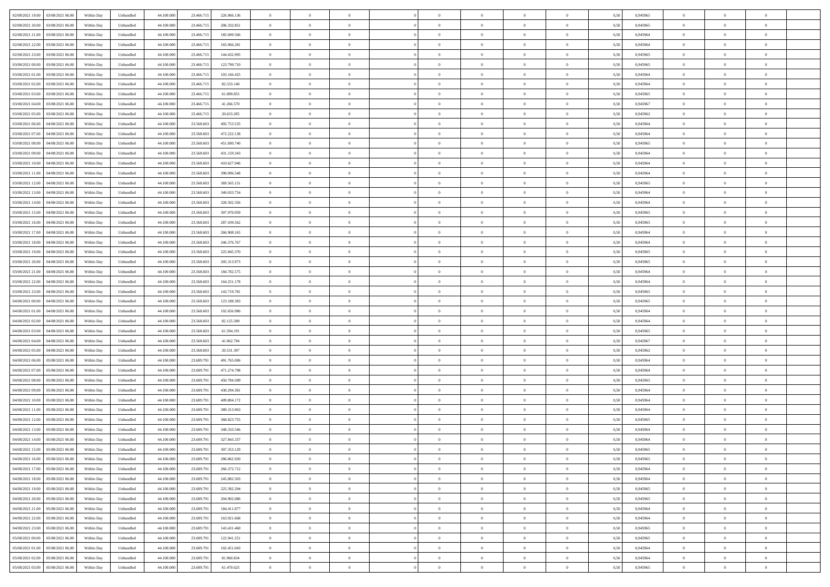| 02/08/2021 19:00 03/08/2021 06:00            | Within Day | Unbundled         | 44.100.000 | 23.466.715 | 226.966.136 | $\overline{0}$ | $\theta$       |                | $\overline{0}$ | $\theta$       |                | $\theta$       | 0,50 | 0,945965 | $\theta$       | $\theta$       | $\overline{0}$ |  |
|----------------------------------------------|------------|-------------------|------------|------------|-------------|----------------|----------------|----------------|----------------|----------------|----------------|----------------|------|----------|----------------|----------------|----------------|--|
| 02/08/2021 20:00<br>03/08/2021 06:00         | Within Day | Unbundled         | 44.100.00  | 23.466.71  | 206.332.851 | $\bf{0}$       | $\overline{0}$ | $\bf{0}$       | $\overline{0}$ | $\overline{0}$ | $\overline{0}$ | $\bf{0}$       | 0,50 | 0,945965 | $\,$ 0 $\,$    | $\bf{0}$       | $\overline{0}$ |  |
| 02/08/2021 21:00<br>03/08/2021 06:00         | Within Day | Unbundled         | 44,100,000 | 23.466.715 | 185.699.566 | $\overline{0}$ | $\bf{0}$       | $\overline{0}$ | $\bf{0}$       | $\bf{0}$       | $\overline{0}$ | $\bf{0}$       | 0.50 | 0.945964 | $\bf{0}$       | $\overline{0}$ | $\overline{0}$ |  |
| 02/08/2021 22:00<br>03/08/2021 06:00         |            |                   | 44.100.000 |            |             | $\overline{0}$ | $\overline{0}$ | $\overline{0}$ | $\theta$       | $\theta$       | $\overline{0}$ | $\bf{0}$       |      |          | $\theta$       | $\theta$       | $\overline{0}$ |  |
|                                              | Within Day | Unbundled         |            | 23.466.715 | 165.066.281 |                |                |                |                |                |                |                | 0,50 | 0,945964 |                |                |                |  |
| 02/08/2021 23:00<br>03/08/2021 06:00         | Within Day | Unbundled         | 44.100.00  | 23.466.71  | 144.432.995 | $\bf{0}$       | $\overline{0}$ | $\bf{0}$       | $\overline{0}$ | $\theta$       | $\overline{0}$ | $\bf{0}$       | 0,50 | 0,945965 | $\,$ 0 $\,$    | $\bf{0}$       | $\overline{0}$ |  |
| 03/08/2021 00:00<br>03/08/2021 06:00         | Within Day | Unbundled         | 44,100,000 | 23.466.71: | 123,799.710 | $\overline{0}$ | $\overline{0}$ | $\overline{0}$ | $\bf{0}$       | $\overline{0}$ | $\theta$       | $\bf{0}$       | 0.50 | 0.945965 | $\bf{0}$       | $\theta$       | $\overline{0}$ |  |
| 03/08/2021 01:00<br>03/08/2021 06:00         | Within Day | Unbundled         | 44.100.000 | 23.466.715 | 103.166.425 | $\overline{0}$ | $\overline{0}$ | $\overline{0}$ | $\overline{0}$ | $\theta$       | $\overline{0}$ | $\bf{0}$       | 0,50 | 0,945964 | $\theta$       | $\theta$       | $\overline{0}$ |  |
|                                              |            |                   |            |            |             |                |                |                |                |                |                |                |      |          |                |                |                |  |
| 03/08/2021 02:00<br>03/08/2021 06:00         | Within Day | Unbundled         | 44.100.00  | 23.466.71  | 82.533.140  | $\bf{0}$       | $\overline{0}$ | $\overline{0}$ | $\overline{0}$ | $\theta$       | $\overline{0}$ | $\bf{0}$       | 0,50 | 0,945964 | $\,$ 0 $\,$    | $\bf{0}$       | $\overline{0}$ |  |
| 03/08/2021 03:00<br>03/08/2021 06:00         | Within Day | Unbundled         | 44,100,00  | 23.466.71: | 61.899.855  | $\overline{0}$ | $\bf{0}$       | $\overline{0}$ | $\bf{0}$       | $\overline{0}$ | $\overline{0}$ | $\bf{0}$       | 0.50 | 0.945965 | $\bf{0}$       | $\overline{0}$ | $\overline{0}$ |  |
| 03/08/2021 04:00<br>03/08/2021 06:00         | Within Day | Unbundled         | 44.100.000 | 23.466.715 | 41.266.570  | $\overline{0}$ | $\bf{0}$       | $\overline{0}$ | $\overline{0}$ | $\overline{0}$ | $\overline{0}$ | $\bf{0}$       | 0,50 | 0,945967 | $\theta$       | $\bf{0}$       | $\overline{0}$ |  |
| 03/08/2021 05:00<br>03/08/2021 06:00         | Within Day | Unbundled         | 44.100.00  | 23.466.71  | 20.633.285  | $\bf{0}$       | $\overline{0}$ | $\bf{0}$       | $\bf{0}$       | $\bf{0}$       | $\overline{0}$ | $\bf{0}$       | 0,50 | 0,945962 | $\,$ 0 $\,$    | $\bf{0}$       | $\overline{0}$ |  |
|                                              |            |                   |            |            |             |                |                |                |                |                |                |                |      |          |                |                |                |  |
| 03/08/2021 06:00<br>04/08/2021 06:00         | Within Day | Unbundled         | 44,100,000 | 23,568,603 | 492.753.535 | $\overline{0}$ | $\bf{0}$       | $\overline{0}$ | $\bf{0}$       | $\bf{0}$       | $\overline{0}$ | $\bf{0}$       | 0.50 | 0.945964 | $\bf{0}$       | $\overline{0}$ | $\bf{0}$       |  |
| 03/08/2021 07:00<br>04/08/2021 06:00         | Within Day | Unbundled         | 44.100.000 | 23.568.603 | 472.222.138 | $\overline{0}$ | $\overline{0}$ | $\overline{0}$ | $\overline{0}$ | $\theta$       | $\overline{0}$ | $\overline{0}$ | 0,50 | 0,945964 | $\theta$       | $\theta$       | $\overline{0}$ |  |
| 03/08/2021 08:00<br>04/08/2021 06.00         | Within Day | Unbundled         | 44.100.00  | 23.568.60  | 451.690.740 | $\bf{0}$       | $\overline{0}$ | $\bf{0}$       | $\overline{0}$ | $\theta$       | $\overline{0}$ | $\bf{0}$       | 0,50 | 0,945965 | $\bf{0}$       | $\bf{0}$       | $\overline{0}$ |  |
| 03/08/2021 09:00<br>04/08/2021 06:00         | Within Day | Unbundled         | 44,100,00  | 23,568,603 | 431.159.343 | $\overline{0}$ | $\overline{0}$ | $\overline{0}$ | $\bf{0}$       | $\overline{0}$ | $\Omega$       | $\bf{0}$       | 0.50 | 0.945964 | $\theta$       | $\theta$       | $\overline{0}$ |  |
| 03/08/2021 10:00<br>04/08/2021 06:00         | Within Day | Unbundled         | 44.100.000 | 23.568.603 | 410.627.946 | $\overline{0}$ | $\overline{0}$ | $\overline{0}$ | $\overline{0}$ | $\overline{0}$ | $\overline{0}$ | $\bf{0}$       | 0,50 | 0,945964 | $\theta$       | $\theta$       | $\overline{0}$ |  |
|                                              |            |                   |            |            |             |                |                |                |                |                |                |                |      |          |                |                |                |  |
| 03/08/2021 11:00<br>04/08/2021 06.00         | Within Day | Unbundled         | 44.100.00  | 23.568.60  | 390.096.548 | $\bf{0}$       | $\overline{0}$ | $\bf{0}$       | $\overline{0}$ | $\bf{0}$       | $\overline{0}$ | $\bf{0}$       | 0,50 | 0,945964 | $\,$ 0 $\,$    | $\bf{0}$       | $\overline{0}$ |  |
| 03/08/2021 12:00<br>04/08/2021 06:00         | Within Day | Unbundled         | 44,100,00  | 23,568,603 | 369.565.151 | $\overline{0}$ | $\bf{0}$       | $\overline{0}$ | $\bf{0}$       | $\overline{0}$ | $\overline{0}$ | $\bf{0}$       | 0.50 | 0.945965 | $\bf{0}$       | $\overline{0}$ | $\overline{0}$ |  |
| 03/08/2021 13:00<br>04/08/2021 06:00         | Within Day | Unbundled         | 44.100.000 | 23.568.603 | 349.033.754 | $\overline{0}$ | $\overline{0}$ | $\overline{0}$ | $\overline{0}$ | $\overline{0}$ | $\overline{0}$ | $\bf{0}$       | 0,50 | 0,945964 | $\,$ 0 $\,$    | $\theta$       | $\overline{0}$ |  |
| 03/08/2021 14:00<br>04/08/2021 06.00         | Within Day | Unbundled         | 44.100.00  | 23.568.60  | 328.502.356 | $\bf{0}$       | $\bf{0}$       | $\bf{0}$       | $\bf{0}$       | $\overline{0}$ | $\overline{0}$ | $\bf{0}$       | 0,50 | 0,945964 | $\,$ 0 $\,$    | $\bf{0}$       | $\overline{0}$ |  |
|                                              |            |                   |            |            |             |                |                |                |                |                |                |                |      |          |                |                |                |  |
| 03/08/2021 15:00<br>04/08/2021 06:00         | Within Day | Unbundled         | 44,100,000 | 23,568,603 | 307.970.959 | $\overline{0}$ | $\bf{0}$       | $\overline{0}$ | $\bf{0}$       | $\bf{0}$       | $\overline{0}$ | $\bf{0}$       | 0.50 | 0.945965 | $\bf{0}$       | $\overline{0}$ | $\bf{0}$       |  |
| 03/08/2021 16:00<br>04/08/2021 06:00         | Within Day | Unbundled         | 44.100.000 | 23.568.603 | 287.439.562 | $\overline{0}$ | $\overline{0}$ | $\overline{0}$ | $\theta$       | $\theta$       | $\overline{0}$ | $\bf{0}$       | 0,50 | 0,945965 | $\theta$       | $\theta$       | $\overline{0}$ |  |
| 03/08/2021 17:00<br>04/08/2021 06.00         | Within Day | Unbundled         | 44.100.00  | 23.568.60  | 266.908.165 | $\bf{0}$       | $\overline{0}$ | $\bf{0}$       | $\bf{0}$       | $\bf{0}$       | $\overline{0}$ | $\bf{0}$       | 0,50 | 0,945964 | $\,$ 0 $\,$    | $\bf{0}$       | $\overline{0}$ |  |
| 03/08/2021 18:00<br>04/08/2021 06:00         | Within Day | Unbundled         | 44,100,00  | 23,568,603 | 246,376,767 | $\overline{0}$ | $\overline{0}$ | $\overline{0}$ | $\overline{0}$ | $\overline{0}$ | $\Omega$       | $\bf{0}$       | 0.50 | 0.945964 | $\bf{0}$       | $\theta$       | $\overline{0}$ |  |
| 03/08/2021 19:00<br>04/08/2021 06:00         | Within Day | Unbundled         | 44.100.000 | 23.568.603 | 225.845.370 | $\overline{0}$ | $\overline{0}$ | $\overline{0}$ | $\overline{0}$ | $\overline{0}$ | $\overline{0}$ | $\bf{0}$       | 0,50 | 0,945965 | $\theta$       | $\theta$       | $\overline{0}$ |  |
|                                              |            |                   |            |            |             |                |                |                |                |                |                |                |      |          |                |                |                |  |
| 03/08/2021 20:00<br>04/08/2021 06.00         | Within Day | Unbundled         | 44.100.00  | 23.568.60  | 205.313.973 | $\bf{0}$       | $\overline{0}$ | $\bf{0}$       | $\overline{0}$ | $\theta$       | $\overline{0}$ | $\bf{0}$       | 0,50 | 0,945965 | $\,$ 0 $\,$    | $\bf{0}$       | $\overline{0}$ |  |
| 03/08/2021 21:00<br>04/08/2021 06:00         | Within Day | Unbundled         | 44,100,00  | 23,568,603 | 184,782,575 | $\overline{0}$ | $\bf{0}$       | $\overline{0}$ | $\bf{0}$       | $\overline{0}$ | $\overline{0}$ | $\bf{0}$       | 0.50 | 0.945964 | $\bf{0}$       | $\overline{0}$ | $\overline{0}$ |  |
| 03/08/2021 22:00<br>04/08/2021 06:00         | Within Day | Unbundled         | 44.100.000 | 23.568.603 | 164.251.178 | $\overline{0}$ | $\overline{0}$ | $\overline{0}$ | $\overline{0}$ | $\overline{0}$ | $\overline{0}$ | $\bf{0}$       | 0,50 | 0,945964 | $\theta$       | $\theta$       | $\overline{0}$ |  |
| 03/08/2021 23:00<br>04/08/2021 06.00         | Within Day | Unbundled         | 44.100.00  | 23.568.60  | 143.719.781 | $\bf{0}$       | $\bf{0}$       | $\bf{0}$       | $\bf{0}$       | $\overline{0}$ | $\overline{0}$ | $\bf{0}$       | 0,50 | 0,945965 | $\,$ 0 $\,$    | $\bf{0}$       | $\overline{0}$ |  |
|                                              |            |                   |            |            |             |                |                |                |                |                |                |                |      |          |                |                |                |  |
| 04/08/2021 00:00<br>04/08/2021 06:00         | Within Day | Unbundled         | 44,100,000 | 23,568,603 | 123.188.383 | $\overline{0}$ | $\bf{0}$       | $\overline{0}$ | $\bf{0}$       | $\bf{0}$       | $\overline{0}$ | $\bf{0}$       | 0.50 | 0.945965 | $\bf{0}$       | $\overline{0}$ | $\bf{0}$       |  |
| 04/08/2021 01:00<br>04/08/2021 06:00         | Within Day | Unbundled         | 44.100.000 | 23,568,603 | 102.656.986 | $\overline{0}$ | $\overline{0}$ | $\overline{0}$ | $\overline{0}$ | $\overline{0}$ | $\overline{0}$ | $\bf{0}$       | 0.5( | 0.945964 | $\theta$       | $\theta$       | $\overline{0}$ |  |
| 04/08/2021 02:00<br>04/08/2021 06.00         | Within Day | Unbundled         | 44.100.00  | 23.568.60  | 82.125.589  | $\bf{0}$       | $\overline{0}$ | $\bf{0}$       | $\bf{0}$       | $\overline{0}$ | $\overline{0}$ | $\bf{0}$       | 0,50 | 0,945964 | $\,$ 0 $\,$    | $\bf{0}$       | $\overline{0}$ |  |
| 04/08/2021 03:00<br>04/08/2021 06:00         | Within Day | Unbundled         | 44,100,00  | 23,568,603 | 61.594.191  | $\overline{0}$ | $\overline{0}$ | $\overline{0}$ | $\bf{0}$       | $\overline{0}$ | $\Omega$       | $\bf{0}$       | 0.50 | 0.945965 | $\,$ 0 $\,$    | $\theta$       | $\overline{0}$ |  |
| 04/08/2021 04:00<br>04/08/2021 06:00         | Within Dav | Unbundled         | 44.100.000 | 23.568.603 | 41.062.794  | $\overline{0}$ | $\overline{0}$ | $\overline{0}$ | $\overline{0}$ | $\overline{0}$ | $\overline{0}$ | $\overline{0}$ | 0.50 | 0,945967 | $\theta$       | $\theta$       | $\overline{0}$ |  |
|                                              |            |                   |            |            |             |                |                |                |                |                |                |                |      |          |                |                |                |  |
| 04/08/2021 05:00<br>04/08/2021 06.00         | Within Day | Unbundled         | 44.100.00  | 23.568.60  | 20.531.397  | $\bf{0}$       | $\bf{0}$       | $\bf{0}$       | $\overline{0}$ | $\bf{0}$       | $\overline{0}$ | $\bf{0}$       | 0,50 | 0,945962 | $\,$ 0 $\,$    | $\bf{0}$       | $\overline{0}$ |  |
| 04/08/2021 06:00<br>05/08/2021 06:00         | Within Day | Unbundled         | 44,100,00  | 23,609.79  | 491.765.006 | $\overline{0}$ | $\bf{0}$       | $\overline{0}$ | $\bf{0}$       | $\overline{0}$ | $\overline{0}$ | $\bf{0}$       | 0.50 | 0.945964 | $\bf{0}$       | $\overline{0}$ | $\overline{0}$ |  |
| 04/08/2021 07:00<br>05/08/2021 06:00         | Within Dav | Unbundled         | 44.100.000 | 23.609.79  | 471.274.798 | $\overline{0}$ | $\overline{0}$ | $\overline{0}$ | $\overline{0}$ | $\overline{0}$ | $\overline{0}$ | $\overline{0}$ | 0.50 | 0,945964 | $\theta$       | $\theta$       | $\overline{0}$ |  |
| 04/08/2021 08:00<br>05/08/2021 06.00         | Within Day | Unbundled         | 44.100.00  | 23.609.79  | 450.784.589 | $\bf{0}$       | $\bf{0}$       | $\bf{0}$       | $\bf{0}$       | $\overline{0}$ | $\overline{0}$ | $\bf{0}$       | 0,50 | 0,945965 | $\,$ 0 $\,$    | $\bf{0}$       | $\overline{0}$ |  |
| 04/08/2021 09:00<br>05/08/2021 06:00         | Within Day | Unbundled         | 44,100,000 | 23,609.79  | 430.294.381 | $\overline{0}$ | $\bf{0}$       | $\overline{0}$ | $\bf{0}$       | $\bf{0}$       | $\overline{0}$ | $\bf{0}$       | 0.50 | 0.945964 | $\bf{0}$       | $\overline{0}$ | $\overline{0}$ |  |
|                                              |            |                   |            |            |             |                |                |                |                |                |                |                |      |          |                |                |                |  |
| 04/08/2021 10:00<br>05/08/2021 06:00         | Within Day | Unbundled         | 44.100.000 | 23.609.79  | 409.804.172 | $\overline{0}$ | $\overline{0}$ | $\overline{0}$ | $\overline{0}$ | $\overline{0}$ | $\overline{0}$ | $\bf{0}$       | 0.50 | 0.945964 | $\theta$       | $\theta$       | $\overline{0}$ |  |
| 04/08/2021 11:00<br>05/08/2021 06.00         | Within Day | Unbundled         | 44.100.00  | 23.609.79  | 389.313.963 | $\bf{0}$       | $\overline{0}$ | $\bf{0}$       | $\bf{0}$       | $\,$ 0 $\,$    | $\overline{0}$ | $\bf{0}$       | 0,50 | 0,945964 | $\,$ 0 $\,$    | $\bf{0}$       | $\overline{0}$ |  |
| 04/08/2021 12:00<br>05/08/2021 06:00         | Within Day | Unbundled         | 44,100,00  | 23,609.79  | 368.823.755 | $\overline{0}$ | $\overline{0}$ | $\overline{0}$ | $\overline{0}$ | $\bf{0}$       | $\Omega$       | $\bf{0}$       | 0.50 | 0.945965 | $\bf{0}$       | $\theta$       | $\overline{0}$ |  |
| 04/08/2021 13:00<br>05/08/2021 06:00         | Within Dav | Unbundled         | 44.100.000 | 23,609.79  | 348.333.546 | $\overline{0}$ | $\overline{0}$ | $\Omega$       | $\overline{0}$ | $\theta$       | $\Omega$       | $\overline{0}$ | 0.5( | 0,945964 | $\theta$       | $\theta$       | $\overline{0}$ |  |
| 04/08/2021 14:00<br>05/08/2021 06:00         | Within Day | Unbundled         | 44.100.000 | 23.609.79  | 327.843.337 | $\bf{0}$       | $\bf{0}$       | $\bf{0}$       | $\bf{0}$       | $\bf{0}$       | $\overline{0}$ | $\bf{0}$       | 0,50 | 0,945964 | $\,$ 0 $\,$    | $\bf{0}$       | $\overline{0}$ |  |
|                                              |            |                   |            |            |             |                |                |                |                |                |                |                |      |          |                |                |                |  |
| $04/08/2021\ 15.00 \qquad 05/08/2021\ 06.00$ | Within Day | ${\sf Unbundred}$ | 44.100.000 | 23.609.791 | 307.353.129 | $\overline{0}$ | $\theta$       |                | $\overline{0}$ |                |                |                | 0,50 | 0.945965 | $\theta$       | $\overline{0}$ |                |  |
| 04/08/2021 16:00 05/08/2021 06:00            | Within Day | Unbundled         | 44.100.000 | 23.609.791 | 286.862.920 | $\overline{0}$ | $\overline{0}$ | $\Omega$       | $\theta$       | $\overline{0}$ | $\overline{0}$ | $\bf{0}$       | 0,50 | 0,945965 | $\theta$       | $\theta$       | $\overline{0}$ |  |
| 04/08/2021 17:00<br>05/08/2021 06:00         | Within Day | Unbundled         | 44.100.00  | 23.609.79  | 266.372.712 | $\overline{0}$ | $\bf{0}$       | $\overline{0}$ | $\overline{0}$ | $\bf{0}$       | $\overline{0}$ | $\bf{0}$       | 0,50 | 0,945964 | $\bf{0}$       | $\overline{0}$ | $\bf{0}$       |  |
| 04/08/2021 18:00  05/08/2021 06:00           | Within Day | Unbundled         | 44,100,000 | 23.609.791 | 245.882.503 | $\overline{0}$ | $\bf{0}$       | $\overline{0}$ | $\overline{0}$ | $\mathbf{0}$   | $\overline{0}$ | $\,$ 0 $\,$    | 0.50 | 0.945964 | $\overline{0}$ | $\bf{0}$       | $\,$ 0 $\,$    |  |
|                                              |            |                   |            |            |             |                | $\overline{0}$ |                |                | $\overline{0}$ |                |                |      |          | $\theta$       | $\theta$       | $\overline{0}$ |  |
| 04/08/2021 19:00  05/08/2021 06:00           | Within Day | Unbundled         | 44.100.000 | 23.609.791 | 225.392.294 | $\overline{0}$ |                | $\overline{0}$ | $\overline{0}$ |                | $\overline{0}$ | $\bf{0}$       | 0,50 | 0,945965 |                |                |                |  |
| 04/08/2021 20:00<br>05/08/2021 06:00         | Within Day | Unbundled         | 44.100.000 | 23.609.79  | 204.902.086 | $\overline{0}$ | $\bf{0}$       | $\overline{0}$ | $\overline{0}$ | $\overline{0}$ | $\overline{0}$ | $\bf{0}$       | 0,50 | 0,945965 | $\overline{0}$ | $\bf{0}$       | $\overline{0}$ |  |
| 04/08/2021 21:00  05/08/2021 06:00           | Within Day | Unbundled         | 44,100,000 | 23,609.791 | 184.411.877 | $\overline{0}$ | $\bf{0}$       | $\overline{0}$ | $\overline{0}$ | $\overline{0}$ | $\overline{0}$ | $\bf{0}$       | 0.50 | 0.945964 | $\,$ 0 $\,$    | $\theta$       | $\overline{0}$ |  |
| 04/08/2021 22:00<br>05/08/2021 06:00         | Within Dav | Unbundled         | 44.100.000 | 23.609.791 | 163.921.668 | $\overline{0}$ | $\overline{0}$ | $\overline{0}$ | $\overline{0}$ | $\overline{0}$ | $\overline{0}$ | $\bf{0}$       | 0.50 | 0,945964 | $\overline{0}$ | $\theta$       | $\overline{0}$ |  |
| 04/08/2021 23:00<br>05/08/2021 06:00         | Within Day | Unbundled         | 44.100.000 | 23.609.79  | 143.431.460 | $\overline{0}$ | $\overline{0}$ | $\overline{0}$ | $\overline{0}$ | $\overline{0}$ | $\overline{0}$ | $\bf{0}$       | 0,50 | 0,945965 | $\bf{0}$       | $\overline{0}$ | $\overline{0}$ |  |
|                                              |            |                   |            |            |             |                |                |                |                |                |                |                |      |          |                |                |                |  |
| 05/08/2021 00:00 05/08/2021 06:00            | Within Day | Unbundled         | 44,100,000 | 23,609.79  | 122.941.251 | $\overline{0}$ | $\overline{0}$ | $\overline{0}$ | $\overline{0}$ | $\bf{0}$       | $\overline{0}$ | $\bf{0}$       | 0.50 | 0.945965 | $\overline{0}$ | $\,$ 0 $\,$    | $\,$ 0         |  |
| 05/08/2021 01:00  05/08/2021 06:00           | Within Dav | Unbundled         | 44.100.000 | 23.609.791 | 102.451.043 | $\overline{0}$ | $\overline{0}$ | $\overline{0}$ | $\overline{0}$ | $\overline{0}$ | $\overline{0}$ | $\bf{0}$       | 0,50 | 0,945964 | $\overline{0}$ | $\theta$       | $\overline{0}$ |  |
| 05/08/2021 02:00<br>05/08/2021 06:00         | Within Day | Unbundled         | 44.100.00  | 23.609.79  | 81.960.834  | $\overline{0}$ | $\bf{0}$       | $\overline{0}$ | $\bf{0}$       | $\overline{0}$ | $\overline{0}$ | $\bf{0}$       | 0,50 | 0,945964 | $\bf{0}$       | $\bf{0}$       | $\overline{0}$ |  |
| 05/08/2021 03:00 05/08/2021 06:00            | Within Day | Unbundled         | 44.100.000 | 23.609.791 | 61.470.625  | $\overline{0}$ | $\bf{0}$       | $\overline{0}$ | $\overline{0}$ | $\,$ 0 $\,$    | $\overline{0}$ | $\bf{0}$       | 0,50 | 0,945965 | $\overline{0}$ | $\,$ 0 $\,$    | $\,$ 0 $\,$    |  |
|                                              |            |                   |            |            |             |                |                |                |                |                |                |                |      |          |                |                |                |  |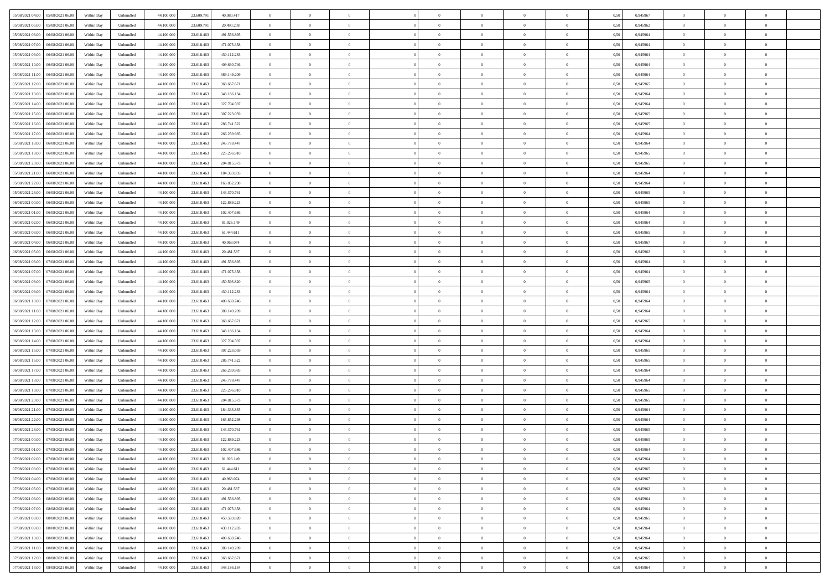| 05/08/2021 04:00<br>05/08/2021 06:00 | Within Day | Unbundled | 44.100.000 | 23.609.791 | 40.980.417  | $\overline{0}$ | $\overline{0}$ | $\overline{0}$ | $\theta$       | $\theta$       |                | $\overline{0}$ | 0,50 | 0,945967 | $\theta$       | $\theta$       | $\overline{0}$ |  |
|--------------------------------------|------------|-----------|------------|------------|-------------|----------------|----------------|----------------|----------------|----------------|----------------|----------------|------|----------|----------------|----------------|----------------|--|
|                                      |            |           |            |            |             |                |                |                |                |                |                |                |      |          |                |                |                |  |
| 05/08/2021 05:00<br>05/08/2021 06.00 | Within Day | Unbundled | 44.100.00  | 23.609.79  | 20.490.208  | $\overline{0}$ | $\overline{0}$ | $\overline{0}$ | $\,0\,$        | $\bf{0}$       | $\overline{0}$ | $\bf{0}$       | 0,50 | 0,945962 | $\,$ 0 $\,$    | $\theta$       | $\overline{0}$ |  |
| 05/08/2021 06:00<br>06/08/2021 06:00 | Within Day | Unbundled | 44,100,000 | 23.618.463 | 491.556.895 | $\overline{0}$ | $\overline{0}$ | $\overline{0}$ | $\bf{0}$       | $\bf{0}$       | $\overline{0}$ | $\overline{0}$ | 0.50 | 0.945964 | $\bf{0}$       | $\overline{0}$ | $\overline{0}$ |  |
| 05/08/2021 07:00<br>06/08/2021 06:00 | Within Day | Unbundled | 44.100.000 | 23.618.463 | 471.075.358 | $\overline{0}$ | $\overline{0}$ | $\overline{0}$ | $\overline{0}$ | $\overline{0}$ | $\overline{0}$ | $\bf{0}$       | 0,50 | 0,945964 | $\theta$       | $\theta$       | $\overline{0}$ |  |
| 05/08/2021 09:00<br>06/08/2021 06.00 | Within Day | Unbundled | 44.100.000 | 23.618.463 | 430.112.283 | $\overline{0}$ | $\overline{0}$ | $\bf{0}$       | $\overline{0}$ | $\overline{0}$ | $\overline{0}$ | $\bf{0}$       | 0,50 | 0,945964 | $\,$ 0 $\,$    | $\theta$       | $\overline{0}$ |  |
|                                      |            |           |            |            |             |                |                |                |                |                |                |                |      |          |                |                |                |  |
| 05/08/2021 10:00<br>06/08/2021 06:00 | Within Day | Unbundled | 44,100,000 | 23.618.463 | 409,630,746 | $\overline{0}$ | $\overline{0}$ | $\overline{0}$ | $\bf{0}$       | $\overline{0}$ | $\Omega$       | $\overline{0}$ | 0.50 | 0.945964 | $\theta$       | $\theta$       | $\overline{0}$ |  |
| 05/08/2021 11:00<br>06/08/2021 06:00 | Within Day | Unbundled | 44.100.000 | 23.618.463 | 389.149.209 | $\overline{0}$ | $\overline{0}$ | $\overline{0}$ | $\overline{0}$ | $\overline{0}$ | $\overline{0}$ | $\bf{0}$       | 0,50 | 0,945964 | $\theta$       | $\theta$       | $\overline{0}$ |  |
| 05/08/2021 12:00<br>06/08/2021 06.00 | Within Day | Unbundled | 44.100.000 | 23.618.463 | 368.667.671 | $\overline{0}$ | $\overline{0}$ | $\overline{0}$ | $\overline{0}$ | $\overline{0}$ | $\overline{0}$ | $\bf{0}$       | 0,50 | 0,945965 | $\,$ 0 $\,$    | $\bf{0}$       | $\overline{0}$ |  |
| 05/08/2021 13:00<br>06/08/2021 06:00 | Within Day | Unbundled | 44,100,000 | 23.618.463 | 348,186,134 | $\overline{0}$ | $\overline{0}$ | $\overline{0}$ | $\bf{0}$       | $\overline{0}$ | $\overline{0}$ | $\mathbf{0}$   | 0.50 | 0.945964 | $\,$ 0 $\,$    | $\theta$       | $\overline{0}$ |  |
| 05/08/2021 14:00<br>06/08/2021 06:00 | Within Day | Unbundled | 44.100.000 | 23.618.463 | 327.704.597 | $\overline{0}$ | $\overline{0}$ | $\overline{0}$ | $\bf{0}$       | $\overline{0}$ | $\overline{0}$ | $\bf{0}$       | 0,50 | 0,945964 | $\theta$       | $\theta$       | $\overline{0}$ |  |
|                                      |            |           |            |            |             |                | $\overline{0}$ |                |                |                | $\overline{0}$ | $\bf{0}$       |      |          | $\,$ 0 $\,$    | $\theta$       | $\overline{0}$ |  |
| 05/08/2021 15:00<br>06/08/2021 06.00 | Within Day | Unbundled | 44.100.000 | 23.618.463 | 307.223.059 | $\overline{0}$ |                | $\overline{0}$ | $\bf{0}$       | $\overline{0}$ |                |                | 0,50 | 0,945965 |                |                |                |  |
| 05/08/2021 16:00<br>06/08/2021 06:00 | Within Day | Unbundled | 44,100,000 | 23.618.463 | 286,741,522 | $\overline{0}$ | $\overline{0}$ | $\overline{0}$ | $\bf{0}$       | $\bf{0}$       | $\overline{0}$ | $\mathbf{0}$   | 0.50 | 0.945965 | $\bf{0}$       | $\overline{0}$ | $\bf{0}$       |  |
| 05/08/2021 17:00<br>06/08/2021 06:00 | Within Day | Unbundled | 44.100.000 | 23.618.463 | 266.259.985 | $\overline{0}$ | $\overline{0}$ | $\overline{0}$ | $\overline{0}$ | $\overline{0}$ | $\overline{0}$ | $\overline{0}$ | 0,50 | 0,945964 | $\theta$       | $\theta$       | $\overline{0}$ |  |
| 05/08/2021 18:00<br>06/08/2021 06.00 | Within Day | Unbundled | 44.100.000 | 23.618.463 | 245.778.447 | $\overline{0}$ | $\overline{0}$ | $\overline{0}$ | $\bf{0}$       | $\overline{0}$ | $\overline{0}$ | $\bf{0}$       | 0,50 | 0,945964 | $\,$ 0 $\,$    | $\bf{0}$       | $\overline{0}$ |  |
| 05/08/2021 19:00<br>06/08/2021 06:00 | Within Day | Unbundled | 44,100,000 | 23.618.463 | 225.296.910 | $\overline{0}$ | $\overline{0}$ | $\overline{0}$ | $\bf{0}$       | $\overline{0}$ | $\Omega$       | $\overline{0}$ | 0.50 | 0.945965 | $\theta$       | $\theta$       | $\overline{0}$ |  |
| 05/08/2021 20:00<br>06/08/2021 06:00 | Within Day | Unbundled | 44.100.000 | 23.618.463 | 204.815.373 | $\overline{0}$ | $\overline{0}$ | $\overline{0}$ | $\overline{0}$ | $\overline{0}$ | $\overline{0}$ | $\bf{0}$       | 0,50 | 0,945965 | $\theta$       | $\theta$       | $\overline{0}$ |  |
|                                      |            |           |            |            |             |                |                |                |                |                |                |                |      |          |                |                |                |  |
| 05/08/2021 21.00<br>06/08/2021 06.0  | Within Day | Unbundled | 44.100.000 | 23.618.463 | 184.333.835 | $\overline{0}$ | $\overline{0}$ | $\overline{0}$ | $\overline{0}$ | $\overline{0}$ | $\overline{0}$ | $\bf{0}$       | 0,50 | 0,945964 | $\,$ 0 $\,$    | $\theta$       | $\overline{0}$ |  |
| 05/08/2021 22:00<br>06/08/2021 06:00 | Within Day | Unbundled | 44,100,000 | 23.618.463 | 163,852,298 | $\overline{0}$ | $\overline{0}$ | $\overline{0}$ | $\bf{0}$       | $\overline{0}$ | $\overline{0}$ | $\mathbf{0}$   | 0.50 | 0.945964 | $\,$ 0 $\,$    | $\overline{0}$ | $\overline{0}$ |  |
| 05/08/2021 23:00<br>06/08/2021 06:00 | Within Day | Unbundled | 44.100.000 | 23.618.463 | 143.370.761 | $\overline{0}$ | $\overline{0}$ | $\overline{0}$ | $\overline{0}$ | $\overline{0}$ | $\overline{0}$ | $\bf{0}$       | 0,50 | 0,945965 | $\theta$       | $\theta$       | $\overline{0}$ |  |
| 06/08/2021 00:00<br>06/08/2021 06.0  | Within Day | Unbundled | 44.100.000 | 23.618.463 | 122.889.223 | $\overline{0}$ | $\overline{0}$ | $\overline{0}$ | $\bf{0}$       | $\bf{0}$       | $\overline{0}$ | $\bf{0}$       | 0,50 | 0,945965 | $\,$ 0 $\,$    | $\bf{0}$       | $\overline{0}$ |  |
| 06/08/2021 01:00<br>06/08/2021 06:00 | Within Day | Unbundled | 44,100,000 | 23.618.463 | 102.407.686 | $\overline{0}$ | $\overline{0}$ | $\overline{0}$ | $\bf{0}$       | $\bf{0}$       | $\overline{0}$ | $\mathbf{0}$   | 0.50 | 0.945964 | $\bf{0}$       | $\overline{0}$ | $\bf{0}$       |  |
| 06/08/2021 02:00<br>06/08/2021 06:00 | Within Day | Unbundled | 44.100.000 | 23.618.463 | 81.926.149  | $\overline{0}$ | $\overline{0}$ | $\overline{0}$ | $\overline{0}$ | $\overline{0}$ | $\overline{0}$ | $\bf{0}$       | 0,50 | 0,945964 | $\theta$       | $\theta$       | $\overline{0}$ |  |
|                                      |            |           |            |            |             |                |                |                |                |                |                |                |      |          |                |                |                |  |
| 06/08/2021 03:00<br>06/08/2021 06.0  | Within Day | Unbundled | 44.100.000 | 23.618.463 | 61.444.611  | $\overline{0}$ | $\overline{0}$ | $\overline{0}$ | $\bf{0}$       | $\overline{0}$ | $\overline{0}$ | $\bf{0}$       | 0,50 | 0,945965 | $\,$ 0 $\,$    | $\bf{0}$       | $\overline{0}$ |  |
| 06/08/2021 04:00<br>06/08/2021 06:00 | Within Day | Unbundled | 44,100,000 | 23.618.463 | 40 963 074  | $\overline{0}$ | $\overline{0}$ | $\overline{0}$ | $\bf{0}$       | $\overline{0}$ | $\Omega$       | $\overline{0}$ | 0.50 | 0.945967 | $\theta$       | $\theta$       | $\overline{0}$ |  |
| 06/08/2021 05:00<br>06/08/2021 06:00 | Within Day | Unbundled | 44.100.000 | 23.618.463 | 20.481.537  | $\overline{0}$ | $\overline{0}$ | $\overline{0}$ | $\overline{0}$ | $\overline{0}$ | $\overline{0}$ | $\bf{0}$       | 0,50 | 0,945962 | $\theta$       | $\theta$       | $\overline{0}$ |  |
| 06/08/2021 06:00<br>07/08/2021 06.00 | Within Day | Unbundled | 44.100.000 | 23.618.463 | 491.556.895 | $\overline{0}$ | $\overline{0}$ | $\overline{0}$ | $\overline{0}$ | $\overline{0}$ | $\overline{0}$ | $\bf{0}$       | 0,50 | 0,945964 | $\,$ 0 $\,$    | $\theta$       | $\overline{0}$ |  |
| 06/08/2021 07:00<br>07/08/2021 06:00 | Within Day | Unbundled | 44,100,000 | 23.618.463 | 471.075.358 | $\overline{0}$ | $\overline{0}$ | $\overline{0}$ | $\bf{0}$       | $\overline{0}$ | $\overline{0}$ | $\mathbf{0}$   | 0.50 | 0.945964 | $\,$ 0 $\,$    | $\overline{0}$ | $\overline{0}$ |  |
| 06/08/2021 08:00<br>07/08/2021 06:00 | Within Day | Unbundled | 44.100.000 | 23.618.463 | 450.593.820 | $\overline{0}$ | $\overline{0}$ | $\overline{0}$ | $\overline{0}$ | $\overline{0}$ | $\overline{0}$ | $\bf{0}$       | 0,50 | 0,945965 | $\theta$       | $\theta$       | $\overline{0}$ |  |
|                                      |            |           |            |            |             |                |                |                |                |                |                |                |      |          |                |                |                |  |
| 06/08/2021 09:00<br>07/08/2021 06.00 | Within Day | Unbundled | 44.100.000 | 23.618.463 | 430.112.283 | $\overline{0}$ | $\overline{0}$ | $\overline{0}$ | $\overline{0}$ | $\bf{0}$       | $\overline{0}$ | $\bf{0}$       | 0,50 | 0,945964 | $\,$ 0 $\,$    | $\bf{0}$       | $\overline{0}$ |  |
| 06/08/2021 10:00<br>07/08/2021 06:00 | Within Day | Unbundled | 44,100,000 | 23.618.463 | 409.630.746 | $\overline{0}$ | $\overline{0}$ | $\overline{0}$ | $\bf{0}$       | $\bf{0}$       | $\overline{0}$ | $\mathbf{0}$   | 0.50 | 0.945964 | $\bf{0}$       | $\overline{0}$ | $\bf{0}$       |  |
| 06/08/2021 11:00<br>07/08/2021 06:00 | Within Day | Unbundled | 44.100.000 | 23.618.463 | 389.149.209 | $\overline{0}$ | $\overline{0}$ | $\overline{0}$ | $\overline{0}$ | $\overline{0}$ | $\overline{0}$ | $\overline{0}$ | 0.50 | 0.945964 | $\theta$       | $\theta$       | $\overline{0}$ |  |
| 06/08/2021 12:00<br>07/08/2021 06.00 | Within Day | Unbundled | 44.100.000 | 23.618.463 | 368.667.671 | $\overline{0}$ | $\overline{0}$ | $\overline{0}$ | $\bf{0}$       | $\overline{0}$ | $\overline{0}$ | $\bf{0}$       | 0,50 | 0,945965 | $\,$ 0 $\,$    | $\bf{0}$       | $\overline{0}$ |  |
| 06/08/2021 13:00<br>07/08/2021 06:00 | Within Day | Unbundled | 44,100,000 | 23.618.463 | 348,186,134 | $\overline{0}$ | $\overline{0}$ | $\overline{0}$ | $\bf{0}$       | $\overline{0}$ | $\overline{0}$ | $\overline{0}$ | 0.50 | 0.945964 | $\theta$       | $\theta$       | $\overline{0}$ |  |
| 06/08/2021 14:00<br>07/08/2021 06:00 | Within Day | Unbundled | 44.100.000 | 23.618.463 | 327.704.597 | $\overline{0}$ | $\overline{0}$ | $\overline{0}$ | $\overline{0}$ | $\overline{0}$ | $\Omega$       | $\overline{0}$ | 0.50 | 0,945964 | $\theta$       | $\theta$       | $\overline{0}$ |  |
|                                      |            |           |            |            |             |                | $\overline{0}$ |                |                |                |                |                |      |          |                | $\theta$       |                |  |
| 06/08/2021 15:00<br>07/08/2021 06.00 | Within Day | Unbundled | 44.100.000 | 23.618.463 | 307.223.059 | $\overline{0}$ |                | $\overline{0}$ | $\bf{0}$       | $\overline{0}$ | $\overline{0}$ | $\bf{0}$       | 0,50 | 0,945965 | $\,$ 0 $\,$    |                | $\overline{0}$ |  |
| 06/08/2021 16:00<br>07/08/2021 06:00 | Within Day | Unbundled | 44,100,000 | 23.618.463 | 286,741,522 | $\overline{0}$ | $\overline{0}$ | $\overline{0}$ | $\bf{0}$       | $\overline{0}$ | $\overline{0}$ | $\mathbf{0}$   | 0.50 | 0.945965 | $\,$ 0 $\,$    | $\theta$       | $\overline{0}$ |  |
| 06/08/2021 17:00<br>07/08/2021 06:00 | Within Day | Unbundled | 44.100.000 | 23.618.463 | 266.259.985 | $\overline{0}$ | $\overline{0}$ | $\overline{0}$ | $\overline{0}$ | $\overline{0}$ | $\overline{0}$ | $\overline{0}$ | 0.50 | 0,945964 | $\theta$       | $\theta$       | $\overline{0}$ |  |
| 06/08/2021 18:00<br>07/08/2021 06.0  | Within Day | Unbundled | 44.100.000 | 23.618.463 | 245.778.447 | $\overline{0}$ | $\overline{0}$ | $\overline{0}$ | $\overline{0}$ | $\bf{0}$       | $\overline{0}$ | $\bf{0}$       | 0,50 | 0,945964 | $\,$ 0 $\,$    | $\bf{0}$       | $\overline{0}$ |  |
| 06/08/2021 19:00<br>07/08/2021 06:00 | Within Day | Unbundled | 44,100,000 | 23.618.463 | 225.296.910 | $\overline{0}$ | $\overline{0}$ | $\overline{0}$ | $\bf{0}$       | $\bf{0}$       | $\overline{0}$ | $\mathbf{0}$   | 0.50 | 0.945965 | $\bf{0}$       | $\overline{0}$ | $\overline{0}$ |  |
| 06/08/2021 20:00<br>07/08/2021 06:00 | Within Day | Unbundled | 44.100.000 | 23.618.463 | 204.815.373 | $\overline{0}$ | $\overline{0}$ | $\overline{0}$ | $\overline{0}$ | $\overline{0}$ | $\Omega$       | $\overline{0}$ | 0.50 | 0,945965 | $\theta$       | $\theta$       | $\overline{0}$ |  |
|                                      |            |           |            |            |             |                | $\overline{0}$ |                | $\bf{0}$       | $\overline{0}$ | $\overline{0}$ | $\bf{0}$       |      |          | $\,$ 0 $\,$    | $\bf{0}$       | $\overline{0}$ |  |
| 06/08/2021 21:00<br>07/08/2021 06.00 | Within Day | Unbundled | 44.100.000 | 23.618.463 | 184.333.835 | $\overline{0}$ |                | $\overline{0}$ |                |                |                |                | 0,50 | 0,945964 |                |                |                |  |
| 06/08/2021 22.00<br>07/08/2021 06:00 | Within Day | Unbundled | 44,100,000 | 23.618.463 | 163,852,298 | $\overline{0}$ | $\overline{0}$ | $\overline{0}$ | $\bf{0}$       | $\overline{0}$ | $\theta$       | $\overline{0}$ | 0.50 | 0.945964 | $\,$ 0 $\,$    | $\theta$       | $\overline{0}$ |  |
| 06/08/2021 23:00<br>07/08/2021 06:00 | Within Day | Unbundled | 44.100.000 | 23.618.463 | 143.370.761 | $\overline{0}$ | $\Omega$       | $\overline{0}$ | $\overline{0}$ | $\overline{0}$ | $\theta$       | $\overline{0}$ | 0.50 | 0,945965 | $\theta$       | $\theta$       | $\overline{0}$ |  |
| 07/08/2021 00:00<br>07/08/2021 06.00 | Within Day | Unbundled | 44.100.000 | 23.618.463 | 122.889.223 | $\overline{0}$ | $\overline{0}$ | $\bf{0}$       | $\overline{0}$ | $\bf{0}$       | $\overline{0}$ | $\bf{0}$       | 0,50 | 0,945965 | $\overline{0}$ | $\bf{0}$       | $\overline{0}$ |  |
| 07/08/2021 01:00 07/08/2021 06:00    | Within Day | Unbundled | 44.100.000 | 23.618.463 | 102.407.686 | $\bf{0}$       | $\,0\,$        |                | $\bf{0}$       |                |                |                | 0,50 | 0.945964 | $\theta$       | $\overline{0}$ |                |  |
| 07/08/2021 02:00 07/08/2021 06:00    | Within Dav | Unbundled | 44.100.000 | 23.618.463 | 81.926.149  | $\overline{0}$ | $\overline{0}$ | $\overline{0}$ | $\overline{0}$ | $\overline{0}$ | $\overline{0}$ | $\overline{0}$ | 0,50 | 0,945964 | $\theta$       | $\theta$       | $\overline{0}$ |  |
| 07/08/2021 03:00<br>07/08/2021 06.0  | Within Day | Unbundled | 44.100.000 | 23.618.463 | 61.444.611  | $\overline{0}$ | $\overline{0}$ | $\overline{0}$ | $\bf{0}$       | $\overline{0}$ | $\overline{0}$ | $\mathbf{0}$   | 0,50 | 0,945965 | $\overline{0}$ | $\overline{0}$ | $\bf{0}$       |  |
|                                      |            |           |            |            |             |                |                |                |                |                |                |                |      |          |                |                |                |  |
| 07/08/2021 04:00<br>07/08/2021 06:00 | Within Day | Unbundled | 44.100.000 | 23.618.463 | 40.963.074  | $\overline{0}$ | $\overline{0}$ | $\overline{0}$ | $\,$ 0 $\,$    | $\bf{0}$       | $\overline{0}$ | $\mathbf{0}$   | 0.50 | 0.945967 | $\,$ 0 $\,$    | $\bf{0}$       | $\bf{0}$       |  |
| 07/08/2021 05:00<br>07/08/2021 06:00 | Within Dav | Unbundled | 44.100.000 | 23.618.463 | 20.481.537  | $\overline{0}$ | $\overline{0}$ | $\overline{0}$ | $\overline{0}$ | $\overline{0}$ | $\overline{0}$ | $\mathbf{0}$   | 0,50 | 0,945962 | $\overline{0}$ | $\theta$       | $\overline{0}$ |  |
| 07/08/2021 06.00<br>08/08/2021 06:00 | Within Day | Unbundled | 44.100.000 | 23.618.463 | 491.556.895 | $\overline{0}$ | $\overline{0}$ | $\overline{0}$ | $\bf{0}$       | $\bf{0}$       | $\overline{0}$ | $\mathbf{0}$   | 0,50 | 0,945964 | $\overline{0}$ | $\bf{0}$       | $\overline{0}$ |  |
| 07/08/2021 07:00<br>08/08/2021 06:00 | Within Day | Unbundled | 44.100.000 | 23.618.463 | 471.075.358 | $\overline{0}$ | $\overline{0}$ | $\overline{0}$ | $\bf{0}$       | $\overline{0}$ | $\overline{0}$ | $\mathbf{0}$   | 0.50 | 0.945964 | $\,$ 0 $\,$    | $\theta$       | $\bf{0}$       |  |
| 07/08/2021 08:00<br>08/08/2021 06:00 | Within Dav | Unbundled | 44.100.000 | 23.618.463 | 450.593.820 | $\overline{0}$ | $\overline{0}$ | $\overline{0}$ | $\overline{0}$ | $\overline{0}$ | $\overline{0}$ | $\mathbf{0}$   | 0,50 | 0,945965 | $\overline{0}$ | $\theta$       | $\overline{0}$ |  |
| 07/08/2021 09:00<br>08/08/2021 06:00 | Within Day | Unbundled | 44.100.000 | 23.618.463 | 430.112.283 | $\overline{0}$ | $\overline{0}$ | $\overline{0}$ | $\bf{0}$       | $\bf{0}$       | $\overline{0}$ | $\,$ 0 $\,$    | 0,50 | 0,945964 | $\bf{0}$       | $\bf{0}$       | $\overline{0}$ |  |
|                                      |            |           |            |            |             |                |                |                |                |                |                |                |      |          |                |                |                |  |
| 07/08/2021 10:00<br>08/08/2021 06:00 | Within Day | Unbundled | 44,100,000 | 23.618.463 | 409.630.746 | $\overline{0}$ | $\overline{0}$ | $\overline{0}$ | $\bf{0}$       | $\bf{0}$       | $\overline{0}$ | $\,$ 0 $\,$    | 0.50 | 0.945964 | $\overline{0}$ | $\bf{0}$       | $\,$ 0         |  |
| 07/08/2021 11:00<br>08/08/2021 06:00 | Within Dav | Unbundled | 44.100.000 | 23.618.463 | 389.149.209 | $\overline{0}$ | $\overline{0}$ | $\overline{0}$ | $\overline{0}$ | $\overline{0}$ | $\overline{0}$ | $\mathbf{0}$   | 0,50 | 0,945964 | $\overline{0}$ | $\theta$       | $\overline{0}$ |  |
| 07/08/2021 12:00<br>08/08/2021 06.00 | Within Day | Unbundled | 44.100.000 | 23.618.463 | 368.667.671 | $\overline{0}$ | $\overline{0}$ | $\overline{0}$ | $\overline{0}$ | $\bf{0}$       | $\overline{0}$ | $\mathbf{0}$   | 0,50 | 0,945965 | $\bf{0}$       | $\bf{0}$       | $\overline{0}$ |  |
| 07/08/2021 13:00 08/08/2021 06:00    | Within Day | Unbundled | 44.100.000 | 23.618.463 | 348.186.134 | $\overline{0}$ | $\overline{0}$ | $\overline{0}$ | $\bf{0}$       | $\,$ 0         | $\overline{0}$ | $\,$ 0 $\,$    | 0,50 | 0,945964 | $\overline{0}$ | $\,$ 0 $\,$    | $\,$ 0 $\,$    |  |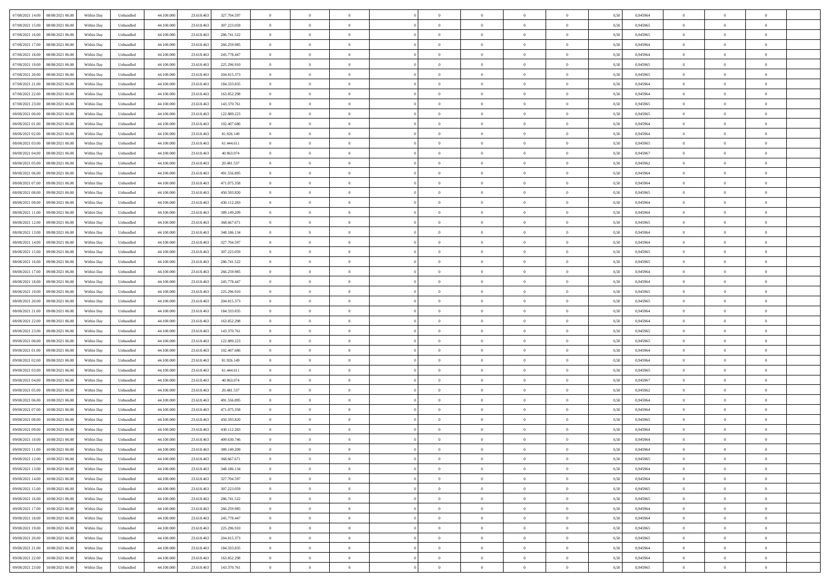| 07/08/2021 14:00  08/08/2021 06:00           | Within Day | Unbundled         | 44.100.000 | 23.618.463 | 327.704.597 | $\overline{0}$ | $\theta$       |                | $\overline{0}$ | $\theta$       |                | $\bf{0}$       | 0,50 | 0,945964 | $\theta$       | $\theta$       | $\overline{0}$ |  |
|----------------------------------------------|------------|-------------------|------------|------------|-------------|----------------|----------------|----------------|----------------|----------------|----------------|----------------|------|----------|----------------|----------------|----------------|--|
| 07/08/2021 15:00<br>08/08/2021 06:00         | Within Day | Unbundled         | 44.100.00  | 23.618.463 | 307.223.059 | $\bf{0}$       | $\overline{0}$ | $\overline{0}$ | $\overline{0}$ | $\theta$       | $\overline{0}$ | $\bf{0}$       | 0,50 | 0,945965 | $\,$ 0 $\,$    | $\bf{0}$       | $\overline{0}$ |  |
| 07/08/2021 16:00<br>08/08/2021 06:00         | Within Day | Unbundled         | 44,100,000 | 23.618.463 | 286.741.522 | $\overline{0}$ | $\bf{0}$       | $\overline{0}$ | $\bf{0}$       | $\bf{0}$       | $\overline{0}$ | $\bf{0}$       | 0.50 | 0.945965 | $\bf{0}$       | $\overline{0}$ | $\overline{0}$ |  |
| 07/08/2021 17:00<br>08/08/2021 06:00         |            |                   | 44.100.000 |            |             | $\overline{0}$ | $\overline{0}$ | $\overline{0}$ | $\theta$       | $\theta$       | $\overline{0}$ | $\overline{0}$ |      |          | $\theta$       | $\theta$       | $\overline{0}$ |  |
|                                              | Within Day | Unbundled         |            | 23.618.463 | 266.259.985 |                |                |                |                |                |                |                | 0,50 | 0,945964 |                |                |                |  |
| 07/08/2021 18:00<br>08/08/2021 06:00         | Within Day | Unbundled         | 44.100.00  | 23.618.463 | 245.778.447 | $\bf{0}$       | $\theta$       | $\overline{0}$ | $\overline{0}$ | $\theta$       | $\overline{0}$ | $\bf{0}$       | 0,50 | 0,945964 | $\,$ 0 $\,$    | $\bf{0}$       | $\overline{0}$ |  |
| 07/08/2021 19:00<br>08/08/2021 06:00         | Within Day | Unbundled         | 44,100,00  | 23.618.463 | 225.296.910 | $\overline{0}$ | $\overline{0}$ | $\overline{0}$ | $\overline{0}$ | $\overline{0}$ | $\Omega$       | $\bf{0}$       | 0.50 | 0.945965 | $\bf{0}$       | $\theta$       | $\overline{0}$ |  |
| 07/08/2021 20:00<br>08/08/2021 06:00         | Within Day | Unbundled         | 44.100.000 | 23.618.463 | 204.815.373 | $\overline{0}$ | $\overline{0}$ | $\overline{0}$ | $\overline{0}$ | $\theta$       | $\overline{0}$ | $\bf{0}$       | 0,50 | 0,945965 | $\theta$       | $\theta$       | $\overline{0}$ |  |
|                                              |            |                   |            |            |             |                |                |                |                |                |                |                |      |          |                |                |                |  |
| 07/08/2021 21:00<br>08/08/2021 06:00         | Within Day | Unbundled         | 44.100.00  | 23.618.463 | 184.333.835 | $\overline{0}$ | $\overline{0}$ | $\overline{0}$ | $\overline{0}$ | $\theta$       | $\overline{0}$ | $\bf{0}$       | 0,50 | 0,945964 | $\,$ 0 $\,$    | $\bf{0}$       | $\overline{0}$ |  |
| 07/08/2021 22.00<br>08/08/2021 06:00         | Within Day | Unbundled         | 44,100,00  | 23.618.463 | 163.852.298 | $\overline{0}$ | $\bf{0}$       | $\overline{0}$ | $\bf{0}$       | $\overline{0}$ | $\overline{0}$ | $\bf{0}$       | 0.50 | 0.945964 | $\bf{0}$       | $\theta$       | $\overline{0}$ |  |
| 07/08/2021 23:00<br>08/08/2021 06:00         | Within Day | Unbundled         | 44.100.000 | 23.618.463 | 143.370.761 | $\overline{0}$ | $\bf{0}$       | $\overline{0}$ | $\overline{0}$ | $\theta$       | $\overline{0}$ | $\bf{0}$       | 0,50 | 0,945965 | $\theta$       | $\theta$       | $\overline{0}$ |  |
| 08/08/2021 00:00<br>08/08/2021 06:00         | Within Day | Unbundled         | 44.100.00  | 23.618.463 | 122.889.223 | $\bf{0}$       | $\overline{0}$ | $\bf{0}$       | $\overline{0}$ | $\bf{0}$       | $\overline{0}$ | $\bf{0}$       | 0,50 | 0,945965 | $\,$ 0 $\,$    | $\bf{0}$       | $\overline{0}$ |  |
|                                              |            |                   |            |            |             |                |                |                |                |                |                |                |      |          |                |                |                |  |
| 08/08/2021 01:00<br>08/08/2021 06:00         | Within Day | Unbundled         | 44,100,000 | 23.618.463 | 102.407.686 | $\overline{0}$ | $\overline{0}$ | $\overline{0}$ | $\bf{0}$       | $\bf{0}$       | $\overline{0}$ | $\bf{0}$       | 0.50 | 0.945964 | $\bf{0}$       | $\overline{0}$ | $\overline{0}$ |  |
| 08/08/2021 02:00<br>08/08/2021 06:00         | Within Day | Unbundled         | 44.100.000 | 23.618.463 | 81.926.149  | $\overline{0}$ | $\overline{0}$ | $\overline{0}$ | $\overline{0}$ | $\theta$       | $\overline{0}$ | $\overline{0}$ | 0,50 | 0,945964 | $\theta$       | $\theta$       | $\overline{0}$ |  |
| 08/08/2021 03:00<br>08/08/2021 06:00         | Within Day | Unbundled         | 44.100.00  | 23.618.463 | 61.444.611  | $\bf{0}$       | $\theta$       | $\bf{0}$       | $\overline{0}$ | $\theta$       | $\overline{0}$ | $\bf{0}$       | 0,50 | 0,945965 | $\bf{0}$       | $\bf{0}$       | $\overline{0}$ |  |
| 08/08/2021 04:00<br>08/08/2021 06:00         | Within Day | Unbundled         | 44,100,00  | 23.618.463 | 40.963.074  | $\overline{0}$ | $\overline{0}$ | $\overline{0}$ | $\bf{0}$       | $\theta$       | $\theta$       | $\bf{0}$       | 0.50 | 0.945967 | $\theta$       | $\theta$       | $\overline{0}$ |  |
| 08/08/2021 05:00<br>08/08/2021 06:00         | Within Day | Unbundled         | 44.100.000 | 23.618.463 | 20.481.537  | $\overline{0}$ | $\overline{0}$ | $\overline{0}$ | $\overline{0}$ | $\overline{0}$ | $\overline{0}$ | $\bf{0}$       | 0,50 | 0,945962 | $\theta$       | $\theta$       | $\overline{0}$ |  |
|                                              |            |                   |            |            |             |                |                |                |                |                |                |                |      |          |                |                |                |  |
| 08/08/2021 06:00<br>09/08/2021 06.00         | Within Day | Unbundled         | 44.100.00  | 23.618.463 | 491.556.895 | $\bf{0}$       | $\overline{0}$ | $\overline{0}$ | $\overline{0}$ | $\theta$       | $\overline{0}$ | $\bf{0}$       | 0,50 | 0,945964 | $\,$ 0 $\,$    | $\bf{0}$       | $\overline{0}$ |  |
| 08/08/2021 07:00<br>09/08/2021 06:00         | Within Day | Unbundled         | 44,100,00  | 23.618.463 | 471.075.358 | $\overline{0}$ | $\overline{0}$ | $\overline{0}$ | $\bf{0}$       | $\overline{0}$ | $\overline{0}$ | $\bf{0}$       | 0.50 | 0.945964 | $\bf{0}$       | $\overline{0}$ | $\overline{0}$ |  |
| 08/08/2021 08:00<br>09/08/2021 06:00         | Within Day | Unbundled         | 44.100.000 | 23.618.463 | 450.593.820 | $\overline{0}$ | $\overline{0}$ | $\overline{0}$ | $\overline{0}$ | $\theta$       | $\overline{0}$ | $\bf{0}$       | 0,50 | 0,945965 | $\,$ 0 $\,$    | $\theta$       | $\overline{0}$ |  |
| 08/08/2021 09:00<br>09/08/2021 06.00         | Within Day | Unbundled         | 44.100.00  | 23.618.463 | 430.112.283 | $\bf{0}$       | $\overline{0}$ | $\bf{0}$       | $\bf{0}$       | $\overline{0}$ | $\overline{0}$ | $\bf{0}$       | 0,50 | 0,945964 | $\,$ 0 $\,$    | $\bf{0}$       | $\overline{0}$ |  |
|                                              |            |                   |            |            |             |                |                |                |                |                |                |                |      |          |                |                |                |  |
| 08/08/2021 11:00<br>09/08/2021 06:00         | Within Day | Unbundled         | 44,100,000 | 23.618.463 | 389.149.209 | $\overline{0}$ | $\bf{0}$       | $\overline{0}$ | $\bf{0}$       | $\bf{0}$       | $\overline{0}$ | $\bf{0}$       | 0.50 | 0.945964 | $\bf{0}$       | $\overline{0}$ | $\overline{0}$ |  |
| 08/08/2021 12:00<br>09/08/2021 06:00         | Within Day | Unbundled         | 44.100.000 | 23.618.463 | 368.667.671 | $\overline{0}$ | $\overline{0}$ | $\overline{0}$ | $\overline{0}$ | $\theta$       | $\overline{0}$ | $\bf{0}$       | 0,50 | 0,945965 | $\theta$       | $\theta$       | $\overline{0}$ |  |
| 08/08/2021 13:00<br>09/08/2021 06.00         | Within Day | Unbundled         | 44.100.00  | 23.618.463 | 348.186.134 | $\bf{0}$       | $\overline{0}$ | $\bf{0}$       | $\bf{0}$       | $\theta$       | $\overline{0}$ | $\bf{0}$       | 0,50 | 0,945964 | $\,$ 0 $\,$    | $\bf{0}$       | $\overline{0}$ |  |
| 08/08/2021 14:00<br>09/08/2021 06:00         | Within Day | Unbundled         | 44,100,00  | 23.618.46  | 327.704.597 | $\overline{0}$ | $\overline{0}$ | $\overline{0}$ | $\overline{0}$ | $\overline{0}$ | $\Omega$       | $\bf{0}$       | 0.50 | 0.945964 | $\bf{0}$       | $\theta$       | $\overline{0}$ |  |
| 08/08/2021 15:00<br>09/08/2021 06:00         | Within Day | Unbundled         | 44.100.000 | 23.618.463 | 307.223.059 | $\overline{0}$ | $\overline{0}$ | $\overline{0}$ | $\overline{0}$ | $\theta$       | $\overline{0}$ | $\bf{0}$       | 0,50 | 0,945965 | $\theta$       | $\theta$       | $\overline{0}$ |  |
|                                              |            |                   |            |            |             |                |                |                |                |                |                |                |      |          |                |                |                |  |
| 08/08/2021 16:00<br>09/08/2021 06.00         | Within Day | Unbundled         | 44.100.00  | 23.618.463 | 286.741.522 | $\bf{0}$       | $\theta$       | $\overline{0}$ | $\overline{0}$ | $\theta$       | $\overline{0}$ | $\bf{0}$       | 0,50 | 0,945965 | $\,$ 0 $\,$    | $\bf{0}$       | $\overline{0}$ |  |
| 08/08/2021 17:00<br>09/08/2021 06:00         | Within Day | Unbundled         | 44,100,00  | 23.618.463 | 266.259.985 | $\overline{0}$ | $\bf{0}$       | $\overline{0}$ | $\bf{0}$       | $\overline{0}$ | $\overline{0}$ | $\bf{0}$       | 0.50 | 0.945964 | $\bf{0}$       | $\theta$       | $\overline{0}$ |  |
| 08/08/2021 18:00<br>09/08/2021 06:00         | Within Day | Unbundled         | 44.100.000 | 23.618.463 | 245.778.447 | $\overline{0}$ | $\overline{0}$ | $\overline{0}$ | $\overline{0}$ | $\theta$       | $\overline{0}$ | $\bf{0}$       | 0,50 | 0,945964 | $\theta$       | $\theta$       | $\overline{0}$ |  |
| 08/08/2021 19:00<br>09/08/2021 06.00         | Within Day | Unbundled         | 44.100.00  | 23.618.46  | 225.296.910 | $\bf{0}$       | $\bf{0}$       | $\bf{0}$       | $\bf{0}$       | $\overline{0}$ | $\overline{0}$ | $\bf{0}$       | 0,50 | 0,945965 | $\,$ 0 $\,$    | $\bf{0}$       | $\overline{0}$ |  |
|                                              |            |                   |            |            |             |                |                |                |                |                |                |                |      |          |                |                |                |  |
| 08/08/2021 20:00<br>09/08/2021 06:00         | Within Day | Unbundled         | 44,100,000 | 23.618.463 | 204.815.373 | $\overline{0}$ | $\bf{0}$       | $\overline{0}$ | $\bf{0}$       | $\bf{0}$       | $\overline{0}$ | $\bf{0}$       | 0.50 | 0.945965 | $\bf{0}$       | $\overline{0}$ | $\overline{0}$ |  |
| 08/08/2021 21:00<br>09/08/2021 06:00         | Within Day | Unbundled         | 44.100.000 | 23.618.463 | 184.333.835 | $\overline{0}$ | $\overline{0}$ | $\overline{0}$ | $\overline{0}$ | $\theta$       | $\overline{0}$ | $\bf{0}$       | 0.5( | 0.945964 | $\theta$       | $\theta$       | $\overline{0}$ |  |
| 08/08/2021 22:00<br>09/08/2021 06.00         | Within Day | Unbundled         | 44.100.00  | 23.618.463 | 163.852.298 | $\bf{0}$       | $\overline{0}$ | $\bf{0}$       | $\overline{0}$ | $\theta$       | $\overline{0}$ | $\bf{0}$       | 0,50 | 0,945964 | $\,$ 0 $\,$    | $\bf{0}$       | $\overline{0}$ |  |
| 08/08/2021 23:00<br>09/08/2021 06:00         | Within Day | Unbundled         | 44,100,00  | 23.618.463 | 143.370.761 | $\overline{0}$ | $\overline{0}$ | $\overline{0}$ | $\bf{0}$       | $\theta$       | $\Omega$       | $\bf{0}$       | 0.50 | 0.945965 | $\,$ 0 $\,$    | $\overline{0}$ | $\overline{0}$ |  |
| 09/08/2021 00:00<br>09/08/2021 06:00         | Within Dav | Unbundled         | 44.100.000 | 23.618.463 | 122.889.223 | $\overline{0}$ | $\overline{0}$ | $\Omega$       | $\overline{0}$ | $\theta$       | $\overline{0}$ | $\overline{0}$ | 0.50 | 0,945965 | $\theta$       | $\theta$       | $\overline{0}$ |  |
|                                              |            |                   |            |            |             |                |                |                |                |                |                |                |      |          |                |                |                |  |
| 09/08/2021 01:00<br>09/08/2021 06.00         | Within Day | Unbundled         | 44.100.00  | 23.618.46  | 102.407.686 | $\bf{0}$       | $\overline{0}$ | $\bf{0}$       | $\overline{0}$ | $\bf{0}$       | $\overline{0}$ | $\bf{0}$       | 0,50 | 0,945964 | $\,$ 0 $\,$    | $\bf{0}$       | $\overline{0}$ |  |
| 09/08/2021 02:00<br>09/08/2021 06:00         | Within Day | Unbundled         | 44,100,00  | 23.618.46  | 81.926.149  | $\overline{0}$ | $\bf{0}$       | $\overline{0}$ | $\bf{0}$       | $\overline{0}$ | $\overline{0}$ | $\bf{0}$       | 0.50 | 0.945964 | $\bf{0}$       | $\overline{0}$ | $\overline{0}$ |  |
| 09/08/2021 03:00<br>09/08/2021 06:00         | Within Dav | Unbundled         | 44.100.000 | 23.618.463 | 61.444.611  | $\overline{0}$ | $\overline{0}$ | $\overline{0}$ | $\overline{0}$ | $\overline{0}$ | $\overline{0}$ | $\overline{0}$ | 0.50 | 0,945965 | $\theta$       | $\theta$       | $\overline{0}$ |  |
| 09/08/2021 04:00<br>09/08/2021 06.00         | Within Day | Unbundled         | 44.100.00  | 23.618.463 | 40.963.074  | $\bf{0}$       | $\bf{0}$       | $\bf{0}$       | $\bf{0}$       | $\overline{0}$ | $\overline{0}$ | $\bf{0}$       | 0,50 | 0,945967 | $\,$ 0 $\,$    | $\bf{0}$       | $\overline{0}$ |  |
| 09/08/2021 06:00                             |            |                   | 44,100,000 | 23.618.463 | 20.481.537  |                |                |                |                |                | $\overline{0}$ |                |      | 0.945962 |                | $\overline{0}$ |                |  |
| 09/08/2021 05:00                             | Within Day | Unbundled         |            |            |             | $\overline{0}$ | $\bf{0}$       | $\overline{0}$ | $\bf{0}$       | $\bf{0}$       |                | $\bf{0}$       | 0.50 |          | $\bf{0}$       |                | $\overline{0}$ |  |
| 09/08/2021 06:00<br>10/08/2021 06:00         | Within Dav | Unbundled         | 44.100.000 | 23.618.463 | 491.556.895 | $\overline{0}$ | $\overline{0}$ | $\Omega$       | $\overline{0}$ | $\overline{0}$ | $\overline{0}$ | $\bf{0}$       | 0.50 | 0.945964 | $\theta$       | $\theta$       | $\overline{0}$ |  |
| 09/08/2021 07:00<br>10/08/2021 06:00         | Within Day | Unbundled         | 44.100.00  | 23.618.46  | 471.075.358 | $\bf{0}$       | $\overline{0}$ | $\bf{0}$       | $\overline{0}$ | $\overline{0}$ | $\overline{0}$ | $\bf{0}$       | 0,50 | 0,945964 | $\,$ 0 $\,$    | $\bf{0}$       | $\overline{0}$ |  |
| 09/08/2021 08:00<br>10/08/2021 06:00         | Within Day | Unbundled         | 44,100,00  | 23.618.46  | 450.593.820 | $\overline{0}$ | $\overline{0}$ | $\Omega$       | $\overline{0}$ | $\theta$       | $\theta$       | $\bf{0}$       | 0.50 | 0.945965 | $\,$ 0 $\,$    | $\theta$       | $\overline{0}$ |  |
| 09/08/2021 09:00<br>10/08/2021 06:00         | Within Dav | Unbundled         | 44.100.000 | 23.618.463 | 430.112.283 | $\overline{0}$ | $\overline{0}$ | $\Omega$       | $\overline{0}$ | $\theta$       | $\Omega$       | $\overline{0}$ | 0.5( | 0,945964 | $\theta$       | $\theta$       | $\overline{0}$ |  |
| 09/08/2021 10:00                             |            |                   |            |            |             | $\bf{0}$       | $\bf{0}$       | $\overline{0}$ | $\bf{0}$       | $\bf{0}$       | $\overline{0}$ |                |      |          | $\,$ 0 $\,$    | $\bf{0}$       | $\overline{0}$ |  |
| 10/08/2021 06:00                             | Within Day | Unbundled         | 44.100.000 | 23.618.463 | 409.630.746 |                |                |                |                |                |                | $\bf{0}$       | 0,50 | 0,945964 |                |                |                |  |
| $09/08/2021\ 11.00 \qquad 10/08/2021\ 06.00$ | Within Day | ${\sf Unbundred}$ | 44.100.000 | 23.618.463 | 389 149 209 | $\overline{0}$ | $\Omega$       |                | $\Omega$       |                |                |                | 0,50 | 0.945964 | $\theta$       | $\overline{0}$ |                |  |
| 09/08/2021 12:00 10/08/2021 06:00            | Within Day | Unbundled         | 44.100.000 | 23.618.463 | 368.667.671 | $\overline{0}$ | $\theta$       | $\Omega$       | $\theta$       | $\overline{0}$ | $\overline{0}$ | $\bf{0}$       | 0,50 | 0,945965 | $\theta$       | $\theta$       | $\overline{0}$ |  |
| 09/08/2021 13:00<br>10/08/2021 06:00         | Within Day | Unbundled         | 44.100.00  | 23.618.463 | 348.186.134 | $\overline{0}$ | $\bf{0}$       | $\overline{0}$ | $\overline{0}$ | $\bf{0}$       | $\overline{0}$ | $\bf{0}$       | 0,50 | 0,945964 | $\bf{0}$       | $\overline{0}$ | $\bf{0}$       |  |
| 09/08/2021 14:00 10/08/2021 06:00            | Within Day | Unbundled         | 44,100,000 | 23.618.463 | 327.704.597 | $\overline{0}$ | $\bf{0}$       | $\overline{0}$ | $\overline{0}$ | $\mathbf{0}$   | $\overline{0}$ | $\,$ 0 $\,$    | 0.50 | 0.945964 | $\overline{0}$ | $\bf{0}$       | $\,$ 0 $\,$    |  |
|                                              |            |                   |            |            |             |                |                |                |                |                |                |                |      |          |                |                |                |  |
| 09/08/2021 15:00 10/08/2021 06:00            | Within Day | Unbundled         | 44.100.000 | 23.618.463 | 307.223.059 | $\overline{0}$ | $\overline{0}$ | $\overline{0}$ | $\overline{0}$ | $\overline{0}$ | $\overline{0}$ | $\bf{0}$       | 0,50 | 0,945965 | $\theta$       | $\theta$       | $\overline{0}$ |  |
| 09/08/2021 16:00<br>10/08/2021 06:00         | Within Day | Unbundled         | 44.100.000 | 23.618.463 | 286.741.522 | $\overline{0}$ | $\bf{0}$       | $\overline{0}$ | $\overline{0}$ | $\overline{0}$ | $\overline{0}$ | $\bf{0}$       | 0,50 | 0,945965 | $\overline{0}$ | $\bf{0}$       | $\overline{0}$ |  |
| 09/08/2021 17:00<br>10/08/2021 06:00         | Within Day | Unbundled         | 44,100,000 | 23.618.463 | 266.259.985 | $\overline{0}$ | $\bf{0}$       | $\overline{0}$ | $\overline{0}$ | $\overline{0}$ | $\overline{0}$ | $\bf{0}$       | 0.50 | 0.945964 | $\,$ 0 $\,$    | $\theta$       | $\overline{0}$ |  |
| 09/08/2021 18:00<br>10/08/2021 06:00         | Within Dav | Unbundled         | 44.100.000 | 23.618.463 | 245.778.447 | $\overline{0}$ | $\overline{0}$ | $\overline{0}$ | $\overline{0}$ | $\overline{0}$ | $\overline{0}$ | $\bf{0}$       | 0.50 | 0,945964 | $\overline{0}$ | $\theta$       | $\overline{0}$ |  |
|                                              |            |                   |            |            |             |                |                |                |                |                |                |                |      |          |                |                |                |  |
| 09/08/2021 19:00<br>10/08/2021 06:00         | Within Day | Unbundled         | 44.100.00  | 23.618.463 | 225.296.910 | $\overline{0}$ | $\overline{0}$ | $\overline{0}$ | $\overline{0}$ | $\overline{0}$ | $\overline{0}$ | $\bf{0}$       | 0,50 | 0,945965 | $\bf{0}$       | $\overline{0}$ | $\overline{0}$ |  |
| 10/08/2021 06:00<br>09/08/2021 20:00         | Within Day | Unbundled         | 44,100,000 | 23.618.463 | 204.815.373 | $\overline{0}$ | $\overline{0}$ | $\overline{0}$ | $\overline{0}$ | $\bf{0}$       | $\overline{0}$ | $\bf{0}$       | 0.50 | 0.945965 | $\overline{0}$ | $\,$ 0 $\,$    | $\,$ 0         |  |
| 09/08/2021 21:00<br>10/08/2021 06:00         | Within Dav | Unbundled         | 44.100.000 | 23.618.463 | 184.333.835 | $\overline{0}$ | $\overline{0}$ | $\overline{0}$ | $\overline{0}$ | $\overline{0}$ | $\overline{0}$ | $\bf{0}$       | 0,50 | 0,945964 | $\overline{0}$ | $\theta$       | $\overline{0}$ |  |
| 09/08/2021 22:00<br>10/08/2021 06:00         | Within Day | Unbundled         | 44.100.00  | 23.618.463 | 163.852.298 | $\overline{0}$ | $\bf{0}$       | $\overline{0}$ | $\bf{0}$       | $\overline{0}$ | $\overline{0}$ | $\bf{0}$       | 0,50 | 0,945964 | $\bf{0}$       | $\bf{0}$       | $\overline{0}$ |  |
|                                              |            |                   |            |            |             |                |                |                |                |                |                |                |      |          |                |                |                |  |
| 09/08/2021 23:00 10/08/2021 06:00            | Within Day | Unbundled         | 44.100.000 | 23.618.463 | 143.370.761 | $\overline{0}$ | $\bf{0}$       | $\overline{0}$ | $\overline{0}$ | $\,$ 0 $\,$    | $\overline{0}$ | $\bf{0}$       | 0,50 | 0,945965 | $\overline{0}$ | $\,$ 0 $\,$    | $\,$ 0 $\,$    |  |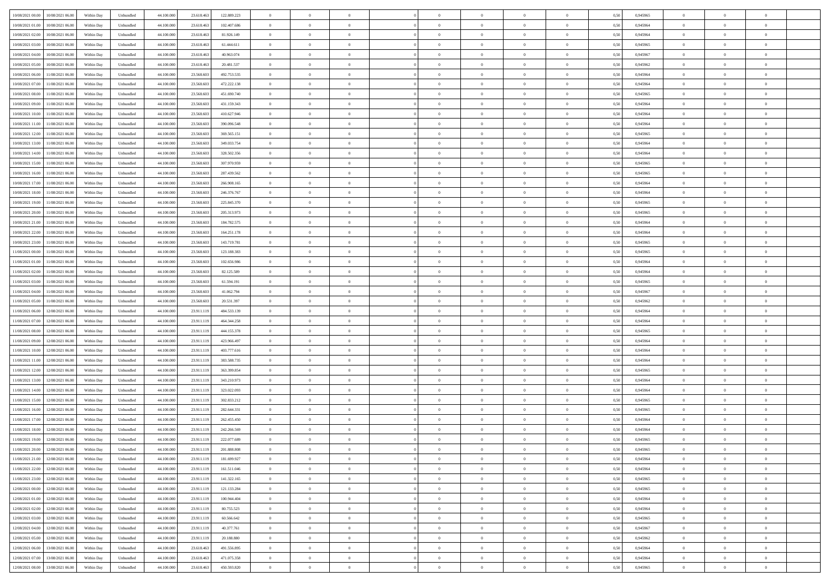| 10/08/2021 00:00<br>10/08/2021 06:00         | Within Day | Unbundled                   | 44.100.000 | 23.618.463 | 122.889.223 | $\overline{0}$ | $\theta$       |                | $\overline{0}$ | $\theta$       |                | $\theta$       | 0,50 | 0,945965 | $\theta$       | $\theta$       | $\overline{0}$ |  |
|----------------------------------------------|------------|-----------------------------|------------|------------|-------------|----------------|----------------|----------------|----------------|----------------|----------------|----------------|------|----------|----------------|----------------|----------------|--|
| 10/08/2021 01:00<br>10/08/2021 06:00         | Within Day | Unbundled                   | 44.100.00  | 23.618.463 | 102.407.686 | $\bf{0}$       | $\bf{0}$       | $\bf{0}$       | $\overline{0}$ | $\bf{0}$       | $\overline{0}$ | $\bf{0}$       | 0,50 | 0,945964 | $\,$ 0 $\,$    | $\bf{0}$       | $\overline{0}$ |  |
| 10/08/2021 02:00<br>10/08/2021 06:00         | Within Day | Unbundled                   | 44,100,000 | 23.618.463 | 81.926.149  | $\overline{0}$ | $\bf{0}$       | $\overline{0}$ | $\bf{0}$       | $\bf{0}$       | $\overline{0}$ | $\bf{0}$       | 0.50 | 0.945964 | $\bf{0}$       | $\overline{0}$ | $\overline{0}$ |  |
| 10/08/2021 03:00<br>10/08/2021 06:00         | Within Day | Unbundled                   | 44.100.000 | 23.618.463 | 61.444.611  | $\overline{0}$ | $\overline{0}$ | $\overline{0}$ | $\theta$       | $\theta$       | $\overline{0}$ | $\bf{0}$       | 0,50 | 0,945965 | $\theta$       | $\theta$       | $\overline{0}$ |  |
| 10/08/2021 04:00<br>10/08/2021 06:00         | Within Day | Unbundled                   | 44.100.00  | 23.618.463 | 40.963.074  | $\bf{0}$       | $\overline{0}$ | $\bf{0}$       | $\overline{0}$ | $\theta$       | $\overline{0}$ | $\bf{0}$       | 0,50 | 0,945967 | $\bf{0}$       | $\bf{0}$       | $\overline{0}$ |  |
| 10/08/2021 05:00<br>10/08/2021 06:00         | Within Day | Unbundled                   | 44,100,000 | 23.618.463 | 20.481.537  | $\overline{0}$ | $\overline{0}$ | $\overline{0}$ | $\bf{0}$       | $\overline{0}$ | $\theta$       | $\bf{0}$       | 0.50 | 0.945962 | $\bf{0}$       | $\theta$       | $\overline{0}$ |  |
| 10/08/2021 06:00<br>11/08/2021 06:00         | Within Day | Unbundled                   | 44.100.000 | 23.568.603 | 492.753.535 | $\overline{0}$ | $\overline{0}$ | $\overline{0}$ | $\overline{0}$ | $\overline{0}$ | $\overline{0}$ | $\bf{0}$       | 0,50 | 0,945964 | $\theta$       | $\theta$       | $\overline{0}$ |  |
|                                              |            |                             |            |            |             |                |                |                |                |                |                |                |      |          |                |                |                |  |
| 10/08/2021 07:00<br>11/08/2021 06:00         | Within Day | Unbundled                   | 44.100.00  | 23.568.60  | 472.222.138 | $\bf{0}$       | $\overline{0}$ | $\overline{0}$ | $\overline{0}$ | $\theta$       | $\overline{0}$ | $\bf{0}$       | 0,50 | 0,945964 | $\,$ 0 $\,$    | $\bf{0}$       | $\overline{0}$ |  |
| 10/08/2021 08:00<br>11/08/2021 06:00         | Within Day | Unbundled                   | 44,100,00  | 23,568,603 | 451.690.740 | $\overline{0}$ | $\bf{0}$       | $\overline{0}$ | $\bf{0}$       | $\overline{0}$ | $\overline{0}$ | $\bf{0}$       | 0.50 | 0.945965 | $\bf{0}$       | $\overline{0}$ | $\overline{0}$ |  |
| 10/08/2021 09:00<br>11/08/2021 06:00         | Within Day | Unbundled                   | 44.100.000 | 23.568.603 | 431.159.343 | $\overline{0}$ | $\bf{0}$       | $\overline{0}$ | $\overline{0}$ | $\overline{0}$ | $\overline{0}$ | $\bf{0}$       | 0,50 | 0,945964 | $\,$ 0 $\,$    | $\bf{0}$       | $\overline{0}$ |  |
| 10/08/2021 10:00<br>11/08/2021 06:00         | Within Day | Unbundled                   | 44.100.00  | 23.568.60  | 410.627.946 | $\bf{0}$       | $\overline{0}$ | $\bf{0}$       | $\bf{0}$       | $\bf{0}$       | $\overline{0}$ | $\bf{0}$       | 0,50 | 0,945964 | $\,$ 0 $\,$    | $\bf{0}$       | $\overline{0}$ |  |
| 10/08/2021 11:00<br>11/08/2021 06:00         | Within Day | Unbundled                   | 44,100,000 | 23,568,603 | 390.096.548 | $\overline{0}$ | $\bf{0}$       | $\overline{0}$ | $\bf{0}$       | $\bf{0}$       | $\overline{0}$ | $\bf{0}$       | 0.50 | 0.945964 | $\bf{0}$       | $\overline{0}$ | $\bf{0}$       |  |
| 10/08/2021 12:00<br>11/08/2021 06:00         | Within Day | Unbundled                   | 44.100.000 | 23.568.603 | 369.565.151 | $\overline{0}$ | $\overline{0}$ | $\overline{0}$ | $\overline{0}$ | $\theta$       | $\overline{0}$ | $\overline{0}$ | 0,50 | 0,945965 | $\,$ 0 $\,$    | $\theta$       | $\overline{0}$ |  |
| 10/08/2021 13:00<br>11/08/2021 06:00         | Within Day | Unbundled                   | 44.100.00  | 23.568.60  | 349.033.754 | $\bf{0}$       | $\theta$       | $\bf{0}$       | $\overline{0}$ | $\theta$       | $\overline{0}$ | $\bf{0}$       | 0,50 | 0,945964 | $\bf{0}$       | $\bf{0}$       | $\overline{0}$ |  |
| 10/08/2021 14:00<br>11/08/2021 06:00         | Within Day | Unbundled                   | 44,100,00  | 23,568,603 | 328.502.356 | $\overline{0}$ | $\overline{0}$ | $\overline{0}$ | $\bf{0}$       | $\overline{0}$ | $\Omega$       | $\bf{0}$       | 0.50 | 0.945964 | $\theta$       | $\theta$       | $\overline{0}$ |  |
| 10/08/2021 15:00<br>11/08/2021 06:00         | Within Day | Unbundled                   | 44.100.000 | 23.568.603 | 307.970.959 | $\overline{0}$ | $\overline{0}$ | $\overline{0}$ | $\overline{0}$ | $\overline{0}$ | $\overline{0}$ | $\bf{0}$       | 0,50 | 0,945965 | $\theta$       | $\theta$       | $\overline{0}$ |  |
|                                              |            |                             |            |            |             |                |                |                |                |                |                |                |      |          |                |                |                |  |
| 10/08/2021 16:00<br>11/08/2021 06:00         | Within Day | Unbundled                   | 44.100.00  | 23.568.60  | 287.439.562 | $\bf{0}$       | $\overline{0}$ | $\overline{0}$ | $\overline{0}$ | $\bf{0}$       | $\overline{0}$ | $\bf{0}$       | 0,50 | 0,945965 | $\,$ 0 $\,$    | $\bf{0}$       | $\overline{0}$ |  |
| 10/08/2021 17:00<br>11/08/2021 06:00         | Within Day | Unbundled                   | 44,100,00  | 23,568,603 | 266,908,165 | $\overline{0}$ | $\bf{0}$       | $\overline{0}$ | $\bf{0}$       | $\overline{0}$ | $\overline{0}$ | $\bf{0}$       | 0.50 | 0.945964 | $\bf{0}$       | $\overline{0}$ | $\overline{0}$ |  |
| 10/08/2021 18:00<br>11/08/2021 06:00         | Within Day | Unbundled                   | 44.100.000 | 23.568.603 | 246.376.767 | $\bf{0}$       | $\overline{0}$ | $\overline{0}$ | $\overline{0}$ | $\overline{0}$ | $\overline{0}$ | $\bf{0}$       | 0,50 | 0,945964 | $\,$ 0 $\,$    | $\bf{0}$       | $\overline{0}$ |  |
| 10/08/2021 19:00<br>11/08/2021 06:00         | Within Day | Unbundled                   | 44.100.00  | 23.568.60  | 225.845.370 | $\bf{0}$       | $\bf{0}$       | $\bf{0}$       | $\bf{0}$       | $\overline{0}$ | $\overline{0}$ | $\bf{0}$       | 0,50 | 0,945965 | $\,$ 0 $\,$    | $\bf{0}$       | $\overline{0}$ |  |
| 10/08/2021 20:00<br>11/08/2021 06:00         | Within Day | Unbundled                   | 44,100,000 | 23.568.603 | 205.313.973 | $\overline{0}$ | $\bf{0}$       | $\overline{0}$ | $\bf{0}$       | $\bf{0}$       | $\overline{0}$ | $\bf{0}$       | 0.50 | 0.945965 | $\bf{0}$       | $\overline{0}$ | $\overline{0}$ |  |
| 10/08/2021 21:00<br>11/08/2021 06:00         | Within Day | Unbundled                   | 44.100.000 | 23.568.603 | 184.782.575 | $\overline{0}$ | $\overline{0}$ | $\overline{0}$ | $\theta$       | $\theta$       | $\overline{0}$ | $\bf{0}$       | 0,50 | 0,945964 | $\theta$       | $\theta$       | $\overline{0}$ |  |
| 10/08/2021 22:00<br>11/08/2021 06:00         | Within Day | Unbundled                   | 44.100.00  | 23.568.60  | 164.251.178 | $\bf{0}$       | $\overline{0}$ | $\bf{0}$       | $\bf{0}$       | $\bf{0}$       | $\overline{0}$ | $\bf{0}$       | 0,50 | 0,945964 | $\,$ 0 $\,$    | $\bf{0}$       | $\overline{0}$ |  |
| 10/08/2021 23:00<br>11/08/2021 06:00         | Within Day | Unbundled                   | 44,100,00  | 23,568,603 | 143.719.781 | $\overline{0}$ | $\overline{0}$ | $\overline{0}$ | $\overline{0}$ | $\overline{0}$ | $\Omega$       | $\bf{0}$       | 0.50 | 0.945965 | $\bf{0}$       | $\theta$       | $\overline{0}$ |  |
| 11/08/2021 00:00<br>11/08/2021 06:00         | Within Day | Unbundled                   | 44.100.000 | 23.568.603 | 123.188.383 | $\overline{0}$ | $\overline{0}$ | $\overline{0}$ | $\overline{0}$ | $\overline{0}$ | $\overline{0}$ | $\bf{0}$       | 0,50 | 0,945965 | $\theta$       | $\theta$       | $\overline{0}$ |  |
|                                              |            |                             |            |            |             |                |                |                |                |                |                |                |      |          |                |                |                |  |
| 11/08/2021 01:00<br>11/08/2021 06:00         | Within Day | Unbundled                   | 44.100.00  | 23.568.60  | 102.656.986 | $\bf{0}$       | $\overline{0}$ | $\bf{0}$       | $\overline{0}$ | $\bf{0}$       | $\overline{0}$ | $\bf{0}$       | 0,50 | 0,945964 | $\,$ 0 $\,$    | $\bf{0}$       | $\overline{0}$ |  |
| 11/08/2021 02:00<br>11/08/2021 06:00         | Within Day | Unbundled                   | 44,100,00  | 23,568,603 | 82.125.589  | $\overline{0}$ | $\bf{0}$       | $\overline{0}$ | $\bf{0}$       | $\overline{0}$ | $\overline{0}$ | $\bf{0}$       | 0.50 | 0.945964 | $\bf{0}$       | $\overline{0}$ | $\overline{0}$ |  |
| 11/08/2021 03:00<br>11/08/2021 06:00         | Within Day | Unbundled                   | 44.100.000 | 23.568.603 | 61.594.191  | $\overline{0}$ | $\overline{0}$ | $\overline{0}$ | $\overline{0}$ | $\overline{0}$ | $\overline{0}$ | $\bf{0}$       | 0,50 | 0,945965 | $\theta$       | $\theta$       | $\overline{0}$ |  |
| 11/08/2021 04:00<br>11/08/2021 06:00         | Within Day | Unbundled                   | 44.100.00  | 23.568.60  | 41.062.794  | $\bf{0}$       | $\bf{0}$       | $\bf{0}$       | $\bf{0}$       | $\overline{0}$ | $\overline{0}$ | $\bf{0}$       | 0,50 | 0,945967 | $\,$ 0 $\,$    | $\bf{0}$       | $\overline{0}$ |  |
| 11/08/2021 05:00<br>11/08/2021 06:00         | Within Day | Unbundled                   | 44,100,000 | 23,568,603 | 20.531.397  | $\overline{0}$ | $\bf{0}$       | $\overline{0}$ | $\bf{0}$       | $\bf{0}$       | $\overline{0}$ | $\bf{0}$       | 0.50 | 0.945962 | $\bf{0}$       | $\overline{0}$ | $\bf{0}$       |  |
| 11/08/2021 06:00<br>12/08/2021 06:00         | Within Day | Unbundled                   | 44.100.000 | 23.911.119 | 484.533.139 | $\overline{0}$ | $\overline{0}$ | $\overline{0}$ | $\overline{0}$ | $\overline{0}$ | $\overline{0}$ | $\bf{0}$       | 0.5( | 0.945964 | $\theta$       | $\theta$       | $\overline{0}$ |  |
| 11/08/2021 07:00<br>12/08/2021 06:00         | Within Day | Unbundled                   | 44.100.00  | 23.911.119 | 464.344.258 | $\bf{0}$       | $\overline{0}$ | $\bf{0}$       | $\bf{0}$       | $\overline{0}$ | $\overline{0}$ | $\bf{0}$       | 0,50 | 0,945964 | $\,$ 0 $\,$    | $\bf{0}$       | $\overline{0}$ |  |
| 11/08/2021 08:00<br>12/08/2021 06:00         | Within Day | Unbundled                   | 44,100,00  | 23.911.119 | 444.155.378 | $\overline{0}$ | $\overline{0}$ | $\overline{0}$ | $\bf{0}$       | $\overline{0}$ | $\Omega$       | $\bf{0}$       | 0.50 | 0.945965 | $\,$ 0 $\,$    | $\theta$       | $\overline{0}$ |  |
| 11/08/2021 09:00<br>12/08/2021 06:00         | Within Dav | Unbundled                   | 44.100.000 | 23.911.119 | 423.966.497 | $\overline{0}$ | $\overline{0}$ | $\overline{0}$ | $\overline{0}$ | $\overline{0}$ | $\overline{0}$ | $\overline{0}$ | 0.50 | 0,945964 | $\theta$       | $\theta$       | $\overline{0}$ |  |
| 11/08/2021 10:00<br>12/08/2021 06:00         | Within Day | Unbundled                   | 44.100.00  | 23.911.119 | 403.777.616 | $\bf{0}$       | $\overline{0}$ | $\bf{0}$       | $\bf{0}$       | $\bf{0}$       | $\overline{0}$ | $\bf{0}$       | 0,50 | 0,945964 | $\,$ 0 $\,$    | $\bf{0}$       | $\overline{0}$ |  |
| 12/08/2021 06:00                             |            | Unbundled                   | 44,100,00  | 23.911.119 | 383.588.735 |                | $\bf{0}$       | $\overline{0}$ |                | $\overline{0}$ | $\overline{0}$ |                | 0.50 | 0.945964 | $\bf{0}$       | $\overline{0}$ | $\overline{0}$ |  |
| 11/08/2021 11:00                             | Within Day |                             |            |            |             | $\overline{0}$ |                |                | $\bf{0}$       |                |                | $\bf{0}$       |      |          |                |                |                |  |
| 11/08/2021 12:00<br>12/08/2021 06:00         | Within Dav | Unbundled                   | 44.100.000 | 23.911.119 | 363,399,854 | $\overline{0}$ | $\overline{0}$ | $\overline{0}$ | $\overline{0}$ | $\overline{0}$ | $\overline{0}$ | $\overline{0}$ | 0.50 | 0,945965 | $\theta$       | $\theta$       | $\overline{0}$ |  |
| 11/08/2021 13:00<br>12/08/2021 06:00         | Within Day | Unbundled                   | 44.100.00  | 23.911.119 | 343.210.973 | $\bf{0}$       | $\bf{0}$       | $\bf{0}$       | $\bf{0}$       | $\overline{0}$ | $\overline{0}$ | $\bf{0}$       | 0,50 | 0,945964 | $\,$ 0 $\,$    | $\bf{0}$       | $\overline{0}$ |  |
| 11/08/2021 14:00<br>12/08/2021 06:00         | Within Day | Unbundled                   | 44,100,000 | 23.911.119 | 323.022.093 | $\overline{0}$ | $\bf{0}$       | $\overline{0}$ | $\bf{0}$       | $\bf{0}$       | $\overline{0}$ | $\bf{0}$       | 0.50 | 0.945964 | $\bf{0}$       | $\overline{0}$ | $\overline{0}$ |  |
| 11/08/2021 15:00<br>12/08/2021 06:00         | Within Dav | Unbundled                   | 44.100.000 | 23.911.119 | 302.833.212 | $\overline{0}$ | $\overline{0}$ | $\overline{0}$ | $\overline{0}$ | $\overline{0}$ | $\overline{0}$ | $\bf{0}$       | 0.50 | 0.945965 | $\theta$       | $\theta$       | $\overline{0}$ |  |
| 11/08/2021 16:00<br>12/08/2021 06:00         | Within Day | Unbundled                   | 44.100.00  | 23.911.119 | 282.644.331 | $\bf{0}$       | $\overline{0}$ | $\bf{0}$       | $\bf{0}$       | $\overline{0}$ | $\overline{0}$ | $\bf{0}$       | 0,50 | 0,945965 | $\,$ 0 $\,$    | $\bf{0}$       | $\overline{0}$ |  |
| 11/08/2021 17:00<br>12/08/2021 06:00         | Within Day | Unbundled                   | 44,100,00  | 23.911.119 | 262.455.450 | $\overline{0}$ | $\overline{0}$ | $\Omega$       | $\overline{0}$ | $\bf{0}$       | $\Omega$       | $\bf{0}$       | 0.50 | 0.945964 | $\bf{0}$       | $\theta$       | $\overline{0}$ |  |
| 11/08/2021 18:00<br>12/08/2021 06:00         | Within Dav | Unbundled                   | 44.100.000 | 23.911.119 | 242.266.569 | $\overline{0}$ | $\overline{0}$ | $\Omega$       | $\overline{0}$ | $\theta$       | $\Omega$       | $\overline{0}$ | 0.5( | 0,945964 | $\theta$       | $\theta$       | $\overline{0}$ |  |
| 11/08/2021 19:00<br>12/08/2021 06:00         | Within Day | Unbundled                   | 44.100.000 | 23.911.119 | 222.077.689 | $\bf{0}$       | $\bf{0}$       | $\bf{0}$       | $\bf{0}$       | $\bf{0}$       | $\overline{0}$ | $\bf{0}$       | 0,50 | 0,945965 | $\,$ 0 $\,$    | $\bf{0}$       | $\overline{0}$ |  |
| $11/08/2021\ 20.00 \qquad 12/08/2021\ 06.00$ | Within Day | $\ensuremath{\mathsf{Unb}}$ | 44.100.000 | 23.911.119 | 201.888.808 | $\overline{0}$ | $\theta$       |                | $\overline{0}$ |                |                |                | 0,50 | 0.945965 | $\theta$       | $\overline{0}$ |                |  |
| 11/08/2021 21:00 12/08/2021 06:00            | Within Day | Unbundled                   | 44.100.000 | 23.911.119 | 181.699.927 | $\overline{0}$ | $\theta$       | $\Omega$       | $\theta$       | $\theta$       | $\overline{0}$ | $\bf{0}$       | 0,50 | 0,945964 | $\theta$       | $\theta$       | $\overline{0}$ |  |
|                                              |            |                             |            |            |             |                |                |                |                |                |                |                |      |          |                |                |                |  |
| 11/08/2021 22:00<br>12/08/2021 06:00         | Within Day | Unbundled                   | 44.100.00  | 23.911.119 | 161.511.046 | $\overline{0}$ | $\bf{0}$       | $\overline{0}$ | $\overline{0}$ | $\bf{0}$       | $\overline{0}$ | $\bf{0}$       | 0,50 | 0,945964 | $\bf{0}$       | $\overline{0}$ | $\bf{0}$       |  |
| 11/08/2021 23:00 12/08/2021 06:00            | Within Day | Unbundled                   | 44,100,000 | 23.911.119 | 141.322.165 | $\overline{0}$ | $\bf{0}$       | $\overline{0}$ | $\overline{0}$ | $\overline{0}$ | $\overline{0}$ | $\bf{0}$       | 0.50 | 0.945965 | $\mathbf{0}$   | $\bf{0}$       | $\,$ 0 $\,$    |  |
| 12/08/2021 00:00 12/08/2021 06:00            | Within Dav | Unbundled                   | 44.100.000 | 23.911.119 | 121.133.284 | $\overline{0}$ | $\overline{0}$ | $\overline{0}$ | $\overline{0}$ | $\overline{0}$ | $\overline{0}$ | $\bf{0}$       | 0,50 | 0,945965 | $\theta$       | $\theta$       | $\overline{0}$ |  |
| 12/08/2021 01:00<br>12/08/2021 06:00         | Within Day | Unbundled                   | 44.100.000 | 23.911.119 | 100.944.404 | $\overline{0}$ | $\bf{0}$       | $\overline{0}$ | $\bf{0}$       | $\overline{0}$ | $\bf{0}$       | $\bf{0}$       | 0,50 | 0,945964 | $\bf{0}$       | $\overline{0}$ | $\overline{0}$ |  |
| 12/08/2021 02:00<br>12/08/2021 06:00         | Within Day | Unbundled                   | 44,100,000 | 23.911.119 | 80.755.523  | $\overline{0}$ | $\bf{0}$       | $\overline{0}$ | $\overline{0}$ | $\overline{0}$ | $\overline{0}$ | $\bf{0}$       | 0.50 | 0.945964 | $\,$ 0 $\,$    | $\theta$       | $\overline{0}$ |  |
| 12/08/2021 03:00<br>12/08/2021 06:00         | Within Dav | Unbundled                   | 44.100.000 | 23.911.119 | 60.566.642  | $\overline{0}$ | $\overline{0}$ | $\overline{0}$ | $\overline{0}$ | $\overline{0}$ | $\overline{0}$ | $\bf{0}$       | 0.50 | 0,945965 | $\overline{0}$ | $\theta$       | $\overline{0}$ |  |
| 12/08/2021 04:00<br>12/08/2021 06:00         | Within Day | Unbundled                   | 44.100.00  | 23.911.119 | 40.377.761  | $\overline{0}$ | $\overline{0}$ | $\overline{0}$ | $\overline{0}$ | $\bf{0}$       | $\overline{0}$ | $\bf{0}$       | 0,50 | 0,945967 | $\bf{0}$       | $\overline{0}$ | $\overline{0}$ |  |
| 12/08/2021 06:00<br>12/08/2021 05:00         | Within Day | Unbundled                   | 44,100,000 | 23.911.119 | 20.188.880  | $\overline{0}$ | $\overline{0}$ | $\overline{0}$ | $\overline{0}$ | $\bf{0}$       | $\overline{0}$ | $\bf{0}$       | 0.50 | 0.945962 | $\overline{0}$ | $\bf{0}$       | $\,$ 0         |  |
| 12/08/2021 06:00<br>13/08/2021 06:00         | Within Dav | Unbundled                   | 44.100.000 | 23.618.463 | 491.556.895 | $\overline{0}$ | $\overline{0}$ | $\overline{0}$ | $\overline{0}$ | $\overline{0}$ | $\overline{0}$ | $\bf{0}$       | 0,50 | 0,945964 | $\theta$       | $\theta$       | $\overline{0}$ |  |
|                                              |            |                             |            |            |             |                |                |                |                |                |                |                |      |          |                |                |                |  |
| 12/08/2021 07:00<br>13/08/2021 06:00         | Within Day | Unbundled                   | 44.100.00  | 23.618.463 | 471.075.358 | $\overline{0}$ | $\bf{0}$       | $\overline{0}$ | $\bf{0}$       | $\overline{0}$ | $\bf{0}$       | $\bf{0}$       | 0,50 | 0,945964 | $\bf{0}$       | $\bf{0}$       | $\overline{0}$ |  |
| 12/08/2021 08:00 13/08/2021 06:00            | Within Day | Unbundled                   | 44.100.000 | 23.618.463 | 450.593.820 | $\overline{0}$ | $\bf{0}$       | $\overline{0}$ | $\overline{0}$ | $\,$ 0 $\,$    | $\overline{0}$ | $\bf{0}$       | 0,50 | 0,945965 | $\overline{0}$ | $\,$ 0 $\,$    | $\,$ 0 $\,$    |  |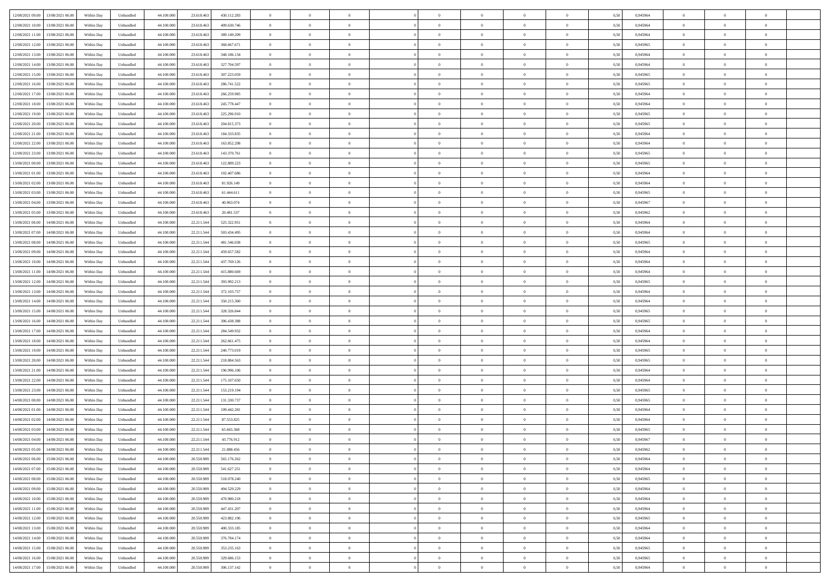| 12/08/2021 09:00 13/08/2021 06:00            | Within Day | Unbundled         | 44.100.000 | 23.618.463 | 430.112.283 | $\overline{0}$ | $\theta$       |                | $\overline{0}$ | $\theta$       |                | $\theta$       | 0,50 | 0,945964 | $\theta$       | $\theta$       | $\overline{0}$ |  |
|----------------------------------------------|------------|-------------------|------------|------------|-------------|----------------|----------------|----------------|----------------|----------------|----------------|----------------|------|----------|----------------|----------------|----------------|--|
| 12/08/2021 10:00<br>13/08/2021 06:00         | Within Day | Unbundled         | 44.100.00  | 23.618.463 | 409.630.746 | $\bf{0}$       | $\bf{0}$       | $\bf{0}$       | $\overline{0}$ | $\bf{0}$       | $\overline{0}$ | $\bf{0}$       | 0,50 | 0,945964 | $\,$ 0 $\,$    | $\bf{0}$       | $\overline{0}$ |  |
| 12/08/2021 11:00<br>13/08/2021 06:00         | Within Day | Unbundled         | 44,100,000 | 23.618.463 | 389.149.209 | $\overline{0}$ | $\bf{0}$       | $\overline{0}$ | $\bf{0}$       | $\bf{0}$       | $\overline{0}$ | $\bf{0}$       | 0.50 | 0.945964 | $\bf{0}$       | $\overline{0}$ | $\overline{0}$ |  |
| 12/08/2021 12:00<br>13/08/2021 06:00         |            |                   |            |            |             | $\overline{0}$ | $\overline{0}$ | $\overline{0}$ | $\theta$       | $\theta$       | $\overline{0}$ | $\bf{0}$       |      |          | $\theta$       | $\theta$       | $\overline{0}$ |  |
|                                              | Within Day | Unbundled         | 44.100.000 | 23.618.463 | 368.667.671 |                |                |                |                |                |                |                | 0,50 | 0,945965 |                |                |                |  |
| 12/08/2021 13:00<br>13/08/2021 06:00         | Within Day | Unbundled         | 44.100.00  | 23.618.463 | 348.186.134 | $\bf{0}$       | $\overline{0}$ | $\bf{0}$       | $\overline{0}$ | $\theta$       | $\overline{0}$ | $\bf{0}$       | 0,50 | 0,945964 | $\,$ 0 $\,$    | $\bf{0}$       | $\overline{0}$ |  |
| 12/08/2021 14:00<br>13/08/2021 06:00         | Within Day | Unbundled         | 44,100,000 | 23.618.463 | 327.704.597 | $\overline{0}$ | $\overline{0}$ | $\overline{0}$ | $\bf{0}$       | $\overline{0}$ | $\theta$       | $\bf{0}$       | 0.50 | 0.945964 | $\bf{0}$       | $\theta$       | $\overline{0}$ |  |
| 12/08/2021 15:00<br>13/08/2021 06:00         | Within Day | Unbundled         | 44.100.000 | 23.618.463 | 307.223.059 | $\overline{0}$ | $\overline{0}$ | $\overline{0}$ | $\overline{0}$ | $\theta$       | $\overline{0}$ | $\bf{0}$       | 0,50 | 0,945965 | $\theta$       | $\theta$       | $\overline{0}$ |  |
|                                              |            |                   |            |            |             |                |                |                |                |                |                |                |      |          |                |                |                |  |
| 12/08/2021 16:00<br>13/08/2021 06:00         | Within Day | Unbundled         | 44.100.00  | 23.618.463 | 286.741.522 | $\bf{0}$       | $\overline{0}$ | $\overline{0}$ | $\overline{0}$ | $\theta$       | $\overline{0}$ | $\bf{0}$       | 0,50 | 0,945965 | $\,$ 0 $\,$    | $\bf{0}$       | $\overline{0}$ |  |
| 12/08/2021 17:00<br>13/08/2021 06:00         | Within Day | Unbundled         | 44,100,00  | 23.618.463 | 266.259.985 | $\overline{0}$ | $\bf{0}$       | $\overline{0}$ | $\bf{0}$       | $\overline{0}$ | $\overline{0}$ | $\bf{0}$       | 0.50 | 0.945964 | $\bf{0}$       | $\overline{0}$ | $\overline{0}$ |  |
| 12/08/2021 18:00<br>13/08/2021 06:00         | Within Day | Unbundled         | 44.100.000 | 23.618.463 | 245.778.447 | $\bf{0}$       | $\bf{0}$       | $\overline{0}$ | $\overline{0}$ | $\overline{0}$ | $\overline{0}$ | $\bf{0}$       | 0,50 | 0,945964 | $\,$ 0 $\,$    | $\bf{0}$       | $\overline{0}$ |  |
| 12/08/2021 19:00<br>13/08/2021 06:00         | Within Day | Unbundled         | 44.100.00  | 23.618.46  | 225.296.910 | $\bf{0}$       | $\overline{0}$ | $\bf{0}$       | $\bf{0}$       | $\bf{0}$       | $\overline{0}$ | $\bf{0}$       | 0,50 | 0,945965 | $\,$ 0 $\,$    | $\bf{0}$       | $\overline{0}$ |  |
|                                              |            |                   |            |            |             |                |                |                |                |                |                |                |      |          |                |                |                |  |
| 12/08/2021 20:00<br>13/08/2021 06:00         | Within Day | Unbundled         | 44,100,000 | 23.618.463 | 204.815.373 | $\overline{0}$ | $\bf{0}$       | $\overline{0}$ | $\bf{0}$       | $\bf{0}$       | $\overline{0}$ | $\bf{0}$       | 0.50 | 0.945965 | $\bf{0}$       | $\overline{0}$ | $\bf{0}$       |  |
| 12/08/2021 21:00<br>13/08/2021 06:00         | Within Day | Unbundled         | 44.100.000 | 23.618.463 | 184.333.835 | $\overline{0}$ | $\overline{0}$ | $\overline{0}$ | $\overline{0}$ | $\theta$       | $\overline{0}$ | $\overline{0}$ | 0,50 | 0,945964 | $\,$ 0 $\,$    | $\theta$       | $\overline{0}$ |  |
| 12/08/2021 22:00<br>13/08/2021 06:00         | Within Day | Unbundled         | 44.100.00  | 23.618.463 | 163.852.298 | $\bf{0}$       | $\overline{0}$ | $\bf{0}$       | $\overline{0}$ | $\theta$       | $\overline{0}$ | $\bf{0}$       | 0,50 | 0,945964 | $\,$ 0 $\,$    | $\bf{0}$       | $\overline{0}$ |  |
|                                              |            |                   |            |            |             |                |                |                |                |                |                |                |      |          |                |                |                |  |
| 12/08/2021 23:00<br>13/08/2021 06:00         | Within Day | Unbundled         | 44,100,00  | 23.618.463 | 143.370.761 | $\overline{0}$ | $\overline{0}$ | $\overline{0}$ | $\bf{0}$       | $\theta$       | $\Omega$       | $\bf{0}$       | 0.50 | 0.945965 | $\theta$       | $\theta$       | $\overline{0}$ |  |
| 13/08/2021 00:00<br>13/08/2021 06:00         | Within Day | Unbundled         | 44.100.000 | 23.618.463 | 122.889.223 | $\overline{0}$ | $\overline{0}$ | $\overline{0}$ | $\overline{0}$ | $\overline{0}$ | $\overline{0}$ | $\bf{0}$       | 0,50 | 0,945965 | $\theta$       | $\theta$       | $\overline{0}$ |  |
| 13/08/2021 01:00<br>13/08/2021 06:00         | Within Day | Unbundled         | 44.100.00  | 23.618.463 | 102.407.686 | $\bf{0}$       | $\overline{0}$ | $\overline{0}$ | $\overline{0}$ | $\bf{0}$       | $\overline{0}$ | $\bf{0}$       | 0,50 | 0,945964 | $\,$ 0 $\,$    | $\bf{0}$       | $\overline{0}$ |  |
| 13/08/2021 02:00<br>13/08/2021 06:00         | Within Day | Unbundled         | 44,100,00  | 23.618.46  | 81.926.149  | $\overline{0}$ | $\bf{0}$       | $\overline{0}$ | $\bf{0}$       | $\overline{0}$ | $\overline{0}$ | $\bf{0}$       | 0.50 | 0.945964 | $\bf{0}$       | $\overline{0}$ | $\overline{0}$ |  |
|                                              |            |                   |            |            |             |                | $\overline{0}$ | $\overline{0}$ | $\overline{0}$ | $\overline{0}$ | $\overline{0}$ |                |      |          |                |                |                |  |
| 13/08/2021 03:00<br>13/08/2021 06:00         | Within Day | Unbundled         | 44.100.000 | 23.618.463 | 61.444.611  | $\bf{0}$       |                |                |                |                |                | $\bf{0}$       | 0,50 | 0,945965 | $\,$ 0 $\,$    | $\bf{0}$       | $\overline{0}$ |  |
| 13/08/2021 04:00<br>13/08/2021 06:00         | Within Day | Unbundled         | 44.100.00  | 23.618.463 | 40.963.074  | $\bf{0}$       | $\bf{0}$       | $\bf{0}$       | $\bf{0}$       | $\overline{0}$ | $\overline{0}$ | $\bf{0}$       | 0,50 | 0,945967 | $\,$ 0 $\,$    | $\bf{0}$       | $\overline{0}$ |  |
| 13/08/2021 05:00<br>13/08/2021 06:00         | Within Day | Unbundled         | 44,100,000 | 23.618.463 | 20.481.537  | $\overline{0}$ | $\bf{0}$       | $\overline{0}$ | $\bf{0}$       | $\bf{0}$       | $\overline{0}$ | $\bf{0}$       | 0.50 | 0.945962 | $\bf{0}$       | $\overline{0}$ | $\overline{0}$ |  |
| 13/08/2021 06:00<br>14/08/2021 06:00         | Within Day | Unbundled         | 44.100.000 | 22.211.544 | 525.322.951 | $\overline{0}$ | $\overline{0}$ | $\overline{0}$ | $\theta$       | $\theta$       | $\overline{0}$ | $\bf{0}$       | 0,50 | 0,945964 | $\theta$       | $\theta$       | $\overline{0}$ |  |
|                                              |            |                   |            |            |             |                | $\overline{0}$ |                |                | $\bf{0}$       | $\overline{0}$ |                |      |          | $\,$ 0 $\,$    | $\bf{0}$       | $\overline{0}$ |  |
| 13/08/2021 07:00<br>14/08/2021 06:00         | Within Day | Unbundled         | 44.100.00  | 22.211.54  | 503.434.495 | $\bf{0}$       |                | $\bf{0}$       | $\bf{0}$       |                |                | $\bf{0}$       | 0,50 | 0,945964 |                |                |                |  |
| 13/08/2021 08:00<br>14/08/2021 06:00         | Within Day | Unbundled         | 44,100,00  | 22.211.54  | 481.546.038 | $\overline{0}$ | $\overline{0}$ | $\overline{0}$ | $\overline{0}$ | $\overline{0}$ | $\Omega$       | $\bf{0}$       | 0.50 | 0.945965 | $\bf{0}$       | $\theta$       | $\overline{0}$ |  |
| 13/08/2021 09:00<br>14/08/2021 06:00         | Within Day | Unbundled         | 44.100.000 | 22.211.544 | 459.657.582 | $\overline{0}$ | $\overline{0}$ | $\overline{0}$ | $\overline{0}$ | $\theta$       | $\overline{0}$ | $\bf{0}$       | 0,50 | 0,945964 | $\theta$       | $\theta$       | $\overline{0}$ |  |
| 13/08/2021 10:00<br>14/08/2021 06:00         | Within Day | Unbundled         | 44.100.00  | 22.211.54  | 437.769.126 | $\bf{0}$       | $\overline{0}$ | $\bf{0}$       | $\overline{0}$ | $\theta$       | $\overline{0}$ | $\bf{0}$       | 0,50 | 0,945964 | $\,$ 0 $\,$    | $\bf{0}$       | $\overline{0}$ |  |
| 13/08/2021 11:00<br>14/08/2021 06:00         | Within Day | Unbundled         | 44,100,00  | 22.211.54  | 415.880.669 | $\overline{0}$ | $\bf{0}$       | $\overline{0}$ | $\bf{0}$       | $\overline{0}$ | $\overline{0}$ | $\bf{0}$       | 0.50 | 0.945964 | $\bf{0}$       | $\overline{0}$ | $\overline{0}$ |  |
|                                              |            |                   |            |            |             |                |                |                |                |                |                |                |      |          |                |                |                |  |
| 13/08/2021 12:00<br>14/08/2021 06:00         | Within Day | Unbundled         | 44.100.000 | 22.211.544 | 393.992.213 | $\overline{0}$ | $\overline{0}$ | $\overline{0}$ | $\overline{0}$ | $\overline{0}$ | $\overline{0}$ | $\bf{0}$       | 0,50 | 0,945965 | $\theta$       | $\theta$       | $\overline{0}$ |  |
| 13/08/2021 13:00<br>14/08/2021 06:00         | Within Day | Unbundled         | 44.100.00  | 22.211.544 | 372.103.757 | $\bf{0}$       | $\bf{0}$       | $\bf{0}$       | $\bf{0}$       | $\overline{0}$ | $\overline{0}$ | $\bf{0}$       | 0,50 | 0,945964 | $\,$ 0 $\,$    | $\bf{0}$       | $\overline{0}$ |  |
| 13/08/2021 14:00<br>14/08/2021 06:00         | Within Day | Unbundled         | 44,100,000 | 22.211.544 | 350.215.300 | $\overline{0}$ | $\bf{0}$       | $\overline{0}$ | $\bf{0}$       | $\bf{0}$       | $\overline{0}$ | $\bf{0}$       | 0.50 | 0.945964 | $\bf{0}$       | $\overline{0}$ | $\bf{0}$       |  |
| 13/08/2021 15:00<br>14/08/2021 06:00         | Within Day | Unbundled         | 44.100.000 | 22.211.54  | 328,326,844 | $\overline{0}$ | $\overline{0}$ | $\overline{0}$ | $\overline{0}$ | $\overline{0}$ | $\overline{0}$ | $\bf{0}$       | 0.5( | 0.945965 | $\theta$       | $\theta$       | $\overline{0}$ |  |
|                                              |            |                   |            |            |             |                |                |                |                |                |                |                |      |          |                |                |                |  |
| 13/08/2021 16:00<br>14/08/2021 06:00         | Within Day | Unbundled         | 44.100.00  | 22.211.54  | 306.438.388 | $\bf{0}$       | $\overline{0}$ | $\bf{0}$       | $\bf{0}$       | $\overline{0}$ | $\overline{0}$ | $\bf{0}$       | 0,50 | 0,945965 | $\,$ 0 $\,$    | $\bf{0}$       | $\overline{0}$ |  |
| 13/08/2021 17:00<br>14/08/2021 06:00         | Within Day | Unbundled         | 44,100,00  | 22.211.544 | 284.549.932 | $\overline{0}$ | $\overline{0}$ | $\overline{0}$ | $\bf{0}$       | $\overline{0}$ | $\Omega$       | $\bf{0}$       | 0.50 | 0.945964 | $\,$ 0 $\,$    | $\theta$       | $\overline{0}$ |  |
| 13/08/2021 18:00<br>14/08/2021 06:00         | Within Dav | Unbundled         | 44.100.000 | 22.211.544 | 262.661.475 | $\overline{0}$ | $\overline{0}$ | $\overline{0}$ | $\overline{0}$ | $\overline{0}$ | $\overline{0}$ | $\overline{0}$ | 0.50 | 0,945964 | $\theta$       | $\theta$       | $\overline{0}$ |  |
| 13/08/2021 19:00<br>14/08/2021 06:00         | Within Day | Unbundled         | 44.100.00  | 22.211.544 | 240.773.019 | $\bf{0}$       | $\overline{0}$ | $\bf{0}$       | $\overline{0}$ | $\bf{0}$       | $\overline{0}$ | $\bf{0}$       | 0,50 | 0,945965 | $\,$ 0 $\,$    | $\bf{0}$       | $\overline{0}$ |  |
| 13/08/2021 20:00<br>14/08/2021 06:00         | Within Day | Unbundled         | 44,100,00  | 22.211.54  | 218.884.563 | $\overline{0}$ | $\bf{0}$       | $\overline{0}$ | $\bf{0}$       | $\overline{0}$ | $\overline{0}$ | $\bf{0}$       | 0.50 | 0.945965 | $\bf{0}$       | $\overline{0}$ | $\overline{0}$ |  |
|                                              |            |                   |            |            |             |                |                |                |                |                |                |                |      |          |                |                |                |  |
| 13/08/2021 21:00<br>14/08/2021 06:00         | Within Dav | Unbundled         | 44.100.000 | 22.211.54  | 196,996.106 | $\overline{0}$ | $\overline{0}$ | $\overline{0}$ | $\overline{0}$ | $\overline{0}$ | $\overline{0}$ | $\overline{0}$ | 0.50 | 0,945964 | $\theta$       | $\theta$       | $\overline{0}$ |  |
| 13/08/2021 22:00<br>14/08/2021 06:00         | Within Day | Unbundled         | 44.100.00  | 22.211.54  | 175.107.650 | $\bf{0}$       | $\bf{0}$       | $\bf{0}$       | $\bf{0}$       | $\overline{0}$ | $\overline{0}$ | $\bf{0}$       | 0,50 | 0,945964 | $\,$ 0 $\,$    | $\bf{0}$       | $\overline{0}$ |  |
| 13/08/2021 23:00<br>14/08/2021 06:00         | Within Day | Unbundled         | 44,100,000 | 22.211.544 | 153.219.194 | $\overline{0}$ | $\bf{0}$       | $\overline{0}$ | $\bf{0}$       | $\bf{0}$       | $\overline{0}$ | $\bf{0}$       | 0.50 | 0.945965 | $\bf{0}$       | $\overline{0}$ | $\overline{0}$ |  |
| 14/08/2021 00:00<br>14/08/2021 06:00         | Within Dav | Unbundled         | 44.100.000 | 22.211.544 | 131.330.737 | $\overline{0}$ | $\overline{0}$ | $\overline{0}$ | $\overline{0}$ | $\theta$       | $\overline{0}$ | $\bf{0}$       | 0.50 | 0.945965 | $\theta$       | $\theta$       | $\overline{0}$ |  |
|                                              |            |                   |            |            |             |                |                |                |                |                |                |                |      |          |                |                |                |  |
| 14/08/2021 01:00<br>14/08/2021 06:00         | Within Day | Unbundled         | 44.100.00  | 22.211.54  | 109.442.281 | $\bf{0}$       | $\overline{0}$ | $\bf{0}$       | $\bf{0}$       | $\,$ 0 $\,$    | $\overline{0}$ | $\bf{0}$       | 0,50 | 0,945964 | $\,$ 0 $\,$    | $\bf{0}$       | $\overline{0}$ |  |
| 14/08/2021 02:00<br>14/08/2021 06:00         | Within Day | Unbundled         | 44,100,00  | 22.211.54  | 87.553.825  | $\overline{0}$ | $\overline{0}$ | $\Omega$       | $\overline{0}$ | $\bf{0}$       | $\Omega$       | $\bf{0}$       | 0.50 | 0.945964 | $\bf{0}$       | $\theta$       | $\overline{0}$ |  |
| 14/08/2021 03:00<br>14/08/2021 06:00         | Within Dav | Unbundled         | 44.100.000 | 22.211.54  | 65.665.368  | $\overline{0}$ | $\overline{0}$ | $\Omega$       | $\overline{0}$ | $\theta$       | $\Omega$       | $\overline{0}$ | 0.5( | 0,945965 | $\theta$       | $\theta$       | $\overline{0}$ |  |
| 14/08/2021 04:00<br>14/08/2021 06:00         | Within Day | Unbundled         | 44.100.00  | 22.211.544 | 43.776.912  | $\bf{0}$       | $\bf{0}$       | $\bf{0}$       | $\bf{0}$       | $\bf{0}$       | $\overline{0}$ | $\bf{0}$       | 0,50 | 0,945967 | $\,$ 0 $\,$    | $\bf{0}$       | $\overline{0}$ |  |
|                                              |            |                   | 44.100.000 |            | 21.888.456  |                |                |                |                |                |                |                |      |          |                |                |                |  |
| $14/08/2021\;05.00 \qquad 14/08/2021\;06.00$ | Within Day | ${\sf Unbundred}$ |            | 22.211.544 |             | $\overline{0}$ | $\theta$       |                | $\Omega$       |                |                |                | 0,50 | 0.945962 | $\theta$       | $\overline{0}$ |                |  |
| 14/08/2021 06:00 15/08/2021 06:00            | Within Day | Unbundled         | 44.100.000 | 20.550.989 | 565.176.262 | $\overline{0}$ | $\theta$       | $\Omega$       | $\theta$       | $\overline{0}$ | $\overline{0}$ | $\bf{0}$       | 0,50 | 0,945964 | $\theta$       | $\theta$       | $\overline{0}$ |  |
| 14/08/2021 07:00<br>15/08/2021 06:00         | Within Day | Unbundled         | 44.100.00  | 20.550.989 | 541.627.251 | $\overline{0}$ | $\bf{0}$       | $\overline{0}$ | $\overline{0}$ | $\bf{0}$       | $\overline{0}$ | $\bf{0}$       | 0,50 | 0,945964 | $\bf{0}$       | $\overline{0}$ | $\bf{0}$       |  |
| 14/08/2021 08:00 15/08/2021 06:00            | Within Day | Unbundled         | 44,100,000 | 20,550,989 | 518.078.240 | $\overline{0}$ | $\bf{0}$       | $\overline{0}$ | $\overline{0}$ | $\overline{0}$ | $\overline{0}$ | $\bf{0}$       | 0.50 | 0.945965 | $\mathbf{0}$   | $\bf{0}$       | $\,$ 0 $\,$    |  |
|                                              |            |                   |            |            |             |                |                |                |                |                |                |                |      |          |                |                |                |  |
| 14/08/2021 09:00 15/08/2021 06:00            | Within Day | Unbundled         | 44.100.000 | 20.550.989 | 494.529.229 | $\overline{0}$ | $\overline{0}$ | $\overline{0}$ | $\overline{0}$ | $\overline{0}$ | $\overline{0}$ | $\bf{0}$       | 0,50 | 0,945964 | $\theta$       | $\theta$       | $\overline{0}$ |  |
| 14/08/2021 10:00<br>15/08/2021 06:00         | Within Day | Unbundled         | 44.100.000 | 20.550.989 | 470.980.218 | $\overline{0}$ | $\bf{0}$       | $\overline{0}$ | $\bf{0}$       | $\overline{0}$ | $\overline{0}$ | $\bf{0}$       | 0,50 | 0,945964 | $\overline{0}$ | $\bf{0}$       | $\overline{0}$ |  |
| 15/08/2021 06:00<br>14/08/2021 11:00         | Within Day | Unbundled         | 44,100,000 | 20,550,989 | 447.431.207 | $\overline{0}$ | $\bf{0}$       | $\overline{0}$ | $\overline{0}$ | $\overline{0}$ | $\overline{0}$ | $\bf{0}$       | 0.50 | 0.945964 | $\,$ 0 $\,$    | $\theta$       | $\overline{0}$ |  |
| 14/08/2021 12:00<br>15/08/2021 06:00         | Within Dav | Unbundled         | 44.100.000 | 20.550.989 | 423.882.196 | $\overline{0}$ | $\overline{0}$ | $\overline{0}$ | $\overline{0}$ | $\overline{0}$ | $\overline{0}$ | $\bf{0}$       | 0.50 | 0,945965 | $\overline{0}$ | $\theta$       | $\overline{0}$ |  |
|                                              |            |                   |            |            |             |                |                |                |                |                |                |                |      |          |                |                |                |  |
| 14/08/2021 13:00<br>15/08/2021 06:00         | Within Day | Unbundled         | 44.100.00  | 20.550.989 | 400.333.185 | $\overline{0}$ | $\overline{0}$ | $\overline{0}$ | $\overline{0}$ | $\overline{0}$ | $\overline{0}$ | $\bf{0}$       | 0,50 | 0,945964 | $\bf{0}$       | $\overline{0}$ | $\overline{0}$ |  |
| 15/08/2021 06:00<br>14/08/2021 14:00         | Within Day | Unbundled         | 44,100,000 | 20,550,989 | 376,784,174 | $\overline{0}$ | $\overline{0}$ | $\overline{0}$ | $\overline{0}$ | $\bf{0}$       | $\overline{0}$ | $\bf{0}$       | 0.50 | 0.945964 | $\overline{0}$ | $\,$ 0 $\,$    | $\,$ 0         |  |
| 14/08/2021 15:00<br>15/08/2021 06:00         | Within Dav | Unbundled         | 44.100.000 | 20.550.989 | 353.235.163 | $\overline{0}$ | $\overline{0}$ | $\overline{0}$ | $\overline{0}$ | $\overline{0}$ | $\overline{0}$ | $\bf{0}$       | 0,50 | 0,945965 | $\theta$       | $\theta$       | $\overline{0}$ |  |
| 14/08/2021 16:00<br>15/08/2021 06:00         | Within Day | Unbundled         | 44.100.00  | 20.550.989 | 329.686.153 | $\overline{0}$ | $\bf{0}$       | $\overline{0}$ | $\bf{0}$       | $\overline{0}$ | $\overline{0}$ | $\bf{0}$       | 0,50 | 0,945965 | $\bf{0}$       | $\bf{0}$       | $\overline{0}$ |  |
|                                              |            |                   |            |            |             |                |                |                |                |                |                |                |      |          |                |                |                |  |
| 14/08/2021 17:00 15/08/2021 06:00            | Within Day | Unbundled         | 44.100.000 | 20.550.989 | 306.137.142 | $\overline{0}$ | $\bf{0}$       | $\overline{0}$ | $\overline{0}$ | $\,$ 0 $\,$    | $\overline{0}$ | $\bf{0}$       | 0,50 | 0,945964 | $\overline{0}$ | $\,$ 0 $\,$    | $\,$ 0 $\,$    |  |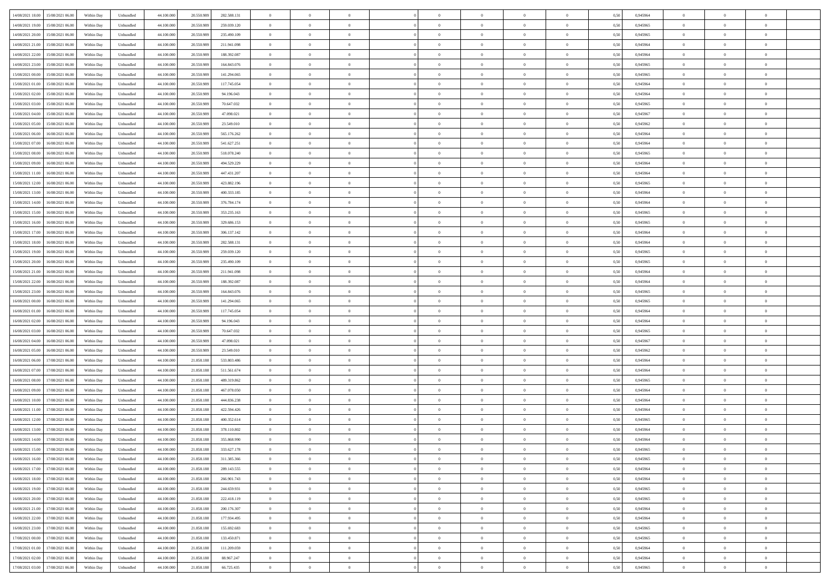|                                            |            |                             |            |            |             | $\overline{0}$ | $\theta$       |                | $\overline{0}$ | $\theta$       |                | $\theta$       |      |          | $\theta$       | $\theta$       | $\overline{0}$ |  |
|--------------------------------------------|------------|-----------------------------|------------|------------|-------------|----------------|----------------|----------------|----------------|----------------|----------------|----------------|------|----------|----------------|----------------|----------------|--|
| 14/08/2021 18:00 15/08/2021 06:00          | Within Day | Unbundled                   | 44.100.000 | 20.550.989 | 282.588.131 |                |                |                |                |                |                |                | 0,50 | 0,945964 |                |                |                |  |
| 14/08/2021 19:00<br>15/08/2021 06:00       | Within Day | Unbundled                   | 44.100.00  | 20.550.98  | 259.039.120 | $\bf{0}$       | $\overline{0}$ | $\bf{0}$       | $\overline{0}$ | $\bf{0}$       | $\overline{0}$ | $\bf{0}$       | 0,50 | 0,945965 | $\,$ 0 $\,$    | $\bf{0}$       | $\overline{0}$ |  |
| 14/08/2021 20:00<br>15/08/2021 06:00       | Within Day | Unbundled                   | 44,100,000 | 20,550,989 | 235.490.109 | $\overline{0}$ | $\bf{0}$       | $\overline{0}$ | $\bf{0}$       | $\bf{0}$       | $\overline{0}$ | $\bf{0}$       | 0.50 | 0.945965 | $\bf{0}$       | $\overline{0}$ | $\overline{0}$ |  |
| 14/08/2021 21:00<br>15/08/2021 06:00       | Within Day | Unbundled                   | 44.100.000 | 20.550.989 | 211.941.098 | $\overline{0}$ | $\overline{0}$ | $\overline{0}$ | $\theta$       | $\theta$       | $\overline{0}$ | $\bf{0}$       | 0,50 | 0,945964 | $\theta$       | $\theta$       | $\overline{0}$ |  |
| 14/08/2021 22:00<br>15/08/2021 06:00       | Within Day | Unbundled                   | 44.100.00  | 20.550.98  | 188.392.087 | $\bf{0}$       | $\theta$       | $\overline{0}$ | $\overline{0}$ | $\theta$       | $\overline{0}$ | $\bf{0}$       | 0,50 | 0,945964 | $\bf{0}$       | $\bf{0}$       | $\overline{0}$ |  |
|                                            |            |                             |            |            |             |                |                |                |                |                |                |                |      |          |                |                |                |  |
| 14/08/2021 23:00<br>15/08/2021 06:00       | Within Day | Unbundled                   | 44,100,000 | 20.550.989 | 164,843,076 | $\overline{0}$ | $\overline{0}$ | $\overline{0}$ | $\bf{0}$       | $\overline{0}$ | $\Omega$       | $\bf{0}$       | 0.50 | 0.945965 | $\bf{0}$       | $\theta$       | $\overline{0}$ |  |
| 15/08/2021 00:00<br>15/08/2021 06:00       | Within Day | Unbundled                   | 44.100.000 | 20.550.989 | 141.294.065 | $\overline{0}$ | $\overline{0}$ | $\overline{0}$ | $\overline{0}$ | $\theta$       | $\overline{0}$ | $\bf{0}$       | 0,50 | 0,945965 | $\theta$       | $\theta$       | $\overline{0}$ |  |
| 15/08/2021 01:00<br>15/08/2021 06:00       | Within Day | Unbundled                   | 44.100.00  | 20.550.98  | 117.745.054 | $\bf{0}$       | $\overline{0}$ | $\overline{0}$ | $\overline{0}$ | $\theta$       | $\overline{0}$ | $\bf{0}$       | 0,50 | 0,945964 | $\,$ 0 $\,$    | $\bf{0}$       | $\overline{0}$ |  |
| 15/08/2021 02:00<br>15/08/2021 06:00       | Within Day | Unbundled                   | 44,100,00  | 20.550.989 | 94.196.043  | $\overline{0}$ | $\bf{0}$       | $\overline{0}$ | $\bf{0}$       | $\overline{0}$ | $\overline{0}$ | $\bf{0}$       | 0.50 | 0.945964 | $\bf{0}$       | $\theta$       | $\overline{0}$ |  |
| 15/08/2021 03:00<br>15/08/2021 06:00       | Within Day | Unbundled                   | 44.100.000 | 20.550.989 | 70.647.032  | $\bf{0}$       | $\bf{0}$       | $\overline{0}$ | $\overline{0}$ | $\theta$       | $\overline{0}$ | $\bf{0}$       | 0,50 | 0,945965 | $\,$ 0 $\,$    | $\bf{0}$       | $\overline{0}$ |  |
| 15/08/2021 04:00<br>15/08/2021 06:00       | Within Day | Unbundled                   | 44.100.00  | 20.550.989 | 47.098.021  | $\bf{0}$       | $\overline{0}$ | $\bf{0}$       | $\bf{0}$       | $\bf{0}$       | $\overline{0}$ | $\bf{0}$       | 0,50 | 0,945967 | $\,$ 0 $\,$    | $\bf{0}$       | $\overline{0}$ |  |
| 15/08/2021 05:00<br>15/08/2021 06:00       | Within Day | Unbundled                   | 44,100,000 | 20.550.989 | 23.549.010  | $\overline{0}$ | $\bf{0}$       | $\overline{0}$ | $\bf{0}$       | $\bf{0}$       | $\overline{0}$ | $\bf{0}$       | 0.50 | 0.945962 | $\bf{0}$       | $\overline{0}$ | $\overline{0}$ |  |
|                                            |            |                             |            |            |             | $\overline{0}$ | $\overline{0}$ | $\overline{0}$ | $\overline{0}$ | $\theta$       | $\overline{0}$ | $\overline{0}$ |      |          | $\,$ 0 $\,$    | $\theta$       | $\overline{0}$ |  |
| 15/08/2021 06:00<br>16/08/2021 06:00       | Within Day | Unbundled                   | 44.100.000 | 20.550.989 | 565.176.262 |                |                |                |                |                |                |                | 0,50 | 0,945964 |                |                |                |  |
| 15/08/2021 07:00<br>16/08/2021 06:00       | Within Day | Unbundled                   | 44.100.00  | 20.550.98  | 541.627.251 | $\bf{0}$       | $\theta$       | $\bf{0}$       | $\overline{0}$ | $\theta$       | $\overline{0}$ | $\bf{0}$       | 0,50 | 0,945964 | $\bf{0}$       | $\bf{0}$       | $\overline{0}$ |  |
| 15/08/2021 08:00<br>16/08/2021 06:00       | Within Day | Unbundled                   | 44,100,00  | 20.550.989 | 518,078,240 | $\overline{0}$ | $\overline{0}$ | $\overline{0}$ | $\bf{0}$       | $\bf{0}$       | $\Omega$       | $\bf{0}$       | 0.50 | 0.945965 | $\theta$       | $\theta$       | $\overline{0}$ |  |
| 15/08/2021 09:00<br>16/08/2021 06:00       | Within Day | Unbundled                   | 44.100.000 | 20.550.989 | 494.529.229 | $\overline{0}$ | $\overline{0}$ | $\overline{0}$ | $\overline{0}$ | $\overline{0}$ | $\overline{0}$ | $\bf{0}$       | 0,50 | 0,945964 | $\theta$       | $\theta$       | $\overline{0}$ |  |
| 15/08/2021 11:00<br>16/08/2021 06:00       | Within Day | Unbundled                   | 44.100.00  | 20.550.98  | 447.431.207 | $\bf{0}$       | $\overline{0}$ | $\overline{0}$ | $\overline{0}$ | $\theta$       | $\overline{0}$ | $\bf{0}$       | 0,50 | 0,945964 | $\,$ 0 $\,$    | $\bf{0}$       | $\overline{0}$ |  |
| 15/08/2021 12:00<br>16/08/2021 06:00       | Within Day | Unbundled                   | 44,100,00  | 20.550.989 | 423.882.196 | $\overline{0}$ | $\bf{0}$       | $\overline{0}$ | $\bf{0}$       | $\overline{0}$ | $\overline{0}$ | $\bf{0}$       | 0.50 | 0.945965 | $\bf{0}$       | $\overline{0}$ | $\overline{0}$ |  |
| 15/08/2021 13:00<br>16/08/2021 06:00       | Within Day | Unbundled                   | 44.100.000 | 20.550.989 | 400.333.185 | $\bf{0}$       | $\overline{0}$ | $\overline{0}$ | $\overline{0}$ | $\overline{0}$ | $\overline{0}$ | $\bf{0}$       | 0,50 | 0,945964 | $\,$ 0 $\,$    | $\bf{0}$       | $\overline{0}$ |  |
|                                            |            |                             |            |            |             |                | $\overline{0}$ | $\bf{0}$       |                | $\overline{0}$ | $\overline{0}$ |                |      |          | $\,$ 0 $\,$    | $\bf{0}$       | $\overline{0}$ |  |
| 15/08/2021 14:00<br>16/08/2021 06:00       | Within Day | Unbundled                   | 44.100.00  | 20.550.989 | 376.784.174 | $\bf{0}$       |                |                | $\bf{0}$       |                |                | $\bf{0}$       | 0,50 | 0,945964 |                |                |                |  |
| 15/08/2021 15:00<br>16/08/2021 06:00       | Within Day | Unbundled                   | 44,100,000 | 20,550,989 | 353.235.163 | $\overline{0}$ | $\bf{0}$       | $\overline{0}$ | $\bf{0}$       | $\bf{0}$       | $\overline{0}$ | $\bf{0}$       | 0.50 | 0.945965 | $\bf{0}$       | $\overline{0}$ | $\overline{0}$ |  |
| 15/08/2021 16:00<br>16/08/2021 06:00       | Within Day | Unbundled                   | 44.100.000 | 20.550.989 | 329.686.153 | $\overline{0}$ | $\overline{0}$ | $\overline{0}$ | $\theta$       | $\theta$       | $\overline{0}$ | $\bf{0}$       | 0,50 | 0,945965 | $\theta$       | $\theta$       | $\overline{0}$ |  |
| 15/08/2021 17:00<br>16/08/2021 06:00       | Within Day | Unbundled                   | 44.100.00  | 20.550.98  | 306.137.142 | $\bf{0}$       | $\overline{0}$ | $\bf{0}$       | $\bf{0}$       | $\bf{0}$       | $\overline{0}$ | $\bf{0}$       | 0,50 | 0,945964 | $\,$ 0 $\,$    | $\bf{0}$       | $\overline{0}$ |  |
| 15/08/2021 18:00<br>16/08/2021 06:00       | Within Day | Unbundled                   | 44,100,00  | 20.550.989 | 282.588.131 | $\overline{0}$ | $\overline{0}$ | $\overline{0}$ | $\overline{0}$ | $\overline{0}$ | $\Omega$       | $\bf{0}$       | 0.50 | 0.945964 | $\bf{0}$       | $\theta$       | $\overline{0}$ |  |
| 15/08/2021 19:00<br>16/08/2021 06:00       | Within Day | Unbundled                   | 44.100.000 | 20.550.989 | 259.039.120 | $\overline{0}$ | $\overline{0}$ | $\overline{0}$ | $\overline{0}$ | $\overline{0}$ | $\overline{0}$ | $\bf{0}$       | 0,50 | 0,945965 | $\theta$       | $\theta$       | $\overline{0}$ |  |
| 15/08/2021 20:00<br>16/08/2021 06:00       | Within Day | Unbundled                   | 44.100.00  | 20.550.98  | 235.490.109 | $\bf{0}$       | $\theta$       | $\bf{0}$       | $\overline{0}$ | $\theta$       | $\overline{0}$ | $\bf{0}$       | 0,50 | 0,945965 | $\,$ 0 $\,$    | $\bf{0}$       | $\overline{0}$ |  |
| 15/08/2021 21:00<br>16/08/2021 06:00       | Within Day | Unbundled                   | 44,100,00  | 20.550.989 | 211.941.098 | $\overline{0}$ | $\bf{0}$       | $\overline{0}$ | $\bf{0}$       | $\overline{0}$ | $\overline{0}$ | $\bf{0}$       | 0.50 | 0.945964 | $\bf{0}$       | $\overline{0}$ | $\overline{0}$ |  |
| 15/08/2021 22:00<br>16/08/2021 06:00       |            |                             | 44.100.000 |            |             | $\overline{0}$ | $\overline{0}$ | $\overline{0}$ | $\overline{0}$ | $\overline{0}$ | $\overline{0}$ |                |      |          | $\theta$       | $\theta$       | $\overline{0}$ |  |
|                                            | Within Day | Unbundled                   |            | 20.550.989 | 188.392.087 |                |                |                |                |                |                | $\bf{0}$       | 0,50 | 0,945964 |                |                |                |  |
| 15/08/2021 23:00<br>16/08/2021 06:00       | Within Day | Unbundled                   | 44.100.00  | 20.550.989 | 164.843.076 | $\bf{0}$       | $\bf{0}$       | $\bf{0}$       | $\bf{0}$       | $\overline{0}$ | $\overline{0}$ | $\bf{0}$       | 0,50 | 0,945965 | $\,$ 0 $\,$    | $\bf{0}$       | $\overline{0}$ |  |
| 16/08/2021 00:00<br>16/08/2021 06:00       | Within Day | Unbundled                   | 44,100,000 | 20.550.989 | 141.294.065 | $\overline{0}$ | $\bf{0}$       | $\overline{0}$ | $\bf{0}$       | $\bf{0}$       | $\overline{0}$ | $\bf{0}$       | 0.50 | 0.945965 | $\bf{0}$       | $\overline{0}$ | $\overline{0}$ |  |
| 16/08/2021 01:00<br>16/08/2021 06:00       | Within Day | Unbundled                   | 44.100.000 | 20,550.989 | 117.745.054 | $\overline{0}$ | $\overline{0}$ | $\overline{0}$ | $\overline{0}$ | $\overline{0}$ | $\overline{0}$ | $\bf{0}$       | 0.5( | 0.945964 | $\theta$       | $\theta$       | $\overline{0}$ |  |
| 16/08/2021 02:00<br>16/08/2021 06:00       | Within Day | Unbundled                   | 44.100.00  | 20.550.98  | 94.196.043  | $\bf{0}$       | $\overline{0}$ | $\bf{0}$       | $\overline{0}$ | $\overline{0}$ | $\overline{0}$ | $\bf{0}$       | 0,50 | 0,945964 | $\,$ 0 $\,$    | $\bf{0}$       | $\overline{0}$ |  |
| 16/08/2021 03:00<br>16/08/2021 06:00       | Within Day | Unbundled                   | 44,100,000 | 20.550.989 | 70.647.032  | $\overline{0}$ | $\overline{0}$ | $\overline{0}$ | $\bf{0}$       | $\bf{0}$       | $\Omega$       | $\bf{0}$       | 0.50 | 0.945965 | $\bf{0}$       | $\overline{0}$ | $\overline{0}$ |  |
| 16/08/2021 04:00<br>16/08/2021 06:00       | Within Dav | Unbundled                   | 44.100.000 | 20.550.989 | 47.098.021  | $\overline{0}$ | $\overline{0}$ | $\overline{0}$ | $\overline{0}$ | $\overline{0}$ | $\overline{0}$ | $\overline{0}$ | 0.50 | 0,945967 | $\theta$       | $\theta$       | $\overline{0}$ |  |
| 16/08/2021 05:00<br>16/08/2021 06:00       | Within Day | Unbundled                   | 44.100.00  | 20.550.98  | 23.549.010  | $\bf{0}$       | $\overline{0}$ | $\bf{0}$       | $\overline{0}$ | $\bf{0}$       | $\overline{0}$ | $\bf{0}$       | 0,50 | 0,945962 | $\,$ 0 $\,$    | $\bf{0}$       | $\overline{0}$ |  |
| 16/08/2021 06:00<br>17/08/2021 06:00       | Within Day | Unbundled                   | 44,100,00  | 21.858.18  | 533.803.486 | $\overline{0}$ | $\bf{0}$       | $\overline{0}$ | $\bf{0}$       | $\overline{0}$ | $\overline{0}$ | $\bf{0}$       | 0.50 | 0.945964 | $\bf{0}$       | $\overline{0}$ | $\overline{0}$ |  |
|                                            |            |                             |            |            |             |                |                |                |                |                |                |                |      |          |                |                |                |  |
| 16/08/2021 07:00<br>17/08/2021 06:00       | Within Dav | Unbundled                   | 44.100.000 | 21.858.18  | 511.561.674 | $\overline{0}$ | $\overline{0}$ | $\overline{0}$ | $\overline{0}$ | $\overline{0}$ | $\overline{0}$ | $\overline{0}$ | 0.50 | 0,945964 | $\theta$       | $\theta$       | $\overline{0}$ |  |
| 16/08/2021 08:00<br>17/08/2021 06:00       | Within Day | Unbundled                   | 44.100.00  | 21.858.18  | 489.319.862 | $\bf{0}$       | $\bf{0}$       | $\bf{0}$       | $\bf{0}$       | $\overline{0}$ | $\overline{0}$ | $\bf{0}$       | 0,50 | 0,945965 | $\,$ 0 $\,$    | $\bf{0}$       | $\overline{0}$ |  |
| 16/08/2021 09:00<br>17/08/2021 06:00       | Within Day | Unbundled                   | 44,100,000 | 21.858.188 | 467.078.050 | $\overline{0}$ | $\bf{0}$       | $\overline{0}$ | $\bf{0}$       | $\bf{0}$       | $\overline{0}$ | $\bf{0}$       | 0.50 | 0.945964 | $\bf{0}$       | $\overline{0}$ | $\overline{0}$ |  |
| 16/08/2021 10:00<br>17/08/2021 06:00       | Within Dav | Unbundled                   | 44.100.000 | 21.858.188 | 444.836.238 | $\overline{0}$ | $\overline{0}$ | $\overline{0}$ | $\overline{0}$ | $\theta$       | $\overline{0}$ | $\bf{0}$       | 0.50 | 0.945964 | $\theta$       | $\theta$       | $\overline{0}$ |  |
| 16/08/2021 11:00<br>17/08/2021 06:00       | Within Day | Unbundled                   | 44.100.00  | 21.858.18  | 422.594.426 | $\bf{0}$       | $\overline{0}$ | $\bf{0}$       | $\bf{0}$       | $\,$ 0 $\,$    | $\overline{0}$ | $\bf{0}$       | 0,50 | 0,945964 | $\,$ 0 $\,$    | $\bf{0}$       | $\overline{0}$ |  |
| 16/08/2021 12:00<br>17/08/2021 06:00       | Within Day | Unbundled                   | 44,100,00  | 21.858.18  | 400.352.614 | $\overline{0}$ | $\overline{0}$ | $\Omega$       | $\overline{0}$ | $\theta$       | $\theta$       | $\bf{0}$       | 0.50 | 0.945965 | $\,$ 0 $\,$    | $\theta$       | $\overline{0}$ |  |
| 16/08/2021 13:00<br>17/08/2021 06:00       | Within Dav | Unbundled                   | 44.100.000 | 21.858.18  | 378.110.802 | $\overline{0}$ | $\overline{0}$ | $\Omega$       | $\overline{0}$ | $\theta$       | $\Omega$       | $\overline{0}$ | 0.5( | 0,945964 | $\theta$       | $\theta$       | $\overline{0}$ |  |
| 16/08/2021 14:00<br>17/08/2021 06:00       | Within Day | Unbundled                   | 44.100.000 | 21.858.18  | 355.868.990 | $\bf{0}$       | $\bf{0}$       | $\bf{0}$       | $\bf{0}$       | $\bf{0}$       | $\overline{0}$ | $\bf{0}$       | 0,50 | 0,945964 | $\,$ 0 $\,$    | $\bf{0}$       | $\overline{0}$ |  |
| $16/08/2021\;15.00\qquad17/08/2021\;06.00$ | Within Day | $\ensuremath{\mathsf{Unb}}$ | 44.100.000 | 21.858.188 | 333.627.178 | $\overline{0}$ | $\Omega$       |                | $\overline{0}$ |                |                |                | 0,50 | 0.945965 | $\theta$       | $\overline{0}$ |                |  |
|                                            |            |                             |            |            |             |                |                |                |                |                |                |                |      |          |                |                |                |  |
| 16/08/2021 16:00 17/08/2021 06:00          | Within Day | Unbundled                   | 44.100.000 | 21.858.188 | 311.385.366 | $\overline{0}$ | $\theta$       | $\Omega$       | $\theta$       | $\overline{0}$ | $\overline{0}$ | $\bf{0}$       | 0,50 | 0,945965 | $\theta$       | $\theta$       | $\overline{0}$ |  |
| 16/08/2021 17:00<br>17/08/2021 06:00       | Within Day | Unbundled                   | 44.100.00  | 21.858.18  | 289.143.555 | $\overline{0}$ | $\bf{0}$       | $\overline{0}$ | $\overline{0}$ | $\bf{0}$       | $\overline{0}$ | $\bf{0}$       | 0,50 | 0,945964 | $\bf{0}$       | $\overline{0}$ | $\bf{0}$       |  |
| 16/08/2021 18:00 17/08/2021 06:00          | Within Day | Unbundled                   | 44,100,000 | 21.858.188 | 266.901.743 | $\overline{0}$ | $\bf{0}$       | $\overline{0}$ | $\overline{0}$ | $\overline{0}$ | $\overline{0}$ | $\bf{0}$       | 0.50 | 0.945964 | $\overline{0}$ | $\bf{0}$       | $\,$ 0 $\,$    |  |
| 16/08/2021 19:00 17/08/2021 06:00          | Within Day | Unbundled                   | 44.100.000 | 21.858.188 | 244.659.931 | $\overline{0}$ | $\overline{0}$ | $\overline{0}$ | $\overline{0}$ | $\overline{0}$ | $\overline{0}$ | $\bf{0}$       | 0,50 | 0,945965 | $\theta$       | $\theta$       | $\overline{0}$ |  |
| 16/08/2021 20:00<br>17/08/2021 06:00       | Within Day | Unbundled                   | 44.100.000 | 21.858.188 | 222.418.119 | $\overline{0}$ | $\bf{0}$       | $\overline{0}$ | $\bf{0}$       | $\overline{0}$ | $\bf{0}$       | $\bf{0}$       | 0,50 | 0,945965 | $\bf{0}$       | $\bf{0}$       | $\overline{0}$ |  |
| 17/08/2021 06:00<br>16/08/2021 21:00       | Within Day | Unbundled                   | 44,100,000 | 21.858.188 | 200.176.307 | $\overline{0}$ | $\bf{0}$       | $\overline{0}$ | $\overline{0}$ | $\overline{0}$ | $\overline{0}$ | $\bf{0}$       | 0.50 | 0.945964 | $\,$ 0 $\,$    | $\theta$       | $\overline{0}$ |  |
| 16/08/2021 22:00<br>17/08/2021 06:00       | Within Dav | Unbundled                   | 44.100.000 | 21.858.188 | 177.934.495 | $\overline{0}$ | $\overline{0}$ | $\overline{0}$ | $\overline{0}$ | $\overline{0}$ | $\overline{0}$ | $\bf{0}$       | 0.50 | 0,945964 | $\overline{0}$ | $\theta$       | $\overline{0}$ |  |
|                                            |            |                             |            |            |             |                |                |                |                |                |                |                |      |          |                |                |                |  |
| 16/08/2021 23:00<br>17/08/2021 06:00       | Within Day | Unbundled                   | 44.100.00  | 21.858.188 | 155.692.683 | $\overline{0}$ | $\overline{0}$ | $\overline{0}$ | $\overline{0}$ | $\bf{0}$       | $\overline{0}$ | $\bf{0}$       | 0,50 | 0,945965 | $\bf{0}$       | $\overline{0}$ | $\overline{0}$ |  |
| 17/08/2021 06:00<br>17/08/2021 00:00       | Within Day | Unbundled                   | 44,100,000 | 21.858.188 | 133,450,871 | $\overline{0}$ | $\overline{0}$ | $\overline{0}$ | $\overline{0}$ | $\bf{0}$       | $\overline{0}$ | $\bf{0}$       | 0.50 | 0.945965 | $\overline{0}$ | $\,$ 0 $\,$    | $\,$ 0         |  |
| 17/08/2021 01:00<br>17/08/2021 06:00       | Within Dav | Unbundled                   | 44.100.000 | 21.858.188 | 111.209.059 | $\overline{0}$ | $\overline{0}$ | $\overline{0}$ | $\overline{0}$ | $\overline{0}$ | $\overline{0}$ | $\bf{0}$       | 0,50 | 0,945964 | $\overline{0}$ | $\theta$       | $\overline{0}$ |  |
| 17/08/2021 02:00<br>17/08/2021 06:00       | Within Day | Unbundled                   | 44.100.00  | 21.858.18  | 88.967.247  | $\overline{0}$ | $\bf{0}$       | $\overline{0}$ | $\bf{0}$       | $\overline{0}$ | $\bf{0}$       | $\bf{0}$       | 0,50 | 0,945964 | $\bf{0}$       | $\bf{0}$       | $\overline{0}$ |  |
| 17/08/2021 03:00 17/08/2021 06:00          | Within Day | Unbundled                   | 44.100.000 | 21.858.188 | 66.725.435  | $\overline{0}$ | $\bf{0}$       | $\overline{0}$ | $\overline{0}$ | $\,$ 0 $\,$    | $\overline{0}$ | $\bf{0}$       | 0,50 | 0,945965 | $\overline{0}$ | $\,$ 0 $\,$    | $\,$ 0 $\,$    |  |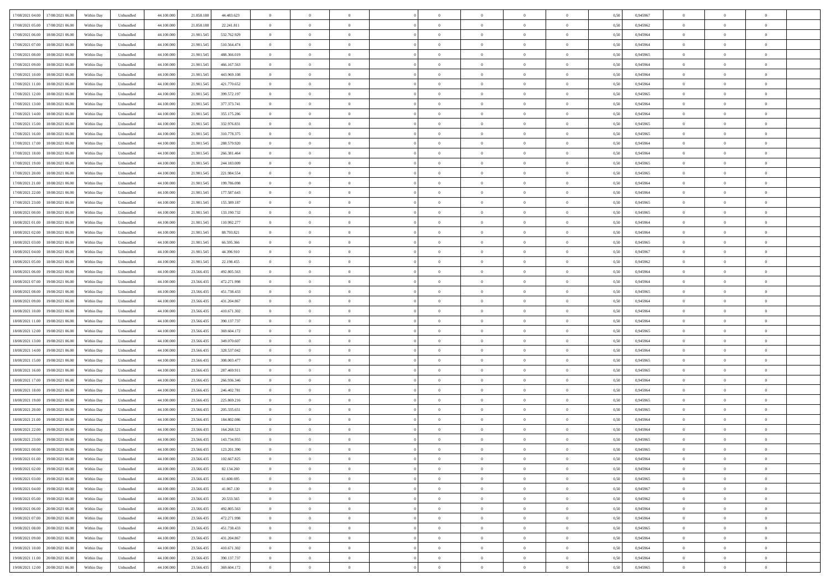| 17/08/2021 04:00 17/08/2021 06:00            | Within Day | Unbundled                   | 44.100.000 | 21.858.188 | 44.483.623    | $\overline{0}$ | $\theta$       |                | $\overline{0}$ | $\theta$       |                | $\theta$       | 0,50 | 0,945967 | $\theta$       | $\theta$       | $\overline{0}$ |  |
|----------------------------------------------|------------|-----------------------------|------------|------------|---------------|----------------|----------------|----------------|----------------|----------------|----------------|----------------|------|----------|----------------|----------------|----------------|--|
| 17/08/2021 05:00<br>17/08/2021 06:00         | Within Day | Unbundled                   | 44.100.00  | 21.858.18  | 22.241.811    | $\bf{0}$       | $\overline{0}$ | $\overline{0}$ | $\overline{0}$ | $\bf{0}$       | $\overline{0}$ | $\bf{0}$       | 0,50 | 0,945962 | $\theta$       | $\bf{0}$       | $\overline{0}$ |  |
| 17/08/2021 06:00<br>18/08/2021 06:00         | Within Day | Unbundled                   | 44,100,000 | 21.901.545 | 532.762.929   | $\overline{0}$ | $\overline{0}$ | $\overline{0}$ | $\bf{0}$       | $\bf{0}$       | $\overline{0}$ | $\bf{0}$       | 0.50 | 0.945964 | $\bf{0}$       | $\overline{0}$ | $\overline{0}$ |  |
| 17/08/2021 07:00<br>18/08/2021 06:00         |            |                             | 44.100.000 |            |               | $\overline{0}$ | $\overline{0}$ | $\overline{0}$ | $\theta$       | $\theta$       | $\overline{0}$ | $\overline{0}$ |      |          | $\theta$       | $\theta$       | $\overline{0}$ |  |
|                                              | Within Day | Unbundled                   |            | 21.901.545 | 510.564.474   |                |                |                |                |                |                |                | 0,50 | 0,945964 |                |                |                |  |
| 17/08/2021 08:00<br>18/08/2021 06:00         | Within Day | Unbundled                   | 44.100.00  | 21.901.545 | 488.366.019   | $\overline{0}$ | $\theta$       | $\overline{0}$ | $\overline{0}$ | $\theta$       | $\overline{0}$ | $\bf{0}$       | 0,50 | 0,945965 | $\bf{0}$       | $\bf{0}$       | $\overline{0}$ |  |
| 17/08/2021 09:00<br>18/08/2021 06:00         | Within Day | Unbundled                   | 44,100,000 | 21.901.54  | 466.167.563   | $\overline{0}$ | $\overline{0}$ | $\overline{0}$ | $\overline{0}$ | $\overline{0}$ | $\Omega$       | $\bf{0}$       | 0.50 | 0.945964 | $\bf{0}$       | $\theta$       | $\overline{0}$ |  |
| 17/08/2021 10:00<br>18/08/2021 06:00         | Within Day | Unbundled                   | 44.100.000 | 21.901.545 | 443.969.108   | $\overline{0}$ | $\overline{0}$ | $\overline{0}$ | $\overline{0}$ | $\theta$       | $\overline{0}$ | $\bf{0}$       | 0,50 | 0,945964 | $\theta$       | $\theta$       | $\overline{0}$ |  |
|                                              |            |                             |            |            |               |                |                |                |                |                |                |                |      |          |                |                |                |  |
| 17/08/2021 11:00<br>18/08/2021 06:00         | Within Day | Unbundled                   | 44.100.00  | 21.901.54  | 421.770.652   | $\bf{0}$       | $\overline{0}$ | $\overline{0}$ | $\overline{0}$ | $\theta$       | $\overline{0}$ | $\bf{0}$       | 0,50 | 0,945964 | $\,$ 0 $\,$    | $\bf{0}$       | $\overline{0}$ |  |
| 17/08/2021 12:00<br>18/08/2021 06:00         | Within Day | Unbundled                   | 44,100,00  | 21.901.54  | 399.572.197   | $\overline{0}$ | $\bf{0}$       | $\overline{0}$ | $\bf{0}$       | $\overline{0}$ | $\overline{0}$ | $\bf{0}$       | 0.50 | 0.945965 | $\bf{0}$       | $\theta$       | $\overline{0}$ |  |
| 17/08/2021 13:00<br>18/08/2021 06:00         | Within Day | Unbundled                   | 44.100.000 | 21.901.545 | 377.373.741   | $\overline{0}$ | $\bf{0}$       | $\overline{0}$ | $\overline{0}$ | $\theta$       | $\overline{0}$ | $\bf{0}$       | 0,50 | 0,945964 | $\theta$       | $\theta$       | $\overline{0}$ |  |
| 17/08/2021 14:00<br>18/08/2021 06:00         | Within Day | Unbundled                   | 44.100.00  | 21.901.545 | 355.175.286   | $\bf{0}$       | $\overline{0}$ | $\bf{0}$       | $\overline{0}$ | $\bf{0}$       | $\overline{0}$ | $\bf{0}$       | 0,50 | 0,945964 | $\,$ 0 $\,$    | $\bf{0}$       | $\overline{0}$ |  |
|                                              |            |                             |            |            |               |                |                |                |                |                |                |                |      |          |                |                |                |  |
| 17/08/2021 15:00<br>18/08/2021 06:00         | Within Day | Unbundled                   | 44,100,000 | 21.901.545 | 332.976.831   | $\overline{0}$ | $\overline{0}$ | $\overline{0}$ | $\bf{0}$       | $\bf{0}$       | $\overline{0}$ | $\bf{0}$       | 0.50 | 0.945965 | $\bf{0}$       | $\overline{0}$ | $\overline{0}$ |  |
| 17/08/2021 16:00<br>18/08/2021 06:00         | Within Day | Unbundled                   | 44.100.000 | 21.901.545 | 310.778.375   | $\overline{0}$ | $\overline{0}$ | $\overline{0}$ | $\overline{0}$ | $\theta$       | $\overline{0}$ | $\overline{0}$ | 0,50 | 0,945965 | $\theta$       | $\theta$       | $\overline{0}$ |  |
| 17/08/2021 17:00<br>18/08/2021 06:00         | Within Day | Unbundled                   | 44.100.00  | 21.901.54  | 288.579.920   | $\bf{0}$       | $\theta$       | $\bf{0}$       | $\overline{0}$ | $\theta$       | $\overline{0}$ | $\bf{0}$       | 0,50 | 0,945964 | $\bf{0}$       | $\bf{0}$       | $\overline{0}$ |  |
|                                              |            |                             |            |            |               |                |                |                |                |                |                |                |      |          |                |                |                |  |
| 17/08/2021 18:00<br>18/08/2021 06:00         | Within Day | Unbundled                   | 44,100,00  | 21.901.54  | 266, 381, 464 | $\overline{0}$ | $\overline{0}$ | $\overline{0}$ | $\bf{0}$       | $\theta$       | $\theta$       | $\bf{0}$       | 0.50 | 0.945964 | $\theta$       | $\overline{0}$ | $\overline{0}$ |  |
| 17/08/2021 19:00<br>18/08/2021 06:00         | Within Day | Unbundled                   | 44.100.000 | 21.901.545 | 244.183.009   | $\overline{0}$ | $\overline{0}$ | $\overline{0}$ | $\overline{0}$ | $\overline{0}$ | $\overline{0}$ | $\bf{0}$       | 0,50 | 0,945965 | $\theta$       | $\theta$       | $\overline{0}$ |  |
| 17/08/2021 20:00<br>18/08/2021 06:00         | Within Day | Unbundled                   | 44.100.00  | 21.901.54  | 221.984.554   | $\bf{0}$       | $\overline{0}$ | $\overline{0}$ | $\overline{0}$ | $\theta$       | $\overline{0}$ | $\bf{0}$       | 0,50 | 0,945965 | $\,$ 0 $\,$    | $\bf{0}$       | $\overline{0}$ |  |
| 17/08/2021 21:00<br>18/08/2021 06:00         | Within Day | Unbundled                   | 44,100,00  | 21.901.54  | 199.786.098   | $\overline{0}$ | $\overline{0}$ | $\overline{0}$ | $\bf{0}$       | $\overline{0}$ | $\overline{0}$ | $\bf{0}$       | 0.50 | 0.945964 | $\bf{0}$       | $\overline{0}$ | $\overline{0}$ |  |
|                                              |            |                             |            |            |               | $\overline{0}$ | $\overline{0}$ | $\overline{0}$ | $\overline{0}$ | $\theta$       | $\overline{0}$ |                |      |          |                | $\theta$       | $\overline{0}$ |  |
| 17/08/2021 22:00<br>18/08/2021 06:00         | Within Day | Unbundled                   | 44.100.000 | 21.901.545 | 177.587.643   |                |                |                |                |                |                | $\bf{0}$       | 0,50 | 0,945964 | $\,$ 0 $\,$    |                |                |  |
| 17/08/2021 23:00<br>18/08/2021 06:00         | Within Day | Unbundled                   | 44.100.00  | 21.901.54  | 155.389.187   | $\bf{0}$       | $\overline{0}$ | $\bf{0}$       | $\bf{0}$       | $\overline{0}$ | $\overline{0}$ | $\bf{0}$       | 0,50 | 0,945965 | $\,$ 0 $\,$    | $\bf{0}$       | $\overline{0}$ |  |
| 18/08/2021 00:00<br>18/08/2021 06:00         | Within Day | Unbundled                   | 44,100,000 | 21.901.545 | 133.190.732   | $\overline{0}$ | $\bf{0}$       | $\overline{0}$ | $\bf{0}$       | $\overline{0}$ | $\overline{0}$ | $\bf{0}$       | 0.50 | 0.945965 | $\bf{0}$       | $\overline{0}$ | $\overline{0}$ |  |
| 18/08/2021 01:00<br>18/08/2021 06:00         | Within Day | Unbundled                   | 44.100.000 | 21.901.545 | 110.992.277   | $\overline{0}$ | $\overline{0}$ | $\overline{0}$ | $\overline{0}$ | $\theta$       | $\overline{0}$ | $\bf{0}$       | 0,50 | 0,945964 | $\theta$       | $\theta$       | $\overline{0}$ |  |
|                                              |            |                             |            |            |               |                | $\overline{0}$ |                | $\overline{0}$ | $\theta$       | $\overline{0}$ |                |      |          | $\,$ 0 $\,$    | $\bf{0}$       | $\overline{0}$ |  |
| 18/08/2021 02:00<br>18/08/2021 06:00         | Within Day | Unbundled                   | 44.100.00  | 21.901.545 | 88.793.821    | $\bf{0}$       |                | $\bf{0}$       |                |                |                | $\bf{0}$       | 0,50 | 0,945964 |                |                |                |  |
| 18/08/2021 03:00<br>18/08/2021 06:00         | Within Day | Unbundled                   | 44,100,00  | 21.901.54  | 66,595,366    | $\overline{0}$ | $\overline{0}$ | $\overline{0}$ | $\overline{0}$ | $\overline{0}$ | $\Omega$       | $\bf{0}$       | 0.50 | 0.945965 | $\bf{0}$       | $\theta$       | $\overline{0}$ |  |
| 18/08/2021 04:00<br>18/08/2021 06:00         | Within Day | Unbundled                   | 44.100.000 | 21.901.545 | 44.396.910    | $\overline{0}$ | $\overline{0}$ | $\overline{0}$ | $\overline{0}$ | $\theta$       | $\overline{0}$ | $\bf{0}$       | 0,50 | 0,945967 | $\theta$       | $\theta$       | $\overline{0}$ |  |
| 18/08/2021 05:00<br>18/08/2021 06:00         | Within Day | Unbundled                   | 44.100.00  | 21.901.54  | 22.198.455    | $\bf{0}$       | $\theta$       | $\overline{0}$ | $\overline{0}$ | $\theta$       | $\overline{0}$ | $\bf{0}$       | 0,50 | 0,945962 | $\,$ 0 $\,$    | $\bf{0}$       | $\overline{0}$ |  |
| 18/08/2021 06:00<br>19/08/2021 06:00         | Within Day | Unbundled                   | 44,100,00  | 23.566.43  | 492.805.563   | $\overline{0}$ | $\bf{0}$       | $\overline{0}$ | $\bf{0}$       | $\overline{0}$ | $\overline{0}$ | $\bf{0}$       | 0.50 | 0.945964 | $\bf{0}$       | $\theta$       | $\overline{0}$ |  |
|                                              |            |                             |            |            |               |                |                |                |                |                |                |                |      |          |                |                |                |  |
| 18/08/2021 07:00<br>19/08/2021 06:00         | Within Day | Unbundled                   | 44.100.000 | 23.566.435 | 472.271.998   | $\overline{0}$ | $\overline{0}$ | $\overline{0}$ | $\overline{0}$ | $\theta$       | $\overline{0}$ | $\bf{0}$       | 0,50 | 0,945964 | $\theta$       | $\theta$       | $\overline{0}$ |  |
| 18/08/2021 08:00<br>19/08/2021 06:00         | Within Day | Unbundled                   | 44.100.00  | 23.566.435 | 451.738.433   | $\bf{0}$       | $\bf{0}$       | $\bf{0}$       | $\bf{0}$       | $\overline{0}$ | $\overline{0}$ | $\bf{0}$       | 0,50 | 0,945965 | $\,$ 0 $\,$    | $\bf{0}$       | $\overline{0}$ |  |
| 18/08/2021 09:00<br>19/08/2021 06:00         | Within Day | Unbundled                   | 44,100,000 | 23.566.435 | 431.204.867   | $\overline{0}$ | $\bf{0}$       | $\overline{0}$ | $\bf{0}$       | $\bf{0}$       | $\overline{0}$ | $\bf{0}$       | 0.50 | 0.945964 | $\bf{0}$       | $\overline{0}$ | $\overline{0}$ |  |
| 18/08/2021 10:00<br>19/08/2021 06:00         | Within Day | Unbundled                   | 44.100.000 | 23.566.43  | 410.671.302   | $\overline{0}$ | $\overline{0}$ | $\overline{0}$ | $\overline{0}$ | $\theta$       | $\overline{0}$ | $\bf{0}$       | 0.5( | 0.945964 | $\theta$       | $\theta$       | $\overline{0}$ |  |
|                                              |            |                             |            |            |               |                |                |                |                |                |                |                |      |          |                |                |                |  |
| 18/08/2021 11:00<br>19/08/2021 06:00         | Within Day | Unbundled                   | 44.100.00  | 23.566.43  | 390.137.737   | $\bf{0}$       | $\overline{0}$ | $\bf{0}$       | $\overline{0}$ | $\theta$       | $\overline{0}$ | $\bf{0}$       | 0,50 | 0,945964 | $\,$ 0 $\,$    | $\bf{0}$       | $\overline{0}$ |  |
| 18/08/2021 12:00<br>19/08/2021 06:00         | Within Day | Unbundled                   | 44,100,00  | 23.566.43  | 369.604.172   | $\overline{0}$ | $\overline{0}$ | $\overline{0}$ | $\bf{0}$       | $\bf{0}$       | $\Omega$       | $\bf{0}$       | 0.50 | 0.945965 | $\theta$       | $\overline{0}$ | $\overline{0}$ |  |
| 18/08/2021 13:00<br>19/08/2021 06:00         | Within Dav | Unbundled                   | 44.100.000 | 23.566.435 | 349.070.607   | $\overline{0}$ | $\overline{0}$ | $\Omega$       | $\overline{0}$ | $\theta$       | $\overline{0}$ | $\overline{0}$ | 0.50 | 0,945964 | $\theta$       | $\theta$       | $\overline{0}$ |  |
| 18/08/2021 14:00<br>19/08/2021 06:00         | Within Day | Unbundled                   | 44.100.00  | 23.566.43  | 328.537.042   | $\bf{0}$       | $\overline{0}$ | $\bf{0}$       | $\overline{0}$ | $\bf{0}$       | $\overline{0}$ | $\bf{0}$       | 0,50 | 0,945964 | $\,$ 0 $\,$    | $\bf{0}$       | $\overline{0}$ |  |
| 18/08/2021 15:00<br>19/08/2021 06:00         | Within Day | Unbundled                   | 44,100,00  | 23.566.43  | 308,003.477   | $\overline{0}$ | $\bf{0}$       | $\overline{0}$ | $\bf{0}$       | $\overline{0}$ | $\overline{0}$ | $\bf{0}$       | 0.50 | 0.945965 | $\bf{0}$       | $\theta$       | $\overline{0}$ |  |
|                                              |            |                             |            |            |               |                |                |                |                |                |                |                |      |          |                |                |                |  |
| 18/08/2021 16:00<br>19/08/2021 06:00         | Within Dav | Unbundled                   | 44.100.000 | 23.566.43  | 287.469.911   | $\overline{0}$ | $\overline{0}$ | $\overline{0}$ | $\overline{0}$ | $\overline{0}$ | $\overline{0}$ | $\overline{0}$ | 0.50 | 0,945965 | $\theta$       | $\theta$       | $\overline{0}$ |  |
| 18/08/2021 17:00<br>19/08/2021 06:00         | Within Day | Unbundled                   | 44.100.00  | 23.566.43  | 266.936.346   | $\bf{0}$       | $\bf{0}$       | $\bf{0}$       | $\bf{0}$       | $\overline{0}$ | $\overline{0}$ | $\bf{0}$       | 0,50 | 0,945964 | $\,$ 0 $\,$    | $\bf{0}$       | $\overline{0}$ |  |
| 18/08/2021 18:00<br>19/08/2021 06:00         | Within Day | Unbundled                   | 44,100,000 | 23.566.435 | 246.402.781   | $\overline{0}$ | $\bf{0}$       | $\overline{0}$ | $\bf{0}$       | $\bf{0}$       | $\overline{0}$ | $\bf{0}$       | 0.50 | 0.945964 | $\bf{0}$       | $\overline{0}$ | $\overline{0}$ |  |
| 18/08/2021 19:00<br>19/08/2021 06:00         | Within Dav | Unbundled                   | 44.100.000 | 23.566.435 | 225.869.216   | $\overline{0}$ | $\overline{0}$ | $\Omega$       | $\overline{0}$ | $\theta$       | $\overline{0}$ | $\bf{0}$       | 0.50 | 0.945965 | $\theta$       | $\theta$       | $\overline{0}$ |  |
|                                              |            |                             |            |            |               |                |                |                |                |                |                |                |      |          |                |                |                |  |
| 18/08/2021 20:00<br>19/08/2021 06:00         | Within Day | Unbundled                   | 44.100.00  | 23.566.435 | 205.335.651   | $\bf{0}$       | $\overline{0}$ | $\bf{0}$       | $\overline{0}$ | $\theta$       | $\overline{0}$ | $\bf{0}$       | 0,50 | 0,945965 | $\,$ 0 $\,$    | $\bf{0}$       | $\overline{0}$ |  |
| 18/08/2021 21:00<br>19/08/2021 06:00         | Within Day | Unbundled                   | 44,100,00  | 23.566.43: | 184.802.086   | $\overline{0}$ | $\overline{0}$ | $\Omega$       | $\overline{0}$ | $\theta$       | $\theta$       | $\bf{0}$       | 0.50 | 0.945964 | $\bf{0}$       | $\overline{0}$ | $\overline{0}$ |  |
| 18/08/2021 22:00<br>19/08/2021 06:00         | Within Dav | Unbundled                   | 44.100.000 | 23.566.43  | 164.268.521   | $\overline{0}$ | $\overline{0}$ | $\Omega$       | $\overline{0}$ | $\theta$       | $\Omega$       | $\overline{0}$ | 0.5( | 0,945964 | $\theta$       | $\theta$       | $\overline{0}$ |  |
| 18/08/2021 23:00<br>19/08/2021 06:00         | Within Day | Unbundled                   | 44.100.000 | 23.566.435 | 143.734.955   | $\bf{0}$       | $\bf{0}$       | $\overline{0}$ | $\bf{0}$       | $\bf{0}$       | $\overline{0}$ | $\bf{0}$       | 0,50 | 0,945965 | $\,$ 0 $\,$    | $\bf{0}$       | $\overline{0}$ |  |
| $19/08/2021\ 00.00 \qquad 19/08/2021\ 06.00$ | Within Day |                             | 44.100.000 |            | 123.201.390   |                | $\Omega$       |                | $\Omega$       |                |                |                | 0,50 | 0.945965 |                |                |                |  |
|                                              |            | $\ensuremath{\mathsf{Unb}}$ |            | 23.566.435 |               | $\overline{0}$ |                |                |                |                |                |                |      |          | $\theta$       | $\overline{0}$ |                |  |
| 19/08/2021 01:00 19/08/2021 06:00            | Within Day | Unbundled                   | 44.100.000 | 23.566.435 | 102.667.825   | $\overline{0}$ | $\overline{0}$ | $\Omega$       | $\theta$       | $\overline{0}$ | $\overline{0}$ | $\bf{0}$       | 0,50 | 0,945964 | $\theta$       | $\theta$       | $\overline{0}$ |  |
| 19/08/2021 02:00<br>19/08/2021 06:00         | Within Day | Unbundled                   | 44.100.00  | 23.566.435 | 82.134.260    | $\overline{0}$ | $\bf{0}$       | $\overline{0}$ | $\overline{0}$ | $\bf{0}$       | $\overline{0}$ | $\bf{0}$       | 0,50 | 0,945964 | $\bf{0}$       | $\overline{0}$ | $\bf{0}$       |  |
| 19/08/2021 03:00 19/08/2021 06:00            | Within Day | Unbundled                   | 44,100,000 | 23.566.435 | 61.600.695    | $\overline{0}$ | $\bf{0}$       | $\overline{0}$ | $\overline{0}$ | $\mathbf{0}$   | $\overline{0}$ | $\,$ 0 $\,$    | 0.50 | 0.945965 | $\overline{0}$ | $\bf{0}$       | $\,$ 0 $\,$    |  |
|                                              |            |                             |            |            |               |                | $\overline{0}$ |                |                | $\overline{0}$ |                |                |      |          | $\theta$       | $\theta$       | $\overline{0}$ |  |
| 19/08/2021 04:00 19/08/2021 06:00            | Within Dav | Unbundled                   | 44.100.000 | 23.566.435 | 41.067.130    | $\overline{0}$ |                | $\overline{0}$ | $\overline{0}$ |                | $\overline{0}$ | $\bf{0}$       | 0,50 | 0,945967 |                |                |                |  |
| 19/08/2021 05:00<br>19/08/2021 06:00         | Within Day | Unbundled                   | 44.100.000 | 23.566.435 | 20.533.565    | $\overline{0}$ | $\bf{0}$       | $\overline{0}$ | $\overline{0}$ | $\overline{0}$ | $\overline{0}$ | $\bf{0}$       | 0,50 | 0,945962 | $\bf{0}$       | $\overline{0}$ | $\overline{0}$ |  |
| 19/08/2021 06:00<br>20/08/2021 06:00         | Within Day | Unbundled                   | 44,100,000 | 23.566.435 | 492.805.563   | $\overline{0}$ | $\bf{0}$       | $\overline{0}$ | $\overline{0}$ | $\overline{0}$ | $\overline{0}$ | $\bf{0}$       | 0.50 | 0.945964 | $\,$ 0 $\,$    | $\theta$       | $\bf{0}$       |  |
| 19/08/2021 07:00<br>20/08/2021 06:00         | Within Dav | Unbundled                   | 44.100.000 | 23.566.435 | 472.271.998   | $\overline{0}$ | $\overline{0}$ | $\overline{0}$ | $\overline{0}$ | $\overline{0}$ | $\overline{0}$ | $\bf{0}$       | 0.50 | 0,945964 | $\overline{0}$ | $\theta$       | $\overline{0}$ |  |
|                                              |            |                             |            |            |               |                | $\overline{0}$ |                |                |                |                |                |      |          | $\bf{0}$       |                | $\overline{0}$ |  |
| 19/08/2021 08:00<br>20/08/2021 06:00         | Within Day | Unbundled                   | 44.100.00  | 23.566.435 | 451.738.433   | $\overline{0}$ |                | $\overline{0}$ | $\overline{0}$ | $\bf{0}$       | $\overline{0}$ | $\bf{0}$       | 0,50 | 0,945965 |                | $\overline{0}$ |                |  |
| 19/08/2021 09:00 20/08/2021 06:00            | Within Day | Unbundled                   | 44,100,000 | 23,566,435 | 431.204.867   | $\overline{0}$ | $\overline{0}$ | $\overline{0}$ | $\overline{0}$ | $\overline{0}$ | $\overline{0}$ | $\bf{0}$       | 0.50 | 0.945964 | $\overline{0}$ | $\bf{0}$       | $\,$ 0         |  |
| 19/08/2021 10:00 20/08/2021 06:00            | Within Dav | Unbundled                   | 44.100.000 | 23.566.435 | 410.671.302   | $\overline{0}$ | $\overline{0}$ | $\overline{0}$ | $\overline{0}$ | $\overline{0}$ | $\overline{0}$ | $\bf{0}$       | 0,50 | 0,945964 | $\overline{0}$ | $\theta$       | $\overline{0}$ |  |
| 19/08/2021 11:00<br>20/08/2021 06:00         | Within Day | Unbundled                   | 44.100.00  | 23.566.435 | 390.137.737   | $\overline{0}$ | $\bf{0}$       | $\overline{0}$ | $\bf{0}$       | $\overline{0}$ | $\overline{0}$ | $\bf{0}$       | 0,50 | 0,945964 | $\bf{0}$       | $\bf{0}$       | $\overline{0}$ |  |
|                                              |            |                             |            |            |               |                |                |                |                |                |                |                |      |          |                |                |                |  |
| 19/08/2021 12:00 20/08/2021 06:00            | Within Day | Unbundled                   | 44.100.000 | 23.566.435 | 369.604.172   | $\overline{0}$ | $\bf{0}$       | $\overline{0}$ | $\overline{0}$ | $\,$ 0 $\,$    | $\overline{0}$ | $\bf{0}$       | 0,50 | 0,945965 | $\overline{0}$ | $\,$ 0 $\,$    | $\,$ 0 $\,$    |  |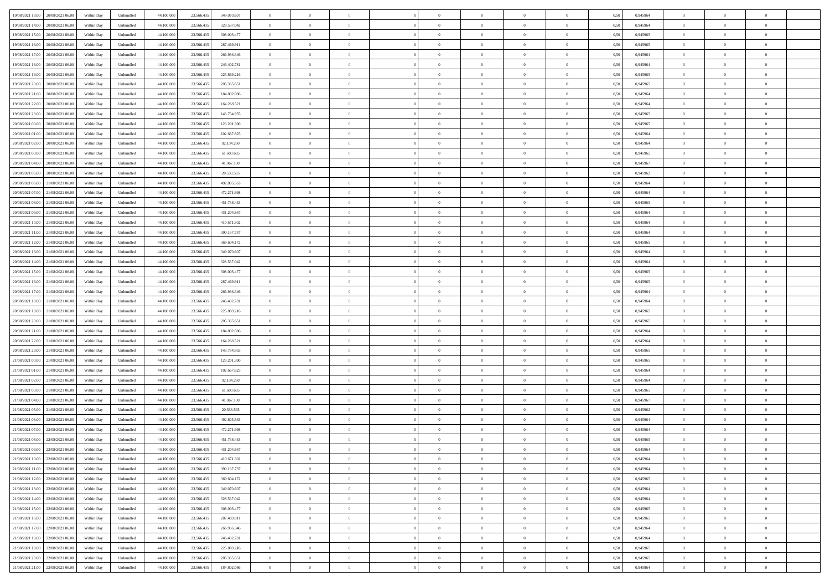|                                         |            |                   |            |            |             | $\overline{0}$ | $\theta$       |                | $\overline{0}$ | $\theta$       |                | $\theta$       |      |          | $\theta$       | $\theta$       | $\overline{0}$ |  |
|-----------------------------------------|------------|-------------------|------------|------------|-------------|----------------|----------------|----------------|----------------|----------------|----------------|----------------|------|----------|----------------|----------------|----------------|--|
| 19/08/2021 13:00 20/08/2021 06:00       | Within Day | Unbundled         | 44.100.000 | 23.566.435 | 349.070.607 |                |                |                |                |                |                |                | 0,50 | 0,945964 |                |                |                |  |
| 19/08/2021 14:00<br>20/08/2021 06:00    | Within Day | Unbundled         | 44.100.00  | 23.566.43  | 328.537.042 | $\bf{0}$       | $\bf{0}$       | $\bf{0}$       | $\overline{0}$ | $\overline{0}$ | $\overline{0}$ | $\bf{0}$       | 0,50 | 0,945964 | $\,$ 0 $\,$    | $\bf{0}$       | $\overline{0}$ |  |
| 19/08/2021 15:00<br>20/08/2021 06:00    | Within Day | Unbundled         | 44,100,000 | 23.566.435 | 308,003.477 | $\overline{0}$ | $\bf{0}$       | $\overline{0}$ | $\bf{0}$       | $\bf{0}$       | $\overline{0}$ | $\bf{0}$       | 0.50 | 0.945965 | $\bf{0}$       | $\overline{0}$ | $\overline{0}$ |  |
| 19/08/2021 16:00<br>20/08/2021 06:00    | Within Day | Unbundled         | 44.100.000 | 23.566.435 | 287.469.911 | $\overline{0}$ | $\overline{0}$ | $\overline{0}$ | $\theta$       | $\theta$       | $\overline{0}$ | $\bf{0}$       | 0,50 | 0,945965 | $\theta$       | $\theta$       | $\overline{0}$ |  |
| 19/08/2021 17:00<br>20/08/2021 06:00    | Within Day | Unbundled         | 44.100.00  | 23.566.43  | 266.936.346 | $\bf{0}$       | $\overline{0}$ | $\bf{0}$       | $\overline{0}$ | $\theta$       | $\overline{0}$ | $\bf{0}$       | 0,50 | 0,945964 | $\,$ 0 $\,$    | $\bf{0}$       | $\overline{0}$ |  |
|                                         |            |                   |            |            |             |                |                |                |                |                |                |                |      |          |                |                |                |  |
| 19/08/2021 18:00<br>20/08/2021 06:00    | Within Day | Unbundled         | 44,100,000 | 23.566.43  | 246.402.781 | $\overline{0}$ | $\overline{0}$ | $\overline{0}$ | $\bf{0}$       | $\overline{0}$ | $\theta$       | $\bf{0}$       | 0.50 | 0.945964 | $\bf{0}$       | $\theta$       | $\overline{0}$ |  |
| 19/08/2021 19:00<br>20/08/2021 06:00    | Within Day | Unbundled         | 44.100.000 | 23.566.435 | 225.869.216 | $\overline{0}$ | $\overline{0}$ | $\overline{0}$ | $\overline{0}$ | $\overline{0}$ | $\overline{0}$ | $\bf{0}$       | 0,50 | 0,945965 | $\theta$       | $\theta$       | $\overline{0}$ |  |
| 19/08/2021 20:00<br>20/08/2021 06:00    | Within Day | Unbundled         | 44.100.00  | 23.566.43  | 205.335.651 | $\bf{0}$       | $\overline{0}$ | $\bf{0}$       | $\overline{0}$ | $\theta$       | $\overline{0}$ | $\bf{0}$       | 0,50 | 0,945965 | $\,$ 0 $\,$    | $\bf{0}$       | $\overline{0}$ |  |
| 19/08/2021 21:00<br>20/08/2021 06:00    | Within Day | Unbundled         | 44,100,00  | 23.566.43  | 184.802.086 | $\overline{0}$ | $\bf{0}$       | $\overline{0}$ | $\bf{0}$       | $\overline{0}$ | $\overline{0}$ | $\bf{0}$       | 0.50 | 0.945964 | $\bf{0}$       | $\overline{0}$ | $\overline{0}$ |  |
| 19/08/2021 22:00<br>20/08/2021 06:00    | Within Day | Unbundled         | 44.100.000 | 23.566.435 | 164.268.521 | $\bf{0}$       | $\bf{0}$       | $\overline{0}$ | $\overline{0}$ | $\overline{0}$ | $\overline{0}$ | $\bf{0}$       | 0,50 | 0,945964 | $\theta$       | $\theta$       | $\overline{0}$ |  |
| 19/08/2021 23:00<br>20/08/2021 06:00    | Within Day | Unbundled         | 44.100.00  | 23.566.435 | 143.734.955 | $\bf{0}$       | $\overline{0}$ | $\bf{0}$       | $\bf{0}$       | $\bf{0}$       | $\overline{0}$ | $\bf{0}$       | 0,50 | 0,945965 | $\,$ 0 $\,$    | $\bf{0}$       | $\overline{0}$ |  |
| 20/08/2021 00:00<br>20/08/2021 06:00    | Within Day | Unbundled         | 44,100,000 | 23.566.435 | 123.201.390 | $\overline{0}$ | $\bf{0}$       | $\overline{0}$ | $\bf{0}$       | $\bf{0}$       | $\overline{0}$ | $\bf{0}$       | 0.50 | 0.945965 | $\bf{0}$       | $\overline{0}$ | $\bf{0}$       |  |
|                                         |            |                   |            |            |             |                |                |                |                |                |                |                |      |          |                |                |                |  |
| 20/08/2021 01:00<br>20/08/2021 06:00    | Within Day | Unbundled         | 44.100.000 | 23.566.435 | 102.667.825 | $\overline{0}$ | $\overline{0}$ | $\overline{0}$ | $\overline{0}$ | $\theta$       | $\overline{0}$ | $\overline{0}$ | 0,50 | 0,945964 | $\theta$       | $\theta$       | $\overline{0}$ |  |
| 20/08/2021 02:00<br>20/08/2021 06:00    | Within Day | Unbundled         | 44.100.00  | 23.566.43  | 82.134.260  | $\bf{0}$       | $\overline{0}$ | $\bf{0}$       | $\overline{0}$ | $\theta$       | $\overline{0}$ | $\bf{0}$       | 0,50 | 0,945964 | $\,$ 0 $\,$    | $\bf{0}$       | $\overline{0}$ |  |
| 20/08/2021 03:00<br>20/08/2021 06:00    | Within Day | Unbundled         | 44,100,00  | 23.566.43  | 61.600.695  | $\overline{0}$ | $\overline{0}$ | $\overline{0}$ | $\bf{0}$       | $\overline{0}$ | $\Omega$       | $\bf{0}$       | 0.50 | 0.945965 | $\theta$       | $\theta$       | $\overline{0}$ |  |
| 20/08/2021 04:00<br>20/08/2021 06:00    | Within Day | Unbundled         | 44.100.000 | 23.566.435 | 41.067.130  | $\overline{0}$ | $\overline{0}$ | $\overline{0}$ | $\overline{0}$ | $\overline{0}$ | $\overline{0}$ | $\bf{0}$       | 0,50 | 0,945967 | $\theta$       | $\theta$       | $\overline{0}$ |  |
| 20/08/2021 05:00<br>20/08/2021 06:00    | Within Day | Unbundled         | 44.100.00  | 23.566.43  | 20.533.565  | $\bf{0}$       | $\overline{0}$ | $\bf{0}$       | $\overline{0}$ | $\bf{0}$       | $\overline{0}$ | $\bf{0}$       | 0,50 | 0,945962 | $\,$ 0 $\,$    | $\bf{0}$       | $\overline{0}$ |  |
| 20/08/2021 06:00<br>21/08/2021 06:00    | Within Day | Unbundled         | 44,100,00  | 23.566.43  | 492.805.563 | $\overline{0}$ | $\bf{0}$       | $\overline{0}$ | $\bf{0}$       | $\overline{0}$ | $\overline{0}$ | $\bf{0}$       | 0.50 | 0.945964 | $\bf{0}$       | $\overline{0}$ | $\overline{0}$ |  |
| 20/08/2021 07:00<br>21/08/2021 06:00    | Within Day | Unbundled         | 44.100.000 | 23.566.435 | 472.271.998 | $\overline{0}$ | $\overline{0}$ | $\overline{0}$ | $\overline{0}$ | $\overline{0}$ | $\overline{0}$ | $\bf{0}$       | 0,50 | 0,945964 | $\,$ 0 $\,$    | $\theta$       | $\overline{0}$ |  |
|                                         |            |                   |            |            |             |                |                |                |                |                |                |                |      |          |                |                |                |  |
| 20/08/2021 08:00<br>21/08/2021 06:00    | Within Day | Unbundled         | 44.100.00  | 23.566.43  | 451.738.433 | $\bf{0}$       | $\bf{0}$       | $\bf{0}$       | $\bf{0}$       | $\overline{0}$ | $\overline{0}$ | $\bf{0}$       | 0,50 | 0,945965 | $\,$ 0 $\,$    | $\bf{0}$       | $\overline{0}$ |  |
| 20/08/2021 09:00<br>21/08/2021 06:00    | Within Day | Unbundled         | 44,100,000 | 23.566.435 | 431.204.867 | $\overline{0}$ | $\bf{0}$       | $\overline{0}$ | $\bf{0}$       | $\bf{0}$       | $\overline{0}$ | $\bf{0}$       | 0.50 | 0.945964 | $\bf{0}$       | $\overline{0}$ | $\bf{0}$       |  |
| 20/08/2021 10:00<br>21/08/2021 06:00    | Within Day | Unbundled         | 44.100.000 | 23.566.435 | 410.671.302 | $\overline{0}$ | $\overline{0}$ | $\overline{0}$ | $\theta$       | $\theta$       | $\overline{0}$ | $\bf{0}$       | 0,50 | 0,945964 | $\theta$       | $\theta$       | $\overline{0}$ |  |
| 20/08/2021 11:00<br>21/08/2021 06:00    | Within Day | Unbundled         | 44.100.00  | 23.566.435 | 390.137.737 | $\bf{0}$       | $\overline{0}$ | $\bf{0}$       | $\bf{0}$       | $\bf{0}$       | $\overline{0}$ | $\bf{0}$       | 0,50 | 0,945964 | $\,$ 0 $\,$    | $\bf{0}$       | $\overline{0}$ |  |
| 20/08/2021 12:00<br>21/08/2021 06:00    | Within Day | Unbundled         | 44,100,00  | 23.566.43  | 369.604.172 | $\overline{0}$ | $\overline{0}$ | $\overline{0}$ | $\overline{0}$ | $\overline{0}$ | $\Omega$       | $\bf{0}$       | 0.50 | 0.945965 | $\,$ 0 $\,$    | $\theta$       | $\overline{0}$ |  |
| 20/08/2021 13:00<br>21/08/2021 06:00    | Within Day | Unbundled         | 44.100.000 | 23.566.435 | 349.070.607 | $\overline{0}$ | $\overline{0}$ | $\overline{0}$ | $\overline{0}$ | $\overline{0}$ | $\overline{0}$ | $\bf{0}$       | 0,50 | 0,945964 | $\theta$       | $\theta$       | $\overline{0}$ |  |
| 20/08/2021 14:00<br>21/08/2021 06:00    | Within Day | Unbundled         | 44.100.00  | 23.566.43  | 328.537.042 | $\bf{0}$       | $\overline{0}$ | $\bf{0}$       | $\overline{0}$ | $\theta$       | $\overline{0}$ | $\bf{0}$       | 0,50 | 0,945964 | $\,$ 0 $\,$    | $\bf{0}$       | $\overline{0}$ |  |
|                                         |            |                   |            |            |             |                |                |                |                |                |                |                |      |          |                |                |                |  |
| 20/08/2021 15:00<br>21/08/2021 06:00    | Within Day | Unbundled         | 44,100,000 | 23.566.43  | 308,003.477 | $\overline{0}$ | $\bf{0}$       | $\overline{0}$ | $\bf{0}$       | $\overline{0}$ | $\overline{0}$ | $\bf{0}$       | 0.50 | 0.945965 | $\bf{0}$       | $\overline{0}$ | $\overline{0}$ |  |
| 20/08/2021 16:00<br>21/08/2021 06:00    | Within Day | Unbundled         | 44.100.000 | 23.566.435 | 287.469.911 | $\overline{0}$ | $\overline{0}$ | $\overline{0}$ | $\overline{0}$ | $\overline{0}$ | $\overline{0}$ | $\bf{0}$       | 0,50 | 0,945965 | $\theta$       | $\theta$       | $\overline{0}$ |  |
| 20/08/2021 17:00<br>21/08/2021 06:00    | Within Day | Unbundled         | 44.100.00  | 23.566.435 | 266.936.346 | $\bf{0}$       | $\bf{0}$       | $\bf{0}$       | $\bf{0}$       | $\overline{0}$ | $\overline{0}$ | $\bf{0}$       | 0,50 | 0,945964 | $\,$ 0 $\,$    | $\bf{0}$       | $\overline{0}$ |  |
| 20/08/2021 18:00<br>21/08/2021 06:00    | Within Day | Unbundled         | 44,100,000 | 23.566.43  | 246.402.781 | $\overline{0}$ | $\bf{0}$       | $\overline{0}$ | $\bf{0}$       | $\bf{0}$       | $\overline{0}$ | $\bf{0}$       | 0.50 | 0.945964 | $\bf{0}$       | $\overline{0}$ | $\bf{0}$       |  |
| 20/08/2021 19:00<br>21/08/2021 06:00    | Within Day | Unbundled         | 44.100.000 | 23.566.43  | 225.869.216 | $\overline{0}$ | $\overline{0}$ | $\overline{0}$ | $\overline{0}$ | $\overline{0}$ | $\overline{0}$ | $\bf{0}$       | 0.5( | 0.945965 | $\theta$       | $\theta$       | $\overline{0}$ |  |
| 20/08/2021 20:00<br>21/08/2021 06:00    | Within Day | Unbundled         | 44.100.00  | 23.566.43  | 205.335.651 | $\bf{0}$       | $\overline{0}$ | $\bf{0}$       | $\bf{0}$       | $\overline{0}$ | $\overline{0}$ | $\bf{0}$       | 0,50 | 0,945965 | $\,$ 0 $\,$    | $\bf{0}$       | $\overline{0}$ |  |
| 20/08/2021 21:00<br>21/08/2021 06:00    | Within Day | Unbundled         | 44,100,000 | 23.566.43  | 184.802.086 | $\overline{0}$ | $\overline{0}$ | $\overline{0}$ | $\bf{0}$       | $\overline{0}$ | $\Omega$       | $\bf{0}$       | 0.50 | 0.945964 | $\,$ 0 $\,$    | $\theta$       | $\overline{0}$ |  |
| 20/08/2021 22:00<br>21/08/2021 06:00    | Within Dav | Unbundled         | 44.100.000 | 23.566.435 | 164.268.521 | $\overline{0}$ | $\overline{0}$ | $\overline{0}$ | $\overline{0}$ | $\overline{0}$ | $\overline{0}$ | $\overline{0}$ | 0.50 | 0,945964 | $\theta$       | $\theta$       | $\overline{0}$ |  |
|                                         |            |                   |            |            |             |                |                |                |                |                |                |                |      |          |                |                |                |  |
| 20/08/2021 23:00<br>21/08/2021 06:00    | Within Day | Unbundled         | 44.100.00  | 23.566.43  | 143.734.955 | $\bf{0}$       | $\bf{0}$       | $\bf{0}$       | $\bf{0}$       | $\bf{0}$       | $\overline{0}$ | $\bf{0}$       | 0,50 | 0,945965 | $\,$ 0 $\,$    | $\bf{0}$       | $\overline{0}$ |  |
| 21/08/2021 00:00<br>21/08/2021 06:00    | Within Day | Unbundled         | 44,100,00  | 23.566.43  | 123.201.390 | $\overline{0}$ | $\bf{0}$       | $\overline{0}$ | $\bf{0}$       | $\overline{0}$ | $\overline{0}$ | $\bf{0}$       | 0.50 | 0.945965 | $\bf{0}$       | $\overline{0}$ | $\overline{0}$ |  |
| 21/08/2021 01:00<br>21/08/2021 06:00    | Within Dav | Unbundled         | 44.100.000 | 23.566.43  | 102.667.825 | $\overline{0}$ | $\overline{0}$ | $\overline{0}$ | $\overline{0}$ | $\overline{0}$ | $\overline{0}$ | $\overline{0}$ | 0.50 | 0,945964 | $\theta$       | $\theta$       | $\overline{0}$ |  |
| 21/08/2021 02:00<br>21/08/2021 06:00    | Within Day | Unbundled         | 44.100.00  | 23.566.43  | 82.134.260  | $\bf{0}$       | $\bf{0}$       | $\bf{0}$       | $\bf{0}$       | $\overline{0}$ | $\overline{0}$ | $\bf{0}$       | 0,50 | 0,945964 | $\,$ 0 $\,$    | $\bf{0}$       | $\overline{0}$ |  |
| 21/08/2021 03:00<br>21/08/2021 06:00    | Within Day | Unbundled         | 44,100,000 | 23.566.43  | 61.600.695  | $\overline{0}$ | $\bf{0}$       | $\overline{0}$ | $\bf{0}$       | $\bf{0}$       | $\overline{0}$ | $\bf{0}$       | 0.50 | 0.945965 | $\bf{0}$       | $\overline{0}$ | $\overline{0}$ |  |
| 21/08/2021 04:00<br>21/08/2021 06:00    | Within Dav | Unbundled         | 44.100.000 | 23.566.435 | 41.067.130  | $\overline{0}$ | $\overline{0}$ | $\overline{0}$ | $\overline{0}$ | $\overline{0}$ | $\overline{0}$ | $\bf{0}$       | 0.50 | 0,945967 | $\theta$       | $\theta$       | $\overline{0}$ |  |
| 21/08/2021 05:00<br>21/08/2021 06:00    | Within Day | Unbundled         | 44.100.00  | 23.566.435 | 20.533.565  | $\bf{0}$       | $\bf{0}$       | $\bf{0}$       | $\bf{0}$       | $\,$ 0 $\,$    | $\overline{0}$ | $\bf{0}$       | 0,50 | 0,945962 | $\,$ 0 $\,$    | $\bf{0}$       | $\overline{0}$ |  |
| 21/08/2021 06:00<br>22/08/2021 06:00    | Within Day | Unbundled         | 44,100,00  | 23.566.43  | 492.805.563 | $\overline{0}$ | $\overline{0}$ | $\overline{0}$ | $\overline{0}$ | $\bf{0}$       | $\Omega$       | $\bf{0}$       | 0.50 | 0.945964 | $\bf{0}$       | $\theta$       | $\overline{0}$ |  |
| 21/08/2021 07:00<br>22/08/2021 06:00    | Within Dav | Unbundled         | 44.100.000 | 23.566.43  | 472.271.998 | $\overline{0}$ | $\overline{0}$ | $\Omega$       | $\overline{0}$ | $\theta$       | $\Omega$       | $\overline{0}$ | 0.5( | 0,945964 | $\theta$       | $\theta$       | $\overline{0}$ |  |
|                                         |            |                   |            |            |             |                |                |                |                |                |                |                |      |          |                |                |                |  |
| $21/08/2021\ 08.00$<br>22/08/2021 06:00 | Within Day | Unbundled         | 44.100.000 | 23.566.435 | 451.738.433 | $\bf{0}$       | $\bf{0}$       | $\bf{0}$       | $\bf{0}$       | $\bf{0}$       | $\overline{0}$ | $\bf{0}$       | 0,50 | 0,945965 | $\,$ 0 $\,$    | $\bf{0}$       | $\overline{0}$ |  |
| 21/08/2021 09:00 22/08/2021 06:00       | Within Day | ${\sf Unbundred}$ | 44.100.000 | 23.566.435 | 431 204 867 | $\overline{0}$ | $\theta$       |                | $\overline{0}$ |                |                |                | 0,50 | 0.945964 | $\bf{0}$       | $\overline{0}$ |                |  |
| 21/08/2021 10:00 22/08/2021 06:00       | Within Day | Unbundled         | 44.100.000 | 23.566.435 | 410.671.302 | $\overline{0}$ | $\theta$       | $\Omega$       | $\theta$       | $\overline{0}$ | $\overline{0}$ | $\bf{0}$       | 0,50 | 0,945964 | $\theta$       | $\theta$       | $\overline{0}$ |  |
| 21/08/2021 11:00<br>22/08/2021 06:00    | Within Day | Unbundled         | 44.100.00  | 23.566.435 | 390.137.737 | $\overline{0}$ | $\bf{0}$       | $\overline{0}$ | $\overline{0}$ | $\bf{0}$       | $\overline{0}$ | $\bf{0}$       | 0,50 | 0,945964 | $\bf{0}$       | $\overline{0}$ | $\bf{0}$       |  |
| 21/08/2021 12:00 22/08/2021 06:00       | Within Day | Unbundled         | 44,100,000 | 23.566.435 | 369.604.172 | $\overline{0}$ | $\bf{0}$       | $\overline{0}$ | $\overline{0}$ | $\mathbf{0}$   | $\overline{0}$ | $\,$ 0 $\,$    | 0.50 | 0.945965 | $\mathbf{0}$   | $\bf{0}$       | $\,$ 0 $\,$    |  |
| 21/08/2021 13:00 22/08/2021 06:00       | Within Day | Unbundled         | 44.100.000 | 23.566.435 | 349.070.607 | $\overline{0}$ | $\overline{0}$ | $\overline{0}$ | $\overline{0}$ | $\overline{0}$ | $\overline{0}$ | $\bf{0}$       | 0,50 | 0,945964 | $\theta$       | $\theta$       | $\overline{0}$ |  |
| 21/08/2021 14:00<br>22/08/2021 06:00    | Within Day | Unbundled         | 44.100.000 | 23.566.435 | 328.537.042 | $\overline{0}$ | $\bf{0}$       | $\overline{0}$ | $\bf{0}$       | $\overline{0}$ | $\overline{0}$ | $\bf{0}$       | 0,50 | 0,945964 | $\bf{0}$       | $\bf{0}$       | $\overline{0}$ |  |
|                                         |            |                   |            |            |             |                |                |                |                |                |                |                |      |          |                |                |                |  |
| 21/08/2021 15:00<br>22/08/2021 06:00    | Within Day | Unbundled         | 44,100,000 | 23.566.435 | 308,003.477 | $\overline{0}$ | $\bf{0}$       | $\overline{0}$ | $\overline{0}$ | $\overline{0}$ | $\overline{0}$ | $\bf{0}$       | 0.50 | 0.945965 | $\,$ 0 $\,$    | $\theta$       | $\bf{0}$       |  |
| 21/08/2021 16:00 22/08/2021 06:00       | Within Dav | Unbundled         | 44.100.000 | 23.566.435 | 287.469.911 | $\overline{0}$ | $\overline{0}$ | $\overline{0}$ | $\overline{0}$ | $\overline{0}$ | $\overline{0}$ | $\bf{0}$       | 0.50 | 0,945965 | $\overline{0}$ | $\theta$       | $\overline{0}$ |  |
| 21/08/2021 17:00<br>22/08/2021 06:00    | Within Day | Unbundled         | 44.100.00  | 23.566.435 | 266.936.346 | $\overline{0}$ | $\overline{0}$ | $\overline{0}$ | $\overline{0}$ | $\bf{0}$       | $\overline{0}$ | $\bf{0}$       | 0,50 | 0,945964 | $\bf{0}$       | $\overline{0}$ | $\overline{0}$ |  |
| 21/08/2021 18:00 22/08/2021 06:00       | Within Day | Unbundled         | 44,100,000 | 23,566,435 | 246.402.781 | $\overline{0}$ | $\overline{0}$ | $\overline{0}$ | $\overline{0}$ | $\bf{0}$       | $\overline{0}$ | $\bf{0}$       | 0.50 | 0.945964 | $\overline{0}$ | $\,$ 0 $\,$    | $\,$ 0         |  |
| 21/08/2021 19:00 22/08/2021 06:00       | Within Dav | Unbundled         | 44.100.000 | 23.566.435 | 225.869.216 | $\overline{0}$ | $\overline{0}$ | $\overline{0}$ | $\overline{0}$ | $\overline{0}$ | $\overline{0}$ | $\bf{0}$       | 0,50 | 0,945965 | $\overline{0}$ | $\theta$       | $\overline{0}$ |  |
| 21/08/2021 20:00<br>22/08/2021 06:00    | Within Day | Unbundled         | 44.100.00  | 23.566.435 | 205.335.651 | $\overline{0}$ | $\bf{0}$       | $\overline{0}$ | $\bf{0}$       | $\overline{0}$ | $\overline{0}$ | $\bf{0}$       | 0,50 | 0,945965 | $\bf{0}$       | $\bf{0}$       | $\overline{0}$ |  |
|                                         |            |                   |            |            |             |                |                |                |                |                |                |                |      |          |                |                |                |  |
| 21/08/2021 21:00 22/08/2021 06:00       | Within Day | Unbundled         | 44.100.000 | 23.566.435 | 184.802.086 | $\overline{0}$ | $\bf{0}$       | $\overline{0}$ | $\overline{0}$ | $\,$ 0 $\,$    | $\overline{0}$ | $\bf{0}$       | 0,50 | 0,945964 | $\overline{0}$ | $\,$ 0 $\,$    | $\,$ 0 $\,$    |  |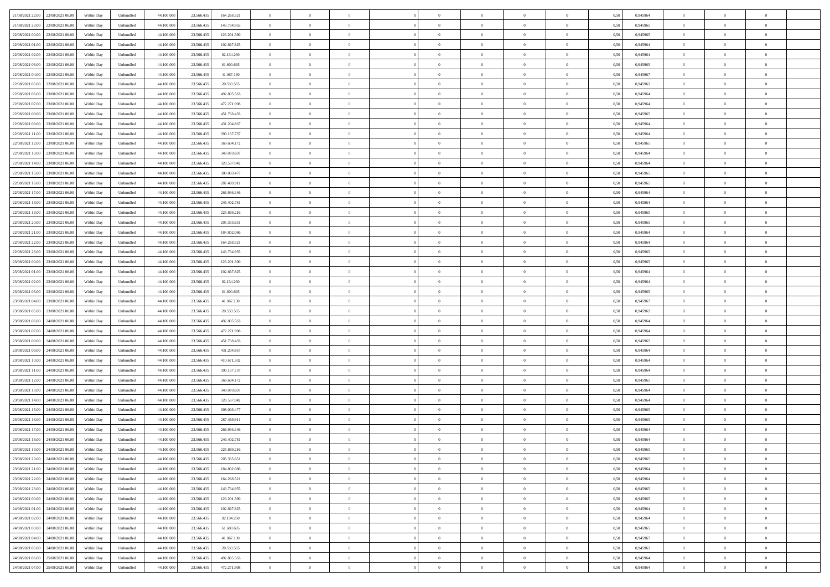| 21/08/2021 22:00 22/08/2021 06:00            | Within Day | Unbundled         | 44.100.000 | 23.566.435 | 164.268.521 | $\overline{0}$ | $\theta$       |                | $\overline{0}$ | $\theta$       |                | $\theta$       | 0,50 | 0,945964 | $\theta$       | $\theta$       | $\overline{0}$ |  |
|----------------------------------------------|------------|-------------------|------------|------------|-------------|----------------|----------------|----------------|----------------|----------------|----------------|----------------|------|----------|----------------|----------------|----------------|--|
| 21/08/2021 23:00<br>22/08/2021 06:00         | Within Day | Unbundled         | 44.100.00  | 23.566.43  | 143.734.955 | $\bf{0}$       | $\overline{0}$ | $\bf{0}$       | $\overline{0}$ | $\overline{0}$ | $\overline{0}$ | $\bf{0}$       | 0,50 | 0,945965 | $\,$ 0 $\,$    | $\bf{0}$       | $\overline{0}$ |  |
| 22/08/2021 00:00<br>22/08/2021 06:00         | Within Day | Unbundled         | 44,100,000 | 23.566.435 | 123.201.390 | $\overline{0}$ | $\bf{0}$       | $\overline{0}$ | $\bf{0}$       | $\bf{0}$       | $\overline{0}$ | $\bf{0}$       | 0.50 | 0.945965 | $\bf{0}$       | $\overline{0}$ | $\overline{0}$ |  |
| 22/08/2021 01:00<br>22/08/2021 06:00         | Within Day | Unbundled         | 44.100.000 | 23.566.435 | 102.667.825 | $\overline{0}$ | $\overline{0}$ | $\overline{0}$ | $\theta$       | $\theta$       | $\overline{0}$ | $\bf{0}$       | 0,50 | 0,945964 | $\theta$       | $\theta$       | $\overline{0}$ |  |
|                                              |            |                   |            |            |             |                | $\overline{0}$ |                |                |                |                |                |      |          |                |                |                |  |
| 22/08/2021 02:00<br>22/08/2021 06:00         | Within Day | Unbundled         | 44.100.00  | 23.566.43  | 82.134.260  | $\bf{0}$       |                | $\bf{0}$       | $\overline{0}$ | $\theta$       | $\overline{0}$ | $\bf{0}$       | 0,50 | 0,945964 | $\,$ 0 $\,$    | $\bf{0}$       | $\overline{0}$ |  |
| 22/08/2021 03:00<br>22/08/2021 06:00         | Within Day | Unbundled         | 44,100,000 | 23.566.43  | 61.600.695  | $\overline{0}$ | $\overline{0}$ | $\overline{0}$ | $\bf{0}$       | $\overline{0}$ | $\theta$       | $\bf{0}$       | 0.50 | 0.945965 | $\bf{0}$       | $\theta$       | $\overline{0}$ |  |
| 22/08/2021 04:00<br>22/08/2021 06:00         | Within Day | Unbundled         | 44.100.000 | 23.566.435 | 41.067.130  | $\overline{0}$ | $\overline{0}$ | $\overline{0}$ | $\overline{0}$ | $\overline{0}$ | $\overline{0}$ | $\bf{0}$       | 0,50 | 0,945967 | $\theta$       | $\theta$       | $\overline{0}$ |  |
| 22/08/2021 05:00<br>22/08/2021 06:00         | Within Day | Unbundled         | 44.100.00  | 23.566.43  | 20.533.565  | $\bf{0}$       | $\overline{0}$ | $\bf{0}$       | $\overline{0}$ | $\overline{0}$ | $\overline{0}$ | $\bf{0}$       | 0,50 | 0,945962 | $\,$ 0 $\,$    | $\bf{0}$       | $\overline{0}$ |  |
| 22/08/2021 06:00<br>23/08/2021 06:00         | Within Day | Unbundled         | 44,100,00  | 23.566.43  | 492.805.563 | $\overline{0}$ | $\bf{0}$       | $\overline{0}$ | $\bf{0}$       | $\overline{0}$ | $\overline{0}$ | $\bf{0}$       | 0.50 | 0.945964 | $\bf{0}$       | $\overline{0}$ | $\overline{0}$ |  |
| 22/08/2021 07:00<br>23/08/2021 06:00         | Within Day | Unbundled         | 44.100.000 | 23.566.435 | 472.271.998 | $\overline{0}$ | $\bf{0}$       | $\overline{0}$ | $\overline{0}$ | $\overline{0}$ | $\overline{0}$ | $\bf{0}$       | 0,50 | 0,945964 | $\,$ 0 $\,$    | $\theta$       | $\overline{0}$ |  |
|                                              |            |                   |            |            |             |                |                |                |                |                |                |                |      |          |                |                |                |  |
| 22/08/2021 08:00<br>23/08/2021 06:00         | Within Day | Unbundled         | 44.100.00  | 23.566.435 | 451.738.433 | $\bf{0}$       | $\overline{0}$ | $\bf{0}$       | $\bf{0}$       | $\bf{0}$       | $\overline{0}$ | $\bf{0}$       | 0,50 | 0,945965 | $\,$ 0 $\,$    | $\bf{0}$       | $\overline{0}$ |  |
| 22/08/2021 09:00<br>23/08/2021 06:00         | Within Day | Unbundled         | 44,100,000 | 23.566.435 | 431.204.867 | $\overline{0}$ | $\bf{0}$       | $\overline{0}$ | $\bf{0}$       | $\bf{0}$       | $\overline{0}$ | $\bf{0}$       | 0.50 | 0.945964 | $\bf{0}$       | $\overline{0}$ | $\bf{0}$       |  |
| 22/08/2021 11:00<br>23/08/2021 06:00         | Within Day | Unbundled         | 44.100.000 | 23.566.435 | 390.137.737 | $\overline{0}$ | $\overline{0}$ | $\overline{0}$ | $\theta$       | $\theta$       | $\overline{0}$ | $\bf{0}$       | 0,50 | 0,945964 | $\,$ 0 $\,$    | $\theta$       | $\overline{0}$ |  |
| 22/08/2021 12:00<br>23/08/2021 06:00         | Within Day | Unbundled         | 44.100.00  | 23.566.43  | 369.604.172 | $\bf{0}$       | $\overline{0}$ | $\bf{0}$       | $\overline{0}$ | $\theta$       | $\overline{0}$ | $\bf{0}$       | 0,50 | 0,945965 | $\,$ 0 $\,$    | $\bf{0}$       | $\overline{0}$ |  |
| 22/08/2021 13:00<br>23/08/2021 06:00         | Within Day | Unbundled         | 44,100,00  | 23.566.43  | 349,070,607 | $\overline{0}$ | $\overline{0}$ | $\overline{0}$ | $\bf{0}$       | $\overline{0}$ | $\theta$       | $\bf{0}$       | 0.50 | 0.945964 | $\,$ 0 $\,$    | $\theta$       | $\overline{0}$ |  |
| 22/08/2021 14:00<br>23/08/2021 06:00         |            |                   | 44.100.000 |            |             | $\overline{0}$ | $\overline{0}$ | $\overline{0}$ | $\overline{0}$ | $\overline{0}$ | $\overline{0}$ |                |      |          | $\theta$       | $\theta$       | $\overline{0}$ |  |
|                                              | Within Day | Unbundled         |            | 23.566.435 | 328.537.042 |                |                |                |                |                |                | $\bf{0}$       | 0,50 | 0,945964 |                |                |                |  |
| 22/08/2021 15:00<br>23/08/2021 06:00         | Within Day | Unbundled         | 44.100.00  | 23.566.43  | 308.003.477 | $\bf{0}$       | $\overline{0}$ | $\bf{0}$       | $\overline{0}$ | $\bf{0}$       | $\overline{0}$ | $\bf{0}$       | 0,50 | 0,945965 | $\,$ 0 $\,$    | $\bf{0}$       | $\overline{0}$ |  |
| 22/08/2021 16:00<br>23/08/2021 06:00         | Within Day | Unbundled         | 44,100,00  | 23.566.43  | 287.469.911 | $\overline{0}$ | $\bf{0}$       | $\overline{0}$ | $\bf{0}$       | $\overline{0}$ | $\overline{0}$ | $\bf{0}$       | 0.50 | 0.945965 | $\bf{0}$       | $\overline{0}$ | $\overline{0}$ |  |
| 22/08/2021 17:00<br>23/08/2021 06:00         | Within Day | Unbundled         | 44.100.000 | 23.566.435 | 266.936.346 | $\overline{0}$ | $\overline{0}$ | $\overline{0}$ | $\overline{0}$ | $\overline{0}$ | $\overline{0}$ | $\bf{0}$       | 0,50 | 0,945964 | $\,$ 0 $\,$    | $\theta$       | $\overline{0}$ |  |
| 22/08/2021 18:00<br>23/08/2021 06:00         | Within Day | Unbundled         | 44.100.00  | 23.566.43  | 246.402.781 | $\bf{0}$       | $\bf{0}$       | $\bf{0}$       | $\bf{0}$       | $\overline{0}$ | $\overline{0}$ | $\bf{0}$       | 0,50 | 0,945964 | $\,$ 0 $\,$    | $\bf{0}$       | $\overline{0}$ |  |
| 22/08/2021 19:00<br>23/08/2021 06:00         | Within Day | Unbundled         | 44,100,000 | 23.566.435 | 225.869.216 | $\overline{0}$ | $\bf{0}$       | $\overline{0}$ | $\bf{0}$       | $\bf{0}$       | $\overline{0}$ | $\bf{0}$       | 0.50 | 0.945965 | $\bf{0}$       | $\overline{0}$ | $\bf{0}$       |  |
| 22/08/2021 20:00<br>23/08/2021 06:00         | Within Day | Unbundled         | 44.100.000 | 23.566.435 | 205.335.651 | $\overline{0}$ | $\overline{0}$ | $\overline{0}$ | $\theta$       | $\theta$       | $\overline{0}$ | $\bf{0}$       | 0,50 | 0,945965 | $\theta$       | $\theta$       | $\overline{0}$ |  |
|                                              |            |                   |            |            |             |                |                |                |                |                |                |                |      |          |                |                |                |  |
| 22/08/2021 21:00<br>23/08/2021 06:00         | Within Day | Unbundled         | 44.100.00  | 23.566.435 | 184.802.086 | $\bf{0}$       | $\overline{0}$ | $\bf{0}$       | $\bf{0}$       | $\overline{0}$ | $\overline{0}$ | $\bf{0}$       | 0,50 | 0,945964 | $\,$ 0 $\,$    | $\bf{0}$       | $\overline{0}$ |  |
| 22/08/2021 22:00<br>23/08/2021 06:00         | Within Day | Unbundled         | 44,100,00  | 23.566.43  | 164.268.521 | $\overline{0}$ | $\overline{0}$ | $\overline{0}$ | $\overline{0}$ | $\overline{0}$ | $\theta$       | $\bf{0}$       | 0.50 | 0.945964 | $\,$ 0 $\,$    | $\theta$       | $\overline{0}$ |  |
| 22/08/2021 23:00<br>23/08/2021 06:00         | Within Day | Unbundled         | 44.100.000 | 23.566.435 | 143.734.955 | $\overline{0}$ | $\overline{0}$ | $\overline{0}$ | $\overline{0}$ | $\overline{0}$ | $\overline{0}$ | $\bf{0}$       | 0,50 | 0,945965 | $\theta$       | $\theta$       | $\overline{0}$ |  |
| 23/08/2021 00:00<br>23/08/2021 06:00         | Within Day | Unbundled         | 44.100.00  | 23.566.43  | 123.201.390 | $\bf{0}$       | $\overline{0}$ | $\bf{0}$       | $\overline{0}$ | $\bf{0}$       | $\overline{0}$ | $\bf{0}$       | 0,50 | 0,945965 | $\,$ 0 $\,$    | $\bf{0}$       | $\overline{0}$ |  |
| 23/08/2021 01:00<br>23/08/2021 06:00         | Within Day | Unbundled         | 44,100,00  | 23.566.43  | 102.667.825 | $\overline{0}$ | $\bf{0}$       | $\overline{0}$ | $\bf{0}$       | $\overline{0}$ | $\overline{0}$ | $\bf{0}$       | 0.50 | 0.945964 | $\bf{0}$       | $\overline{0}$ | $\overline{0}$ |  |
| 23/08/2021 02:00<br>23/08/2021 06:00         | Within Day | Unbundled         | 44.100.000 | 23.566.435 | 82.134.260  | $\overline{0}$ | $\overline{0}$ | $\overline{0}$ | $\overline{0}$ | $\overline{0}$ | $\overline{0}$ | $\bf{0}$       | 0,50 | 0,945964 | $\theta$       | $\theta$       | $\overline{0}$ |  |
|                                              |            |                   |            |            |             |                |                |                |                |                |                |                |      |          |                |                |                |  |
| 23/08/2021 03:00<br>23/08/2021 06:00         | Within Day | Unbundled         | 44.100.00  | 23.566.43  | 61.600.695  | $\bf{0}$       | $\bf{0}$       | $\bf{0}$       | $\bf{0}$       | $\overline{0}$ | $\overline{0}$ | $\bf{0}$       | 0,50 | 0,945965 | $\,$ 0 $\,$    | $\bf{0}$       | $\overline{0}$ |  |
| 23/08/2021 04:00<br>23/08/2021 06:00         | Within Day | Unbundled         | 44,100,000 | 23.566.43  | 41.067.130  | $\overline{0}$ | $\bf{0}$       | $\overline{0}$ | $\bf{0}$       | $\bf{0}$       | $\overline{0}$ | $\bf{0}$       | 0.50 | 0.945967 | $\bf{0}$       | $\overline{0}$ | $\bf{0}$       |  |
| 23/08/2021 05:00<br>23/08/2021 06:00         | Within Day | Unbundled         | 44.100.000 | 23.566.43  | 20.533.565  | $\overline{0}$ | $\overline{0}$ | $\overline{0}$ | $\overline{0}$ | $\overline{0}$ | $\overline{0}$ | $\bf{0}$       | 0.5( | 0.945962 | $\theta$       | $\theta$       | $\overline{0}$ |  |
| 23/08/2021 06:00<br>24/08/2021 06.00         | Within Day | Unbundled         | 44.100.00  | 23.566.43  | 492.805.563 | $\bf{0}$       | $\overline{0}$ | $\bf{0}$       | $\bf{0}$       | $\,$ 0 $\,$    | $\overline{0}$ | $\bf{0}$       | 0,50 | 0,945964 | $\,$ 0 $\,$    | $\bf{0}$       | $\overline{0}$ |  |
| 23/08/2021 07:00<br>24/08/2021 06:00         | Within Day | Unbundled         | 44,100,00  | 23.566.43  | 472.271.998 | $\overline{0}$ | $\overline{0}$ | $\overline{0}$ | $\bf{0}$       | $\overline{0}$ | $\Omega$       | $\bf{0}$       | 0.50 | 0.945964 | $\,$ 0 $\,$    | $\theta$       | $\overline{0}$ |  |
| 23/08/2021 08:00<br>24/08/2021 06:00         | Within Dav | Unbundled         | 44.100.000 | 23.566.435 | 451.738.433 | $\overline{0}$ | $\overline{0}$ | $\overline{0}$ | $\overline{0}$ | $\overline{0}$ | $\overline{0}$ | $\overline{0}$ | 0.50 | 0,945965 | $\theta$       | $\theta$       | $\overline{0}$ |  |
| 23/08/2021 09:00<br>24/08/2021 06.00         | Within Day | Unbundled         | 44.100.00  | 23.566.43  | 431.204.867 | $\bf{0}$       | $\bf{0}$       | $\bf{0}$       | $\bf{0}$       | $\bf{0}$       | $\overline{0}$ | $\bf{0}$       | 0,50 | 0,945964 | $\,$ 0 $\,$    | $\bf{0}$       | $\overline{0}$ |  |
|                                              |            |                   |            |            |             |                |                |                |                |                |                |                |      |          |                |                |                |  |
| 23/08/2021 10:00<br>24/08/2021 06:00         | Within Day | Unbundled         | 44,100,00  | 23.566.43  | 410.671.302 | $\overline{0}$ | $\bf{0}$       | $\overline{0}$ | $\bf{0}$       | $\overline{0}$ | $\overline{0}$ | $\bf{0}$       | 0.50 | 0.945964 | $\bf{0}$       | $\overline{0}$ | $\overline{0}$ |  |
| 23/08/2021 11:00<br>24/08/2021 06:00         | Within Dav | Unbundled         | 44.100.000 | 23.566.435 | 390.137.737 | $\overline{0}$ | $\overline{0}$ | $\overline{0}$ | $\overline{0}$ | $\overline{0}$ | $\overline{0}$ | $\overline{0}$ | 0.50 | 0,945964 | $\theta$       | $\theta$       | $\overline{0}$ |  |
| 23/08/2021 12:00<br>24/08/2021 06.00         | Within Day | Unbundled         | 44.100.00  | 23.566.43  | 369.604.172 | $\bf{0}$       | $\bf{0}$       | $\bf{0}$       | $\bf{0}$       | $\overline{0}$ | $\overline{0}$ | $\bf{0}$       | 0,50 | 0,945965 | $\,$ 0 $\,$    | $\bf{0}$       | $\overline{0}$ |  |
| 23/08/2021 13:00<br>24/08/2021 06:00         | Within Day | Unbundled         | 44,100,000 | 23.566.435 | 349,070,607 | $\overline{0}$ | $\bf{0}$       | $\overline{0}$ | $\bf{0}$       | $\bf{0}$       | $\overline{0}$ | $\bf{0}$       | 0.50 | 0.945964 | $\bf{0}$       | $\overline{0}$ | $\overline{0}$ |  |
| 23/08/2021 14:00<br>24/08/2021 06:00         | Within Dav | Unbundled         | 44.100.000 | 23.566.435 | 328.537.042 | $\overline{0}$ | $\overline{0}$ | $\overline{0}$ | $\overline{0}$ | $\overline{0}$ | $\overline{0}$ | $\bf{0}$       | 0.50 | 0.945964 | $\theta$       | $\theta$       | $\overline{0}$ |  |
| 23/08/2021 15:00<br>24/08/2021 06.00         | Within Day | Unbundled         | 44.100.00  | 23.566.435 | 308.003.477 | $\bf{0}$       | $\bf{0}$       | $\bf{0}$       | $\bf{0}$       | $\,$ 0 $\,$    | $\overline{0}$ | $\bf{0}$       | 0,50 | 0,945965 | $\,$ 0 $\,$    | $\bf{0}$       | $\overline{0}$ |  |
| 23/08/2021 16:00<br>24/08/2021 06:00         | Within Day | Unbundled         | 44,100,00  | 23.566.43: | 287.469.911 | $\overline{0}$ | $\overline{0}$ | $\overline{0}$ | $\overline{0}$ | $\overline{0}$ | $\Omega$       | $\bf{0}$       | 0.50 | 0.945965 | $\bf{0}$       | $\theta$       | $\overline{0}$ |  |
| 23/08/2021 17:00<br>24/08/2021 06:00         | Within Dav | Unbundled         | 44.100.000 | 23.566.43  | 266.936.346 | $\overline{0}$ | $\overline{0}$ | $\Omega$       |                | $\theta$       | $\Omega$       | $\overline{0}$ | 0.5( | 0,945964 | $\theta$       | $\theta$       | $\overline{0}$ |  |
|                                              |            |                   |            |            |             |                |                |                | $\overline{0}$ |                |                |                |      |          |                |                |                |  |
| 23/08/2021 18:00<br>24/08/2021 06:00         | Within Day | Unbundled         | 44.100.000 | 23.566.435 | 246.402.781 | $\bf{0}$       | $\bf{0}$       | $\bf{0}$       | $\bf{0}$       | $\bf{0}$       | $\overline{0}$ | $\bf{0}$       | 0,50 | 0,945964 | $\,$ 0 $\,$    | $\bf{0}$       | $\overline{0}$ |  |
| $23/08/2021\ 19.00 \qquad 24/08/2021\ 06.00$ | Within Day | ${\sf Unbundred}$ | 44.100.000 | 23.566.435 | 225.869.216 | $\bf{0}$       | $\theta$       |                | $\overline{0}$ |                |                |                | 0,50 | 0.945965 | $\bf{0}$       | $\bf{0}$       |                |  |
| 23/08/2021 20:00 24/08/2021 06:00            | Within Day | Unbundled         | 44.100.000 | 23.566.435 | 205.335.651 | $\overline{0}$ | $\theta$       | $\Omega$       | $\theta$       | $\overline{0}$ | $\overline{0}$ | $\bf{0}$       | 0,50 | 0,945965 | $\theta$       | $\theta$       | $\overline{0}$ |  |
| 23/08/2021 21:00<br>24/08/2021 06:00         | Within Day | Unbundled         | 44.100.00  | 23.566.435 | 184.802.086 | $\overline{0}$ | $\bf{0}$       | $\overline{0}$ | $\overline{0}$ | $\bf{0}$       | $\overline{0}$ | $\bf{0}$       | 0,50 | 0,945964 | $\bf{0}$       | $\overline{0}$ | $\bf{0}$       |  |
| 23/08/2021 22:00 24/08/2021 06:00            | Within Day | Unbundled         | 44,100,000 | 23.566.435 | 164.268.521 | $\overline{0}$ | $\bf{0}$       | $\overline{0}$ | $\overline{0}$ | $\mathbf{0}$   | $\overline{0}$ | $\,$ 0 $\,$    | 0.50 | 0.945964 | $\overline{0}$ | $\bf{0}$       | $\,$ 0 $\,$    |  |
| 23/08/2021 23:00 24/08/2021 06:00            | Within Day | Unbundled         | 44.100.000 | 23.566.435 | 143.734.955 | $\overline{0}$ | $\overline{0}$ | $\overline{0}$ | $\overline{0}$ | $\overline{0}$ | $\overline{0}$ | $\bf{0}$       | 0,50 | 0,945965 | $\theta$       | $\theta$       | $\overline{0}$ |  |
|                                              |            |                   |            |            |             |                |                |                |                |                |                |                |      |          |                |                |                |  |
| 24/08/2021 00:00<br>24/08/2021 06:00         | Within Day | Unbundled         | 44.100.000 | 23.566.435 | 123.201.390 | $\overline{0}$ | $\bf{0}$       | $\overline{0}$ | $\overline{0}$ | $\overline{0}$ | $\bf{0}$       | $\bf{0}$       | 0,50 | 0,945965 | $\bf{0}$       | $\overline{0}$ | $\overline{0}$ |  |
| 24/08/2021 06:00<br>24/08/2021 01:00         | Within Day | Unbundled         | 44,100,000 | 23.566.435 | 102.667.825 | $\overline{0}$ | $\bf{0}$       | $\overline{0}$ | $\overline{0}$ | $\overline{0}$ | $\overline{0}$ | $\bf{0}$       | 0.50 | 0.945964 | $\,$ 0 $\,$    | $\theta$       | $\bf{0}$       |  |
| 24/08/2021 02:00<br>24/08/2021 06:00         | Within Dav | Unbundled         | 44.100.000 | 23.566.435 | 82.134.260  | $\overline{0}$ | $\overline{0}$ | $\overline{0}$ | $\overline{0}$ | $\overline{0}$ | $\overline{0}$ | $\bf{0}$       | 0.50 | 0,945964 | $\overline{0}$ | $\theta$       | $\overline{0}$ |  |
| 24/08/2021 03:00<br>24/08/2021 06:00         | Within Day | Unbundled         | 44.100.00  | 23.566.435 | 61.600.695  | $\overline{0}$ | $\overline{0}$ | $\overline{0}$ | $\overline{0}$ | $\bf{0}$       | $\overline{0}$ | $\bf{0}$       | 0,50 | 0,945965 | $\bf{0}$       | $\overline{0}$ | $\overline{0}$ |  |
| 24/08/2021 06:00<br>24/08/2021 04:00         | Within Day | Unbundled         | 44,100,000 | 23,566,435 | 41.067.130  | $\overline{0}$ | $\overline{0}$ | $\overline{0}$ | $\overline{0}$ | $\bf{0}$       | $\overline{0}$ | $\bf{0}$       | 0.50 | 0.945967 | $\overline{0}$ | $\bf{0}$       | $\,$ 0         |  |
| 24/08/2021 05:00 24/08/2021 06:00            | Within Dav | Unbundled         | 44.100.000 | 23.566.435 | 20.533.565  | $\overline{0}$ | $\overline{0}$ | $\overline{0}$ | $\overline{0}$ | $\overline{0}$ | $\overline{0}$ | $\bf{0}$       | 0,50 | 0,945962 | $\overline{0}$ | $\theta$       | $\overline{0}$ |  |
|                                              |            |                   |            |            |             |                |                |                |                |                |                |                |      |          |                |                |                |  |
| 24/08/2021 06:00<br>25/08/2021 06:00         | Within Day | Unbundled         | 44.100.00  | 23.566.435 | 492.805.563 | $\overline{0}$ | $\bf{0}$       | $\overline{0}$ | $\bf{0}$       | $\overline{0}$ | $\bf{0}$       | $\bf{0}$       | 0,50 | 0,945964 | $\bf{0}$       | $\bf{0}$       | $\overline{0}$ |  |
| 24/08/2021 07:00 25/08/2021 06:00            | Within Day | Unbundled         | 44.100.000 | 23.566.435 | 472.271.998 | $\overline{0}$ | $\bf{0}$       | $\overline{0}$ | $\overline{0}$ | $\,$ 0 $\,$    | $\overline{0}$ | $\bf{0}$       | 0,50 | 0,945964 | $\overline{0}$ | $\,$ 0 $\,$    | $\,$ 0 $\,$    |  |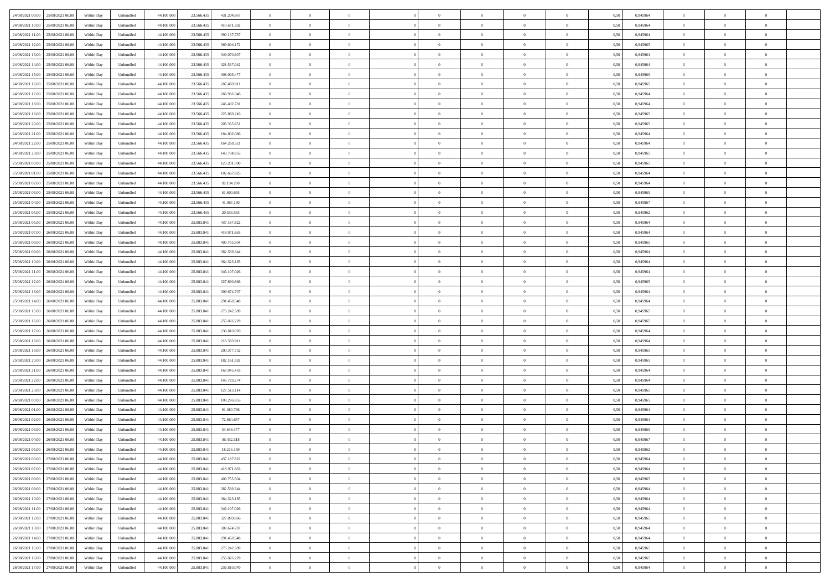| 24/08/2021 09:00<br>25/08/2021 06:00 | Within Day | Unbundled | 44.100.000 | 23.566.435 | 431.204.867 | $\overline{0}$ | $\overline{0}$   | $\overline{0}$ | $\theta$       | $\theta$       |                | $\overline{0}$ | 0,50 | 0,945964 | $\theta$       | $\theta$       | $\theta$       |  |
|--------------------------------------|------------|-----------|------------|------------|-------------|----------------|------------------|----------------|----------------|----------------|----------------|----------------|------|----------|----------------|----------------|----------------|--|
|                                      |            |           |            |            |             |                |                  |                |                |                |                |                |      |          |                |                |                |  |
| 24/08/2021 10:00<br>25/08/2021 06.00 | Within Day | Unbundled | 44.100.000 | 23.566.435 | 410.671.302 | $\overline{0}$ | $\overline{0}$   | $\overline{0}$ | $\bf{0}$       | $\bf{0}$       | $\overline{0}$ | $\bf{0}$       | 0,50 | 0,945964 | $\,$ 0 $\,$    | $\theta$       | $\overline{0}$ |  |
| 24/08/2021 11:00<br>25/08/2021 06:00 | Within Day | Unbundled | 44,100,000 | 23.566.435 | 390.137.737 | $\overline{0}$ | $\overline{0}$   | $\overline{0}$ | $\bf{0}$       | $\bf{0}$       | $\overline{0}$ | $\mathbf{0}$   | 0.50 | 0.945964 | $\bf{0}$       | $\overline{0}$ | $\overline{0}$ |  |
| 24/08/2021 12:00<br>25/08/2021 06:00 | Within Day | Unbundled | 44.100.000 | 23.566.435 | 369.604.172 | $\overline{0}$ | $\overline{0}$   | $\overline{0}$ | $\overline{0}$ | $\overline{0}$ | $\overline{0}$ | $\bf{0}$       | 0,50 | 0,945965 | $\theta$       | $\theta$       | $\overline{0}$ |  |
| 24/08/2021 13:00<br>25/08/2021 06.00 | Within Day | Unbundled | 44.100.000 | 23.566.435 | 349.070.607 | $\overline{0}$ | $\overline{0}$   | $\bf{0}$       | $\overline{0}$ | $\overline{0}$ | $\overline{0}$ | $\bf{0}$       | 0,50 | 0,945964 | $\,$ 0 $\,$    | $\theta$       | $\overline{0}$ |  |
|                                      |            |           |            |            |             |                |                  |                |                |                |                |                |      |          |                |                |                |  |
| 24/08/2021 14:00<br>25/08/2021 06:00 | Within Day | Unbundled | 44,100,000 | 23.566.435 | 328,537,042 | $\overline{0}$ | $\overline{0}$   | $\overline{0}$ | $\bf{0}$       | $\overline{0}$ | $\Omega$       | $\mathbf{0}$   | 0.50 | 0.945964 | $\theta$       | $\theta$       | $\overline{0}$ |  |
| 24/08/2021 15:00<br>25/08/2021 06.00 | Within Day | Unbundled | 44.100.000 | 23.566.435 | 308.003.477 | $\overline{0}$ | $\overline{0}$   | $\overline{0}$ | $\overline{0}$ | $\overline{0}$ | $\overline{0}$ | $\bf{0}$       | 0,50 | 0,945965 | $\theta$       | $\theta$       | $\overline{0}$ |  |
| 24/08/2021 16:00<br>25/08/2021 06.00 | Within Day | Unbundled | 44.100.000 | 23.566.435 | 287.469.911 | $\overline{0}$ | $\overline{0}$   | $\overline{0}$ | $\overline{0}$ | $\overline{0}$ | $\overline{0}$ | $\bf{0}$       | 0,50 | 0,945965 | $\,$ 0 $\,$    | $\bf{0}$       | $\overline{0}$ |  |
| 24/08/2021 17.00<br>25/08/2021 06:00 | Within Day | Unbundled | 44,100,000 | 23.566.435 | 266,936,346 | $\overline{0}$ | $\overline{0}$   | $\overline{0}$ | $\bf{0}$       | $\overline{0}$ | $\overline{0}$ | $\mathbf{0}$   | 0.50 | 0.945964 | $\,$ 0 $\,$    | $\theta$       | $\overline{0}$ |  |
| 24/08/2021 18:00<br>25/08/2021 06:00 | Within Day | Unbundled | 44.100.000 | 23.566.435 | 246.402.781 | $\overline{0}$ | $\overline{0}$   | $\overline{0}$ | $\overline{0}$ | $\overline{0}$ | $\overline{0}$ | $\bf{0}$       | 0,50 | 0,945964 | $\theta$       | $\theta$       | $\overline{0}$ |  |
|                                      |            |           |            |            |             |                | $\overline{0}$   |                |                |                | $\overline{0}$ | $\bf{0}$       |      |          | $\,$ 0 $\,$    | $\theta$       | $\overline{0}$ |  |
| 24/08/2021 19:00<br>25/08/2021 06.00 | Within Day | Unbundled | 44.100.000 | 23.566.435 | 225.869.216 | $\overline{0}$ |                  | $\bf{0}$       | $\bf{0}$       | $\bf{0}$       |                |                | 0,50 | 0,945965 |                |                |                |  |
| 24/08/2021 20:00<br>25/08/2021 06:00 | Within Day | Unbundled | 44,100,000 | 23.566.435 | 205.335.651 | $\overline{0}$ | $\overline{0}$   | $\overline{0}$ | $\bf{0}$       | $\bf{0}$       | $\overline{0}$ | $\mathbf{0}$   | 0.50 | 0.945965 | $\bf{0}$       | $\overline{0}$ | $\bf{0}$       |  |
| 24/08/2021 21:00<br>25/08/2021 06:00 | Within Day | Unbundled | 44.100.000 | 23.566.435 | 184.802.086 | $\overline{0}$ | $\overline{0}$   | $\overline{0}$ | $\overline{0}$ | $\overline{0}$ | $\overline{0}$ | $\bf{0}$       | 0,50 | 0,945964 | $\theta$       | $\theta$       | $\overline{0}$ |  |
| 24/08/2021 22.00<br>25/08/2021 06.00 | Within Day | Unbundled | 44.100.000 | 23.566.435 | 164.268.521 | $\overline{0}$ | $\overline{0}$   | $\bf{0}$       | $\bf{0}$       | $\overline{0}$ | $\overline{0}$ | $\bf{0}$       | 0,50 | 0,945964 | $\,$ 0 $\,$    | $\bf{0}$       | $\overline{0}$ |  |
| 24/08/2021 23.00<br>25/08/2021 06:00 | Within Day | Unbundled | 44,100,000 | 23.566.435 | 143.734.955 | $\overline{0}$ | $\overline{0}$   | $\overline{0}$ | $\bf{0}$       | $\overline{0}$ | $\Omega$       | $\mathbf{0}$   | 0.50 | 0.945965 | $\theta$       | $\theta$       | $\overline{0}$ |  |
| 25/08/2021 00:00<br>25/08/2021 06:00 | Within Day | Unbundled | 44.100.000 | 23.566.435 | 123.201.390 | $\overline{0}$ | $\overline{0}$   | $\overline{0}$ | $\overline{0}$ | $\overline{0}$ | $\overline{0}$ | $\bf{0}$       | 0,50 | 0,945965 | $\theta$       | $\theta$       | $\overline{0}$ |  |
|                                      |            |           |            |            |             |                |                  |                |                |                |                |                |      |          |                |                |                |  |
| 25/08/2021 01:00<br>25/08/2021 06.00 | Within Day | Unbundled | 44.100.000 | 23.566.435 | 102.667.825 | $\overline{0}$ | $\overline{0}$   | $\overline{0}$ | $\overline{0}$ | $\overline{0}$ | $\overline{0}$ | $\bf{0}$       | 0,50 | 0,945964 | $\,$ 0 $\,$    | $\theta$       | $\overline{0}$ |  |
| 25/08/2021 02:00<br>25/08/2021 06:00 | Within Day | Unbundled | 44,100,000 | 23,566,435 | 82.134.260  | $\overline{0}$ | $\overline{0}$   | $\overline{0}$ | $\bf{0}$       | $\overline{0}$ | $\overline{0}$ | $\mathbf{0}$   | 0.50 | 0.945964 | $\,$ 0 $\,$    | $\overline{0}$ | $\overline{0}$ |  |
| 25/08/2021 03:00<br>25/08/2021 06:00 | Within Day | Unbundled | 44.100.000 | 23.566.435 | 61.600.695  | $\overline{0}$ | $\overline{0}$   | $\overline{0}$ | $\overline{0}$ | $\overline{0}$ | $\overline{0}$ | $\bf{0}$       | 0,50 | 0,945965 | $\,$ 0 $\,$    | $\theta$       | $\overline{0}$ |  |
| 25/08/2021 04:00<br>25/08/2021 06.00 | Within Day | Unbundled | 44.100.000 | 23.566.435 | 41.067.130  | $\overline{0}$ | $\overline{0}$   | $\overline{0}$ | $\bf{0}$       | $\bf{0}$       | $\overline{0}$ | $\bf{0}$       | 0,50 | 0,945967 | $\,$ 0 $\,$    | $\bf{0}$       | $\overline{0}$ |  |
| 25/08/2021 05:00<br>25/08/2021 06:00 | Within Day | Unbundled | 44,100,000 | 23.566.435 | 20.533.565  | $\overline{0}$ | $\overline{0}$   | $\overline{0}$ | $\bf{0}$       | $\bf{0}$       | $\overline{0}$ | $\mathbf{0}$   | 0.50 | 0.945962 | $\bf{0}$       | $\overline{0}$ | $\bf{0}$       |  |
| 25/08/2021 06:00<br>26/08/2021 06:00 | Within Day | Unbundled | 44.100.000 | 25.883.841 | 437.187.822 | $\overline{0}$ | $\overline{0}$   | $\overline{0}$ | $\overline{0}$ | $\overline{0}$ | $\overline{0}$ | $\bf{0}$       | 0,50 | 0,945964 | $\theta$       | $\theta$       | $\overline{0}$ |  |
|                                      |            |           |            |            |             |                |                  |                |                |                |                |                |      |          |                |                |                |  |
| 25/08/2021 07:00<br>26/08/2021 06.0  | Within Day | Unbundled | 44.100.000 | 25.883.841 | 418.971.663 | $\overline{0}$ | $\overline{0}$   | $\overline{0}$ | $\bf{0}$       | $\overline{0}$ | $\overline{0}$ | $\bf{0}$       | 0,50 | 0,945964 | $\,$ 0 $\,$    | $\bf{0}$       | $\overline{0}$ |  |
| 25/08/2021 08:00<br>26/08/2021 06:00 | Within Day | Unbundled | 44,100,000 | 25,883,841 | 400.755.504 | $\overline{0}$ | $\overline{0}$   | $\overline{0}$ | $\bf{0}$       | $\overline{0}$ | $\Omega$       | $\mathbf{0}$   | 0.50 | 0.945965 | $\bf{0}$       | $\theta$       | $\overline{0}$ |  |
| 25/08/2021 09:00<br>26/08/2021 06.00 | Within Day | Unbundled | 44.100.000 | 25.883.841 | 382.539.344 | $\overline{0}$ | $\overline{0}$   | $\overline{0}$ | $\overline{0}$ | $\overline{0}$ | $\overline{0}$ | $\bf{0}$       | 0,50 | 0,945964 | $\theta$       | $\theta$       | $\overline{0}$ |  |
| 25/08/2021 10:00<br>26/08/2021 06.0  | Within Day | Unbundled | 44.100.000 | 25.883.841 | 364.323.185 | $\overline{0}$ | $\overline{0}$   | $\overline{0}$ | $\overline{0}$ | $\overline{0}$ | $\overline{0}$ | $\bf{0}$       | 0,50 | 0,945964 | $\,$ 0 $\,$    | $\theta$       | $\overline{0}$ |  |
| 25/08/2021 11:00<br>26/08/2021 06:00 | Within Day | Unbundled | 44,100,000 | 25,883,841 | 346.107.026 | $\overline{0}$ | $\overline{0}$   | $\overline{0}$ | $\bf{0}$       | $\overline{0}$ | $\overline{0}$ | $\mathbf{0}$   | 0.50 | 0.945964 | $\,$ 0 $\,$    | $\overline{0}$ | $\overline{0}$ |  |
| 25/08/2021 12:00<br>26/08/2021 06:00 | Within Day | Unbundled | 44.100.000 | 25.883.841 | 327.890.866 | $\overline{0}$ | $\overline{0}$   | $\overline{0}$ | $\overline{0}$ | $\overline{0}$ | $\overline{0}$ | $\bf{0}$       | 0,50 | 0,945965 | $\theta$       | $\theta$       | $\overline{0}$ |  |
|                                      |            |           |            |            |             |                |                  |                |                |                |                |                |      |          |                |                |                |  |
| 25/08/2021 13:00<br>26/08/2021 06.0  | Within Day | Unbundled | 44.100.000 | 25.883.841 | 309.674.707 | $\overline{0}$ | $\overline{0}$   | $\overline{0}$ | $\overline{0}$ | $\bf{0}$       | $\overline{0}$ | $\bf{0}$       | 0,50 | 0,945964 | $\,$ 0 $\,$    | $\bf{0}$       | $\overline{0}$ |  |
| 25/08/2021 14:00<br>26/08/2021 06:00 | Within Day | Unbundled | 44,100,000 | 25,883,841 | 291.458.548 | $\overline{0}$ | $\overline{0}$   | $\overline{0}$ | $\bf{0}$       | $\bf{0}$       | $\overline{0}$ | $\mathbf{0}$   | 0.50 | 0.945964 | $\bf{0}$       | $\overline{0}$ | $\bf{0}$       |  |
| 25/08/2021 15:00<br>26/08/2021 06:00 | Within Day | Unbundled | 44.100.000 | 25,883,841 | 273.242.389 | $\overline{0}$ | $\overline{0}$   | $\overline{0}$ | $\overline{0}$ | $\overline{0}$ | $\overline{0}$ | $\overline{0}$ | 0.50 | 0.945965 | $\theta$       | $\theta$       | $\overline{0}$ |  |
| 25/08/2021 16:00<br>26/08/2021 06.0  | Within Day | Unbundled | 44.100.000 | 25.883.841 | 255.026.229 | $\overline{0}$ | $\overline{0}$   | $\overline{0}$ | $\bf{0}$       | $\overline{0}$ | $\overline{0}$ | $\bf{0}$       | 0,50 | 0,945965 | $\,$ 0 $\,$    | $\bf{0}$       | $\overline{0}$ |  |
| 25/08/2021 17.00<br>26/08/2021 06:00 | Within Day | Unbundled | 44,100,000 | 25,883,841 | 236.810.070 | $\overline{0}$ | $\overline{0}$   | $\overline{0}$ | $\bf{0}$       | $\overline{0}$ | $\overline{0}$ | $\mathbf{0}$   | 0.50 | 0.945964 | $\,$ 0 $\,$    | $\theta$       | $\overline{0}$ |  |
| 25/08/2021 18:00<br>26/08/2021 06:00 | Within Day | Unbundled | 44.100.000 | 25.883.841 | 218.593.911 | $\overline{0}$ | $\overline{0}$   | $\overline{0}$ | $\overline{0}$ | $\overline{0}$ | $\Omega$       | $\overline{0}$ | 0.50 | 0,945964 | $\theta$       | $\theta$       | $\overline{0}$ |  |
|                                      |            |           |            |            |             |                | $\overline{0}$   |                | $\bf{0}$       | $\overline{0}$ | $\overline{0}$ | $\bf{0}$       |      |          | $\,$ 0 $\,$    | $\bf{0}$       | $\overline{0}$ |  |
| 25/08/2021 19:00<br>26/08/2021 06.0  | Within Day | Unbundled | 44.100.000 | 25.883.841 | 200.377.752 | $\overline{0}$ |                  | $\overline{0}$ |                |                |                |                | 0,50 | 0,945965 |                |                |                |  |
| 25/08/2021 20:00<br>26/08/2021 06:00 | Within Day | Unbundled | 44,100,000 | 25,883,841 | 182.161.592 | $\overline{0}$ | $\overline{0}$   | $\overline{0}$ | $\bf{0}$       | $\bf{0}$       | $\overline{0}$ | $\mathbf{0}$   | 0.50 | 0.945965 | $\,$ 0 $\,$    | $\theta$       | $\overline{0}$ |  |
| 25/08/2021 21:00<br>26/08/2021 06:00 | Within Day | Unbundled | 44.100.000 | 25.883.841 | 163.945.433 | $\overline{0}$ | $\overline{0}$   | $\overline{0}$ | $\overline{0}$ | $\overline{0}$ | $\overline{0}$ | $\overline{0}$ | 0.50 | 0,945964 | $\theta$       | $\theta$       | $\overline{0}$ |  |
| 25/08/2021 22.00<br>26/08/2021 06.0  | Within Day | Unbundled | 44.100.000 | 25.883.841 | 145.729.274 | $\overline{0}$ | $\overline{0}$   | $\overline{0}$ | $\,$ 0 $\,$    | $\bf{0}$       | $\overline{0}$ | $\bf{0}$       | 0,50 | 0,945964 | $\,$ 0 $\,$    | $\bf{0}$       | $\overline{0}$ |  |
| 25/08/2021 23.00<br>26/08/2021 06:00 | Within Day | Unbundled | 44,100,000 | 25,883,841 | 127.513.114 | $\overline{0}$ | $\overline{0}$   | $\overline{0}$ | $\bf{0}$       | $\bf{0}$       | $\overline{0}$ | $\mathbf{0}$   | 0.50 | 0.945965 | $\bf{0}$       | $\overline{0}$ | $\overline{0}$ |  |
| 26/08/2021 00:00<br>26/08/2021 06:00 | Within Day | Unbundled | 44.100.000 | 25.883.841 | 109.296.955 | $\overline{0}$ | $\overline{0}$   | $\overline{0}$ | $\overline{0}$ | $\overline{0}$ | $\Omega$       | $\overline{0}$ | 0.50 | 0.945965 | $\theta$       | $\theta$       | $\overline{0}$ |  |
| 26/08/2021 01:00<br>26/08/2021 06.0  | Within Day | Unbundled | 44.100.000 | 25.883.841 | 91.080.796  | $\overline{0}$ | $\overline{0}$   | $\overline{0}$ | $\bf{0}$       | $\overline{0}$ | $\overline{0}$ | $\bf{0}$       | 0,50 | 0,945964 | $\,$ 0 $\,$    | $\bf{0}$       | $\overline{0}$ |  |
|                                      |            |           |            |            |             |                |                  |                |                |                |                |                |      |          |                |                |                |  |
| 26/08/2021 02.00<br>26/08/2021 06:00 | Within Day | Unbundled | 44,100,000 | 25,883,841 | 72.864.637  | $\overline{0}$ | $\overline{0}$   | $\overline{0}$ | $\bf{0}$       | $\overline{0}$ | $\theta$       | $\overline{0}$ | 0.50 | 0.945964 | $\,$ 0 $\,$    | $\theta$       | $\overline{0}$ |  |
| 26/08/2021 03:00<br>26/08/2021 06:00 | Within Day | Unbundled | 44.100.000 | 25,883,841 | 54.648.477  | $\overline{0}$ | $\overline{0}$   | $\overline{0}$ | $\overline{0}$ | $\overline{0}$ | $\theta$       | $\overline{0}$ | 0.50 | 0,945965 | $\theta$       | $\theta$       | $\overline{0}$ |  |
| 26/08/2021 04:00<br>26/08/2021 06.00 | Within Day | Unbundled | 44.100.000 | 25.883.841 | 36.432.318  | $\overline{0}$ | $\overline{0}$   | $\bf{0}$       | $\,$ 0 $\,$    | $\bf{0}$       | $\overline{0}$ | $\bf{0}$       | 0,50 | 0,945967 | $\,$ 0 $\,$    | $\bf{0}$       | $\overline{0}$ |  |
| 26/08/2021 05:00 26/08/2021 06:00    | Within Day | Unbundled | 44.100.000 | 25.883.841 | 18.216.159  | $\bf{0}$       | $\boldsymbol{0}$ |                | $\bf{0}$       |                |                |                | 0,50 | 0.945962 | $\theta$       | $\overline{0}$ |                |  |
| 26/08/2021 06:00 27/08/2021 06:00    | Within Dav | Unbundled | 44.100.000 | 25.883.841 | 437.187.822 | $\overline{0}$ | $\overline{0}$   | $\overline{0}$ | $\overline{0}$ | $\overline{0}$ | $\overline{0}$ | $\overline{0}$ | 0,50 | 0,945964 | $\theta$       | $\theta$       | $\overline{0}$ |  |
| 26/08/2021 07:00<br>27/08/2021 06.00 | Within Day | Unbundled | 44.100.000 | 25.883.841 | 418.971.663 | $\overline{0}$ | $\overline{0}$   | $\overline{0}$ | $\bf{0}$       | $\overline{0}$ | $\overline{0}$ | $\mathbf{0}$   | 0,50 | 0,945964 | $\overline{0}$ | $\overline{0}$ | $\bf{0}$       |  |
|                                      |            |           |            |            |             |                |                  |                |                |                |                |                |      |          |                |                |                |  |
| 26/08/2021 08:00 27/08/2021 06:00    | Within Day | Unbundled | 44.100.000 | 25.883.841 | 400.755.504 | $\overline{0}$ | $\overline{0}$   | $\overline{0}$ | $\,$ 0 $\,$    | $\bf{0}$       | $\overline{0}$ | $\mathbf{0}$   | 0.50 | 0.945965 | $\overline{0}$ | $\bf{0}$       | $\bf{0}$       |  |
| 26/08/2021 09:00<br>27/08/2021 06:00 | Within Dav | Unbundled | 44.100.000 | 25.883.841 | 382.539.344 | $\overline{0}$ | $\overline{0}$   | $\overline{0}$ | $\overline{0}$ | $\overline{0}$ | $\overline{0}$ | $\mathbf{0}$   | 0,50 | 0,945964 | $\theta$       | $\theta$       | $\overline{0}$ |  |
| 26/08/2021 10:00<br>27/08/2021 06:00 | Within Day | Unbundled | 44.100.000 | 25.883.841 | 364.323.185 | $\overline{0}$ | $\overline{0}$   | $\overline{0}$ | $\bf{0}$       | $\bf{0}$       | $\overline{0}$ | $\mathbf{0}$   | 0,50 | 0,945964 | $\overline{0}$ | $\bf{0}$       | $\overline{0}$ |  |
| 27/08/2021 06:00<br>26/08/2021 11:00 | Within Day | Unbundled | 44.100.000 | 25.883.841 | 346.107.026 | $\overline{0}$ | $\overline{0}$   | $\overline{0}$ | $\bf{0}$       | $\overline{0}$ | $\overline{0}$ | $\mathbf{0}$   | 0.50 | 0.945964 | $\,$ 0 $\,$    | $\theta$       | $\overline{0}$ |  |
| 26/08/2021 12:00<br>27/08/2021 06:00 | Within Dav | Unbundled | 44.100.000 | 25.883.841 | 327.890.866 | $\overline{0}$ | $\overline{0}$   | $\overline{0}$ | $\overline{0}$ | $\overline{0}$ | $\overline{0}$ | $\mathbf{0}$   | 0,50 | 0,945965 | $\overline{0}$ | $\theta$       | $\overline{0}$ |  |
| 26/08/2021 13:00<br>27/08/2021 06:00 | Within Day | Unbundled | 44.100.000 | 25.883.841 | 309.674.707 | $\overline{0}$ | $\overline{0}$   | $\overline{0}$ | $\bf{0}$       | $\overline{0}$ | $\overline{0}$ | $\,$ 0 $\,$    | 0,50 | 0,945964 | $\bf{0}$       | $\bf{0}$       | $\overline{0}$ |  |
|                                      |            |           |            |            |             |                |                  |                |                |                |                |                |      |          |                |                |                |  |
| 27/08/2021 06:00<br>26/08/2021 14:00 | Within Day | Unbundled | 44,100,000 | 25,883,841 | 291.458.548 | $\overline{0}$ | $\overline{0}$   | $\overline{0}$ | $\bf{0}$       | $\bf{0}$       | $\overline{0}$ | $\,$ 0 $\,$    | 0.50 | 0.945964 | $\overline{0}$ | $\bf{0}$       | $\,$ 0         |  |
| 26/08/2021 15:00<br>27/08/2021 06:00 | Within Dav | Unbundled | 44.100.000 | 25.883.841 | 273.242.389 | $\overline{0}$ | $\overline{0}$   | $\overline{0}$ | $\overline{0}$ | $\overline{0}$ | $\overline{0}$ | $\mathbf{0}$   | 0,50 | 0,945965 | $\overline{0}$ | $\theta$       | $\overline{0}$ |  |
| 26/08/2021 16:00<br>27/08/2021 06.00 | Within Day | Unbundled | 44.100.000 | 25.883.841 | 255.026.229 | $\overline{0}$ | $\overline{0}$   | $\overline{0}$ | $\overline{0}$ | $\bf{0}$       | $\overline{0}$ | $\mathbf{0}$   | 0,50 | 0,945965 | $\bf{0}$       | $\bf{0}$       | $\overline{0}$ |  |
| 26/08/2021 17:00 27/08/2021 06:00    | Within Day | Unbundled | 44.100.000 | 25.883.841 | 236.810.070 | $\overline{0}$ | $\overline{0}$   | $\overline{0}$ | $\bf{0}$       | $\,$ 0         | $\overline{0}$ | $\,0\,$        | 0,50 | 0,945964 | $\overline{0}$ | $\,$ 0 $\,$    | $\,$ 0 $\,$    |  |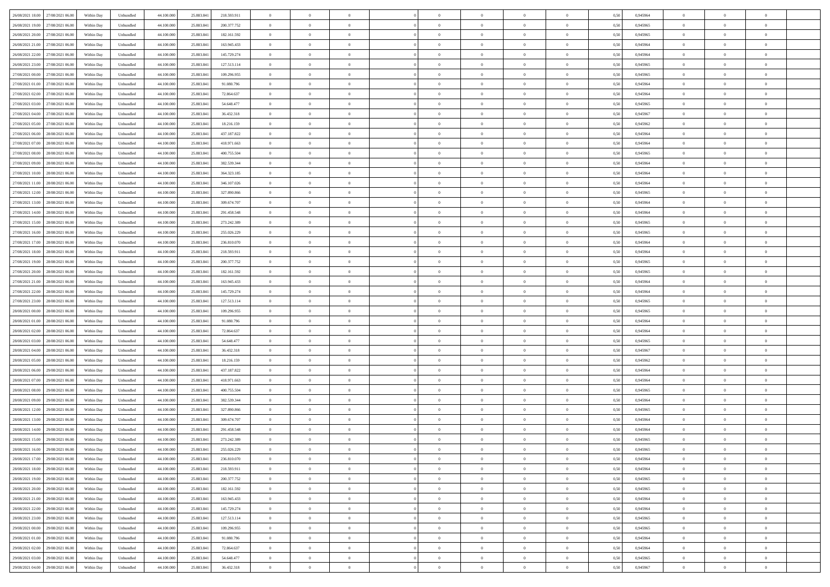| 26/08/2021 18:00 27/08/2021 06:00    | Within Day | Unbundled         | 44.100.000 | 25.883.841 | 218.593.911 | $\overline{0}$ | $\overline{0}$ |                | $\overline{0}$ | $\theta$       |                | $\bf{0}$       | 0,50 | 0,945964 | $\theta$       | $\theta$       | $\overline{0}$ |  |
|--------------------------------------|------------|-------------------|------------|------------|-------------|----------------|----------------|----------------|----------------|----------------|----------------|----------------|------|----------|----------------|----------------|----------------|--|
| 26/08/2021 19:00<br>27/08/2021 06.00 | Within Day | Unbundled         | 44.100.00  | 25.883.84  | 200.377.752 | $\bf{0}$       | $\overline{0}$ | $\bf{0}$       | $\overline{0}$ | $\bf{0}$       | $\overline{0}$ | $\bf{0}$       | 0,50 | 0,945965 | $\,$ 0 $\,$    | $\bf{0}$       | $\overline{0}$ |  |
| 26/08/2021 20:00<br>27/08/2021 06:00 | Within Day | Unbundled         | 44,100,000 | 25.883.841 | 182.161.592 | $\overline{0}$ | $\bf{0}$       | $\overline{0}$ | $\bf{0}$       | $\bf{0}$       | $\overline{0}$ | $\bf{0}$       | 0.50 | 0.945965 | $\bf{0}$       | $\overline{0}$ | $\overline{0}$ |  |
| 26/08/2021 21:00<br>27/08/2021 06:00 |            |                   | 44.100.000 |            |             | $\overline{0}$ | $\overline{0}$ | $\overline{0}$ | $\theta$       | $\theta$       | $\overline{0}$ | $\bf{0}$       |      |          | $\theta$       | $\theta$       | $\overline{0}$ |  |
|                                      | Within Day | Unbundled         |            | 25.883.841 | 163.945.433 |                |                |                |                |                |                |                | 0,50 | 0,945964 |                |                |                |  |
| 26/08/2021 22:00<br>27/08/2021 06.00 | Within Day | Unbundled         | 44.100.00  | 25.883.84  | 145.729.274 | $\bf{0}$       | $\overline{0}$ | $\bf{0}$       | $\overline{0}$ | $\theta$       | $\overline{0}$ | $\bf{0}$       | 0,50 | 0,945964 | $\,$ 0 $\,$    | $\bf{0}$       | $\overline{0}$ |  |
| 26/08/2021 23:00<br>27/08/2021 06:00 | Within Day | Unbundled         | 44,100,000 | 25,883,84  | 127.513.114 | $\overline{0}$ | $\overline{0}$ | $\overline{0}$ | $\bf{0}$       | $\overline{0}$ | $\theta$       | $\bf{0}$       | 0.50 | 0.945965 | $\bf{0}$       | $\theta$       | $\overline{0}$ |  |
| 27/08/2021 00:00<br>27/08/2021 06:00 | Within Day | Unbundled         | 44.100.000 | 25.883.841 | 109.296.955 | $\overline{0}$ | $\overline{0}$ | $\overline{0}$ | $\overline{0}$ | $\theta$       | $\overline{0}$ | $\bf{0}$       | 0,50 | 0,945965 | $\theta$       | $\theta$       | $\overline{0}$ |  |
|                                      |            |                   |            |            |             |                |                |                |                |                |                |                |      |          |                |                |                |  |
| 27/08/2021 01:00<br>27/08/2021 06:00 | Within Day | Unbundled         | 44.100.00  | 25.883.84  | 91.080.796  | $\bf{0}$       | $\overline{0}$ | $\overline{0}$ | $\overline{0}$ | $\theta$       | $\overline{0}$ | $\bf{0}$       | 0,50 | 0,945964 | $\,$ 0 $\,$    | $\bf{0}$       | $\overline{0}$ |  |
| 27/08/2021 02:00<br>27/08/2021 06:00 | Within Day | Unbundled         | 44,100,00  | 25,883,84  | 72.864.637  | $\overline{0}$ | $\bf{0}$       | $\overline{0}$ | $\bf{0}$       | $\overline{0}$ | $\overline{0}$ | $\bf{0}$       | 0.50 | 0.945964 | $\bf{0}$       | $\overline{0}$ | $\overline{0}$ |  |
| 27/08/2021 03:00<br>27/08/2021 06:00 | Within Day | Unbundled         | 44.100.000 | 25.883.841 | 54.648.477  | $\overline{0}$ | $\bf{0}$       | $\overline{0}$ | $\overline{0}$ | $\theta$       | $\overline{0}$ | $\bf{0}$       | 0,50 | 0,945965 | $\,$ 0 $\,$    | $\theta$       | $\overline{0}$ |  |
| 27/08/2021 04:00<br>27/08/2021 06:00 | Within Day | Unbundled         | 44.100.00  | 25.883.841 | 36.432.318  | $\bf{0}$       | $\overline{0}$ | $\bf{0}$       | $\overline{0}$ | $\bf{0}$       | $\overline{0}$ | $\bf{0}$       | 0,50 | 0,945967 | $\,$ 0 $\,$    | $\bf{0}$       | $\overline{0}$ |  |
|                                      |            |                   |            |            |             |                |                |                |                |                |                |                |      |          |                |                |                |  |
| 27/08/2021 05:00<br>27/08/2021 06:00 | Within Day | Unbundled         | 44,100,000 | 25,883,84  | 18.216.159  | $\overline{0}$ | $\bf{0}$       | $\overline{0}$ | $\bf{0}$       | $\bf{0}$       | $\overline{0}$ | $\bf{0}$       | 0.50 | 0.945962 | $\bf{0}$       | $\overline{0}$ | $\overline{0}$ |  |
| 27/08/2021 06:00<br>28/08/2021 06:00 | Within Day | Unbundled         | 44.100.000 | 25.883.841 | 437.187.822 | $\overline{0}$ | $\overline{0}$ | $\overline{0}$ | $\overline{0}$ | $\theta$       | $\overline{0}$ | $\overline{0}$ | 0,50 | 0,945964 | $\,$ 0 $\,$    | $\theta$       | $\overline{0}$ |  |
| 27/08/2021 07:00<br>28/08/2021 06:00 | Within Day | Unbundled         | 44.100.00  | 25.883.84  | 418.971.663 | $\bf{0}$       | $\theta$       | $\bf{0}$       | $\overline{0}$ | $\theta$       | $\overline{0}$ | $\bf{0}$       | 0,50 | 0,945964 | $\bf{0}$       | $\bf{0}$       | $\overline{0}$ |  |
| 27/08/2021 08:00<br>28/08/2021 06:00 | Within Day | Unbundled         | 44,100,00  | 25,883,84  | 400.755.504 | $\overline{0}$ | $\overline{0}$ | $\overline{0}$ | $\bf{0}$       | $\bf{0}$       | $\Omega$       | $\bf{0}$       | 0.50 | 0.945965 | $\theta$       | $\theta$       | $\overline{0}$ |  |
|                                      |            |                   |            |            |             |                |                |                |                |                |                |                |      |          |                |                |                |  |
| 27/08/2021 09:00<br>28/08/2021 06:00 | Within Day | Unbundled         | 44.100.000 | 25.883.841 | 382.539.344 | $\overline{0}$ | $\overline{0}$ | $\overline{0}$ | $\overline{0}$ | $\overline{0}$ | $\overline{0}$ | $\bf{0}$       | 0,50 | 0,945964 | $\theta$       | $\theta$       | $\overline{0}$ |  |
| 27/08/2021 10:00<br>28/08/2021 06:00 | Within Day | Unbundled         | 44.100.00  | 25.883.84  | 364.323.185 | $\bf{0}$       | $\overline{0}$ | $\overline{0}$ | $\overline{0}$ | $\theta$       | $\overline{0}$ | $\bf{0}$       | 0,50 | 0,945964 | $\,$ 0 $\,$    | $\bf{0}$       | $\overline{0}$ |  |
| 27/08/2021 11:00<br>28/08/2021 06:00 | Within Day | Unbundled         | 44,100,00  | 25,883,84  | 346.107.026 | $\overline{0}$ | $\bf{0}$       | $\overline{0}$ | $\bf{0}$       | $\overline{0}$ | $\overline{0}$ | $\bf{0}$       | 0.50 | 0.945964 | $\bf{0}$       | $\overline{0}$ | $\overline{0}$ |  |
| 27/08/2021 12:00<br>28/08/2021 06:00 | Within Day | Unbundled         | 44.100.000 | 25.883.841 | 327.890.866 | $\overline{0}$ | $\overline{0}$ | $\overline{0}$ | $\overline{0}$ | $\overline{0}$ | $\overline{0}$ | $\bf{0}$       | 0,50 | 0,945965 | $\,$ 0 $\,$    | $\theta$       | $\overline{0}$ |  |
|                                      |            |                   |            |            |             |                |                |                |                |                |                |                |      |          |                |                |                |  |
| 27/08/2021 13:00<br>28/08/2021 06:00 | Within Day | Unbundled         | 44.100.00  | 25.883.84  | 309.674.707 | $\bf{0}$       | $\overline{0}$ | $\bf{0}$       | $\bf{0}$       | $\overline{0}$ | $\overline{0}$ | $\bf{0}$       | 0,50 | 0,945964 | $\,$ 0 $\,$    | $\bf{0}$       | $\overline{0}$ |  |
| 27/08/2021 14:00<br>28/08/2021 06:00 | Within Day | Unbundled         | 44,100,000 | 25.883.841 | 291.458.548 | $\overline{0}$ | $\bf{0}$       | $\overline{0}$ | $\bf{0}$       | $\bf{0}$       | $\overline{0}$ | $\bf{0}$       | 0.50 | 0.945964 | $\bf{0}$       | $\overline{0}$ | $\overline{0}$ |  |
| 27/08/2021 15:00<br>28/08/2021 06:00 | Within Day | Unbundled         | 44.100.000 | 25.883.841 | 273.242.389 | $\overline{0}$ | $\overline{0}$ | $\overline{0}$ | $\theta$       | $\theta$       | $\overline{0}$ | $\bf{0}$       | 0,50 | 0,945965 | $\theta$       | $\theta$       | $\overline{0}$ |  |
| 27/08/2021 16:00<br>28/08/2021 06:00 | Within Day | Unbundled         | 44.100.00  | 25.883.84  | 255.026.229 | $\bf{0}$       | $\overline{0}$ | $\bf{0}$       | $\bf{0}$       | $\bf{0}$       | $\overline{0}$ | $\bf{0}$       | 0,50 | 0,945965 | $\,$ 0 $\,$    | $\bf{0}$       | $\overline{0}$ |  |
|                                      |            |                   |            |            |             |                |                |                |                |                |                |                |      |          |                |                |                |  |
| 27/08/2021 17:00<br>28/08/2021 06:00 | Within Day | Unbundled         | 44,100,00  | 25,883,84  | 236,810,070 | $\overline{0}$ | $\overline{0}$ | $\overline{0}$ | $\overline{0}$ | $\overline{0}$ | $\Omega$       | $\bf{0}$       | 0.50 | 0.945964 | $\bf{0}$       | $\theta$       | $\overline{0}$ |  |
| 27/08/2021 18:00<br>28/08/2021 06:00 | Within Day | Unbundled         | 44.100.000 | 25.883.841 | 218.593.911 | $\overline{0}$ | $\overline{0}$ | $\overline{0}$ | $\overline{0}$ | $\overline{0}$ | $\overline{0}$ | $\bf{0}$       | 0,50 | 0,945964 | $\theta$       | $\theta$       | $\overline{0}$ |  |
| 27/08/2021 19:00<br>28/08/2021 06:00 | Within Day | Unbundled         | 44.100.00  | 25.883.84  | 200.377.752 | $\bf{0}$       | $\overline{0}$ | $\bf{0}$       | $\overline{0}$ | $\theta$       | $\overline{0}$ | $\bf{0}$       | 0,50 | 0,945965 | $\,$ 0 $\,$    | $\bf{0}$       | $\overline{0}$ |  |
| 27/08/2021 20:00<br>28/08/2021 06:00 | Within Day | Unbundled         | 44,100,00  | 25,883,84  | 182.161.592 | $\overline{0}$ | $\bf{0}$       | $\overline{0}$ | $\bf{0}$       | $\overline{0}$ | $\overline{0}$ | $\bf{0}$       | 0.50 | 0.945965 | $\bf{0}$       | $\overline{0}$ | $\overline{0}$ |  |
| 27/08/2021 21:00<br>28/08/2021 06:00 | Within Day | Unbundled         | 44.100.000 | 25.883.841 | 163.945.433 | $\overline{0}$ | $\overline{0}$ | $\overline{0}$ | $\overline{0}$ | $\overline{0}$ | $\overline{0}$ | $\bf{0}$       | 0,50 | 0,945964 | $\theta$       | $\theta$       | $\overline{0}$ |  |
|                                      |            |                   |            |            |             |                |                |                |                |                |                |                |      |          |                |                |                |  |
| 27/08/2021 22:00<br>28/08/2021 06:00 | Within Day | Unbundled         | 44.100.00  | 25.883.84  | 145.729.274 | $\bf{0}$       | $\bf{0}$       | $\bf{0}$       | $\bf{0}$       | $\overline{0}$ | $\overline{0}$ | $\bf{0}$       | 0,50 | 0,945964 | $\,$ 0 $\,$    | $\bf{0}$       | $\overline{0}$ |  |
| 27/08/2021 23:00<br>28/08/2021 06:00 | Within Day | Unbundled         | 44,100,000 | 25,883,84  | 127.513.114 | $\overline{0}$ | $\bf{0}$       | $\overline{0}$ | $\bf{0}$       | $\bf{0}$       | $\overline{0}$ | $\bf{0}$       | 0.50 | 0.945965 | $\bf{0}$       | $\overline{0}$ | $\overline{0}$ |  |
| 28/08/2021 00:00<br>28/08/2021 06:00 | Within Day | Unbundled         | 44.100.000 | 25,883,84  | 109.296.955 | $\overline{0}$ | $\overline{0}$ | $\overline{0}$ | $\overline{0}$ | $\overline{0}$ | $\overline{0}$ | $\bf{0}$       | 0.5( | 0.945965 | $\theta$       | $\theta$       | $\overline{0}$ |  |
| 28/08/2021 01:00<br>28/08/2021 06:00 | Within Day | Unbundled         | 44.100.00  | 25.883.84  | 91.080.796  | $\bf{0}$       | $\overline{0}$ | $\bf{0}$       | $\overline{0}$ | $\overline{0}$ | $\overline{0}$ | $\bf{0}$       | 0,50 | 0,945964 | $\,$ 0 $\,$    | $\bf{0}$       | $\overline{0}$ |  |
|                                      |            |                   |            |            |             |                |                |                |                |                |                |                |      |          |                |                |                |  |
| 28/08/2021 02:00<br>28/08/2021 06:00 | Within Day | Unbundled         | 44,100,00  | 25,883,84  | 72.864.637  | $\overline{0}$ | $\overline{0}$ | $\overline{0}$ | $\bf{0}$       | $\overline{0}$ | $\Omega$       | $\bf{0}$       | 0.50 | 0.945964 | $\,$ 0 $\,$    | $\theta$       | $\overline{0}$ |  |
| 28/08/2021 03:00<br>28/08/2021 06:00 | Within Dav | Unbundled         | 44.100.000 | 25.883.841 | 54.648.477  | $\overline{0}$ | $\overline{0}$ | $\Omega$       | $\overline{0}$ | $\overline{0}$ | $\overline{0}$ | $\overline{0}$ | 0.50 | 0,945965 | $\theta$       | $\theta$       | $\overline{0}$ |  |
| 28/08/2021 04:00<br>28/08/2021 06:00 | Within Day | Unbundled         | 44.100.00  | 25.883.84  | 36.432.318  | $\bf{0}$       | $\overline{0}$ | $\bf{0}$       | $\bf{0}$       | $\bf{0}$       | $\overline{0}$ | $\bf{0}$       | 0,50 | 0,945967 | $\,$ 0 $\,$    | $\bf{0}$       | $\overline{0}$ |  |
| 28/08/2021 05:00<br>28/08/2021 06:00 | Within Day | Unbundled         | 44,100,00  | 25,883,84  | 18.216.159  | $\overline{0}$ | $\bf{0}$       | $\overline{0}$ | $\bf{0}$       | $\overline{0}$ | $\overline{0}$ | $\bf{0}$       | 0.50 | 0.945962 | $\bf{0}$       | $\overline{0}$ | $\overline{0}$ |  |
| 28/08/2021 06:00<br>29/08/2021 06:00 | Within Dav | Unbundled         | 44.100.000 | 25,883,84  | 437.187.822 | $\overline{0}$ | $\overline{0}$ | $\overline{0}$ | $\overline{0}$ | $\overline{0}$ | $\overline{0}$ | $\overline{0}$ | 0.50 | 0,945964 | $\theta$       | $\theta$       | $\overline{0}$ |  |
|                                      |            |                   |            |            |             |                |                |                |                |                |                |                |      |          |                |                |                |  |
| 28/08/2021 07:00<br>29/08/2021 06.00 | Within Day | Unbundled         | 44.100.00  | 25.883.84  | 418.971.663 | $\bf{0}$       | $\bf{0}$       | $\bf{0}$       | $\bf{0}$       | $\overline{0}$ | $\overline{0}$ | $\bf{0}$       | 0,50 | 0,945964 | $\,$ 0 $\,$    | $\bf{0}$       | $\overline{0}$ |  |
| 28/08/2021 08:00<br>29/08/2021 06:00 | Within Day | Unbundled         | 44,100,000 | 25,883,84  | 400.755.504 | $\overline{0}$ | $\bf{0}$       | $\overline{0}$ | $\bf{0}$       | $\bf{0}$       | $\overline{0}$ | $\bf{0}$       | 0.50 | 0.945965 | $\bf{0}$       | $\overline{0}$ | $\overline{0}$ |  |
| 28/08/2021 09:00<br>29/08/2021 06:00 | Within Dav | Unbundled         | 44.100.000 | 25.883.841 | 382.539.344 | $\overline{0}$ | $\overline{0}$ | $\overline{0}$ | $\overline{0}$ | $\overline{0}$ | $\overline{0}$ | $\bf{0}$       | 0.50 | 0.945964 | $\theta$       | $\theta$       | $\overline{0}$ |  |
| 28/08/2021 12:00<br>29/08/2021 06.00 | Within Day | Unbundled         | 44.100.00  | 25.883.84  | 327.890.866 | $\bf{0}$       | $\overline{0}$ | $\bf{0}$       | $\overline{0}$ | $\,$ 0 $\,$    | $\overline{0}$ | $\bf{0}$       | 0,50 | 0,945965 | $\,$ 0 $\,$    | $\bf{0}$       | $\overline{0}$ |  |
|                                      |            |                   |            |            |             |                |                |                |                |                |                |                |      |          |                |                |                |  |
| 28/08/2021 13:00<br>29/08/2021 06:00 | Within Day | Unbundled         | 44,100,00  | 25,883,84  | 309.674.707 | $\overline{0}$ | $\overline{0}$ | $\Omega$       | $\overline{0}$ | $\bf{0}$       | $\theta$       | $\bf{0}$       | 0.50 | 0.945964 | $\bf{0}$       | $\theta$       | $\overline{0}$ |  |
| 28/08/2021 14:00<br>29/08/2021 06:00 | Within Dav | Unbundled         | 44.100.000 | 25,883,84  | 291.458.548 | $\overline{0}$ | $\overline{0}$ | $\Omega$       | $\overline{0}$ | $\theta$       | $\Omega$       | $\overline{0}$ | 0.5( | 0,945964 | $\theta$       | $\theta$       | $\overline{0}$ |  |
| 28/08/2021 15:00<br>29/08/2021 06:00 | Within Day | Unbundled         | 44.100.000 | 25.883.84  | 273.242.389 | $\bf{0}$       | $\bf{0}$       | $\overline{0}$ | $\bf{0}$       | $\bf{0}$       | $\overline{0}$ | $\bf{0}$       | 0,50 | 0,945965 | $\,$ 0 $\,$    | $\bf{0}$       | $\overline{0}$ |  |
| 28/08/2021 16:00 29/08/2021 06:00    | Within Day | ${\sf Unbundred}$ | 44.100.000 | 25.883.841 | 255.026.229 | $\overline{0}$ | $\Omega$       |                | $\Omega$       |                |                |                | 0,50 | 0.945965 | $\theta$       | $\overline{0}$ |                |  |
|                                      |            |                   |            |            |             |                |                |                |                |                |                |                |      |          |                |                |                |  |
| 28/08/2021 17:00 29/08/2021 06:00    | Within Day | Unbundled         | 44.100.000 | 25.883.841 | 236.810.070 | $\overline{0}$ | $\theta$       | $\Omega$       | $\theta$       | $\overline{0}$ | $\overline{0}$ | $\bf{0}$       | 0,50 | 0,945964 | $\theta$       | $\theta$       | $\overline{0}$ |  |
| 28/08/2021 18:00<br>29/08/2021 06:00 | Within Day | Unbundled         | 44.100.00  | 25.883.841 | 218.593.911 | $\overline{0}$ | $\bf{0}$       | $\overline{0}$ | $\overline{0}$ | $\bf{0}$       | $\overline{0}$ | $\bf{0}$       | 0,50 | 0,945964 | $\bf{0}$       | $\overline{0}$ | $\bf{0}$       |  |
| 28/08/2021 19:00 29/08/2021 06:00    | Within Day | Unbundled         | 44,100,000 | 25.883.841 | 200.377.752 | $\overline{0}$ | $\bf{0}$       | $\overline{0}$ | $\overline{0}$ | $\mathbf{0}$   | $\overline{0}$ | $\,$ 0 $\,$    | 0.50 | 0.945965 | $\overline{0}$ | $\bf{0}$       | $\,$ 0 $\,$    |  |
| 28/08/2021 20:00 29/08/2021 06:00    | Within Day | Unbundled         | 44.100.000 | 25.883.841 | 182.161.592 | $\overline{0}$ | $\overline{0}$ | $\overline{0}$ | $\overline{0}$ | $\overline{0}$ | $\overline{0}$ | $\bf{0}$       | 0,50 | 0,945965 | $\theta$       | $\theta$       | $\overline{0}$ |  |
|                                      |            |                   |            |            |             |                |                |                |                |                |                |                |      |          |                |                |                |  |
| 28/08/2021 21:00<br>29/08/2021 06:00 | Within Day | Unbundled         | 44.100.000 | 25.883.841 | 163.945.433 | $\overline{0}$ | $\bf{0}$       | $\overline{0}$ | $\overline{0}$ | $\overline{0}$ | $\overline{0}$ | $\bf{0}$       | 0,50 | 0,945964 | $\bf{0}$       | $\overline{0}$ | $\overline{0}$ |  |
| 28/08/2021 22:00<br>29/08/2021 06:00 | Within Day | Unbundled         | 44,100,000 | 25.883.841 | 145.729.274 | $\overline{0}$ | $\bf{0}$       | $\overline{0}$ | $\overline{0}$ | $\overline{0}$ | $\overline{0}$ | $\bf{0}$       | 0.50 | 0.945964 | $\,$ 0 $\,$    | $\theta$       | $\bf{0}$       |  |
| 28/08/2021 23:00<br>29/08/2021 06:00 | Within Dav | Unbundled         | 44.100.000 | 25.883.841 | 127.513.114 | $\overline{0}$ | $\overline{0}$ | $\overline{0}$ | $\overline{0}$ | $\overline{0}$ | $\overline{0}$ | $\bf{0}$       | 0.50 | 0,945965 | $\overline{0}$ | $\theta$       | $\overline{0}$ |  |
| 29/08/2021 00:00<br>29/08/2021 06:00 | Within Day | Unbundled         | 44.100.00  | 25.883.841 | 109.296.955 | $\overline{0}$ | $\overline{0}$ | $\overline{0}$ | $\overline{0}$ | $\overline{0}$ | $\overline{0}$ | $\bf{0}$       | 0,50 | 0,945965 | $\bf{0}$       | $\overline{0}$ | $\overline{0}$ |  |
|                                      |            | Unbundled         | 44,100,000 | 25,883,841 | 91.080.796  | $\overline{0}$ | $\overline{0}$ | $\overline{0}$ |                |                | $\overline{0}$ |                | 0.50 | 0.945964 | $\overline{0}$ | $\bf{0}$       | $\,$ 0         |  |
| 29/08/2021 01:00<br>29/08/2021 06:00 | Within Day |                   |            |            |             |                |                |                | $\overline{0}$ | $\overline{0}$ |                | $\bf{0}$       |      |          |                |                |                |  |
| 29/08/2021 02:00 29/08/2021 06:00    | Within Dav | Unbundled         | 44.100.000 | 25.883.841 | 72.864.637  | $\overline{0}$ | $\overline{0}$ | $\overline{0}$ | $\overline{0}$ | $\overline{0}$ | $\overline{0}$ | $\bf{0}$       | 0,50 | 0,945964 | $\overline{0}$ | $\theta$       | $\overline{0}$ |  |
| 29/08/2021 03:00<br>29/08/2021 06:00 | Within Day | Unbundled         | 44.100.00  | 25.883.841 | 54.648.477  | $\overline{0}$ | $\bf{0}$       | $\overline{0}$ | $\bf{0}$       | $\overline{0}$ | $\overline{0}$ | $\bf{0}$       | 0,50 | 0,945965 | $\bf{0}$       | $\bf{0}$       | $\overline{0}$ |  |
| 29/08/2021 04:00 29/08/2021 06:00    | Within Day | Unbundled         | 44.100.000 | 25.883.841 | 36.432.318  | $\overline{0}$ | $\bf{0}$       | $\overline{0}$ | $\overline{0}$ | $\,$ 0 $\,$    | $\overline{0}$ | $\bf{0}$       | 0,50 | 0,945967 | $\overline{0}$ | $\,$ 0 $\,$    | $\,$ 0 $\,$    |  |
|                                      |            |                   |            |            |             |                |                |                |                |                |                |                |      |          |                |                |                |  |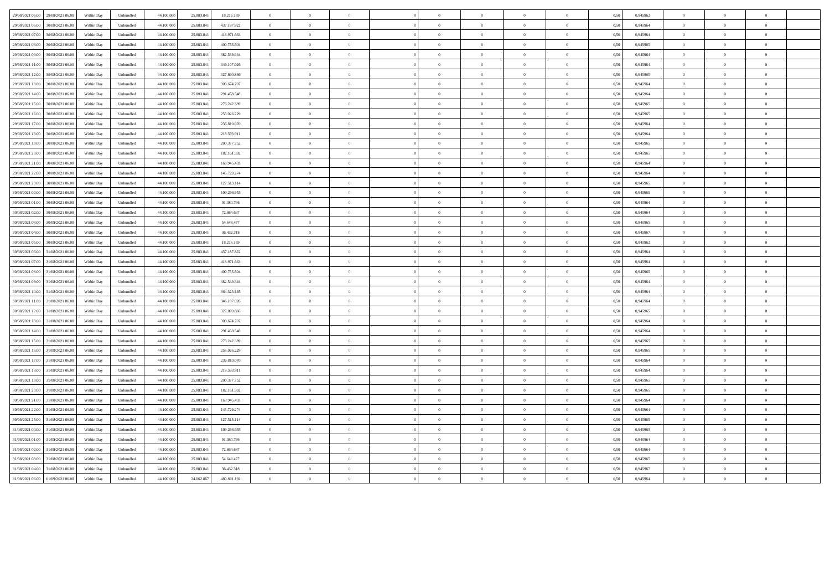| 29/08/2021 05:00 29/08/2021 06:00    | Within Day | Unbundled | 44.100.000 | 25.883.841 | 18.216.159  | $\overline{0}$ | $\Omega$       |                |                | $\theta$       |                |                | 0.50 | 0.945962 | $\overline{0}$ | $\Omega$       |                |  |
|--------------------------------------|------------|-----------|------------|------------|-------------|----------------|----------------|----------------|----------------|----------------|----------------|----------------|------|----------|----------------|----------------|----------------|--|
| 29/08/2021 06:00<br>30/08/2021 06:00 | Within Day | Unbundled | 44.100.000 | 25.883.841 | 437.187.822 | $\overline{0}$ | $\overline{0}$ | $\overline{0}$ | $\overline{0}$ | $\,$ 0 $\,$    | $\overline{0}$ | $\overline{0}$ | 0,50 | 0,945964 | $\overline{0}$ | $\overline{0}$ | $\mathbf{0}$   |  |
|                                      |            |           |            |            |             |                |                |                |                |                |                |                |      |          |                |                |                |  |
| 29/08/2021 07:00<br>30/08/2021 06:00 | Within Day | Unbundled | 44,100,000 | 25,883,84  | 418.971.663 | $\overline{0}$ | $\overline{0}$ | $\Omega$       | $\theta$       | $\overline{0}$ | $\overline{0}$ | $\theta$       | 0.50 | 0.945964 | $\overline{0}$ | $\overline{0}$ | $\theta$       |  |
| 29/08/2021 08:00<br>30/08/2021 06:00 | Within Day | Unbundled | 44 100 000 | 25 883 84  | 400 755 504 | $\overline{0}$ | $\overline{0}$ | $\mathbf{0}$   | $\theta$       | $\theta$       | $\overline{0}$ | $\overline{0}$ | 0.50 | 0.945965 | $\theta$       | $\theta$       | $\theta$       |  |
| 29/08/2021 09:00<br>30/08/2021 06:00 | Within Day | Unbundled | 44,100,00  | 25,883,84  | 382.539.344 | $\overline{0}$ | $\overline{0}$ | $\Omega$       | $\sqrt{2}$     | $\overline{0}$ | $\overline{0}$ | $\overline{0}$ | 0.50 | 0.945964 | $\overline{0}$ | $\overline{0}$ | $\theta$       |  |
| 29/08/2021 11:00<br>30/08/2021 06:00 | Within Day | Unbundled | 44.100.00  | 25.883.841 | 346.107.026 | $\overline{0}$ | $\overline{0}$ | $\overline{0}$ |                | $\overline{0}$ | $\theta$       | $\overline{0}$ | 0,50 | 0,945964 | $\mathbf{0}$   | $\overline{0}$ |                |  |
| 29/08/2021 12:00<br>30/08/2021 06:00 | Within Day | Unbundled | 44.100.000 | 25.883.841 | 327.890.866 | $\overline{0}$ | $\overline{0}$ | $\overline{0}$ |                | $\overline{0}$ | $\overline{0}$ | $\overline{0}$ | 0,50 | 0,945965 | $\theta$       | $\overline{0}$ |                |  |
| 29/08/2021 13:00<br>30/08/2021 06:00 | Within Day | Unbundled | 44 100 000 | 25 883 841 | 309.674.707 | $\Omega$       | $\Omega$       | $\sqrt{2}$     | $\sqrt{2}$     | $\theta$       | $\Omega$       | $\theta$       | 0.50 | 0.945964 | $\Omega$       | $\Omega$       | $\sqrt{ }$     |  |
| 29/08/2021 14:00<br>30/08/2021 06:00 | Within Day | Unbundled | 44,100,000 | 25,883,841 | 291.458.548 | $\overline{0}$ | $\overline{0}$ | $\overline{0}$ | $\overline{0}$ | $\mathbf{0}$   | $\overline{0}$ | $\overline{0}$ | 0.50 | 0.945964 | $\overline{0}$ | $\overline{0}$ | $\overline{0}$ |  |
|                                      |            |           |            |            |             |                |                |                |                |                |                |                |      |          |                |                |                |  |
| 29/08/2021 15:00<br>30/08/2021 06:00 | Within Day | Unbundled | 44,100,00  | 25,883,841 | 273.242.389 | $\overline{0}$ | $\overline{0}$ | $\Omega$       | $\Omega$       | $\,$ 0         | $\overline{0}$ | $\theta$       | 0.50 | 0.945965 | $\overline{0}$ | $\Omega$       | $\theta$       |  |
| 29/08/2021 16:00<br>30/08/2021 06:00 | Within Day | Unbundled | 44.100.000 | 25.883.841 | 255.026.229 | $\overline{0}$ | $\,$ 0 $\,$    | $\overline{0}$ | $\overline{0}$ | $\,$ 0 $\,$    | $\,$ 0 $\,$    | $\overline{0}$ | 0,50 | 0,945965 | $\overline{0}$ | $\overline{0}$ | $\overline{0}$ |  |
| 29/08/2021 17:00<br>30/08/2021 06:00 | Within Day | Unbundled | 44,100,000 | 25,883,841 | 236,810,070 | $\overline{0}$ | $\overline{0}$ | $\Omega$       | $\sqrt{2}$     | $\overline{0}$ | $\overline{0}$ | $\theta$       | 0.50 | 0.945964 | $\overline{0}$ | $\overline{0}$ | $\sqrt{2}$     |  |
| 29/08/2021 18:00<br>30/08/2021 06:00 | Within Day | Unbundled | 44 100 00  | 25 883 84  | 218 593 911 | $\overline{0}$ | $\theta$       | $\mathbf{0}$   | $\Omega$       | $\theta$       | $\Omega$       | $\mathbf{0}$   | 0.50 | 0.945964 | $\Omega$       | $\Omega$       | $\theta$       |  |
| 29/08/2021 19:00<br>30/08/2021 06:00 | Within Day | Unbundled | 44.100.000 | 25.883.841 | 200.377.752 | $\overline{0}$ | $\overline{0}$ | $\overline{0}$ | $\Omega$       | $\overline{0}$ | $\overline{0}$ | $\overline{0}$ | 0,50 | 0.945965 | $\overline{0}$ | $\overline{0}$ | $\theta$       |  |
| 29/08/2021 20:00<br>30/08/2021 06:00 | Within Day | Unbundled | 44.100.00  | 25.883.841 | 182.161.592 | $\overline{0}$ | $\overline{0}$ | $\overline{0}$ |                | $\theta$       | $\theta$       | $\overline{0}$ | 0,50 | 0,945965 | $\mathbf{0}$   | $\overline{0}$ |                |  |
| 29/08/2021 21:00<br>30/08/2021 06:00 | Within Day | Unbundled | 44.100.000 | 25.883.841 | 163.945.433 | $\overline{0}$ | $\bf{0}$       | $\overline{0}$ | $\overline{0}$ | $\overline{0}$ | $\,$ 0 $\,$    | $\overline{0}$ | 0,50 | 0,945964 | $\overline{0}$ | $\overline{0}$ |                |  |
|                                      |            |           |            |            |             |                |                |                |                |                |                |                |      |          |                |                |                |  |
| 29/08/2021 22:00<br>30/08/2021 06:00 | Within Day | Unbundled | 44 100 00  | 25 883 841 | 145 729 274 | $\Omega$       | $\theta$       | $\sqrt{2}$     | $\sqrt{2}$     | $\Omega$       | $\Omega$       | $\theta$       | 0.50 | 0.945964 | $\Omega$       | $\Omega$       | $\sqrt{ }$     |  |
| 29/08/2021 23:00<br>30/08/2021 06:00 | Within Day | Unbundled | 44,100,000 | 25,883,841 | 127.513.114 | $\overline{0}$ | $\overline{0}$ | $\overline{0}$ | $\overline{0}$ | $\bf{0}$       | $\overline{0}$ | $\overline{0}$ | 0.50 | 0.945965 | $\overline{0}$ | $\overline{0}$ | $\overline{0}$ |  |
| 30/08/2021 00:00<br>30/08/2021 06:00 | Within Day | Unbundled | 44.100.000 | 25.883.841 | 109.296.955 | $\overline{0}$ | $\overline{0}$ | $\Omega$       | $\overline{0}$ | $\,$ 0         | $\overline{0}$ | $\theta$       | 0,50 | 0.945965 | $\overline{0}$ | $\overline{0}$ | $\overline{0}$ |  |
| 30/08/2021 01:00<br>30/08/2021 06:00 | Within Day | Unbundled | 44.100.000 | 25.883.841 | 91.080.796  | $\overline{0}$ | $\overline{0}$ | $\overline{0}$ | $\overline{0}$ | $\,$ 0 $\,$    | $\overline{0}$ | $\overline{0}$ | 0,50 | 0,945964 | $\overline{0}$ | $\overline{0}$ | $\overline{0}$ |  |
| 30/08/2021 02:00<br>30/08/2021 06:00 | Within Day | Unbundled | 44 100 000 | 25 883 841 | 72.864.637  | $\Omega$       | $\overline{0}$ | $\sqrt{2}$     | $\sqrt{2}$     | $\Omega$       | $\Omega$       | $\theta$       | 0.50 | 0.945964 | $\Omega$       | $\Omega$       | $\sqrt{2}$     |  |
| 30/08/2021 03:00<br>30/08/2021 06:00 | Within Day | Unbundled | 44 100 00  | 25 883 84  | 54 648 477  | $\overline{0}$ | $\theta$       | $\mathbf{0}$   | $\Omega$       | $\theta$       | $\Omega$       | $\mathbf{0}$   | 0.50 | 0.945965 | $\theta$       | $\theta$       | $\theta$       |  |
| 30/08/2021 04:00<br>30/08/2021 06:00 | Within Day | Unbundled | 44.100.00  | 25.883.841 | 36.432.318  | $\overline{0}$ | $\overline{0}$ | $\overline{0}$ | $\theta$       | $\,$ 0         | $\overline{0}$ | $\overline{0}$ | 0,50 | 0,945967 | $\overline{0}$ | $\overline{0}$ | $\sqrt{2}$     |  |
|                                      |            |           |            |            |             |                |                |                |                |                |                |                |      |          |                |                |                |  |
| 30/08/2021 05:00<br>30/08/2021 06:00 | Within Day | Unbundled | 44.100.000 | 25.883.841 | 18.216.159  | $\overline{0}$ | $\overline{0}$ | $\overline{0}$ |                | $\overline{0}$ | $\theta$       | $\overline{0}$ | 0,50 | 0,945962 | $\theta$       | $\overline{0}$ |                |  |
| 30/08/2021 06:00<br>31/08/2021 06:00 | Within Day | Unbundled | 44.100.000 | 25.883.841 | 437.187.822 | $\overline{0}$ | $\overline{0}$ | $\Omega$       | $\Omega$       | $\overline{0}$ | $\overline{0}$ | $\theta$       | 0,50 | 0,945964 | $\overline{0}$ | $\Omega$       |                |  |
| 30/08/2021 07:00<br>31/08/2021 06:00 | Within Day | Unbundled | 44 100 000 | 25 883 841 | 418 971 663 | $\theta$       | $\theta$       | $\theta$       | $\sqrt{2}$     | $\Omega$       | $\Omega$       | $\theta$       | 0.50 | 0.945964 | $\Omega$       | $\Omega$       |                |  |
| 30/08/2021 08:00<br>31/08/2021 06:00 | Within Day | Unbundled | 44,100,000 | 25,883,841 | 400.755.504 | $\overline{0}$ | $\overline{0}$ | $\overline{0}$ | $\overline{0}$ | $\,$ 0 $\,$    | $\overline{0}$ | $\overline{0}$ | 0.50 | 0.945965 | $\overline{0}$ | $\overline{0}$ | $\overline{0}$ |  |
| 30/08/2021 09:00<br>31/08/2021 06:00 | Within Day | Unbundled | 44.100.000 | 25.883.841 | 382.539.344 | $\overline{0}$ | $\overline{0}$ | $\overline{0}$ | $\overline{0}$ | $\,$ 0         | $\overline{0}$ | $\overline{0}$ | 0,50 | 0,945964 | $\overline{0}$ | $\overline{0}$ | $\overline{0}$ |  |
| 30/08/2021 10:00<br>31/08/2021 06:00 | Within Day | Unbundled | 44.100.000 | 25.883.841 | 364.323.185 | $\overline{0}$ | $\overline{0}$ | $\overline{0}$ | $\overline{0}$ | $\,$ 0 $\,$    | $\overline{0}$ | $\overline{0}$ | 0,50 | 0,945964 | $\overline{0}$ | $\overline{0}$ | $\overline{0}$ |  |
| 30/08/2021 11:00<br>31/08/2021 06:00 | Within Day | Unbundled | 44 100 000 | 25 883 841 | 346 107 026 | $\Omega$       | $\Omega$       | $\theta$       | $\sqrt{2}$     | $\theta$       | $\Omega$       | $\theta$       | 0.50 | 0.945964 | $\Omega$       | $\Omega$       | $\sqrt{2}$     |  |
| 30/08/2021 12:00<br>31/08/2021 06:00 | Within Day | Unbundled | 44.100.00  | 25.883.841 | 327.890.866 | $\overline{0}$ | $\overline{0}$ | $\overline{0}$ | $\sqrt{2}$     | $\,$ 0         | $\overline{0}$ | $\overline{0}$ | 0,50 | 0,945965 | $\overline{0}$ | $\overline{0}$ | $\theta$       |  |
|                                      |            |           |            |            |             |                |                |                |                |                |                |                |      |          |                |                |                |  |
| 30/08/2021 13:00<br>31/08/2021 06:00 | Within Day | Unbundled | 44.100.00  | 25.883.841 | 309.674.707 | $\overline{0}$ | $\overline{0}$ | $\overline{0}$ | $\overline{0}$ | $\,$ 0         | $\overline{0}$ | $\,$ 0 $\,$    | 0,50 | 0,945964 | $\overline{0}$ | $\,$ 0 $\,$    | $\theta$       |  |
| 30/08/2021 14:00<br>31/08/2021 06:00 | Within Day | Unbundled | 44.100.000 | 25.883.841 | 291.458.548 | $\overline{0}$ | $\overline{0}$ | $\overline{0}$ |                | $\overline{0}$ | $\theta$       | $\overline{0}$ | 0,50 | 0,945964 | $\theta$       | $\overline{0}$ |                |  |
| 30/08/2021 15:00<br>31/08/2021 06:00 | Within Day | Unbundled | 44 100 000 | 25 883 841 | 273 242 389 | $\overline{0}$ | $\Omega$       | $\theta$       | $\Omega$       | $\theta$       | $\Omega$       | $\Omega$       | 0.50 | 0.945965 | $\Omega$       | $\Omega$       | $\theta$       |  |
| 30/08/2021 16:00<br>31/08/2021 06:00 | Within Dav | Unbundled | 44 100 000 | 25 883 841 | 255 026 229 | $\Omega$       | $\theta$       | $\theta$       | $\Omega$       | $\Omega$       | $\Omega$       | $\theta$       | 0.50 | 0.945965 | $\Omega$       | $\Omega$       |                |  |
| 30/08/2021 17:00<br>31/08/2021 06:00 | Within Day | Unbundled | 44.100.000 | 25,883,841 | 236,810,070 | $\overline{0}$ | $\overline{0}$ | $\overline{0}$ | $\overline{0}$ | $\,$ 0 $\,$    | $\overline{0}$ | $\overline{0}$ | 0,50 | 0.945964 | $\overline{0}$ | $\overline{0}$ | $\overline{0}$ |  |
| 30/08/2021 18:00<br>31/08/2021 06:00 | Within Day | Unbundled | 44.100.000 | 25.883.841 | 218.593.911 | $\overline{0}$ | $\overline{0}$ | $\overline{0}$ | $\overline{0}$ | $\overline{0}$ | $\overline{0}$ | $\overline{0}$ | 0,50 | 0,945964 | $\overline{0}$ | $\overline{0}$ | $\overline{0}$ |  |
| 30/08/2021 19:00<br>31/08/2021 06:00 | Within Day | Unbundled | 44.100.000 | 25.883.841 | 200.377.752 | $\overline{0}$ | $\overline{0}$ | $\Omega$       | $\Omega$       | $\overline{0}$ | $\overline{0}$ | $\theta$       | 0,50 | 0,945965 | $\overline{0}$ | $\Omega$       | $\theta$       |  |
| 30/08/2021 20:00<br>31/08/2021 06:00 | Within Day | Unbundled | 44 100 000 | 25 883 841 | 182.161.592 | $\Omega$       | $\theta$       | $\theta$       | $\sqrt{2}$     | $\theta$       | $\Omega$       | $\theta$       | 0.50 | 0.945965 | $\Omega$       | $\Omega$       | $\theta$       |  |
|                                      |            |           |            |            |             |                |                | $\overline{0}$ | $\overline{0}$ |                |                |                |      |          |                |                | $\overline{0}$ |  |
| 30/08/2021 21:00<br>31/08/2021 06:00 | Within Day | Unbundled | 44.100.00  | 25.883.841 | 163.945.433 | $\overline{0}$ | $\overline{0}$ |                |                | $\,$ 0         | $\overline{0}$ | $\overline{0}$ | 0,50 | 0,945964 | $\overline{0}$ | $\overline{0}$ |                |  |
| 30/08/2021 22:00<br>31/08/2021 06:00 | Within Day | Unbundled | 44.100.00  | 25.883.841 | 145.729.274 | $\overline{0}$ | $\bf{0}$       | $\overline{0}$ | $\overline{0}$ | $\,$ 0         | $\,$ 0 $\,$    | $\bf{0}$       | 0,50 | 0,945964 | $\overline{0}$ | $\bf{0}$       |                |  |
| 30/08/2021 23:00<br>31/08/2021 06:00 | Within Day | Unbundled | 44.100.000 | 25.883.841 | 127.513.114 | $\theta$       | $\theta$       | $\Omega$       |                | $\theta$       | $\theta$       | $\theta$       | 0,50 | 0,945965 | $\theta$       | $\Omega$       |                |  |
| 31/08/2021 00:00<br>31/08/2021 06:00 | Within Day | Unbundled | 44 100 000 | 25 883 841 | 109 296 955 | $\overline{0}$ | $\Omega$       | $\theta$       | $\Omega$       | $\theta$       | $\Omega$       | $\Omega$       | 0.50 | 0.945965 | $\Omega$       | $\Omega$       | $\theta$       |  |
| 31/08/2021 01:00<br>31/08/2021 06:00 | Within Dav | Unbundled | 44 100 000 | 25 883 841 | 91 080 796  | $\overline{0}$ | $\Omega$       | $\Omega$       | $\Omega$       | $\theta$       | $\Omega$       | $\theta$       | 0.50 | 0.945964 | $\Omega$       | $\Omega$       |                |  |
| 31/08/2021 02:00<br>31/08/2021 06:00 | Within Day | Unbundled | 44.100.000 | 25.883.841 | 72.864.637  | $\overline{0}$ | $\overline{0}$ | $\overline{0}$ | $\overline{0}$ | $\,$ 0 $\,$    | $\overline{0}$ | $\bf{0}$       | 0,50 | 0,945964 | $\overline{0}$ | $\overline{0}$ | $\bf{0}$       |  |
| 31/08/2021 03:00<br>31/08/2021 06:00 | Within Day | Unbundled | 44.100.000 | 25.883.841 | 54.648.477  | $\overline{0}$ | $\overline{0}$ | $\overline{0}$ | $\overline{0}$ | $\overline{0}$ | $\theta$       |                | 0,50 | 0,945965 | $\overline{0}$ | $\overline{0}$ |                |  |
| 31/08/2021 04:00<br>31/08/2021 06:00 | Within Day | Unbundled | 44.100.000 | 25.883.841 | 36.432.318  | $\overline{0}$ | $\overline{0}$ | $\Omega$       | $\Omega$       | $\overline{0}$ | $\Omega$       | $\theta$       | 0,50 | 0,945967 | $\overline{0}$ | $\Omega$       | $\theta$       |  |
| 31/08/2021 06:00 01/09/2021 06:00    | Within Day | Unbundled | 44.100.000 | 24.062.867 | 480.891.192 | $\Omega$       | $\theta$       |                | $\sqrt{2}$     | $\theta$       | $\theta$       |                | 0,50 | 0.945964 | $\Omega$       |                | $\theta$       |  |
|                                      |            |           |            |            |             |                |                | $\theta$       |                |                |                |                |      |          |                | $\Omega$       |                |  |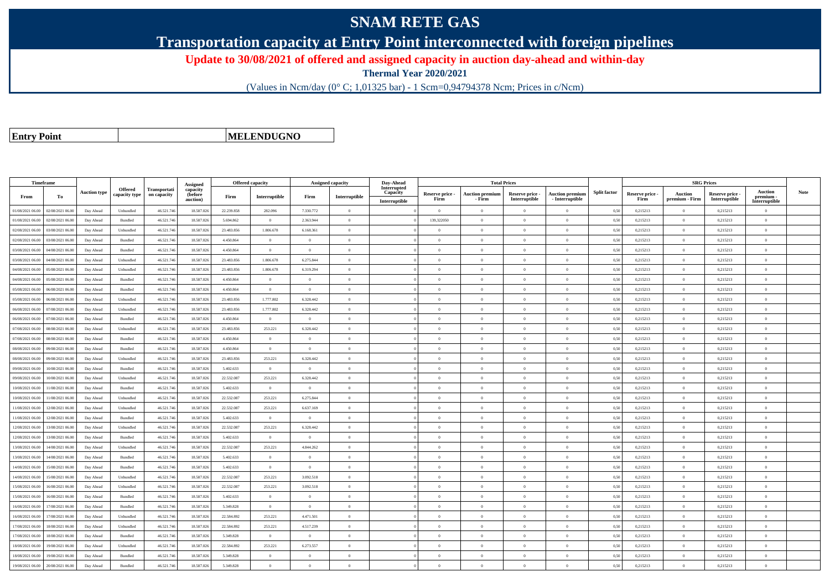## **SNAM RETE GAS**

**Transportation capacity at Entry Point interconnected with foreign pipelines**

**Update to 30/08/2021 of offered and assigned capacity in auction day-ahead and within-day**

**Thermal Year 2020/2021**

(Values in Ncm/day (0° C; 1,01325 bar) - 1 Scm=0,94794378 Ncm; Prices in c/Ncm)

**Entry Point**

**MELENDUGNO**

|                  | Timeframe        |                     |                                 |                             | Assigned                        | Offered capacity |                |                | Assigned capacity | Day-Ahead                                |                         | <b>Total Prices</b>              |                                  |                                           |                     |                         | <b>SRG Prices</b>         |                                  |                                              |             |
|------------------|------------------|---------------------|---------------------------------|-----------------------------|---------------------------------|------------------|----------------|----------------|-------------------|------------------------------------------|-------------------------|----------------------------------|----------------------------------|-------------------------------------------|---------------------|-------------------------|---------------------------|----------------------------------|----------------------------------------------|-------------|
| From             | To               | <b>Auction type</b> | <b>Offered</b><br>capacity type | Transportati<br>on capacity | capacity<br>(before<br>auction) | Firm             | Interruptible  | Firm           | Interruptible     | Interrupted<br>Capacity<br>Interruptible | Reserve price -<br>Firm | <b>Auction premium</b><br>- Firm | Reserve price -<br>Interruptible | <b>Auction premium</b><br>- Interruptible | <b>Split factor</b> | Reserve price -<br>Firm | Auction<br>premium - Firm | Reserve price -<br>Interruptible | <b>Auction</b><br>premium -<br>Interruptible | <b>Note</b> |
| 01/08/2021 06:00 | 02/08/2021 06:00 | Day Ahead           | Unbundled                       | 46.521.74                   | 18.587.026                      | 22.239.858       | 282.096        | 7.330.772      | $\Omega$          |                                          | $\theta$                | $\theta$                         | $\Omega$                         | $\Omega$                                  | 0,50                | 0,215213                | $\theta$                  | 0,215213                         | $\Omega$                                     |             |
| 01/08/2021 06:00 | 02/08/2021 06.00 | Day Ahead           | Bundled                         | 46.521.74                   | 18.587.026                      | 5.694.862        | $\theta$       | 2.363.944      | $\Omega$          |                                          | 139,322050              |                                  | $\Omega$                         | $\theta$                                  | 0,50                | 0,215213                | $\Omega$                  | 0,215213                         | $\Omega$                                     |             |
| 02/08/2021 06:00 | 03/08/2021 06:00 | Day Ahead           | Unbundled                       | 46.521.746                  | 18,587,026                      | 23,483,856       | 1.806,678      | 6.168.361      | $\overline{0}$    |                                          | $\Omega$                | $\theta$                         | $\Omega$                         | $\theta$                                  | 0,50                | 0,215213                | $\overline{0}$            | 0,215213                         | $\theta$                                     |             |
| 02/08/2021 06:00 | 03/08/2021 06:00 | Day Ahead           | Bundled                         | 46.521.746                  | 18.587.026                      | 4.450.864        | $\overline{0}$ | $\overline{0}$ | $\theta$          |                                          | $\theta$                | $\overline{0}$                   | $\overline{0}$                   | $\,0\,$                                   | 0,50                | 0,215213                | $\overline{0}$            | 0,215213                         | $\overline{0}$                               |             |
| 03/08/2021 06:00 | 04/08/2021 06.00 | Day Ahead           | Bundled                         | 46.521.74                   | 18.587.026                      | 4.450.864        | $\overline{0}$ | $\overline{0}$ | $\theta$          |                                          | $\theta$                | $\theta$                         | $\overline{0}$                   | $\mathbf{0}$                              | 0,50                | 0,215213                | $\overline{0}$            | 0,215213                         | $\Omega$                                     |             |
| 03/08/2021 06:00 | 04/08/2021 06.00 | Day Ahead           | Unbundled                       | 46.521.74                   | 18.587.026                      | 23.483.856       | 1.806.678      | 6.275.844      | $\Omega$          |                                          | $\theta$                | $\mathbf{a}$                     | $\theta$                         | $\mathbf{0}$                              | 0,50                | 0,215213                | $\theta$                  | 0,215213                         | $\Omega$                                     |             |
| 04/08/2021 06:00 | 05/08/2021 06:00 | Day Ahead           | Unbundled                       | 46.521.746                  | 18.587.026                      | 23.483.856       | 1.806.678      | 6.319.294      | $\theta$          |                                          | $\theta$                | $\theta$                         | $\overline{0}$                   | $\mathbf{0}$                              | 0,50                | 0,215213                | $\overline{0}$            | 0,215213                         | $\bf{0}$                                     |             |
| 04/08/2021 06:00 | 05/08/2021 06:00 | Day Ahead           | <b>Bundled</b>                  | 46.521.746                  | 18.587.026                      | 4.450.864        | $\Omega$       | $\Omega$       | $\Omega$          |                                          | $\theta$                |                                  | $\Omega$                         | $\Omega$                                  | 0.50                | 0,215213                | $\Omega$                  | 0.215213                         | $\Omega$                                     |             |
| 05/08/2021 06:00 | 06/08/2021 06:00 | Day Ahead           | Bundled                         | 46.521.74                   | 18.587.026                      | 4.450.864        | $\overline{0}$ | $\Omega$       | $\theta$          |                                          | $\theta$                | $\theta$                         | $\theta$                         | $\theta$                                  | 0,50                | 0,215213                | $\overline{0}$            | 0,215213                         | $\Omega$                                     |             |
| 05/08/2021 06:00 | 06/08/2021 06:00 | Day Ahead           | Unbundled                       | 46.521.746                  | 18.587.026                      | 23.483.856       | 1.777.802      | 6.328.442      | $\theta$          |                                          | $\theta$                | $\theta$                         | $\overline{0}$                   | $\mathbf{0}$                              | 0,50                | 0,215213                | $\overline{0}$            | 0,215213                         | $\bf{0}$                                     |             |
| 06/08/2021 06:00 | 07/08/2021 06:00 | Day Ahead           | Unbundled                       | 46.521.746                  | 18.587.026                      | 23,483,856       | 1.777.802      | 6.328.442      | $\Omega$          |                                          | $\Omega$                | $\theta$                         | $\overline{0}$                   | $\overline{0}$                            | 0.50                | 0,215213                | $\overline{0}$            | 0,215213                         | $\Omega$                                     |             |
| 06/08/2021 06.0  | 07/08/2021 06.0  | Day Ahead           | Bundled                         | 46.521.74                   | 18.587.026                      | 4.450.864        | $\overline{0}$ | $\overline{0}$ | $\theta$          |                                          | $\theta$                | $\theta$                         | $\theta$                         | $\mathbf{0}$                              | 0,50                | 0,215213                | $\overline{0}$            | 0,215213                         | $\bf{0}$                                     |             |
| 07/08/2021 06:00 | 08/08/2021 06:00 | Day Ahead           | Unbundled                       | 46.521.746                  | 18,587,026                      | 23,483,856       | 253.221        | 6.328.442      | $\Omega$          |                                          | $\theta$                | $\theta$                         | $\Omega$                         | $\theta$                                  | 0,50                | 0,215213                | $\theta$                  | 0,215213                         | $\theta$                                     |             |
| 07/08/2021 06:00 | 08/08/2021 06:00 | Day Ahead           | <b>Bundled</b>                  | 46.521.746                  | 18,587,026                      | 4.450.864        | $\overline{0}$ | $^{\circ}$     | $\Omega$          |                                          | $\theta$                | $\theta$                         | $\theta$                         | $\theta$                                  | 0,50                | 0,215213                | $\theta$                  | 0,215213                         | $\theta$                                     |             |
| 08/08/2021 06:00 | 09/08/2021 06.0  | Day Ahead           | Bundled                         | 46.521.74                   | 18,587,026                      | 4.450.864        | $\overline{0}$ | $\theta$       | $\theta$          |                                          | $\theta$                | $\theta$                         | $\theta$                         | $\mathbf{0}$                              | 0.50                | 0,215213                | $\overline{0}$            | 0,215213                         | $\bf{0}$                                     |             |
| 08/08/2021 06:00 | 09/08/2021 06:00 | Day Ahead           | Unbundled                       | 46.521.746                  | 18.587.026                      | 23.483.856       | 253.221        | 6.328.442      | $\overline{0}$    |                                          | $\theta$                | $\theta$                         | $\overline{0}$                   | $\,$ 0                                    | 0,50                | 0,215213                | $\,$ 0 $\,$               | 0,215213                         | $\bf{0}$                                     |             |
| 09/08/2021 06:00 | 10/08/2021 06:00 | Day Ahead           | Bundled                         | 46.521.746                  | 18.587.026                      | 5.402.633        | $\overline{0}$ | $\overline{0}$ | $\overline{0}$    |                                          | $\overline{0}$          | $\theta$                         | $\bf{0}$                         | $\,$ 0                                    | 0,50                | 0,215213                | $\overline{0}$            | 0,215213                         | $\overline{0}$                               |             |
| 09/08/2021 06:00 | 10/08/2021 06.0  | Day Ahead           | Unbundled                       | 46.521.74                   | 18.587.026                      | 22.532.087       | 253.221        | 6.328.442      | $\Omega$          |                                          | $\Omega$                |                                  | $\Omega$                         | $\Omega$                                  | 0,50                | 0,215213                | $\overline{0}$            | 0,215213                         | $\theta$                                     |             |
| 10/08/2021 06:00 | 1/08/2021 06:00  | Day Ahead           | Bundled                         | 46.521.74                   | 18.587.026                      | 5.402.633        | $\overline{0}$ | $\overline{0}$ | $\Omega$          |                                          | $\Omega$                | $\theta$                         | $\overline{0}$                   | $\theta$                                  | 0.50                | 0,215213                | $\overline{0}$            | 0,215213                         | $\Omega$                                     |             |
| 10/08/2021 06:00 | 11/08/2021 06:00 | Day Ahead           | Unbundled                       | 46.521.746                  | 18.587.026                      | 22.532.087       | 253.221        | 6.275.844      | $\theta$          |                                          | $\theta$                | $\theta$                         | $\overline{0}$                   | $\Omega$                                  | 0,50                | 0,215213                | $\overline{0}$            | 0,215213                         | $\Omega$                                     |             |
| 11/08/2021 06:00 | 12/08/2021 06:00 | Day Ahead           | Unbundled                       | 46.521.746                  | 18.587.026                      | 22.532.087       | 253.221        | 6.637.169      | $\theta$          |                                          | $\Omega$                |                                  | $\overline{0}$                   | $\mathbf{0}$                              | 0.50                | 0.215213                | $\overline{0}$            | 0.215213                         | $\Omega$                                     |             |
| 11/08/2021 06.00 | 12/08/2021 06:00 | Day Ahead           | Bundled                         | 46.521.74                   | 18.587.026                      | 5.402.633        | $\overline{0}$ | $\overline{0}$ | $\overline{0}$    |                                          | $\theta$                | $\mathbf{a}$                     | $\overline{0}$                   | $\overline{0}$                            | 0,50                | 0,215213                | $\,$ 0 $\,$               | 0,215213                         | $\overline{0}$                               |             |
| 12/08/2021 06:00 | 13/08/2021 06.0  | Day Ahead           | Unbundled                       | 46.521.74                   | 18.587.026                      | 22.532.087       | 253.221        | 6.328.442      | $\theta$          |                                          | $\theta$                | $\theta$                         | $\overline{0}$                   | $\mathbf{0}$                              | 0,50                | 0,215213                | $\overline{0}$            | 0,215213                         | $\bf{0}$                                     |             |
| 12/08/2021 06:00 | 13/08/2021 06:00 | Day Ahead           | <b>Bundled</b>                  | 46.521.746                  | 18,587,026                      | 5.402.633        | $\overline{0}$ | $\theta$       | $\theta$          |                                          | $\theta$                | $\theta$                         | $\theta$                         | $\theta$                                  | 0,50                | 0,215213                | $\overline{0}$            | 0,215213                         | $\Omega$                                     |             |
| 13/08/2021 06.0  | 14/08/2021 06.0  | Day Ahead           | Unbundled                       | 46.521.74                   | 18.587.026                      | 22.532.087       | 253.221        | 4.844.262      | $\theta$          |                                          | $\theta$                | $\theta$                         | $\Omega$                         | $\mathbf{0}$                              | 0,50                | 0,215213                | $\overline{0}$            | 0,215213                         | $\Omega$                                     |             |
| 13/08/2021 06:00 | 14/08/2021 06:00 | Day Ahead           | Bundled                         | 46.521.74                   | 18.587.026                      | 5.402.633        | $\theta$       | $\Omega$       | $\theta$          |                                          | $\theta$                | $\theta$                         | $\Omega$                         | $\theta$                                  | 0,50                | 0,215213                | $\overline{0}$            | 0,215213                         | $\theta$                                     |             |
| 14/08/2021 06:00 | 15/08/2021 06:00 | Day Ahead           | Bundled                         | 46.521.74                   | 18.587.026                      | 5.402.633        | $\overline{0}$ | $\Omega$       | $\theta$          |                                          | $\theta$                | $\theta$                         | $\overline{0}$                   | $\theta$                                  | 0.50                | 0,215213                | $\overline{0}$            | 0.215213                         | $\Omega$                                     |             |
| 14/08/2021 06.00 | 15/08/2021 06.0  | Day Ahead           | Unbundled                       | 46.521.74                   | 18.587.026                      | 22.532.087       | 253.221        | 3.092.518      | $\theta$          |                                          | $\theta$                | $\theta$                         | $\theta$                         | $\mathbf{0}$                              | 0,50                | 0,215213                | $\mathbf{0}$              | 0,215213                         | $\bf{0}$                                     |             |
| 15/08/2021 06:00 | 16/08/2021 06:00 | Day Ahead           | Unbundled                       | 46.521.746                  | 18.587.026                      | 22.532.087       | 253.221        | 3.092.518      | $\theta$          |                                          | $\Omega$                | $\theta$                         | $\overline{0}$                   | $\mathbf{0}$                              | 0,50                | 0,215213                | $\overline{0}$            | 0,215213                         | $\Omega$                                     |             |
| 15/08/2021 06:00 | 16/08/2021 06:00 | Day Ahead           | Bundled                         | 46.521.746                  | 18.587.026                      | 5.402.633        | $\overline{0}$ | $\Omega$       | $\Omega$          |                                          | $\Omega$                | $\theta$                         | $\overline{0}$                   | $\overline{0}$                            | 0,50                | 0,215213                | $\overline{0}$            | 0,215213                         | $\Omega$                                     |             |
| 16/08/2021 06:00 | 17/08/2021 06:00 | Day Ahead           | Bundled                         | 46.521.74                   | 18.587.026                      | 5.349.828        | $\overline{0}$ | $\Omega$       | $\Omega$          |                                          | $\Omega$                | $\theta$                         | $\theta$                         | $\theta$                                  | 0,50                | 0,215213                | $\overline{0}$            | 0,215213                         | $\Omega$                                     |             |
| 16/08/2021 06:00 | 17/08/2021 06:00 | Day Ahead           | Unbundled                       | 46.521.746                  | 18.587.026                      | 22.584.892       | 253.221        | 4.471.501      | $\theta$          |                                          | $\theta$                | $\theta$                         | $\overline{0}$                   | $\mathbf{0}$                              | 0.50                | 0,215213                | $\overline{0}$            | 0.215213                         | $\bf{0}$                                     |             |
| 17/08/2021 06:00 | 18/08/2021 06:00 | Day Ahead           | Unbundled                       | 46.521.74                   | 18.587.026                      | 22.584.892       | 253.221        | 4.517.239      | $\theta$          |                                          | $\theta$                | $\theta$                         | $\overline{0}$                   | $\mathbf{0}$                              | 0,50                | 0,215213                | $\overline{0}$            | 0,215213                         | $\bf{0}$                                     |             |
| 17/08/2021 06.00 | 18/08/2021 06:00 | Day Ahead           | Bundled                         | 46.521.74                   | 18.587.026                      | 5.349.828        | $\overline{0}$ | $\Omega$       | $\Omega$          |                                          | $\Omega$                |                                  | $\Omega$                         | $\theta$                                  | 0,50                | 0,215213                | $\Omega$                  | 0,215213                         | $\theta$                                     |             |
| 18/08/2021 06:00 | 19/08/2021 06:00 | Day Ahead           | Unbundled                       | 46.521.746                  | 18.587.026                      | 22.584.892       | 253.221        | 6.273.557      | $\theta$          |                                          | $\theta$                | $\theta$                         | $\overline{0}$                   | $\overline{0}$                            | 0,50                | 0,215213                | $\,$ 0 $\,$               | 0,215213                         | $\bf{0}$                                     |             |
| 18/08/2021 06:00 | 19/08/2021 06.0  | Day Ahead           | Bundled                         | 46.521.746                  | 18.587.026                      | 5.349.828        | $\overline{0}$ | $\theta$       | $\theta$          |                                          | $\theta$                | $\theta$                         | $\overline{0}$                   | $\mathbf{0}$                              | 0,50                | 0,215213                | $\overline{0}$            | 0,215213                         | $\bf{0}$                                     |             |
| 19/08/2021 06:00 | 20/08/2021 06:00 | Day Ahead           | <b>Bundled</b>                  | 46.521.746                  | 18.587.026                      | 5.349.828        | $\Omega$       |                |                   |                                          | $\Omega$                |                                  | $\Omega$                         | $\Omega$                                  | 0,50                | 0.215213                | $\Omega$                  | 0.215213                         | $\Omega$                                     |             |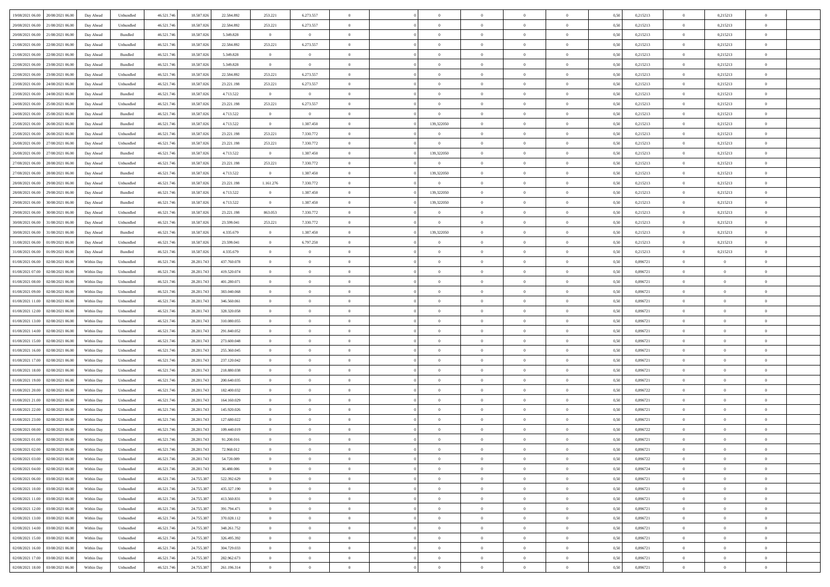| 19/08/2021 06:00 20/08/2021 06:00              | Day Ahead  | Unbundled                   | 46.521.74  | 18.587.026 | 22.584.892  | 253.221        | 6.273.557      |                | $\overline{0}$ | $\theta$       |                | $\theta$       | 0,50 | 0,215213 | $\theta$       | 0,215213       | $\overline{0}$ |  |
|------------------------------------------------|------------|-----------------------------|------------|------------|-------------|----------------|----------------|----------------|----------------|----------------|----------------|----------------|------|----------|----------------|----------------|----------------|--|
| 20/08/2021 06:00<br>21/08/2021 06:00           | Day Ahead  | Unbundled                   | 46.521.74  | 18.587.02  | 22.584.892  | 253.221        | 6.273.557      | $\overline{0}$ | $\overline{0}$ | $\theta$       | $\overline{0}$ | $\bf{0}$       | 0,50 | 0,215213 | $\,$ 0 $\,$    | 0,215213       | $\overline{0}$ |  |
| 20/08/2021 06:00<br>21/08/2021 06:00           | Day Ahead  | Bundled                     | 46.521.746 | 18,587,026 | 5.349.828   | $\overline{0}$ | $\overline{0}$ | $\overline{0}$ | $\bf{0}$       | $\bf{0}$       | $\overline{0}$ | $\bf{0}$       | 0.50 | 0,215213 | $\bf{0}$       | 0,215213       | $\overline{0}$ |  |
| 21/08/2021 06:00<br>22/08/2021 06:00           | Day Ahead  | Unbundled                   | 46.521.74  | 18.587.026 | 22.584.892  | 253.221        | 6.273.557      | $\overline{0}$ | $\theta$       | $\theta$       | $\overline{0}$ | $\overline{0}$ | 0,50 | 0,215213 | $\,$ 0 $\,$    | 0,215213       | $\overline{0}$ |  |
| 21/08/2021 06:00<br>22/08/2021 06:00           | Day Ahead  | Bundled                     | 46.521.74  | 18.587.02  | 5.349.828   | $\bf{0}$       | $\theta$       | $\overline{0}$ | $\overline{0}$ | $\theta$       | $\overline{0}$ | $\bf{0}$       | 0,50 | 0,215213 | $\,$ 0 $\,$    | 0,215213       | $\overline{0}$ |  |
| 22/08/2021 06:00<br>23/08/2021 06:00           | Day Ahead  | Bundled                     | 46.521.74  | 18.587.026 | 5.349.828   | $\overline{0}$ | $\overline{0}$ | $\Omega$       | $\overline{0}$ | $\overline{0}$ | $\theta$       | $\bf{0}$       | 0.50 | 0.215213 | $\bf{0}$       | 0,215213       | $\overline{0}$ |  |
| 23/08/2021 06:00<br>22/08/2021 06:00           | Day Ahead  | Unbundled                   | 46.521.74  | 18.587.026 | 22.584.892  | 253.221        | 6.273.557      | $\overline{0}$ | $\overline{0}$ | $\overline{0}$ | $\overline{0}$ | $\overline{0}$ | 0,50 | 0,215213 | $\,$ 0 $\,$    | 0,215213       | $\overline{0}$ |  |
|                                                |            |                             |            |            |             |                |                | $\overline{0}$ | $\overline{0}$ | $\theta$       | $\overline{0}$ |                |      |          | $\,$ 0 $\,$    |                | $\overline{0}$ |  |
| 23/08/2021 06:00<br>24/08/2021 06.00           | Day Ahead  | Unbundled                   | 46.521.74  | 18.587.02  | 23.221.198  | 253.221        | 6.273.557      |                |                |                |                | $\bf{0}$       | 0,50 | 0,215213 |                | 0,215213       |                |  |
| 23/08/2021 06:00<br>24/08/2021 06:00           | Day Ahead  | Bundled                     | 46.521.74  | 18.587.026 | 4.713.522   | $\overline{0}$ | $\overline{0}$ | $\overline{0}$ | $\bf{0}$       | $\overline{0}$ | $\overline{0}$ | $\bf{0}$       | 0.50 | 0.215213 | $\bf{0}$       | 0.215213       | $\overline{0}$ |  |
| 24/08/2021 06:00<br>25/08/2021 06:00           | Day Ahead  | Unbundled                   | 46.521.746 | 18.587.026 | 23.221.198  | 253.221        | 6.273.557      | $\overline{0}$ | $\theta$       | $\theta$       | $\overline{0}$ | $\bf{0}$       | 0,50 | 0,215213 | $\bf{0}$       | 0,215213       | $\overline{0}$ |  |
| 24/08/2021 06:00<br>25/08/2021 06.00           | Day Ahead  | Bundled                     | 46.521.74  | 18.587.026 | 4.713.522   | $\bf{0}$       | $\bf{0}$       | $\bf{0}$       | $\overline{0}$ | $\theta$       | $\overline{0}$ | $\bf{0}$       | 0,50 | 0,215213 | $\,$ 0 $\,$    | 0,215213       | $\overline{0}$ |  |
| 25/08/2021 06:00<br>26/08/2021 06:00           | Day Ahead  | Bundled                     | 46.521.74  | 18,587,026 | 4.713.522   | $\overline{0}$ | 1.387.450      | $\overline{0}$ | 139,322050     | $\overline{0}$ | $\overline{0}$ | $\bf{0}$       | 0.50 | 0,215213 | $\overline{0}$ | 0,215213       | $\overline{0}$ |  |
| 25/08/2021 06:00<br>26/08/2021 06:00           | Day Ahead  | Unbundled                   | 46.521.74  | 18.587.026 | 23.221.198  | 253.221        | 7.330.772      | $\overline{0}$ | $\overline{0}$ | $\theta$       | $\overline{0}$ | $\overline{0}$ | 0,50 | 0,215213 | $\,$ 0 $\,$    | 0,215213       | $\overline{0}$ |  |
| 26/08/2021 06:00<br>27/08/2021 06:00           | Day Ahead  | Unbundled                   | 46.521.74  | 18.587.02  | 23.221.198  | 253.221        | 7.330.772      | $\bf{0}$       | $\overline{0}$ | $\theta$       | $\overline{0}$ | $\bf{0}$       | 0,50 | 0,215213 | $\,$ 0 $\,$    | 0,215213       | $\overline{0}$ |  |
| 26/08/2021 06:00<br>27/08/2021 06:00           | Day Ahead  | Bundled                     | 46.521.74  | 18.587.026 | 4.713.522   | $\overline{0}$ | 1.387.450      | $\overline{0}$ | 139,322050     | $\theta$       | $\theta$       | $\bf{0}$       | 0.50 | 0.215213 | $\bf{0}$       | 0,215213       | $\overline{0}$ |  |
| 27/08/2021 06:00<br>28/08/2021 06:00           | Day Ahead  | Unbundled                   | 46.521.74  | 18.587.026 | 23.221.198  | 253.221        | 7.330.772      | $\overline{0}$ | $\overline{0}$ | $\theta$       | $\overline{0}$ | $\bf{0}$       | 0,50 | 0,215213 | $\bf{0}$       | 0,215213       | $\overline{0}$ |  |
| 27/08/2021 06:00<br>28/08/2021 06:00           | Day Ahead  | Bundled                     | 46.521.74  | 18.587.02  | 4.713.522   | $\bf{0}$       | 1.387.450      | $\overline{0}$ | 139,322050     | $\theta$       | $\overline{0}$ | $\bf{0}$       | 0,50 | 0,215213 | $\,$ 0 $\,$    | 0,215213       | $\overline{0}$ |  |
| 28/08/2021 06:00<br>29/08/2021 06:00           | Day Ahead  | Unbundled                   | 46.521.74  | 18.587.02  | 23.221.198  | 1.161.276      | 7.330.772      | $\overline{0}$ | $\overline{0}$ | $\overline{0}$ | $\overline{0}$ | $\bf{0}$       | 0.50 | 0.215213 | $\bf{0}$       | 0.215213       | $\overline{0}$ |  |
| 28/08/2021 06:00<br>29/08/2021 06:00           | Day Ahead  | Bundled                     | 46.521.74  | 18.587.026 | 4.713.522   | $\overline{0}$ | 1.387.450      | $\overline{0}$ | 139,322050     | $\overline{0}$ | $\overline{0}$ | $\bf{0}$       | 0,50 | 0,215213 | $\,$ 0 $\,$    | 0,215213       | $\overline{0}$ |  |
|                                                |            |                             |            |            |             |                |                |                |                |                |                |                |      |          |                |                |                |  |
| 29/08/2021 06:00<br>30/08/2021 06:00           | Day Ahead  | Bundled                     | 46.521.74  | 18.587.026 | 4.713.522   | $\bf{0}$       | 1.387.450      | $\bf{0}$       | 139,322050     | $\overline{0}$ | $\overline{0}$ | $\bf{0}$       | 0,50 | 0,215213 | $\,$ 0 $\,$    | 0,215213       | $\overline{0}$ |  |
| 29/08/2021 06:00<br>30/08/2021 06:00           | Day Ahead  | Unbundled                   | 46.521.74  | 18,587,026 | 23.221.198  | 863,053        | 7.330.772      | $\overline{0}$ | $\overline{0}$ | $\overline{0}$ | $\overline{0}$ | $\bf{0}$       | 0.50 | 0,215213 | $\overline{0}$ | 0,215213       | $\overline{0}$ |  |
| 30/08/2021 06:00<br>31/08/2021 06:00           | Day Ahead  | Unbundled                   | 46.521.74  | 18.587.026 | 23.599.041  | 253.221        | 7.330.772      | $\overline{0}$ | $\theta$       | $\theta$       | $\overline{0}$ | $\bf{0}$       | 0.5  | 0,215213 | $\,$ 0 $\,$    | 0,215213       | $\overline{0}$ |  |
| 30/08/2021 06:00<br>31/08/2021 06:00           | Day Ahead  | Bundled                     | 46.521.74  | 18.587.02  | 4.335.679   | $\bf{0}$       | 1.387.450      | $\bf{0}$       | 139,322050     | $\theta$       | $\overline{0}$ | $\bf{0}$       | 0,50 | 0,215213 | $\,$ 0 $\,$    | 0,215213       | $\overline{0}$ |  |
| 31/08/2021 06:00<br>01/09/2021 06:00           | Day Ahead  | Unbundled                   | 46.521.74  | 18.587.02  | 23.599.041  | $\overline{0}$ | 6.797.250      | $\overline{0}$ | $\overline{0}$ | $\overline{0}$ | $\Omega$       | $\bf{0}$       | 0.50 | 0.215213 | $\bf{0}$       | 0.215213       | $\overline{0}$ |  |
| 31/08/2021 06:00<br>01/09/2021 06:00           | Day Ahead  | Bundled                     | 46.521.74  | 18.587.026 | 4.335.679   | $\overline{0}$ | $\overline{0}$ | $\overline{0}$ | $\overline{0}$ | $\theta$       | $\overline{0}$ | $\overline{0}$ | 0,50 | 0,215213 | $\theta$       | 0,215213       | $\overline{0}$ |  |
| 01/08/2021 06:00<br>02/08/2021 06.00           | Within Day | Unbundled                   | 46.521.74  | 28.281.743 | 437.760.078 | $\bf{0}$       | $\theta$       | $\bf{0}$       | $\overline{0}$ | $\theta$       | $\overline{0}$ | $\bf{0}$       | 0,50 | 0,896721 | $\,$ 0 $\,$    | $\overline{0}$ | $\overline{0}$ |  |
| 01/08/2021 07:00<br>02/08/2021 06:00           | Within Day | Unbundled                   | 46.521.74  | 28.281.743 | 419.520.074 | $\overline{0}$ | $\bf{0}$       | $\overline{0}$ | $\bf{0}$       | $\overline{0}$ | $\overline{0}$ | $\bf{0}$       | 0.50 | 0.896721 | $\bf{0}$       | $\overline{0}$ | $\overline{0}$ |  |
| 01/08/2021 08:00<br>02/08/2021 06:00           | Within Day | Unbundled                   | 46.521.74  | 28.281.743 | 401.280.071 | $\overline{0}$ | $\overline{0}$ | $\overline{0}$ | $\overline{0}$ | $\overline{0}$ | $\overline{0}$ | $\bf{0}$       | 0,50 | 0,896721 | $\theta$       | $\theta$       | $\overline{0}$ |  |
| 01/08/2021 09:00<br>02/08/2021 06.00           | Within Day | Unbundled                   | 46.521.74  | 28.281.74  | 383.040.068 | $\bf{0}$       | $\overline{0}$ | $\bf{0}$       | $\bf{0}$       | $\overline{0}$ | $\overline{0}$ | $\bf{0}$       | 0,50 | 0,896721 | $\,$ 0 $\,$    | $\bf{0}$       | $\overline{0}$ |  |
| 01/08/2021 11:00<br>02/08/2021 06:00           | Within Day | Unbundled                   | 46.521.74  | 28.281.743 | 346,560,061 | $\overline{0}$ | $\overline{0}$ | $\overline{0}$ | $\bf{0}$       | $\bf{0}$       | $\overline{0}$ | $\bf{0}$       | 0.50 | 0.896721 | $\bf{0}$       | $\overline{0}$ | $\bf{0}$       |  |
| 01/08/2021 12:00<br>02/08/2021 06:00           | Within Day | Unbundled                   | 46.521.74  | 28.281.743 | 328,320,058 | $\overline{0}$ | $\overline{0}$ | $\overline{0}$ | $\overline{0}$ | $\overline{0}$ | $\overline{0}$ | $\bf{0}$       | 0.5( | 0,896721 | $\theta$       | $\theta$       | $\overline{0}$ |  |
| 01/08/2021 13:00<br>02/08/2021 06.00           | Within Day | Unbundled                   | 46.521.74  | 28.281.743 | 310.080.055 | $\bf{0}$       | $\overline{0}$ | $\bf{0}$       | $\overline{0}$ | $\overline{0}$ | $\overline{0}$ | $\bf{0}$       | 0,50 | 0,896721 | $\,$ 0 $\,$    | $\bf{0}$       | $\overline{0}$ |  |
|                                                |            |                             |            |            |             |                |                |                |                |                |                |                |      |          |                |                |                |  |
| 01/08/2021 14:00<br>02/08/2021 06:00           | Within Day | Unbundled                   | 46.521.74  | 28.281.743 | 291.840.052 | $\overline{0}$ | $\overline{0}$ | $\overline{0}$ | $\bf{0}$       | $\theta$       | $\Omega$       | $\bf{0}$       | 0.50 | 0,896721 | $\bf{0}$       | $\overline{0}$ | $\overline{0}$ |  |
| 01/08/2021 15:00<br>02/08/2021 06:00           | Within Dav | Unbundled                   | 46.521.74  | 28.281.743 | 273.600.048 | $\overline{0}$ | $\theta$       | $\Omega$       | $\overline{0}$ | $\theta$       | $\overline{0}$ | $\overline{0}$ | 0.5( | 0,896721 | $\theta$       | $\theta$       | $\overline{0}$ |  |
| 01/08/2021 16:00<br>02/08/2021 06.00           | Within Day | Unbundled                   | 46.521.74  | 28.281.743 | 255.360.045 | $\bf{0}$       | $\overline{0}$ | $\bf{0}$       | $\overline{0}$ | $\bf{0}$       | $\overline{0}$ | $\bf{0}$       | 0,50 | 0,896721 | $\,$ 0 $\,$    | $\bf{0}$       | $\overline{0}$ |  |
| 01/08/2021 17:00<br>02/08/2021 06:00           | Within Day | Unbundled                   | 46.521.74  | 28.281.743 | 237.120.042 | $\overline{0}$ | $\overline{0}$ | $\overline{0}$ | $\bf{0}$       | $\overline{0}$ | $\overline{0}$ | $\bf{0}$       | 0.50 | 0.896721 | $\bf{0}$       | $\overline{0}$ | $\overline{0}$ |  |
| 01/08/2021 18:00<br>02/08/2021 06:00           | Within Dav | Unbundled                   | 46.521.74  | 28.281.743 | 218.880.038 | $\overline{0}$ | $\overline{0}$ | $\overline{0}$ | $\overline{0}$ | $\overline{0}$ | $\overline{0}$ | $\overline{0}$ | 0.5( | 0,896721 | $\theta$       | $\theta$       | $\overline{0}$ |  |
| 01/08/2021 19:00<br>02/08/2021 06.00           | Within Day | Unbundled                   | 46.521.74  | 28.281.743 | 200.640.035 | $\bf{0}$       | $\bf{0}$       | $\bf{0}$       | $\bf{0}$       | $\overline{0}$ | $\overline{0}$ | $\bf{0}$       | 0,50 | 0,896721 | $\,$ 0 $\,$    | $\bf{0}$       | $\overline{0}$ |  |
| 01/08/2021 20:00<br>02/08/2021 06:00           | Within Day | Unbundled                   | 46.521.74  | 28.281.743 | 182.400.032 | $\overline{0}$ | $\bf{0}$       | $\overline{0}$ | $\bf{0}$       | $\bf{0}$       | $\overline{0}$ | $\bf{0}$       | 0.50 | 0.896722 | $\bf{0}$       | $\overline{0}$ | $\overline{0}$ |  |
| 01/08/2021 21:00<br>02/08/2021 06:00           | Within Dav | Unbundled                   | 46.521.74  | 28.281.743 | 164,160,029 | $\overline{0}$ | $\overline{0}$ | $\Omega$       | $\overline{0}$ | $\overline{0}$ | $\overline{0}$ | $\bf{0}$       | 0.5( | 0,896721 | $\theta$       | $\theta$       | $\overline{0}$ |  |
| 01/08/2021 22:00<br>02/08/2021 06.00           | Within Day | Unbundled                   | 46.521.74  | 28.281.743 | 145.920.026 | $\bf{0}$       | $\overline{0}$ | $\bf{0}$       | $\overline{0}$ | $\overline{0}$ | $\overline{0}$ | $\bf{0}$       | 0,50 | 0,896721 | $\,$ 0 $\,$    | $\bf{0}$       | $\overline{0}$ |  |
| 01/08/2021 23:00<br>02/08/2021 06:00           | Within Day | Unbundled                   | 46.521.74  | 28.281.743 | 127.680.022 | $\overline{0}$ | $\overline{0}$ | $\Omega$       | $\overline{0}$ | $\overline{0}$ | $\theta$       | $\bf{0}$       | 0.50 | 0,896721 | $\bf{0}$       | $\theta$       | $\overline{0}$ |  |
| 02/08/2021 00:00<br>02/08/2021 06:00           | Within Dav | Unbundled                   | 46.521.74  | 28.281.743 | 109.440.019 | $\overline{0}$ | $\Omega$       | $\Omega$       | $\Omega$       | $\theta$       | $\Omega$       | $\overline{0}$ | 0.5( | 0,896722 | $\theta$       | $\theta$       | $\overline{0}$ |  |
| 02/08/2021 01:00<br>02/08/2021 06:00           | Within Day | Unbundled                   | 46.521.74  | 28.281.743 | 91.200.016  | $\bf{0}$       | $\bf{0}$       | $\overline{0}$ | $\bf{0}$       | $\bf{0}$       | $\overline{0}$ | $\bf{0}$       | 0,50 | 0,896721 | $\,$ 0 $\,$    | $\bf{0}$       | $\overline{0}$ |  |
| $02/08/2021\; 02.00 \qquad 02/08/2021\; 06.00$ | Within Day | $\ensuremath{\mathsf{Unb}}$ | 46.521.746 | 28.281.743 | 72.960.012  | $\overline{0}$ |                |                | $\Omega$       |                |                |                | 0,50 | 0,896721 | $\theta$       | $\overline{0}$ |                |  |
| 02/08/2021 03:00 02/08/2021 06:00              | Within Day | Unbundled                   | 46.521.746 | 28.281.743 | 54.720.009  | $\overline{0}$ | $\theta$       | $\Omega$       | $\theta$       | $\overline{0}$ | $\overline{0}$ | $\bf{0}$       | 0,50 | 0,896722 | $\theta$       | $\theta$       | $\overline{0}$ |  |
|                                                |            |                             |            |            |             |                |                |                |                |                |                |                |      |          |                |                |                |  |
| 02/08/2021 04:00<br>02/08/2021 06:00           | Within Day | Unbundled                   | 46.521.74  | 28.281.743 | 36.480.006  | $\overline{0}$ | $\bf{0}$       | $\overline{0}$ | $\overline{0}$ | $\bf{0}$       | $\overline{0}$ | $\bf{0}$       | 0,50 | 0,896724 | $\bf{0}$       | $\overline{0}$ | $\bf{0}$       |  |
| 02/08/2021 06:00 03/08/2021 06:00              | Within Day | Unbundled                   | 46.521.746 | 24.755.387 | 522.392.629 | $\overline{0}$ | $\bf{0}$       | $\overline{0}$ | $\overline{0}$ | $\overline{0}$ | $\overline{0}$ | $\bf{0}$       | 0.50 | 0.896721 | $\mathbf{0}$   | $\bf{0}$       | $\,$ 0 $\,$    |  |
| 02/08/2021 10:00 03/08/2021 06:00              | Within Dav | Unbundled                   | 46.521.746 | 24.755.387 | 435.327.190 | $\overline{0}$ | $\overline{0}$ | $\overline{0}$ | $\overline{0}$ | $\overline{0}$ | $\overline{0}$ | $\bf{0}$       | 0,50 | 0,896721 | $\theta$       | $\theta$       | $\overline{0}$ |  |
| 02/08/2021 11:00<br>03/08/2021 06:00           | Within Day | Unbundled                   | 46.521.74  | 24.755.387 | 413.560.831 | $\overline{0}$ | $\bf{0}$       | $\overline{0}$ | $\bf{0}$       | $\overline{0}$ | $\bf{0}$       | $\bf{0}$       | 0,50 | 0,896721 | $\overline{0}$ | $\bf{0}$       | $\overline{0}$ |  |
| 02/08/2021 12:00 03/08/2021 06:00              | Within Day | Unbundled                   | 46.521.746 | 24.755.387 | 391.794.471 | $\overline{0}$ | $\bf{0}$       | $\overline{0}$ | $\overline{0}$ | $\overline{0}$ | $\overline{0}$ | $\bf{0}$       | 0.50 | 0.896721 | $\,$ 0 $\,$    | $\theta$       | $\overline{0}$ |  |
| 02/08/2021 13:00<br>03/08/2021 06:00           | Within Dav | Unbundled                   | 46.521.746 | 24.755.387 | 370.028.112 | $\overline{0}$ | $\overline{0}$ | $\overline{0}$ | $\overline{0}$ | $\overline{0}$ | $\overline{0}$ | $\bf{0}$       | 0.50 | 0,896721 | $\overline{0}$ | $\theta$       | $\overline{0}$ |  |
| 02/08/2021 14:00<br>03/08/2021 06:00           | Within Day | Unbundled                   | 46.521.74  | 24.755.387 | 348.261.752 | $\overline{0}$ | $\bf{0}$       | $\overline{0}$ | $\overline{0}$ | $\bf{0}$       | $\overline{0}$ | $\bf{0}$       | 0,50 | 0,896721 | $\bf{0}$       | $\bf{0}$       | $\overline{0}$ |  |
| 02/08/2021 15:00 03/08/2021 06:00              | Within Day | Unbundled                   | 46.521.746 | 24.755.387 | 326.495.392 | $\overline{0}$ | $\overline{0}$ | $\overline{0}$ | $\overline{0}$ | $\bf{0}$       | $\overline{0}$ | $\bf{0}$       | 0.50 | 0.896721 | $\overline{0}$ | $\,$ 0 $\,$    | $\,$ 0         |  |
| 02/08/2021 16:00 03/08/2021 06:00              | Within Dav | Unbundled                   | 46.521.746 | 24.755.387 | 304.729.033 | $\overline{0}$ | $\overline{0}$ | $\overline{0}$ | $\overline{0}$ | $\overline{0}$ | $\overline{0}$ | $\bf{0}$       | 0,50 | 0,896721 | $\theta$       | $\theta$       | $\overline{0}$ |  |
| 02/08/2021 17:00<br>03/08/2021 06:00           | Within Day | Unbundled                   | 46.521.74  | 24.755.387 | 282.962.673 | $\overline{0}$ | $\bf{0}$       | $\overline{0}$ | $\bf{0}$       | $\overline{0}$ | $\bf{0}$       | $\bf{0}$       | 0,50 | 0,896721 | $\bf{0}$       | $\bf{0}$       | $\overline{0}$ |  |
| 02/08/2021 18:00 03/08/2021 06:00              |            | Unbundled                   | 46.521.746 | 24.755.387 | 261.196.314 | $\overline{0}$ | $\bf{0}$       | $\overline{0}$ |                | $\,$ 0 $\,$    | $\overline{0}$ | $\bf{0}$       |      | 0,896721 | $\overline{0}$ | $\,$ 0 $\,$    | $\,$ 0 $\,$    |  |
|                                                | Within Day |                             |            |            |             |                |                |                | $\overline{0}$ |                |                |                | 0,50 |          |                |                |                |  |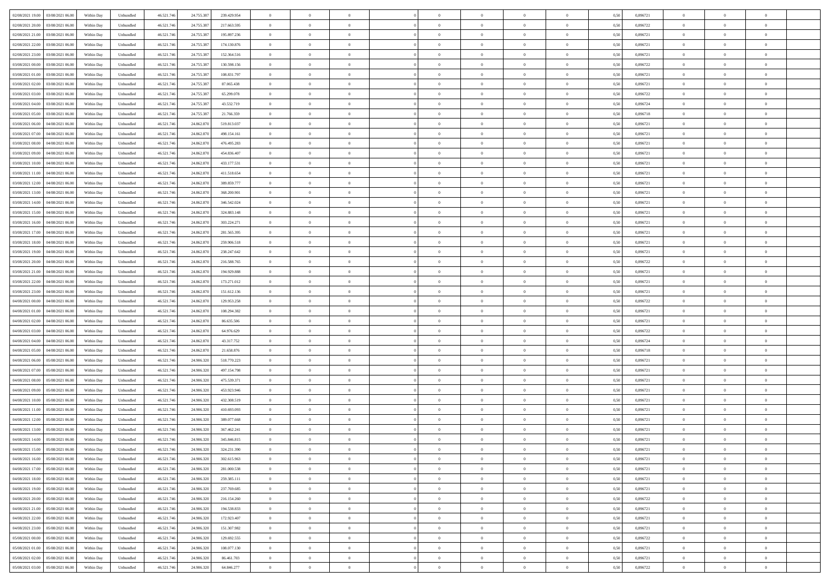| 02/08/2021 19:00 03/08/2021 06:00            | Within Day | Unbundled         | 46.521.74  | 24.755.387 | 239.429.954 | $\overline{0}$ | $\theta$       |                | $\overline{0}$ | $\theta$       |                | $\bf{0}$       | 0,50 | 0,896721 | $\theta$       | $\theta$       | $\overline{0}$ |  |
|----------------------------------------------|------------|-------------------|------------|------------|-------------|----------------|----------------|----------------|----------------|----------------|----------------|----------------|------|----------|----------------|----------------|----------------|--|
| 02/08/2021 20:00<br>03/08/2021 06:00         | Within Day | Unbundled         | 46.521.74  | 24.755.38  | 217.663.595 | $\bf{0}$       | $\overline{0}$ | $\bf{0}$       | $\overline{0}$ | $\bf{0}$       | $\overline{0}$ | $\bf{0}$       | 0,50 | 0,896722 | $\,$ 0 $\,$    | $\bf{0}$       | $\overline{0}$ |  |
| 02/08/2021 21:00<br>03/08/2021 06:00         | Within Day | Unbundled         | 46.521.746 | 24.755.387 | 195.897.236 | $\overline{0}$ | $\bf{0}$       | $\overline{0}$ | $\bf{0}$       | $\bf{0}$       | $\overline{0}$ | $\bf{0}$       | 0.50 | 0.896721 | $\bf{0}$       | $\overline{0}$ | $\overline{0}$ |  |
| 02/08/2021 22:00<br>03/08/2021 06:00         | Within Day | Unbundled         | 46.521.74  | 24.755.387 | 174.130.876 | $\overline{0}$ | $\overline{0}$ | $\overline{0}$ | $\theta$       | $\theta$       | $\overline{0}$ | $\overline{0}$ | 0,50 | 0,896721 | $\theta$       | $\theta$       | $\overline{0}$ |  |
| 02/08/2021 23:00<br>03/08/2021 06:00         | Within Day | Unbundled         | 46.521.74  | 24.755.38  | 152.364.516 | $\bf{0}$       | $\overline{0}$ | $\bf{0}$       | $\overline{0}$ | $\theta$       | $\overline{0}$ | $\bf{0}$       | 0,50 | 0,896721 | $\,$ 0 $\,$    | $\bf{0}$       | $\overline{0}$ |  |
|                                              |            |                   |            |            |             |                |                |                |                |                |                |                |      |          |                |                |                |  |
| 03/08/2021 00:00<br>03/08/2021 06:00         | Within Day | Unbundled         | 46.521.74  | 24.755.38  | 130,598,156 | $\overline{0}$ | $\overline{0}$ | $\overline{0}$ | $\overline{0}$ | $\overline{0}$ | $\theta$       | $\bf{0}$       | 0.50 | 0.896722 | $\,$ 0 $\,$    | $\theta$       | $\overline{0}$ |  |
| 03/08/2021 01:00<br>03/08/2021 06:00         | Within Day | Unbundled         | 46.521.74  | 24.755.387 | 108.831.797 | $\overline{0}$ | $\overline{0}$ | $\overline{0}$ | $\overline{0}$ | $\theta$       | $\overline{0}$ | $\bf{0}$       | 0,50 | 0,896721 | $\theta$       | $\theta$       | $\overline{0}$ |  |
| 03/08/2021 02:00<br>03/08/2021 06:00         | Within Day | Unbundled         | 46.521.74  | 24.755.38  | 87.065.438  | $\bf{0}$       | $\overline{0}$ | $\overline{0}$ | $\overline{0}$ | $\theta$       | $\overline{0}$ | $\bf{0}$       | 0,50 | 0,896721 | $\,$ 0 $\,$    | $\bf{0}$       | $\overline{0}$ |  |
| 03/08/2021 03:00<br>03/08/2021 06:00         | Within Day | Unbundled         | 46.521.74  | 24.755.38  | 65.299.078  | $\overline{0}$ | $\bf{0}$       | $\overline{0}$ | $\bf{0}$       | $\overline{0}$ | $\overline{0}$ | $\bf{0}$       | 0.50 | 0.896722 | $\bf{0}$       | $\overline{0}$ | $\overline{0}$ |  |
| 03/08/2021 04:00<br>03/08/2021 06:00         | Within Day | Unbundled         | 46.521.74  | 24.755.387 | 43.532.719  | $\overline{0}$ | $\bf{0}$       | $\overline{0}$ | $\overline{0}$ | $\overline{0}$ | $\overline{0}$ | $\bf{0}$       | 0,50 | 0,896724 | $\,$ 0 $\,$    | $\theta$       | $\overline{0}$ |  |
| 03/08/2021 05:00<br>03/08/2021 06:00         | Within Day | Unbundled         | 46.521.74  | 24.755.387 | 21.766.359  | $\bf{0}$       | $\overline{0}$ | $\bf{0}$       | $\overline{0}$ | $\bf{0}$       | $\overline{0}$ | $\bf{0}$       | 0,50 | 0,896718 | $\,$ 0 $\,$    | $\bf{0}$       | $\overline{0}$ |  |
| 03/08/2021 06:00<br>04/08/2021 06:00         |            | Unbundled         | 46.521.746 |            | 519.813.037 |                | $\bf{0}$       | $\overline{0}$ |                | $\bf{0}$       | $\overline{0}$ |                | 0.50 | 0.896721 | $\bf{0}$       | $\overline{0}$ | $\bf{0}$       |  |
|                                              | Within Day |                   |            | 24.862.870 |             | $\overline{0}$ |                |                | $\bf{0}$       |                |                | $\bf{0}$       |      |          |                |                |                |  |
| 03/08/2021 07:00<br>04/08/2021 06:00         | Within Day | Unbundled         | 46.521.74  | 24.862.870 | 498.154.161 | $\overline{0}$ | $\overline{0}$ | $\overline{0}$ | $\overline{0}$ | $\theta$       | $\overline{0}$ | $\overline{0}$ | 0,50 | 0,896721 | $\,$ 0 $\,$    | $\theta$       | $\overline{0}$ |  |
| 03/08/2021 08:00<br>04/08/2021 06.00         | Within Day | Unbundled         | 46.521.74  | 24.862.870 | 476.495.283 | $\bf{0}$       | $\overline{0}$ | $\bf{0}$       | $\overline{0}$ | $\theta$       | $\overline{0}$ | $\bf{0}$       | 0,50 | 0,896721 | $\bf{0}$       | $\bf{0}$       | $\overline{0}$ |  |
| 03/08/2021 09:00<br>04/08/2021 06:00         | Within Day | Unbundled         | 46.521.74  | 24.862.870 | 454,836,407 | $\overline{0}$ | $\overline{0}$ | $\overline{0}$ | $\bf{0}$       | $\theta$       | $\Omega$       | $\bf{0}$       | 0.50 | 0,896721 | $\,$ 0 $\,$    | $\theta$       | $\overline{0}$ |  |
| 03/08/2021 10:00<br>04/08/2021 06:00         | Within Day | Unbundled         | 46.521.74  | 24.862.870 | 433.177.531 | $\overline{0}$ | $\overline{0}$ | $\overline{0}$ | $\overline{0}$ | $\overline{0}$ | $\overline{0}$ | $\bf{0}$       | 0,50 | 0,896721 | $\theta$       | $\theta$       | $\overline{0}$ |  |
| 03/08/2021 11:00<br>04/08/2021 06.00         | Within Day | Unbundled         | 46.521.74  | 24.862.87  | 411.518.654 | $\bf{0}$       | $\overline{0}$ | $\overline{0}$ | $\overline{0}$ | $\bf{0}$       | $\overline{0}$ | $\bf{0}$       | 0,50 | 0,896721 | $\,$ 0 $\,$    | $\bf{0}$       | $\overline{0}$ |  |
| 03/08/2021 12:00<br>04/08/2021 06:00         | Within Day | Unbundled         | 46.521.74  | 24,862,870 | 389.859.777 | $\overline{0}$ | $\bf{0}$       | $\overline{0}$ | $\bf{0}$       | $\overline{0}$ | $\overline{0}$ | $\bf{0}$       | 0.50 | 0.896721 | $\bf{0}$       | $\overline{0}$ | $\overline{0}$ |  |
| 03/08/2021 13:00<br>04/08/2021 06:00         | Within Day | Unbundled         | 46.521.74  | 24.862.870 | 368.200.901 | $\overline{0}$ | $\overline{0}$ | $\overline{0}$ | $\overline{0}$ | $\overline{0}$ | $\overline{0}$ | $\bf{0}$       | 0,50 | 0,896721 | $\,$ 0 $\,$    | $\theta$       | $\overline{0}$ |  |
|                                              |            |                   |            |            |             |                |                |                |                |                |                |                |      |          |                |                |                |  |
| 03/08/2021 14:00<br>04/08/2021 06.00         | Within Day | Unbundled         | 46.521.74  | 24.862.87  | 346.542.024 | $\bf{0}$       | $\overline{0}$ | $\bf{0}$       | $\bf{0}$       | $\overline{0}$ | $\overline{0}$ | $\bf{0}$       | 0,50 | 0,896721 | $\,$ 0 $\,$    | $\bf{0}$       | $\overline{0}$ |  |
| 03/08/2021 15:00<br>04/08/2021 06:00         | Within Day | Unbundled         | 46.521.746 | 24.862.870 | 324.883.148 | $\overline{0}$ | $\bf{0}$       | $\overline{0}$ | $\bf{0}$       | $\bf{0}$       | $\overline{0}$ | $\bf{0}$       | 0.50 | 0.896721 | $\bf{0}$       | $\overline{0}$ | $\overline{0}$ |  |
| 03/08/2021 16:00<br>04/08/2021 06:00         | Within Day | Unbundled         | 46.521.74  | 24.862.870 | 303.224.271 | $\overline{0}$ | $\overline{0}$ | $\overline{0}$ | $\theta$       | $\theta$       | $\overline{0}$ | $\bf{0}$       | 0,50 | 0,896721 | $\theta$       | $\theta$       | $\overline{0}$ |  |
| 03/08/2021 17:00<br>04/08/2021 06.00         | Within Day | Unbundled         | 46.521.74  | 24.862.87  | 281.565.395 | $\bf{0}$       | $\overline{0}$ | $\bf{0}$       | $\overline{0}$ | $\bf{0}$       | $\overline{0}$ | $\bf{0}$       | 0,50 | 0,896721 | $\,$ 0 $\,$    | $\bf{0}$       | $\overline{0}$ |  |
| 03/08/2021 18:00<br>04/08/2021 06:00         | Within Day | Unbundled         | 46.521.74  | 24,862,870 | 259.906.518 | $\overline{0}$ | $\overline{0}$ | $\overline{0}$ | $\overline{0}$ | $\overline{0}$ | $\Omega$       | $\bf{0}$       | 0.50 | 0.896721 | $\,$ 0 $\,$    | $\theta$       | $\overline{0}$ |  |
| 03/08/2021 19:00<br>04/08/2021 06:00         | Within Day | Unbundled         | 46.521.74  | 24.862.870 | 238.247.642 | $\overline{0}$ | $\overline{0}$ | $\overline{0}$ | $\overline{0}$ | $\theta$       | $\overline{0}$ | $\bf{0}$       | 0,50 | 0,896721 | $\theta$       | $\theta$       | $\overline{0}$ |  |
| 03/08/2021 20:00<br>04/08/2021 06.00         | Within Day | Unbundled         | 46.521.74  | 24.862.870 | 216.588.765 | $\bf{0}$       | $\theta$       | $\bf{0}$       | $\overline{0}$ | $\theta$       | $\overline{0}$ | $\bf{0}$       | 0,50 | 0,896722 | $\,$ 0 $\,$    | $\bf{0}$       | $\overline{0}$ |  |
| 03/08/2021 21:00<br>04/08/2021 06:00         | Within Day | Unbundled         | 46.521.74  | 24,862,870 | 194.929.888 | $\overline{0}$ | $\bf{0}$       | $\overline{0}$ | $\bf{0}$       | $\overline{0}$ | $\overline{0}$ | $\bf{0}$       | 0.50 | 0.896721 | $\bf{0}$       | $\overline{0}$ | $\overline{0}$ |  |
| 03/08/2021 22:00<br>04/08/2021 06:00         | Within Day | Unbundled         | 46.521.74  | 24.862.870 | 173.271.012 | $\overline{0}$ | $\overline{0}$ | $\overline{0}$ | $\overline{0}$ | $\overline{0}$ | $\overline{0}$ | $\bf{0}$       | 0,50 | 0,896721 | $\theta$       | $\theta$       | $\overline{0}$ |  |
|                                              |            |                   |            |            |             |                |                |                |                |                |                |                |      |          |                |                |                |  |
| 03/08/2021 23:00<br>04/08/2021 06.00         | Within Day | Unbundled         | 46.521.74  | 24.862.87  | 151.612.136 | $\bf{0}$       | $\bf{0}$       | $\bf{0}$       | $\bf{0}$       | $\overline{0}$ | $\overline{0}$ | $\bf{0}$       | 0,50 | 0,896721 | $\,$ 0 $\,$    | $\bf{0}$       | $\overline{0}$ |  |
| 04/08/2021 00:00<br>04/08/2021 06:00         | Within Day | Unbundled         | 46.521.74  | 24.862.870 | 129.953.258 | $\overline{0}$ | $\bf{0}$       | $\overline{0}$ | $\bf{0}$       | $\bf{0}$       | $\overline{0}$ | $\bf{0}$       | 0.50 | 0.896722 | $\bf{0}$       | $\overline{0}$ | $\overline{0}$ |  |
| 04/08/2021 01:00<br>04/08/2021 06:00         | Within Day | Unbundled         | 46.521.74  | 24.862.87  | 108.294.382 | $\overline{0}$ | $\overline{0}$ | $\overline{0}$ | $\overline{0}$ | $\overline{0}$ | $\overline{0}$ | $\bf{0}$       | 0.5( | 0,896721 | $\theta$       | $\theta$       | $\overline{0}$ |  |
| 04/08/2021 02:00<br>04/08/2021 06.00         | Within Day | Unbundled         | 46.521.74  | 24.862.87  | 86.635.506  | $\bf{0}$       | $\overline{0}$ | $\bf{0}$       | $\overline{0}$ | $\overline{0}$ | $\overline{0}$ | $\bf{0}$       | 0,50 | 0,896721 | $\,$ 0 $\,$    | $\bf{0}$       | $\overline{0}$ |  |
| 04/08/2021 03:00<br>04/08/2021 06:00         | Within Day | Unbundled         | 46.521.74  | 24.862.870 | 64.976.629  | $\overline{0}$ | $\overline{0}$ | $\overline{0}$ | $\bf{0}$       | $\bf{0}$       | $\Omega$       | $\bf{0}$       | 0.50 | 0,896722 | $\,$ 0 $\,$    | $\theta$       | $\overline{0}$ |  |
| 04/08/2021 04:00<br>04/08/2021 06:00         | Within Dav | Unbundled         | 46.521.74  | 24.862.870 | 43.317.752  | $\overline{0}$ | $\overline{0}$ | $\overline{0}$ | $\overline{0}$ | $\overline{0}$ | $\overline{0}$ | $\overline{0}$ | 0.5( | 0,896724 | $\theta$       | $\theta$       | $\overline{0}$ |  |
| 04/08/2021 05:00<br>04/08/2021 06.00         | Within Day | Unbundled         | 46.521.74  | 24.862.87  | 21.658.876  | $\bf{0}$       | $\overline{0}$ | $\bf{0}$       | $\overline{0}$ | $\bf{0}$       | $\overline{0}$ | $\bf{0}$       | 0,50 | 0,896718 | $\,$ 0 $\,$    | $\bf{0}$       | $\overline{0}$ |  |
| 04/08/2021 06:00<br>05/08/2021 06:00         | Within Day | Unbundled         | 46.521.74  | 24,906,320 | 518,770,223 | $\overline{0}$ | $\bf{0}$       | $\overline{0}$ | $\bf{0}$       | $\overline{0}$ | $\overline{0}$ | $\bf{0}$       | 0.50 | 0.896721 | $\bf{0}$       | $\overline{0}$ | $\overline{0}$ |  |
|                                              |            |                   |            |            |             |                |                |                |                |                |                |                |      |          |                |                |                |  |
| 04/08/2021 07:00<br>05/08/2021 06:00         | Within Dav | Unbundled         | 46.521.74  | 24.906.32  | 497.154.798 | $\overline{0}$ | $\overline{0}$ | $\overline{0}$ | $\overline{0}$ | $\overline{0}$ | $\overline{0}$ | $\overline{0}$ | 0.50 | 0,896721 | $\theta$       | $\theta$       | $\overline{0}$ |  |
| 04/08/2021 08:00<br>05/08/2021 06.00         | Within Day | Unbundled         | 46.521.74  | 24.906.32  | 475.539.371 | $\bf{0}$       | $\bf{0}$       | $\bf{0}$       | $\bf{0}$       | $\overline{0}$ | $\overline{0}$ | $\bf{0}$       | 0,50 | 0,896721 | $\,$ 0 $\,$    | $\bf{0}$       | $\overline{0}$ |  |
| 04/08/2021 09:00<br>05/08/2021 06:00         | Within Day | Unbundled         | 46.521.746 | 24.906.320 | 453.923.946 | $\overline{0}$ | $\bf{0}$       | $\overline{0}$ | $\bf{0}$       | $\bf{0}$       | $\overline{0}$ | $\bf{0}$       | 0.50 | 0.896721 | $\bf{0}$       | $\overline{0}$ | $\overline{0}$ |  |
| 04/08/2021 10:00<br>05/08/2021 06:00         | Within Day | Unbundled         | 46.521.74  | 24.906.320 | 432.308.519 | $\overline{0}$ | $\overline{0}$ | $\overline{0}$ | $\overline{0}$ | $\theta$       | $\overline{0}$ | $\bf{0}$       | 0.50 | 0,896721 | $\theta$       | $\theta$       | $\overline{0}$ |  |
| 04/08/2021 11:00<br>05/08/2021 06.00         | Within Day | Unbundled         | 46.521.74  | 24.906.320 | 410.693.093 | $\bf{0}$       | $\overline{0}$ | $\bf{0}$       | $\bf{0}$       | $\overline{0}$ | $\overline{0}$ | $\bf{0}$       | 0,50 | 0,896721 | $\,$ 0 $\,$    | $\bf{0}$       | $\overline{0}$ |  |
| 04/08/2021 12:00<br>05/08/2021 06:00         | Within Day | Unbundled         | 46.521.74  | 24.906.32  | 389.077.668 | $\overline{0}$ | $\overline{0}$ | $\Omega$       | $\overline{0}$ | $\overline{0}$ | $\theta$       | $\bf{0}$       | 0.50 | 0,896721 | $\bf{0}$       | $\theta$       | $\overline{0}$ |  |
| 04/08/2021 13:00<br>05/08/2021 06:00         | Within Dav | Unbundled         | 46.521.74  | 24.906.32  | 367.462.241 | $\overline{0}$ | $\overline{0}$ | $\Omega$       | $\overline{0}$ | $\theta$       | $\Omega$       | $\overline{0}$ | 0.5( | 0,896721 | $\theta$       | $\theta$       | $\overline{0}$ |  |
| 04/08/2021 14:00<br>05/08/2021 06:00         | Within Day | Unbundled         | 46.521.74  | 24.906.320 | 345.846.815 | $\bf{0}$       | $\bf{0}$       | $\bf{0}$       | $\bf{0}$       | $\bf{0}$       | $\overline{0}$ | $\bf{0}$       | 0,50 | 0,896721 | $\,$ 0 $\,$    | $\bf{0}$       | $\overline{0}$ |  |
| $04/08/2021\ 15.00 \qquad 05/08/2021\ 06.00$ | Within Day | ${\sf Unbundred}$ | 46.521.746 | 24.906.320 | 324.231.390 | $\overline{0}$ | $\Omega$       |                | $\overline{0}$ |                |                |                | 0,50 | 0,896721 | $\bf{0}$       | $\overline{0}$ |                |  |
|                                              |            |                   |            |            |             |                |                |                |                |                |                |                |      |          |                |                |                |  |
| 04/08/2021 16:00 05/08/2021 06:00            | Within Day | Unbundled         | 46.521.746 | 24.906.320 | 302.615.963 | $\overline{0}$ | $\theta$       | $\Omega$       | $\theta$       | $\overline{0}$ | $\overline{0}$ | $\bf{0}$       | 0,50 | 0,896721 | $\theta$       | $\theta$       | $\overline{0}$ |  |
| 04/08/2021 17:00<br>05/08/2021 06:00         | Within Day | Unbundled         | 46.521.74  | 24.906.320 | 281.000.538 | $\overline{0}$ | $\bf{0}$       | $\overline{0}$ | $\overline{0}$ | $\bf{0}$       | $\overline{0}$ | $\bf{0}$       | 0,50 | 0,896721 | $\bf{0}$       | $\overline{0}$ | $\bf{0}$       |  |
| 04/08/2021 18:00  05/08/2021 06:00           | Within Day | Unbundled         | 46.521.746 | 24.906.320 | 259.385.111 | $\overline{0}$ | $\bf{0}$       | $\overline{0}$ | $\overline{0}$ | $\overline{0}$ | $\overline{0}$ | $\bf{0}$       | 0.50 | 0.896721 | $\overline{0}$ | $\bf{0}$       | $\,$ 0 $\,$    |  |
| 04/08/2021 19:00  05/08/2021 06:00           | Within Day | Unbundled         | 46.521.746 | 24.906.320 | 237.769.685 | $\overline{0}$ | $\overline{0}$ | $\overline{0}$ | $\overline{0}$ | $\overline{0}$ | $\overline{0}$ | $\bf{0}$       | 0,50 | 0,896721 | $\theta$       | $\theta$       | $\overline{0}$ |  |
| 04/08/2021 20:00<br>05/08/2021 06:00         | Within Day | Unbundled         | 46.521.74  | 24.906.320 | 216.154.260 | $\overline{0}$ | $\bf{0}$       | $\overline{0}$ | $\bf{0}$       | $\overline{0}$ | $\overline{0}$ | $\bf{0}$       | 0,50 | 0,896722 | $\bf{0}$       | $\bf{0}$       | $\overline{0}$ |  |
| 04/08/2021 21:00  05/08/2021 06:00           | Within Day | Unbundled         | 46.521.746 | 24.906.320 | 194.538.833 | $\overline{0}$ | $\bf{0}$       | $\overline{0}$ | $\overline{0}$ | $\overline{0}$ | $\overline{0}$ | $\bf{0}$       | 0.50 | 0.896721 | $\,$ 0 $\,$    | $\theta$       | $\overline{0}$ |  |
| 04/08/2021 22:00<br>05/08/2021 06:00         | Within Dav | Unbundled         | 46.521.746 | 24.906.320 | 172.923.407 | $\overline{0}$ | $\overline{0}$ | $\overline{0}$ | $\overline{0}$ | $\overline{0}$ | $\overline{0}$ | $\bf{0}$       | 0.50 | 0,896721 | $\overline{0}$ | $\theta$       | $\overline{0}$ |  |
|                                              |            |                   |            |            |             |                |                |                |                |                |                |                |      |          |                |                |                |  |
| 04/08/2021 23:00<br>05/08/2021 06:00         | Within Day | Unbundled         | 46.521.74  | 24.906.320 | 151.307.982 | $\overline{0}$ | $\overline{0}$ | $\overline{0}$ | $\overline{0}$ | $\bf{0}$       | $\overline{0}$ | $\bf{0}$       | 0,50 | 0,896721 | $\bf{0}$       | $\overline{0}$ | $\overline{0}$ |  |
| 05/08/2021 00:00 05/08/2021 06:00            | Within Day | Unbundled         | 46.521.746 | 24.906.320 | 129.692.555 | $\overline{0}$ | $\overline{0}$ | $\overline{0}$ | $\overline{0}$ | $\bf{0}$       | $\overline{0}$ | $\bf{0}$       | 0.50 | 0.896722 | $\overline{0}$ | $\,$ 0 $\,$    | $\,$ 0         |  |
| 05/08/2021 01:00  05/08/2021 06:00           | Within Dav | Unbundled         | 46.521.746 | 24.906.320 | 108.077.130 | $\overline{0}$ | $\overline{0}$ | $\overline{0}$ | $\overline{0}$ | $\overline{0}$ | $\overline{0}$ | $\bf{0}$       | 0,50 | 0,896721 | $\overline{0}$ | $\theta$       | $\overline{0}$ |  |
| 05/08/2021 02:00<br>05/08/2021 06:00         | Within Day | Unbundled         | 46.521.74  | 24.906.320 | 86.461.703  | $\overline{0}$ | $\bf{0}$       | $\overline{0}$ | $\bf{0}$       | $\overline{0}$ | $\overline{0}$ | $\bf{0}$       | 0,50 | 0,896721 | $\bf{0}$       | $\bf{0}$       | $\overline{0}$ |  |
| 05/08/2021 03:00 05/08/2021 06:00            | Within Day | Unbundled         | 46.521.746 | 24.906.320 | 64.846.277  | $\overline{0}$ | $\bf{0}$       | $\overline{0}$ | $\overline{0}$ | $\,$ 0 $\,$    | $\overline{0}$ | $\bf{0}$       | 0,50 | 0,896722 | $\overline{0}$ | $\,$ 0 $\,$    | $\,$ 0 $\,$    |  |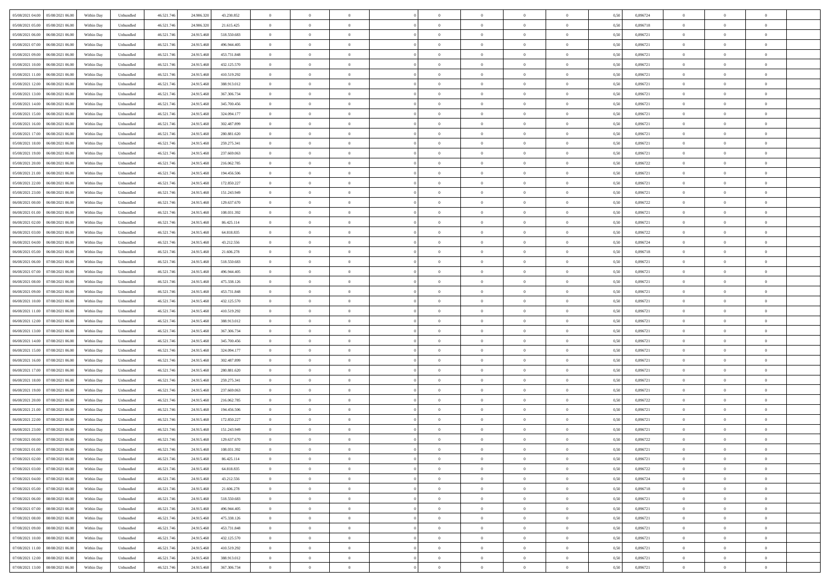| 05/08/2021 04:00 05/08/2021 06:00                               | Within Day | Unbundled         | 46.521.74  | 24.906.320 | 43.230.852  | $\overline{0}$ | $\theta$       |                | $\overline{0}$ | $\theta$       |                | $\bf{0}$       | 0,50 | 0,896724 | $\theta$       | $\theta$       | $\overline{0}$ |  |
|-----------------------------------------------------------------|------------|-------------------|------------|------------|-------------|----------------|----------------|----------------|----------------|----------------|----------------|----------------|------|----------|----------------|----------------|----------------|--|
| 05/08/2021 05:00<br>05/08/2021 06:00                            | Within Day | Unbundled         | 46.521.74  | 24.906.32  | 21.615.425  | $\bf{0}$       | $\overline{0}$ | $\overline{0}$ | $\overline{0}$ | $\theta$       | $\overline{0}$ | $\bf{0}$       | 0,50 | 0,896718 | $\,$ 0 $\,$    | $\bf{0}$       | $\overline{0}$ |  |
| 05/08/2021 06:00<br>06/08/2021 06:00                            | Within Day | Unbundled         | 46.521.746 | 24.915.468 | 518.550.683 | $\overline{0}$ | $\bf{0}$       | $\overline{0}$ | $\bf{0}$       | $\bf{0}$       | $\overline{0}$ | $\bf{0}$       | 0.50 | 0.896721 | $\bf{0}$       | $\overline{0}$ | $\overline{0}$ |  |
| 05/08/2021 07:00<br>06/08/2021 06:00                            | Within Day | Unbundled         | 46.521.74  | 24.915.468 | 496.944.405 | $\overline{0}$ | $\overline{0}$ | $\overline{0}$ | $\theta$       | $\theta$       | $\overline{0}$ | $\overline{0}$ | 0,50 | 0,896721 | $\theta$       | $\theta$       | $\overline{0}$ |  |
| 05/08/2021 09:00<br>06/08/2021 06:00                            | Within Day | Unbundled         | 46.521.74  | 24.915.46  | 453.731.848 | $\overline{0}$ | $\theta$       | $\overline{0}$ | $\overline{0}$ | $\theta$       | $\overline{0}$ | $\bf{0}$       | 0,50 | 0,896721 | $\,$ 0 $\,$    | $\bf{0}$       | $\overline{0}$ |  |
| 05/08/2021 10:00<br>06/08/2021 06:00                            | Within Day | Unbundled         | 46.521.74  | 24.915.46  | 432.125.570 | $\overline{0}$ | $\overline{0}$ | $\overline{0}$ | $\overline{0}$ | $\overline{0}$ | $\Omega$       | $\bf{0}$       | 0.50 | 0,896721 | $\,$ 0 $\,$    | $\theta$       | $\overline{0}$ |  |
| 05/08/2021 11:00<br>06/08/2021 06:00                            | Within Day | Unbundled         | 46.521.74  | 24.915.468 | 410.519.292 | $\overline{0}$ | $\overline{0}$ | $\overline{0}$ | $\overline{0}$ | $\overline{0}$ | $\overline{0}$ | $\bf{0}$       | 0,50 | 0,896721 | $\theta$       | $\theta$       | $\overline{0}$ |  |
| 05/08/2021 12:00<br>06/08/2021 06:00                            | Within Day | Unbundled         | 46.521.74  | 24.915.46  | 388.913.012 | $\overline{0}$ | $\overline{0}$ | $\overline{0}$ | $\overline{0}$ | $\theta$       | $\overline{0}$ | $\bf{0}$       | 0,50 | 0,896721 | $\,$ 0 $\,$    | $\bf{0}$       | $\overline{0}$ |  |
|                                                                 |            |                   |            |            |             |                |                |                |                |                |                |                |      |          |                |                |                |  |
| 05/08/2021 13:00<br>06/08/2021 06:00                            | Within Day | Unbundled         | 46.521.74  | 24.915.46  | 367.306.734 | $\overline{0}$ | $\bf{0}$       | $\overline{0}$ | $\bf{0}$       | $\overline{0}$ | $\overline{0}$ | $\bf{0}$       | 0.50 | 0.896721 | $\bf{0}$       | $\theta$       | $\overline{0}$ |  |
| 05/08/2021 14:00<br>06/08/2021 06:00                            | Within Day | Unbundled         | 46.521.74  | 24.915.468 | 345.700.456 | $\overline{0}$ | $\bf{0}$       | $\overline{0}$ | $\overline{0}$ | $\theta$       | $\overline{0}$ | $\bf{0}$       | 0,50 | 0,896721 | $\,$ 0 $\,$    | $\theta$       | $\overline{0}$ |  |
| 05/08/2021 15:00<br>06/08/2021 06:00                            | Within Day | Unbundled         | 46.521.74  | 24.915.468 | 324.094.177 | $\bf{0}$       | $\overline{0}$ | $\bf{0}$       | $\overline{0}$ | $\bf{0}$       | $\overline{0}$ | $\bf{0}$       | 0,50 | 0,896721 | $\,$ 0 $\,$    | $\bf{0}$       | $\overline{0}$ |  |
| 05/08/2021 16:00<br>06/08/2021 06:00                            | Within Day | Unbundled         | 46.521.746 | 24.915.468 | 302.487.899 | $\overline{0}$ | $\overline{0}$ | $\overline{0}$ | $\bf{0}$       | $\bf{0}$       | $\overline{0}$ | $\bf{0}$       | 0.50 | 0.896721 | $\bf{0}$       | $\overline{0}$ | $\overline{0}$ |  |
| 05/08/2021 17:00<br>06/08/2021 06:00                            | Within Day | Unbundled         | 46.521.74  | 24.915.468 | 280.881.620 | $\overline{0}$ | $\overline{0}$ | $\overline{0}$ | $\overline{0}$ | $\theta$       | $\overline{0}$ | $\overline{0}$ | 0,50 | 0,896721 | $\,$ 0 $\,$    | $\theta$       | $\overline{0}$ |  |
| 05/08/2021 18:00<br>06/08/2021 06:00                            | Within Day | Unbundled         | 46.521.74  | 24.915.46  | 259.275.341 | $\bf{0}$       | $\theta$       | $\bf{0}$       | $\overline{0}$ | $\theta$       | $\overline{0}$ | $\bf{0}$       | 0,50 | 0,896721 | $\bf{0}$       | $\bf{0}$       | $\overline{0}$ |  |
| 05/08/2021 19:00<br>06/08/2021 06:00                            | Within Day | Unbundled         | 46.521.74  | 24.915.46  | 237.669.063 | $\overline{0}$ | $\overline{0}$ | $\overline{0}$ | $\bf{0}$       | $\theta$       | $\theta$       | $\bf{0}$       | 0.50 | 0,896721 | $\bf{0}$       | $\overline{0}$ | $\overline{0}$ |  |
| 05/08/2021 20:00<br>06/08/2021 06:00                            | Within Day | Unbundled         | 46.521.74  | 24.915.468 | 216.062.785 | $\overline{0}$ | $\overline{0}$ | $\overline{0}$ | $\overline{0}$ | $\overline{0}$ | $\overline{0}$ | $\bf{0}$       | 0,50 | 0,896722 | $\theta$       | $\theta$       | $\overline{0}$ |  |
| 05/08/2021 21:00<br>06/08/2021 06:00                            | Within Day | Unbundled         | 46.521.74  | 24.915.46  | 194.456.506 | $\bf{0}$       | $\overline{0}$ | $\overline{0}$ | $\overline{0}$ | $\theta$       | $\overline{0}$ | $\bf{0}$       | 0,50 | 0,896721 | $\,$ 0 $\,$    | $\bf{0}$       | $\overline{0}$ |  |
| 05/08/2021 22.00<br>06/08/2021 06:00                            | Within Day | Unbundled         | 46.521.74  | 24.915.46  | 172.850.227 | $\overline{0}$ | $\overline{0}$ | $\overline{0}$ | $\bf{0}$       | $\overline{0}$ | $\overline{0}$ | $\bf{0}$       | 0.50 | 0.896721 | $\bf{0}$       | $\overline{0}$ | $\overline{0}$ |  |
| 05/08/2021 23:00<br>06/08/2021 06:00                            | Within Day | Unbundled         | 46.521.74  | 24.915.468 | 151.243.949 | $\overline{0}$ | $\overline{0}$ | $\overline{0}$ | $\overline{0}$ | $\theta$       | $\overline{0}$ | $\bf{0}$       | 0,50 | 0,896721 | $\,$ 0 $\,$    | $\theta$       | $\overline{0}$ |  |
| 06/08/2021 00:00<br>06/08/2021 06:00                            | Within Day | Unbundled         | 46.521.74  | 24.915.46  | 129.637.670 | $\bf{0}$       | $\overline{0}$ | $\bf{0}$       | $\bf{0}$       | $\overline{0}$ | $\overline{0}$ | $\bf{0}$       | 0,50 | 0,896722 | $\,$ 0 $\,$    | $\bf{0}$       | $\overline{0}$ |  |
| 06/08/2021 06:00                                                |            |                   |            |            |             |                |                |                |                |                | $\overline{0}$ |                |      | 0.896721 |                | $\overline{0}$ |                |  |
| 06/08/2021 01:00                                                | Within Day | Unbundled         | 46.521.746 | 24.915.468 | 108.031.392 | $\overline{0}$ | $\bf{0}$       | $\overline{0}$ | $\bf{0}$       | $\overline{0}$ |                | $\bf{0}$       | 0.50 |          | $\bf{0}$       |                | $\overline{0}$ |  |
| 06/08/2021 02:00<br>06/08/2021 06:00                            | Within Day | Unbundled         | 46.521.74  | 24.915.468 | 86.425.114  | $\overline{0}$ | $\overline{0}$ | $\overline{0}$ | $\overline{0}$ | $\theta$       | $\overline{0}$ | $\bf{0}$       | 0,50 | 0,896721 | $\theta$       | $\theta$       | $\overline{0}$ |  |
| 06/08/2021 03:00<br>06/08/2021 06:00                            | Within Day | Unbundled         | 46.521.74  | 24.915.46  | 64.818.835  | $\bf{0}$       | $\overline{0}$ | $\bf{0}$       | $\bf{0}$       | $\theta$       | $\overline{0}$ | $\bf{0}$       | 0,50 | 0,896722 | $\,$ 0 $\,$    | $\bf{0}$       | $\overline{0}$ |  |
| 06/08/2021 04:00<br>06/08/2021 06:00                            | Within Day | Unbundled         | 46.521.74  | 24.915.46  | 43.212.556  | $\overline{0}$ | $\overline{0}$ | $\overline{0}$ | $\overline{0}$ | $\overline{0}$ | $\Omega$       | $\bf{0}$       | 0.50 | 0.896724 | $\,$ 0 $\,$    | $\theta$       | $\overline{0}$ |  |
| 06/08/2021 05:00<br>06/08/2021 06:00                            | Within Day | Unbundled         | 46.521.74  | 24.915.468 | 21.606.278  | $\overline{0}$ | $\overline{0}$ | $\overline{0}$ | $\overline{0}$ | $\theta$       | $\overline{0}$ | $\bf{0}$       | 0,50 | 0,896718 | $\theta$       | $\theta$       | $\overline{0}$ |  |
| 06/08/2021 06:00<br>07/08/2021 06.00                            | Within Day | Unbundled         | 46.521.74  | 24.915.46  | 518.550.683 | $\bf{0}$       | $\theta$       | $\overline{0}$ | $\overline{0}$ | $\theta$       | $\overline{0}$ | $\bf{0}$       | 0,50 | 0,896721 | $\,$ 0 $\,$    | $\bf{0}$       | $\overline{0}$ |  |
| 06/08/2021 07:00<br>07/08/2021 06:00                            | Within Day | Unbundled         | 46.521.74  | 24.915.468 | 496.944.405 | $\overline{0}$ | $\bf{0}$       | $\overline{0}$ | $\bf{0}$       | $\overline{0}$ | $\overline{0}$ | $\bf{0}$       | 0.50 | 0.896721 | $\bf{0}$       | $\theta$       | $\overline{0}$ |  |
| 06/08/2021 08:00<br>07/08/2021 06:00                            | Within Day | Unbundled         | 46.521.74  | 24.915.468 | 475.338.126 | $\overline{0}$ | $\overline{0}$ | $\overline{0}$ | $\overline{0}$ | $\theta$       | $\overline{0}$ | $\bf{0}$       | 0,50 | 0,896721 | $\theta$       | $\theta$       | $\overline{0}$ |  |
| 06/08/2021 09:00<br>07/08/2021 06.00                            | Within Day | Unbundled         | 46.521.74  | 24.915.46  | 453.731.848 | $\bf{0}$       | $\bf{0}$       | $\bf{0}$       | $\bf{0}$       | $\overline{0}$ | $\overline{0}$ | $\bf{0}$       | 0,50 | 0,896721 | $\,$ 0 $\,$    | $\bf{0}$       | $\overline{0}$ |  |
| 06/08/2021 10:00<br>07/08/2021 06:00                            | Within Day | Unbundled         | 46.521.746 | 24.915.468 | 432.125.570 | $\overline{0}$ | $\bf{0}$       | $\overline{0}$ | $\bf{0}$       | $\bf{0}$       | $\overline{0}$ | $\bf{0}$       | 0.50 | 0.896721 | $\bf{0}$       | $\overline{0}$ | $\overline{0}$ |  |
| 06/08/2021 11:00<br>07/08/2021 06:00                            | Within Day | Unbundled         | 46.521.74  | 24.915.46  | 410.519.292 | $\overline{0}$ | $\overline{0}$ | $\overline{0}$ | $\overline{0}$ | $\theta$       | $\overline{0}$ | $\bf{0}$       | 0.5( | 0,896721 | $\theta$       | $\theta$       | $\overline{0}$ |  |
| 06/08/2021 12:00<br>07/08/2021 06.00                            | Within Day | Unbundled         | 46.521.74  | 24.915.46  | 388.913.012 | $\bf{0}$       | $\overline{0}$ | $\bf{0}$       | $\overline{0}$ | $\theta$       | $\overline{0}$ | $\bf{0}$       | 0,50 | 0,896721 | $\,$ 0 $\,$    | $\bf{0}$       | $\overline{0}$ |  |
| 06/08/2021 13:00<br>07/08/2021 06:00                            | Within Day | Unbundled         | 46.521.74  | 24.915.468 | 367.306.734 | $\overline{0}$ | $\overline{0}$ | $\overline{0}$ | $\bf{0}$       | $\bf{0}$       | $\Omega$       | $\bf{0}$       | 0.50 | 0,896721 | $\,$ 0 $\,$    | $\overline{0}$ | $\overline{0}$ |  |
| 06/08/2021 14:00<br>07/08/2021 06:00                            | Within Dav | Unbundled         | 46.521.74  | 24.915.468 | 345.700.456 | $\overline{0}$ | $\theta$       | $\Omega$       | $\overline{0}$ | $\theta$       | $\overline{0}$ | $\overline{0}$ | 0.5( | 0,896721 | $\theta$       | $\theta$       | $\overline{0}$ |  |
|                                                                 |            |                   |            |            |             |                |                |                |                |                |                |                |      |          |                |                |                |  |
| 06/08/2021 15:00<br>07/08/2021 06.00                            | Within Day | Unbundled         | 46.521.74  | 24.915.46  | 324.094.177 | $\bf{0}$       | $\overline{0}$ | $\bf{0}$       | $\overline{0}$ | $\bf{0}$       | $\overline{0}$ | $\bf{0}$       | 0,50 | 0,896721 | $\,$ 0 $\,$    | $\bf{0}$       | $\overline{0}$ |  |
| 06/08/2021 16:00<br>07/08/2021 06:00                            | Within Day | Unbundled         | 46.521.74  | 24.915.46  | 302.487.899 | $\overline{0}$ | $\bf{0}$       | $\overline{0}$ | $\bf{0}$       | $\overline{0}$ | $\overline{0}$ | $\bf{0}$       | 0.50 | 0.896721 | $\bf{0}$       | $\theta$       | $\overline{0}$ |  |
| 06/08/2021 17:00<br>07/08/2021 06:00                            | Within Dav | Unbundled         | 46.521.74  | 24.915.46  | 280.881.620 | $\overline{0}$ | $\overline{0}$ | $\overline{0}$ | $\overline{0}$ | $\overline{0}$ | $\overline{0}$ | $\overline{0}$ | 0.50 | 0,896721 | $\theta$       | $\theta$       | $\overline{0}$ |  |
| 06/08/2021 18:00<br>07/08/2021 06.00                            | Within Day | Unbundled         | 46.521.74  | 24.915.46  | 259.275.341 | $\bf{0}$       | $\bf{0}$       | $\bf{0}$       | $\bf{0}$       | $\overline{0}$ | $\overline{0}$ | $\bf{0}$       | 0,50 | 0,896721 | $\,$ 0 $\,$    | $\bf{0}$       | $\overline{0}$ |  |
| 06/08/2021 19:00<br>07/08/2021 06:00                            | Within Day | Unbundled         | 46.521.746 | 24.915.468 | 237.669.063 | $\overline{0}$ | $\bf{0}$       | $\overline{0}$ | $\bf{0}$       | $\bf{0}$       | $\overline{0}$ | $\bf{0}$       | 0.50 | 0.896721 | $\bf{0}$       | $\overline{0}$ | $\overline{0}$ |  |
| 06/08/2021 20:00<br>07/08/2021 06:00                            | Within Dav | Unbundled         | 46.521.74  | 24.915.468 | 216,062,785 | $\overline{0}$ | $\overline{0}$ | $\Omega$       | $\overline{0}$ | $\overline{0}$ | $\overline{0}$ | $\bf{0}$       | 0.5( | 0,896722 | $\theta$       | $\theta$       | $\overline{0}$ |  |
| 06/08/2021 21:00<br>07/08/2021 06.00                            | Within Day | Unbundled         | 46.521.74  | 24.915.46  | 194.456.506 | $\bf{0}$       | $\overline{0}$ | $\bf{0}$       | $\overline{0}$ | $\,$ 0 $\,$    | $\overline{0}$ | $\bf{0}$       | 0,50 | 0,896721 | $\,$ 0 $\,$    | $\bf{0}$       | $\overline{0}$ |  |
| 06/08/2021 22:00<br>07/08/2021 06:00                            | Within Day | Unbundled         | 46.521.74  | 24.915.46  | 172.850.227 | $\overline{0}$ | $\overline{0}$ | $\Omega$       | $\overline{0}$ | $\theta$       | $\theta$       | $\bf{0}$       | 0.50 | 0,896721 | $\,$ 0 $\,$    | $\overline{0}$ | $\overline{0}$ |  |
| 06/08/2021 23:00<br>07/08/2021 06:00                            | Within Dav | Unbundled         | 46.521.74  | 24.915.46  | 151.243.949 | $\overline{0}$ | $\overline{0}$ | $\Omega$       | $\overline{0}$ | $\theta$       | $\Omega$       | $\overline{0}$ | 0.5( | 0,896721 | $\theta$       | $\theta$       | $\overline{0}$ |  |
| 07/08/2021 00:00<br>07/08/2021 06:00                            | Within Day | Unbundled         | 46.521.74  | 24.915.468 | 129.637.670 | $\bf{0}$       | $\bf{0}$       | $\overline{0}$ | $\bf{0}$       | $\bf{0}$       | $\overline{0}$ | $\bf{0}$       | 0,50 | 0,896722 | $\,$ 0 $\,$    | $\bf{0}$       | $\overline{0}$ |  |
| ${\color{red} 07/08/2021~01.00} {\color{red} 07/08/2021~06.00}$ | Within Day | ${\sf Unbundred}$ | 46.521.746 | 24.915.468 | 108.031.392 | $\overline{0}$ | $\Omega$       |                | $\Omega$       |                |                |                | 0,50 | 0,896721 | $\theta$       | $\overline{0}$ |                |  |
| 07/08/2021 02:00 07/08/2021 06:00                               | Within Day | Unbundled         | 46.521.746 | 24.915.468 | 86.425.114  | $\overline{0}$ | $\theta$       | $\Omega$       | $\theta$       | $\overline{0}$ | $\overline{0}$ | $\bf{0}$       | 0,50 | 0,896721 | $\theta$       | $\theta$       | $\overline{0}$ |  |
| 07/08/2021 03:00<br>07/08/2021 06:00                            | Within Day | Unbundled         | 46.521.74  | 24.915.468 | 64.818.835  | $\overline{0}$ | $\bf{0}$       | $\overline{0}$ | $\overline{0}$ | $\bf{0}$       | $\overline{0}$ | $\bf{0}$       | 0,50 | 0,896722 | $\bf{0}$       | $\overline{0}$ | $\bf{0}$       |  |
|                                                                 |            |                   |            |            |             |                |                |                |                |                | $\overline{0}$ |                | 0.50 | 0.896724 | $\overline{0}$ |                |                |  |
| 07/08/2021 04:00 07/08/2021 06:00                               | Within Day | Unbundled         | 46.521.746 | 24.915.468 | 43.212.556  | $\overline{0}$ | $\bf{0}$       | $\overline{0}$ | $\overline{0}$ | $\overline{0}$ |                | $\bf{0}$       |      |          |                | $\bf{0}$       | $\,$ 0 $\,$    |  |
| 07/08/2021 05:00 07/08/2021 06:00                               | Within Day | Unbundled         | 46.521.746 | 24.915.468 | 21.606.278  | $\overline{0}$ | $\overline{0}$ | $\overline{0}$ | $\overline{0}$ | $\overline{0}$ | $\overline{0}$ | $\bf{0}$       | 0,50 | 0,896718 | $\theta$       | $\theta$       | $\overline{0}$ |  |
| 07/08/2021 06:00<br>08/08/2021 06:00                            | Within Day | Unbundled         | 46.521.74  | 24.915.468 | 518.550.683 | $\overline{0}$ | $\bf{0}$       | $\overline{0}$ | $\overline{0}$ | $\overline{0}$ | $\overline{0}$ | $\bf{0}$       | 0,50 | 0,896721 | $\bf{0}$       | $\bf{0}$       | $\overline{0}$ |  |
| 07/08/2021 07:00<br>08/08/2021 06:00                            | Within Day | Unbundled         | 46.521.746 | 24.915.468 | 496.944.405 | $\overline{0}$ | $\bf{0}$       | $\overline{0}$ | $\overline{0}$ | $\overline{0}$ | $\overline{0}$ | $\bf{0}$       | 0.50 | 0,896721 | $\,$ 0 $\,$    | $\theta$       | $\overline{0}$ |  |
| 07/08/2021 08:00<br>08/08/2021 06:00                            | Within Dav | Unbundled         | 46.521.746 | 24.915.468 | 475.338.126 | $\overline{0}$ | $\overline{0}$ | $\overline{0}$ | $\overline{0}$ | $\overline{0}$ | $\overline{0}$ | $\bf{0}$       | 0.50 | 0,896721 | $\overline{0}$ | $\theta$       | $\overline{0}$ |  |
| 07/08/2021 09:00<br>08/08/2021 06:00                            | Within Day | Unbundled         | 46.521.74  | 24.915.468 | 453.731.848 | $\overline{0}$ | $\overline{0}$ | $\overline{0}$ | $\overline{0}$ | $\bf{0}$       | $\overline{0}$ | $\bf{0}$       | 0,50 | 0,896721 | $\bf{0}$       | $\overline{0}$ | $\overline{0}$ |  |
| 08/08/2021 06:00<br>07/08/2021 10:00                            | Within Day | Unbundled         | 46.521.746 | 24.915.468 | 432.125.570 | $\overline{0}$ | $\overline{0}$ | $\overline{0}$ | $\overline{0}$ | $\bf{0}$       | $\overline{0}$ | $\bf{0}$       | 0.50 | 0.896721 | $\overline{0}$ | $\,$ 0 $\,$    | $\,$ 0         |  |
| 07/08/2021 11:00  08/08/2021 06:00                              | Within Dav | Unbundled         | 46.521.746 | 24.915.468 | 410.519.292 | $\overline{0}$ | $\overline{0}$ | $\overline{0}$ | $\overline{0}$ | $\overline{0}$ | $\overline{0}$ | $\bf{0}$       | 0,50 | 0,896721 | $\overline{0}$ | $\theta$       | $\overline{0}$ |  |
| 07/08/2021 12:00<br>08/08/2021 06:00                            | Within Day | Unbundled         | 46.521.74  | 24.915.468 | 388.913.012 | $\overline{0}$ | $\bf{0}$       | $\overline{0}$ | $\bf{0}$       | $\overline{0}$ | $\overline{0}$ | $\bf{0}$       | 0,50 | 0,896721 | $\bf{0}$       | $\bf{0}$       | $\overline{0}$ |  |
| 07/08/2021 13:00   08/08/2021 06:00                             | Within Day | Unbundled         | 46.521.746 | 24.915.468 | 367.306.734 | $\overline{0}$ | $\bf{0}$       | $\overline{0}$ | $\overline{0}$ | $\,$ 0 $\,$    | $\overline{0}$ | $\bf{0}$       | 0,50 | 0,896721 | $\overline{0}$ | $\,$ 0 $\,$    | $\,$ 0 $\,$    |  |
|                                                                 |            |                   |            |            |             |                |                |                |                |                |                |                |      |          |                |                |                |  |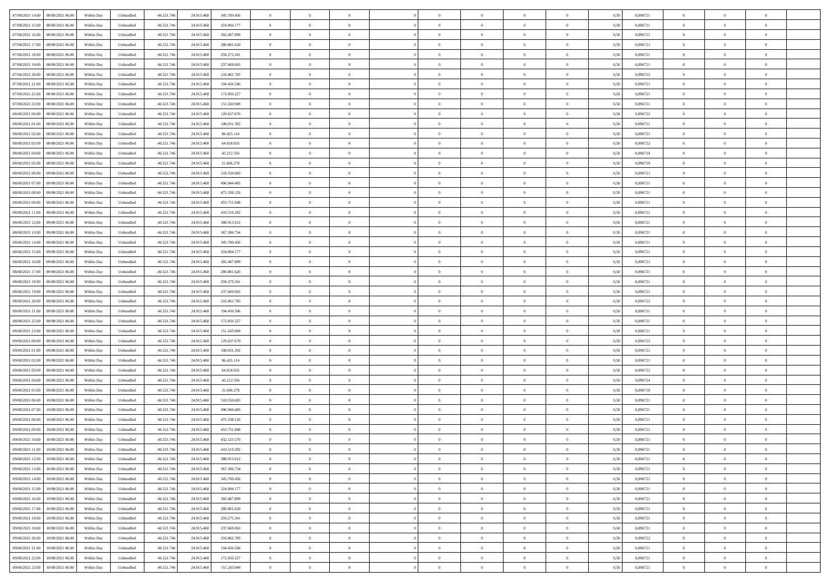| 07/08/2021 14:00  08/08/2021 06:00           | Within Day | Unbundled         | 46.521.74  | 24.915.468 | 345.700.456 | $\overline{0}$ | $\theta$       |                | $\overline{0}$ | $\theta$       |                | $\bf{0}$       | 0,50 | 0,896721 | $\theta$       | $\theta$       | $\overline{0}$ |  |
|----------------------------------------------|------------|-------------------|------------|------------|-------------|----------------|----------------|----------------|----------------|----------------|----------------|----------------|------|----------|----------------|----------------|----------------|--|
| 07/08/2021 15:00<br>08/08/2021 06:00         | Within Day | Unbundled         | 46.521.74  | 24.915.46  | 324.094.177 | $\bf{0}$       | $\overline{0}$ | $\overline{0}$ | $\overline{0}$ | $\theta$       | $\overline{0}$ | $\bf{0}$       | 0,50 | 0,896721 | $\,$ 0 $\,$    | $\bf{0}$       | $\overline{0}$ |  |
| 07/08/2021 16:00<br>08/08/2021 06:00         | Within Day | Unbundled         | 46.521.746 | 24.915.468 | 302.487.899 | $\overline{0}$ | $\bf{0}$       | $\overline{0}$ | $\bf{0}$       | $\bf{0}$       | $\overline{0}$ | $\bf{0}$       | 0.50 | 0.896721 | $\bf{0}$       | $\overline{0}$ | $\overline{0}$ |  |
| 07/08/2021 17:00<br>08/08/2021 06:00         |            |                   | 46.521.74  |            |             | $\overline{0}$ | $\overline{0}$ | $\overline{0}$ | $\theta$       | $\theta$       | $\overline{0}$ | $\overline{0}$ |      | 0,896721 | $\theta$       | $\theta$       | $\overline{0}$ |  |
|                                              | Within Day | Unbundled         |            | 24.915.468 | 280.881.620 |                |                |                |                |                |                |                | 0,50 |          |                |                |                |  |
| 07/08/2021 18:00<br>08/08/2021 06:00         | Within Day | Unbundled         | 46.521.74  | 24.915.46  | 259.275.341 | $\overline{0}$ | $\theta$       | $\overline{0}$ | $\overline{0}$ | $\theta$       | $\overline{0}$ | $\bf{0}$       | 0,50 | 0,896721 | $\,$ 0 $\,$    | $\bf{0}$       | $\overline{0}$ |  |
| 07/08/2021 19:00<br>08/08/2021 06:00         | Within Day | Unbundled         | 46.521.74  | 24.915.46  | 237.669.063 | $\overline{0}$ | $\overline{0}$ | $\overline{0}$ | $\overline{0}$ | $\overline{0}$ | $\Omega$       | $\bf{0}$       | 0.50 | 0,896721 | $\,$ 0 $\,$    | $\theta$       | $\overline{0}$ |  |
| 07/08/2021 20:00<br>08/08/2021 06:00         | Within Day | Unbundled         | 46.521.74  | 24.915.468 | 216.062.785 | $\overline{0}$ | $\overline{0}$ | $\overline{0}$ | $\overline{0}$ | $\theta$       | $\overline{0}$ | $\bf{0}$       | 0,50 | 0,896722 | $\theta$       | $\theta$       | $\overline{0}$ |  |
|                                              |            |                   |            |            |             |                |                |                |                |                |                |                |      |          |                |                |                |  |
| 07/08/2021 21:00<br>08/08/2021 06:00         | Within Day | Unbundled         | 46.521.74  | 24.915.46  | 194.456.506 | $\overline{0}$ | $\overline{0}$ | $\overline{0}$ | $\overline{0}$ | $\theta$       | $\overline{0}$ | $\bf{0}$       | 0,50 | 0,896721 | $\,$ 0 $\,$    | $\bf{0}$       | $\overline{0}$ |  |
| 07/08/2021 22.00<br>08/08/2021 06:00         | Within Day | Unbundled         | 46.521.74  | 24.915.468 | 172.850.227 | $\overline{0}$ | $\overline{0}$ | $\overline{0}$ | $\bf{0}$       | $\overline{0}$ | $\overline{0}$ | $\bf{0}$       | 0.50 | 0.896721 | $\bf{0}$       | $\theta$       | $\overline{0}$ |  |
| 07/08/2021 23:00<br>08/08/2021 06:00         | Within Day | Unbundled         | 46.521.74  | 24.915.468 | 151.243.949 | $\overline{0}$ | $\bf{0}$       | $\overline{0}$ | $\overline{0}$ | $\theta$       | $\overline{0}$ | $\bf{0}$       | 0,50 | 0,896721 | $\,$ 0 $\,$    | $\theta$       | $\overline{0}$ |  |
| 08/08/2021 00:00<br>08/08/2021 06:00         | Within Day | Unbundled         | 46.521.74  | 24.915.468 | 129.637.670 | $\bf{0}$       | $\overline{0}$ | $\bf{0}$       | $\overline{0}$ | $\bf{0}$       | $\overline{0}$ | $\bf{0}$       | 0,50 | 0,896722 | $\,$ 0 $\,$    | $\bf{0}$       | $\overline{0}$ |  |
|                                              |            |                   |            |            |             |                |                |                |                |                |                |                |      |          |                |                |                |  |
| 08/08/2021 01:00<br>08/08/2021 06:00         | Within Day | Unbundled         | 46.521.746 | 24.915.468 | 108.031.392 | $\overline{0}$ | $\overline{0}$ | $\overline{0}$ | $\bf{0}$       | $\bf{0}$       | $\overline{0}$ | $\bf{0}$       | 0.50 | 0.896721 | $\bf{0}$       | $\overline{0}$ | $\overline{0}$ |  |
| 08/08/2021 02:00<br>08/08/2021 06:00         | Within Day | Unbundled         | 46.521.74  | 24.915.468 | 86.425.114  | $\overline{0}$ | $\overline{0}$ | $\overline{0}$ | $\overline{0}$ | $\theta$       | $\overline{0}$ | $\overline{0}$ | 0,50 | 0,896721 | $\theta$       | $\theta$       | $\overline{0}$ |  |
| 08/08/2021 03:00<br>08/08/2021 06:00         | Within Day | Unbundled         | 46.521.74  | 24.915.46  | 64.818.835  | $\bf{0}$       | $\theta$       | $\bf{0}$       | $\overline{0}$ | $\theta$       | $\overline{0}$ | $\bf{0}$       | 0,50 | 0,896722 | $\bf{0}$       | $\bf{0}$       | $\overline{0}$ |  |
|                                              |            |                   |            |            |             |                |                |                |                |                |                |                |      |          |                |                |                |  |
| 08/08/2021 04:00<br>08/08/2021 06:00         | Within Day | Unbundled         | 46.521.74  | 24.915.468 | 43.212.556  | $\overline{0}$ | $\overline{0}$ | $\overline{0}$ | $\bf{0}$       | $\theta$       | $\theta$       | $\bf{0}$       | 0.50 | 0.896724 | $\bf{0}$       | $\theta$       | $\overline{0}$ |  |
| 08/08/2021 05:00<br>08/08/2021 06:00         | Within Day | Unbundled         | 46.521.74  | 24.915.468 | 21.606.278  | $\overline{0}$ | $\overline{0}$ | $\overline{0}$ | $\overline{0}$ | $\overline{0}$ | $\overline{0}$ | $\bf{0}$       | 0,50 | 0,896718 | $\theta$       | $\theta$       | $\overline{0}$ |  |
| 08/08/2021 06:00<br>09/08/2021 06.00         | Within Day | Unbundled         | 46.521.74  | 24.915.46  | 518.550.683 | $\bf{0}$       | $\overline{0}$ | $\overline{0}$ | $\overline{0}$ | $\theta$       | $\overline{0}$ | $\bf{0}$       | 0,50 | 0,896721 | $\,$ 0 $\,$    | $\bf{0}$       | $\overline{0}$ |  |
| 08/08/2021 07:00<br>09/08/2021 06:00         | Within Day | Unbundled         | 46.521.74  | 24.915.46  | 496.944.405 | $\overline{0}$ | $\overline{0}$ | $\overline{0}$ | $\bf{0}$       | $\overline{0}$ | $\overline{0}$ | $\bf{0}$       | 0.50 | 0.896721 | $\bf{0}$       | $\overline{0}$ | $\overline{0}$ |  |
|                                              |            |                   |            |            |             | $\overline{0}$ | $\overline{0}$ | $\overline{0}$ | $\overline{0}$ | $\theta$       | $\overline{0}$ |                |      |          | $\,$ 0 $\,$    | $\theta$       | $\overline{0}$ |  |
| 08/08/2021 08:00<br>09/08/2021 06:00         | Within Day | Unbundled         | 46.521.74  | 24.915.468 | 475.338.126 |                |                |                |                |                |                | $\bf{0}$       | 0,50 | 0,896721 |                |                |                |  |
| 08/08/2021 09:00<br>09/08/2021 06.00         | Within Day | Unbundled         | 46.521.74  | 24.915.46  | 453.731.848 | $\bf{0}$       | $\overline{0}$ | $\bf{0}$       | $\bf{0}$       | $\overline{0}$ | $\overline{0}$ | $\bf{0}$       | 0,50 | 0,896721 | $\,$ 0 $\,$    | $\bf{0}$       | $\overline{0}$ |  |
| 08/08/2021 11:00<br>09/08/2021 06:00         | Within Day | Unbundled         | 46.521.746 | 24.915.468 | 410.519.292 | $\overline{0}$ | $\bf{0}$       | $\overline{0}$ | $\bf{0}$       | $\bf{0}$       | $\overline{0}$ | $\bf{0}$       | 0.50 | 0.896721 | $\bf{0}$       | $\overline{0}$ | $\overline{0}$ |  |
| 08/08/2021 12:00<br>09/08/2021 06:00         | Within Day | Unbundled         | 46.521.74  | 24.915.468 | 388.913.012 | $\overline{0}$ | $\overline{0}$ | $\overline{0}$ | $\overline{0}$ | $\theta$       | $\overline{0}$ | $\bf{0}$       | 0,50 | 0,896721 | $\theta$       | $\theta$       | $\overline{0}$ |  |
|                                              |            |                   |            |            |             |                | $\overline{0}$ |                |                |                |                |                |      |          |                |                | $\overline{0}$ |  |
| 08/08/2021 13:00<br>09/08/2021 06.00         | Within Day | Unbundled         | 46.521.74  | 24.915.46  | 367.306.734 | $\bf{0}$       |                | $\bf{0}$       | $\bf{0}$       | $\theta$       | $\overline{0}$ | $\bf{0}$       | 0,50 | 0,896721 | $\,$ 0 $\,$    | $\bf{0}$       |                |  |
| 08/08/2021 14:00<br>09/08/2021 06:00         | Within Day | Unbundled         | 46.521.74  | 24.915.46  | 345.700.456 | $\overline{0}$ | $\overline{0}$ | $\overline{0}$ | $\overline{0}$ | $\overline{0}$ | $\Omega$       | $\bf{0}$       | 0.50 | 0.896721 | $\,$ 0 $\,$    | $\theta$       | $\overline{0}$ |  |
| 08/08/2021 15:00<br>09/08/2021 06:00         | Within Day | Unbundled         | 46.521.74  | 24.915.468 | 324.094.177 | $\overline{0}$ | $\overline{0}$ | $\overline{0}$ | $\overline{0}$ | $\theta$       | $\overline{0}$ | $\bf{0}$       | 0,50 | 0,896721 | $\theta$       | $\theta$       | $\overline{0}$ |  |
| 08/08/2021 16:00<br>09/08/2021 06.00         | Within Day | Unbundled         | 46.521.74  | 24.915.46  | 302.487.899 | $\bf{0}$       | $\theta$       | $\overline{0}$ | $\overline{0}$ | $\theta$       | $\overline{0}$ | $\bf{0}$       | 0,50 | 0,896721 | $\,$ 0 $\,$    | $\bf{0}$       | $\overline{0}$ |  |
| 09/08/2021 06:00                             |            | Unbundled         | 46.521.74  | 24.915.46  | 280.881.620 |                | $\bf{0}$       | $\overline{0}$ |                | $\overline{0}$ | $\overline{0}$ |                | 0.50 | 0.896721 | $\bf{0}$       | $\theta$       | $\overline{0}$ |  |
| 08/08/2021 17:00                             | Within Day |                   |            |            |             | $\overline{0}$ |                |                | $\bf{0}$       |                |                | $\bf{0}$       |      |          |                |                |                |  |
| 08/08/2021 18:00<br>09/08/2021 06:00         | Within Day | Unbundled         | 46.521.74  | 24.915.468 | 259.275.341 | $\overline{0}$ | $\overline{0}$ | $\overline{0}$ | $\overline{0}$ | $\theta$       | $\overline{0}$ | $\bf{0}$       | 0,50 | 0,896721 | $\theta$       | $\theta$       | $\overline{0}$ |  |
| 08/08/2021 19:00<br>09/08/2021 06.00         | Within Day | Unbundled         | 46.521.74  | 24.915.46  | 237.669.063 | $\bf{0}$       | $\bf{0}$       | $\bf{0}$       | $\bf{0}$       | $\overline{0}$ | $\overline{0}$ | $\bf{0}$       | 0,50 | 0,896721 | $\,$ 0 $\,$    | $\bf{0}$       | $\overline{0}$ |  |
| 08/08/2021 20:00<br>09/08/2021 06:00         | Within Day | Unbundled         | 46.521.746 | 24.915.468 | 216.062.785 | $\overline{0}$ | $\bf{0}$       | $\overline{0}$ | $\bf{0}$       | $\bf{0}$       | $\overline{0}$ | $\bf{0}$       | 0.50 | 0.896722 | $\bf{0}$       | $\overline{0}$ | $\overline{0}$ |  |
| 08/08/2021 21:00<br>09/08/2021 06:00         | Within Day | Unbundled         | 46.521.74  | 24.915.46  | 194,456,506 | $\overline{0}$ | $\overline{0}$ | $\overline{0}$ | $\overline{0}$ | $\theta$       | $\overline{0}$ | $\bf{0}$       | 0.5( | 0,896721 | $\theta$       | $\theta$       | $\overline{0}$ |  |
|                                              |            |                   |            |            |             |                |                |                |                |                |                |                |      |          |                |                |                |  |
| 08/08/2021 22:00<br>09/08/2021 06.00         | Within Day | Unbundled         | 46.521.74  | 24.915.46  | 172.850.227 | $\bf{0}$       | $\overline{0}$ | $\bf{0}$       | $\overline{0}$ | $\overline{0}$ | $\overline{0}$ | $\bf{0}$       | 0,50 | 0,896721 | $\,$ 0 $\,$    | $\bf{0}$       | $\overline{0}$ |  |
| 08/08/2021 23:00<br>09/08/2021 06:00         | Within Day | Unbundled         | 46.521.74  | 24.915.468 | 151.243.949 | $\overline{0}$ | $\overline{0}$ | $\overline{0}$ | $\bf{0}$       | $\theta$       | $\Omega$       | $\bf{0}$       | 0.50 | 0,896721 | $\,$ 0 $\,$    | $\theta$       | $\overline{0}$ |  |
| 09/08/2021 00:00<br>09/08/2021 06:00         | Within Dav | Unbundled         | 46.521.74  | 24.915.468 | 129.637.670 | $\overline{0}$ | $\overline{0}$ | $\Omega$       | $\overline{0}$ | $\theta$       | $\overline{0}$ | $\overline{0}$ | 0.5( | 0,896722 | $\theta$       | $\theta$       | $\overline{0}$ |  |
| 09/08/2021 01:00<br>09/08/2021 06.00         | Within Day | Unbundled         | 46.521.74  | 24.915.46  | 108.031.392 | $\bf{0}$       | $\overline{0}$ | $\bf{0}$       | $\overline{0}$ | $\bf{0}$       | $\overline{0}$ | $\bf{0}$       | 0,50 | 0,896721 | $\,$ 0 $\,$    | $\bf{0}$       | $\overline{0}$ |  |
|                                              |            |                   |            |            |             |                |                |                |                |                |                |                |      |          |                |                |                |  |
| 09/08/2021 02:00<br>09/08/2021 06:00         | Within Day | Unbundled         | 46.521.74  | 24.915.46  | 86.425.114  | $\overline{0}$ | $\bf{0}$       | $\overline{0}$ | $\bf{0}$       | $\overline{0}$ | $\overline{0}$ | $\bf{0}$       | 0.50 | 0.896721 | $\bf{0}$       | $\overline{0}$ | $\overline{0}$ |  |
| 09/08/2021 03:00<br>09/08/2021 06:00         | Within Dav | Unbundled         | 46.521.74  | 24.915.46  | 64.818.835  | $\overline{0}$ | $\overline{0}$ | $\overline{0}$ | $\overline{0}$ | $\overline{0}$ | $\overline{0}$ | $\overline{0}$ | 0.50 | 0,896722 | $\theta$       | $\theta$       | $\overline{0}$ |  |
| 09/08/2021 04:00<br>09/08/2021 06.00         | Within Day | Unbundled         | 46.521.74  | 24.915.46  | 43.212.556  | $\bf{0}$       | $\bf{0}$       | $\bf{0}$       | $\bf{0}$       | $\overline{0}$ | $\overline{0}$ | $\bf{0}$       | 0,50 | 0,896724 | $\,$ 0 $\,$    | $\bf{0}$       | $\overline{0}$ |  |
| 09/08/2021 05:00<br>09/08/2021 06:00         | Within Day | Unbundled         | 46.521.746 | 24.915.468 | 21.606.278  | $\overline{0}$ | $\bf{0}$       | $\overline{0}$ | $\bf{0}$       | $\bf{0}$       | $\overline{0}$ | $\bf{0}$       | 0.50 | 0.896718 | $\bf{0}$       | $\overline{0}$ | $\overline{0}$ |  |
|                                              |            |                   |            |            |             |                |                |                |                |                |                |                |      |          |                |                |                |  |
| 09/08/2021 06:00<br>10/08/2021 06:00         | Within Dav | Unbundled         | 46.521.74  | 24.915.468 | 518.550.683 | $\overline{0}$ | $\overline{0}$ | $\Omega$       | $\overline{0}$ | $\overline{0}$ | $\overline{0}$ | $\bf{0}$       | 0.50 | 0,896721 | $\theta$       | $\theta$       | $\overline{0}$ |  |
| 09/08/2021 07:00<br>10/08/2021 06:00         | Within Day | Unbundled         | 46.521.74  | 24.915.46  | 496.944.405 | $\bf{0}$       | $\overline{0}$ | $\bf{0}$       | $\overline{0}$ | $\overline{0}$ | $\overline{0}$ | $\bf{0}$       | 0,50 | 0,896721 | $\,$ 0 $\,$    | $\bf{0}$       | $\overline{0}$ |  |
| 09/08/2021 08:00<br>10/08/2021 06:00         | Within Day | Unbundled         | 46.521.74  | 24.915.46  | 475.338.126 | $\overline{0}$ | $\overline{0}$ | $\Omega$       | $\overline{0}$ | $\theta$       | $\theta$       | $\bf{0}$       | 0.50 | 0,896721 | $\bf{0}$       | $\theta$       | $\overline{0}$ |  |
| 09/08/2021 09:00<br>10/08/2021 06:00         | Within Dav | Unbundled         | 46.521.74  | 24.915.46  | 453.731.848 | $\overline{0}$ | $\overline{0}$ | $\Omega$       | $\overline{0}$ | $\theta$       | $\Omega$       | $\overline{0}$ | 0.5( | 0,896721 | $\theta$       | $\theta$       | $\overline{0}$ |  |
| 09/08/2021 10:00                             |            |                   | 46.521.74  |            |             | $\bf{0}$       | $\bf{0}$       | $\overline{0}$ | $\bf{0}$       | $\bf{0}$       | $\overline{0}$ |                |      |          | $\,$ 0 $\,$    | $\bf{0}$       | $\overline{0}$ |  |
| 10/08/2021 06:00                             | Within Day | Unbundled         |            | 24.915.468 | 432.125.570 |                |                |                |                |                |                | $\bf{0}$       | 0,50 | 0,896721 |                |                |                |  |
| $09/08/2021\ 11.00 \qquad 10/08/2021\ 06.00$ | Within Day | ${\sf Unbundred}$ | 46.521.746 | 24.915.468 | 410.519.292 | $\overline{0}$ | $\Omega$       |                | $\Omega$       |                |                |                | 0,50 | 0,896721 | $\theta$       | $\overline{0}$ |                |  |
| 09/08/2021 12:00 10/08/2021 06:00            | Within Day | Unbundled         | 46.521.746 | 24.915.468 | 388.913.012 | $\overline{0}$ | $\theta$       | $\Omega$       | $\theta$       | $\overline{0}$ | $\overline{0}$ | $\bf{0}$       | 0,50 | 0,896721 | $\theta$       | $\theta$       | $\overline{0}$ |  |
| 09/08/2021 13:00<br>10/08/2021 06:00         | Within Day | Unbundled         | 46.521.74  | 24.915.468 | 367.306.734 | $\overline{0}$ | $\bf{0}$       | $\overline{0}$ | $\overline{0}$ | $\bf{0}$       | $\overline{0}$ | $\bf{0}$       | 0,50 | 0,896721 | $\bf{0}$       | $\overline{0}$ | $\bf{0}$       |  |
| 09/08/2021 14:00 10/08/2021 06:00            | Within Day | Unbundled         | 46.521.746 | 24.915.468 | 345.700.456 | $\overline{0}$ | $\bf{0}$       | $\overline{0}$ | $\overline{0}$ | $\overline{0}$ | $\overline{0}$ | $\bf{0}$       | 0.50 | 0.896721 | $\overline{0}$ | $\bf{0}$       | $\,$ 0 $\,$    |  |
|                                              |            |                   |            |            |             |                |                |                |                |                |                |                |      |          |                |                |                |  |
| 09/08/2021 15:00 10/08/2021 06:00            | Within Day | Unbundled         | 46.521.746 | 24.915.468 | 324.094.177 | $\overline{0}$ | $\overline{0}$ | $\overline{0}$ | $\overline{0}$ | $\overline{0}$ | $\overline{0}$ | $\bf{0}$       | 0,50 | 0,896721 | $\theta$       | $\theta$       | $\overline{0}$ |  |
| 09/08/2021 16:00<br>10/08/2021 06:00         | Within Day | Unbundled         | 46.521.74  | 24.915.468 | 302.487.899 | $\overline{0}$ | $\bf{0}$       | $\overline{0}$ | $\bf{0}$       | $\overline{0}$ | $\overline{0}$ | $\bf{0}$       | 0,50 | 0,896721 | $\bf{0}$       | $\bf{0}$       | $\overline{0}$ |  |
| 09/08/2021 17:00<br>10/08/2021 06:00         | Within Day | Unbundled         | 46.521.746 | 24.915.468 | 280.881.620 | $\overline{0}$ | $\bf{0}$       | $\overline{0}$ | $\overline{0}$ | $\overline{0}$ | $\overline{0}$ | $\bf{0}$       | 0.50 | 0,896721 | $\,$ 0 $\,$    | $\theta$       | $\overline{0}$ |  |
| 09/08/2021 18:00<br>10/08/2021 06:00         | Within Dav | Unbundled         | 46.521.746 | 24.915.468 | 259.275.341 | $\overline{0}$ | $\overline{0}$ | $\overline{0}$ | $\overline{0}$ | $\overline{0}$ | $\overline{0}$ | $\bf{0}$       | 0.50 | 0,896721 | $\overline{0}$ | $\theta$       | $\overline{0}$ |  |
|                                              |            |                   |            |            |             |                |                |                |                |                |                |                |      |          |                |                |                |  |
| 09/08/2021 19:00<br>10/08/2021 06:00         | Within Day | Unbundled         | 46.521.74  | 24.915.468 | 237.669.063 | $\overline{0}$ | $\overline{0}$ | $\overline{0}$ | $\overline{0}$ | $\bf{0}$       | $\overline{0}$ | $\bf{0}$       | 0,50 | 0,896721 | $\bf{0}$       | $\overline{0}$ | $\overline{0}$ |  |
| 10/08/2021 06:00<br>09/08/2021 20:00         | Within Day | Unbundled         | 46.521.746 | 24.915.468 | 216.062.785 | $\overline{0}$ | $\overline{0}$ | $\overline{0}$ | $\overline{0}$ | $\bf{0}$       | $\overline{0}$ | $\bf{0}$       | 0.50 | 0.896722 | $\overline{0}$ | $\,$ 0 $\,$    | $\,$ 0         |  |
| 09/08/2021 21:00<br>10/08/2021 06:00         | Within Dav | Unbundled         | 46.521.746 | 24.915.468 | 194.456.506 | $\overline{0}$ | $\overline{0}$ | $\overline{0}$ | $\overline{0}$ | $\overline{0}$ | $\overline{0}$ | $\bf{0}$       | 0,50 | 0,896721 | $\overline{0}$ | $\theta$       | $\overline{0}$ |  |
| 09/08/2021 22:00<br>10/08/2021 06:00         | Within Day | Unbundled         | 46.521.74  | 24.915.468 | 172.850.227 | $\overline{0}$ | $\bf{0}$       | $\overline{0}$ | $\bf{0}$       | $\overline{0}$ | $\overline{0}$ | $\bf{0}$       | 0,50 | 0,896721 | $\bf{0}$       | $\bf{0}$       | $\overline{0}$ |  |
|                                              |            |                   |            |            |             |                |                |                |                |                |                |                |      |          |                |                |                |  |
| 09/08/2021 23:00 10/08/2021 06:00            | Within Day | Unbundled         | 46.521.746 | 24.915.468 | 151.243.949 | $\overline{0}$ | $\bf{0}$       | $\overline{0}$ | $\overline{0}$ | $\,$ 0 $\,$    | $\overline{0}$ | $\bf{0}$       | 0,50 | 0,896721 | $\overline{0}$ | $\,$ 0 $\,$    | $\,$ 0 $\,$    |  |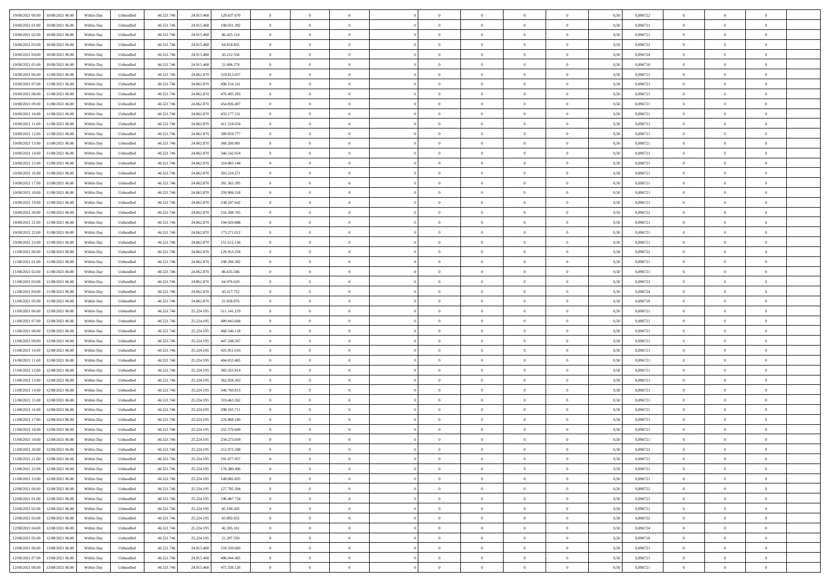| 10/08/2021 00:00<br>10/08/2021 06:00         | Within Day | Unbundled         | 46.521.74  | 24.915.468 | 129.637.670 | $\overline{0}$ | $\theta$       |                | $\overline{0}$ | $\theta$       |                | $\bf{0}$       | 0,50 | 0,896722 | $\theta$       | $\theta$       | $\overline{0}$ |  |
|----------------------------------------------|------------|-------------------|------------|------------|-------------|----------------|----------------|----------------|----------------|----------------|----------------|----------------|------|----------|----------------|----------------|----------------|--|
| 10/08/2021 01:00<br>10/08/2021 06:00         | Within Day | Unbundled         | 46.521.74  | 24.915.46  | 108.031.392 | $\bf{0}$       | $\overline{0}$ | $\bf{0}$       | $\overline{0}$ | $\bf{0}$       | $\overline{0}$ | $\bf{0}$       | 0,50 | 0,896721 | $\,$ 0 $\,$    | $\bf{0}$       | $\overline{0}$ |  |
| 10/08/2021 02:00<br>10/08/2021 06:00         | Within Day | Unbundled         | 46.521.746 | 24.915.468 | 86.425.114  | $\overline{0}$ | $\bf{0}$       | $\overline{0}$ | $\bf{0}$       | $\bf{0}$       | $\overline{0}$ | $\bf{0}$       | 0.50 | 0.896721 | $\bf{0}$       | $\overline{0}$ | $\overline{0}$ |  |
| 10/08/2021 03:00<br>10/08/2021 06:00         | Within Day | Unbundled         | 46.521.74  | 24.915.468 | 64.818.835  | $\overline{0}$ | $\overline{0}$ | $\overline{0}$ | $\theta$       | $\theta$       | $\overline{0}$ | $\bf{0}$       | 0,50 | 0,896722 | $\theta$       | $\theta$       | $\overline{0}$ |  |
| 10/08/2021 04:00<br>10/08/2021 06:00         | Within Day | Unbundled         | 46.521.74  | 24.915.46  | 43.212.556  | $\bf{0}$       | $\overline{0}$ | $\bf{0}$       | $\overline{0}$ | $\theta$       | $\overline{0}$ | $\bf{0}$       | 0,50 | 0,896724 | $\,$ 0 $\,$    | $\bf{0}$       | $\overline{0}$ |  |
|                                              |            |                   |            |            |             |                |                |                |                |                |                |                |      |          |                |                |                |  |
| 10/08/2021 05:00<br>10/08/2021 06:00         | Within Day | Unbundled         | 46.521.74  | 24.915.46  | 21.606.278  | $\overline{0}$ | $\overline{0}$ | $\overline{0}$ | $\bf{0}$       | $\overline{0}$ | $\theta$       | $\bf{0}$       | 0.50 | 0.896718 | $\,$ 0 $\,$    | $\theta$       | $\overline{0}$ |  |
| 10/08/2021 06:00<br>11/08/2021 06:00         | Within Day | Unbundled         | 46.521.74  | 24.862.870 | 519.813.037 | $\overline{0}$ | $\overline{0}$ | $\overline{0}$ | $\overline{0}$ | $\theta$       | $\overline{0}$ | $\bf{0}$       | 0,50 | 0,896721 | $\theta$       | $\theta$       | $\overline{0}$ |  |
| 10/08/2021 07:00<br>11/08/2021 06:00         | Within Day | Unbundled         | 46.521.74  | 24.862.870 | 498.154.161 | $\bf{0}$       | $\overline{0}$ | $\overline{0}$ | $\overline{0}$ | $\theta$       | $\overline{0}$ | $\bf{0}$       | 0,50 | 0,896721 | $\,$ 0 $\,$    | $\bf{0}$       | $\overline{0}$ |  |
| 10/08/2021 08:00<br>11/08/2021 06:00         | Within Day | Unbundled         | 46.521.74  | 24,862,870 | 476.495.283 | $\overline{0}$ | $\bf{0}$       | $\overline{0}$ | $\bf{0}$       | $\overline{0}$ | $\overline{0}$ | $\bf{0}$       | 0.50 | 0.896721 | $\bf{0}$       | $\overline{0}$ | $\overline{0}$ |  |
| 10/08/2021 09:00<br>11/08/2021 06:00         | Within Day | Unbundled         | 46.521.74  | 24.862.870 | 454.836.407 | $\overline{0}$ | $\bf{0}$       | $\overline{0}$ | $\overline{0}$ | $\overline{0}$ | $\overline{0}$ | $\bf{0}$       | 0,50 | 0,896721 | $\,$ 0 $\,$    | $\bf{0}$       | $\overline{0}$ |  |
| 10/08/2021 10:00<br>11/08/2021 06:00         | Within Day | Unbundled         | 46.521.74  | 24.862.87  | 433.177.531 | $\bf{0}$       | $\overline{0}$ | $\bf{0}$       | $\bf{0}$       | $\bf{0}$       | $\overline{0}$ | $\bf{0}$       | 0,50 | 0,896721 | $\,$ 0 $\,$    | $\bf{0}$       | $\overline{0}$ |  |
| 10/08/2021 11:00<br>11/08/2021 06:00         | Within Day | Unbundled         | 46.521.746 | 24.862.870 | 411.518.654 | $\overline{0}$ | $\bf{0}$       | $\overline{0}$ | $\bf{0}$       | $\bf{0}$       | $\overline{0}$ | $\bf{0}$       | 0.50 | 0.896721 | $\bf{0}$       | $\overline{0}$ | $\bf{0}$       |  |
|                                              |            |                   |            |            |             |                |                |                |                |                |                |                |      |          |                |                |                |  |
| 10/08/2021 12:00<br>11/08/2021 06:00         | Within Day | Unbundled         | 46.521.74  | 24.862.870 | 389.859.777 | $\overline{0}$ | $\overline{0}$ | $\overline{0}$ | $\overline{0}$ | $\theta$       | $\overline{0}$ | $\overline{0}$ | 0,50 | 0,896721 | $\,$ 0 $\,$    | $\theta$       | $\overline{0}$ |  |
| 10/08/2021 13:00<br>11/08/2021 06:00         | Within Day | Unbundled         | 46.521.74  | 24.862.87  | 368.200.901 | $\bf{0}$       | $\theta$       | $\bf{0}$       | $\overline{0}$ | $\theta$       | $\overline{0}$ | $\bf{0}$       | 0,50 | 0,896721 | $\bf{0}$       | $\bf{0}$       | $\overline{0}$ |  |
| 10/08/2021 14:00<br>11/08/2021 06:00         | Within Day | Unbundled         | 46.521.74  | 24.862.870 | 346.542.024 | $\overline{0}$ | $\overline{0}$ | $\overline{0}$ | $\bf{0}$       | $\bf{0}$       | $\Omega$       | $\bf{0}$       | 0.50 | 0,896721 | $\bf{0}$       | $\theta$       | $\overline{0}$ |  |
| 10/08/2021 15:00<br>11/08/2021 06:00         | Within Day | Unbundled         | 46.521.74  | 24.862.870 | 324.883.148 | $\overline{0}$ | $\overline{0}$ | $\overline{0}$ | $\overline{0}$ | $\overline{0}$ | $\overline{0}$ | $\bf{0}$       | 0,50 | 0,896721 | $\theta$       | $\theta$       | $\overline{0}$ |  |
| 10/08/2021 16:00<br>11/08/2021 06:00         | Within Day | Unbundled         | 46.521.74  | 24.862.87  | 303.224.271 | $\bf{0}$       | $\overline{0}$ | $\overline{0}$ | $\overline{0}$ | $\bf{0}$       | $\overline{0}$ | $\bf{0}$       | 0,50 | 0,896721 | $\,$ 0 $\,$    | $\bf{0}$       | $\overline{0}$ |  |
| 10/08/2021 17:00<br>11/08/2021 06:00         | Within Day | Unbundled         | 46.521.74  | 24,862,870 | 281.565.395 | $\overline{0}$ | $\bf{0}$       | $\overline{0}$ | $\bf{0}$       | $\overline{0}$ | $\overline{0}$ | $\bf{0}$       | 0.50 | 0.896721 | $\bf{0}$       | $\overline{0}$ | $\overline{0}$ |  |
| 10/08/2021 18:00<br>11/08/2021 06:00         | Within Day | Unbundled         | 46.521.74  | 24.862.870 | 259.906.518 | $\bf{0}$       | $\overline{0}$ | $\overline{0}$ | $\overline{0}$ | $\overline{0}$ | $\overline{0}$ | $\bf{0}$       | 0,50 | 0,896721 | $\,$ 0 $\,$    | $\bf{0}$       | $\overline{0}$ |  |
|                                              |            |                   |            |            |             |                |                |                |                |                |                |                |      |          |                |                |                |  |
| 10/08/2021 19:00<br>11/08/2021 06:00         | Within Day | Unbundled         | 46.521.74  | 24.862.87  | 238.247.642 | $\bf{0}$       | $\overline{0}$ | $\bf{0}$       | $\bf{0}$       | $\overline{0}$ | $\overline{0}$ | $\bf{0}$       | 0,50 | 0,896721 | $\,$ 0 $\,$    | $\bf{0}$       | $\overline{0}$ |  |
| 10/08/2021 20:00<br>11/08/2021 06:00         | Within Day | Unbundled         | 46.521.746 | 24.862.870 | 216,588,765 | $\overline{0}$ | $\bf{0}$       | $\overline{0}$ | $\bf{0}$       | $\bf{0}$       | $\overline{0}$ | $\bf{0}$       | 0.50 | 0.896722 | $\bf{0}$       | $\overline{0}$ | $\bf{0}$       |  |
| 10/08/2021 21:00<br>11/08/2021 06:00         | Within Day | Unbundled         | 46.521.74  | 24.862.870 | 194.929.888 | $\overline{0}$ | $\overline{0}$ | $\overline{0}$ | $\theta$       | $\theta$       | $\overline{0}$ | $\bf{0}$       | 0,50 | 0,896721 | $\theta$       | $\theta$       | $\overline{0}$ |  |
| 10/08/2021 22:00<br>11/08/2021 06:00         | Within Day | Unbundled         | 46.521.74  | 24.862.87  | 173.271.012 | $\bf{0}$       | $\overline{0}$ | $\bf{0}$       | $\bf{0}$       | $\bf{0}$       | $\overline{0}$ | $\bf{0}$       | 0,50 | 0,896721 | $\,$ 0 $\,$    | $\bf{0}$       | $\overline{0}$ |  |
| 10/08/2021 23:00<br>11/08/2021 06:00         | Within Day | Unbundled         | 46.521.74  | 24,862,870 | 151.612.136 | $\overline{0}$ | $\overline{0}$ | $\overline{0}$ | $\overline{0}$ | $\overline{0}$ | $\Omega$       | $\bf{0}$       | 0.50 | 0,896721 | $\,$ 0 $\,$    | $\theta$       | $\overline{0}$ |  |
| 11/08/2021 00:00<br>11/08/2021 06:00         | Within Day | Unbundled         | 46.521.74  | 24.862.870 | 129.953.258 | $\overline{0}$ | $\overline{0}$ | $\overline{0}$ | $\overline{0}$ | $\theta$       | $\overline{0}$ | $\bf{0}$       | 0,50 | 0,896722 | $\theta$       | $\theta$       | $\overline{0}$ |  |
| 11/08/2021 01:00<br>11/08/2021 06:00         | Within Day | Unbundled         | 46.521.74  | 24.862.870 | 108.294.382 | $\bf{0}$       | $\theta$       | $\bf{0}$       | $\overline{0}$ | $\theta$       | $\overline{0}$ | $\bf{0}$       | 0,50 | 0,896721 | $\,$ 0 $\,$    | $\bf{0}$       | $\overline{0}$ |  |
|                                              |            |                   |            |            |             |                |                |                |                |                |                |                |      |          |                |                |                |  |
| 11/08/2021 02:00<br>11/08/2021 06:00         | Within Day | Unbundled         | 46.521.74  | 24,862,870 | 86,635,506  | $\overline{0}$ | $\bf{0}$       | $\overline{0}$ | $\bf{0}$       | $\overline{0}$ | $\overline{0}$ | $\bf{0}$       | 0.50 | 0.896721 | $\bf{0}$       | $\overline{0}$ | $\overline{0}$ |  |
| 11/08/2021 03:00<br>11/08/2021 06:00         | Within Day | Unbundled         | 46.521.74  | 24.862.870 | 64.976.629  | $\overline{0}$ | $\overline{0}$ | $\overline{0}$ | $\theta$       | $\overline{0}$ | $\overline{0}$ | $\bf{0}$       | 0,50 | 0,896722 | $\theta$       | $\theta$       | $\overline{0}$ |  |
| 11/08/2021 04:00<br>11/08/2021 06:00         | Within Day | Unbundled         | 46.521.74  | 24.862.87  | 43.317.752  | $\bf{0}$       | $\bf{0}$       | $\bf{0}$       | $\bf{0}$       | $\overline{0}$ | $\overline{0}$ | $\bf{0}$       | 0,50 | 0,896724 | $\,$ 0 $\,$    | $\bf{0}$       | $\overline{0}$ |  |
| 11/08/2021 05:00<br>11/08/2021 06:00         | Within Day | Unbundled         | 46.521.746 | 24.862.870 | 21.658.876  | $\overline{0}$ | $\bf{0}$       | $\overline{0}$ | $\bf{0}$       | $\bf{0}$       | $\overline{0}$ | $\bf{0}$       | 0.50 | 0.896718 | $\bf{0}$       | $\overline{0}$ | $\bf{0}$       |  |
| 11/08/2021 06:00<br>12/08/2021 06:00         | Within Day | Unbundled         | 46.521.74  | 25.224.19  | 511.141.219 | $\overline{0}$ | $\overline{0}$ | $\overline{0}$ | $\overline{0}$ | $\overline{0}$ | $\overline{0}$ | $\bf{0}$       | 0.5( | 0,896721 | $\theta$       | $\theta$       | $\overline{0}$ |  |
| 11/08/2021 07:00<br>12/08/2021 06:00         | Within Day | Unbundled         | 46.521.74  | 25.224.19  | 489.843.668 | $\bf{0}$       | $\overline{0}$ | $\bf{0}$       | $\bf{0}$       | $\overline{0}$ | $\overline{0}$ | $\bf{0}$       | 0,50 | 0,896721 | $\,$ 0 $\,$    | $\bf{0}$       | $\overline{0}$ |  |
| 11/08/2021 08:00<br>12/08/2021 06:00         | Within Day | Unbundled         | 46.521.74  | 25.224.195 | 468.546.118 | $\overline{0}$ | $\overline{0}$ | $\overline{0}$ | $\bf{0}$       | $\overline{0}$ | $\Omega$       | $\bf{0}$       | 0.50 | 0,896721 | $\,$ 0 $\,$    | $\theta$       | $\overline{0}$ |  |
| 11/08/2021 09:00<br>12/08/2021 06:00         | Within Dav | Unbundled         | 46.521.74  | 25.224.195 | 447.248.567 | $\overline{0}$ | $\overline{0}$ | $\overline{0}$ | $\overline{0}$ | $\overline{0}$ | $\overline{0}$ | $\overline{0}$ | 0.5( | 0,896721 | $\theta$       | $\theta$       | $\overline{0}$ |  |
|                                              |            |                   |            |            |             |                | $\overline{0}$ |                |                |                | $\overline{0}$ |                |      |          |                |                |                |  |
| 11/08/2021 10:00<br>12/08/2021 06:00         | Within Day | Unbundled         | 46.521.74  | 25.224.19  | 425.951.016 | $\bf{0}$       |                | $\bf{0}$       | $\overline{0}$ | $\bf{0}$       |                | $\bf{0}$       | 0,50 | 0,896721 | $\,$ 0 $\,$    | $\bf{0}$       | $\overline{0}$ |  |
| 11/08/2021 11:00<br>12/08/2021 06:00         | Within Day | Unbundled         | 46.521.74  | 25.224.19  | 404.653.465 | $\overline{0}$ | $\bf{0}$       | $\overline{0}$ | $\bf{0}$       | $\overline{0}$ | $\overline{0}$ | $\bf{0}$       | 0.50 | 0.896721 | $\bf{0}$       | $\overline{0}$ | $\overline{0}$ |  |
| 11/08/2021 12:00<br>12/08/2021 06:00         | Within Dav | Unbundled         | 46.521.74  | 25.224.19  | 383.355.914 | $\overline{0}$ | $\overline{0}$ | $\overline{0}$ | $\overline{0}$ | $\overline{0}$ | $\overline{0}$ | $\overline{0}$ | 0.50 | 0,896721 | $\theta$       | $\theta$       | $\overline{0}$ |  |
| 11/08/2021 13:00<br>12/08/2021 06:00         | Within Day | Unbundled         | 46.521.74  | 25.224.19: | 362.058.363 | $\bf{0}$       | $\bf{0}$       | $\bf{0}$       | $\bf{0}$       | $\overline{0}$ | $\overline{0}$ | $\bf{0}$       | 0,50 | 0,896721 | $\,$ 0 $\,$    | $\bf{0}$       | $\overline{0}$ |  |
| 11/08/2021 14:00<br>12/08/2021 06:00         | Within Day | Unbundled         | 46.521.746 | 25.224.195 | 340,760,813 | $\overline{0}$ | $\bf{0}$       | $\overline{0}$ | $\bf{0}$       | $\bf{0}$       | $\overline{0}$ | $\bf{0}$       | 0.50 | 0.896721 | $\bf{0}$       | $\overline{0}$ | $\overline{0}$ |  |
| 11/08/2021 15:00<br>12/08/2021 06:00         | Within Dav | Unbundled         | 46.521.74  | 25.224.195 | 319.463.262 | $\overline{0}$ | $\overline{0}$ | $\overline{0}$ | $\overline{0}$ | $\theta$       | $\overline{0}$ | $\bf{0}$       | 0.50 | 0,896721 | $\theta$       | $\theta$       | $\overline{0}$ |  |
| 11/08/2021 16:00<br>12/08/2021 06:00         | Within Day | Unbundled         | 46.521.74  | 25.224.19: | 298.165.711 | $\bf{0}$       | $\overline{0}$ | $\bf{0}$       | $\bf{0}$       | $\,$ 0 $\,$    | $\overline{0}$ | $\bf{0}$       | 0,50 | 0,896721 | $\,$ 0 $\,$    | $\bf{0}$       | $\overline{0}$ |  |
| 11/08/2021 17:00<br>12/08/2021 06:00         | Within Day | Unbundled         | 46.521.74  | 25.224.19  | 276.868.160 | $\overline{0}$ | $\overline{0}$ | $\Omega$       | $\overline{0}$ | $\bf{0}$       | $\Omega$       | $\bf{0}$       | 0.50 | 0,896721 | $\bf{0}$       | $\theta$       | $\overline{0}$ |  |
| 11/08/2021 18:00<br>12/08/2021 06:00         | Within Dav | Unbundled         | 46.521.74  | 25.224.19  | 255.570.609 | $\overline{0}$ | $\overline{0}$ | $\Omega$       | $\overline{0}$ | $\theta$       | $\Omega$       | $\overline{0}$ | 0.5( | 0,896721 | $\theta$       | $\theta$       | $\overline{0}$ |  |
|                                              |            |                   |            |            |             |                |                |                |                |                |                |                |      |          |                |                |                |  |
| 11/08/2021 19:00<br>12/08/2021 06:00         | Within Day | Unbundled         | 46.521.74  | 25.224.19: | 234.273.059 | $\bf{0}$       | $\bf{0}$       | $\overline{0}$ | $\bf{0}$       | $\bf{0}$       | $\overline{0}$ | $\bf{0}$       | 0,50 | 0,896721 | $\,$ 0 $\,$    | $\bf{0}$       | $\overline{0}$ |  |
| $11/08/2021\ 20.00 \qquad 12/08/2021\ 06.00$ | Within Day | ${\sf Unbundred}$ | 46.521.746 | 25.224.195 | 212.975.508 | $\overline{0}$ | $\Omega$       |                | $\Omega$       |                |                |                | 0,50 | 0,896722 | $\theta$       | $\overline{0}$ |                |  |
| 11/08/2021 21:00 12/08/2021 06:00            | Within Day | Unbundled         | 46.521.746 | 25.224.195 | 191.677.957 | $\overline{0}$ | $\theta$       | $\Omega$       | $\theta$       | $\overline{0}$ | $\overline{0}$ | $\bf{0}$       | 0,50 | 0,896721 | $\theta$       | $\theta$       | $\overline{0}$ |  |
| 11/08/2021 22:00<br>12/08/2021 06:00         | Within Day | Unbundled         | 46.521.74  | 25.224.195 | 170.380.406 | $\overline{0}$ | $\bf{0}$       | $\overline{0}$ | $\overline{0}$ | $\bf{0}$       | $\overline{0}$ | $\bf{0}$       | 0,50 | 0,896721 | $\bf{0}$       | $\overline{0}$ | $\bf{0}$       |  |
| 11/08/2021 23:00 12/08/2021 06:00            | Within Day | Unbundled         | 46.521.746 | 25.224.195 | 149.082.855 | $\overline{0}$ | $\bf{0}$       | $\overline{0}$ | $\overline{0}$ | $\mathbf{0}$   | $\overline{0}$ | $\bf{0}$       | 0.50 | 0.896721 | $\overline{0}$ | $\bf{0}$       | $\,$ 0 $\,$    |  |
| 12/08/2021 00:00 12/08/2021 06:00            | Within Day | Unbundled         | 46.521.746 | 25.224.195 | 127.785.304 | $\overline{0}$ | $\overline{0}$ | $\overline{0}$ | $\overline{0}$ | $\overline{0}$ | $\overline{0}$ | $\bf{0}$       | 0,50 | 0,896722 | $\overline{0}$ | $\theta$       | $\overline{0}$ |  |
| 12/08/2021 01:00<br>12/08/2021 06:00         | Within Day | Unbundled         | 46.521.74  | 25.224.195 | 106.487.754 | $\overline{0}$ | $\bf{0}$       | $\overline{0}$ | $\overline{0}$ | $\overline{0}$ | $\bf{0}$       | $\bf{0}$       | 0,50 | 0,896721 | $\bf{0}$       | $\overline{0}$ | $\overline{0}$ |  |
|                                              |            |                   |            |            |             |                |                |                |                |                |                |                |      |          |                |                |                |  |
| 12/08/2021 02:00<br>12/08/2021 06:00         | Within Day | Unbundled         | 46.521.746 | 25.224.195 | 85.190.203  | $\overline{0}$ | $\bf{0}$       | $\overline{0}$ | $\overline{0}$ | $\overline{0}$ | $\overline{0}$ | $\bf{0}$       | 0.50 | 0,896721 | $\,$ 0 $\,$    | $\theta$       | $\overline{0}$ |  |
| 12/08/2021 03:00<br>12/08/2021 06:00         | Within Dav | Unbundled         | 46.521.746 | 25.224.195 | 63.892.652  | $\overline{0}$ | $\overline{0}$ | $\overline{0}$ | $\overline{0}$ | $\overline{0}$ | $\overline{0}$ | $\bf{0}$       | 0.50 | 0,896722 | $\overline{0}$ | $\theta$       | $\overline{0}$ |  |
| 12/08/2021 04:00<br>12/08/2021 06:00         | Within Day | Unbundled         | 46.521.74  | 25.224.195 | 42.595.101  | $\overline{0}$ | $\overline{0}$ | $\overline{0}$ | $\overline{0}$ | $\bf{0}$       | $\overline{0}$ | $\bf{0}$       | 0,50 | 0,896724 | $\bf{0}$       | $\overline{0}$ | $\overline{0}$ |  |
| 12/08/2021 06:00<br>12/08/2021 05:00         | Within Day | Unbundled         | 46.521.746 | 25.224.195 | 21.297.550  | $\overline{0}$ | $\overline{0}$ | $\overline{0}$ | $\overline{0}$ | $\bf{0}$       | $\overline{0}$ | $\bf{0}$       | 0.50 | 0.896718 | $\mathbf{0}$   | $\bf{0}$       | $\,$ 0         |  |
| 12/08/2021 06:00<br>13/08/2021 06:00         | Within Dav | Unbundled         | 46.521.746 | 24.915.468 | 518.550.683 | $\overline{0}$ | $\overline{0}$ | $\overline{0}$ | $\overline{0}$ | $\overline{0}$ | $\overline{0}$ | $\bf{0}$       | 0,50 | 0,896721 | $\overline{0}$ | $\theta$       | $\overline{0}$ |  |
| 12/08/2021 07:00<br>13/08/2021 06:00         | Within Day | Unbundled         | 46.521.74  | 24.915.468 | 496.944.405 | $\overline{0}$ | $\bf{0}$       | $\overline{0}$ | $\bf{0}$       | $\overline{0}$ | $\bf{0}$       | $\bf{0}$       | 0,50 | 0,896721 | $\bf{0}$       | $\bf{0}$       | $\overline{0}$ |  |
| 12/08/2021 08:00 13/08/2021 06:00            | Within Day | Unbundled         | 46.521.746 | 24.915.468 | 475.338.126 | $\overline{0}$ | $\bf{0}$       | $\overline{0}$ | $\overline{0}$ | $\,$ 0 $\,$    | $\overline{0}$ | $\bf{0}$       | 0,50 | 0,896721 | $\overline{0}$ | $\,$ 0 $\,$    | $\,$ 0 $\,$    |  |
|                                              |            |                   |            |            |             |                |                |                |                |                |                |                |      |          |                |                |                |  |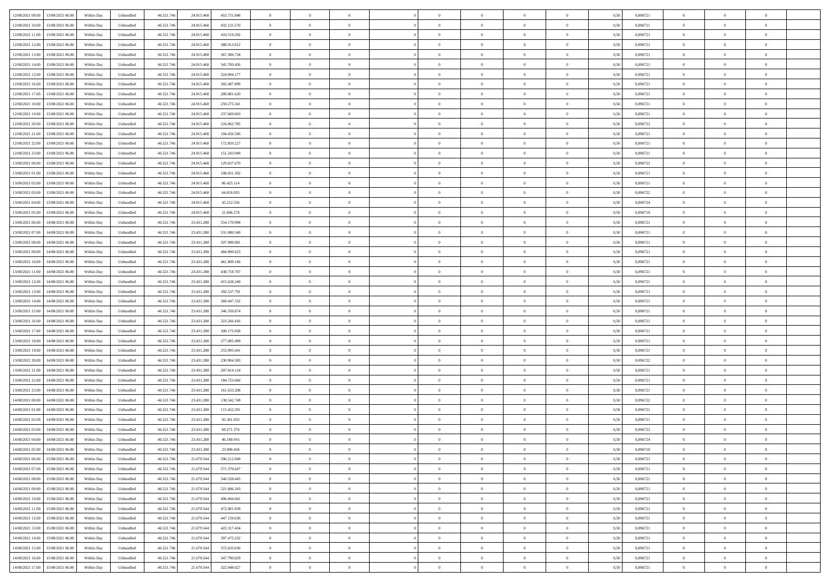| 12/08/2021 09:00 13/08/2021 06:00    | Within Day | Unbundled | 46.521.746 | 24.915.468 | 453.731.848 | $\bf{0}$       | $\theta$       |                | $\overline{0}$ | $\theta$       | $\Omega$       | $\bf{0}$       | 0,50 | 0,896721 | $\theta$       | $\overline{0}$ | $\theta$       |  |
|--------------------------------------|------------|-----------|------------|------------|-------------|----------------|----------------|----------------|----------------|----------------|----------------|----------------|------|----------|----------------|----------------|----------------|--|
| 13/08/2021 06:00                     |            | Unbundled |            |            |             | $\overline{0}$ | $\bf{0}$       | $\overline{0}$ | $\overline{0}$ | $\overline{0}$ | $\overline{0}$ |                |      | 0,896721 | $\overline{0}$ | $\overline{0}$ | $\overline{0}$ |  |
| 12/08/2021 10:00                     | Within Day |           | 46.521.74  | 24.915.468 | 432.125.570 |                |                |                |                |                |                | $\bf{0}$       | 0,50 |          |                |                |                |  |
| 12/08/2021 11:00<br>13/08/2021 06:00 | Within Dav | Unbundled | 46.521.74  | 24.915.46  | 410.519.292 | $\overline{0}$ | $\overline{0}$ | $\overline{0}$ | $\overline{0}$ | $\overline{0}$ | $\overline{0}$ | $\overline{0}$ | 0.50 | 0,896721 | $\theta$       | $\overline{0}$ | $\overline{0}$ |  |
| 12/08/2021 12:00<br>13/08/2021 06:00 | Within Day | Unbundled | 46.521.74  | 24.915.468 | 388.913.012 | $\overline{0}$ | $\bf{0}$       | $\overline{0}$ | $\overline{0}$ | $\overline{0}$ | $\overline{0}$ | $\bf{0}$       | 0,50 | 0,896721 | $\bf{0}$       | $\overline{0}$ | $\overline{0}$ |  |
| 12/08/2021 13:00<br>13/08/2021 06:00 | Within Day | Unbundled | 46.521.74  | 24.915.468 | 367.306.734 | $\overline{0}$ | $\bf{0}$       | $\overline{0}$ | $\overline{0}$ | $\bf{0}$       | $\overline{0}$ | $\bf{0}$       | 0,50 | 0,896721 | $\,$ 0 $\,$    | $\bf{0}$       | $\overline{0}$ |  |
| 12/08/2021 14:00<br>13/08/2021 06:00 | Within Dav | Unbundled | 46.521.74  | 24.915.46  | 345.700.456 | $\overline{0}$ | $\overline{0}$ | $\overline{0}$ | $\overline{0}$ | $\overline{0}$ | $\overline{0}$ | $\overline{0}$ | 0.50 | 0,896721 | $\theta$       | $\overline{0}$ | $\overline{0}$ |  |
| 12/08/2021 15:00<br>13/08/2021 06:00 | Within Day | Unbundled | 46.521.74  | 24.915.468 | 324.094.177 | $\overline{0}$ | $\bf{0}$       | $\overline{0}$ | $\overline{0}$ | $\overline{0}$ | $\overline{0}$ | $\bf{0}$       | 0,50 | 0,896721 | $\bf{0}$       | $\bf{0}$       | $\overline{0}$ |  |
| 12/08/2021 16:00<br>13/08/2021 06:00 | Within Day | Unbundled | 46.521.74  | 24.915.468 | 302.487.899 | $\overline{0}$ | $\overline{0}$ | $\overline{0}$ | $\overline{0}$ | $\overline{0}$ | $\overline{0}$ | $\bf{0}$       | 0,50 | 0,896721 | $\,$ 0 $\,$    | $\theta$       | $\overline{0}$ |  |
|                                      |            |           |            |            |             |                |                |                |                |                |                |                |      |          |                |                |                |  |
| 12/08/2021 17:00<br>13/08/2021 06:00 | Within Dav | Unbundled | 46.521.74  | 24.915.468 | 280.881.620 | $\overline{0}$ | $\overline{0}$ | $\overline{0}$ | $\overline{0}$ | $\overline{0}$ | $\overline{0}$ | $\overline{0}$ | 0.50 | 0,896721 | $\theta$       | $\overline{0}$ | $\overline{0}$ |  |
| 12/08/2021 18:00<br>13/08/2021 06:00 | Within Day | Unbundled | 46.521.74  | 24.915.468 | 259.275.341 | $\overline{0}$ | $\bf{0}$       | $\overline{0}$ | $\overline{0}$ | $\overline{0}$ | $\overline{0}$ | $\bf{0}$       | 0,50 | 0,896721 | $\,$ 0 $\,$    | $\bf{0}$       | $\overline{0}$ |  |
| 12/08/2021 19:00<br>13/08/2021 06:00 | Within Day | Unbundled | 46.521.74  | 24.915.468 | 237.669.063 | $\overline{0}$ | $\overline{0}$ | $\overline{0}$ | $\overline{0}$ | $\overline{0}$ | $\overline{0}$ | $\bf{0}$       | 0,50 | 0,896721 | $\bf{0}$       | $\overline{0}$ | $\overline{0}$ |  |
| 12/08/2021 20:00<br>13/08/2021 06:00 | Within Day | Unbundled | 46.521.74  | 24.915.46  | 216,062,785 | $\overline{0}$ | $\overline{0}$ | $\overline{0}$ | $\overline{0}$ | $\overline{0}$ | $\overline{0}$ | $\overline{0}$ | 0.50 | 0,896722 | $\theta$       | $\overline{0}$ | $\overline{0}$ |  |
| 12/08/2021 21:00<br>13/08/2021 06:00 | Within Day | Unbundled | 46.521.74  | 24.915.468 | 194.456.506 | $\overline{0}$ | $\bf{0}$       | $\bf{0}$       | $\overline{0}$ | $\overline{0}$ | $\overline{0}$ | $\bf{0}$       | 0,50 | 0,896721 | $\bf{0}$       | $\overline{0}$ | $\overline{0}$ |  |
| 12/08/2021 22:00<br>13/08/2021 06:00 | Within Day | Unbundled | 46.521.74  | 24.915.468 | 172.850.227 | $\bf{0}$       | $\bf{0}$       | $\overline{0}$ | $\overline{0}$ | $\overline{0}$ | $\overline{0}$ | $\bf{0}$       | 0,50 | 0,896721 | $\bf{0}$       | $\bf{0}$       | $\overline{0}$ |  |
| 12/08/2021 23:00<br>13/08/2021 06:00 | Within Dav | Unbundled | 46.521.74  | 24.915.468 | 151.243.949 | $\overline{0}$ | $\overline{0}$ | $\overline{0}$ | $\overline{0}$ | $\overline{0}$ | $\overline{0}$ | $\overline{0}$ | 0.50 | 0,896721 | $\theta$       | $\theta$       | $\overline{0}$ |  |
| 13/08/2021 00:00<br>13/08/2021 06:00 | Within Day | Unbundled | 46.521.74  | 24.915.468 | 129.637.670 | $\overline{0}$ | $\bf{0}$       | $\overline{0}$ | $\overline{0}$ | $\overline{0}$ | $\overline{0}$ | $\bf{0}$       | 0,50 | 0,896722 | $\bf{0}$       | $\bf{0}$       | $\overline{0}$ |  |
| 13/08/2021 01:00<br>13/08/2021 06:00 | Within Day | Unbundled | 46.521.74  | 24.915.468 | 108.031.392 | $\overline{0}$ | $\overline{0}$ | $\overline{0}$ | $\overline{0}$ | $\overline{0}$ | $\overline{0}$ | $\bf{0}$       | 0,50 | 0,896721 | $\bf{0}$       | $\overline{0}$ | $\overline{0}$ |  |
| 13/08/2021 02:00<br>13/08/2021 06:00 | Within Day | Unbundled | 46.521.74  | 24.915.468 | 86.425.114  | $\overline{0}$ | $\overline{0}$ | $\overline{0}$ | $\overline{0}$ | $\overline{0}$ | $\overline{0}$ | $\overline{0}$ | 0.50 | 0,896721 | $\theta$       | $\overline{0}$ | $\overline{0}$ |  |
|                                      |            |           |            |            |             |                |                | $\overline{0}$ |                |                | $\overline{0}$ |                |      |          |                |                |                |  |
| 13/08/2021 03:00<br>13/08/2021 06:00 | Within Day | Unbundled | 46.521.74  | 24.915.468 | 64.818.835  | $\overline{0}$ | $\bf{0}$       |                | $\overline{0}$ | $\overline{0}$ |                | $\bf{0}$       | 0,50 | 0,896722 | $\,$ 0 $\,$    | $\bf{0}$       | $\overline{0}$ |  |
| 13/08/2021 04:00<br>13/08/2021 06:00 | Within Day | Unbundled | 46.521.74  | 24.915.468 | 43.212.556  | $\overline{0}$ | $\bf{0}$       | $\overline{0}$ | $\overline{0}$ | $\overline{0}$ | $\overline{0}$ | $\bf{0}$       | 0,50 | 0,896724 | $\bf{0}$       | $\overline{0}$ | $\overline{0}$ |  |
| 13/08/2021 05:00<br>13/08/2021 06:00 | Within Dav | Unbundled | 46.521.74  | 24.915.46  | 21.606.278  | $\overline{0}$ | $\overline{0}$ | $\overline{0}$ | $\overline{0}$ | $\overline{0}$ | $\overline{0}$ | $\overline{0}$ | 0.50 | 0,896718 | $\theta$       | $\theta$       | $\overline{0}$ |  |
| 13/08/2021 06:00<br>14/08/2021 06:00 | Within Day | Unbundled | 46.521.74  | 23.431.288 | 554.170.998 | $\overline{0}$ | $\bf{0}$       | $\overline{0}$ | $\overline{0}$ | $\overline{0}$ | $\overline{0}$ | $\bf{0}$       | 0,50 | 0,896721 | $\bf{0}$       | $\overline{0}$ | $\overline{0}$ |  |
| 13/08/2021 07:00<br>14/08/2021 06:00 | Within Day | Unbundled | 46.521.74  | 23.431.288 | 531.080.540 | $\bf{0}$       | $\overline{0}$ | $\overline{0}$ | $\overline{0}$ | $\bf{0}$       | $\overline{0}$ | $\bf{0}$       | 0,50 | 0,896721 | $\bf{0}$       | $\overline{0}$ | $\overline{0}$ |  |
| 13/08/2021 08:00<br>14/08/2021 06:00 | Within Dav | Unbundled | 46.521.74  | 23.431.288 | 507.990.081 | $\overline{0}$ | $\overline{0}$ | $\overline{0}$ | $\overline{0}$ | $\overline{0}$ | $\overline{0}$ | $\overline{0}$ | 0.50 | 0,896721 | $\theta$       | $\overline{0}$ | $\overline{0}$ |  |
| 13/08/2021 09:00<br>14/08/2021 06:00 | Within Day | Unbundled | 46.521.74  | 23.431.288 | 484.899.623 | $\overline{0}$ | $\bf{0}$       | $\overline{0}$ | $\overline{0}$ | $\overline{0}$ | $\overline{0}$ | $\bf{0}$       | 0,50 | 0,896721 | $\,$ 0 $\,$    | $\bf{0}$       | $\overline{0}$ |  |
| 13/08/2021 10:00<br>14/08/2021 06:00 | Within Day | Unbundled | 46.521.74  | 23.431.288 | 461.809.166 | $\overline{0}$ | $\overline{0}$ | $\overline{0}$ | $\overline{0}$ | $\overline{0}$ | $\overline{0}$ | $\bf{0}$       | 0,50 | 0,896721 | $\bf{0}$       | $\overline{0}$ | $\overline{0}$ |  |
| 13/08/2021 11:00<br>14/08/2021 06:00 | Within Dav | Unbundled | 46.521.74  | 23.431.288 | 438.718.707 | $\overline{0}$ | $\overline{0}$ | $\overline{0}$ | $\overline{0}$ | $\overline{0}$ | $\overline{0}$ | $\overline{0}$ | 0.50 | 0,896721 | $\theta$       | $\theta$       | $\overline{0}$ |  |
| 13/08/2021 12:00<br>14/08/2021 06:00 | Within Day | Unbundled | 46.521.74  | 23.431.288 | 415.628.249 | $\overline{0}$ | $\bf{0}$       | $\overline{0}$ | $\overline{0}$ | $\overline{0}$ | $\overline{0}$ | $\bf{0}$       | 0,50 | 0,896721 | $\overline{0}$ | $\bf{0}$       | $\overline{0}$ |  |
| 13/08/2021 13:00<br>14/08/2021 06:00 | Within Day | Unbundled | 46.521.74  | 23.431.288 | 392.537.791 | $\overline{0}$ | $\overline{0}$ | $\overline{0}$ | $\overline{0}$ | $\overline{0}$ | $\overline{0}$ | $\bf{0}$       | 0,50 | 0,896721 | $\bf{0}$       | $\overline{0}$ | $\overline{0}$ |  |
| 13/08/2021 14:00<br>14/08/2021 06:00 | Within Day | Unbundled | 46.521.74  | 23.431.288 | 369.447.332 | $\overline{0}$ | $\overline{0}$ | $\overline{0}$ | $\overline{0}$ | $\overline{0}$ | $\overline{0}$ | $\overline{0}$ | 0.50 | 0,896721 | $\theta$       | $\overline{0}$ | $\overline{0}$ |  |
| 13/08/2021 15:00<br>14/08/2021 06:00 | Within Day | Unbundled | 46.521.74  | 23.431.288 | 346.356.874 | $\overline{0}$ | $\overline{0}$ | $\overline{0}$ | $\overline{0}$ | $\theta$       | $\overline{0}$ | $\bf{0}$       | 0,50 | 0,896721 | $\,$ 0 $\,$    | $\theta$       | $\overline{0}$ |  |
|                                      |            |           |            |            |             |                |                |                |                |                |                |                |      |          |                |                |                |  |
| 13/08/2021 16:00<br>14/08/2021 06:00 | Within Day | Unbundled | 46.521.74  | 23.431.288 | 323.266.416 | $\overline{0}$ | $\bf{0}$       | $\overline{0}$ | $\overline{0}$ | $\overline{0}$ | $\overline{0}$ | $\bf{0}$       | 0,50 | 0,896721 | $\overline{0}$ | $\overline{0}$ | $\overline{0}$ |  |
| 13/08/2021 17:00<br>14/08/2021 06:00 | Within Dav | Unbundled | 46.521.74  | 23.431.288 | 300.175.958 | $\overline{0}$ | $\overline{0}$ | $\overline{0}$ | $\overline{0}$ | $\overline{0}$ | $\overline{0}$ | $\overline{0}$ | 0.50 | 0,896721 | $\theta$       | $\theta$       | $\overline{0}$ |  |
| 13/08/2021 18:00<br>14/08/2021 06:00 | Within Day | Unbundled | 46.521.74  | 23.431.288 | 277.085.499 | $\overline{0}$ | $\overline{0}$ | $\overline{0}$ | $\overline{0}$ | $\theta$       | $\overline{0}$ | $\overline{0}$ | 0,50 | 0,896721 | $\theta$       | $\theta$       | $\overline{0}$ |  |
| 13/08/2021 19:00<br>14/08/2021 06:00 | Within Day | Unbundled | 46.521.74  | 23.431.288 | 253.995.041 | $\overline{0}$ | $\overline{0}$ | $\overline{0}$ | $\overline{0}$ | $\bf{0}$       | $\overline{0}$ | $\bf{0}$       | 0,50 | 0,896721 | $\bf{0}$       | $\overline{0}$ | $\overline{0}$ |  |
| 13/08/2021 20:00<br>14/08/2021 06:00 | Within Day | Unbundled | 46.521.74  | 23.431.288 | 230.904.583 | $\overline{0}$ | $\overline{0}$ | $\overline{0}$ | $\overline{0}$ | $\overline{0}$ | $\overline{0}$ | $\overline{0}$ | 0.50 | 0,896722 | $\theta$       | $\overline{0}$ | $\overline{0}$ |  |
| 13/08/2021 21:00<br>14/08/2021 06:00 | Within Day | Unbundled | 46.521.74  | 23.431.288 | 207.814.124 | $\overline{0}$ | $\overline{0}$ | $\overline{0}$ | $\overline{0}$ | $\theta$       | $\overline{0}$ | $\overline{0}$ | 0,50 | 0,896721 | $\theta$       | $\theta$       | $\overline{0}$ |  |
| 13/08/2021 22:00<br>14/08/2021 06:00 | Within Day | Unbundled | 46.521.74  | 23.431.288 | 184.723.666 | $\overline{0}$ | $\overline{0}$ | $\overline{0}$ | $\overline{0}$ | $\bf{0}$       | $\overline{0}$ | $\bf{0}$       | 0,50 | 0,896721 | $\bf{0}$       | $\overline{0}$ | $\overline{0}$ |  |
| 13/08/2021 23:00<br>14/08/2021 06:00 | Within Dav | Unbundled | 46.521.74  | 23.431.288 | 161.633.208 | $\overline{0}$ | $\overline{0}$ | $\overline{0}$ | $\overline{0}$ | $\overline{0}$ | $\overline{0}$ | $\overline{0}$ | 0.50 | 0,896721 | $\theta$       | $\theta$       | $\overline{0}$ |  |
| 14/08/2021 00:00<br>14/08/2021 06:00 | Within Day | Unbundled | 46.521.74  | 23.431.288 | 138.542.749 | $\overline{0}$ | $\overline{0}$ | $\overline{0}$ | $\overline{0}$ | $\theta$       | $\overline{0}$ | $\overline{0}$ | 0,50 | 0,896722 | $\theta$       | $\theta$       | $\overline{0}$ |  |
| 14/08/2021 01:00<br>14/08/2021 06:00 | Within Day | Unbundled | 46.521.74  | 23.431.288 | 115.452.291 | $\overline{0}$ | $\bf{0}$       | $\overline{0}$ | $\overline{0}$ | $\bf{0}$       | $\overline{0}$ | $\bf{0}$       | 0,50 | 0,896721 | $\bf{0}$       | $\overline{0}$ | $\overline{0}$ |  |
| 14/08/2021 02:00<br>14/08/2021 06:00 | Within Day | Unbundled | 46.521.74  | 23.431.288 | 92.361.833  | $\overline{0}$ | $\overline{0}$ | $\overline{0}$ | $\overline{0}$ | $\overline{0}$ | $\overline{0}$ | $\overline{0}$ | 0.50 | 0,896721 | $\theta$       | $\theta$       | $\overline{0}$ |  |
| 14/08/2021 03:00<br>14/08/2021 06:00 | Within Day | Unbundled | 46.521.74  | 23.431.288 | 69.271.374  | $\overline{0}$ | $\overline{0}$ | $\overline{0}$ | $\overline{0}$ | $\theta$       | $\overline{0}$ | $\theta$       | 0,50 | 0,896722 | $\theta$       | $\theta$       | $\overline{0}$ |  |
| 14/08/2021 04:00<br>14/08/2021 06:00 |            | Unbundled | 46.521.74  | 23.431.288 | 46.180.916  | $\overline{0}$ | $\bf{0}$       | $\overline{0}$ | $\bf{0}$       | $\overline{0}$ | $\overline{0}$ | $\bf{0}$       | 0,50 | 0,896724 | $\bf{0}$       | $\overline{0}$ | $\,$ 0         |  |
|                                      | Within Day |           |            |            |             |                |                |                |                |                |                |                |      |          |                |                |                |  |
| 14/08/2021 05:00<br>14/08/2021 06:00 | Within Day | Unbundled | 46.521.746 | 23.431.288 | 23.090.458  | $\overline{0}$ | $\theta$       |                | $\overline{0}$ | $\theta$       |                | $\Omega$       | 0,50 | 0,896718 | $\theta$       | $\theta$       | $\sqrt{ }$     |  |
| 14/08/2021 06:00 15/08/2021 06:00    | Within Day | Unbundled | 46.521.746 | 21.679.544 | 596.212.849 | $\overline{0}$ | $\theta$       | $\overline{0}$ | $\theta$       | $\overline{0}$ | $\overline{0}$ | $\overline{0}$ | 0,50 | 0,896721 | $\theta$       | $\theta$       | $\overline{0}$ |  |
| 15/08/2021 06:00<br>14/08/2021 07:00 | Within Day | Unbundled | 46.521.746 | 21.679.544 | 571.370.647 | $\overline{0}$ | $\bf{0}$       | $\overline{0}$ | $\bf{0}$       | $\overline{0}$ | $\overline{0}$ | $\bf{0}$       | 0,50 | 0,896721 | $\bf{0}$       | $\overline{0}$ | $\overline{0}$ |  |
| 14/08/2021 08:00<br>15/08/2021 06:00 | Within Dav | Unbundled | 46.521.74  | 21.679.544 | 546.528.445 | $\overline{0}$ | $\theta$       | $\overline{0}$ | $\overline{0}$ | $\overline{0}$ | $\overline{0}$ | $\overline{0}$ | 0.50 | 0,896721 | $\overline{0}$ | $\overline{0}$ | $\overline{0}$ |  |
| 14/08/2021 09:00 15/08/2021 06:00    | Within Day | Unbundled | 46.521.746 | 21.679.544 | 521.686.243 | $\overline{0}$ | $\theta$       | $\overline{0}$ | $\overline{0}$ | $\theta$       | $\overline{0}$ | $\bf{0}$       | 0,50 | 0,896721 | $\,$ 0 $\,$    | $\theta$       | $\,$ 0         |  |
| 15/08/2021 06:00<br>14/08/2021 10:00 | Within Day | Unbundled | 46.521.746 | 21.679.544 | 496.844.041 | $\overline{0}$ | $\bf{0}$       | $\overline{0}$ | $\bf{0}$       | $\overline{0}$ | $\overline{0}$ | $\bf{0}$       | 0,50 | 0,896721 | $\bf{0}$       | $\overline{0}$ | $\bf{0}$       |  |
| 14/08/2021 11:00<br>15/08/2021 06:00 | Within Dav | Unbundled | 46.521.746 | 21.679.544 | 472.001.839 | $\overline{0}$ | $\overline{0}$ | $\overline{0}$ | $\overline{0}$ | $\overline{0}$ | $\overline{0}$ | $\mathbf{0}$   | 0.50 | 0,896721 | $\overline{0}$ | $\theta$       | $\overline{0}$ |  |
| 14/08/2021 12:00<br>15/08/2021 06:00 | Within Day | Unbundled | 46.521.746 | 21.679.544 | 447.159.636 | $\overline{0}$ | $\overline{0}$ | $\overline{0}$ | $\theta$       | $\theta$       | $\overline{0}$ | $\overline{0}$ | 0,50 | 0,896721 | $\theta$       | $\theta$       | $\overline{0}$ |  |
| 14/08/2021 13:00 15/08/2021 06:00    | Within Day | Unbundled | 46.521.74  | 21.679.544 | 422.317.434 | $\overline{0}$ | $\bf{0}$       | $\overline{0}$ | $\overline{0}$ | $\overline{0}$ | $\overline{0}$ | $\bf{0}$       | 0,50 | 0,896721 | $\bf{0}$       | $\overline{0}$ | $\overline{0}$ |  |
| 14/08/2021 14:00<br>15/08/2021 06:00 | Within Dav | Unbundled | 46.521.746 | 21.679.544 | 397.475.232 | $\overline{0}$ | $\overline{0}$ | $\overline{0}$ | $\overline{0}$ | $\overline{0}$ | $\overline{0}$ | $\bf{0}$       | 0.50 | 0,896721 | $\overline{0}$ | $\overline{0}$ | $\overline{0}$ |  |
| 14/08/2021 15:00 15/08/2021 06:00    | Within Day | Unbundled | 46.521.746 | 21.679.544 | 372.633.030 | $\overline{0}$ | $\theta$       | $\overline{0}$ | $\overline{0}$ | $\theta$       | $\overline{0}$ | $\bf{0}$       | 0,50 | 0,896721 | $\,$ 0 $\,$    | $\theta$       | $\overline{0}$ |  |
|                                      |            |           |            |            |             |                |                |                |                |                |                |                |      |          |                |                |                |  |
| 14/08/2021 16:00<br>15/08/2021 06:00 | Within Day | Unbundled | 46.521.746 | 21.679.544 | 347.790.829 | $\overline{0}$ | $\bf{0}$       | $\overline{0}$ | $\overline{0}$ | $\bf{0}$       | $\overline{0}$ | $\bf{0}$       | 0,50 | 0,896721 | $\bf{0}$       | $\overline{0}$ | $\bf{0}$       |  |
| 14/08/2021 17:00 15/08/2021 06:00    | Within Day | Unbundled | 46.521.746 | 21.679.544 | 322.948.627 | $\overline{0}$ | $\theta$       | $\overline{0}$ | $\overline{0}$ | $\overline{0}$ | $\overline{0}$ | $\bf{0}$       | 0,50 | 0,896721 | $\overline{0}$ | $\overline{0}$ | $\overline{0}$ |  |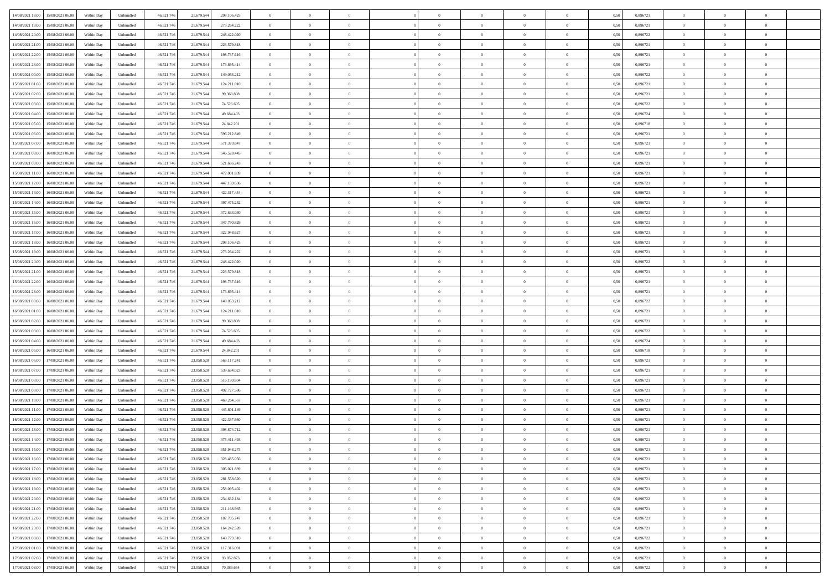| 14/08/2021 18:00 15/08/2021 06:00            | Within Day | Unbundled                   | 46.521.74  | 21.679.544 | 298.106.425 | $\overline{0}$ | $\overline{0}$ |                | $\overline{0}$ | $\theta$       |                | $\bf{0}$       | 0,50 | 0,896721 | $\theta$       | $\theta$       | $\overline{0}$ |  |
|----------------------------------------------|------------|-----------------------------|------------|------------|-------------|----------------|----------------|----------------|----------------|----------------|----------------|----------------|------|----------|----------------|----------------|----------------|--|
| 14/08/2021 19:00<br>15/08/2021 06:00         | Within Day | Unbundled                   | 46.521.74  | 21.679.54  | 273.264.222 | $\bf{0}$       | $\overline{0}$ | $\overline{0}$ | $\overline{0}$ | $\bf{0}$       | $\overline{0}$ | $\bf{0}$       | 0,50 | 0,896721 | $\,$ 0 $\,$    | $\bf{0}$       | $\overline{0}$ |  |
| 14/08/2021 20:00<br>15/08/2021 06:00         | Within Day | Unbundled                   | 46.521.746 | 21.679.544 | 248.422.020 | $\overline{0}$ | $\bf{0}$       | $\overline{0}$ | $\bf{0}$       | $\bf{0}$       | $\overline{0}$ | $\bf{0}$       | 0.50 | 0,896722 | $\bf{0}$       | $\overline{0}$ | $\overline{0}$ |  |
| 14/08/2021 21:00<br>15/08/2021 06:00         |            |                             | 46.521.74  |            |             | $\overline{0}$ | $\overline{0}$ | $\overline{0}$ | $\theta$       | $\theta$       | $\overline{0}$ | $\bf{0}$       |      | 0,896721 | $\theta$       | $\theta$       | $\overline{0}$ |  |
|                                              | Within Day | Unbundled                   |            | 21.679.544 | 223.579.818 |                |                |                |                |                |                |                | 0,50 |          |                |                |                |  |
| 14/08/2021 22:00<br>15/08/2021 06:00         | Within Day | Unbundled                   | 46.521.74  | 21.679.54  | 198.737.616 | $\overline{0}$ | $\theta$       | $\overline{0}$ | $\overline{0}$ | $\theta$       | $\overline{0}$ | $\bf{0}$       | 0,50 | 0,896721 | $\,$ 0 $\,$    | $\bf{0}$       | $\overline{0}$ |  |
| 14/08/2021 23:00<br>15/08/2021 06:00         | Within Day | Unbundled                   | 46.521.74  | 21.679.544 | 173.895.414 | $\overline{0}$ | $\overline{0}$ | $\overline{0}$ | $\bf{0}$       | $\overline{0}$ | $\Omega$       | $\bf{0}$       | 0.50 | 0,896721 | $\,$ 0 $\,$    | $\theta$       | $\overline{0}$ |  |
| 15/08/2021 00:00<br>15/08/2021 06:00         | Within Day | Unbundled                   | 46.521.74  | 21.679.544 | 149.053.212 | $\overline{0}$ | $\overline{0}$ | $\overline{0}$ | $\overline{0}$ | $\theta$       | $\overline{0}$ | $\bf{0}$       | 0,50 | 0,896722 | $\theta$       | $\theta$       | $\overline{0}$ |  |
|                                              |            |                             |            |            |             |                |                |                |                |                |                |                |      |          |                |                |                |  |
| 15/08/2021 01:00<br>15/08/2021 06:00         | Within Day | Unbundled                   | 46.521.74  | 21.679.54  | 124.211.010 | $\bf{0}$       | $\overline{0}$ | $\overline{0}$ | $\overline{0}$ | $\theta$       | $\overline{0}$ | $\bf{0}$       | 0,50 | 0,896721 | $\,$ 0 $\,$    | $\bf{0}$       | $\overline{0}$ |  |
| 15/08/2021 02:00<br>15/08/2021 06:00         | Within Day | Unbundled                   | 46.521.74  | 21.679.544 | 99.368.808  | $\overline{0}$ | $\bf{0}$       | $\overline{0}$ | $\bf{0}$       | $\overline{0}$ | $\overline{0}$ | $\bf{0}$       | 0.50 | 0.896721 | $\bf{0}$       | $\theta$       | $\overline{0}$ |  |
| 15/08/2021 03:00<br>15/08/2021 06:00         | Within Day | Unbundled                   | 46.521.74  | 21.679.544 | 74.526.605  | $\overline{0}$ | $\bf{0}$       | $\overline{0}$ | $\overline{0}$ | $\theta$       | $\overline{0}$ | $\bf{0}$       | 0,50 | 0,896722 | $\,$ 0 $\,$    | $\theta$       | $\overline{0}$ |  |
| 15/08/2021 04:00<br>15/08/2021 06:00         | Within Day | Unbundled                   | 46.521.74  | 21.679.54  | 49.684.403  | $\bf{0}$       | $\overline{0}$ | $\bf{0}$       | $\overline{0}$ | $\bf{0}$       | $\overline{0}$ | $\bf{0}$       | 0,50 | 0,896724 | $\,$ 0 $\,$    | $\bf{0}$       | $\overline{0}$ |  |
|                                              |            |                             |            |            | 24.842.201  |                |                |                |                |                | $\overline{0}$ |                |      | 0.896718 |                |                |                |  |
| 15/08/2021 05:00<br>15/08/2021 06:00         | Within Day | Unbundled                   | 46.521.746 | 21.679.544 |             | $\overline{0}$ | $\bf{0}$       | $\overline{0}$ | $\bf{0}$       | $\bf{0}$       |                | $\bf{0}$       | 0.50 |          | $\bf{0}$       | $\overline{0}$ | $\overline{0}$ |  |
| 15/08/2021 06:00<br>16/08/2021 06:00         | Within Day | Unbundled                   | 46.521.74  | 21.679.544 | 596.212.849 | $\overline{0}$ | $\overline{0}$ | $\overline{0}$ | $\overline{0}$ | $\theta$       | $\overline{0}$ | $\overline{0}$ | 0,50 | 0,896721 | $\,$ 0 $\,$    | $\theta$       | $\overline{0}$ |  |
| 15/08/2021 07:00<br>16/08/2021 06:00         | Within Day | Unbundled                   | 46.521.74  | 21.679.54  | 571.370.647 | $\bf{0}$       | $\theta$       | $\bf{0}$       | $\overline{0}$ | $\theta$       | $\overline{0}$ | $\bf{0}$       | 0,50 | 0,896721 | $\bf{0}$       | $\bf{0}$       | $\overline{0}$ |  |
| 15/08/2021 08:00<br>16/08/2021 06:00         | Within Day | Unbundled                   | 46.521.74  | 21.679.544 | 546.528.445 | $\overline{0}$ | $\overline{0}$ | $\overline{0}$ | $\bf{0}$       | $\theta$       | $\theta$       | $\bf{0}$       | 0.50 | 0,896721 | $\bf{0}$       | $\theta$       | $\overline{0}$ |  |
| 15/08/2021 09:00<br>16/08/2021 06:00         | Within Day | Unbundled                   | 46.521.74  | 21.679.544 | 521.686.243 | $\overline{0}$ | $\overline{0}$ | $\overline{0}$ | $\overline{0}$ | $\overline{0}$ | $\overline{0}$ | $\bf{0}$       | 0,50 | 0,896721 | $\theta$       | $\theta$       | $\overline{0}$ |  |
|                                              |            |                             |            |            |             |                |                |                |                |                |                |                |      |          |                |                |                |  |
| 15/08/2021 11:00<br>16/08/2021 06:00         | Within Day | Unbundled                   | 46.521.74  | 21.679.54  | 472.001.839 | $\bf{0}$       | $\overline{0}$ | $\overline{0}$ | $\overline{0}$ | $\theta$       | $\overline{0}$ | $\bf{0}$       | 0,50 | 0,896721 | $\,$ 0 $\,$    | $\bf{0}$       | $\overline{0}$ |  |
| 15/08/2021 12:00<br>16/08/2021 06:00         | Within Day | Unbundled                   | 46.521.74  | 21.679.54  | 447.159.636 | $\overline{0}$ | $\overline{0}$ | $\overline{0}$ | $\bf{0}$       | $\overline{0}$ | $\overline{0}$ | $\bf{0}$       | 0.50 | 0.896721 | $\bf{0}$       | $\overline{0}$ | $\overline{0}$ |  |
| 15/08/2021 13:00<br>16/08/2021 06:00         | Within Day | Unbundled                   | 46.521.74  | 21.679.544 | 422.317.434 | $\overline{0}$ | $\overline{0}$ | $\overline{0}$ | $\overline{0}$ | $\theta$       | $\overline{0}$ | $\bf{0}$       | 0,50 | 0,896721 | $\,$ 0 $\,$    | $\theta$       | $\overline{0}$ |  |
| 15/08/2021 14:00<br>16/08/2021 06:00         | Within Day | Unbundled                   | 46.521.74  | 21.679.54  | 397.475.232 | $\bf{0}$       | $\overline{0}$ | $\bf{0}$       | $\bf{0}$       | $\overline{0}$ | $\overline{0}$ | $\bf{0}$       | 0,50 | 0,896721 | $\,$ 0 $\,$    | $\bf{0}$       | $\overline{0}$ |  |
| 16/08/2021 06:00                             |            | Unbundled                   |            |            |             |                | $\bf{0}$       | $\overline{0}$ |                | $\bf{0}$       | $\overline{0}$ |                | 0.50 | 0.896721 | $\bf{0}$       | $\overline{0}$ | $\overline{0}$ |  |
| 15/08/2021 15:00                             | Within Day |                             | 46.521.746 | 21.679.544 | 372.633.030 | $\overline{0}$ |                |                | $\bf{0}$       |                |                | $\bf{0}$       |      |          |                |                |                |  |
| 15/08/2021 16:00<br>16/08/2021 06:00         | Within Day | Unbundled                   | 46.521.74  | 21.679.544 | 347.790.829 | $\overline{0}$ | $\overline{0}$ | $\overline{0}$ | $\theta$       | $\theta$       | $\overline{0}$ | $\bf{0}$       | 0,50 | 0,896721 | $\theta$       | $\theta$       | $\overline{0}$ |  |
| 15/08/2021 17:00<br>16/08/2021 06:00         | Within Day | Unbundled                   | 46.521.74  | 21.679.54  | 322.948.627 | $\bf{0}$       | $\overline{0}$ | $\bf{0}$       | $\overline{0}$ | $\bf{0}$       | $\overline{0}$ | $\bf{0}$       | 0,50 | 0,896721 | $\,$ 0 $\,$    | $\bf{0}$       | $\overline{0}$ |  |
| 15/08/2021 18:00<br>16/08/2021 06:00         | Within Day | Unbundled                   | 46.521.74  | 21.679.544 | 298.106.425 | $\overline{0}$ | $\overline{0}$ | $\overline{0}$ | $\overline{0}$ | $\overline{0}$ | $\Omega$       | $\bf{0}$       | 0.50 | 0,896721 | $\,$ 0 $\,$    | $\theta$       | $\overline{0}$ |  |
| 15/08/2021 19:00<br>16/08/2021 06:00         | Within Day | Unbundled                   | 46.521.74  | 21.679.544 | 273.264.222 | $\overline{0}$ | $\overline{0}$ | $\overline{0}$ | $\overline{0}$ | $\theta$       | $\overline{0}$ | $\bf{0}$       | 0,50 | 0,896721 | $\theta$       | $\theta$       | $\overline{0}$ |  |
|                                              |            |                             |            |            |             |                |                |                |                |                |                |                |      |          |                |                |                |  |
| 15/08/2021 20:00<br>16/08/2021 06:00         | Within Day | Unbundled                   | 46.521.74  | 21.679.54  | 248.422.020 | $\bf{0}$       | $\overline{0}$ | $\bf{0}$       | $\overline{0}$ | $\theta$       | $\overline{0}$ | $\bf{0}$       | 0,50 | 0,896722 | $\,$ 0 $\,$    | $\bf{0}$       | $\overline{0}$ |  |
| 15/08/2021 21:00<br>16/08/2021 06:00         | Within Day | Unbundled                   | 46.521.74  | 21.679.544 | 223.579.818 | $\overline{0}$ | $\overline{0}$ | $\overline{0}$ | $\bf{0}$       | $\overline{0}$ | $\overline{0}$ | $\bf{0}$       | 0.50 | 0.896721 | $\bf{0}$       | $\theta$       | $\overline{0}$ |  |
| 15/08/2021 22:00<br>16/08/2021 06:00         | Within Day | Unbundled                   | 46.521.74  | 21.679.544 | 198.737.616 | $\overline{0}$ | $\overline{0}$ | $\overline{0}$ | $\overline{0}$ | $\overline{0}$ | $\overline{0}$ | $\bf{0}$       | 0,50 | 0,896721 | $\theta$       | $\theta$       | $\overline{0}$ |  |
| 15/08/2021 23:00<br>16/08/2021 06:00         | Within Day | Unbundled                   | 46.521.74  | 21.679.544 | 173.895.414 | $\bf{0}$       | $\bf{0}$       | $\bf{0}$       | $\bf{0}$       | $\overline{0}$ | $\overline{0}$ | $\bf{0}$       | 0,50 | 0,896721 | $\,$ 0 $\,$    | $\bf{0}$       | $\overline{0}$ |  |
| 16/08/2021 00:00<br>16/08/2021 06:00         | Within Day | Unbundled                   | 46.521.74  | 21.679.544 | 149.053.212 | $\overline{0}$ | $\bf{0}$       | $\overline{0}$ | $\bf{0}$       | $\bf{0}$       | $\overline{0}$ | $\bf{0}$       | 0.50 | 0.896722 | $\bf{0}$       | $\overline{0}$ | $\overline{0}$ |  |
|                                              |            |                             |            |            |             |                |                |                |                |                |                |                |      |          |                |                |                |  |
| 16/08/2021 01:00<br>16/08/2021 06:00         | Within Day | Unbundled                   | 46.521.74  | 21.679.544 | 124.211.010 | $\overline{0}$ | $\overline{0}$ | $\overline{0}$ | $\overline{0}$ | $\theta$       | $\overline{0}$ | $\bf{0}$       | 0.5( | 0,896721 | $\theta$       | $\theta$       | $\overline{0}$ |  |
| 16/08/2021 02:00<br>16/08/2021 06:00         | Within Day | Unbundled                   | 46.521.74  | 21.679.54  | 99.368.808  | $\bf{0}$       | $\overline{0}$ | $\bf{0}$       | $\overline{0}$ | $\overline{0}$ | $\overline{0}$ | $\bf{0}$       | 0,50 | 0,896721 | $\,$ 0 $\,$    | $\bf{0}$       | $\overline{0}$ |  |
| 16/08/2021 03:00<br>16/08/2021 06:00         | Within Day | Unbundled                   | 46.521.74  | 21.679.544 | 74.526.605  | $\overline{0}$ | $\overline{0}$ | $\overline{0}$ | $\bf{0}$       | $\bf{0}$       | $\Omega$       | $\bf{0}$       | 0.50 | 0,896722 | $\,$ 0 $\,$    | $\overline{0}$ | $\overline{0}$ |  |
| 16/08/2021 04:00<br>16/08/2021 06:00         | Within Dav | Unbundled                   | 46.521.74  | 21.679.544 | 49.684.403  | $\overline{0}$ | $\theta$       | $\overline{0}$ | $\overline{0}$ | $\theta$       | $\overline{0}$ | $\overline{0}$ | 0.5( | 0,896724 | $\theta$       | $\theta$       | $\overline{0}$ |  |
| 16/08/2021 05:00<br>16/08/2021 06:00         | Within Day | Unbundled                   | 46.521.74  | 21.679.54  | 24.842.201  | $\bf{0}$       | $\overline{0}$ | $\bf{0}$       | $\overline{0}$ | $\bf{0}$       | $\overline{0}$ | $\bf{0}$       | 0,50 | 0,896718 | $\,$ 0 $\,$    | $\bf{0}$       | $\overline{0}$ |  |
|                                              |            |                             |            |            |             |                |                |                |                |                |                |                |      |          |                |                |                |  |
| 16/08/2021 06:00<br>17/08/2021 06:00         | Within Day | Unbundled                   | 46.521.74  | 23.058.528 | 563.117.241 | $\overline{0}$ | $\bf{0}$       | $\overline{0}$ | $\bf{0}$       | $\overline{0}$ | $\overline{0}$ | $\bf{0}$       | 0.50 | 0.896721 | $\bf{0}$       | $\overline{0}$ | $\overline{0}$ |  |
| 16/08/2021 07:00<br>17/08/2021 06:00         | Within Dav | Unbundled                   | 46.521.74  | 23.058.528 | 539.654.023 | $\overline{0}$ | $\overline{0}$ | $\overline{0}$ | $\overline{0}$ | $\overline{0}$ | $\overline{0}$ | $\overline{0}$ | 0.50 | 0,896721 | $\theta$       | $\theta$       | $\overline{0}$ |  |
| 16/08/2021 08:00<br>17/08/2021 06:00         | Within Day | Unbundled                   | 46.521.74  | 23.058.528 | 516.190.804 | $\bf{0}$       | $\bf{0}$       | $\bf{0}$       | $\bf{0}$       | $\overline{0}$ | $\overline{0}$ | $\bf{0}$       | 0,50 | 0,896721 | $\,$ 0 $\,$    | $\bf{0}$       | $\overline{0}$ |  |
| 16/08/2021 09:00<br>17/08/2021 06:00         | Within Day | Unbundled                   | 46.521.746 | 23.058.528 | 492.727.586 | $\overline{0}$ | $\bf{0}$       | $\overline{0}$ | $\bf{0}$       | $\bf{0}$       | $\overline{0}$ | $\bf{0}$       | 0.50 | 0.896721 | $\bf{0}$       | $\overline{0}$ | $\overline{0}$ |  |
| 16/08/2021 10:00<br>17/08/2021 06:00         | Within Dav | Unbundled                   | 46.521.74  | 23.058.528 | 469.264.367 | $\overline{0}$ | $\overline{0}$ | $\overline{0}$ | $\overline{0}$ | $\theta$       | $\overline{0}$ | $\bf{0}$       | 0.50 | 0,896721 | $\theta$       | $\theta$       | $\overline{0}$ |  |
|                                              |            |                             |            |            |             |                |                |                |                |                |                |                |      |          |                |                |                |  |
| 16/08/2021 11:00<br>17/08/2021 06:00         | Within Day | Unbundled                   | 46.521.74  | 23.058.528 | 445.801.149 | $\bf{0}$       | $\overline{0}$ | $\bf{0}$       | $\bf{0}$       | $\overline{0}$ | $\overline{0}$ | $\bf{0}$       | 0,50 | 0,896721 | $\,$ 0 $\,$    | $\bf{0}$       | $\overline{0}$ |  |
| 16/08/2021 12:00<br>17/08/2021 06:00         | Within Day | Unbundled                   | 46.521.74  | 23.058.528 | 422.337.930 | $\overline{0}$ | $\overline{0}$ | $\Omega$       | $\overline{0}$ | $\theta$       | $\theta$       | $\bf{0}$       | 0.50 | 0,896721 | $\bf{0}$       | $\theta$       | $\overline{0}$ |  |
| 16/08/2021 13:00<br>17/08/2021 06:00         | Within Dav | Unbundled                   | 46.521.74  | 23.058.528 | 398.874.712 | $\overline{0}$ | $\overline{0}$ | $\Omega$       | $\overline{0}$ | $\theta$       | $\Omega$       | $\overline{0}$ | 0.5( | 0,896721 | $\theta$       | $\theta$       | $\overline{0}$ |  |
| 16/08/2021 14:00<br>17/08/2021 06:00         | Within Day | Unbundled                   | 46.521.74  | 23.058.528 | 375.411.493 | $\bf{0}$       | $\bf{0}$       | $\overline{0}$ | $\bf{0}$       | $\bf{0}$       | $\overline{0}$ | $\bf{0}$       | 0,50 | 0,896721 | $\,$ 0 $\,$    | $\bf{0}$       | $\overline{0}$ |  |
| $16/08/2021\ 15.00 \qquad 17/08/2021\ 06.00$ | Within Day | $\ensuremath{\mathsf{Unb}}$ | 46.521.746 | 23.058.528 | 351.948.275 | $\overline{0}$ | $\Omega$       |                | $\Omega$       |                |                |                | 0,50 | 0.896721 | $\theta$       | $\overline{0}$ |                |  |
|                                              |            |                             |            |            |             |                |                |                |                |                |                |                |      |          |                |                |                |  |
| 16/08/2021 16:00 17/08/2021 06:00            | Within Day | Unbundled                   | 46.521.746 | 23.058.528 | 328.485.056 | $\overline{0}$ | $\theta$       | $\Omega$       | $\theta$       | $\overline{0}$ | $\overline{0}$ | $\bf{0}$       | 0,50 | 0,896721 | $\theta$       | $\theta$       | $\overline{0}$ |  |
| 16/08/2021 17:00<br>17/08/2021 06:00         | Within Day | Unbundled                   | 46.521.74  | 23.058.528 | 305.021.839 | $\overline{0}$ | $\bf{0}$       | $\overline{0}$ | $\overline{0}$ | $\bf{0}$       | $\overline{0}$ | $\bf{0}$       | 0,50 | 0,896721 | $\bf{0}$       | $\overline{0}$ | $\bf{0}$       |  |
| 16/08/2021 18:00 17/08/2021 06:00            | Within Day | Unbundled                   | 46.521.746 | 23.058.528 | 281.558.620 | $\overline{0}$ | $\bf{0}$       | $\overline{0}$ | $\overline{0}$ | $\overline{0}$ | $\overline{0}$ | $\bf{0}$       | 0.50 | 0.896721 | $\overline{0}$ | $\bf{0}$       | $\,$ 0 $\,$    |  |
| 16/08/2021 19:00 17/08/2021 06:00            | Within Day | Unbundled                   | 46.521.746 | 23.058.528 | 258.095.402 | $\overline{0}$ | $\overline{0}$ | $\overline{0}$ | $\overline{0}$ | $\overline{0}$ | $\overline{0}$ | $\bf{0}$       | 0,50 | 0,896721 | $\theta$       | $\theta$       | $\overline{0}$ |  |
| 16/08/2021 20:00<br>17/08/2021 06:00         | Within Day | Unbundled                   | 46.521.74  | 23.058.528 | 234.632.184 | $\overline{0}$ | $\bf{0}$       | $\overline{0}$ | $\bf{0}$       | $\overline{0}$ | $\overline{0}$ | $\bf{0}$       | 0,50 | 0,896722 | $\bf{0}$       | $\bf{0}$       | $\overline{0}$ |  |
|                                              |            |                             |            |            |             |                |                |                |                |                |                |                |      |          |                |                |                |  |
| 17/08/2021 06:00<br>16/08/2021 21:00         | Within Day | Unbundled                   | 46.521.746 | 23.058.528 | 211.168.965 | $\overline{0}$ | $\bf{0}$       | $\overline{0}$ | $\overline{0}$ | $\overline{0}$ | $\overline{0}$ | $\bf{0}$       | 0.50 | 0,896721 | $\,$ 0 $\,$    | $\theta$       | $\overline{0}$ |  |
| 16/08/2021 22:00<br>17/08/2021 06:00         | Within Dav | Unbundled                   | 46.521.746 | 23.058.528 | 187.705.747 | $\overline{0}$ | $\overline{0}$ | $\overline{0}$ | $\overline{0}$ | $\overline{0}$ | $\overline{0}$ | $\bf{0}$       | 0.50 | 0,896721 | $\overline{0}$ | $\theta$       | $\overline{0}$ |  |
| 16/08/2021 23:00<br>17/08/2021 06:00         | Within Day | Unbundled                   | 46.521.74  | 23.058.528 | 164.242.528 | $\overline{0}$ | $\overline{0}$ | $\overline{0}$ | $\overline{0}$ | $\bf{0}$       | $\overline{0}$ | $\bf{0}$       | 0,50 | 0,896721 | $\bf{0}$       | $\overline{0}$ | $\overline{0}$ |  |
| 17/08/2021 06:00<br>17/08/2021 00:00         | Within Day | Unbundled                   | 46.521.746 | 23.058.528 | 140.779.310 | $\overline{0}$ | $\overline{0}$ | $\overline{0}$ | $\overline{0}$ | $\bf{0}$       | $\overline{0}$ | $\bf{0}$       | 0.50 | 0.896722 | $\mathbf{0}$   | $\,$ 0 $\,$    | $\,$ 0         |  |
|                                              |            |                             |            |            |             |                |                |                |                |                |                |                |      |          |                |                |                |  |
| 17/08/2021 01:00<br>17/08/2021 06:00         | Within Dav | Unbundled                   | 46.521.746 | 23.058.528 | 117.316.091 | $\overline{0}$ | $\overline{0}$ | $\overline{0}$ | $\overline{0}$ | $\overline{0}$ | $\overline{0}$ | $\bf{0}$       | 0,50 | 0,896721 | $\overline{0}$ | $\theta$       | $\overline{0}$ |  |
| 17/08/2021 02:00<br>17/08/2021 06:00         | Within Day | Unbundled                   | 46.521.74  | 23.058.528 | 93.852.873  | $\overline{0}$ | $\bf{0}$       | $\overline{0}$ | $\bf{0}$       | $\overline{0}$ | $\overline{0}$ | $\bf{0}$       | 0,50 | 0,896721 | $\bf{0}$       | $\bf{0}$       | $\overline{0}$ |  |
| 17/08/2021 03:00 17/08/2021 06:00            | Within Day | Unbundled                   | 46.521.746 | 23.058.528 | 70.389.654  | $\overline{0}$ | $\bf{0}$       | $\overline{0}$ | $\overline{0}$ | $\,$ 0 $\,$    | $\overline{0}$ | $\bf{0}$       | 0,50 | 0,896722 | $\overline{0}$ | $\,$ 0 $\,$    | $\,$ 0 $\,$    |  |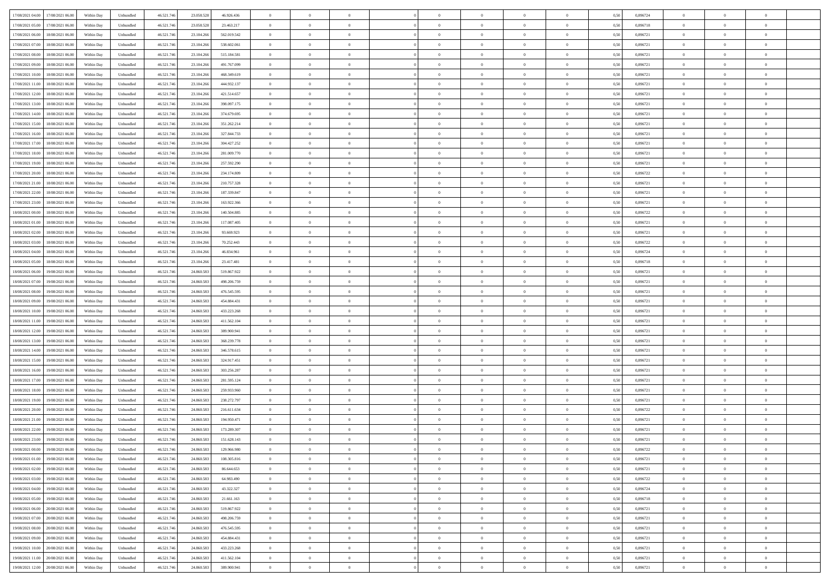| 17/08/2021 04:00 17/08/2021 06:00            | Within Day | Unbundled         | 46.521.74  | 23.058.528 | 46.926.436  | $\overline{0}$ | $\overline{0}$ |                | $\overline{0}$ | $\theta$       |                | $\bf{0}$       | 0,50 | 0,896724 | $\theta$       | $\theta$       | $\overline{0}$ |  |
|----------------------------------------------|------------|-------------------|------------|------------|-------------|----------------|----------------|----------------|----------------|----------------|----------------|----------------|------|----------|----------------|----------------|----------------|--|
| 17/08/2021 05:00<br>17/08/2021 06:00         | Within Day | Unbundled         | 46.521.74  | 23.058.528 | 23.463.217  | $\bf{0}$       | $\overline{0}$ | $\overline{0}$ | $\overline{0}$ | $\bf{0}$       | $\overline{0}$ | $\bf{0}$       | 0,50 | 0,896718 | $\,$ 0 $\,$    | $\bf{0}$       | $\overline{0}$ |  |
| 17/08/2021 06:00<br>18/08/2021 06:00         | Within Day | Unbundled         | 46.521.746 | 23.104.266 | 562.019.542 | $\overline{0}$ | $\bf{0}$       | $\overline{0}$ | $\bf{0}$       | $\bf{0}$       | $\overline{0}$ | $\bf{0}$       | 0.50 | 0.896721 | $\bf{0}$       | $\overline{0}$ | $\overline{0}$ |  |
| 17/08/2021 07:00<br>18/08/2021 06:00         |            |                   |            |            |             | $\overline{0}$ | $\overline{0}$ | $\overline{0}$ | $\theta$       | $\theta$       | $\overline{0}$ | $\bf{0}$       |      | 0,896721 | $\theta$       | $\theta$       | $\overline{0}$ |  |
|                                              | Within Day | Unbundled         | 46.521.74  | 23.104.266 | 538.602.061 |                |                |                |                |                |                |                | 0,50 |          |                |                |                |  |
| 17/08/2021 08:00<br>18/08/2021 06:00         | Within Day | Unbundled         | 46.521.74  | 23.104.26  | 515.184.581 | $\bf{0}$       | $\theta$       | $\overline{0}$ | $\overline{0}$ | $\theta$       | $\overline{0}$ | $\bf{0}$       | 0,50 | 0,896721 | $\,$ 0 $\,$    | $\bf{0}$       | $\overline{0}$ |  |
| 17/08/2021 09:00<br>18/08/2021 06:00         | Within Day | Unbundled         | 46.521.74  | 23.104.26  | 491.767.099 | $\overline{0}$ | $\overline{0}$ | $\overline{0}$ | $\bf{0}$       | $\overline{0}$ | $\Omega$       | $\bf{0}$       | 0.50 | 0,896721 | $\,$ 0 $\,$    | $\theta$       | $\overline{0}$ |  |
| 17/08/2021 10:00<br>18/08/2021 06:00         | Within Day | Unbundled         | 46.521.74  | 23.104.266 | 468.349.619 | $\overline{0}$ | $\overline{0}$ | $\overline{0}$ | $\overline{0}$ | $\theta$       | $\overline{0}$ | $\bf{0}$       | 0,50 | 0,896721 | $\theta$       | $\theta$       | $\overline{0}$ |  |
|                                              |            |                   |            |            |             |                |                |                |                |                |                |                |      |          |                |                |                |  |
| 17/08/2021 11:00<br>18/08/2021 06:00         | Within Day | Unbundled         | 46.521.74  | 23.104.26  | 444.932.137 | $\bf{0}$       | $\overline{0}$ | $\overline{0}$ | $\overline{0}$ | $\theta$       | $\overline{0}$ | $\bf{0}$       | 0,50 | 0,896721 | $\,$ 0 $\,$    | $\bf{0}$       | $\overline{0}$ |  |
| 17/08/2021 12:00<br>18/08/2021 06:00         | Within Day | Unbundled         | 46.521.74  | 23.104.26  | 421.514.657 | $\overline{0}$ | $\bf{0}$       | $\overline{0}$ | $\bf{0}$       | $\overline{0}$ | $\overline{0}$ | $\bf{0}$       | 0.50 | 0.896721 | $\bf{0}$       | $\theta$       | $\overline{0}$ |  |
| 17/08/2021 13:00<br>18/08/2021 06:00         | Within Day | Unbundled         | 46.521.74  | 23.104.266 | 398.097.175 | $\bf{0}$       | $\bf{0}$       | $\overline{0}$ | $\overline{0}$ | $\theta$       | $\overline{0}$ | $\bf{0}$       | 0,50 | 0,896721 | $\,$ 0 $\,$    | $\theta$       | $\overline{0}$ |  |
| 17/08/2021 14:00<br>18/08/2021 06:00         | Within Day | Unbundled         | 46.521.74  | 23.104.26  | 374.679.695 | $\bf{0}$       | $\overline{0}$ | $\bf{0}$       | $\overline{0}$ | $\bf{0}$       | $\overline{0}$ | $\bf{0}$       | 0,50 | 0,896721 | $\,$ 0 $\,$    | $\bf{0}$       | $\overline{0}$ |  |
|                                              |            |                   |            |            |             |                |                |                |                |                |                |                |      |          |                |                |                |  |
| 17/08/2021 15:00<br>18/08/2021 06:00         | Within Day | Unbundled         | 46.521.746 | 23.104.26  | 351.262.214 | $\overline{0}$ | $\bf{0}$       | $\overline{0}$ | $\bf{0}$       | $\bf{0}$       | $\overline{0}$ | $\bf{0}$       | 0.50 | 0.896721 | $\bf{0}$       | $\overline{0}$ | $\overline{0}$ |  |
| 17/08/2021 16:00<br>18/08/2021 06:00         | Within Day | Unbundled         | 46.521.74  | 23.104.266 | 327.844.733 | $\overline{0}$ | $\overline{0}$ | $\overline{0}$ | $\overline{0}$ | $\theta$       | $\overline{0}$ | $\overline{0}$ | 0,50 | 0,896721 | $\,$ 0 $\,$    | $\theta$       | $\overline{0}$ |  |
| 17/08/2021 17:00<br>18/08/2021 06:00         | Within Day | Unbundled         | 46.521.74  | 23.104.26  | 304.427.252 | $\bf{0}$       | $\theta$       | $\bf{0}$       | $\overline{0}$ | $\theta$       | $\overline{0}$ | $\bf{0}$       | 0,50 | 0,896721 | $\bf{0}$       | $\bf{0}$       | $\overline{0}$ |  |
| 17/08/2021 18:00<br>18/08/2021 06:00         | Within Day | Unbundled         | 46.521.74  | 23.104.26  | 281.009.770 | $\overline{0}$ | $\overline{0}$ | $\overline{0}$ | $\bf{0}$       | $\theta$       | $\theta$       | $\bf{0}$       | 0.50 | 0,896721 | $\bf{0}$       | $\overline{0}$ | $\overline{0}$ |  |
| 17/08/2021 19:00<br>18/08/2021 06:00         | Within Day | Unbundled         | 46.521.74  | 23.104.266 | 257.592.290 | $\overline{0}$ | $\overline{0}$ | $\overline{0}$ | $\overline{0}$ | $\theta$       | $\overline{0}$ | $\bf{0}$       | 0,50 | 0,896721 | $\theta$       | $\theta$       | $\overline{0}$ |  |
|                                              |            |                   |            |            |             |                |                |                |                |                |                |                |      |          |                |                |                |  |
| 17/08/2021 20:00<br>18/08/2021 06:00         | Within Day | Unbundled         | 46.521.74  | 23.104.26  | 234.174.809 | $\bf{0}$       | $\overline{0}$ | $\overline{0}$ | $\overline{0}$ | $\theta$       | $\overline{0}$ | $\bf{0}$       | 0,50 | 0,896722 | $\,$ 0 $\,$    | $\bf{0}$       | $\overline{0}$ |  |
| 17/08/2021 21:00<br>18/08/2021 06:00         | Within Day | Unbundled         | 46.521.74  | 23.104.26  | 210.757.328 | $\overline{0}$ | $\bf{0}$       | $\overline{0}$ | $\bf{0}$       | $\overline{0}$ | $\overline{0}$ | $\bf{0}$       | 0.50 | 0.896721 | $\bf{0}$       | $\overline{0}$ | $\overline{0}$ |  |
| 17/08/2021 22:00<br>18/08/2021 06:00         | Within Day | Unbundled         | 46.521.74  | 23.104.266 | 187.339.847 | $\overline{0}$ | $\overline{0}$ | $\overline{0}$ | $\overline{0}$ | $\overline{0}$ | $\overline{0}$ | $\bf{0}$       | 0,50 | 0,896721 | $\,$ 0 $\,$    | $\theta$       | $\overline{0}$ |  |
| 17/08/2021 23:00<br>18/08/2021 06:00         | Within Day | Unbundled         | 46.521.74  | 23.104.26  | 163.922.366 | $\bf{0}$       | $\overline{0}$ | $\bf{0}$       | $\bf{0}$       | $\overline{0}$ | $\overline{0}$ | $\bf{0}$       | 0,50 | 0,896721 | $\,$ 0 $\,$    | $\bf{0}$       | $\overline{0}$ |  |
|                                              |            |                   |            |            |             |                |                |                |                |                |                |                |      |          |                |                |                |  |
| 18/08/2021 00:00<br>18/08/2021 06:00         | Within Day | Unbundled         | 46.521.746 | 23.104.266 | 140,504,885 | $\overline{0}$ | $\bf{0}$       | $\overline{0}$ | $\bf{0}$       | $\bf{0}$       | $\overline{0}$ | $\bf{0}$       | 0.50 | 0.896722 | $\bf{0}$       | $\overline{0}$ | $\overline{0}$ |  |
| 18/08/2021 01:00<br>18/08/2021 06:00         | Within Day | Unbundled         | 46.521.74  | 23.104.266 | 117.087.405 | $\overline{0}$ | $\overline{0}$ | $\overline{0}$ | $\theta$       | $\theta$       | $\overline{0}$ | $\bf{0}$       | 0,50 | 0,896721 | $\theta$       | $\theta$       | $\overline{0}$ |  |
| 18/08/2021 02:00<br>18/08/2021 06:00         | Within Day | Unbundled         | 46.521.74  | 23.104.26  | 93.669.923  | $\bf{0}$       | $\overline{0}$ | $\bf{0}$       | $\overline{0}$ | $\bf{0}$       | $\overline{0}$ | $\bf{0}$       | 0,50 | 0,896721 | $\,$ 0 $\,$    | $\bf{0}$       | $\overline{0}$ |  |
| 18/08/2021 03:00<br>18/08/2021 06:00         | Within Day | Unbundled         | 46.521.74  | 23.104.26  | 70.252.443  | $\overline{0}$ | $\overline{0}$ | $\overline{0}$ | $\overline{0}$ | $\overline{0}$ | $\Omega$       | $\bf{0}$       | 0.50 | 0,896722 | $\,$ 0 $\,$    | $\theta$       | $\overline{0}$ |  |
| 18/08/2021 04:00<br>18/08/2021 06:00         | Within Day | Unbundled         | 46.521.74  | 23.104.266 | 46.834.961  | $\overline{0}$ | $\overline{0}$ | $\overline{0}$ | $\overline{0}$ | $\theta$       | $\overline{0}$ | $\bf{0}$       | 0,50 | 0,896724 | $\theta$       | $\theta$       | $\overline{0}$ |  |
|                                              |            |                   |            |            |             |                |                |                |                |                |                |                |      |          |                |                |                |  |
| 18/08/2021 05:00<br>18/08/2021 06:00         | Within Day | Unbundled         | 46.521.74  | 23.104.26  | 23.417.481  | $\bf{0}$       | $\overline{0}$ | $\bf{0}$       | $\overline{0}$ | $\theta$       | $\overline{0}$ | $\bf{0}$       | 0,50 | 0,896718 | $\,$ 0 $\,$    | $\bf{0}$       | $\overline{0}$ |  |
| 18/08/2021 06:00<br>19/08/2021 06:00         | Within Day | Unbundled         | 46.521.74  | 24,860.58  | 519.867.922 | $\overline{0}$ | $\overline{0}$ | $\overline{0}$ | $\bf{0}$       | $\overline{0}$ | $\overline{0}$ | $\bf{0}$       | 0.50 | 0.896721 | $\bf{0}$       | $\theta$       | $\overline{0}$ |  |
| 18/08/2021 07:00<br>19/08/2021 06:00         | Within Day | Unbundled         | 46.521.74  | 24.860.583 | 498.206.759 | $\overline{0}$ | $\overline{0}$ | $\overline{0}$ | $\overline{0}$ | $\overline{0}$ | $\overline{0}$ | $\bf{0}$       | 0,50 | 0,896721 | $\theta$       | $\theta$       | $\overline{0}$ |  |
| 18/08/2021 08:00<br>19/08/2021 06:00         | Within Day | Unbundled         | 46.521.74  | 24.860.58  | 476.545.595 | $\bf{0}$       | $\bf{0}$       | $\bf{0}$       | $\bf{0}$       | $\overline{0}$ | $\overline{0}$ | $\bf{0}$       | 0,50 | 0,896721 | $\,$ 0 $\,$    | $\bf{0}$       | $\overline{0}$ |  |
|                                              |            |                   |            |            |             |                |                |                |                |                |                |                |      |          |                |                |                |  |
| 18/08/2021 09:00<br>19/08/2021 06:00         | Within Day | Unbundled         | 46.521.74  | 24.860.58  | 454.884.431 | $\overline{0}$ | $\bf{0}$       | $\overline{0}$ | $\bf{0}$       | $\bf{0}$       | $\overline{0}$ | $\bf{0}$       | 0.50 | 0.896721 | $\bf{0}$       | $\overline{0}$ | $\overline{0}$ |  |
| 18/08/2021 10:00<br>19/08/2021 06:00         | Within Day | Unbundled         | 46.521.74  | 24,860,583 | 433.223.268 | $\overline{0}$ | $\overline{0}$ | $\overline{0}$ | $\overline{0}$ | $\theta$       | $\overline{0}$ | $\bf{0}$       | 0.5( | 0,896721 | $\theta$       | $\theta$       | $\overline{0}$ |  |
| 18/08/2021 11:00<br>19/08/2021 06:00         | Within Day | Unbundled         | 46.521.74  | 24.860.58  | 411.562.104 | $\bf{0}$       | $\overline{0}$ | $\bf{0}$       | $\overline{0}$ | $\overline{0}$ | $\overline{0}$ | $\bf{0}$       | 0,50 | 0,896721 | $\,$ 0 $\,$    | $\bf{0}$       | $\overline{0}$ |  |
| 18/08/2021 12:00<br>19/08/2021 06:00         | Within Day | Unbundled         | 46.521.74  | 24.860.58  | 389,900.941 | $\overline{0}$ | $\overline{0}$ | $\overline{0}$ | $\bf{0}$       | $\bf{0}$       | $\Omega$       | $\bf{0}$       | 0.50 | 0,896721 | $\,$ 0 $\,$    | $\overline{0}$ | $\overline{0}$ |  |
| 18/08/2021 13:00<br>19/08/2021 06:00         | Within Dav | Unbundled         | 46.521.74  | 24.860.583 | 368.239.778 | $\overline{0}$ | $\theta$       | $\overline{0}$ | $\overline{0}$ | $\theta$       | $\overline{0}$ | $\overline{0}$ | 0.5( | 0,896721 | $\theta$       | $\theta$       | $\overline{0}$ |  |
|                                              |            |                   |            |            |             |                |                |                |                |                |                |                |      |          |                |                |                |  |
| 18/08/2021 14:00<br>19/08/2021 06:00         | Within Day | Unbundled         | 46.521.74  | 24.860.58  | 346.578.615 | $\bf{0}$       | $\overline{0}$ | $\bf{0}$       | $\overline{0}$ | $\bf{0}$       | $\overline{0}$ | $\bf{0}$       | 0,50 | 0,896721 | $\,$ 0 $\,$    | $\bf{0}$       | $\overline{0}$ |  |
| 18/08/2021 15:00<br>19/08/2021 06:00         | Within Day | Unbundled         | 46.521.74  | 24,860.58  | 324.917.451 | $\overline{0}$ | $\bf{0}$       | $\overline{0}$ | $\bf{0}$       | $\overline{0}$ | $\overline{0}$ | $\bf{0}$       | 0.50 | 0.896721 | $\bf{0}$       | $\overline{0}$ | $\overline{0}$ |  |
| 18/08/2021 16:00<br>19/08/2021 06:00         | Within Dav | Unbundled         | 46.521.74  | 24,860,583 | 303.256.287 | $\overline{0}$ | $\overline{0}$ | $\overline{0}$ | $\overline{0}$ | $\overline{0}$ | $\overline{0}$ | $\overline{0}$ | 0.50 | 0,896721 | $\theta$       | $\theta$       | $\overline{0}$ |  |
| 18/08/2021 17:00<br>19/08/2021 06:00         | Within Day | Unbundled         | 46.521.74  | 24.860.58  | 281.595.124 | $\bf{0}$       | $\bf{0}$       | $\bf{0}$       | $\bf{0}$       | $\overline{0}$ | $\overline{0}$ | $\bf{0}$       | 0,50 | 0,896721 | $\,$ 0 $\,$    | $\bf{0}$       | $\overline{0}$ |  |
| 19/08/2021 06:00                             |            |                   |            |            | 259.933.960 |                |                |                |                |                | $\overline{0}$ |                |      | 0.896721 |                |                |                |  |
| 18/08/2021 18:00                             | Within Day | Unbundled         | 46.521.746 | 24.860.58  |             | $\overline{0}$ | $\bf{0}$       | $\overline{0}$ | $\bf{0}$       | $\bf{0}$       |                | $\bf{0}$       | 0.50 |          | $\bf{0}$       | $\overline{0}$ | $\overline{0}$ |  |
| 18/08/2021 19:00<br>19/08/2021 06:00         | Within Dav | Unbundled         | 46.521.74  | 24.860.583 | 238.272.797 | $\overline{0}$ | $\overline{0}$ | $\overline{0}$ | $\overline{0}$ | $\theta$       | $\overline{0}$ | $\bf{0}$       | 0.50 | 0,896721 | $\theta$       | $\theta$       | $\overline{0}$ |  |
| 18/08/2021 20:00<br>19/08/2021 06:00         | Within Day | Unbundled         | 46.521.74  | 24.860.58  | 216.611.634 | $\bf{0}$       | $\overline{0}$ | $\bf{0}$       | $\bf{0}$       | $\theta$       | $\overline{0}$ | $\bf{0}$       | 0,50 | 0,896722 | $\,$ 0 $\,$    | $\bf{0}$       | $\overline{0}$ |  |
| 18/08/2021 21:00<br>19/08/2021 06:00         | Within Day | Unbundled         | 46.521.74  | 24.860.58  | 194.950.471 | $\overline{0}$ | $\overline{0}$ | $\Omega$       | $\overline{0}$ | $\theta$       | $\theta$       | $\bf{0}$       | 0.50 | 0,896721 | $\bf{0}$       | $\overline{0}$ | $\overline{0}$ |  |
| 18/08/2021 22:00<br>19/08/2021 06:00         | Within Dav | Unbundled         | 46.521.74  | 24,860,583 | 173.289.307 | $\overline{0}$ | $\overline{0}$ | $\Omega$       | $\overline{0}$ | $\theta$       | $\Omega$       | $\overline{0}$ | 0.5( | 0,896721 | $\theta$       | $\theta$       | $\overline{0}$ |  |
|                                              |            |                   |            |            |             | $\bf{0}$       | $\bf{0}$       |                | $\bf{0}$       | $\bf{0}$       | $\overline{0}$ |                |      |          | $\,$ 0 $\,$    | $\bf{0}$       | $\overline{0}$ |  |
| 18/08/2021 23:00<br>19/08/2021 06:00         | Within Day | Unbundled         | 46.521.74  | 24.860.583 | 151.628.143 |                |                | $\bf{0}$       |                |                |                | $\bf{0}$       | 0,50 | 0,896721 |                |                |                |  |
| $19/08/2021\ 00.00 \qquad 19/08/2021\ 06.00$ | Within Day | ${\sf Unbundred}$ | 46.521.746 | 24.860.583 | 129.966.980 | $\overline{0}$ | $\Omega$       |                | $\overline{0}$ |                |                |                | 0,50 | 0,896722 | $\theta$       | $\overline{0}$ |                |  |
| 19/08/2021 01:00 19/08/2021 06:00            | Within Day | Unbundled         | 46.521.746 | 24.860.583 | 108.305.816 | $\overline{0}$ | $\theta$       | $\Omega$       | $\theta$       | $\overline{0}$ | $\overline{0}$ | $\bf{0}$       | 0,50 | 0,896721 | $\theta$       | $\theta$       | $\overline{0}$ |  |
| 19/08/2021 02:00<br>19/08/2021 06:00         | Within Day | Unbundled         | 46.521.74  | 24.860.583 | 86.644.653  | $\overline{0}$ | $\bf{0}$       | $\overline{0}$ | $\overline{0}$ | $\bf{0}$       | $\overline{0}$ | $\bf{0}$       | 0,50 | 0,896721 | $\bf{0}$       | $\overline{0}$ | $\bf{0}$       |  |
| 19/08/2021 03:00 19/08/2021 06:00            | Within Day | Unbundled         | 46.521.746 | 24.860.583 | 64.983.490  | $\overline{0}$ | $\bf{0}$       | $\overline{0}$ | $\overline{0}$ | $\mathbf{0}$   | $\overline{0}$ | $\,$ 0 $\,$    | 0.50 | 0,896722 | $\overline{0}$ | $\bf{0}$       | $\,$ 0 $\,$    |  |
|                                              |            |                   |            |            |             |                |                |                |                |                |                |                |      |          |                |                |                |  |
| 19/08/2021 04:00 19/08/2021 06:00            | Within Day | Unbundled         | 46.521.746 | 24.860.583 | 43.322.327  | $\overline{0}$ | $\overline{0}$ | $\overline{0}$ | $\overline{0}$ | $\overline{0}$ | $\overline{0}$ | $\bf{0}$       | 0.50 | 0,896724 | $\theta$       | $\theta$       | $\overline{0}$ |  |
| 19/08/2021 05:00<br>19/08/2021 06:00         | Within Day | Unbundled         | 46.521.74  | 24.860.583 | 21.661.163  | $\overline{0}$ | $\bf{0}$       | $\overline{0}$ | $\bf{0}$       | $\overline{0}$ | $\bf{0}$       | $\bf{0}$       | 0,50 | 0,896718 | $\bf{0}$       | $\bf{0}$       | $\overline{0}$ |  |
| 19/08/2021 06:00<br>20/08/2021 06:00         | Within Day | Unbundled         | 46.521.746 | 24.860.583 | 519.867.922 | $\overline{0}$ | $\bf{0}$       | $\overline{0}$ | $\overline{0}$ | $\overline{0}$ | $\overline{0}$ | $\bf{0}$       | 0.50 | 0,896721 | $\,$ 0 $\,$    | $\theta$       | $\bf{0}$       |  |
| 19/08/2021 07:00<br>20/08/2021 06:00         | Within Dav | Unbundled         | 46.521.746 | 24.860.583 | 498.206.759 | $\overline{0}$ | $\overline{0}$ | $\overline{0}$ | $\overline{0}$ | $\overline{0}$ | $\overline{0}$ | $\bf{0}$       | 0.50 | 0,896721 | $\overline{0}$ | $\theta$       | $\overline{0}$ |  |
|                                              |            |                   |            |            |             |                |                |                |                |                |                |                |      |          |                |                |                |  |
| 19/08/2021 08:00<br>20/08/2021 06:00         | Within Day | Unbundled         | 46.521.74  | 24.860.583 | 476.545.595 | $\overline{0}$ | $\overline{0}$ | $\overline{0}$ | $\overline{0}$ | $\bf{0}$       | $\overline{0}$ | $\bf{0}$       | 0,50 | 0,896721 | $\bf{0}$       | $\overline{0}$ | $\overline{0}$ |  |
| 19/08/2021 09:00 20/08/2021 06:00            | Within Day | Unbundled         | 46.521.746 | 24.860.583 | 454.884.431 | $\overline{0}$ | $\overline{0}$ | $\overline{0}$ | $\overline{0}$ | $\bf{0}$       | $\overline{0}$ | $\bf{0}$       | 0.50 | 0.896721 | $\overline{0}$ | $\bf{0}$       | $\,$ 0         |  |
| 19/08/2021 10:00 20/08/2021 06:00            | Within Dav | Unbundled         | 46.521.746 | 24.860.583 | 433.223.268 | $\overline{0}$ | $\overline{0}$ | $\overline{0}$ | $\overline{0}$ | $\overline{0}$ | $\overline{0}$ | $\bf{0}$       | 0,50 | 0,896721 | $\overline{0}$ | $\theta$       | $\overline{0}$ |  |
| 19/08/2021 11:00<br>20/08/2021 06:00         | Within Day | Unbundled         | 46.521.74  | 24.860.583 | 411.562.104 | $\overline{0}$ | $\bf{0}$       | $\overline{0}$ | $\bf{0}$       | $\overline{0}$ | $\bf{0}$       | $\bf{0}$       | 0,50 | 0,896721 | $\bf{0}$       | $\bf{0}$       | $\overline{0}$ |  |
|                                              |            |                   |            |            |             |                |                |                |                |                |                |                |      |          |                |                |                |  |
| 19/08/2021 12:00 20/08/2021 06:00            | Within Day | Unbundled         | 46.521.746 | 24.860.583 | 389.900.941 | $\overline{0}$ | $\bf{0}$       | $\overline{0}$ | $\overline{0}$ | $\,$ 0 $\,$    | $\overline{0}$ | $\bf{0}$       | 0,50 | 0,896721 | $\overline{0}$ | $\,$ 0 $\,$    | $\,$ 0 $\,$    |  |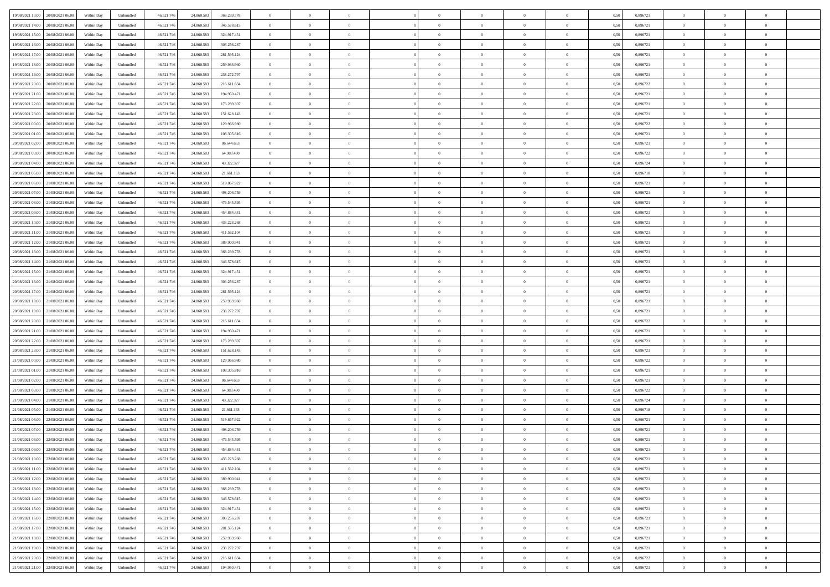|                                         |            |                   |            |            |             | $\overline{0}$ | $\overline{0}$ |                | $\overline{0}$ | $\theta$       |                | $\theta$       |      |          | $\theta$       | $\theta$       | $\overline{0}$ |  |
|-----------------------------------------|------------|-------------------|------------|------------|-------------|----------------|----------------|----------------|----------------|----------------|----------------|----------------|------|----------|----------------|----------------|----------------|--|
| 19/08/2021 13:00 20/08/2021 06:00       | Within Day | Unbundled         | 46.521.74  | 24.860.583 | 368.239.778 |                |                |                |                |                |                |                | 0,50 | 0,896721 |                |                |                |  |
| 19/08/2021 14:00<br>20/08/2021 06:00    | Within Day | Unbundled         | 46.521.74  | 24.860.58  | 346.578.615 | $\bf{0}$       | $\bf{0}$       | $\bf{0}$       | $\overline{0}$ | $\overline{0}$ | $\overline{0}$ | $\bf{0}$       | 0,50 | 0,896721 | $\,$ 0 $\,$    | $\bf{0}$       | $\overline{0}$ |  |
| 19/08/2021 15:00<br>20/08/2021 06:00    | Within Day | Unbundled         | 46.521.746 | 24.860.583 | 324.917.451 | $\overline{0}$ | $\bf{0}$       | $\overline{0}$ | $\bf{0}$       | $\bf{0}$       | $\overline{0}$ | $\bf{0}$       | 0.50 | 0.896721 | $\bf{0}$       | $\overline{0}$ | $\overline{0}$ |  |
| 19/08/2021 16:00<br>20/08/2021 06:00    |            |                   |            |            |             | $\overline{0}$ | $\overline{0}$ | $\overline{0}$ | $\theta$       | $\theta$       | $\overline{0}$ | $\bf{0}$       |      | 0,896721 | $\theta$       | $\theta$       | $\overline{0}$ |  |
|                                         | Within Day | Unbundled         | 46.521.74  | 24.860.583 | 303.256.287 |                |                |                |                |                |                |                | 0,50 |          |                |                |                |  |
| 19/08/2021 17:00<br>20/08/2021 06:00    | Within Day | Unbundled         | 46.521.74  | 24.860.58  | 281.595.124 | $\bf{0}$       | $\overline{0}$ | $\bf{0}$       | $\overline{0}$ | $\theta$       | $\overline{0}$ | $\bf{0}$       | 0,50 | 0,896721 | $\,$ 0 $\,$    | $\bf{0}$       | $\overline{0}$ |  |
| 19/08/2021 18:00<br>20/08/2021 06:00    | Within Day | Unbundled         | 46.521.74  | 24,860.58  | 259.933.960 | $\overline{0}$ | $\overline{0}$ | $\overline{0}$ | $\bf{0}$       | $\overline{0}$ | $\theta$       | $\bf{0}$       | 0.50 | 0.896721 | $\,$ 0 $\,$    | $\theta$       | $\overline{0}$ |  |
| 19/08/2021 19:00<br>20/08/2021 06:00    | Within Day | Unbundled         | 46.521.74  | 24.860.583 | 238.272.797 | $\overline{0}$ | $\overline{0}$ | $\overline{0}$ | $\overline{0}$ | $\overline{0}$ | $\overline{0}$ | $\bf{0}$       | 0,50 | 0,896721 | $\theta$       | $\theta$       | $\overline{0}$ |  |
|                                         |            |                   |            |            |             |                |                |                |                |                |                |                |      |          |                |                |                |  |
| 19/08/2021 20:00<br>20/08/2021 06:00    | Within Day | Unbundled         | 46.521.74  | 24.860.58  | 216.611.634 | $\bf{0}$       | $\overline{0}$ | $\bf{0}$       | $\overline{0}$ | $\overline{0}$ | $\overline{0}$ | $\bf{0}$       | 0,50 | 0,896722 | $\,$ 0 $\,$    | $\bf{0}$       | $\overline{0}$ |  |
| 19/08/2021 21:00<br>20/08/2021 06:00    | Within Day | Unbundled         | 46.521.74  | 24,860.58  | 194.950.471 | $\overline{0}$ | $\bf{0}$       | $\overline{0}$ | $\bf{0}$       | $\overline{0}$ | $\overline{0}$ | $\bf{0}$       | 0.50 | 0.896721 | $\bf{0}$       | $\overline{0}$ | $\overline{0}$ |  |
| 19/08/2021 22:00<br>20/08/2021 06:00    | Within Day | Unbundled         | 46.521.74  | 24.860.583 | 173.289.307 | $\overline{0}$ | $\bf{0}$       | $\overline{0}$ | $\overline{0}$ | $\overline{0}$ | $\overline{0}$ | $\bf{0}$       | 0,50 | 0,896721 | $\,$ 0 $\,$    | $\bf{0}$       | $\overline{0}$ |  |
|                                         |            |                   |            |            |             |                |                |                |                |                |                |                |      |          |                |                |                |  |
| 19/08/2021 23:00<br>20/08/2021 06:00    | Within Day | Unbundled         | 46.521.74  | 24.860.583 | 151.628.143 | $\bf{0}$       | $\overline{0}$ | $\bf{0}$       | $\bf{0}$       | $\bf{0}$       | $\overline{0}$ | $\bf{0}$       | 0,50 | 0,896721 | $\,$ 0 $\,$    | $\bf{0}$       | $\overline{0}$ |  |
| 20/08/2021 00:00<br>20/08/2021 06:00    | Within Day | Unbundled         | 46.521.746 | 24,860.58  | 129,966,980 | $\overline{0}$ | $\bf{0}$       | $\overline{0}$ | $\bf{0}$       | $\bf{0}$       | $\overline{0}$ | $\bf{0}$       | 0.50 | 0.896722 | $\bf{0}$       | $\overline{0}$ | $\bf{0}$       |  |
| 20/08/2021 01:00<br>20/08/2021 06:00    | Within Day | Unbundled         | 46.521.74  | 24.860.583 | 108.305.816 | $\overline{0}$ | $\overline{0}$ | $\overline{0}$ | $\theta$       | $\theta$       | $\overline{0}$ | $\overline{0}$ | 0,50 | 0,896721 | $\,$ 0 $\,$    | $\theta$       | $\overline{0}$ |  |
| 20/08/2021 02:00<br>20/08/2021 06:00    | Within Day | Unbundled         | 46.521.74  | 24.860.58  | 86.644.653  | $\bf{0}$       | $\overline{0}$ | $\bf{0}$       | $\overline{0}$ | $\theta$       | $\overline{0}$ | $\bf{0}$       | 0,50 | 0,896721 | $\bf{0}$       | $\bf{0}$       | $\overline{0}$ |  |
|                                         |            |                   |            |            |             |                |                |                |                |                |                |                |      |          |                |                |                |  |
| 20/08/2021 03:00<br>20/08/2021 06:00    | Within Day | Unbundled         | 46.521.74  | 24,860.58  | 64,983,490  | $\overline{0}$ | $\overline{0}$ | $\overline{0}$ | $\bf{0}$       | $\overline{0}$ | $\theta$       | $\bf{0}$       | 0.50 | 0,896722 | $\,$ 0 $\,$    | $\theta$       | $\overline{0}$ |  |
| 20/08/2021 04:00<br>20/08/2021 06:00    | Within Day | Unbundled         | 46.521.74  | 24.860.583 | 43.322.327  | $\overline{0}$ | $\overline{0}$ | $\overline{0}$ | $\overline{0}$ | $\overline{0}$ | $\overline{0}$ | $\bf{0}$       | 0,50 | 0,896724 | $\theta$       | $\theta$       | $\overline{0}$ |  |
| 20/08/2021 05:00<br>20/08/2021 06:00    | Within Day | Unbundled         | 46.521.74  | 24.860.583 | 21.661.163  | $\bf{0}$       | $\overline{0}$ | $\bf{0}$       | $\overline{0}$ | $\bf{0}$       | $\overline{0}$ | $\bf{0}$       | 0,50 | 0,896718 | $\,$ 0 $\,$    | $\bf{0}$       | $\overline{0}$ |  |
| 20/08/2021 06:00<br>21/08/2021 06:00    | Within Day | Unbundled         | 46.521.74  | 24,860.58  | 519.867.922 | $\overline{0}$ | $\bf{0}$       | $\overline{0}$ | $\bf{0}$       | $\overline{0}$ | $\overline{0}$ | $\bf{0}$       | 0.50 | 0.896721 | $\bf{0}$       | $\overline{0}$ | $\overline{0}$ |  |
|                                         |            |                   |            |            |             |                |                |                |                |                |                |                |      |          |                |                |                |  |
| 20/08/2021 07:00<br>21/08/2021 06:00    | Within Day | Unbundled         | 46.521.74  | 24.860.583 | 498.206.759 | $\overline{0}$ | $\overline{0}$ | $\overline{0}$ | $\overline{0}$ | $\overline{0}$ | $\overline{0}$ | $\bf{0}$       | 0,50 | 0,896721 | $\,$ 0 $\,$    | $\theta$       | $\overline{0}$ |  |
| 20/08/2021 08:00<br>21/08/2021 06:00    | Within Day | Unbundled         | 46.521.74  | 24.860.58  | 476.545.595 | $\bf{0}$       | $\bf{0}$       | $\bf{0}$       | $\bf{0}$       | $\overline{0}$ | $\overline{0}$ | $\bf{0}$       | 0,50 | 0,896721 | $\,$ 0 $\,$    | $\bf{0}$       | $\overline{0}$ |  |
| 20/08/2021 09:00<br>21/08/2021 06:00    | Within Day | Unbundled         | 46.521.746 | 24.860.583 | 454.884.431 | $\overline{0}$ | $\bf{0}$       | $\overline{0}$ | $\bf{0}$       | $\bf{0}$       | $\overline{0}$ | $\bf{0}$       | 0.50 | 0.896721 | $\bf{0}$       | $\overline{0}$ | $\bf{0}$       |  |
| 20/08/2021 10:00<br>21/08/2021 06:00    | Within Day | Unbundled         | 46.521.74  | 24.860.583 | 433.223.268 | $\overline{0}$ | $\overline{0}$ | $\overline{0}$ | $\theta$       | $\theta$       | $\overline{0}$ | $\bf{0}$       | 0,50 | 0,896721 | $\theta$       | $\theta$       | $\overline{0}$ |  |
|                                         |            |                   |            |            |             |                |                |                |                |                |                |                |      |          |                |                |                |  |
| 20/08/2021 11:00<br>21/08/2021 06:00    | Within Day | Unbundled         | 46.521.74  | 24.860.58  | 411.562.104 | $\bf{0}$       | $\overline{0}$ | $\bf{0}$       | $\bf{0}$       | $\overline{0}$ | $\overline{0}$ | $\bf{0}$       | 0,50 | 0,896721 | $\,$ 0 $\,$    | $\bf{0}$       | $\overline{0}$ |  |
| 20/08/2021 12:00<br>21/08/2021 06:00    | Within Day | Unbundled         | 46.521.74  | 24,860.58  | 389,900.941 | $\overline{0}$ | $\overline{0}$ | $\overline{0}$ | $\overline{0}$ | $\overline{0}$ | $\theta$       | $\bf{0}$       | 0.50 | 0.896721 | $\,$ 0 $\,$    | $\theta$       | $\overline{0}$ |  |
| 20/08/2021 13:00<br>21/08/2021 06:00    | Within Day | Unbundled         | 46.521.74  | 24.860.583 | 368.239.778 | $\overline{0}$ | $\overline{0}$ | $\overline{0}$ | $\overline{0}$ | $\overline{0}$ | $\overline{0}$ | $\bf{0}$       | 0,50 | 0,896721 | $\theta$       | $\theta$       | $\overline{0}$ |  |
| 20/08/2021 14:00<br>21/08/2021 06:00    | Within Day | Unbundled         | 46.521.74  | 24.860.58  | 346.578.615 | $\bf{0}$       | $\overline{0}$ | $\bf{0}$       | $\overline{0}$ | $\theta$       | $\overline{0}$ | $\bf{0}$       | 0,50 | 0,896721 | $\,$ 0 $\,$    | $\bf{0}$       | $\overline{0}$ |  |
|                                         |            |                   |            |            |             |                |                |                |                |                |                |                |      |          |                |                |                |  |
| 20/08/2021 15:00<br>21/08/2021 06:00    | Within Day | Unbundled         | 46.521.74  | 24,860.58  | 324.917.451 | $\overline{0}$ | $\bf{0}$       | $\overline{0}$ | $\bf{0}$       | $\overline{0}$ | $\overline{0}$ | $\bf{0}$       | 0.50 | 0.896721 | $\bf{0}$       | $\overline{0}$ | $\overline{0}$ |  |
| 20/08/2021 16:00<br>21/08/2021 06:00    | Within Day | Unbundled         | 46.521.74  | 24.860.583 | 303.256.287 | $\overline{0}$ | $\overline{0}$ | $\overline{0}$ | $\overline{0}$ | $\overline{0}$ | $\overline{0}$ | $\bf{0}$       | 0,50 | 0,896721 | $\theta$       | $\theta$       | $\overline{0}$ |  |
| 20/08/2021 17:00<br>21/08/2021 06:00    | Within Day | Unbundled         | 46.521.74  | 24.860.583 | 281.595.124 | $\bf{0}$       | $\bf{0}$       | $\bf{0}$       | $\bf{0}$       | $\overline{0}$ | $\overline{0}$ | $\bf{0}$       | 0,50 | 0,896721 | $\,$ 0 $\,$    | $\bf{0}$       | $\overline{0}$ |  |
| 20/08/2021 18:00<br>21/08/2021 06:00    | Within Day | Unbundled         | 46.521.746 | 24,860.58  | 259.933.960 | $\overline{0}$ | $\bf{0}$       | $\overline{0}$ | $\bf{0}$       | $\bf{0}$       | $\overline{0}$ | $\bf{0}$       | 0.50 | 0.896721 | $\bf{0}$       | $\overline{0}$ | $\bf{0}$       |  |
|                                         |            |                   |            |            |             |                |                |                |                |                |                |                |      |          |                |                |                |  |
| 20/08/2021 19:00<br>21/08/2021 06:00    | Within Day | Unbundled         | 46.521.74  | 24,860,583 | 238.272.797 | $\overline{0}$ | $\overline{0}$ | $\overline{0}$ | $\overline{0}$ | $\overline{0}$ | $\overline{0}$ | $\bf{0}$       | 0.5( | 0,896721 | $\theta$       | $\theta$       | $\overline{0}$ |  |
| 20/08/2021 20:00<br>21/08/2021 06:00    | Within Day | Unbundled         | 46.521.74  | 24.860.58  | 216.611.634 | $\bf{0}$       | $\overline{0}$ | $\bf{0}$       | $\bf{0}$       | $\overline{0}$ | $\overline{0}$ | $\bf{0}$       | 0,50 | 0,896722 | $\,$ 0 $\,$    | $\bf{0}$       | $\overline{0}$ |  |
| 20/08/2021 21:00<br>21/08/2021 06:00    | Within Day | Unbundled         | 46.521.74  | 24.860.58  | 194.950.471 | $\overline{0}$ | $\overline{0}$ | $\overline{0}$ | $\bf{0}$       | $\overline{0}$ | $\Omega$       | $\bf{0}$       | 0.50 | 0,896721 | $\,$ 0 $\,$    | $\theta$       | $\overline{0}$ |  |
| 20/08/2021 22:00<br>21/08/2021 06:00    | Within Dav | Unbundled         | 46.521.74  | 24.860.583 | 173.289.307 | $\overline{0}$ | $\overline{0}$ | $\overline{0}$ | $\overline{0}$ | $\overline{0}$ | $\overline{0}$ | $\overline{0}$ | 0.5( | 0,896721 | $\theta$       | $\theta$       | $\overline{0}$ |  |
|                                         |            |                   |            |            |             |                |                |                |                |                |                |                |      |          |                |                |                |  |
| 20/08/2021 23:00<br>21/08/2021 06:00    | Within Day | Unbundled         | 46.521.74  | 24.860.58  | 151.628.143 | $\bf{0}$       | $\bf{0}$       | $\bf{0}$       | $\overline{0}$ | $\bf{0}$       | $\overline{0}$ | $\bf{0}$       | 0,50 | 0,896721 | $\,$ 0 $\,$    | $\bf{0}$       | $\overline{0}$ |  |
| 21/08/2021 00:00<br>21/08/2021 06:00    | Within Day | Unbundled         | 46.521.74  | 24,860.58  | 129,966,980 | $\overline{0}$ | $\bf{0}$       | $\overline{0}$ | $\bf{0}$       | $\overline{0}$ | $\overline{0}$ | $\bf{0}$       | 0.50 | 0.896722 | $\bf{0}$       | $\overline{0}$ | $\overline{0}$ |  |
| 21/08/2021 01:00<br>21/08/2021 06:00    | Within Dav | Unbundled         | 46.521.74  | 24,860,583 | 108,305,816 | $\overline{0}$ | $\overline{0}$ | $\overline{0}$ | $\overline{0}$ | $\overline{0}$ | $\overline{0}$ | $\overline{0}$ | 0.50 | 0,896721 | $\theta$       | $\theta$       | $\overline{0}$ |  |
| 21/08/2021 02:00<br>21/08/2021 06:00    | Within Day | Unbundled         | 46.521.74  | 24.860.58  | 86.644.653  | $\bf{0}$       | $\bf{0}$       | $\bf{0}$       | $\bf{0}$       | $\overline{0}$ | $\overline{0}$ | $\bf{0}$       | 0,50 | 0,896721 | $\,$ 0 $\,$    | $\bf{0}$       | $\overline{0}$ |  |
|                                         |            |                   |            |            |             |                |                |                |                |                |                |                |      |          |                |                |                |  |
| 21/08/2021 03:00<br>21/08/2021 06:00    | Within Day | Unbundled         | 46.521.746 | 24.860.58  | 64,983,490  | $\overline{0}$ | $\bf{0}$       | $\overline{0}$ | $\bf{0}$       | $\bf{0}$       | $\overline{0}$ | $\bf{0}$       | 0.50 | 0.896722 | $\bf{0}$       | $\overline{0}$ | $\overline{0}$ |  |
| 21/08/2021 04:00<br>21/08/2021 06:00    | Within Dav | Unbundled         | 46.521.74  | 24.860.583 | 43.322.327  | $\overline{0}$ | $\overline{0}$ | $\overline{0}$ | $\overline{0}$ | $\overline{0}$ | $\overline{0}$ | $\bf{0}$       | 0.50 | 0,896724 | $\theta$       | $\theta$       | $\overline{0}$ |  |
| 21/08/2021 05:00<br>21/08/2021 06:00    | Within Day | Unbundled         | 46.521.74  | 24.860.583 | 21.661.163  | $\bf{0}$       | $\bf{0}$       | $\bf{0}$       | $\bf{0}$       | $\,$ 0 $\,$    | $\overline{0}$ | $\bf{0}$       | 0,50 | 0,896718 | $\,$ 0 $\,$    | $\bf{0}$       | $\overline{0}$ |  |
| 21/08/2021 06:00<br>22/08/2021 06:00    | Within Day | Unbundled         | 46.521.74  | 24.860.58  | 519.867.922 | $\overline{0}$ | $\overline{0}$ | $\overline{0}$ | $\overline{0}$ | $\overline{0}$ | $\Omega$       | $\bf{0}$       | 0.50 | 0,896721 | $\bf{0}$       | $\theta$       | $\overline{0}$ |  |
| 21/08/2021 07:00<br>22/08/2021 06:00    | Within Dav | Unbundled         | 46.521.74  | 24,860,583 | 498.206.759 | $\overline{0}$ | $\overline{0}$ | $\Omega$       |                | $\theta$       | $\Omega$       | $\overline{0}$ | 0.5( | 0,896721 | $\theta$       | $\theta$       | $\overline{0}$ |  |
|                                         |            |                   |            |            |             |                |                |                | $\overline{0}$ |                |                |                |      |          |                |                |                |  |
| $21/08/2021\ 08.00$<br>22/08/2021 06:00 | Within Day | Unbundled         | 46.521.74  | 24.860.583 | 476.545.595 | $\bf{0}$       | $\bf{0}$       | $\bf{0}$       | $\bf{0}$       | $\bf{0}$       | $\overline{0}$ | $\bf{0}$       | 0,50 | 0,896721 | $\,$ 0 $\,$    | $\bf{0}$       | $\overline{0}$ |  |
| 21/08/2021 09:00 22/08/2021 06:00       | Within Day | ${\sf Unbundred}$ | 46.521.746 | 24.860.583 | 454.884.431 | $\bf{0}$       | $\theta$       |                | $\overline{0}$ |                |                |                | 0,50 | 0,896721 | $\bf{0}$       | $\bf{0}$       |                |  |
| 21/08/2021 10:00 22/08/2021 06:00       | Within Day | Unbundled         | 46.521.746 | 24.860.583 | 433.223.268 | $\overline{0}$ | $\theta$       | $\Omega$       | $\theta$       | $\overline{0}$ | $\overline{0}$ | $\bf{0}$       | 0,50 | 0,896721 | $\theta$       | $\theta$       | $\overline{0}$ |  |
|                                         |            |                   |            |            |             |                |                |                |                |                |                |                |      |          |                |                |                |  |
| 21/08/2021 11:00<br>22/08/2021 06:00    | Within Day | Unbundled         | 46.521.74  | 24.860.583 | 411.562.104 | $\overline{0}$ | $\bf{0}$       | $\overline{0}$ | $\overline{0}$ | $\bf{0}$       | $\overline{0}$ | $\bf{0}$       | 0,50 | 0,896721 | $\bf{0}$       | $\overline{0}$ | $\bf{0}$       |  |
| 21/08/2021 12:00 22/08/2021 06:00       | Within Day | Unbundled         | 46.521.746 | 24.860.583 | 389,900.941 | $\overline{0}$ | $\bf{0}$       | $\overline{0}$ | $\overline{0}$ | $\mathbf{0}$   | $\overline{0}$ | $\,$ 0 $\,$    | 0.50 | 0.896721 | $\overline{0}$ | $\bf{0}$       | $\,$ 0 $\,$    |  |
| 21/08/2021 13:00 22/08/2021 06:00       | Within Day | Unbundled         | 46.521.746 | 24.860.583 | 368.239.778 | $\overline{0}$ | $\overline{0}$ | $\overline{0}$ | $\overline{0}$ | $\overline{0}$ | $\overline{0}$ | $\bf{0}$       | 0,50 | 0,896721 | $\theta$       | $\theta$       | $\overline{0}$ |  |
| 21/08/2021 14:00<br>22/08/2021 06:00    | Within Day | Unbundled         | 46.521.74  | 24.860.583 | 346.578.615 | $\overline{0}$ | $\bf{0}$       | $\overline{0}$ | $\bf{0}$       | $\overline{0}$ | $\overline{0}$ | $\bf{0}$       | 0,50 | 0,896721 | $\bf{0}$       | $\bf{0}$       | $\overline{0}$ |  |
|                                         |            |                   |            |            |             |                |                |                |                |                |                |                |      |          |                |                |                |  |
| 21/08/2021 15:00<br>22/08/2021 06:00    | Within Day | Unbundled         | 46.521.746 | 24.860.583 | 324.917.451 | $\overline{0}$ | $\bf{0}$       | $\overline{0}$ | $\overline{0}$ | $\overline{0}$ | $\overline{0}$ | $\bf{0}$       | 0.50 | 0,896721 | $\,$ 0 $\,$    | $\theta$       | $\,$ 0         |  |
| 21/08/2021 16:00 22/08/2021 06:00       | Within Dav | Unbundled         | 46.521.746 | 24.860.583 | 303.256.287 | $\overline{0}$ | $\overline{0}$ | $\overline{0}$ | $\overline{0}$ | $\overline{0}$ | $\overline{0}$ | $\bf{0}$       | 0.50 | 0,896721 | $\overline{0}$ | $\theta$       | $\overline{0}$ |  |
| 21/08/2021 17:00<br>22/08/2021 06:00    | Within Day | Unbundled         | 46.521.74  | 24.860.583 | 281.595.124 | $\overline{0}$ | $\overline{0}$ | $\overline{0}$ | $\overline{0}$ | $\bf{0}$       | $\overline{0}$ | $\bf{0}$       | 0,50 | 0,896721 | $\bf{0}$       | $\overline{0}$ | $\overline{0}$ |  |
| 21/08/2021 18:00 22/08/2021 06:00       | Within Day | Unbundled         | 46.521.746 | 24.860.583 | 259.933.960 | $\overline{0}$ | $\overline{0}$ | $\overline{0}$ | $\overline{0}$ | $\bf{0}$       | $\overline{0}$ | $\bf{0}$       | 0.50 | 0.896721 | $\overline{0}$ | $\bf{0}$       | $\,$ 0         |  |
|                                         |            |                   |            |            |             |                |                |                |                |                |                |                |      |          |                |                |                |  |
| 21/08/2021 19:00 22/08/2021 06:00       | Within Dav | Unbundled         | 46.521.746 | 24.860.583 | 238.272.797 | $\overline{0}$ | $\overline{0}$ | $\overline{0}$ | $\overline{0}$ | $\overline{0}$ | $\overline{0}$ | $\bf{0}$       | 0,50 | 0,896721 | $\overline{0}$ | $\theta$       | $\overline{0}$ |  |
| 21/08/2021 20:00<br>22/08/2021 06:00    | Within Day | Unbundled         | 46.521.74  | 24.860.583 | 216.611.634 | $\overline{0}$ | $\bf{0}$       | $\overline{0}$ | $\bf{0}$       | $\overline{0}$ | $\overline{0}$ | $\bf{0}$       | 0,50 | 0,896722 | $\bf{0}$       | $\bf{0}$       | $\overline{0}$ |  |
| 21/08/2021 21:00 22/08/2021 06:00       | Within Day | Unbundled         | 46.521.746 | 24.860.583 | 194.950.471 | $\overline{0}$ | $\bf{0}$       | $\overline{0}$ | $\overline{0}$ | $\,$ 0 $\,$    | $\overline{0}$ | $\bf{0}$       | 0,50 | 0,896721 | $\overline{0}$ | $\,$ 0 $\,$    | $\,$ 0 $\,$    |  |
|                                         |            |                   |            |            |             |                |                |                |                |                |                |                |      |          |                |                |                |  |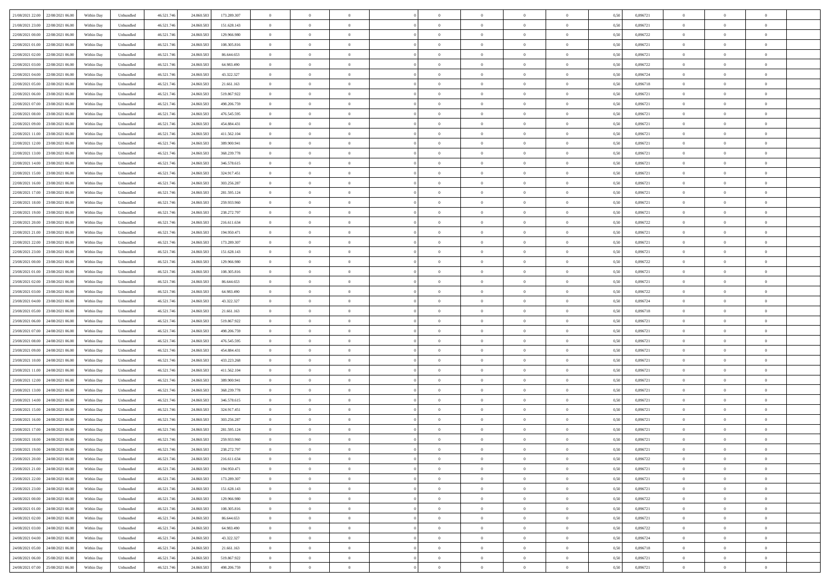| 21/08/2021 22:00 22/08/2021 06:00            | Within Day | Unbundled         | 46.521.74  | 24.860.583 | 173.289.307 | $\overline{0}$ | $\overline{0}$ |                | $\overline{0}$ | $\theta$       |                | $\bf{0}$       | 0,50 | 0,896721 | $\theta$       | $\theta$       | $\overline{0}$ |  |
|----------------------------------------------|------------|-------------------|------------|------------|-------------|----------------|----------------|----------------|----------------|----------------|----------------|----------------|------|----------|----------------|----------------|----------------|--|
| 21/08/2021 23:00<br>22/08/2021 06:00         | Within Day | Unbundled         | 46.521.74  | 24.860.58  | 151.628.143 | $\bf{0}$       | $\overline{0}$ | $\bf{0}$       | $\overline{0}$ | $\bf{0}$       | $\overline{0}$ | $\bf{0}$       | 0,50 | 0,896721 | $\,$ 0 $\,$    | $\bf{0}$       | $\overline{0}$ |  |
| 22/08/2021 00:00<br>22/08/2021 06:00         | Within Day | Unbundled         | 46.521.746 | 24.860.58  | 129,966,980 | $\overline{0}$ | $\bf{0}$       | $\overline{0}$ | $\bf{0}$       | $\bf{0}$       | $\overline{0}$ | $\bf{0}$       | 0.50 | 0,896722 | $\bf{0}$       | $\overline{0}$ | $\overline{0}$ |  |
| 22/08/2021 01:00<br>22/08/2021 06:00         |            |                   |            |            |             | $\overline{0}$ | $\overline{0}$ | $\overline{0}$ | $\theta$       | $\theta$       | $\overline{0}$ | $\bf{0}$       |      | 0,896721 | $\theta$       | $\theta$       | $\overline{0}$ |  |
|                                              | Within Day | Unbundled         | 46.521.74  | 24.860.583 | 108.305.816 |                |                |                |                |                |                |                | 0,50 |          |                |                |                |  |
| 22/08/2021 02:00<br>22/08/2021 06:00         | Within Day | Unbundled         | 46.521.74  | 24.860.583 | 86.644.653  | $\overline{0}$ | $\theta$       | $\bf{0}$       | $\overline{0}$ | $\theta$       | $\overline{0}$ | $\bf{0}$       | 0,50 | 0,896721 | $\,$ 0 $\,$    | $\bf{0}$       | $\overline{0}$ |  |
| 22/08/2021 03:00<br>22/08/2021 06:00         | Within Day | Unbundled         | 46.521.74  | 24,860.58  | 64,983,490  | $\overline{0}$ | $\overline{0}$ | $\overline{0}$ | $\bf{0}$       | $\overline{0}$ | $\theta$       | $\bf{0}$       | 0.50 | 0.896722 | $\,$ 0 $\,$    | $\theta$       | $\overline{0}$ |  |
| 22/08/2021 04:00<br>22/08/2021 06:00         | Within Day | Unbundled         | 46.521.74  | 24.860.583 | 43.322.327  | $\overline{0}$ | $\overline{0}$ | $\overline{0}$ | $\overline{0}$ | $\overline{0}$ | $\overline{0}$ | $\bf{0}$       | 0,50 | 0,896724 | $\theta$       | $\theta$       | $\overline{0}$ |  |
|                                              |            |                   |            |            |             |                |                |                |                |                |                |                |      |          |                |                |                |  |
| 22/08/2021 05:00<br>22/08/2021 06:00         | Within Day | Unbundled         | 46.521.74  | 24.860.58  | 21.661.163  | $\bf{0}$       | $\overline{0}$ | $\overline{0}$ | $\overline{0}$ | $\theta$       | $\overline{0}$ | $\bf{0}$       | 0,50 | 0,896718 | $\,$ 0 $\,$    | $\bf{0}$       | $\overline{0}$ |  |
| 22/08/2021 06:00<br>23/08/2021 06:00         | Within Day | Unbundled         | 46.521.74  | 24,860.58  | 519.867.922 | $\overline{0}$ | $\bf{0}$       | $\overline{0}$ | $\bf{0}$       | $\overline{0}$ | $\overline{0}$ | $\bf{0}$       | 0.50 | 0.896721 | $\bf{0}$       | $\overline{0}$ | $\overline{0}$ |  |
| 22/08/2021 07:00<br>23/08/2021 06:00         | Within Day | Unbundled         | 46.521.74  | 24.860.583 | 498.206.759 | $\overline{0}$ | $\bf{0}$       | $\overline{0}$ | $\overline{0}$ | $\overline{0}$ | $\overline{0}$ | $\bf{0}$       | 0,50 | 0,896721 | $\,$ 0 $\,$    | $\theta$       | $\overline{0}$ |  |
| 22/08/2021 08:00<br>23/08/2021 06:00         | Within Day | Unbundled         | 46.521.74  | 24.860.583 | 476.545.595 | $\bf{0}$       | $\overline{0}$ | $\bf{0}$       | $\overline{0}$ | $\bf{0}$       | $\overline{0}$ | $\bf{0}$       | 0,50 | 0,896721 | $\,$ 0 $\,$    | $\bf{0}$       | $\overline{0}$ |  |
|                                              |            |                   |            |            |             |                |                |                |                |                |                |                |      |          |                |                |                |  |
| 22/08/2021 09:00<br>23/08/2021 06:00         | Within Day | Unbundled         | 46.521.746 | 24,860.58  | 454.884.431 | $\overline{0}$ | $\bf{0}$       | $\overline{0}$ | $\bf{0}$       | $\bf{0}$       | $\overline{0}$ | $\bf{0}$       | 0.50 | 0.896721 | $\bf{0}$       | $\overline{0}$ | $\bf{0}$       |  |
| 22/08/2021 11:00<br>23/08/2021 06:00         | Within Day | Unbundled         | 46.521.74  | 24.860.583 | 411.562.104 | $\overline{0}$ | $\overline{0}$ | $\overline{0}$ | $\overline{0}$ | $\theta$       | $\overline{0}$ | $\overline{0}$ | 0,50 | 0,896721 | $\,$ 0 $\,$    | $\theta$       | $\overline{0}$ |  |
| 22/08/2021 12:00<br>23/08/2021 06:00         | Within Day | Unbundled         | 46.521.74  | 24.860.58  | 389.900.941 | $\bf{0}$       | $\theta$       | $\bf{0}$       | $\overline{0}$ | $\theta$       | $\overline{0}$ | $\bf{0}$       | 0,50 | 0,896721 | $\bf{0}$       | $\bf{0}$       | $\overline{0}$ |  |
| 22/08/2021 13:00<br>23/08/2021 06:00         | Within Day | Unbundled         | 46.521.74  | 24.860.58  | 368.239.778 | $\overline{0}$ | $\overline{0}$ | $\overline{0}$ | $\bf{0}$       | $\overline{0}$ | $\Omega$       | $\bf{0}$       | 0.50 | 0,896721 | $\,$ 0 $\,$    | $\theta$       | $\overline{0}$ |  |
| 22/08/2021 14:00<br>23/08/2021 06:00         | Within Day | Unbundled         | 46.521.74  | 24.860.583 | 346.578.615 | $\overline{0}$ | $\overline{0}$ | $\overline{0}$ | $\overline{0}$ | $\overline{0}$ | $\overline{0}$ | $\bf{0}$       | 0,50 | 0,896721 | $\theta$       | $\theta$       | $\overline{0}$ |  |
|                                              |            |                   |            |            |             |                |                |                |                |                |                |                |      |          |                |                |                |  |
| 22/08/2021 15:00<br>23/08/2021 06:00         | Within Day | Unbundled         | 46.521.74  | 24.860.58  | 324.917.451 | $\bf{0}$       | $\overline{0}$ | $\overline{0}$ | $\overline{0}$ | $\bf{0}$       | $\overline{0}$ | $\bf{0}$       | 0,50 | 0,896721 | $\,$ 0 $\,$    | $\bf{0}$       | $\overline{0}$ |  |
| 22/08/2021 16:00<br>23/08/2021 06:00         | Within Day | Unbundled         | 46.521.74  | 24,860.58  | 303.256.287 | $\overline{0}$ | $\bf{0}$       | $\overline{0}$ | $\bf{0}$       | $\overline{0}$ | $\overline{0}$ | $\bf{0}$       | 0.50 | 0.896721 | $\bf{0}$       | $\overline{0}$ | $\overline{0}$ |  |
| 22/08/2021 17:00<br>23/08/2021 06:00         | Within Day | Unbundled         | 46.521.74  | 24.860.583 | 281.595.124 | $\bf{0}$       | $\overline{0}$ | $\overline{0}$ | $\overline{0}$ | $\overline{0}$ | $\overline{0}$ | $\bf{0}$       | 0,50 | 0,896721 | $\,$ 0 $\,$    | $\theta$       | $\overline{0}$ |  |
| 22/08/2021 18:00<br>23/08/2021 06:00         | Within Day | Unbundled         | 46.521.74  | 24.860.58  | 259.933.960 | $\bf{0}$       | $\overline{0}$ | $\bf{0}$       | $\bf{0}$       | $\overline{0}$ | $\overline{0}$ | $\bf{0}$       | 0,50 | 0,896721 | $\,$ 0 $\,$    | $\bf{0}$       | $\overline{0}$ |  |
|                                              |            |                   |            |            |             |                |                |                |                |                |                |                |      |          |                |                |                |  |
| 22/08/2021 19:00<br>23/08/2021 06:00         | Within Day | Unbundled         | 46.521.746 | 24.860.583 | 238.272.797 | $\overline{0}$ | $\bf{0}$       | $\overline{0}$ | $\bf{0}$       | $\bf{0}$       | $\overline{0}$ | $\bf{0}$       | 0.50 | 0.896721 | $\bf{0}$       | $\overline{0}$ | $\overline{0}$ |  |
| 22/08/2021 20:00<br>23/08/2021 06:00         | Within Day | Unbundled         | 46.521.74  | 24.860.583 | 216.611.634 | $\overline{0}$ | $\overline{0}$ | $\overline{0}$ | $\theta$       | $\theta$       | $\overline{0}$ | $\bf{0}$       | 0,50 | 0,896722 | $\theta$       | $\theta$       | $\overline{0}$ |  |
| 22/08/2021 21:00<br>23/08/2021 06:00         | Within Day | Unbundled         | 46.521.74  | 24.860.58  | 194.950.471 | $\bf{0}$       | $\overline{0}$ | $\bf{0}$       | $\bf{0}$       | $\bf{0}$       | $\overline{0}$ | $\bf{0}$       | 0,50 | 0,896721 | $\,$ 0 $\,$    | $\bf{0}$       | $\overline{0}$ |  |
| 22/08/2021 22:00<br>23/08/2021 06:00         | Within Day | Unbundled         | 46.521.74  | 24,860.58  | 173.289.307 | $\overline{0}$ | $\overline{0}$ | $\overline{0}$ | $\overline{0}$ | $\overline{0}$ | $\Omega$       | $\bf{0}$       | 0.50 | 0.896721 | $\,$ 0 $\,$    | $\theta$       | $\overline{0}$ |  |
| 22/08/2021 23:00<br>23/08/2021 06:00         | Within Day | Unbundled         | 46.521.74  | 24.860.583 | 151.628.143 | $\overline{0}$ | $\overline{0}$ | $\overline{0}$ | $\overline{0}$ | $\overline{0}$ | $\overline{0}$ | $\bf{0}$       | 0,50 | 0,896721 | $\theta$       | $\theta$       | $\overline{0}$ |  |
|                                              |            |                   |            |            |             |                |                |                |                |                |                |                |      |          |                |                |                |  |
| 23/08/2021 00:00<br>23/08/2021 06:00         | Within Day | Unbundled         | 46.521.74  | 24.860.58  | 129.966.980 | $\bf{0}$       | $\theta$       | $\bf{0}$       | $\overline{0}$ | $\theta$       | $\overline{0}$ | $\bf{0}$       | 0,50 | 0,896722 | $\,$ 0 $\,$    | $\bf{0}$       | $\overline{0}$ |  |
| 23/08/2021 01:00<br>23/08/2021 06:00         | Within Day | Unbundled         | 46.521.74  | 24,860.58  | 108.305.816 | $\overline{0}$ | $\bf{0}$       | $\overline{0}$ | $\bf{0}$       | $\overline{0}$ | $\overline{0}$ | $\bf{0}$       | 0.50 | 0.896721 | $\bf{0}$       | $\overline{0}$ | $\overline{0}$ |  |
| 23/08/2021 02:00<br>23/08/2021 06:00         | Within Day | Unbundled         | 46.521.74  | 24.860.583 | 86.644.653  | $\overline{0}$ | $\overline{0}$ | $\overline{0}$ | $\overline{0}$ | $\overline{0}$ | $\overline{0}$ | $\bf{0}$       | 0,50 | 0,896721 | $\theta$       | $\theta$       | $\overline{0}$ |  |
| 23/08/2021 03:00<br>23/08/2021 06:00         | Within Day | Unbundled         | 46.521.74  | 24.860.583 | 64.983.490  | $\bf{0}$       | $\bf{0}$       | $\bf{0}$       | $\bf{0}$       | $\overline{0}$ | $\overline{0}$ | $\bf{0}$       | 0,50 | 0,896722 | $\,$ 0 $\,$    | $\bf{0}$       | $\overline{0}$ |  |
|                                              |            |                   |            |            |             |                |                |                |                |                |                |                |      |          |                |                |                |  |
| 23/08/2021 04:00<br>23/08/2021 06:00         | Within Day | Unbundled         | 46.521.746 | 24,860.58  | 43.322.327  | $\overline{0}$ | $\bf{0}$       | $\overline{0}$ | $\bf{0}$       | $\bf{0}$       | $\overline{0}$ | $\bf{0}$       | 0.50 | 0.896724 | $\bf{0}$       | $\overline{0}$ | $\overline{0}$ |  |
| 23/08/2021 05:00<br>23/08/2021 06:00         | Within Day | Unbundled         | 46.521.74  | 24,860,583 | 21.661.163  | $\overline{0}$ | $\overline{0}$ | $\overline{0}$ | $\overline{0}$ | $\overline{0}$ | $\overline{0}$ | $\bf{0}$       | 0.5( | 0,896718 | $\theta$       | $\theta$       | $\overline{0}$ |  |
| 23/08/2021 06:00<br>24/08/2021 06.00         | Within Day | Unbundled         | 46.521.74  | 24.860.58  | 519.867.922 | $\bf{0}$       | $\overline{0}$ | $\bf{0}$       | $\overline{0}$ | $\overline{0}$ | $\overline{0}$ | $\bf{0}$       | 0,50 | 0,896721 | $\,$ 0 $\,$    | $\bf{0}$       | $\overline{0}$ |  |
| 23/08/2021 07:00<br>24/08/2021 06:00         | Within Day | Unbundled         | 46.521.74  | 24.860.58  | 498.206.759 | $\overline{0}$ | $\overline{0}$ | $\overline{0}$ | $\bf{0}$       | $\overline{0}$ | $\Omega$       | $\bf{0}$       | 0.50 | 0,896721 | $\,$ 0 $\,$    | $\theta$       | $\overline{0}$ |  |
| 23/08/2021 08:00<br>24/08/2021 06:00         | Within Dav | Unbundled         | 46.521.74  | 24.860.583 | 476.545.595 | $\overline{0}$ | $\overline{0}$ | $\overline{0}$ | $\overline{0}$ | $\overline{0}$ | $\overline{0}$ | $\overline{0}$ | 0.5( | 0,896721 | $\theta$       | $\theta$       | $\overline{0}$ |  |
|                                              |            |                   |            |            |             |                |                |                |                |                |                |                |      |          |                |                |                |  |
| 23/08/2021 09:00<br>24/08/2021 06.00         | Within Day | Unbundled         | 46.521.74  | 24.860.58  | 454.884.431 | $\bf{0}$       | $\overline{0}$ | $\bf{0}$       | $\overline{0}$ | $\bf{0}$       | $\overline{0}$ | $\bf{0}$       | 0,50 | 0,896721 | $\,$ 0 $\,$    | $\bf{0}$       | $\overline{0}$ |  |
| 23/08/2021 10:00<br>24/08/2021 06:00         | Within Day | Unbundled         | 46.521.74  | 24,860.58  | 433.223.268 | $\overline{0}$ | $\bf{0}$       | $\overline{0}$ | $\bf{0}$       | $\overline{0}$ | $\overline{0}$ | $\bf{0}$       | 0.50 | 0.896721 | $\bf{0}$       | $\overline{0}$ | $\overline{0}$ |  |
| 23/08/2021 11:00<br>24/08/2021 06:00         | Within Dav | Unbundled         | 46.521.74  | 24,860,583 | 411.562.104 | $\overline{0}$ | $\overline{0}$ | $\overline{0}$ | $\overline{0}$ | $\overline{0}$ | $\overline{0}$ | $\overline{0}$ | 0.50 | 0,896721 | $\theta$       | $\theta$       | $\overline{0}$ |  |
| 23/08/2021 12:00<br>24/08/2021 06.00         | Within Day | Unbundled         | 46.521.74  | 24.860.58  | 389.900.941 | $\bf{0}$       | $\bf{0}$       | $\bf{0}$       | $\bf{0}$       | $\overline{0}$ | $\overline{0}$ | $\bf{0}$       | 0,50 | 0,896721 | $\,$ 0 $\,$    | $\bf{0}$       | $\overline{0}$ |  |
| 24/08/2021 06:00                             |            |                   |            |            |             |                |                |                |                |                | $\overline{0}$ |                |      | 0.896721 |                |                |                |  |
| 23/08/2021 13:00                             | Within Day | Unbundled         | 46.521.746 | 24.860.583 | 368.239.778 | $\overline{0}$ | $\bf{0}$       | $\overline{0}$ | $\bf{0}$       | $\bf{0}$       |                | $\bf{0}$       | 0.50 |          | $\bf{0}$       | $\overline{0}$ | $\overline{0}$ |  |
| 23/08/2021 14:00<br>24/08/2021 06:00         | Within Dav | Unbundled         | 46.521.74  | 24.860.583 | 346.578.615 | $\overline{0}$ | $\overline{0}$ | $\overline{0}$ | $\overline{0}$ | $\overline{0}$ | $\overline{0}$ | $\bf{0}$       | 0.50 | 0,896721 | $\theta$       | $\theta$       | $\overline{0}$ |  |
| 23/08/2021 15:00<br>24/08/2021 06.00         | Within Day | Unbundled         | 46.521.74  | 24.860.583 | 324.917.451 | $\bf{0}$       | $\overline{0}$ | $\bf{0}$       | $\bf{0}$       | $\,$ 0 $\,$    | $\overline{0}$ | $\bf{0}$       | 0,50 | 0,896721 | $\,$ 0 $\,$    | $\bf{0}$       | $\overline{0}$ |  |
| 23/08/2021 16:00<br>24/08/2021 06:00         | Within Day | Unbundled         | 46.521.74  | 24.860.58  | 303.256.287 | $\overline{0}$ | $\overline{0}$ | $\Omega$       | $\overline{0}$ | $\bf{0}$       | $\Omega$       | $\bf{0}$       | 0.50 | 0,896721 | $\bf{0}$       | $\theta$       | $\overline{0}$ |  |
| 23/08/2021 17:00<br>24/08/2021 06:00         | Within Dav | Unbundled         | 46.521.74  | 24,860,583 | 281.595.124 | $\overline{0}$ | $\overline{0}$ | $\Omega$       | $\overline{0}$ | $\theta$       | $\Omega$       | $\overline{0}$ | 0.5( | 0,896721 | $\theta$       | $\theta$       | $\overline{0}$ |  |
|                                              |            |                   |            |            |             |                |                |                |                |                |                |                |      |          |                |                |                |  |
| 23/08/2021 18:00<br>24/08/2021 06:00         | Within Day | Unbundled         | 46.521.74  | 24.860.583 | 259.933.960 | $\bf{0}$       | $\bf{0}$       | $\bf{0}$       | $\bf{0}$       | $\bf{0}$       | $\overline{0}$ | $\bf{0}$       | 0,50 | 0,896721 | $\,$ 0 $\,$    | $\bf{0}$       | $\overline{0}$ |  |
| $23/08/2021\ 19.00 \qquad 24/08/2021\ 06.00$ | Within Day | ${\sf Unbundred}$ | 46.521.746 | 24.860.583 | 238.272.797 | $\bf{0}$       | $\Omega$       |                | $\overline{0}$ |                |                |                | 0,50 | 0.896721 | $\theta$       | $\overline{0}$ |                |  |
| 23/08/2021 20:00 24/08/2021 06:00            | Within Day | Unbundled         | 46.521.746 | 24.860.583 | 216.611.634 | $\overline{0}$ | $\theta$       | $\Omega$       | $\theta$       | $\overline{0}$ | $\overline{0}$ | $\bf{0}$       | 0,50 | 0,896722 | $\theta$       | $\theta$       | $\overline{0}$ |  |
| 23/08/2021 21:00<br>24/08/2021 06:00         | Within Day | Unbundled         | 46.521.74  | 24.860.583 | 194.950.471 | $\overline{0}$ | $\bf{0}$       | $\overline{0}$ | $\overline{0}$ | $\bf{0}$       | $\overline{0}$ | $\bf{0}$       | 0,50 | 0,896721 | $\bf{0}$       | $\overline{0}$ | $\bf{0}$       |  |
| 23/08/2021 22:00 24/08/2021 06:00            |            |                   |            |            |             |                |                |                |                |                | $\overline{0}$ |                | 0.50 | 0.896721 | $\overline{0}$ |                |                |  |
|                                              | Within Day | Unbundled         | 46.521.746 | 24.860.583 | 173.289.307 | $\overline{0}$ | $\bf{0}$       | $\overline{0}$ | $\overline{0}$ | $\mathbf{0}$   |                | $\,$ 0 $\,$    |      |          |                | $\bf{0}$       | $\,$ 0 $\,$    |  |
| 23/08/2021 23:00 24/08/2021 06:00            | Within Day | Unbundled         | 46.521.746 | 24.860.583 | 151.628.143 | $\overline{0}$ | $\overline{0}$ | $\overline{0}$ | $\overline{0}$ | $\overline{0}$ | $\overline{0}$ | $\bf{0}$       | 0,50 | 0,896721 | $\theta$       | $\theta$       | $\overline{0}$ |  |
| 24/08/2021 00:00<br>24/08/2021 06:00         | Within Day | Unbundled         | 46.521.74  | 24.860.583 | 129.966.980 | $\overline{0}$ | $\bf{0}$       | $\overline{0}$ | $\bf{0}$       | $\overline{0}$ | $\bf{0}$       | $\bf{0}$       | 0,50 | 0,896722 | $\bf{0}$       | $\bf{0}$       | $\overline{0}$ |  |
| 24/08/2021 06:00<br>24/08/2021 01:00         | Within Day | Unbundled         | 46.521.746 | 24.860.583 | 108,305,816 | $\overline{0}$ | $\bf{0}$       | $\overline{0}$ | $\overline{0}$ | $\overline{0}$ | $\overline{0}$ | $\bf{0}$       | 0.50 | 0,896721 | $\,$ 0 $\,$    | $\theta$       | $\overline{0}$ |  |
| 24/08/2021 02:00<br>24/08/2021 06:00         | Within Dav | Unbundled         | 46.521.746 | 24.860.583 | 86.644.653  | $\overline{0}$ | $\overline{0}$ | $\overline{0}$ | $\overline{0}$ | $\overline{0}$ | $\overline{0}$ | $\bf{0}$       | 0.50 | 0,896721 | $\overline{0}$ | $\theta$       | $\overline{0}$ |  |
|                                              |            |                   |            |            |             |                |                |                |                |                |                |                |      |          |                |                |                |  |
| 24/08/2021 03:00<br>24/08/2021 06:00         | Within Day | Unbundled         | 46.521.74  | 24.860.583 | 64.983.490  | $\overline{0}$ | $\overline{0}$ | $\overline{0}$ | $\overline{0}$ | $\bf{0}$       | $\overline{0}$ | $\bf{0}$       | 0,50 | 0,896722 | $\bf{0}$       | $\overline{0}$ | $\overline{0}$ |  |
| 24/08/2021 04:00 24/08/2021 06:00            | Within Day | Unbundled         | 46.521.746 | 24.860.583 | 43.322.327  | $\overline{0}$ | $\overline{0}$ | $\overline{0}$ | $\overline{0}$ | $\bf{0}$       | $\overline{0}$ | $\bf{0}$       | 0.50 | 0.896724 | $\overline{0}$ | $\bf{0}$       | $\,$ 0         |  |
| 24/08/2021 05:00 24/08/2021 06:00            | Within Dav | Unbundled         | 46.521.746 | 24.860.583 | 21.661.163  | $\overline{0}$ | $\overline{0}$ | $\overline{0}$ | $\overline{0}$ | $\overline{0}$ | $\overline{0}$ | $\bf{0}$       | 0,50 | 0,896718 | $\overline{0}$ | $\theta$       | $\overline{0}$ |  |
| 24/08/2021 06:00<br>25/08/2021 06:00         | Within Day | Unbundled         | 46.521.74  | 24.860.583 | 519.867.922 | $\overline{0}$ | $\bf{0}$       | $\overline{0}$ | $\bf{0}$       | $\overline{0}$ | $\bf{0}$       | $\bf{0}$       | 0,50 | 0,896721 | $\bf{0}$       | $\bf{0}$       | $\overline{0}$ |  |
|                                              |            |                   |            |            |             |                |                |                |                |                |                |                |      |          |                |                |                |  |
| 24/08/2021 07:00 25/08/2021 06:00            | Within Day | Unbundled         | 46.521.746 | 24.860.583 | 498.206.759 | $\overline{0}$ | $\bf{0}$       | $\overline{0}$ | $\overline{0}$ | $\,$ 0 $\,$    | $\overline{0}$ | $\bf{0}$       | 0,50 | 0,896721 | $\overline{0}$ | $\,$ 0 $\,$    | $\,$ 0 $\,$    |  |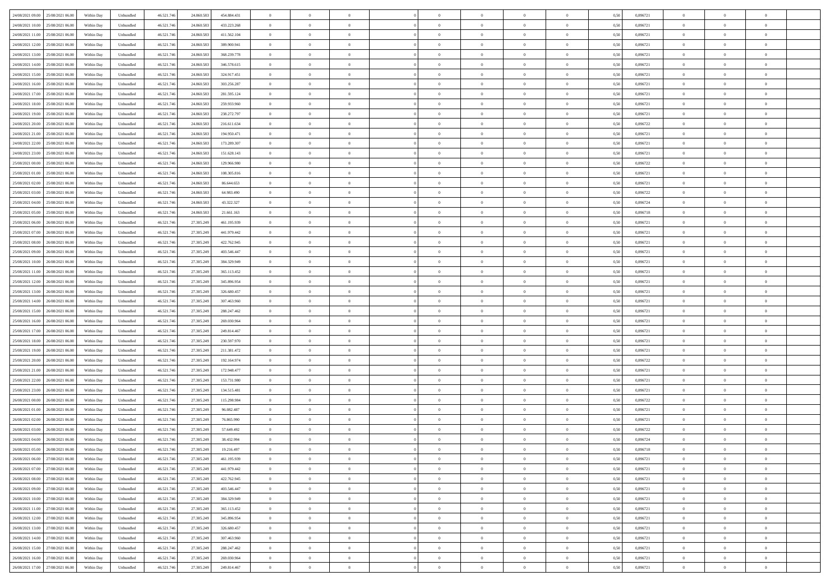| 24/08/2021 09:00 25/08/2021 06:00            | Within Day | Unbundled         | 46.521.74  | 24.860.583 | 454.884.431 | $\overline{0}$ | $\theta$       |                | $\overline{0}$ | $\theta$       |                | $\bf{0}$       | 0,50 | 0,896721 | $\theta$       | $\theta$       | $\overline{0}$ |  |
|----------------------------------------------|------------|-------------------|------------|------------|-------------|----------------|----------------|----------------|----------------|----------------|----------------|----------------|------|----------|----------------|----------------|----------------|--|
| 24/08/2021 10:00<br>25/08/2021 06.00         | Within Day | Unbundled         | 46.521.74  | 24.860.58  | 433.223.268 | $\bf{0}$       | $\overline{0}$ | $\bf{0}$       | $\overline{0}$ | $\bf{0}$       | $\overline{0}$ | $\bf{0}$       | 0,50 | 0,896721 | $\,$ 0 $\,$    | $\bf{0}$       | $\overline{0}$ |  |
| 24/08/2021 11:00<br>25/08/2021 06:00         | Within Day | Unbundled         | 46.521.746 | 24.860.583 | 411.562.104 | $\overline{0}$ | $\bf{0}$       | $\overline{0}$ | $\bf{0}$       | $\bf{0}$       | $\overline{0}$ | $\bf{0}$       | 0.50 | 0.896721 | $\bf{0}$       | $\overline{0}$ | $\overline{0}$ |  |
| 24/08/2021 12:00<br>25/08/2021 06:00         |            |                   | 46.521.74  |            |             | $\overline{0}$ | $\overline{0}$ | $\overline{0}$ | $\theta$       | $\theta$       | $\overline{0}$ | $\overline{0}$ |      | 0,896721 | $\theta$       | $\theta$       | $\overline{0}$ |  |
|                                              | Within Day | Unbundled         |            | 24.860.583 | 389.900.941 |                |                |                |                |                |                |                | 0,50 |          |                |                |                |  |
| 24/08/2021 13:00<br>25/08/2021 06.00         | Within Day | Unbundled         | 46.521.74  | 24.860.583 | 368.239.778 | $\overline{0}$ | $\theta$       | $\overline{0}$ | $\overline{0}$ | $\theta$       | $\overline{0}$ | $\bf{0}$       | 0,50 | 0,896721 | $\,$ 0 $\,$    | $\bf{0}$       | $\overline{0}$ |  |
| 24/08/2021 14:00<br>25/08/2021 06:00         | Within Day | Unbundled         | 46.521.74  | 24,860.58  | 346,578,615 | $\overline{0}$ | $\overline{0}$ | $\overline{0}$ | $\overline{0}$ | $\overline{0}$ | $\Omega$       | $\bf{0}$       | 0.50 | 0.896721 | $\,$ 0 $\,$    | $\theta$       | $\overline{0}$ |  |
| 24/08/2021 15:00<br>25/08/2021 06:00         | Within Day | Unbundled         | 46.521.74  | 24.860.583 | 324.917.451 | $\overline{0}$ | $\overline{0}$ | $\overline{0}$ | $\overline{0}$ | $\theta$       | $\overline{0}$ | $\bf{0}$       | 0,50 | 0,896721 | $\theta$       | $\theta$       | $\overline{0}$ |  |
|                                              |            |                   |            |            |             |                |                |                |                |                |                |                |      |          |                |                |                |  |
| 24/08/2021 16:00<br>25/08/2021 06.00         | Within Day | Unbundled         | 46.521.74  | 24.860.58  | 303.256.287 | $\overline{0}$ | $\overline{0}$ | $\overline{0}$ | $\overline{0}$ | $\theta$       | $\overline{0}$ | $\bf{0}$       | 0,50 | 0,896721 | $\,$ 0 $\,$    | $\bf{0}$       | $\overline{0}$ |  |
| 24/08/2021 17:00<br>25/08/2021 06:00         | Within Day | Unbundled         | 46.521.74  | 24,860.58  | 281.595.124 | $\overline{0}$ | $\bf{0}$       | $\overline{0}$ | $\bf{0}$       | $\overline{0}$ | $\overline{0}$ | $\bf{0}$       | 0.50 | 0.896721 | $\bf{0}$       | $\theta$       | $\overline{0}$ |  |
| 24/08/2021 18:00<br>25/08/2021 06:00         | Within Day | Unbundled         | 46.521.74  | 24.860.583 | 259.933.960 | $\overline{0}$ | $\bf{0}$       | $\overline{0}$ | $\overline{0}$ | $\theta$       | $\overline{0}$ | $\bf{0}$       | 0,50 | 0,896721 | $\,$ 0 $\,$    | $\theta$       | $\overline{0}$ |  |
| 24/08/2021 19:00<br>25/08/2021 06.00         | Within Day | Unbundled         | 46.521.74  | 24.860.583 | 238.272.797 | $\bf{0}$       | $\overline{0}$ | $\bf{0}$       | $\overline{0}$ | $\bf{0}$       | $\overline{0}$ | $\bf{0}$       | 0,50 | 0,896721 | $\,$ 0 $\,$    | $\bf{0}$       | $\overline{0}$ |  |
|                                              |            |                   |            |            |             |                |                |                |                |                |                |                |      |          |                |                |                |  |
| 24/08/2021 20:00<br>25/08/2021 06:00         | Within Day | Unbundled         | 46.521.746 | 24.860.58  | 216,611,634 | $\overline{0}$ | $\overline{0}$ | $\overline{0}$ | $\bf{0}$       | $\bf{0}$       | $\overline{0}$ | $\bf{0}$       | 0.50 | 0.896722 | $\bf{0}$       | $\overline{0}$ | $\overline{0}$ |  |
| 24/08/2021 21:00<br>25/08/2021 06:00         | Within Day | Unbundled         | 46.521.74  | 24.860.583 | 194.950.471 | $\overline{0}$ | $\overline{0}$ | $\overline{0}$ | $\overline{0}$ | $\theta$       | $\overline{0}$ | $\overline{0}$ | 0,50 | 0,896721 | $\,$ 0 $\,$    | $\theta$       | $\overline{0}$ |  |
| 24/08/2021 22.00<br>25/08/2021 06.00         | Within Day | Unbundled         | 46.521.74  | 24.860.58  | 173.289.307 | $\bf{0}$       | $\theta$       | $\bf{0}$       | $\overline{0}$ | $\theta$       | $\overline{0}$ | $\bf{0}$       | 0,50 | 0,896721 | $\bf{0}$       | $\bf{0}$       | $\overline{0}$ |  |
|                                              |            |                   |            |            |             |                |                |                |                |                |                |                |      |          |                |                |                |  |
| 24/08/2021 23:00<br>25/08/2021 06:00         | Within Day | Unbundled         | 46.521.74  | 24.860.58  | 151.628.143 | $\overline{0}$ | $\overline{0}$ | $\overline{0}$ | $\bf{0}$       | $\theta$       | $\Omega$       | $\bf{0}$       | 0.50 | 0,896721 | $\bf{0}$       | $\overline{0}$ | $\overline{0}$ |  |
| 25/08/2021 00:00<br>25/08/2021 06:00         | Within Day | Unbundled         | 46.521.74  | 24.860.583 | 129.966.980 | $\overline{0}$ | $\overline{0}$ | $\overline{0}$ | $\overline{0}$ | $\overline{0}$ | $\overline{0}$ | $\bf{0}$       | 0,50 | 0,896722 | $\theta$       | $\theta$       | $\overline{0}$ |  |
| 25/08/2021 01:00<br>25/08/2021 06.00         | Within Day | Unbundled         | 46.521.74  | 24.860.58  | 108.305.816 | $\bf{0}$       | $\overline{0}$ | $\overline{0}$ | $\overline{0}$ | $\theta$       | $\overline{0}$ | $\bf{0}$       | 0,50 | 0,896721 | $\,$ 0 $\,$    | $\bf{0}$       | $\overline{0}$ |  |
| 25/08/2021 02:00<br>25/08/2021 06:00         | Within Day | Unbundled         | 46.521.74  | 24,860.58  | 86.644.653  | $\overline{0}$ | $\overline{0}$ | $\overline{0}$ | $\bf{0}$       | $\overline{0}$ | $\overline{0}$ | $\bf{0}$       | 0.50 | 0.896721 | $\bf{0}$       | $\overline{0}$ | $\overline{0}$ |  |
|                                              |            |                   |            |            |             | $\overline{0}$ | $\overline{0}$ | $\overline{0}$ | $\overline{0}$ | $\theta$       | $\overline{0}$ |                |      |          | $\,$ 0 $\,$    | $\theta$       | $\overline{0}$ |  |
| 25/08/2021 03:00<br>25/08/2021 06:00         | Within Day | Unbundled         | 46.521.74  | 24.860.583 | 64.983.490  |                |                |                |                |                |                | $\bf{0}$       | 0,50 | 0,896722 |                |                |                |  |
| 25/08/2021 04:00<br>25/08/2021 06.00         | Within Day | Unbundled         | 46.521.74  | 24.860.58  | 43.322.327  | $\bf{0}$       | $\overline{0}$ | $\bf{0}$       | $\bf{0}$       | $\overline{0}$ | $\overline{0}$ | $\bf{0}$       | 0,50 | 0,896724 | $\,$ 0 $\,$    | $\bf{0}$       | $\overline{0}$ |  |
| 25/08/2021 05:00<br>25/08/2021 06:00         | Within Day | Unbundled         | 46.521.746 | 24.860.583 | 21.661.163  | $\overline{0}$ | $\bf{0}$       | $\overline{0}$ | $\bf{0}$       | $\bf{0}$       | $\overline{0}$ | $\bf{0}$       | 0.50 | 0.896718 | $\bf{0}$       | $\overline{0}$ | $\overline{0}$ |  |
| 25/08/2021 06:00<br>26/08/2021 06:00         | Within Day | Unbundled         | 46.521.74  | 27.305.249 | 461.195.939 | $\overline{0}$ | $\overline{0}$ | $\overline{0}$ | $\theta$       | $\theta$       | $\overline{0}$ | $\bf{0}$       | 0,50 | 0,896721 | $\theta$       | $\theta$       | $\overline{0}$ |  |
|                                              |            |                   |            |            |             |                | $\overline{0}$ |                |                |                |                |                |      |          |                |                | $\overline{0}$ |  |
| 25/08/2021 07:00<br>26/08/2021 06:00         | Within Day | Unbundled         | 46.521.74  | 27.305.249 | 441.979.442 | $\bf{0}$       |                | $\bf{0}$       | $\bf{0}$       | $\bf{0}$       | $\overline{0}$ | $\bf{0}$       | 0,50 | 0,896721 | $\,$ 0 $\,$    | $\bf{0}$       |                |  |
| 25/08/2021 08:00<br>26/08/2021 06:00         | Within Day | Unbundled         | 46.521.74  | 27.305.249 | 422.762.945 | $\overline{0}$ | $\overline{0}$ | $\overline{0}$ | $\overline{0}$ | $\overline{0}$ | $\Omega$       | $\bf{0}$       | 0.50 | 0.896721 | $\,$ 0 $\,$    | $\theta$       | $\overline{0}$ |  |
| 25/08/2021 09:00<br>26/08/2021 06:00         | Within Day | Unbundled         | 46.521.74  | 27.305.249 | 403.546.447 | $\overline{0}$ | $\overline{0}$ | $\overline{0}$ | $\overline{0}$ | $\theta$       | $\overline{0}$ | $\bf{0}$       | 0,50 | 0,896721 | $\theta$       | $\theta$       | $\overline{0}$ |  |
| 25/08/2021 10:00<br>26/08/2021 06:00         | Within Day | Unbundled         | 46.521.74  | 27.305.249 | 384.329.949 | $\bf{0}$       | $\theta$       | $\bf{0}$       | $\overline{0}$ | $\theta$       | $\overline{0}$ | $\bf{0}$       | 0,50 | 0,896721 | $\,$ 0 $\,$    | $\bf{0}$       | $\overline{0}$ |  |
| 25/08/2021 11:00<br>26/08/2021 06:00         | Within Day | Unbundled         | 46.521.74  | 27.305.249 | 365.113.452 | $\overline{0}$ | $\overline{0}$ | $\overline{0}$ | $\bf{0}$       | $\overline{0}$ | $\overline{0}$ | $\bf{0}$       | 0.50 | 0.896721 | $\bf{0}$       | $\theta$       | $\overline{0}$ |  |
|                                              |            |                   |            |            |             |                |                |                |                |                |                |                |      |          |                |                |                |  |
| 25/08/2021 12:00<br>26/08/2021 06:00         | Within Day | Unbundled         | 46.521.74  | 27.305.249 | 345.896.954 | $\overline{0}$ | $\overline{0}$ | $\overline{0}$ | $\overline{0}$ | $\overline{0}$ | $\overline{0}$ | $\bf{0}$       | 0,50 | 0,896721 | $\theta$       | $\theta$       | $\overline{0}$ |  |
| 25/08/2021 13:00<br>26/08/2021 06:00         | Within Day | Unbundled         | 46.521.74  | 27.305.249 | 326.680.457 | $\bf{0}$       | $\bf{0}$       | $\bf{0}$       | $\bf{0}$       | $\overline{0}$ | $\overline{0}$ | $\bf{0}$       | 0,50 | 0,896721 | $\,$ 0 $\,$    | $\bf{0}$       | $\overline{0}$ |  |
| 25/08/2021 14:00<br>26/08/2021 06:00         | Within Day | Unbundled         | 46.521.74  | 27.305.249 | 307.463.960 | $\overline{0}$ | $\bf{0}$       | $\overline{0}$ | $\bf{0}$       | $\bf{0}$       | $\overline{0}$ | $\bf{0}$       | 0.50 | 0.896721 | $\bf{0}$       | $\overline{0}$ | $\overline{0}$ |  |
| 25/08/2021 15:00<br>26/08/2021 06:00         | Within Day | Unbundled         | 46.521.74  | 27.305.249 | 288.247.462 | $\overline{0}$ | $\overline{0}$ | $\overline{0}$ | $\overline{0}$ | $\overline{0}$ | $\overline{0}$ | $\bf{0}$       | 0.5( | 0,896721 | $\theta$       | $\theta$       | $\overline{0}$ |  |
|                                              |            |                   |            |            |             |                |                |                |                |                |                |                |      |          |                |                |                |  |
| 25/08/2021 16:00<br>26/08/2021 06:00         | Within Day | Unbundled         | 46.521.74  | 27.305.249 | 269.030.964 | $\bf{0}$       | $\overline{0}$ | $\bf{0}$       | $\overline{0}$ | $\overline{0}$ | $\overline{0}$ | $\bf{0}$       | 0,50 | 0,896721 | $\,$ 0 $\,$    | $\bf{0}$       | $\overline{0}$ |  |
| 25/08/2021 17:00<br>26/08/2021 06:00         | Within Day | Unbundled         | 46.521.74  | 27.305.249 | 249.814.467 | $\overline{0}$ | $\overline{0}$ | $\overline{0}$ | $\bf{0}$       | $\bf{0}$       | $\Omega$       | $\bf{0}$       | 0.50 | 0,896721 | $\,$ 0 $\,$    | $\overline{0}$ | $\overline{0}$ |  |
| 25/08/2021 18:00<br>26/08/2021 06:00         | Within Dav | Unbundled         | 46.521.74  | 27.305.249 | 230.597.970 | $\overline{0}$ | $\theta$       | $\overline{0}$ | $\overline{0}$ | $\overline{0}$ | $\overline{0}$ | $\overline{0}$ | 0.5( | 0,896721 | $\theta$       | $\theta$       | $\overline{0}$ |  |
| 25/08/2021 19:00<br>26/08/2021 06:00         | Within Day | Unbundled         | 46.521.74  | 27.305.249 | 211.381.472 | $\bf{0}$       | $\overline{0}$ | $\bf{0}$       | $\overline{0}$ | $\bf{0}$       | $\overline{0}$ | $\bf{0}$       | 0,50 | 0,896721 | $\,$ 0 $\,$    | $\bf{0}$       | $\overline{0}$ |  |
|                                              |            |                   |            |            |             |                |                |                |                |                |                |                |      |          |                |                |                |  |
| 25/08/2021 20:00<br>26/08/2021 06:00         | Within Day | Unbundled         | 46.521.74  | 27.305.249 | 192.164.974 | $\overline{0}$ | $\bf{0}$       | $\overline{0}$ | $\bf{0}$       | $\overline{0}$ | $\overline{0}$ | $\bf{0}$       | 0.50 | 0.896722 | $\bf{0}$       | $\overline{0}$ | $\overline{0}$ |  |
| 25/08/2021 21:00<br>26/08/2021 06:00         | Within Dav | Unbundled         | 46.521.74  | 27.305.249 | 172,948,477 | $\overline{0}$ | $\overline{0}$ | $\overline{0}$ | $\overline{0}$ | $\overline{0}$ | $\overline{0}$ | $\overline{0}$ | 0.50 | 0,896721 | $\theta$       | $\theta$       | $\overline{0}$ |  |
| 25/08/2021 22:00<br>26/08/2021 06:00         | Within Day | Unbundled         | 46.521.74  | 27.305.249 | 153.731.980 | $\bf{0}$       | $\bf{0}$       | $\bf{0}$       | $\bf{0}$       | $\overline{0}$ | $\overline{0}$ | $\bf{0}$       | 0,50 | 0,896721 | $\,$ 0 $\,$    | $\bf{0}$       | $\overline{0}$ |  |
| 25/08/2021 23:00<br>26/08/2021 06:00         | Within Day | Unbundled         | 46.521.746 | 27.305.249 | 134.515.481 | $\overline{0}$ | $\bf{0}$       | $\overline{0}$ | $\bf{0}$       | $\bf{0}$       | $\overline{0}$ | $\bf{0}$       | 0.50 | 0.896721 | $\bf{0}$       | $\overline{0}$ | $\overline{0}$ |  |
| 26/08/2021 00:00<br>26/08/2021 06:00         | Within Dav | Unbundled         | 46.521.74  | 27.305.249 | 115.298.984 | $\overline{0}$ | $\overline{0}$ | $\Omega$       | $\overline{0}$ | $\theta$       | $\overline{0}$ | $\bf{0}$       | 0.5( | 0,896722 | $\theta$       | $\theta$       | $\overline{0}$ |  |
|                                              |            |                   |            |            |             |                |                |                |                |                |                |                |      |          |                |                |                |  |
| 26/08/2021 01:00<br>26/08/2021 06:00         | Within Day | Unbundled         | 46.521.74  | 27.305.249 | 96.082.487  | $\bf{0}$       | $\overline{0}$ | $\bf{0}$       | $\overline{0}$ | $\overline{0}$ | $\overline{0}$ | $\bf{0}$       | 0,50 | 0,896721 | $\,$ 0 $\,$    | $\bf{0}$       | $\overline{0}$ |  |
| 26/08/2021 02:00<br>26/08/2021 06:00         | Within Day | Unbundled         | 46.521.74  | 27.305.249 | 76,865,990  | $\overline{0}$ | $\overline{0}$ | $\Omega$       | $\overline{0}$ | $\overline{0}$ | $\theta$       | $\bf{0}$       | 0.50 | 0,896721 | $\bf{0}$       | $\theta$       | $\overline{0}$ |  |
| 26/08/2021 03:00<br>26/08/2021 06:00         | Within Dav | Unbundled         | 46.521.74  | 27.305.249 | 57.649.492  | $\overline{0}$ | $\overline{0}$ | $\Omega$       | $\overline{0}$ | $\theta$       | $\Omega$       | $\overline{0}$ | 0.5( | 0,896722 | $\theta$       | $\theta$       | $\overline{0}$ |  |
| 26/08/2021 04:00<br>26/08/2021 06:00         | Within Day | Unbundled         | 46.521.74  | 27.305.249 | 38.432.994  | $\bf{0}$       | $\bf{0}$       | $\bf{0}$       | $\overline{0}$ | $\bf{0}$       | $\overline{0}$ | $\bf{0}$       | 0,50 | 0,896724 | $\,$ 0 $\,$    | $\bf{0}$       | $\overline{0}$ |  |
|                                              |            |                   |            |            |             |                |                |                |                |                |                |                |      |          |                |                |                |  |
| $26/08/2021\ 05.00 \qquad 26/08/2021\ 06.00$ | Within Day | ${\sf Unbundred}$ | 46.521.746 | 27.305.249 | 19.216.497  | $\overline{0}$ | $\Omega$       |                | $\Omega$       |                |                |                | 0,50 | 0.896718 | $\theta$       | $\overline{0}$ |                |  |
| 26/08/2021 06:00 27/08/2021 06:00            | Within Day | Unbundled         | 46.521.746 | 27.305.249 | 461.195.939 | $\overline{0}$ | $\theta$       | $\Omega$       | $\theta$       | $\overline{0}$ | $\overline{0}$ | $\bf{0}$       | 0,50 | 0,896721 | $\theta$       | $\theta$       | $\overline{0}$ |  |
| 26/08/2021 07:00<br>27/08/2021 06:00         | Within Day | Unbundled         | 46.521.74  | 27.305.249 | 441.979.442 | $\overline{0}$ | $\bf{0}$       | $\overline{0}$ | $\overline{0}$ | $\bf{0}$       | $\overline{0}$ | $\bf{0}$       | 0,50 | 0,896721 | $\bf{0}$       | $\overline{0}$ | $\bf{0}$       |  |
| 26/08/2021 08:00 27/08/2021 06:00            | Within Day | Unbundled         | 46.521.746 | 27.305.249 | 422.762.945 | $\overline{0}$ | $\bf{0}$       | $\overline{0}$ | $\overline{0}$ | $\mathbf{0}$   | $\overline{0}$ | $\bf{0}$       | 0.50 | 0.896721 | $\overline{0}$ | $\bf{0}$       | $\,$ 0 $\,$    |  |
|                                              |            |                   |            |            |             |                |                |                |                |                |                |                |      |          |                |                |                |  |
| 26/08/2021 09:00 27/08/2021 06:00            | Within Day | Unbundled         | 46.521.746 | 27.305.249 | 403.546.447 | $\overline{0}$ | $\overline{0}$ | $\overline{0}$ | $\overline{0}$ | $\overline{0}$ | $\overline{0}$ | $\bf{0}$       | 0,50 | 0,896721 | $\theta$       | $\theta$       | $\overline{0}$ |  |
| 26/08/2021 10:00<br>27/08/2021 06:00         | Within Day | Unbundled         | 46.521.74  | 27.305.249 | 384.329.949 | $\overline{0}$ | $\bf{0}$       | $\overline{0}$ | $\bf{0}$       | $\overline{0}$ | $\overline{0}$ | $\bf{0}$       | 0,50 | 0,896721 | $\bf{0}$       | $\bf{0}$       | $\overline{0}$ |  |
| 26/08/2021 11:00 27/08/2021 06:00            | Within Day | Unbundled         | 46.521.746 | 27.305.249 | 365.113.452 | $\overline{0}$ | $\bf{0}$       | $\overline{0}$ | $\overline{0}$ | $\overline{0}$ | $\overline{0}$ | $\bf{0}$       | 0.50 | 0,896721 | $\,$ 0 $\,$    | $\theta$       | $\,$ 0         |  |
| 26/08/2021 12:00<br>27/08/2021 06:00         | Within Dav | Unbundled         | 46.521.746 | 27.305.249 | 345.896.954 | $\overline{0}$ | $\overline{0}$ | $\overline{0}$ | $\overline{0}$ | $\overline{0}$ | $\overline{0}$ | $\bf{0}$       | 0.50 | 0,896721 | $\overline{0}$ | $\theta$       | $\overline{0}$ |  |
|                                              |            |                   |            |            |             |                |                |                |                |                |                |                |      |          |                |                |                |  |
| 26/08/2021 13:00<br>27/08/2021 06:00         | Within Day | Unbundled         | 46.521.74  | 27.305.249 | 326.680.457 | $\overline{0}$ | $\overline{0}$ | $\overline{0}$ | $\overline{0}$ | $\bf{0}$       | $\overline{0}$ | $\bf{0}$       | 0,50 | 0,896721 | $\bf{0}$       | $\overline{0}$ | $\overline{0}$ |  |
| 26/08/2021 14:00 27/08/2021 06:00            | Within Day | Unbundled         | 46.521.746 | 27.305.249 | 307.463.960 | $\overline{0}$ | $\overline{0}$ | $\overline{0}$ | $\overline{0}$ | $\bf{0}$       | $\overline{0}$ | $\bf{0}$       | 0.50 | 0.896721 | $\overline{0}$ | $\bf{0}$       | $\,$ 0         |  |
| 26/08/2021 15:00 27/08/2021 06:00            | Within Dav | Unbundled         | 46.521.746 | 27.305.249 | 288.247.462 | $\overline{0}$ | $\overline{0}$ | $\overline{0}$ | $\overline{0}$ | $\overline{0}$ | $\overline{0}$ | $\bf{0}$       | 0,50 | 0,896721 | $\overline{0}$ | $\theta$       | $\overline{0}$ |  |
| 26/08/2021 16:00<br>27/08/2021 06:00         | Within Day | Unbundled         | 46.521.74  | 27.305.249 | 269.030.964 | $\overline{0}$ | $\bf{0}$       | $\overline{0}$ | $\bf{0}$       | $\overline{0}$ | $\overline{0}$ | $\bf{0}$       | 0,50 | 0,896721 | $\bf{0}$       | $\bf{0}$       | $\overline{0}$ |  |
|                                              |            |                   |            |            |             |                |                |                |                |                |                |                |      |          |                |                |                |  |
| 26/08/2021 17:00 27/08/2021 06:00            | Within Day | Unbundled         | 46.521.746 | 27.305.249 | 249.814.467 | $\overline{0}$ | $\bf{0}$       | $\overline{0}$ | $\overline{0}$ | $\,$ 0 $\,$    | $\overline{0}$ | $\bf{0}$       | 0,50 | 0,896721 | $\overline{0}$ | $\,$ 0 $\,$    | $\,$ 0 $\,$    |  |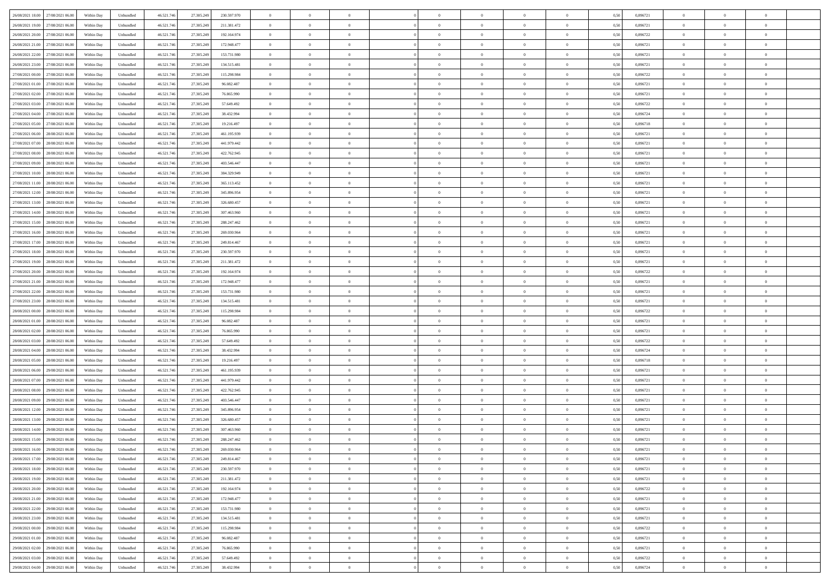| 26/08/2021 18:00 27/08/2021 06:00    | Within Day | Unbundled         | 46.521.74  | 27.305.249 | 230.597.970 | $\overline{0}$ | $\theta$       |                | $\overline{0}$ | $\theta$       |                | $\bf{0}$       | 0,50 | 0,896721 | $\theta$       | $\theta$       | $\overline{0}$ |  |
|--------------------------------------|------------|-------------------|------------|------------|-------------|----------------|----------------|----------------|----------------|----------------|----------------|----------------|------|----------|----------------|----------------|----------------|--|
| 26/08/2021 19:00<br>27/08/2021 06.00 | Within Day | Unbundled         | 46.521.74  | 27.305.249 | 211.381.472 | $\bf{0}$       | $\overline{0}$ | $\bf{0}$       | $\overline{0}$ | $\bf{0}$       | $\overline{0}$ | $\bf{0}$       | 0,50 | 0,896721 | $\,$ 0 $\,$    | $\bf{0}$       | $\overline{0}$ |  |
| 26/08/2021 20:00<br>27/08/2021 06:00 | Within Day | Unbundled         | 46.521.746 | 27.305.249 | 192.164.974 | $\overline{0}$ | $\bf{0}$       | $\overline{0}$ | $\bf{0}$       | $\bf{0}$       | $\overline{0}$ | $\bf{0}$       | 0.50 | 0,896722 | $\bf{0}$       | $\overline{0}$ | $\overline{0}$ |  |
|                                      |            |                   |            |            |             | $\overline{0}$ | $\overline{0}$ | $\overline{0}$ | $\theta$       | $\theta$       | $\overline{0}$ | $\overline{0}$ |      |          | $\theta$       | $\theta$       | $\overline{0}$ |  |
| 26/08/2021 21:00<br>27/08/2021 06:00 | Within Day | Unbundled         | 46.521.74  | 27.305.249 | 172.948.477 |                |                |                |                |                |                |                | 0,50 | 0,896721 |                |                |                |  |
| 26/08/2021 22:00<br>27/08/2021 06.00 | Within Day | Unbundled         | 46.521.74  | 27.305.249 | 153.731.980 | $\overline{0}$ | $\theta$       | $\overline{0}$ | $\overline{0}$ | $\theta$       | $\overline{0}$ | $\bf{0}$       | 0,50 | 0,896721 | $\,$ 0 $\,$    | $\bf{0}$       | $\overline{0}$ |  |
| 26/08/2021 23:00<br>27/08/2021 06:00 | Within Day | Unbundled         | 46.521.74  | 27.305.249 | 134.515.481 | $\overline{0}$ | $\overline{0}$ | $\overline{0}$ | $\overline{0}$ | $\overline{0}$ | $\Omega$       | $\bf{0}$       | 0.50 | 0,896721 | $\bf{0}$       | $\overline{0}$ | $\overline{0}$ |  |
| 27/08/2021 00:00<br>27/08/2021 06:00 | Within Day | Unbundled         | 46.521.74  | 27.305.249 | 115.298.984 | $\overline{0}$ | $\overline{0}$ | $\overline{0}$ | $\overline{0}$ | $\theta$       | $\overline{0}$ | $\bf{0}$       | 0,50 | 0,896722 | $\theta$       | $\theta$       | $\overline{0}$ |  |
|                                      |            |                   |            |            |             |                | $\overline{0}$ | $\overline{0}$ | $\overline{0}$ | $\theta$       | $\overline{0}$ |                |      |          | $\,$ 0 $\,$    | $\bf{0}$       | $\overline{0}$ |  |
| 27/08/2021 01:00<br>27/08/2021 06:00 | Within Day | Unbundled         | 46.521.74  | 27.305.24  | 96.082.487  | $\bf{0}$       |                |                |                |                |                | $\bf{0}$       | 0,50 | 0,896721 |                |                |                |  |
| 27/08/2021 02:00<br>27/08/2021 06:00 | Within Day | Unbundled         | 46.521.74  | 27.305.249 | 76,865,990  | $\overline{0}$ | $\overline{0}$ | $\overline{0}$ | $\bf{0}$       | $\overline{0}$ | $\overline{0}$ | $\bf{0}$       | 0.50 | 0.896721 | $\bf{0}$       | $\theta$       | $\overline{0}$ |  |
| 27/08/2021 03:00<br>27/08/2021 06:00 | Within Day | Unbundled         | 46.521.74  | 27.305.249 | 57.649.492  | $\overline{0}$ | $\bf{0}$       | $\overline{0}$ | $\overline{0}$ | $\theta$       | $\overline{0}$ | $\bf{0}$       | 0,50 | 0,896722 | $\,$ 0 $\,$    | $\theta$       | $\overline{0}$ |  |
| 27/08/2021 04:00<br>27/08/2021 06.00 | Within Day | Unbundled         | 46.521.74  | 27.305.249 | 38.432.994  | $\bf{0}$       | $\overline{0}$ | $\bf{0}$       | $\overline{0}$ | $\bf{0}$       | $\overline{0}$ | $\bf{0}$       | 0,50 | 0,896724 | $\,$ 0 $\,$    | $\bf{0}$       | $\overline{0}$ |  |
| 27/08/2021 05:00<br>27/08/2021 06:00 | Within Day | Unbundled         | 46.521.746 | 27.305.249 | 19.216.497  | $\overline{0}$ | $\overline{0}$ | $\overline{0}$ | $\bf{0}$       | $\bf{0}$       | $\overline{0}$ | $\bf{0}$       | 0.50 | 0.896718 | $\bf{0}$       | $\overline{0}$ | $\overline{0}$ |  |
|                                      |            |                   |            |            |             |                |                |                |                |                |                |                |      |          |                |                |                |  |
| 27/08/2021 06:00<br>28/08/2021 06:00 | Within Day | Unbundled         | 46.521.74  | 27.305.249 | 461.195.939 | $\overline{0}$ | $\overline{0}$ | $\overline{0}$ | $\overline{0}$ | $\theta$       | $\overline{0}$ | $\overline{0}$ | 0,50 | 0,896721 | $\theta$       | $\theta$       | $\overline{0}$ |  |
| 27/08/2021 07:00<br>28/08/2021 06:00 | Within Day | Unbundled         | 46.521.74  | 27.305.249 | 441.979.442 | $\bf{0}$       | $\theta$       | $\bf{0}$       | $\overline{0}$ | $\theta$       | $\overline{0}$ | $\bf{0}$       | 0,50 | 0,896721 | $\bf{0}$       | $\bf{0}$       | $\overline{0}$ |  |
| 27/08/2021 08:00<br>28/08/2021 06:00 | Within Day | Unbundled         | 46.521.74  | 27.305.249 | 422.762.945 | $\overline{0}$ | $\overline{0}$ | $\overline{0}$ | $\bf{0}$       | $\theta$       | $\Omega$       | $\bf{0}$       | 0.50 | 0,896721 | $\bf{0}$       | $\overline{0}$ | $\overline{0}$ |  |
| 27/08/2021 09:00<br>28/08/2021 06:00 | Within Day | Unbundled         | 46.521.74  | 27.305.249 | 403.546.447 | $\overline{0}$ | $\overline{0}$ | $\overline{0}$ | $\overline{0}$ | $\overline{0}$ | $\overline{0}$ | $\bf{0}$       | 0,50 | 0,896721 | $\theta$       | $\theta$       | $\overline{0}$ |  |
| 27/08/2021 10:00<br>28/08/2021 06:00 | Within Day | Unbundled         | 46.521.74  | 27.305.249 | 384.329.949 | $\bf{0}$       | $\overline{0}$ | $\overline{0}$ | $\overline{0}$ | $\theta$       | $\overline{0}$ | $\bf{0}$       | 0,50 | 0,896721 | $\,$ 0 $\,$    | $\bf{0}$       | $\overline{0}$ |  |
|                                      |            |                   |            |            |             |                |                |                |                |                |                |                |      |          |                |                |                |  |
| 27/08/2021 11:00<br>28/08/2021 06:00 | Within Day | Unbundled         | 46.521.74  | 27.305.249 | 365.113.452 | $\overline{0}$ | $\overline{0}$ | $\overline{0}$ | $\bf{0}$       | $\overline{0}$ | $\overline{0}$ | $\bf{0}$       | 0.50 | 0.896721 | $\bf{0}$       | $\overline{0}$ | $\overline{0}$ |  |
| 27/08/2021 12:00<br>28/08/2021 06:00 | Within Day | Unbundled         | 46.521.74  | 27.305.249 | 345.896.954 | $\overline{0}$ | $\overline{0}$ | $\overline{0}$ | $\overline{0}$ | $\theta$       | $\overline{0}$ | $\bf{0}$       | 0,50 | 0,896721 | $\,$ 0 $\,$    | $\theta$       | $\overline{0}$ |  |
| 27/08/2021 13:00<br>28/08/2021 06:00 | Within Day | Unbundled         | 46.521.74  | 27.305.249 | 326.680.457 | $\bf{0}$       | $\overline{0}$ | $\bf{0}$       | $\bf{0}$       | $\overline{0}$ | $\overline{0}$ | $\bf{0}$       | 0,50 | 0,896721 | $\,$ 0 $\,$    | $\bf{0}$       | $\overline{0}$ |  |
| 27/08/2021 14:00<br>28/08/2021 06:00 | Within Day | Unbundled         | 46.521.746 | 27.305.249 | 307.463.960 | $\overline{0}$ | $\overline{0}$ | $\overline{0}$ | $\bf{0}$       | $\bf{0}$       | $\overline{0}$ | $\bf{0}$       | 0.50 | 0.896721 | $\bf{0}$       | $\overline{0}$ | $\overline{0}$ |  |
| 27/08/2021 15:00<br>28/08/2021 06:00 | Within Day | Unbundled         | 46.521.74  | 27.305.249 | 288.247.462 | $\overline{0}$ | $\overline{0}$ | $\overline{0}$ | $\theta$       | $\theta$       | $\overline{0}$ | $\bf{0}$       | 0,50 | 0,896721 | $\theta$       | $\theta$       | $\overline{0}$ |  |
|                                      |            |                   |            |            |             |                |                |                |                |                |                |                |      |          |                |                |                |  |
| 27/08/2021 16:00<br>28/08/2021 06:00 | Within Day | Unbundled         | 46.521.74  | 27.305.249 | 269.030.964 | $\bf{0}$       | $\overline{0}$ | $\bf{0}$       | $\overline{0}$ | $\theta$       | $\overline{0}$ | $\bf{0}$       | 0,50 | 0,896721 | $\,$ 0 $\,$    | $\bf{0}$       | $\overline{0}$ |  |
| 27/08/2021 17:00<br>28/08/2021 06:00 | Within Day | Unbundled         | 46.521.74  | 27.305.249 | 249.814.467 | $\overline{0}$ | $\overline{0}$ | $\overline{0}$ | $\overline{0}$ | $\overline{0}$ | $\Omega$       | $\bf{0}$       | 0.50 | 0.896721 | $\bf{0}$       | $\theta$       | $\overline{0}$ |  |
| 27/08/2021 18:00<br>28/08/2021 06:00 | Within Day | Unbundled         | 46.521.74  | 27.305.249 | 230.597.970 | $\overline{0}$ | $\overline{0}$ | $\overline{0}$ | $\overline{0}$ | $\theta$       | $\overline{0}$ | $\bf{0}$       | 0,50 | 0,896721 | $\theta$       | $\theta$       | $\overline{0}$ |  |
| 27/08/2021 19:00<br>28/08/2021 06:00 | Within Day | Unbundled         | 46.521.74  | 27.305.249 | 211.381.472 | $\bf{0}$       | $\theta$       | $\bf{0}$       | $\overline{0}$ | $\theta$       | $\overline{0}$ | $\bf{0}$       | 0,50 | 0,896721 | $\,$ 0 $\,$    | $\bf{0}$       | $\overline{0}$ |  |
| 27/08/2021 20:00<br>28/08/2021 06:00 | Within Day | Unbundled         | 46.521.74  | 27.305.249 | 192.164.974 | $\overline{0}$ | $\overline{0}$ | $\overline{0}$ | $\bf{0}$       | $\overline{0}$ | $\overline{0}$ | $\bf{0}$       | 0.50 | 0.896722 | $\bf{0}$       | $\theta$       | $\overline{0}$ |  |
| 27/08/2021 21:00<br>28/08/2021 06:00 | Within Day | Unbundled         | 46.521.74  | 27.305.249 | 172.948.477 | $\overline{0}$ | $\overline{0}$ | $\overline{0}$ | $\overline{0}$ | $\overline{0}$ | $\overline{0}$ | $\bf{0}$       | 0,50 | 0,896721 | $\theta$       | $\theta$       | $\overline{0}$ |  |
|                                      |            |                   |            |            |             |                |                |                |                |                |                |                |      |          |                |                |                |  |
| 27/08/2021 22:00<br>28/08/2021 06:00 | Within Day | Unbundled         | 46.521.74  | 27.305.249 | 153.731.980 | $\bf{0}$       | $\bf{0}$       | $\bf{0}$       | $\bf{0}$       | $\overline{0}$ | $\overline{0}$ | $\bf{0}$       | 0,50 | 0,896721 | $\,$ 0 $\,$    | $\bf{0}$       | $\overline{0}$ |  |
| 27/08/2021 23:00<br>28/08/2021 06:00 | Within Day | Unbundled         | 46.521.74  | 27.305.249 | 134.515.481 | $\overline{0}$ | $\bf{0}$       | $\overline{0}$ | $\bf{0}$       | $\bf{0}$       | $\overline{0}$ | $\bf{0}$       | 0.50 | 0.896721 | $\bf{0}$       | $\overline{0}$ | $\overline{0}$ |  |
| 28/08/2021 00:00<br>28/08/2021 06:00 | Within Day | Unbundled         | 46.521.74  | 27.305.249 | 115.298.984 | $\overline{0}$ | $\overline{0}$ | $\overline{0}$ | $\overline{0}$ | $\overline{0}$ | $\overline{0}$ | $\bf{0}$       | 0.5( | 0,896722 | $\theta$       | $\theta$       | $\overline{0}$ |  |
| 28/08/2021 01:00<br>28/08/2021 06:00 | Within Day | Unbundled         | 46.521.74  | 27.305.249 | 96.082.487  | $\bf{0}$       | $\overline{0}$ | $\bf{0}$       | $\overline{0}$ | $\overline{0}$ | $\overline{0}$ | $\bf{0}$       | 0,50 | 0,896721 | $\,$ 0 $\,$    | $\bf{0}$       | $\overline{0}$ |  |
| 28/08/2021 02:00<br>28/08/2021 06:00 | Within Day | Unbundled         | 46.521.74  | 27.305.249 | 76,865,990  | $\overline{0}$ | $\overline{0}$ | $\overline{0}$ | $\bf{0}$       | $\bf{0}$       | $\Omega$       | $\bf{0}$       | 0.50 | 0,896721 | $\,$ 0 $\,$    | $\overline{0}$ | $\overline{0}$ |  |
| 28/08/2021 03:00<br>28/08/2021 06:00 | Within Dav | Unbundled         | 46.521.74  | 27.305.249 | 57.649.492  | $\overline{0}$ | $\theta$       | $\Omega$       | $\overline{0}$ | $\theta$       | $\overline{0}$ | $\overline{0}$ | 0.5( | 0,896722 | $\theta$       | $\theta$       | $\overline{0}$ |  |
|                                      |            |                   |            |            |             |                |                |                |                |                |                |                |      |          |                |                |                |  |
| 28/08/2021 04:00<br>28/08/2021 06:00 | Within Day | Unbundled         | 46.521.74  | 27.305.249 | 38.432.994  | $\bf{0}$       | $\overline{0}$ | $\bf{0}$       | $\overline{0}$ | $\bf{0}$       | $\overline{0}$ | $\bf{0}$       | 0,50 | 0,896724 | $\,$ 0 $\,$    | $\bf{0}$       | $\overline{0}$ |  |
| 28/08/2021 05:00<br>28/08/2021 06:00 | Within Day | Unbundled         | 46.521.74  | 27.305.249 | 19.216.497  | $\overline{0}$ | $\overline{0}$ | $\overline{0}$ | $\bf{0}$       | $\overline{0}$ | $\overline{0}$ | $\bf{0}$       | 0.50 | 0.896718 | $\bf{0}$       | $\overline{0}$ | $\overline{0}$ |  |
| 28/08/2021 06:00<br>29/08/2021 06:00 | Within Dav | Unbundled         | 46.521.74  | 27.305.249 | 461.195.939 | $\overline{0}$ | $\overline{0}$ | $\overline{0}$ | $\overline{0}$ | $\overline{0}$ | $\overline{0}$ | $\overline{0}$ | 0.50 | 0,896721 | $\theta$       | $\theta$       | $\overline{0}$ |  |
| 28/08/2021 07:00<br>29/08/2021 06.00 | Within Day | Unbundled         | 46.521.74  | 27.305.249 | 441.979.442 | $\bf{0}$       | $\bf{0}$       | $\bf{0}$       | $\bf{0}$       | $\overline{0}$ | $\overline{0}$ | $\bf{0}$       | 0,50 | 0,896721 | $\,$ 0 $\,$    | $\bf{0}$       | $\overline{0}$ |  |
| 28/08/2021 08:00<br>29/08/2021 06:00 | Within Day | Unbundled         | 46.521.746 | 27.305.249 | 422.762.945 | $\overline{0}$ | $\bf{0}$       | $\overline{0}$ | $\bf{0}$       | $\bf{0}$       | $\overline{0}$ | $\bf{0}$       | 0.50 | 0.896721 | $\bf{0}$       | $\overline{0}$ | $\overline{0}$ |  |
|                                      |            |                   |            |            |             |                |                |                |                |                |                |                |      |          |                |                |                |  |
| 28/08/2021 09:00<br>29/08/2021 06:00 | Within Dav | Unbundled         | 46.521.74  | 27.305.249 | 403.546.447 | $\overline{0}$ | $\overline{0}$ | $\Omega$       | $\overline{0}$ | $\theta$       | $\overline{0}$ | $\overline{0}$ | 0.50 | 0,896721 | $\theta$       | $\theta$       | $\overline{0}$ |  |
| 28/08/2021 12:00<br>29/08/2021 06.00 | Within Day | Unbundled         | 46.521.74  | 27.305.249 | 345.896.954 | $\bf{0}$       | $\overline{0}$ | $\bf{0}$       | $\overline{0}$ | $\overline{0}$ | $\overline{0}$ | $\bf{0}$       | 0,50 | 0,896721 | $\,$ 0 $\,$    | $\bf{0}$       | $\overline{0}$ |  |
| 28/08/2021 13:00<br>29/08/2021 06:00 | Within Day | Unbundled         | 46.521.74  | 27.305.249 | 326.680.457 | $\overline{0}$ | $\overline{0}$ | $\Omega$       | $\overline{0}$ | $\theta$       | $\theta$       | $\bf{0}$       | 0.50 | 0,896721 | $\bf{0}$       | $\overline{0}$ | $\overline{0}$ |  |
| 28/08/2021 14:00<br>29/08/2021 06:00 | Within Dav | Unbundled         | 46.521.74  | 27.305.249 | 307.463.960 | $\overline{0}$ | $\overline{0}$ | $\Omega$       | $\overline{0}$ | $\theta$       | $\Omega$       | $\overline{0}$ | 0.5( | 0,896721 | $\theta$       | $\theta$       | $\overline{0}$ |  |
| 28/08/2021 15:00<br>29/08/2021 06:00 | Within Day | Unbundled         | 46.521.74  | 27.305.249 | 288.247.462 | $\bf{0}$       | $\bf{0}$       | $\bf{0}$       | $\bf{0}$       | $\bf{0}$       | $\overline{0}$ | $\bf{0}$       | 0,50 | 0,896721 | $\,$ 0 $\,$    | $\bf{0}$       | $\overline{0}$ |  |
| 28/08/2021 16:00 29/08/2021 06:00    |            | ${\sf Unbundred}$ | 46.521.746 | 27.305.249 | 269.030.964 |                | $\Omega$       |                | $\Omega$       |                |                |                | 0,50 | 0.896721 | $\theta$       | $\overline{0}$ |                |  |
|                                      | Within Day |                   |            |            |             | $\bf{0}$       |                |                |                |                |                |                |      |          |                |                |                |  |
| 28/08/2021 17:00 29/08/2021 06:00    | Within Day | Unbundled         | 46.521.746 | 27.305.249 | 249.814.467 | $\overline{0}$ | $\theta$       | $\Omega$       | $\theta$       | $\overline{0}$ | $\overline{0}$ | $\bf{0}$       | 0,50 | 0,896721 | $\theta$       | $\theta$       | $\overline{0}$ |  |
| 28/08/2021 18:00<br>29/08/2021 06:00 | Within Day | Unbundled         | 46.521.74  | 27.305.249 | 230.597.970 | $\overline{0}$ | $\bf{0}$       | $\overline{0}$ | $\overline{0}$ | $\bf{0}$       | $\overline{0}$ | $\bf{0}$       | 0,50 | 0,896721 | $\bf{0}$       | $\overline{0}$ | $\bf{0}$       |  |
| 28/08/2021 19:00 29/08/2021 06:00    | Within Day | Unbundled         | 46.521.746 | 27.305.249 | 211.381.472 | $\overline{0}$ | $\bf{0}$       | $\overline{0}$ | $\overline{0}$ | $\mathbf{0}$   | $\overline{0}$ | $\,$ 0 $\,$    | 0.50 | 0.896721 | $\overline{0}$ | $\bf{0}$       | $\,$ 0 $\,$    |  |
| 28/08/2021 20:00 29/08/2021 06:00    | Within Day | Unbundled         | 46.521.746 | 27.305.249 | 192.164.974 | $\overline{0}$ | $\overline{0}$ | $\overline{0}$ | $\overline{0}$ | $\overline{0}$ | $\overline{0}$ | $\bf{0}$       | 0,50 | 0,896722 | $\theta$       | $\theta$       | $\overline{0}$ |  |
|                                      |            |                   |            |            |             |                |                |                |                |                |                |                |      |          |                |                |                |  |
| 28/08/2021 21:00<br>29/08/2021 06:00 | Within Day | Unbundled         | 46.521.74  | 27.305.249 | 172.948.477 | $\overline{0}$ | $\bf{0}$       | $\overline{0}$ | $\bf{0}$       | $\overline{0}$ | $\bf{0}$       | $\bf{0}$       | 0,50 | 0,896721 | $\bf{0}$       | $\bf{0}$       | $\overline{0}$ |  |
| 28/08/2021 22:00<br>29/08/2021 06:00 | Within Day | Unbundled         | 46.521.746 | 27.305.249 | 153,731,980 | $\overline{0}$ | $\bf{0}$       | $\overline{0}$ | $\overline{0}$ | $\overline{0}$ | $\overline{0}$ | $\bf{0}$       | 0.50 | 0,896721 | $\,$ 0 $\,$    | $\theta$       | $\,$ 0         |  |
| 28/08/2021 23:00<br>29/08/2021 06:00 | Within Dav | Unbundled         | 46.521.746 | 27.305.249 | 134.515.481 | $\overline{0}$ | $\overline{0}$ | $\overline{0}$ | $\overline{0}$ | $\overline{0}$ | $\overline{0}$ | $\bf{0}$       | 0.50 | 0,896721 | $\overline{0}$ | $\theta$       | $\overline{0}$ |  |
| 29/08/2021 00:00<br>29/08/2021 06:00 | Within Day | Unbundled         | 46.521.74  | 27.305.249 | 115.298.984 | $\overline{0}$ | $\overline{0}$ | $\overline{0}$ | $\overline{0}$ | $\overline{0}$ | $\overline{0}$ | $\bf{0}$       | 0,50 | 0,896722 | $\bf{0}$       | $\overline{0}$ | $\overline{0}$ |  |
| 29/08/2021 01:00<br>29/08/2021 06:00 | Within Day | Unbundled         | 46.521.746 | 27.305.249 | 96.082.487  | $\overline{0}$ | $\overline{0}$ | $\overline{0}$ | $\overline{0}$ | $\bf{0}$       | $\overline{0}$ | $\bf{0}$       | 0.50 | 0.896721 | $\overline{0}$ | $\bf{0}$       | $\,$ 0         |  |
|                                      |            |                   |            |            |             |                |                |                |                |                |                |                |      |          |                |                |                |  |
| 29/08/2021 02:00 29/08/2021 06:00    | Within Dav | Unbundled         | 46.521.746 | 27.305.249 | 76.865.990  | $\overline{0}$ | $\overline{0}$ | $\overline{0}$ | $\overline{0}$ | $\overline{0}$ | $\overline{0}$ | $\bf{0}$       | 0,50 | 0,896721 | $\overline{0}$ | $\theta$       | $\overline{0}$ |  |
| 29/08/2021 03:00<br>29/08/2021 06:00 | Within Day | Unbundled         | 46.521.74  | 27.305.249 | 57.649.492  | $\overline{0}$ | $\bf{0}$       | $\overline{0}$ | $\bf{0}$       | $\overline{0}$ | $\bf{0}$       | $\bf{0}$       | 0,50 | 0,896722 | $\bf{0}$       | $\bf{0}$       | $\overline{0}$ |  |
| 29/08/2021 04:00 29/08/2021 06:00    | Within Day | Unbundled         | 46.521.746 | 27.305.249 | 38.432.994  | $\overline{0}$ | $\bf{0}$       | $\overline{0}$ | $\overline{0}$ | $\,$ 0 $\,$    | $\overline{0}$ | $\bf{0}$       | 0,50 | 0,896724 | $\overline{0}$ | $\,$ 0 $\,$    | $\,$ 0 $\,$    |  |